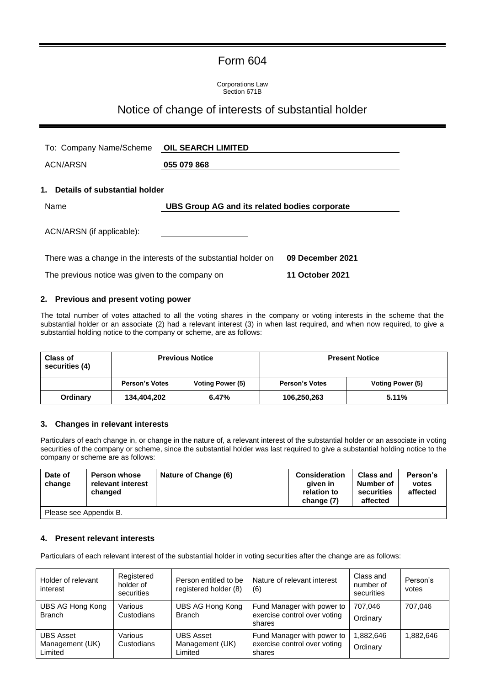# Form 604

Corporations Law Section 671B

## Notice of change of interests of substantial holder

| To: Company Name/Scheme OIL SEARCH LIMITED      |                                                                  |                        |  |
|-------------------------------------------------|------------------------------------------------------------------|------------------------|--|
| <b>ACN/ARSN</b>                                 | 055 079 868                                                      |                        |  |
| 1.<br>Details of substantial holder             |                                                                  |                        |  |
| Name                                            | UBS Group AG and its related bodies corporate                    |                        |  |
| ACN/ARSN (if applicable):                       |                                                                  |                        |  |
|                                                 | There was a change in the interests of the substantial holder on | 09 December 2021       |  |
| The previous notice was given to the company on |                                                                  | <b>11 October 2021</b> |  |

#### **2. Previous and present voting power**

The total number of votes attached to all the voting shares in the company or voting interests in the scheme that the substantial holder or an associate (2) had a relevant interest (3) in when last required, and when now required, to give a substantial holding notice to the company or scheme, are as follows:

| <b>Class of</b><br>securities (4) | <b>Previous Notice</b> |                  | <b>Present Notice</b> |                  |
|-----------------------------------|------------------------|------------------|-----------------------|------------------|
|                                   | <b>Person's Votes</b>  | Voting Power (5) | <b>Person's Votes</b> | Voting Power (5) |
| Ordinary                          | 134,404,202            | 6.47%            | 106,250,263           | 5.11%            |

#### **3. Changes in relevant interests**

Particulars of each change in, or change in the nature of, a relevant interest of the substantial holder or an associate in voting securities of the company or scheme, since the substantial holder was last required to give a substantial holding notice to the company or scheme are as follows:

| Date of<br>change      | <b>Person whose</b><br>relevant interest<br>changed | Nature of Change (6) | <b>Consideration</b><br>given in<br>relation to<br>change (7) | <b>Class and</b><br>Number of<br>securities<br>affected | Person's<br>votes<br>affected |
|------------------------|-----------------------------------------------------|----------------------|---------------------------------------------------------------|---------------------------------------------------------|-------------------------------|
| Please see Appendix B. |                                                     |                      |                                                               |                                                         |                               |

#### **4. Present relevant interests**

Particulars of each relevant interest of the substantial holder in voting securities after the change are as follows:

| Holder of relevant<br>interest                 | Registered<br>holder of<br>securities | Person entitled to be<br>registered holder (8) | Nature of relevant interest<br>(6)                                   | Class and<br>number of<br>securities | Person's<br>votes |
|------------------------------------------------|---------------------------------------|------------------------------------------------|----------------------------------------------------------------------|--------------------------------------|-------------------|
| UBS AG Hong Kong<br><b>Branch</b>              | Various<br>Custodians                 | UBS AG Hong Kong<br><b>Branch</b>              | Fund Manager with power to<br>exercise control over voting<br>shares | 707,046<br>Ordinary                  | 707,046           |
| <b>UBS Asset</b><br>Management (UK)<br>Limited | Various<br>Custodians                 | <b>UBS Asset</b><br>Management (UK)<br>Limited | Fund Manager with power to<br>exercise control over voting<br>shares | 1,882,646<br>Ordinary                | 1,882,646         |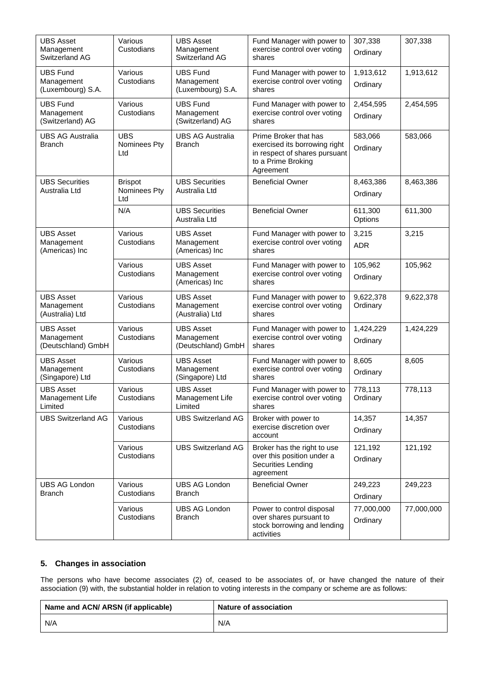| <b>UBS Asset</b><br>Management<br>Switzerland AG     | Various<br>Custodians                 | <b>UBS Asset</b><br>Management<br>Switzerland AG     | Fund Manager with power to<br>exercise control over voting<br>shares                                                       | 307,338<br>Ordinary    | 307,338    |
|------------------------------------------------------|---------------------------------------|------------------------------------------------------|----------------------------------------------------------------------------------------------------------------------------|------------------------|------------|
| <b>UBS Fund</b><br>Management<br>(Luxembourg) S.A.   | Various<br>Custodians                 | <b>UBS Fund</b><br>Management<br>(Luxembourg) S.A.   | Fund Manager with power to<br>exercise control over voting<br>shares                                                       | 1,913,612<br>Ordinary  | 1,913,612  |
| <b>UBS Fund</b><br>Management<br>(Switzerland) AG    | Various<br>Custodians                 | <b>UBS Fund</b><br>Management<br>(Switzerland) AG    | Fund Manager with power to<br>exercise control over voting<br>shares                                                       | 2,454,595<br>Ordinary  | 2,454,595  |
| <b>UBS AG Australia</b><br><b>Branch</b>             | <b>UBS</b><br>Nominees Pty<br>Ltd     | <b>UBS AG Australia</b><br><b>Branch</b>             | Prime Broker that has<br>exercised its borrowing right<br>in respect of shares pursuant<br>to a Prime Broking<br>Agreement | 583,066<br>Ordinary    | 583,066    |
| <b>UBS Securities</b><br>Australia Ltd               | <b>Brispot</b><br>Nominees Pty<br>Ltd | <b>UBS Securities</b><br>Australia Ltd               | <b>Beneficial Owner</b>                                                                                                    | 8,463,386<br>Ordinary  | 8,463,386  |
|                                                      | N/A                                   | <b>UBS Securities</b><br>Australia Ltd               | <b>Beneficial Owner</b>                                                                                                    | 611,300<br>Options     | 611,300    |
| <b>UBS Asset</b><br>Management<br>(Americas) Inc     | Various<br>Custodians                 | <b>UBS Asset</b><br>Management<br>(Americas) Inc     | Fund Manager with power to<br>exercise control over voting<br>shares                                                       | 3,215<br><b>ADR</b>    | 3,215      |
|                                                      | Various<br>Custodians                 | <b>UBS Asset</b><br>Management<br>(Americas) Inc     | Fund Manager with power to<br>exercise control over voting<br>shares                                                       | 105,962<br>Ordinary    | 105,962    |
| <b>UBS Asset</b><br>Management<br>(Australia) Ltd    | Various<br>Custodians                 | <b>UBS Asset</b><br>Management<br>(Australia) Ltd    | Fund Manager with power to<br>exercise control over voting<br>shares                                                       | 9,622,378<br>Ordinary  | 9,622,378  |
| <b>UBS Asset</b><br>Management<br>(Deutschland) GmbH | Various<br>Custodians                 | <b>UBS Asset</b><br>Management<br>(Deutschland) GmbH | Fund Manager with power to<br>exercise control over voting<br>shares                                                       | 1,424,229<br>Ordinary  | 1,424,229  |
| <b>UBS Asset</b><br>Management<br>(Singapore) Ltd    | Various<br>Custodians                 | <b>UBS Asset</b><br>Management<br>(Singapore) Ltd    | Fund Manager with power to<br>exercise control over voting<br>shares                                                       | 8,605<br>Ordinary      | 8,605      |
| UBS Asset<br>Management Life<br>Limited              | Various<br>Custodians                 | <b>UBS Asset</b><br>Management Life<br>Limited       | Fund Manager with power to<br>exercise control over voting<br>shares                                                       | 778,113<br>Ordinary    | 778,113    |
| <b>UBS Switzerland AG</b>                            | Various<br>Custodians                 | <b>UBS Switzerland AG</b>                            | Broker with power to<br>exercise discretion over<br>account                                                                | 14,357<br>Ordinary     | 14,357     |
|                                                      | Various<br>Custodians                 | <b>UBS Switzerland AG</b>                            | Broker has the right to use<br>over this position under a<br><b>Securities Lending</b><br>agreement                        | 121,192<br>Ordinary    | 121,192    |
| <b>UBS AG London</b><br><b>Branch</b>                | Various<br>Custodians                 | <b>UBS AG London</b><br><b>Branch</b>                | <b>Beneficial Owner</b>                                                                                                    | 249,223<br>Ordinary    | 249,223    |
|                                                      | Various<br>Custodians                 | <b>UBS AG London</b><br><b>Branch</b>                | Power to control disposal<br>over shares pursuant to<br>stock borrowing and lending<br>activities                          | 77,000,000<br>Ordinary | 77,000,000 |

### **5. Changes in association**

The persons who have become associates (2) of, ceased to be associates of, or have changed the nature of their association (9) with, the substantial holder in relation to voting interests in the company or scheme are as follows:

| Name and ACN/ ARSN (if applicable) | Nature of association |
|------------------------------------|-----------------------|
| N/A                                | N/A                   |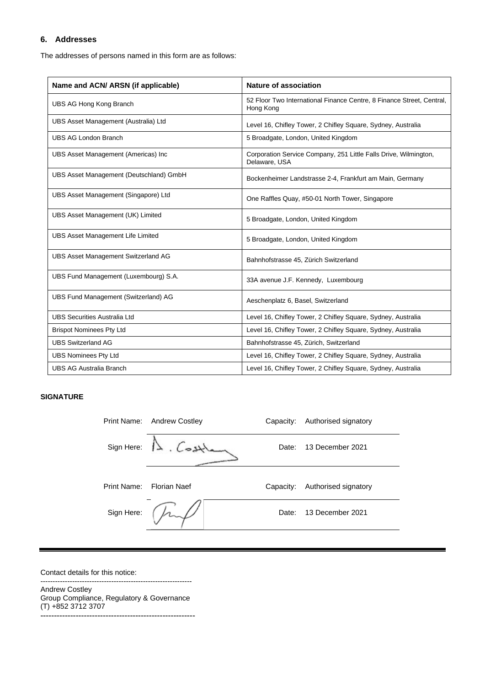#### **6. Addresses**

The addresses of persons named in this form are as follows:

| Name and ACN/ ARSN (if applicable)         | Nature of association                                                              |
|--------------------------------------------|------------------------------------------------------------------------------------|
| UBS AG Hong Kong Branch                    | 52 Floor Two International Finance Centre, 8 Finance Street, Central,<br>Hong Kong |
| UBS Asset Management (Australia) Ltd       | Level 16, Chifley Tower, 2 Chifley Square, Sydney, Australia                       |
| <b>UBS AG London Branch</b>                | 5 Broadgate, London, United Kingdom                                                |
| UBS Asset Management (Americas) Inc        | Corporation Service Company, 251 Little Falls Drive, Wilmington,<br>Delaware, USA  |
| UBS Asset Management (Deutschland) GmbH    | Bockenheimer Landstrasse 2-4, Frankfurt am Main, Germany                           |
| UBS Asset Management (Singapore) Ltd       | One Raffles Quay, #50-01 North Tower, Singapore                                    |
| UBS Asset Management (UK) Limited          | 5 Broadgate, London, United Kingdom                                                |
| <b>UBS Asset Management Life Limited</b>   | 5 Broadgate, London, United Kingdom                                                |
| <b>UBS Asset Management Switzerland AG</b> | Bahnhofstrasse 45, Zürich Switzerland                                              |
| UBS Fund Management (Luxembourg) S.A.      | 33A avenue J.F. Kennedy, Luxembourg                                                |
| UBS Fund Management (Switzerland) AG       | Aeschenplatz 6, Basel, Switzerland                                                 |
| <b>UBS Securities Australia Ltd</b>        | Level 16, Chifley Tower, 2 Chifley Square, Sydney, Australia                       |
| <b>Brispot Nominees Pty Ltd</b>            | Level 16, Chifley Tower, 2 Chifley Square, Sydney, Australia                       |
| <b>UBS Switzerland AG</b>                  | Bahnhofstrasse 45, Zürich, Switzerland                                             |
| <b>UBS Nominees Pty Ltd</b>                | Level 16, Chifley Tower, 2 Chifley Square, Sydney, Australia                       |
| <b>UBS AG Australia Branch</b>             | Level 16, Chifley Tower, 2 Chifley Square, Sydney, Australia                       |

#### **SIGNATURE**

| Print Name: | Andrew Costley      | Capacity: | Authorised signatory |
|-------------|---------------------|-----------|----------------------|
|             | Sign Here: 11. Cost | Date:     | 13 December 2021     |
| Print Name: | <b>Florian Naef</b> | Capacity: | Authorised signatory |
| Sign Here:  |                     | Date:     | 13 December 2021     |

Contact details for this notice: --------------------------------------------------------------

Andrew Costley Group Compliance, Regulatory & Governance (T) +852 3712 3707 **---------------------------------------------------------**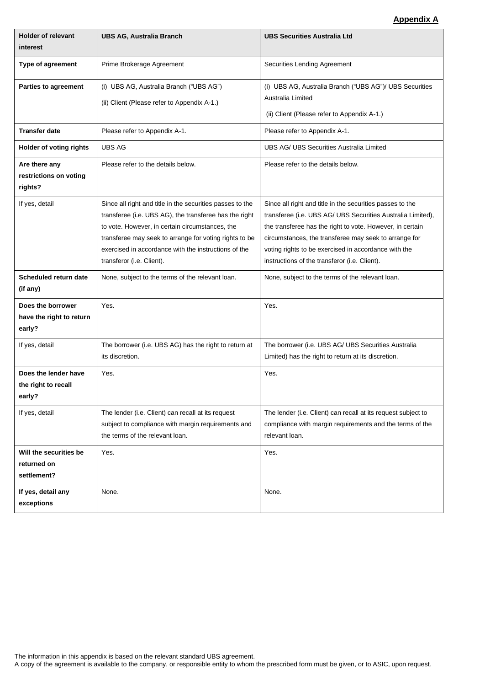### **Appendix A**

| <b>Holder of relevant</b><br>interest                   | <b>UBS AG, Australia Branch</b>                                                                                                                                                                                                                                                                                       | <b>UBS Securities Australia Ltd</b>                                                                                                                                                                                                                                                                                                                     |
|---------------------------------------------------------|-----------------------------------------------------------------------------------------------------------------------------------------------------------------------------------------------------------------------------------------------------------------------------------------------------------------------|---------------------------------------------------------------------------------------------------------------------------------------------------------------------------------------------------------------------------------------------------------------------------------------------------------------------------------------------------------|
| Type of agreement                                       | Prime Brokerage Agreement                                                                                                                                                                                                                                                                                             | Securities Lending Agreement                                                                                                                                                                                                                                                                                                                            |
| Parties to agreement                                    | (i) UBS AG, Australia Branch ("UBS AG")<br>(ii) Client (Please refer to Appendix A-1.)                                                                                                                                                                                                                                | (i) UBS AG, Australia Branch ("UBS AG")/ UBS Securities<br>Australia Limited<br>(ii) Client (Please refer to Appendix A-1.)                                                                                                                                                                                                                             |
| <b>Transfer date</b>                                    | Please refer to Appendix A-1.                                                                                                                                                                                                                                                                                         | Please refer to Appendix A-1.                                                                                                                                                                                                                                                                                                                           |
| Holder of voting rights                                 | <b>UBS AG</b>                                                                                                                                                                                                                                                                                                         | UBS AG/ UBS Securities Australia Limited                                                                                                                                                                                                                                                                                                                |
| Are there any<br>restrictions on voting<br>rights?      | Please refer to the details below.                                                                                                                                                                                                                                                                                    | Please refer to the details below.                                                                                                                                                                                                                                                                                                                      |
| If yes, detail                                          | Since all right and title in the securities passes to the<br>transferee (i.e. UBS AG), the transferee has the right<br>to vote. However, in certain circumstances, the<br>transferee may seek to arrange for voting rights to be<br>exercised in accordance with the instructions of the<br>transferor (i.e. Client). | Since all right and title in the securities passes to the<br>transferee (i.e. UBS AG/ UBS Securities Australia Limited),<br>the transferee has the right to vote. However, in certain<br>circumstances, the transferee may seek to arrange for<br>voting rights to be exercised in accordance with the<br>instructions of the transferor (i.e. Client). |
| Scheduled return date<br>(if any)                       | None, subject to the terms of the relevant loan.                                                                                                                                                                                                                                                                      | None, subject to the terms of the relevant loan.                                                                                                                                                                                                                                                                                                        |
| Does the borrower<br>have the right to return<br>early? | Yes.                                                                                                                                                                                                                                                                                                                  | Yes.                                                                                                                                                                                                                                                                                                                                                    |
| If yes, detail                                          | The borrower (i.e. UBS AG) has the right to return at<br>its discretion.                                                                                                                                                                                                                                              | The borrower (i.e. UBS AG/ UBS Securities Australia<br>Limited) has the right to return at its discretion.                                                                                                                                                                                                                                              |
| Does the lender have<br>the right to recall<br>early?   | Yes.                                                                                                                                                                                                                                                                                                                  | Yes.                                                                                                                                                                                                                                                                                                                                                    |
| If yes, detail                                          | The lender (i.e. Client) can recall at its request<br>subject to compliance with margin requirements and<br>the terms of the relevant loan.                                                                                                                                                                           | The lender (i.e. Client) can recall at its request subject to<br>compliance with margin requirements and the terms of the<br>relevant loan.                                                                                                                                                                                                             |
| Will the securities be<br>returned on<br>settlement?    | Yes.                                                                                                                                                                                                                                                                                                                  | Yes.                                                                                                                                                                                                                                                                                                                                                    |
| If yes, detail any<br>exceptions                        | None.                                                                                                                                                                                                                                                                                                                 | None.                                                                                                                                                                                                                                                                                                                                                   |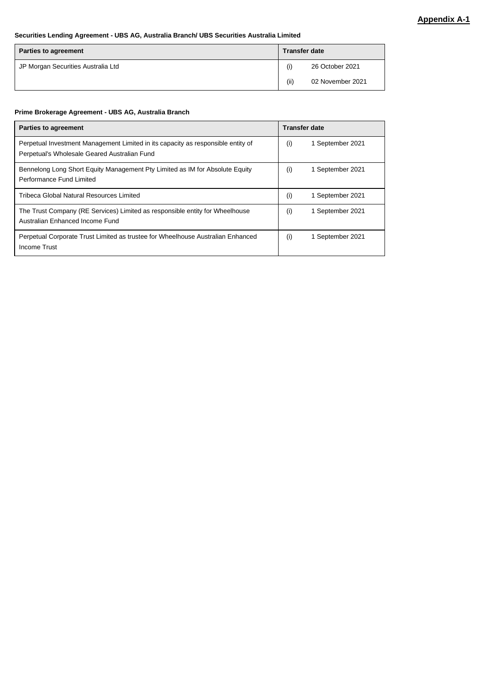#### **Securities Lending Agreement - UBS AG, Australia Branch/ UBS Securities Australia Limited**

| <b>Parties to agreement</b>        | <b>Transfer date</b> |                  |
|------------------------------------|----------------------|------------------|
| JP Morgan Securities Australia Ltd |                      | 26 October 2021  |
|                                    | (ii)                 | 02 November 2021 |

#### **Prime Brokerage Agreement - UBS AG, Australia Branch**

| <b>Parties to agreement</b>                                                      | <b>Transfer date</b>    |
|----------------------------------------------------------------------------------|-------------------------|
| Perpetual Investment Management Limited in its capacity as responsible entity of | (i)                     |
| Perpetual's Wholesale Geared Australian Fund                                     | 1 September 2021        |
| Bennelong Long Short Equity Management Pty Limited as IM for Absolute Equity     | (i)                     |
| Performance Fund Limited                                                         | 1 September 2021        |
| Tribeca Global Natural Resources Limited                                         | (i)<br>1 September 2021 |
| The Trust Company (RE Services) Limited as responsible entity for Wheelhouse     | (i)                     |
| Australian Enhanced Income Fund                                                  | 1 September 2021        |
| Perpetual Corporate Trust Limited as trustee for Wheelhouse Australian Enhanced  | (i)                     |
| Income Trust                                                                     | 1 September 2021        |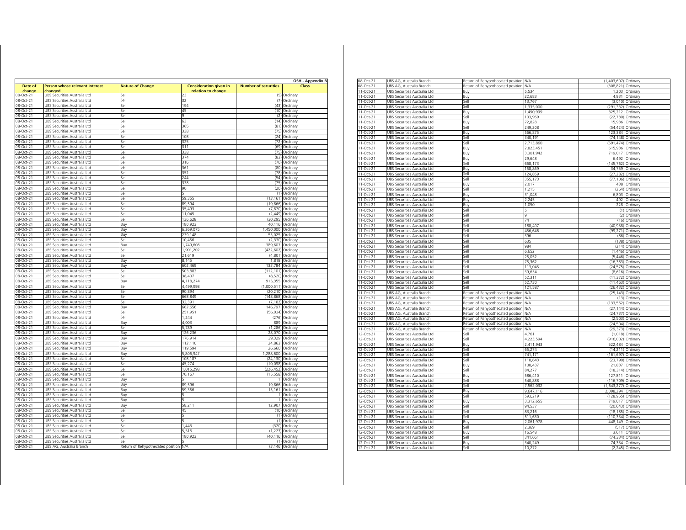| Date of     | Person whose relevant interest      | <b>Nature of Change</b>           | <b>Consideration given in</b> | <b>Number of securities</b> | OSH - Appendix B<br>Class |
|-------------|-------------------------------------|-----------------------------------|-------------------------------|-----------------------------|---------------------------|
| chang       | :hangec                             |                                   | relation to change            |                             |                           |
| $08-Cct-21$ | JBS Securities Australia Ltd        | Sel                               | 23                            |                             | (5) Ordinary              |
| 08-Oct-21   | UBS Securities Australia Ltd        | Sell                              | 32                            |                             | (7) Ordinary              |
| 08-Oct-21   | JBS Securities Australia Ltd        | Sell                              | 194                           | (43)                        | Ordinary                  |
| 08-Oct-21   | JBS Securities Australia Ltd        | Sell                              | 45                            |                             | (10) Ordinary             |
| 08-Oct-21   | UBS Securities Australia Ltd        | Sell                              | 9                             |                             | (2) Ordinary              |
| 08-Oct-21   | JBS Securities Australia Ltd        | sell                              | 63                            | (14)                        | Ordinary                  |
| 08-Oct-21   | JBS Securities Australia Ltd        | sell                              | 365                           | (81)                        | Ordinary                  |
| 08-Oct-21   | JBS Securities Australia Ltd        | iell                              | 338                           | (75)                        | Ordinary                  |
| 08-Oct-21   | JBS Securities Australia Ltd        | Sell                              | 108                           | (24)                        | Ordinary                  |
| 08-Oct-21   | JBS Securities Australia Ltd        | Sell                              | 325                           | (72)                        | Ordinary                  |
| 08-Oct-21   | JBS Securities Australia Ltd        | Sell                              | 311                           | (69)                        | Ordinary                  |
| 08-Oct-21   | JBS Securities Australia Ltd        | Sell                              | 338                           | (75)                        | Ordinary                  |
| 08-Oct-21   | JBS Securities Australia Ltd        | Sell                              | 374                           |                             | (83) Ordinary             |
| 08-Oct-21   | JBS Securities Australia Ltd        | Sell                              | 316                           | (70)                        | Ordinary                  |
| 08-Oct-21   | JBS Securities Australia Ltd        | Sell                              | 361                           | (80)                        | Ordinary                  |
| 08-Oct-21   | JBS Securities Australia Ltd        | Sell                              | 352                           | (78)                        | Ordinary                  |
| 08-Oct-21   | JBS Securities Australia Ltd        | Sell                              | 244                           | (54)                        | Ordinary                  |
| 08-Oct-21   | JBS Securities Australia Ltd        | Sell                              | 338                           | (75)                        | Ordinary                  |
| 08-Oct-21   | JBS Securities Australia Ltd        | Sell                              | 90                            | (20)                        | Ordinary                  |
| 08-Oct-21   | UBS Securities Australia Ltd        | Sell                              | ς                             |                             | (1) Ordinary              |
| 08-Oct-21   | JBS Securities Australia Ltd        | Sell                              | 59,355                        | (13, 161)                   | Ordinan                   |
| 08-Oct-21   | JBS Securities Australia Ltd        | Sell                              | 89,594                        | (19, 866)                   | Ordinary                  |
| 08-Oct-21   | JBS Securities Australia Ltd        | sell                              | 35.493                        | (7.870)                     | Ordinary                  |
| 08-Oct-21   | JBS Securities Australia Ltd        | sell                              | 11,045                        | (2, 449)                    | Ordinary                  |
| 08-Oct-21   | JBS Securities Australia Ltd        | Sell                              | 136.628                       | (30.295)                    | Ordinary                  |
| 08-Oct-21   | JBS Securities Australia Ltd        | Buy                               | 180,923                       | 40,116                      | Ordinary                  |
| 08-Oct-21   | JBS Securities Australia Ltd        | Buy                               | 6,269,075                     | 1,450,000                   | Ordinary                  |
| 08-Oct-21   | UBS Securities Australia Ltd        | Buy                               | 239,148                       |                             | 53,025 Ordinary           |
| 08-Oct-21   | JBS Securities Australia Ltd        | Sell                              | 10,456                        | (2, 330)                    | Ordinary                  |
| 08-Oct-21   | JBS Securities Australia Ltd        | Buy                               | 1,749,608                     | 389,607                     | Ordinary                  |
| 08-Oct-21   | JBS Securities Australia Ltd        | Sell                              | 1,901,202                     | (422, 602)                  | Ordinary                  |
| 08-Oct-21   | JBS Securities Australia Ltd        | Sell                              | 21,619                        | (4, 801)                    | Ordinary                  |
| 08-Oct-21   | JBS Securities Australia Ltd        | Buy                               | 8.145                         | 1,818                       | Ordinary                  |
| 08-Oct-21   | JBS Securities Australia Ltd        | Buy                               | 602,469                       | 133,784                     | Ordinary                  |
| 08-Oct-21   | JBS Securities Australia Ltd        | Sell                              | 503,883                       | (112, 101)                  | Ordinary                  |
| 08-Oct-21   | JBS Securities Australia Ltd        | Sell                              | 38,407                        | (8, 520)                    | Ordinary                  |
| 08-Oct-21   | JBS Securities Australia Ltd        | Buy                               | 4,118,274                     | 915,355                     | Ordinary                  |
| 08-Oct-21   | JBS Securities Australia Ltd        | Sell                              | 4,499,998                     | (1,000,511)                 | Ordinary                  |
| 08-Oct-21   | JBS Securities Australia Ltd        | Sell                              | 90,894                        | (20, 210)                   | Ordinary                  |
| 08-Oct-21   | JBS Securities Australia Ltd        | Sell                              | 668.849                       | (148, 868)                  | Ordinary                  |
| 08-Oct-21   | JBS Securities Australia Ltd        | Sell                              | 32,391                        | (7, 182)                    | Ordinary                  |
| 08-Oct-21   | JBS Securities Australia Ltd        | Buy                               | 662,656                       | 146,797                     | Ordinary                  |
| 08-Oct-21   | JBS Securities Australia Ltd        | Sell                              | 251,951                       |                             | (56,034) Ordinary         |
| 08-Oct-21   | JBS Securities Australia Ltd        | Sell                              | 1,244                         | (276)                       | Ordinary                  |
| 08-Oct-21   | JBS Securities Australia Ltd        | Buy                               | 4.003                         | 889                         | Ordinary                  |
| 08-Oct-21   | JBS Securities Australia Ltd        | Sell                              | 5,789                         | (1, 286)                    | Ordinary                  |
| 08-Oct-21   | <b>JBS Securities Australia Ltd</b> | Buy                               | 126.236                       | 28.070                      | Ordinan                   |
| 08-Oct-21   | JBS Securities Australia Ltd        | Buy                               | 176.914                       | 39.329                      | Ordinan                   |
| 08-Oct-21   | JBS Securities Australia Ltd        | Buy                               | 112,110                       | 24,863                      | Ordinary                  |
| 08-Oct-21   | JBS Securities Australia Ltd        | Buy                               | 119,594                       | 26,660                      | Ordinary                  |
| 08-Oct-21   | JBS Securities Australia Ltd        | Buy                               | 5,806,947                     | 1,288,600                   | Ordinary                  |
| 08-Oct-21   | JBS Securities Australia Ltd        | sell                              | 108,187                       | (24, 130)                   | Ordinary                  |
| 08-Oct-21   | JBS Securities Australia Ltd        | iell                              | 45.274                        | (10.098)                    | Ordinary                  |
| 08-Oct-21   | JBS Securities Australia Ltd        | sell                              | 1,015,298                     | (226, 452)                  | Ordinary                  |
| 08-Oct-21   | JBS Securities Australia Ltd        | Sell                              | 70,167                        | (15, 558)                   | Ordinary                  |
| 08-Oct-21   | JBS Securities Australia Ltd        | Buy                               |                               | 1                           | Ordinary                  |
| 08-Oct-21   | JBS Securities Australia Ltd        | Buy                               | 89,596                        |                             | 19,866 Ordinary           |
| 08-Oct-21   | UBS Securities Australia Ltd        | Buy                               | 59,356                        |                             | 13,161 Ordinary           |
| 08-Oct-21   | JBS Securities Australia Ltd        | Buy                               |                               |                             | 1 Ordinary                |
| 08-Oct-21   | JBS Securities Australia Ltd        | Buy                               |                               | $\mathbf{1}$                | Ordinary                  |
| 08-Oct-21   | <b>JBS Securities Australia Ltd</b> | Buy                               | 58.211                        |                             | 12.907 Ordinary           |
| 08-Oct-21   | JBS Securities Australia Ltd        | Sell                              | 45                            |                             | (10) Ordinary             |
| 08-Oct-21   | JBS Securities Australia Ltd        | Sell                              |                               | (1)                         | Ordinary                  |
| 08-Oct-21   | JBS Securities Australia Ltd        | Sell                              |                               | (1)                         | Ordinary                  |
| 08-Oct-21   | JBS Securities Australia Ltd        | Sell                              | 1 4 4 3                       | (320)                       | Ordinary                  |
| 08-Oct-21   | UBS Securities Australia Ltd        | Sell                              | 5,516                         |                             | (1,223) Ordinary          |
| 08-Oct-21   | JBS Securities Australia Ltd        | sell                              | 180,923                       | (40, 116)                   | Ordinary                  |
| 08-Oct-21   | JBS Securities Australia Ltd        | Sell                              |                               | (1)                         | Ordinary                  |
| 08-Oct-21   | UBS AG, Australia Branch            | Return of Rehypothecated position | N/A                           |                             | (3,146) Ordinary          |
|             |                                     |                                   |                               |                             |                           |

| 08-Oct-21   | UBS AG, Australia Branch     | Return of Rehypothecated position N/A |            | (1,403,607) | Ordinary         |
|-------------|------------------------------|---------------------------------------|------------|-------------|------------------|
| 08-Oct-21   | UBS AG, Australia Branch     | Return of Rehypothecated position     | N/A        | (308, 821)  | Ordinary         |
| 11-Oct-21   | UBS Securities Australia Ltd | Buy                                   | 5.534      | 1.203       | Ordinary         |
| $11-Oct-21$ | UBS Securities Australia Ltd | Buy                                   | 22,683     | 4.931       | Ordinary         |
|             |                              |                                       |            |             |                  |
| 11-Oct-21   | UBS Securities Australia Ltd | Sell                                  | 13,767     | (3,010)     | Ordinary         |
| 11-Oct-21   | UBS Securities Australia Ltd | Sell                                  | 1,335,000  | (291, 332)  | Ordinary         |
| 11-Oct-21   | UBS Securities Australia Ltd | Buy                                   | 1.490.999  | 325.212     | Ordinary         |
| 11-Oct-21   | JBS Securities Australia Ltd | Sell                                  | 103,969    | (22, 730)   | Ordinary         |
| 11-Oct-21   | JBS Securities Australia Ltd | Buy                                   | 72.828     | 15,936      | Ordinary         |
| 11-Oct-21   |                              | Sell                                  | 249.208    | (54.424)    | Ordinary         |
|             | JBS Securities Australia Ltd |                                       |            |             |                  |
| 11-Oct-21   | JBS Securities Australia Ltd | Buy                                   | 566,875    | 123,384     | Ordinary         |
| 11-Oct-21   | UBS Securities Australia Ltd | Sell                                  | 340,191    | (74, 148)   | Ordinary         |
| 11-Oct-21   | UBS Securities Australia Ltd | Sell                                  | 2,713,860  | (591, 474)  | Ordinary         |
| 11-Oct-21   | UBS Securities Australia Ltd | Buy                                   | 2.823.451  | 615,936     | Ordinary         |
| 11-Oct-21   | JBS Securities Australia Ltd | Buy                                   | 3,301,942  | 719,017     | Ordinary         |
|             |                              |                                       |            |             |                  |
| 11-Oct-21   | JBS Securities Australia Ltd | Buy                                   | 29,648     | 6,492       | Ordinary         |
| 11-Oct-21   | JBS Securities Australia Ltd | Sell                                  | 668,173    | (145, 762)  | Ordinary         |
| 11-Oct-21   | UBS Securities Australia Ltd | Buy                                   | 158,869    | 34,759      | Ordinary         |
| 11-Oct-21   | UBS Securities Australia Ltd | Sell                                  | 124,859    | (27, 282)   | Ordinary         |
| 11-Oct-21   | UBS Securities Australia Ltd |                                       | 355,173    | (77, 106)   | Ordinary         |
|             |                              | Sell                                  |            |             |                  |
| 11-Oct-21   | JBS Securities Australia Ltd | Buv                                   | 2.017      | 438         | Ordinary         |
| $11-Oct-21$ | UBS Securities Australia Ltd | Sell                                  | 1,215      | (264)       | Ordinary         |
| 11-Oct-21   | JBS Securities Australia Ltd | Buy                                   | 31,048     | 6,803       | Ordinary         |
| $11-Oct-21$ | UBS Securities Australia Ltd | Buy                                   | 2.245      | 492         | Ordinary         |
| $11-Oct-21$ | UBS Securities Australia Ltd | Buy                                   | 1.050      | 228         | Ordinary         |
|             |                              |                                       |            |             |                  |
| 11-Oct-21   | UBS Securities Australia Ltd | Sell                                  | 5          | (1)         | Ordinary         |
| 11-Oct-21   | UBS Securities Australia Ltd | Sell                                  | q          | (2)         | Ordinary         |
| 11-Oct-21   | UBS Securities Australia Ltd | Sell                                  | 74         | (16)        | Ordinary         |
| 11-Oct-21   | UBS Securities Australia Ltd | Sell                                  | 188,407    | (40, 958)   | Ordinary         |
| 11-Oct-21   | UBS Securities Australia Ltd | Sell                                  | 456,646    | (99, 271)   | Ordinary         |
|             |                              |                                       |            |             |                  |
| 11-Oct-21   | UBS Securities Australia Ltd | Sell                                  | 396        | (86)        | Ordinary         |
| 11-Oct-21   | UBS Securities Australia Ltd | Sell                                  | 635        | (138)       | Ordinary         |
| 11-Oct-21   | JBS Securities Australia Ltd | Sell                                  | 984        | (214)       | Ordinary         |
| 11-Oct-21   | JBS Securities Australia Ltd | Sell                                  | 6.652      | (1.446)     | Ordinary         |
| 11-Oct-21   | JBS Securities Australia Ltd | Sell                                  | 25,052     | (5, 446)    | Ordinary         |
|             |                              |                                       |            |             |                  |
| 11-Oct-21   | JBS Securities Australia Ltd | Sell                                  | 75,362     | (16, 383)   | Ordinary         |
| 11-Oct-21   | UBS Securities Australia Ltd | Sell                                  | 113,045    | (24, 575)   | Ordinary         |
| 11-Oct-21   | UBS Securities Australia Ltd | Sell                                  | 39,634     | (8,616)     | Ordinary         |
| 11-Oct-21   | UBS Securities Australia Ltd | Sell                                  | 52,311     | (11, 372)   | Ordinary         |
| 11-Oct-21   | JBS Securities Australia Ltd | Sell                                  | 52,730     | (11, 463)   | Ordinary         |
|             |                              |                                       |            |             |                  |
| 11-Oct-21   | JBS Securities Australia Ltd | Sell                                  | 121,587    | (26, 432)   | Ordinary         |
| 11-Oct-21   | JBS AG, Australia Branch     | Return of Rehypothecated position     | <b>N/A</b> | (25, 143)   | Ordinary         |
| 11-Oct-21   | UBS AG, Australia Branch     | Return of Rehypothecated position     | N/A        | (13)        | Ordinary         |
| 11-Oct-21   | UBS AG, Australia Branch     | Return of Rehypothecated position     | N/A        | (133, 562)  | Ordinary         |
| 11-Oct-21   | UBS AG, Australia Branch     | Return of Rehypothecated position     | N/A        | (27, 144)   | Ordinary         |
|             |                              |                                       |            |             |                  |
| 11-Oct-21   | JBS AG, Australia Branch     | Return of Rehypothecated position     | N/A        | (24, 737)   | Ordinary         |
| 11-Oct-21   | UBS AG, Australia Branch     | Return of Rehypothecated position     | <b>N/A</b> | (2, 503)    | Ordinary         |
| $11-Oct-21$ | UBS AG, Australia Branch     | Return of Rehypothecated position     | <b>N/A</b> | (24, 504)   | Ordinary         |
| 11-Oct-21   | UBS AG, Australia Branch     | Return of Rehypothecated position N/A |            | (29, 373)   | Ordinary         |
| 12-Oct-21   | UBS Securities Australia Ltd | Sell                                  | 4,761      | (1,018)     | Ordinary         |
| 12-Oct-21   | UBS Securities Australia Ltd | Sell                                  | 4,223,594  | (916,002)   | Ordinary         |
|             |                              |                                       |            |             |                  |
| 12-Oct-21   | UBS Securities Australia Ltd | Buy                                   | 2.411.943  | 522,484     | Ordinary         |
| 12-Oct-21   | UBS Securities Australia Ltd | Sell                                  | 65.274     | (14.211)    | Ordinary         |
| 12-Oct-21   | UBS Securities Australia Ltd | Sell                                  | 741,171    | (161, 697)  | Ordinary         |
| 12-Oct-21   | UBS Securities Australia Ltd | Sell                                  | 110,643    | (23, 790)   | Ordinary         |
| 12-Oct-21   | UBS Securities Australia Ltd | Buy                                   | 100,437    | 21,837      | Ordinary         |
|             |                              |                                       |            |             |                  |
| 12-Oct-21   | UBS Securities Australia Ltd | Sell                                  | 84.277     | (18.314)    | Ordinary         |
| 12-Oct-21   | JBS Securities Australia Ltd | Buy                                   | 586,410    | 127,811     | Ordinary         |
| 12-Oct-21   | JBS Securities Australia Ltd | Sell                                  | 540,888    | (116, 709)  | Ordinary         |
| 12-Oct-21   | UBS Securities Australia Ltd | Sell                                  | 7,562,032  | (1,643,277) | Ordinary         |
| 12-Oct-21   | UBS Securities Australia Ltd | Buy                                   | 9,647,116  | 2,098,294   | Ordinary         |
| 12-Oct-21   | UBS Securities Australia Ltd | Sell                                  | 593,219    | (128, 955)  |                  |
|             |                              |                                       |            |             | Ordinary         |
| 12-Oct-21   | UBS Securities Australia Ltd | Buy                                   | 3,312,655  | 719,017     | Ordinary         |
| 12-Oct-21   | UBS Securities Australia Ltd | Sell                                  | 94,537     | (20, 643)   | Ordinary         |
| 12-Oct-21   | JBS Securities Australia Ltd | Sell                                  | 83,216     | (18, 185)   | Ordinary         |
| 12-Oct-21   | JBS Securities Australia Ltd | Sell                                  | 511,630    | (110, 334)  | Ordinary         |
|             |                              |                                       |            |             |                  |
| 12-Oct-21   | UBS Securities Australia Ltd | Buy                                   | 2,061,978  | 448,149     | Ordinary         |
| 12-Oct-21   | UBS Securities Australia Ltd | Sell                                  | 2,369      | (517)       | Ordinary         |
| 12-Oct-21   | UBS Securities Australia Ltd | Buy                                   | 16,548     | 3,611       | Ordinary         |
| 12-Oct-21   | UBS Securities Australia Ltd | Sell                                  | 341,661    | (74, 334)   | Ordinary         |
| 12-Oct-21   | UBS Securities Australia Ltd | Buy                                   | 340.249    | 74.334      | Ordinary         |
|             |                              | Sell                                  |            |             |                  |
| 12-Oct-21   | UBS Securities Australia Ltd |                                       | 10,272     |             | (2,245) Ordinary |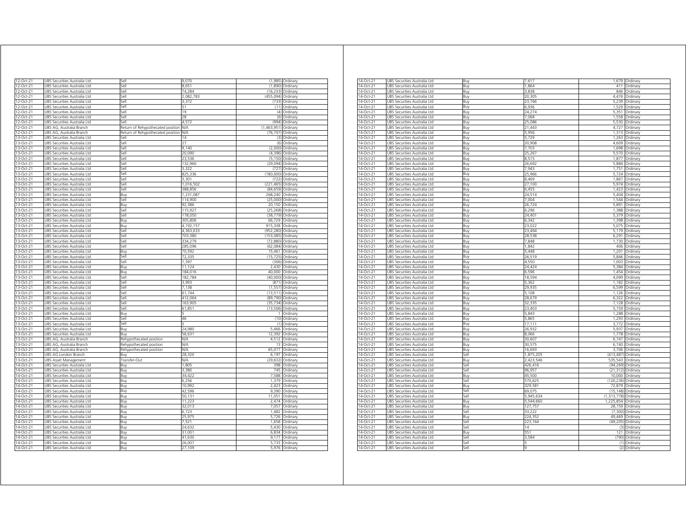| 12-Oct-21              |                                     | Sell                              |           |             | (1,985) Ordinary |
|------------------------|-------------------------------------|-----------------------------------|-----------|-------------|------------------|
|                        | JBS Securities Australia Ltd        |                                   | 9,070     |             |                  |
| 12-Oct-21              | JBS Securities Australia Ltd        | Sell                              | 8.651     | (1.890)     | Ordinary         |
| 12-Oct-21              | UBS Securities Australia Ltd        | Sell                              | 74,284    | (16, 233)   | Ordinary         |
| 12-Oct-21              | UBS Securities Australia Ltd        | Sell                              | 2,082,783 | (455, 094)  | Ordinary         |
| 12-Oct-21              | UBS Securities Australia Ltd        | Sell                              | 3,372     | (733)       | Ordinary         |
| 12-Oct-21              | UBS Securities Australia Ltd        | sell                              | 51        | (11)        | Ordinary         |
| 12-Oct-21              | JBS Securities Australia Ltd        | iell                              | 19        | (4)         | Ordinary         |
| 12-Oct-21              | JBS Securities Australia Ltd        | Sell                              | 28        | (6)         | Ordinary         |
| 12-Oct-21              | JBS Securities Australia Ltd        | iell.                             | 4,572     | (994)       | Ordinary         |
| 12-Oct-21              | UBS AG, Australia Branch            | Return of Rehypothecated position | N/A       | (1,463,951) | Ordinary         |
| 12-Oct-21              | JBS AG, Australia Branch            | Return of Rehypothecated position | N/A       | (76, 707)   | Ordinary         |
| 13-Oct-21              | JBS Securities Australia Ltd        | iell                              | 14        | (3)         | Ordinary         |
| 13-Oct-21              | JBS Securities Australia Ltd        | sell                              | 27        | (6)         | Ordinary         |
| 13-Oct-21              | JBS Securities Australia Ltd        | sell                              | 9,140     | (2,000)     | Ordinary         |
| 13-Oct-21              | JBS Securities Australia Ltd        | Sell                              | 20,090    | (4,396)     | Ordinary         |
| 13-Oct-21              | JBS Securities Australia Ltd        | Sell                              | 23,536    | (5, 150)    | Ordinary         |
| 13-Oct-21              | JBS Securities Australia Ltd        | <b>Sell</b>                       | 132,960   | (29.094)    | Ordinary         |
| 13-Oct-21              | JBS Securities Australia Ltd        | Sell                              | 3,322     | (727)       | Ordinary         |
| 13-Oct-21              | UBS Securities Australia Ltd        | Sell                              | 825,336   | (180,000)   | Ordinary         |
| 13-Oct-21              | JBS Securities Australia Ltd        | Sell                              | 3,301     | (722)       | Ordinary         |
| 13-Oct-21              | UBS Securities Australia Ltd        | Sell                              | 1,016,502 | (221, 465)  | Ordinary         |
| 13-Oct-21              | UBS Securities Australia Ltd        | Sell                              | 388,856   | (84, 659)   | Ordinary         |
| 13-Oct-21              | UBS Securities Australia Ltd        | Buy                               | 1,231,087 | 268,240     | Ordinary         |
| 13-Oct-21              | UBS Securities Australia Ltd        | Sell                              | 114,900   | (25,000)    | Ordinary         |
|                        |                                     |                                   |           |             |                  |
| 13-Oct-21              | UBS Securities Australia Ltd        | Buy                               | 92,386    | 20,150      | Ordinary         |
| 13-Oct-21              | UBS Securities Australia Ltd        | Sell                              | 115,927   | (25, 268)   | Ordinary         |
| 13-Oct-21              | UBS Securities Australia Ltd        | Sell                              | 178,050   | (38, 779)   | Ordinary         |
| 13-Oct-21              | UBS Securities Australia Ltd        | Buy                               | 305,806   | 66,729      | Ordinary         |
| 13-Oct-21              | UBS Securities Australia Ltd        | Buy                               | 4 192 15  | 915.338     | Ordinary         |
| 13-Oct-21              | JBS Securities Australia Ltd        | Sell                              | 4,363,633 | (952, 280)  | Ordinary         |
| 13-Oct-21              | JBS Securities Australia Ltd        | Sell                              | 703 380   | (153, 085)  | Ordinary         |
| 13-Oct-21              | <b>JBS Securities Australia Ltd</b> | Sell                              | 334.279   | (72.880)    | Ordinary         |
| 13-Oct-21              | <b>JBS Securities Australia Ltd</b> | Sell                              | 285.096   | (62, 084)   | Ordinary         |
| 13-Oct-21              | JBS Securities Australia Ltd        | Buy                               | 70.592    | 15,461      | Ordinary         |
| 13-Oct-21              | JBS Securities Australia Ltd        | Sell                              | 72.335    | (15.725)    | Ordinary         |
| 13-Oct-21              | <b>JBS Securities Australia Ltd</b> | Sell                              | 1.397     | (306)       | Ordinan          |
| 13-Oct-21              | JBS Securities Australia Ltd        | Buy                               | 11.124    | 2.430       | Ordinary         |
| 13-Oct-21              | JBS Securities Australia Ltd        | Buy                               | 184,016   | 40,000      | Ordinary         |
| 13-Oct-21              | UBS Securities Australia Ltd        | Sell                              | 182,784   | (40,000)    | Ordinary         |
| 13-Oct-21              | UBS Securities Australia Ltd        | Sell                              | 3993      | (871)       | Ordinary         |
|                        |                                     |                                   |           |             |                  |
| 13-Oct-21              | UBS Securities Australia Ltd        | Sell                              | 7,138     | (1, 557)    | Ordinary         |
| 13-Oct-21              | UBS Securities Australia Ltd        | Sell                              | 61,744    | (13, 511)   | Ordinary         |
| 13-Oct-21              | UBS Securities Australia Ltd        | sell                              | 412,064   | (89, 790)   | Ordinan          |
| 13-Oct-21              | JBS Securities Australia Ltd        | iell                              | 163,905   | (35, 734)   | Ordinary         |
| 13-Oct-21              | JBS Securities Australia Ltd        | iell                              | 61,851    | (13, 506)   | Ordinary         |
| 13-Oct-21              | JBS Securities Australia Ltd        | 3uv                               |           | 1           | Ordinary         |
| 13-Oct-21              | JBS Securities Australia Ltd        | lle,                              | 46        | (10)        | Ordinary         |
| 13-Oct-21              | JBS Securities Australia Ltd        | iell                              |           | (1)         | Ordinarv         |
| 13-Oct-21              | JBS Securities Australia Ltd        | Buy                               | 24.980    | 5.466       | Ordinary         |
| 13-Oct-21              | JBS Securities Australia Ltd        | Buv                               | 56,631    | 12.392      | Ordinary         |
| 13-Oct-21              | JBS AG, Australia Branch            | Rehypothecated position           | N/A       | 4,512       | Ordinary         |
| 13-Oct-21              | JBS AG, Australia Branch            | Rehypothecated position           | N/A       | 13          | Ordinary         |
| 13-Oct-21              | JBS AG, Australia Branch            | Rehypothecated position           | N/A       | 65,077      | Ordinary         |
| 13-Oct-21              | JBS AG London Branch                | Buy                               | 28,320    | 6,197       | Ordinary         |
| 13-Oct-21              | <b>JBS Asset Management</b>         | Transfer-Out                      | ΝA        | (29, 632)   | Ordinary         |
| 14-Oct-21              |                                     |                                   | 1.805     | 398         |                  |
|                        | UBS Securities Australia Ltd        | Buy                               |           | 745         | Ordinary         |
| 14-Oct-21              | UBS Securities Australia Ltd        | Buy                               | 3,380     |             | Ordinary         |
| 14-Oct-21              | UBS Securities Australia Ltd        | Buy                               | 34,422    | 7,588       | Ordinary         |
| 14-Oct-21              | UBS Securities Australia Ltd        | Buy                               | 6,256     | 1,379       | Ordinary         |
| 14-Oct-21              | UBS Securities Australia Ltd        | Buv                               | 10,992    | 2,423       | Ordinary         |
| 14-Oct-21              | UBS Securities Australia Ltd        | Buy                               | 42,596    | 9,390       | Ordinary         |
| 14-Oct-21              | UBS Securities Australia Ltd        | Buy                               | 50,131    | 11,051      | Ordinary         |
| 14-Oct-21              | UBS Securities Australia Ltd        | Buy                               | 11,223    | 2,474       | Ordinary         |
| 14-Oct-21              | UBS Securities Australia Ltd        | Buy                               | 32,013    | 7,057       | Ordinary         |
| 14-Oct-21              | UBS Securities Australia Ltd        | Buy                               | 6,723     | 1,482       | Ordinary         |
| 14-Oct-21              | UBS Securities Australia Ltd        | Buv                               | 25.975    | 5,726       | Ordinary         |
| 14-Oct-21              | JBS Securities Australia Ltd        | Buy                               | 7,521     | 1,658       | Ordinary         |
| 14-Oct-21              | JBS Securities Australia Ltd        | Buy                               | 24,632    | 5,430       | Ordinan          |
| 14-Oct-21              | <b>JBS Securities Australia Ltd</b> | Buv                               | 31.001    | 6.834       | Ordinan          |
| 14-Oct-21              | JBS Securities Australia Ltd        | Buy                               | 41.630    | 9.177       | Ordinary         |
|                        | JBS Securities Australia Ltd        | Buy                               | 26,007    | 5,733       | Ordinary         |
|                        |                                     |                                   |           |             |                  |
| 14-Oct-21<br>14-Oct-21 | UBS Securities Australia Ltd        | Buy                               | 27,109    | 5,976       | Ordinary         |

| 14-Oct-21 | JBS Securities Australia Ltd | Buy   | 7,617     |               | 1,679 Ordinary |
|-----------|------------------------------|-------|-----------|---------------|----------------|
| 14-Oct-21 | UBS Securities Australia Ltd | Buy   | 1,864     | 411           | Ordinary       |
| 14-Oct-21 | UBS Securities Australia Ltd | Buy   | 3,838     | 846           | Ordinary       |
| 14-Oct-21 | UBS Securities Australia Ltd | Buy   | 20,305    | 4,476         | Ordinary       |
| 14-Oct-21 | UBS Securities Australia Ltd | Buy   | 23,766    | 5,239         | Ordinary       |
| 14-Oct-21 | UBS Securities Australia Ltd | Buy   | 6.936     | 1,529         | Ordinary       |
| 14-Oct-21 | UBS Securities Australia Ltd |       | 24,274    | 5,351         | Ordinary       |
|           |                              | Buy   |           |               |                |
| 14-Oct-21 | UBS Securities Australia Ltd | Buy   | 7,068     | 1.558         | Ordinary       |
| 14-Oct-21 | UBS Securities Australia Ltd | Buy   | 25,086    | 5,530         | Ordinary       |
| 14-Oct-21 | UBS Securities Australia Ltd | Buy   | 21,443    | 4,727         | Ordinary       |
| 14-Oct-21 | UBS Securities Australia Ltd | Buy   | 5,956     | 1,313         | Ordinary       |
| 14-Oct-21 | UBS Securities Australia Ltd | Buy   | 5,729     | 1,263         | Ordinary       |
| 14-Oct-21 | UBS Securities Australia Ltd | Buy   | 20,908    | 4.609         | Ordinary       |
| 14-Oct-21 | UBS Securities Australia Ltd | Buy   | 7,703     | 1,698         | Ordinary       |
| 14-Oct-21 | UBS Securities Australia Ltd | Buy   | 25,267    | 5,570         | Ordinary       |
| 14-Oct-21 | UBS Securities Australia Ltd | Buy   | 8,515     | 1,877         | Ordinary       |
| 14-Oct-21 | UBS Securities Australia Ltd | Buy   | 26,692    | 5,884         | Ordinary       |
| 14-Oct-21 | UBS Securities Australia Ltd |       | 7.943     | 1.751         | Ordinary       |
|           |                              | Buy   |           |               |                |
| 14-Oct-21 | UBS Securities Australia Ltd | Buy   | 25,966    | 5,724         | Ordinary       |
| 14-Oct-21 | UBS Securities Australia Ltd | Buy   | 8,469     | 1,867         | Ordinary       |
| 14-Oct-21 | UBS Securities Australia Ltd | Buy   | 27,100    | 5,974         | Ordinary       |
| 14-Oct-21 | UBS Securities Australia Ltd | Buy   | 6.455     | 1.423         | Ordinan        |
| 14-Oct-21 | UBS Securities Australia Ltd | Buy   | 24,514    | 5,404         | Ordinary       |
| 14-Oct-21 | UBS Securities Australia Ltd | Buy   | 7,004     | 1,544         | Ordinary       |
| 14-Oct-21 | JBS Securities Australia Ltd | Buy   | 26,724    | 5,891         | Ordinary       |
| 14-Oct-21 | JBS Securities Australia Ltd | Buy   | 6.296     | 1,388         | Ordinary       |
| 14-Oct-21 | UBS Securities Australia Ltd | Buy   | 24,401    | 5,379         | Ordinary       |
|           |                              |       |           |               |                |
| 14-Oct-21 | JBS Securities Australia Ltd | Buy   | 6,342     | 1,398         | Ordinary       |
| 14-Oct-21 | UBS Securities Australia Ltd | Buy   | 23,022    | 5,075         | Ordinary       |
| 14-Oct-21 | UBS Securities Australia Ltd | Buy   | 23.494    | 5,179         | Ordinary       |
| 14-Oct-21 | UBS Securities Australia Ltd | Buy   | 28,538    | 6,291         | Ordinary       |
| 14-Oct-21 | UBS Securities Australia Ltd | Buy   | 7,848     | 1,730         | Ordinary       |
| 14-Oct-21 | UBS Securities Australia Ltd | Buy   | 1,842     | 406           | Ordinary       |
| 14-Oct-21 | UBS Securities Australia Ltd | Buy   | 5.448     | 1.201         | Ordinary       |
| 14-Oct-21 | UBS Securities Australia Ltd | Buy   | 26.519    | 5.846         | Ordinary       |
| 14-Oct-21 | UBS Securities Australia Ltd | Buy   | 4,550     | 1,003         | Ordinary       |
| 14-Oct-21 | UBS Securities Australia Ltd | Buy   | 24,424    | 5,384         | Ordinary       |
| 14-Oct-21 | UBS Securities Australia Ltd | Buy   | 6.596     | 1.454         | Ordinary       |
|           |                              |       | 18,594    |               |                |
| 14-Oct-21 | UBS Securities Australia Ltd | Buy   |           | 4,099         | Ordinary       |
| 14-Oct-21 | JBS Securities Australia Ltd | Buy   | 5,362     | 1,182         | Ordinary       |
| 14-Oct-21 | JBS Securities Australia Ltd | Buy   | 29,935    | 6,599         | Ordinary       |
| 14-Oct-21 | UBS Securities Australia Ltd | Buy   | 5.108     | 1.126         | Ordinary       |
| 14-Oct-21 | UBS Securities Australia Ltd | Buy   | 28,679    | 6,322         | Ordinary       |
| 14-Oct-21 | UBS Securities Australia Ltd | Buy   | 32,335    | 7,128         | Ordinary       |
| 14-Oct-21 | UBS Securities Australia Ltd | Buy   | 23,403    | 5,159         | Ordinary       |
| 14-Oct-21 | UBS Securities Australia Ltd | Buy   | 5,843     | 1,288         | Ordinary       |
| 14-Oct-21 | UBS Securities Australia Ltd | Buv   | 5.865     | 1.293         | Ordinary       |
| 14-Oct-21 | JBS Securities Australia Ltd | Buy   | 17,111    | 3,772         | Ordinary       |
| 14-Oct-21 | JBS Securities Australia Ltd | Buy   | 26,932    | 5.937         | Ordinary       |
|           |                              |       |           |               |                |
| 14-Oct-21 | UBS Securities Australia Ltd | Buy   | 8,066     | 1,778         | Ordinary       |
| 14-Oct-21 | UBS Securities Australia Ltd | Buy   | 30,607    | 6,747         | Ordinary       |
| 14-Oct-21 | JBS Securities Australia Ltd | Buy   | 30,575    | 6,740         | Ordinary       |
| 14-Oct-21 | UBS Securities Australia Ltd | Buy   | 16,693    | 3,706         | Ordinary       |
| 14-Oct-21 | UBS Securities Australia Ltd | Sell  | 1,875,205 | (413.487)     | Ordinary       |
| 14-Oct-21 | UBS Securities Australia Ltd | Buy   | 2,423,546 | 535,543       | Ordinary       |
| 14-Oct-21 | UBS Securities Australia Ltd | Sell  | 426,416   | (94, 269)     | Ordinary       |
| 14-Oct-21 | UBS Securities Australia Ltd | Sell  | 96,957    | (21, 312)     | Ordinary       |
| 14-Oct-21 | UBS Securities Australia Ltd | Buy   | 45,500    | 10.000        | Ordinary       |
| 14-Oct-21 | UBS Securities Australia Ltd | Sell  | 570.625   | (126.236)     | Ordinary       |
|           |                              |       |           |               |                |
| 14-Oct-21 | JBS Securities Australia Ltd | Buy   | 329,581   | 72,879        | Ordinary       |
| 14-Oct-21 | UBS Securities Australia Ltd | Sell  | 69,075    | (15, 148)     | Ordinan        |
| 14-Oct-21 | UBS Securities Australia Ltd | Sell  | 5,945,634 | (1, 313, 778) | Ordinary       |
| 14-Oct-21 | UBS Securities Australia Ltd | Buy   | 5,544,660 | 1,225,854     | Ordinary       |
| 14-Oct-21 | UBS Securities Australia Ltd | Buy   | 127,757   | 28,159        | Ordinary       |
| 14-Oct-21 | UBS Securities Australia Ltd | sell  | 33,222    | (7, 300)      | Ordinary       |
| 14-Oct-21 | UBS Securities Australia Ltd | Buy   | 224,352   | 49.469        | Ordinary       |
| 14-Oct-21 | UBS Securities Australia Ltd | sell  | 223,164   | (49, 205)     | Ordinary       |
| 14-Oct-21 | UBS Securities Australia Ltd | Sell  | 14        | (3)           | Ordinary       |
|           |                              |       |           |               |                |
| 14-Oct-21 | UBS Securities Australia Ltd | Buv   | 551       | 121           | Ordinary       |
| 14-Oct-21 | UBS Securities Australia Ltd | ا∣م:ّ | 3,584     | (790)         | Ordinary       |
| 14-Oct-21 | UBS Securities Australia Ltd | Sell  |           | (1)           | Ordinan        |
| 14-Oct-21 | UBS Securities Australia Ltd | sell  |           | (2)           | Ordinary       |
|           |                              |       |           |               |                |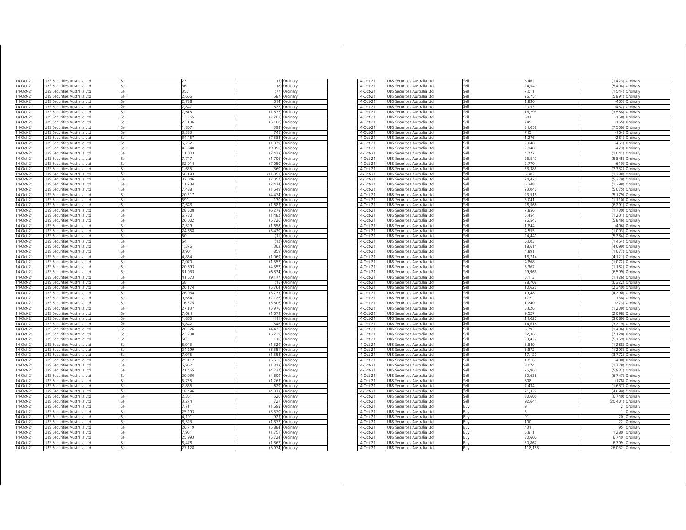| 14-Oct-21              | UBS Securities Australia Ltd                                 | sell         |                 | (5)                 | Ordinary                           |
|------------------------|--------------------------------------------------------------|--------------|-----------------|---------------------|------------------------------------|
| 14-Oct-21              | JBS Securities Australia Ltd                                 | lle,         | 36              | (8)                 | Ordinary                           |
| $14-Oct-21$            | JBS Securities Australia Ltd                                 | iell         | 350             | (77)                | Ordinary                           |
| 14-Oct-21              | JBS Securities Australia Ltd                                 | sell         | 2.666           | (587                | Ordinary                           |
| 14-Oct-21              | JBS Securities Australia Ltd                                 | iell         | .788            | (614)               | Ordinary                           |
| 14-Oct-21              | JBS Securities Australia Ltd                                 | sell         | 2,847           | (627)               | Ordinary                           |
| $14-Oct-21$            | UBS Securities Australia Ltd                                 | Sell         | 7.615           | (1,677)             | Ordinary                           |
| 14-Oct-21              | UBS Securities Australia Ltd                                 | Sell         | 12,265          | (2,701)             | Ordinary                           |
| 14-Oct-21              | UBS Securities Australia Ltd                                 | Sell         | 23,196          |                     | (5,108) Ordinary                   |
| 14-Oct-21              | UBS Securities Australia Ltd                                 | Sell         | 1,807           | (398)               | Ordinary                           |
| 14-Oct-21<br>14-Oct-21 | UBS Securities Australia Ltd<br>UBS Securities Australia Ltd | Sell<br>Sell | 3.383<br>34,457 |                     | (745) Ordinary<br>(7,588) Ordinary |
| 14-Oct-21              | UBS Securities Australia Ltd                                 | Sell         | 6,262           | (1, 379)            | Ordinary                           |
| 14-Oct-21              | UBS Securities Australia Ltd                                 | Sell         | 42,640          |                     | (9,390) Ordinary                   |
| 14-Oct-21              | UBS Securities Australia Ltd                                 | Sell         | 11,003          | (2, 423)            | Ordinary                           |
| 14-Oct-21              | UBS Securities Australia Ltd                                 | Sell         | 7,747           | (1,706)             | Ordinary                           |
| 14-Oct-21              | UBS Securities Australia Ltd                                 | sell         | 32.014          | (7.050)             | Ordinary                           |
| 14-Oct-21              | UBS Securities Australia Ltd                                 | sell         | 1,635           | (360)               | Ordinary                           |
| 14-Oct-21              | UBS Securities Australia Ltd                                 | Sell         | 50,183          | (11, 051)           | Ordinary                           |
| 14-Oct-21              | UBS Securities Australia Ltd                                 | Sell         | 32,046          | (7,057)             | Ordinary                           |
| 14-Oct-21              | UBS Securities Australia Ltd                                 | Sell         | 11,234          |                     | (2,474) Ordinary                   |
| 14-Oct-21              | UBS Securities Australia Ltd                                 | Sell         | 7,488           |                     | $(1,649)$ Ordinan                  |
| 14-Oct-21              | UBS Securities Australia Ltd                                 | Sell         | 20,317          |                     | (4,474) Ordinary                   |
| 14-Oct-21<br>14-Oct-21 | UBS Securities Australia Ltd                                 | Sell         | 590             |                     | (130) Ordinary                     |
| 14-Oct-21              | UBS Securities Australia Ltd<br>UBS Securities Australia Ltd | Sell<br>iell | 7,643<br>28,508 | (6, 278)            | (1,683) Ordinary                   |
| 14-Oct-21              | UBS Securities Australia Ltd                                 | iell         | 6,730           | (1,482)             | Ordinary<br>Ordinary               |
| 14-Oct-21              | UBS Securities Australia Ltd                                 | sell         | 26,002          | (5, 726)            | Ordinary                           |
| 14-Oct-21              | JBS Securities Australia Ltd                                 | sell         | 7,529           | (1,658)             | Ordinary                           |
| 14-Oct-21              | JBS Securities Australia Ltd                                 | sell         | 24,658          | (5, 430)            | Ordinary                           |
| 14-Oct-21              | JBS Securities Australia Ltd                                 | Sell         | 50              | (11)                | Ordinary                           |
| 14-Oct-21              | UBS Securities Australia Ltd                                 | Sell         | 54              | (12)                | Ordinary                           |
| 14-Oct-21              | UBS Securities Australia Ltd                                 | Sell         | 1,376           | (303)               | Ordinary                           |
| 14-Oct-21              | UBS Securities Australia Ltd                                 | Sell         | 3,901           | (859)               | Ordinary                           |
| 14-Oct-21              | UBS Securities Australia Ltd                                 | Sell         | 4,854           | (1,069)             | Ordinary                           |
| 14-Oct-21              | UBS Securities Australia Ltd                                 | Sell         | 7,070           | (1, 557)            | Ordinary                           |
| 14-Oct-21              | UBS Securities Australia Ltd                                 | Sell         | 20,693          |                     | (4,557) Ordinary                   |
| 14-Oct-21              | UBS Securities Australia Ltd                                 | Sell         | 31,033          |                     | (6,834) Ordinary                   |
| 14-Oct-21<br>14-Oct-21 | UBS Securities Australia Ltd<br>UBS Securities Australia Ltd | Sell<br>Sell | 41,673<br>68    | (9, 177)<br>(15     | Ordinary<br>Ordinary               |
| 14-Oct-21              | UBS Securities Australia Ltd                                 | Sell         | 26,174          |                     | (5,764) Ordinary                   |
| 14-Oct-21              | UBS Securities Australia Ltd                                 | Sell         | 26.034          | (5.733)             | Ordinan                            |
| 14-Oct-21              | JBS Securities Australia Ltd                                 | Sell         | 9,654           | (2, 126)            | Ordinary                           |
| 14-Oct-21              | JBS Securities Australia Ltd                                 | Sell         | 16,375          | (3,606)             | Ordinary                           |
| 14-Oct-21              | UBS Securities Australia Ltd                                 | Sell         | 27,137          | (5,976)             | Ordinary                           |
| 14-Oct-21              | UBS Securities Australia Ltd                                 | Sell         | 7,624           | (1,679)             | Ordinary                           |
| 14-Oct-21              | UBS Securities Australia Ltd                                 | Sell         | 1866            | (411)               | Ordinary                           |
| 14-Oct-21              | Securities Australia Ltd<br><b>JRS</b>                       | Sell         | 3,842           | (846)               | Ordinan                            |
| 14-Oct-21              | UBS Securities Australia Ltd                                 | Sell         | 20,326          | (4, 476)            | Ordinary                           |
| 14-Oct-21              | UBS Securities Australia Ltd                                 | Sell         | 23,790          | (5, 239)            | Ordinary                           |
| 14-Oct-21              | UBS Securities Australia Ltd                                 | sell         | 500             | (110)               | Ordinan                            |
| 14-Oct-21<br>14-Oct-21 | UBS Securities Australia Ltd                                 | iell         | 5.943<br>24.299 | (1, 529)            | Ordinary                           |
| 14-Oct-21              | JBS Securities Australia Ltd<br>JBS Securities Australia Ltd | sell<br>sell | 7,075           | (5, 351)<br>(1,558) | Ordinary<br>Ordinary               |
| 14-Oct-21              | JBS Securities Australia Ltd                                 | sell         | 25.112          | (5,530)             | Ordinary                           |
| 14-Oct-21              | JBS Securities Australia Ltd                                 | iell         | 5,962           | (1, 313)            | Ordinary                           |
| 14-Oct-21              | UBS Securities Australia Ltd                                 | Sell         | 21,465          | (4, 727)            | Ordinary                           |
| 14-Oct-21              | UBS Securities Australia Ltd                                 | Sell         | 20,930          | (4,609)             | Ordinary                           |
| 14-Oct-21              | UBS Securities Australia Ltd                                 | Sell         | 5,735           |                     | (1,263) Ordinary                   |
| 14-Oct-21              | UBS Securities Australia Ltd                                 | Sell         | 2,856           |                     | (629) Ordinary                     |
| 14-Oct-21              | UBS Securities Australia Ltd                                 | Sell         | 18,496          |                     | (4,073) Ordinary                   |
| 14-Oct-21              | UBS Securities Australia Ltd                                 | Sell         | 2,361           |                     | (520) Ordinary                     |
| 14-Oct-21              | UBS Securities Australia Ltd                                 | Sell         | 3,274           |                     | (721) Ordinary                     |
| 14-Oct-21              | UBS Securities Australia Ltd                                 | Sell         | 7,711           | (1,698)             | Ordinary                           |
| 14-Oct-21              | UBS Securities Australia Ltd                                 | Sell         | 25.293          | (5, 570)            | Ordinary                           |
| 14-Oct-21              | UBS Securities Australia Ltd                                 | Sell         | 4,191           | (923)               | Ordinary                           |
| 14-Oct-21              | UBS Securities Australia Ltd                                 | Sell<br>iell | 8,523<br>26.719 | (1, 877)            | Ordinary                           |
| 14-Oct-21<br>14-Oct-21 | UBS Securities Australia Ltd                                 | sell         | 7.951           | (5,884)<br>(1,751)  | Ordinary                           |
| 14-Oct-21              | JBS Securities Australia Ltd<br>UBS Securities Australia Ltd | Sell         | 25.993          |                     | Ordinary<br>(5,724) Ordinary       |
| 14-Oct-21              | UBS Securities Australia Ltd                                 | Sell         | 8,478           |                     | (1,867) Ordinary                   |
| 14-Oct-21              | UBS Securities Australia Ltd                                 | Sell         | 27,128          |                     | (5,974) Ordinary                   |
|                        |                                                              |              |                 |                     |                                    |

| 14-Oct-21               | UBS Securities Australia Ltd | Sell | 6,462   |              | (1,423) Ordinary |
|-------------------------|------------------------------|------|---------|--------------|------------------|
| 14-Oct-21               | UBS Securities Australia Ltd | Sell | 24,540  |              | (5,404) Ordinary |
| 14-Oct-21               | UBS Securities Australia Ltd | Sell | 7,011   | (1.544)      | Ordinary         |
| 14-Oct-21               | UBS Securities Australia Ltd | Sell | 26,751  | (5,891)      | Ordinary         |
| 14-Oct-21               | JBS Securities Australia Ltd | Sell | 1,830   | (403)        | Ordinary         |
|                         |                              | Sell | 2.053   | (452)        |                  |
| 14-Oct-21               | UBS Securities Australia Ltd |      |         |              | Ordinary         |
| 14-Oct-21               | UBS Securities Australia Ltd | Sell | 16,293  | (3,588)      | Ordinary         |
| 14-Oct-21               | UBS Securities Australia Ltd | Sell | 681     | (150)        | Ordinary         |
| 14-Oct-21               | JBS Securities Australia Ltd | sell | 749     | (165)        | Ordinary         |
| 4-Oct-21                | UBS Securities Australia Ltd | ell  | 34,058  | (7,500)      | Ordinary         |
| 14-Oct-21               | JBS Securities Australia Ltd | sell | 745     | (164)        | Ordinary         |
| 14-Oct-21               | JBS Securities Australia Ltd | Sell | 1.276   | (281)        | Ordinary         |
| 14-Oct-21               | UBS Securities Australia Ltd | Sell | 2,048   | (451)        | Ordinary         |
| 14-Oct-21               | UBS Securities Australia Ltd | Sell | 2.148   | (473)        | Ordinary         |
|                         |                              |      |         |              |                  |
| 14-Oct-21               | UBS Securities Australia Ltd | Sell | 4,727   |              | (1,041) Ordinary |
| 14-Oct-21               | UBS Securities Australia Ltd | Sell | 26,542  | (5, 845)     | Ordinary         |
| 14-Oct-21               | UBS Securities Australia Ltd | Sell | 2,770   | (610)        | Ordinary         |
| 14-Oct-21               | JBS Securities Australia Ltd | Sell | 33,386  | (7, 352)     | Ordinary         |
| 14-Oct-21               | JBS Securities Australia Ltd | Sell | 6,303   | (1,388)      | Ordinary         |
| 14-Oct-21               | UBS Securities Australia Ltd | Sell | 24,426  | (5, 379)     | Ordinary         |
| 14-Oct-21               |                              | Sell | 6,348   |              |                  |
|                         | UBS Securities Australia Ltd |      |         | (1, 398)     | Ordinary         |
| 14-Oct-21               | UBS Securities Australia Ltd | sell | 23.046  | (5,075)      | Ordinary         |
| 4-Oct-21                | UBS Securities Australia Ltd | iell | 23,518  | (5, 179)     | Ordinary         |
| 14-Oct-21               | UBS Securities Australia Ltd | sell | 5,041   | (1, 110)     | Ordinary         |
| 14-Oct-21               | JBS Securities Australia Ltd | Sell | 28.568  | (6, 291)     | Ordinary         |
| 14-Oct-21               | UBS Securities Australia Ltd | Sell | 7,856   | (1,730)      | Ordinary         |
| 14-Oct-21               | UBS Securities Australia Ltd | Sell | 5,454   | (1, 201)     | Ordinary         |
| 14-Oct-21               | UBS Securities Australia Ltd | Sell | 26,547  | (5,846)      | Ordinary         |
| 14-Oct-21               | UBS Securities Australia Ltd | Sell | 1.844   | (406)        | Ordinary         |
|                         |                              |      |         |              |                  |
| 14-Oct-21               | UBS Securities Australia Ltd | Sell | 4,555   | (1,003)      | Ordinary         |
| 14-Oct-21               | JBS Securities Australia Ltd | Sell | 24.449  | (5, 384)     | Ordinary         |
| 14-Oct-21               | UBS Securities Australia Ltd | Sell | 6,603   | (1.454)      | Ordinary         |
| 14-Oct-21               | UBS Securities Australia Ltd | Sell | 18,614  | (4,099)      | Ordinary         |
| 14-Oct-21               | UBS Securities Australia Ltd | Sell | 4,891   | (1,077)      | Ordinary         |
| 4-Oct-21                | JBS Securities Australia Ltd | sell | 18.714  | (4121)       | Ordinary         |
| 4-Oct-21                |                              | ell  | 4,868   | (1,072)      |                  |
|                         | UBS Securities Australia Ltd |      |         |              | Ordinary         |
| 14-Oct-21               | JBS Securities Australia Ltd | sell | 5,367   | (1, 182)     | Ordinary         |
| 14-Oct-21               | JBS Securities Australia Ltd | Sell | 29.966  | (6, 599)     | Ordinary         |
| 14-Oct-21               | UBS Securities Australia Ltd | Sell | 5,113   | (1, 126)     | Ordinary         |
| 14-Oct-21               | UBS Securities Australia Ltd | Sell | 28,708  | (6, 322)     | Ordinary         |
| 14-Oct-21               | UBS Securities Australia Ltd | Sell | 10,626  |              | (2,340) Ordinary |
| 14-Oct-21               | UBS Securities Australia Ltd | Sell | 19.481  | (4.290)      | Ordinary         |
| 14-Oct-21               | UBS Securities Australia Ltd | Sell | 173     | (38)         | Ordinary         |
|                         |                              | Sell |         |              |                  |
| 14-Oct-21               | JBS Securities Australia Ltd |      | 1,240   | (273)        | Ordinary         |
| 14-Oct-21               | JBS Securities Australia Ltd | Sell | 5,626   | (1, 239)     | Ordinary         |
| 14-Oct-21               | UBS Securities Australia Ltd | Sell | 9,527   | (2,098)      | Ordinary         |
| 14-Oct-21               | UBS Securities Australia Ltd | Sell | 14,027  | (3,089)      | Ordinary         |
| $\overline{14}$ -Oct-21 | UBS Securities Australia Ltd | sell | 14,618  | (3, 219)     | Ordinary         |
| 4-Oct-21                | UBS Securities Australia Ltd | iell | 6,793   | (1,496)      | Ordinary         |
| 14-Oct-21               | UBS Securities Australia Ltd | sell | 32,368  | (7, 128)     | Ordinary         |
| 14-Oct-21               | JBS Securities Australia Ltd | Sell | 23,427  | (5, 159)     | Ordinary         |
|                         |                              |      | 5,849   |              |                  |
| 14-Oct-21               | UBS Securities Australia Ltd | Sell |         | (1,288)      | Ordinary         |
| 14-Oct-21               | UBS Securities Australia Ltd | Sell | 5,872   | (1, 293)     | Ordinary         |
| 14-Oct-21               | UBS Securities Australia Ltd | Sell | 17,129  |              | (3,772) Ordinary |
| 14-Oct-21               | UBS Securities Australia Ltd | Sell | 1,816   | (400)        | Ordinary         |
| 14-Oct-21               | UBS Securities Australia Ltd | Sell | 8,074   | (1,778)      | Ordinary         |
| 14-Oct-21               | JBS Securities Australia Ltd | Sell | 26,960  | (5.937)      | Ordinary         |
| 14-Oct-21               | UBS Securities Australia Ltd | Sell | 30,638  | (6, 747)     | Ordinary         |
|                         |                              |      |         |              |                  |
| 14-Oct-21               | UBS Securities Australia Ltd | Sell | 808     | (178)        | Ordinary         |
| 14-Oct-21               | UBS Securities Australia Ltd | Sell | 7,434   | (1,637)      | Ordinary         |
| 4-Oct-21                | JBS Securities Australia Ltd | Sell | 21,338  | (4,699)      | Ordinary         |
| 4-Oct-21                | UBS Securities Australia Ltd | iell | 30,606  | (6, 740)     | Ordinary         |
| 14-Oct-21               | JBS Securities Australia Ltd | Sell | 92,641  | (20, 401)    | Ordinary         |
| 14-Oct-21               | JBS Securities Australia Ltd | Buy  |         | 2            | Ordinary         |
| 14-Oct-21               | UBS Securities Australia Ltd | Buy  |         | $\mathbf{1}$ | Ordinary         |
| 14-Oct-21               | UBS Securities Australia Ltd |      | 91      | $20 -$       |                  |
|                         |                              | Buy  |         |              | Ordinary         |
| 14-Oct-21               | UBS Securities Australia Ltd | Buy  | 100     | 22           | Ordinary         |
| 14-Oct-21               | UBS Securities Australia Ltd | Buy  | 431     | 95           | Ordinary         |
| 14-Oct-21               | UBS Securities Australia Ltd | Buy  | 5,81    | 1,280        | Ordinary         |
| 14-Oct-21               | JBS Securities Australia Ltd | Buy  | 30,600  | 6,740        | Ordinary         |
| 14-Oct-21               | UBS Securities Australia Ltd | Buy  | 30,867  | 6,799        | Ordinary         |
| 14-Oct-21               | UBS Securities Australia Ltd | Buy  | 118,185 | 26,032       | Ordinary         |
|                         |                              |      |         |              |                  |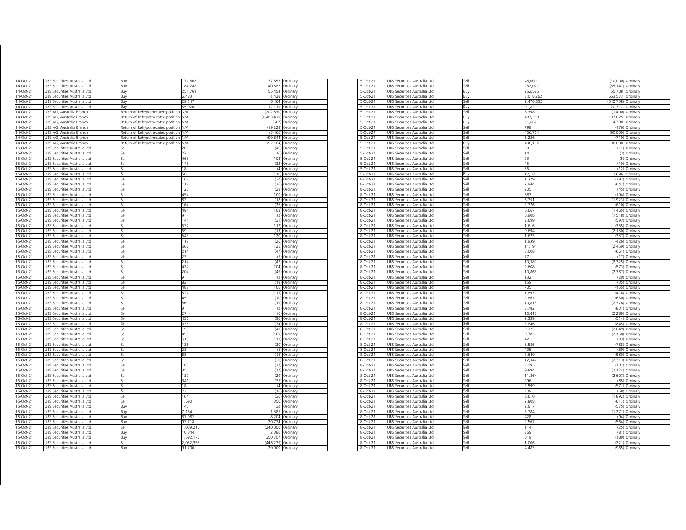| 14-Oct-21    | UBS Securities Australia Ltd        | Buy                               | 171,862   |             | 37,855 Ordinary |
|--------------|-------------------------------------|-----------------------------------|-----------|-------------|-----------------|
| 14-Oct-21    | UBS Securities Australia Ltd        | Buy                               | 184,242   | 40,582      | Ordinary        |
| 14-Oct-21    | UBS Securities Australia Ltd        | Buv                               | 251,761   | 55,454      | Ordinary        |
| 14-Oct-21    | UBS Securities Australia Ltd        | Buy                               | 6,483     | 1,428       | Ordinary        |
| 14-Oct-21    |                                     |                                   | 29.347    | 6464        |                 |
|              | UBS Securities Australia Ltd        | Buv                               | 55,020    | 12 119      | Ordinary        |
| 14-Oct-21    | JBS Securities Australia Ltd        | Buy                               |           |             | Ordinary        |
| 14-Oct-21    | JBS AG, Australia Branch            | Return of Rehypothecated position | N/A       | (202, 830)  | Ordinary        |
| 14-Oct-21    | JBS AG, Australia Branch            | Return of Rehypothecated position | N/A       | (1.483.439) | Ordinary        |
| 14-Oct-21    | JBS AG. Australia Branch            | Return of Rehypothecated position | NΑ        | (607)       | Ordinan         |
| 14-Oct-21    | JBS AG, Australia Branch            | Return of Rehypothecated position | N/A       | (19, 228)   | Ordinan         |
| 14-Oct-21    | JBS AG, Australia Branch            | Return of Rehypothecated position | N/A       | (3.466)     | Ordinary        |
| 14-Oct-21    | JBS AG, Australia Branch            | Return of Rehypothecated position | N/A       | (90, 844)   | Ordinary        |
| 14-Oct-21    | JBS AG, Australia Branch            | Return of Rehypothecated position | N/A       | (92, 184)   | Ordinary        |
| 15-Oct-21    | UBS Securities Australia Ltd        | Sell                              | 209       | (46)        | Ordinary        |
| 15-Oct-21    | UBS Securities Australia Ltd        | Sell                              | 27        | (6)         | Ordinary        |
| 15-Oct-21    | UBS Securities Australia Ltd        | Sell                              | 463       | (102)       | Ordinary        |
| 15-Oct-21    | UBS Securities Australia Ltd        | Sell                              | 145       | (32)        | Ordinary        |
| 15-Oct-21    | JBS Securities Australia Ltd        | iell                              | 18        | (4)         | Ordinary        |
| 15-Oct-21    | JBS Securities Australia Ltd        | iell                              | 500       | (110)       | Ordinary        |
| 15-Oct-21    | JBS Securities Australia Ltd        | sell                              | 168       | (37)        | Ordinary        |
| 15-Oct-21    | JBS Securities Australia Ltd        | sell                              | 118       | (26)        | Ordinary        |
| 15-Oct-21    | JBS Securities Australia Ltd        | iell                              | 127       | (28)        | Ordinary        |
| 15-Oct-21    | JBS Securities Australia Ltd        | sell                              | 454       | (100)       | Ordinary        |
| 15-Oct-21    | JBS Securities Australia Ltd        | sell                              | 82        | (18)        | Ordinary        |
| 15-Oct-21    | JBS Securities Australia Ltd        | Sell                              | 164       | (36)        | Ordinary        |
| 15-Oct-21    | JBS Securities Australia Ltd        | Sell                              | 491       | (108)       | Ordinary        |
| 15-Oct-21    | JBS Securities Australia Ltd        | Sell                              | 9         | (2)         | Ordinary        |
| 15-Oct-21    | JBS Securities Australia Ltd        | Sell                              | 141       | (31)        | Ordinary        |
| 15-Oct-21    | JBS Securities Australia Ltd        | Sell                              | 532       | (117)       | Ordinary        |
|              |                                     | Sell                              | 59        | (13)        |                 |
| 15-Oct-21    | UBS Securities Australia Ltd        |                                   |           |             | Ordinary        |
| 15-Oct-21    | UBS Securities Australia Ltd        | Sell                              | 545       |             | (120) Ordinary  |
| 15-Oct-21    | UBS Securities Australia Ltd        | Sell                              | 118       | (26)        | Ordinary        |
| 15-Oct-21    | UBS Securities Australia Ltd        | Sell                              | 568       | (125)       | Ordinary        |
| 15-Oct-21    | UBS Securities Australia Ltd        | Sell                              | 214       | (47)        | Ordinary        |
| 15-Oct-21    | JBS Securities Australia Ltd        | Sell                              | 23        | (5)         | Ordinary        |
| 15-Oct-21    | UBS Securities Australia Ltd        | Sell                              | 214       | (47)        | Ordinary        |
| 15-Oct-21    | UBS Securities Australia Ltd        | Sell                              | 472       | (104)       | Ordinary        |
| 15-Oct-21    | JBS Securities Australia Ltd        | Sell                              | 204       | (45)        | Ordinary        |
| 15-Oct-21    | JBS Securities Australia Ltd        | Sell                              | 9         | (2)         | Ordinary        |
| 15-Oct-21    | <b>JBS Securities Australia Ltd</b> | Sell                              | 82        | (18)        | Ordinary        |
| 15-Oct-21    | JBS Securities Australia Ltd        | Sell                              | 482       | (106)       | Ordinary        |
| 15-Oct-21    | JBS Securities Australia Ltd        | Sell                              | 522       | (115)       | Ordinary        |
| 15-Oct-21    | JBS Securities Australia Ltd        | Sell                              | 45        | (10)        | Ordinary        |
| 15-Oct-21    | UBS Securities Australia Ltd        | Sell                              | 86        | (19)        | Ordinary        |
| 15-Oct-21    | UBS Securities Australia Ltd        | Sell                              | 9         | (2)         | Ordinary        |
| 15-Oct-21    | UBS Securities Australia Ltd        | Sell                              | 27        | (6)         | Ordinary        |
| 15-Oct-21    | UBS Securities Australia Ltd        | sell                              | 436       | (96)        | Ordinary        |
| 15-Oct-21    | JBS Securities Australia Ltd        | Sell                              | 336       | (74)        | Ordinan         |
| $15$ -Oct-21 | UBS Securities Australia Ltd        | Sell                              | 195       | (43)        | Ordinary        |
| 15-Oct-21    | JBS Securities Australia Ltd        | sell                              | 459       | (101)       | Ordinary        |
| 15-Oct-21    | JBS Securities Australia Ltd        | iell                              | 513       | (113        |                 |
| 15-Oct-21    |                                     | iell                              |           | (30)        | Ordinary        |
|              | JBS Securities Australia Ltd        |                                   | 136       |             | Ordinary        |
| 15-Oct-21    | JBS Securities Australia Ltd        | sell                              | 23        | (5)         | Ordinary        |
| 15-Oct-21    | JBS Securities Australia Ltd        | sell                              | 68        | (15)        | Ordinary        |
| 15-Oct-21    | JBS Securities Australia Ltd        | sell                              | 136       | (30)        | Ordinary        |
| 15-Oct-21    | JBS Securities Australia Ltd        | ile?                              | 100       | (22)        | Ordinary        |
| 15-Oct-21    | JBS Securities Australia Ltd        | sell                              | 350       | (77)        | Ordinary        |
| 15-Oct-21    | UBS Securities Australia Ltd        | iell                              | 132       | (29)        | Ordinary        |
| 15-Oct-21    | UBS Securities Australia Ltd        | Sell                              | 341       | (75)        | Ordinary        |
| 15-Oct-21    | UBS Securities Australia Ltd        | Sell                              | 18        | (4)         | Ordinary        |
| 15-Oct-21    | UBS Securities Australia Ltd        | Sell                              | 73        | (16)        | Ordinary        |
| 15-Oct-21    | UBS Securities Australia Ltd        | Sell                              | 164       | (36)        | Ordinary        |
| 15-Oct-21    | UBS Securities Australia Ltd        | Sell                              | 1,590     |             | (350) Ordinary  |
| 15-Oct-21    | UBS Securities Australia Ltd        | Buy                               | 145       | 32          | Ordinary        |
| 15-Oct-21    | UBS Securities Australia Ltd        | Buy                               | 7,164     | 1,585       | Ordinary        |
| 15-Oct-21    | UBS Securities Australia Ltd        | Buy                               | 37,082    | 8,204       | Ordinary        |
| 15-Oct-21    | UBS Securities Australia Ltd        | Buv                               | 93.718    | 20,734      | Ordinary        |
| 15-Oct-21    | JBS Securities Australia Ltd        | Sell                              | 1,089,216 | (240,000)   | Ordinary        |
| 15-Oct-21    | JBS Securities Australia Ltd        | Buy                               | 10,844    | 2,380       | Ordinan         |
|              |                                     |                                   |           |             |                 |
| 15-Oct-21    | JBS Securities Australia Ltd        | Rın                               | 1.592.175 | 350.707     | Ordinary        |
| 15-Oct-21    | JBS Securities Australia Ltd        | Sell                              | 2,032,355 | (446, 279)  | Ordinary        |
| 15-Oct-21    | UBS Securities Australia Ltd        | Buv                               | 91,700    | 20,000      | Ordinary        |

| 15-Oct-21    | JBS Securities Australia Ltd | Sell | 46,000    |                    | (10,000) Ordinary  |
|--------------|------------------------------|------|-----------|--------------------|--------------------|
| 15-Oct-21    | UBS Securities Australia Ltd | Sell | 252.071   |                    | (55,147) Ordinary  |
| 15-Oct-21    | UBS Securities Australia Ltd | Buy  | 252,586   |                    | 55,708 Ordinary    |
|              |                              |      |           |                    |                    |
| 15-Oct-21    | UBS Securities Australia Ltd | Buy  | 3,018,262 | 663,573 Ordinary   |                    |
| 15-Oct-21    | UBS Securities Australia Ltd | Sell | 2.470.852 | (542,758) Ordinary |                    |
| 15-Oct-21    | UBS Securities Australia Ltd | Buv  | 91.820    |                    | 20.312 Ordinary    |
| 15-Oct-21    | JBS Securities Australia Ltd | Sell | 6,398     | (1,400)            | Ordinary           |
| 15-Oct-21    | JBS Securities Australia Ltd | Buy  | 487,369   | 107,825            | Ordinary           |
| 15-Oct-21    | UBS Securities Australia Ltd | Buv  | 21,667    |                    | 4,780 Ordinary     |
|              |                              |      | 798       |                    |                    |
| 15-Oct-21    | UBS Securities Australia Ltd | Sell |           |                    | (176) Ordinary     |
| 15-Oct-21    | UBS Securities Australia Ltd | sell | 406,764   |                    | (90,000) Ordinary  |
| 15-Oct-21    | JBS Securities Australia Ltd | ا∣م; | 3.226     | (710)              | Ordinary           |
| 15-Oct-21    | JBS Securities Australia Ltd | Buy  | 408,132   |                    | 90,000 Ordinary    |
| 15-Oct-21    | JBS Securities Australia Ltd | Sell | 50        | (11)               | Ordinary           |
|              |                              | Sell | 14        |                    |                    |
| 15-Oct-21    | UBS Securities Australia Ltd |      |           |                    | (3) Ordinary       |
| 15-Oct-21    | UBS Securities Australia Ltd | Sell | 23        |                    | (5) Ordinary       |
| 15-Oct-21    | UBS Securities Australia Ltd | Sell | 45        |                    | (10) Ordinary      |
| 15-Oct-21    | UBS Securities Australia Ltd | Sell | 55        |                    | (12) Ordinary      |
| 15-Oct-21    | UBS Securities Australia Ltd | Buv  | 12.186    |                    | 2,696 Ordinary     |
| 18-Oct-21    | JBS Securities Australia Ltd | Sell | 1,329     | (292)              | Ordinary           |
|              |                              |      |           |                    |                    |
| 18-Oct-21    | UBS Securities Australia Ltd | Sell | 2.944     |                    | (647) Ordinary     |
| 18-Oct-21    | UBS Securities Australia Ltd | Sell | 205       |                    | (45) Ordinary      |
| 18-Oct-21    | UBS Securities Australia Ltd | Sell | 883       |                    | (194) Ordinary     |
| 18-Oct-21    | UBS Securities Australia Ltd | Sell | 8,751     |                    | (1,923) Ordinary   |
| 18-Oct-21    | UBS Securities Australia Ltd | ا∣م; | 2,776     |                    | (610) Ordinary     |
|              |                              |      |           | (1, 465)           |                    |
| 18-Oct-21    | JBS Securities Australia Ltd | Sell | 6,667     |                    | Ordinary           |
| $18-Oct-21$  | JBS Securities Australia Ltd | Sell | 6,908     | (1, 518)           | Ordinary           |
| $18$ -Oct-21 | UBS Securities Australia Ltd | Sell | 2.699     | (593)              | Ordinary           |
| 18-Oct-21    | UBS Securities Australia Ltd | Sell | 1,616     |                    | (355) Ordinary     |
| 18-Oct-21    | UBS Securities Australia Ltd | Sell | 9,694     |                    | (2,130) Ordinary   |
| 18-Oct-21    | UBS Securities Australia Ltd | Sell | 1,625     |                    | (357) Ordinary     |
|              |                              |      |           |                    |                    |
| 18-Oct-21    | UBS Securities Australia Ltd | Sell | 1.939     |                    | (426) Ordinary     |
| 18-Oct-21    | JBS Securities Australia Ltd | Sell | 11,19     | (2.459)            | Ordinary           |
| 18-Oct-21    | UBS Securities Australia Ltd | Sell | 3,008     | (661)              | Ordinary           |
| 18-Oct-21    | UBS Securities Australia Ltd | Sell | 77        |                    | (17) Ordinary      |
| 18-Oct-21    | UBS Securities Australia Ltd | Sell | 10,581    | (2, 325)           | Ordinary           |
| 18-Oct-21    | UBS Securities Australia Ltd | sell | 2,608     |                    | (573) Ordinary     |
|              |                              |      |           |                    |                    |
| 18-Oct-21    | JBS Securities Australia Ltd | ا∣م; | 10,863    | (2.387)            | Ordinary           |
| 18-Oct-21    | JBS Securities Australia Ltd | Sell | 132       | (29)               | Ordinary           |
| 18-Oct-21    | JBS Securities Australia Ltd | Sell | 159       | (35)               | Ordinary           |
| $18$ -Oct-21 | UBS Securities Australia Ltd | Sell | 705       | (155)              | Ordinary           |
| $18$ -Oct-21 | UBS Securities Australia Ltd | Sell | 1,893     |                    | (416) Ordinary     |
|              |                              |      |           |                    |                    |
| 18-Oct-21    | UBS Securities Australia Ltd | Sell | 2,867     | (630)              | Ordinary           |
| 18-Oct-21    | UBS Securities Australia Ltd | Sell | 10,813    | (2.376)            | Ordinary           |
| 18-Oct-21    | JBS Securities Australia Ltd | Sell | 3.782     | (831)              | Ordinary           |
| 18-Oct-21    | JBS Securities Australia Ltd | Sell | 10,41     | (2, 289)           | Ordinary           |
| 18-Oct-21    | UBS Securities Australia Ltd | Sell | 2,339     |                    | (514) Ordinary     |
|              |                              | Sell |           |                    |                    |
| 18-Oct-21    | UBS Securities Australia Ltd |      | 3,846     |                    | (845) Ordinary     |
| 18-Oct-21    | UBS Securities Australia Ltd | Sell | 9,325     |                    | (2,049) Ordinary   |
| 18-Oct-21    | UBS Securities Australia Ltd | Sell | 9,785     |                    | (2,150) Ordinary   |
| 18-Oct-21    | UBS Securities Australia Ltd | ا∣م; | 423       |                    | (93) Ordinary      |
| 18-Oct-21    | JBS Securities Australia Ltd | Sell | 3,586     |                    | (788) Ordinary     |
| $18-Oct-21$  | JBS Securities Australia Ltd | Sell | 405       | (89)               | Ordinary           |
|              |                              |      |           |                    |                    |
| $18$ -Oct-21 | UBS Securities Australia Ltd | Sell | 2.640     | (580)              | Ordinary           |
| $18$ -Oct-21 | UBS Securities Australia Ltd | Sell | 12,347    |                    | (2,713) Ordinary   |
| 18-Oct-21    | UBS Securities Australia Ltd | Sell | 3,195     | (702)              | Ordinary           |
| 18-Oct-21    | UBS Securities Australia Ltd | Sell | 9.894     |                    | $(2.174)$ Ordinary |
| 18-Oct-21    | UBS Securities Australia Ltd | Sell | 11.864    |                    | (2.607) Ordinary   |
| 18-Oct-21    | JBS Securities Australia Ltd |      | 296       | (65)               |                    |
|              |                              | Sell |           |                    | Ordinary           |
| 18-Oct-21    | UBS Securities Australia Ltd | Sell | 2,599     | (571)              | Ordinary           |
| 18-Oct-21    | UBS Securities Australia Ltd | Sell | 309       |                    | (68) Ordinary      |
| 18-Oct-21    | UBS Securities Australia Ltd | Sell | 8,610     | (1, 892)           | Ordinary           |
| 18-Oct-21    | UBS Securities Australia Ltd | sell | 2,808     |                    | (617) Ordinary     |
| 18-Oct-21    | JBS Securities Australia Ltd | ا∣م; | 2.617     | (575)              | Ordinary           |
|              |                              |      |           |                    |                    |
| 18-Oct-21    | JBS Securities Australia Ltd | Sell | 5,784     | (1, 271)           | Ordinary           |
| 18-Oct-21    | JBS Securities Australia Ltd | Sell | 428       | (94)               | Ordinary           |
| 18-Oct-21    | UBS Securities Australia Ltd | Sell | 2,567     | (564)              | Ordinary           |
| $18$ -Oct-21 | UBS Securities Australia Ltd | Sell | 114       | (25)               | Ordinary           |
| 18-Oct-21    |                              | Sell | 369       | (81)               | Ordinary           |
|              | UBS Securities Australia Ltd |      |           |                    |                    |
| 18-Oct-21    | UBS Securities Australia Ltd | Sell | 819       | (180)              | Ordinary           |
| 18-Oct-21    | UBS Securities Australia Ltd | Sell | 1.006     |                    | (221) Ordinary     |
| 18-Oct-21    | UBS Securities Australia Ltd | Sell | 4,483     |                    | (985) Ordinary     |
|              |                              |      |           |                    |                    |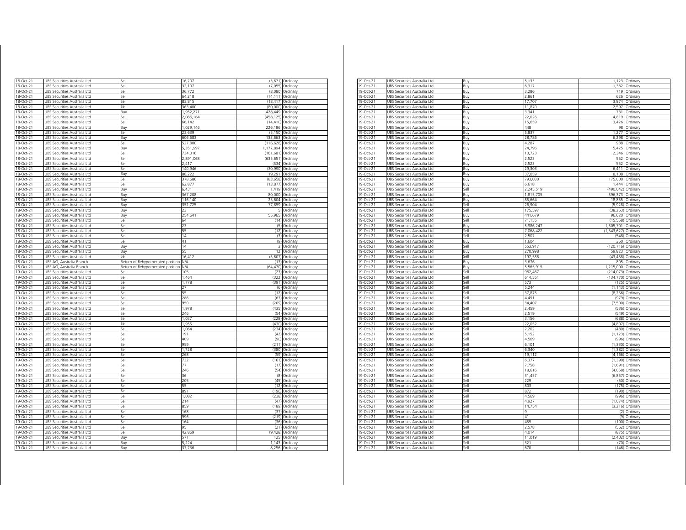| 18-Oct-21                                        | UBS Securities Australia Ltd                                 | Sell                              | 16,707          |            | (3,671) Ordinary           |
|--------------------------------------------------|--------------------------------------------------------------|-----------------------------------|-----------------|------------|----------------------------|
| 18-Oct-21                                        | UBS Securities Australia Ltd                                 | Sell                              | 32,107          | (7,055)    | Ordinary                   |
| 18-Oct-21                                        | UBS Securities Australia Ltd                                 | Sell                              | 36,772          | (8,080)    | Ordinary                   |
| 18-Oct-21                                        | UBS Securities Australia Ltd                                 | Sell                              | 64,218          | (14.111)   |                            |
| 18-Oct-21                                        | UBS Securities Australia Ltd                                 | Sell                              | 83,815          | (18, 417)  | Ordinary<br>Ordinary       |
|                                                  |                                                              |                                   | 363,400         |            |                            |
| 18-Oct-21                                        | JBS Securities Australia Ltd                                 | Sell                              |                 | (80,000)   | Ordinary                   |
| 18-Oct-21                                        | UBS Securities Australia Ltd                                 | Buy                               | 1,952,271       | 428,449    | Ordinan                    |
| 18-Oct-21                                        | UBS Securities Australia Ltd                                 | Sell                              | 2,086,164       | (458,125   | Ordinary                   |
| 18-Oct-21                                        | JBS Securities Australia Ltd                                 | Sell                              | 66.142          | (14, 410)  | Ordinary                   |
| 18-Oct-21                                        | UBS Securities Australia Ltd                                 | Buv                               | 1.029.146       | 226.186    | Ordinan                    |
| 18-Oct-21                                        | JBS Securities Australia Ltd                                 | Sell                              | 23,639          | (5, 150)   | Ordinary                   |
| 18-Oct-21                                        | JBS Securities Australia Ltd                                 | Buv                               | 606,683         | 133,663    | Ordinary                   |
| 18-Oct-21                                        | UBS Securities Australia Ltd                                 | Sell                              | 527,800         | (116, 628) | Ordinary                   |
| 18-Oct-21                                        | UBS Securities Australia Ltd                                 | Buy                               | 5,351,997       | 1,177,894  | Ordinary                   |
| 18-Oct-21                                        | UBS Securities Australia Ltd                                 | Sell                              | 734,016         | (161, 681) | Ordinary                   |
| 18-Oct-21                                        | UBS Securities Australia Ltd                                 | Sell                              | 2,891,068       | (635, 651) | Ordinary                   |
| 18-Oct-21                                        | UBS Securities Australia Ltd                                 | iell                              | 2,417           | (534)      | Ordinary                   |
| 18-Oct-21                                        | JBS Securities Australia Ltd                                 | iell                              | 140,946         | (30, 990)  | Ordinary                   |
| 18-Oct-21                                        | JBS Securities Australia Ltd                                 | Buv                               | 88,222          | 19,291     | Ordinary                   |
| 18-Oct-21                                        | JBS Securities Australia Ltd                                 | sell                              | 378,686         | (83, 658)  | Ordinary                   |
| 18-Oct-21                                        | JBS Securities Australia Ltd                                 | Sell                              | 62,877          | (13, 877)  | Ordinary                   |
| 18-Oct-21                                        | JBS Securities Australia Ltd                                 | Buv                               | 6,431           | 1.419      | Ordinary                   |
| 18-Oct-21                                        | JBS Securities Australia Ltd                                 | Buy                               | 367,208         | 80,000     | Ordinary                   |
|                                                  |                                                              |                                   |                 |            |                            |
| 18-Oct-21                                        | JBS Securities Australia Ltd                                 | Buy                               | 116,140         | 25,604     | Ordinary                   |
| 18-Oct-21                                        | JBS Securities Australia Ltd                                 | Buy                               | 352,725         | 77,859     | Ordinary                   |
| 18-Oct-21                                        | JBS Securities Australia Ltd                                 | Buy                               | 23              | 5          | Ordinary                   |
| 18-Oct-21                                        | UBS Securities Australia Ltd                                 | Buy                               | 254,641         | 55,965     | Ordinary                   |
| 18-Oct-21                                        | JBS Securities Australia Ltd                                 | Sell                              | 64              |            | (14) Ordinary              |
| 18-Oct-21                                        | UBS Securities Australia Ltd                                 | Sell                              | 23              |            | (5) Ordinary               |
| 18-Oct-21                                        | UBS Securities Australia Ltd                                 | Sell                              | 55              |            | (12) Ordinary              |
| 18-Oct-21                                        | UBS Securities Australia Ltd                                 | Sell                              | 14              |            | (3) Ordinary               |
| 18-Oct-21                                        | UBS Securities Australia Ltd                                 | Sell                              | 41              |            | (9) Ordinary               |
| 18-Oct-21                                        | UBS Securities Australia Ltd                                 | Buy                               | 14              | 3          | Ordinary                   |
| 18-Oct-21                                        | JBS Securities Australia Ltd                                 | Buy                               | 55              | 12         | Ordinary                   |
| 18-Oct-21                                        | JBS Securities Australia Ltd                                 | Sell                              | 16,412          | (3,607)    | Ordinary                   |
| 18-Oct-21                                        | JBS AG, Australia Branch                                     | Return of Rehypothecated position | N/A             | (13)       | Ordinary                   |
| 18-Oct-21                                        | JBS AG, Australia Branch                                     | Return of Rehypothecated position | <b>N/A</b>      | (64, 470)  | Ordinary                   |
| 19-Oct-21                                        | JBS Securities Australia Ltd                                 | Sell                              | 105             | (23)       | Ordinary                   |
| 19-Oct-21                                        | JBS Securities Australia Ltd                                 | Sell                              | 1.464           | (322)      | Ordinary                   |
|                                                  |                                                              |                                   |                 |            |                            |
| 19-Oct-21                                        | JBS Securities Australia Ltd                                 | Sell                              | 1,778           | (391)      | Ordinary                   |
| 19-Oct-21                                        | JBS Securities Australia Ltd                                 | Sell                              | 27              | (6)        | Ordinary                   |
| 19-Oct-21                                        | UBS Securities Australia Ltd                                 | Sell                              | 55              | (12)       | Ordinary                   |
| 19-Oct-21                                        | UBS Securities Australia Ltd                                 | Sell                              | 286             | (63)       | Ordinary                   |
| 19-Oct-21                                        | UBS Securities Australia Ltd                                 | Sell                              | 950             | (209)      | Ordinary                   |
| 19-Oct-21                                        | UBS Securities Australia Ltd                                 | sell                              | 1,978           | (435)      | Ordinan                    |
| 19-Oct-21                                        | JBS Securities Australia Ltd                                 | iell                              | 246             | (54)       | Ordinary                   |
| 19-Oct-21                                        | JBS Securities Australia Ltd                                 | iell                              | 1.037           | (228)      | Ordinary                   |
| 19-Oct-21                                        | JBS Securities Australia Ltd                                 | iell                              | 1,955           | (430)      | Ordinary                   |
| 19-Oct-21                                        | JBS Securities Australia Ltd                                 | iell                              | 1,064           | (234)      | Ordinary                   |
| 19-Oct-21                                        | JBS Securities Australia Ltd                                 | iell                              | 191             | (42)       | Ordinary                   |
| 19-Oct-21                                        | JBS Securities Australia Ltd                                 | lle,                              | 409             | (90)       | Ordinary                   |
| 19-Oct-21                                        | JBS Securities Australia Ltd                                 | sell                              | 959             | (211)      | Ordinary                   |
| 19-Oct-21                                        | JBS Securities Australia Ltd                                 | sell                              | 1728            | (380)      | Ordinary                   |
| 19-Oct-21                                        | JBS Securities Australia Ltd                                 | ile?                              | 268             | (59)       | Ordinary                   |
|                                                  |                                                              | sell                              | 732             | (161)      |                            |
| 19-Oct-21                                        | JBS Securities Australia Ltd                                 |                                   | 77              |            | Ordinary                   |
| 19-Oct-21                                        | UBS Securities Australia Ltd                                 | iell                              |                 | (17)       | Ordinary                   |
| 19-Oct-21                                        | UBS Securities Australia Ltd                                 | Sell                              | 246             | (54)       | Ordinary                   |
| 19-Oct-21                                        | UBS Securities Australia Ltd                                 | Sell                              | 36              |            | (8) Ordinary               |
| 19-Oct-21                                        | UBS Securities Australia Ltd                                 | Sell                              | 205             | (45)       | Ordinary                   |
| 19-Oct-21                                        | UBS Securities Australia Ltd                                 | Sell                              | 55              | (12)       | Ordinary                   |
| 19-Oct-21                                        | UBS Securities Australia Ltd                                 | Sell                              | 891             | (196)      | Ordinary                   |
| 19-Oct-21                                        | UBS Securities Australia Ltd                                 | Sell                              | 1,082           | (238)      | Ordinary                   |
| 19-Oct-21                                        | UBS Securities Australia Ltd                                 | Sell                              | 214             | (47)       | Ordinary                   |
| 19-Oct-21                                        | UBS Securities Australia Ltd                                 | Sell                              | 859             | (189)      | Ordinary                   |
| 19-Oct-21                                        | JBS Securities Australia Ltd                                 | Sell                              | 168             | (37)       | Ordinary                   |
| 19-Oct-21                                        | JBS Securities Australia Ltd                                 | Sell                              | 996             | (219)      | Ordinary                   |
|                                                  | JBS Securities Australia Ltd                                 | Sell                              | 164             | (36)       | Ordinary                   |
|                                                  |                                                              | Sell                              | 95              | (21)       | Ordinary                   |
|                                                  |                                                              |                                   |                 |            |                            |
|                                                  | JBS Securities Australia Ltd                                 |                                   |                 |            |                            |
|                                                  | JBS Securities Australia Ltd                                 | Sell                              | 42,869<br>571   | (9, 428)   | Ordinary                   |
| 19-Oct-21<br>19-Oct-21<br>19-Oct-21<br>19-Oct-21 | UBS Securities Australia Ltd                                 | Buy                               |                 | 125        | Ordinary                   |
| 19-Oct-21<br>19-Oct-21                           | UBS Securities Australia Ltd<br>UBS Securities Australia Ltd | Buy<br>Buy                        | 5,224<br>37,736 | 1,143      | Ordinary<br>8,256 Ordinary |

| 19-Oct-21 | JBS Securities Australia Ltd | Buy   | 5,133     | 1,123       | Ordinary |
|-----------|------------------------------|-------|-----------|-------------|----------|
| 19-Oct-21 | UBS Securities Australia Ltd | Buy   | 6.317     | 1.382       | Ordinary |
| 19-Oct-21 | UBS Securities Australia Ltd | Buv   | 3,286     | 719         | Ordinary |
| 19-Oct-21 | UBS Securities Australia Ltd | Buy   | 2,861     | 626         | Ordinary |
| 19-Oct-21 | UBS Securities Australia Ltd | Buy   | 17,707    | 3,874       | Ordinary |
| 19-Oct-21 | UBS Securities Australia Ltd | Buy   | 11,870    | 2,597       | Ordinary |
| 19-Oct-21 | UBS Securities Australia Ltd | Buy   | 3,341     | 731         | Ordinary |
| 19-Oct-21 | UBS Securities Australia Ltd | Buy   | 22,026    | 4,819       | Ordinary |
| 19-Oct-21 | UBS Securities Australia Ltd | Buy   | 15.659    | 3.426       | Ordinan  |
| 19-Oct-21 | UBS Securities Australia Ltd | Buv   | 448       | 98          | Ordinary |
| 19-Oct-21 | UBS Securities Australia Ltd | Buy   | 5,837     | 1,277       | Ordinary |
| 19-Oct-21 | UBS Securities Australia Ltd | Buy   | 28,786    | 6,298       | Ordinary |
| 19-Oct-21 | UBS Securities Australia Ltd | Buy   | 4,287     | 938         | Ordinary |
| 19-Oct-21 | JBS Securities Australia Ltd | 3uy   | 24,796    | 5,425       | Ordinary |
| 19-Oct-21 | JBS Securities Australia Ltd | Buy   | 10,723    | 2,346       | Ordinary |
| 19-Oct-21 | UBS Securities Australia Ltd |       | 2,523     | 552         | Ordinary |
| 19-Oct-21 |                              | Buy   | 2,523     | 552         |          |
|           | UBS Securities Australia Ltd | Buy   |           |             | Ordinary |
| 19-Oct-21 | UBS Securities Australia Ltd | Buy   | 29,303    | 6,411       | Ordinary |
| 19-Oct-21 | UBS Securities Australia Ltd | Buy   | 37,059    | 8,108       | Ordinary |
| 19-Oct-21 | UBS Securities Australia Ltd | Buy   | 793,030   | 175,000     | Ordinary |
| 19-Oct-21 | UBS Securities Australia Ltd | Buy   | 6,618     | 1,444       | Ordinary |
| 19-Oct-21 | JBS Securities Australia Ltd | Sell  | 2,245,519 | (490.042    | Ordinary |
| 19-Oct-21 | UBS Securities Australia Ltd | Buy   | 1,815,705 | 396,373     | Ordinary |
| 19-Oct-21 | UBS Securities Australia Ltd | Buy   | 85,664    | 18,855      | Ordinary |
| 19-Oct-21 | UBS Securities Australia Ltd | Sell  | 26,904    | (5,928)     | Ordinary |
| 19-Oct-21 | UBS Securities Australia Ltd | sell  | 175,597   | (38, 253)   | Ordinary |
| 19-Oct-21 | UBS Securities Australia Ltd | 3uy   | 441,679   | 96,620      | Ordinary |
| 19-Oct-21 | UBS Securities Australia Ltd | sell  | 71.155    | (15, 558)   | Ordinary |
| 19-Oct-21 | UBS Securities Australia Ltd | Buy   | 5,986,247 | 1,305,701   | Ordinary |
| 19-Oct-21 | UBS Securities Australia Ltd | Sell  | 7,068,422 | (1,543,627) | Ordinary |
| 19-Oct-21 | UBS Securities Australia Ltd | Sell  | 2,507     | (548)       | Ordinary |
| 19-Oct-21 | UBS Securities Australia Ltd | Buy   | 1,604     | 350         | Ordinary |
| 19-Oct-21 | UBS Securities Australia Ltd | Sell  | 553,917   | (120, 716)  | Ordinary |
| 19-Oct-21 | UBS Securities Australia Ltd | Buy   | 270,998   | 59,823      | Ordinary |
| 19-Oct-21 | UBS Securities Australia Ltd | Sell  | 197.586   | (43, 458)   | Ordinan  |
| 19-Oct-21 | UBS Securities Australia Ltd |       | 3,676     | 805         |          |
|           |                              | Buy   |           |             | Ordinary |
| 19-Oct-21 | UBS Securities Australia Ltd | Buy   | 5,565,915 | 1,215,000   | Ordinary |
| 19-Oct-21 | UBS Securities Australia Ltd | Sell  | 982,467   | (214, 073)  | Ordinary |
| 19-Oct-21 | JBS Securities Australia Ltd | iell  | 614,551   | (134, 770)  | Ordinary |
| 19-Oct-21 | UBS Securities Australia Ltd | sell  | 573       | (125)       | Ordinary |
| 19-Oct-21 | UBS Securities Australia Ltd | sell  | 5,244     | (1.143)     | Ordinary |
| 19-Oct-21 | UBS Securities Australia Ltd | sell  | 37,875    | (8, 256)    | Ordinary |
| 19-Oct-21 | UBS Securities Australia Ltd | Sell  | 4.491     | (979)       | Ordinary |
| 19-Oct-21 | UBS Securities Australia Ltd | Sell  | 34,407    | (7,500)     | Ordinary |
| 19-Oct-21 | UBS Securities Australia Ltd | sell  | 2.459     | (536)       | Ordinary |
| 19-Oct-21 | UBS Securities Australia Ltd | Sell  | 2.519     | (549)       | Ordinary |
| 19-Oct-21 | JBS Securities Australia Ltd | sell  | 3,156     | (688)       | Ordinary |
| 19-Oct-21 | UBS Securities Australia Ltd | Sell  | 22,052    | (4, 807)    | Ordinary |
| 19-Oct-21 | UBS Securities Australia Ltd | sell  | 2,202     | (480)       | Ordinary |
| 19-Oct-21 | UBS Securities Australia Ltd | Sell  | 5,152     | (1, 123)    | Ordinary |
| 19-Oct-21 | UBS Securities Australia Ltd | sell  | 4,569     | (996)       | Ordinary |
| 19-Oct-21 | UBS Securities Australia Ltd | iell  | 6,101     | (1, 330)    | Ordinary |
| 19-Oct-21 | UBS Securities Australia Ltd | sell  | 6.340     | (1.382)     | Ordinary |
| 19-Oct-21 |                              | sell  | 19,112    | (4, 166)    |          |
|           | UBS Securities Australia Ltd |       |           |             | Ordinary |
| 19-Oct-21 | UBS Securities Australia Ltd | sell  | 6,377     | (1, 390)    | Ordinary |
| 19-Oct-21 | UBS Securities Australia Ltd | Sell  | 7,758     | (1,691)     | Ordinary |
| 19-Oct-21 | UBS Securities Australia Ltd | Sell  | 18,616    | (4,058)     | Ordinary |
| 19-Oct-21 | UBS Securities Australia Ltd | Sell  | 31,457    | (6, 857)    | Ordinary |
| 19-Oct-21 | UBS Securities Australia Ltd | Sell  | 229       | (50)        | Ordinary |
| 19-Oct-21 | UBS Securities Australia Ltd | Sell  | 803       | (175)       | Ordinary |
| 19-Oct-21 | UBS Securities Australia Ltd | Sell  | 872       | (190)       | Ordinary |
| 19-Oct-21 | UBS Securities Australia Ltd | sell  | 4,569     | (996)       | Ordinary |
| 19-Oct-21 | UBS Securities Australia Ltd | Sell  | 4,927     | (1, 074)    | Ordinary |
| 19-Oct-21 | JBS Securities Australia Ltd | iell  | 14,754    | (3, 216)    | Ordinary |
| 19-Oct-21 | JBS Securities Australia Ltd | sell  |           | (2)         | Ordinary |
| 19-Oct-21 | UBS Securities Australia Ltd | sell  | 41        | (9)         | Ordinary |
| 19-Oct-21 | UBS Securities Australia Ltd | sell  | 459       | (100)       | Ordinary |
| 19-Oct-21 | UBS Securities Australia Ltd | sell  | 2,578     | (562)       | Ordinary |
| 19-Oct-21 | UBS Securities Australia Ltd | sell  | 4,014     | (875)       | Ordinary |
| 19-Oct-21 | UBS Securities Australia Ltd | ا∣م:ّ | 11,019    | (2, 402)    | Ordinary |
| 19-Oct-21 | UBS Securities Australia Ltd | sell  | 321       | (70)        |          |
|           |                              |       |           |             | Ordinary |
| 19-Oct-21 | UBS Securities Australia Ltd | iell  | 670       | (146)       | Ordinary |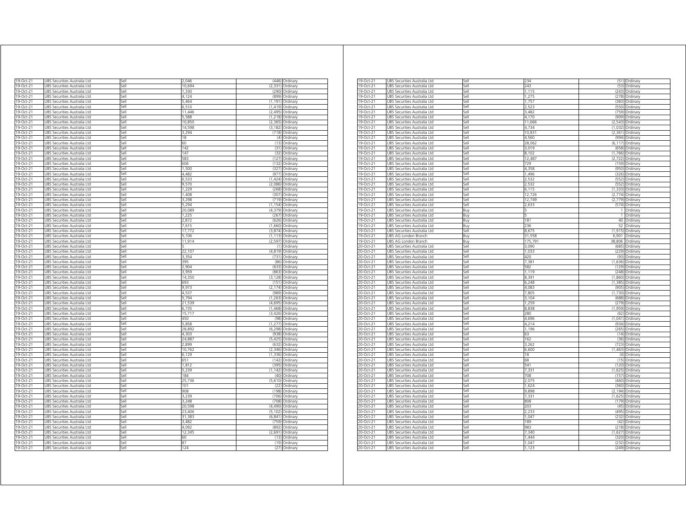| 19-Oct-21              |                                                                     | iell         | 2,046           | (446)              |                      |
|------------------------|---------------------------------------------------------------------|--------------|-----------------|--------------------|----------------------|
| 9-Oct-21               | UBS Securities Australia Ltd<br>JBS Securities Australia Ltd        | lle,         | 10 694          | (2.331)            | Ordinary<br>Ordinary |
| 19-Oct-21              | JBS Securities Australia Ltd                                        | sell         | 1330            | (290)              | Ordinary             |
| 19-Oct-21              | JBS Securities Australia Ltd                                        | sell         | 4.124           | (899)              | Ordinary             |
| 19-Oct-21              | JBS Securities Australia Ltd                                        | iell         | 5.464           | (1.191)            | Ordinary             |
| 19-Oct-21              | JBS Securities Australia Ltd                                        | ile?         | 6,510           | (1.419)            | Ordinary             |
| 19-Oct-21              | UBS Securities Australia Ltd                                        | iell         | 11.446          | (2, 495)           | Ordinary             |
| 19-Oct-21              | UBS Securities Australia Ltd                                        | Sell         | 5,588           | (1,218)            | Ordinary             |
| 19-Oct-21              | UBS Securities Australia Ltd                                        | Sell         | 10,850          | (2, 365)           | Ordinary             |
| 19-Oct-21              | UBS Securities Australia Ltd                                        | sell         | 14,598          | (3, 182)           | Ordinary             |
| 19-Oct-21              | UBS Securities Australia Ltd                                        | Sell         | 3,294           |                    | (718) Ordinary       |
| 19-Oct-21              | UBS Securities Australia Ltd                                        | Sell         | 18              |                    | (4) Ordinary         |
| 19-Oct-21              | UBS Securities Australia Ltd                                        | Sell         | 60              |                    | (13) Ordinary        |
| 19-Oct-21              | UBS Securities Australia Ltd                                        | Sell         | 142             |                    | (31) Ordinary        |
| 19-Oct-21              | UBS Securities Australia Ltd                                        | Sell         | 147             | (32)               | Ordinary             |
| 19-Oct-21              | JBS Securities Australia Ltd                                        | Sell         | 583             | (127)              | Ordinary             |
| 19-Oct-21              | JBS Securities Australia Ltd                                        | Sell         | 606             | (132)              | Ordinary             |
| 19-Oct-21              | JBS Securities Australia Ltd                                        | Sell         | 1.500           | (327)              | Ordinary             |
| 19-Oct-21              | JBS Securities Australia Ltd                                        | Sell         | 4.482           | (977)              | Ordinary             |
| 19-Oct-21              | UBS Securities Australia Ltd                                        | Sell         | 6.533           | (1,424)            | Ordinary             |
| 19-Oct-21              | UBS Securities Australia Ltd                                        | Sell         | 9,570           | (2,086)            | Ordinary             |
| 19-Oct-21              | UBS Securities Australia Ltd                                        | Sell         | 1,229           | (268)              | Ordinan              |
| $19 - Oct - 21$        | UBS Securities Australia Ltd                                        | Sell         | 1,408           | (307)              | Ordinary             |
| 19-Oct-21              | UBS Securities Australia Ltd                                        | Sell         | 3,298           | (719)              | Ordinary             |
| 19-Oct-21              | UBS Securities Australia Ltd                                        | Sell         | 5,294           |                    | (1,154) Ordinary     |
| 19-Oct-21              | UBS Securities Australia Ltd                                        | sell         | 20,089          | (4, 379)           | Ordinary             |
| 19-Oct-21              | JBS Securities Australia Ltd                                        | iell         | 1,225           | (267)              | Ordinary             |
| 19-Oct-21              | JBS Securities Australia Ltd                                        | iellء        | 2,872           | (626)              | Ordinary             |
| 19-Oct-21              | JBS Securities Australia Ltd                                        | sell         | 7,615           | (1,660)            | Ordinary             |
| 19-Oct-21<br>19-Oct-21 | JBS Securities Australia Ltd<br><b>JBS Securities Australia Ltd</b> | Sell<br>Sell | 17,772<br>5.106 | (3,874)<br>(1.113) | Ordinary<br>Ordinary |
| 19-Oct-21              |                                                                     | Sell         | 11,914          | (2, 597)           |                      |
| 19-Oct-21              | JBS Securities Australia Ltd                                        | Sell         |                 | (1)                | Ordinary<br>Ordinary |
| 19-Oct-21              | JBS Securities Australia Ltd<br>JBS Securities Australia Ltd        | Sell         | 22,107          | (4, 819)           | Ordinary             |
| 19-Oct-21              | UBS Securities Australia Ltd                                        | Sell         | 3,354           |                    | (731) Ordinary       |
| 19-Oct-21              | JBS Securities Australia Ltd                                        | Sell         | 395             | (86)               | Ordinary             |
| 19-Oct-21              | UBS Securities Australia Ltd                                        | Sell         | 2.904           | (633)              | Ordinary             |
| 19-Oct-21              | UBS Securities Australia Ltd                                        | Sell         | 3,959           |                    | (863) Ordinary       |
| 19-Oct-21              | UBS Securities Australia Ltd                                        | Sell         | 14,350          | (3, 128)           | Ordinary             |
| 19-Oct-21              | UBS Securities Australia Ltd                                        | Sell         | 693             | (151)              | Ordinary             |
| 19-Oct-21              | UBS Securities Australia Ltd                                        | Sell         | 9.973           | (2.174)            | Ordinary             |
| 19-Oct-21              | JBS Securities Australia Ltd                                        | Sell         | 4,537           | (989)              | Ordinary             |
| 19-Oct-21              | JBS Securities Australia Ltd                                        | Sell         | 5,794           | (1, 263)           | Ordinary             |
| 19-Oct-21              | <b>JBS Securities Australia Ltd</b>                                 | Sell         | 21.539          | (4.695)            | Ordinan              |
| 19-Oct-21              | JBS Securities Australia Ltd                                        | Sell         | 6,735           | (1, 468)           | Ordinary             |
| 19-Oct-21              | JBS Securities Australia Ltd                                        | Sell         | 15,717          | (3, 426)           | Ordinary             |
| 19-Oct-21              | JBS Securities Australia Ltd                                        | Sell         | 450             | (98)               | Ordinary             |
| 19-Oct-21              | JBS Securities Australia Ltd                                        | Sell         | 5,858           | (1, 277)           | Ordinary             |
| 19-Oct-21              | JBS Securities Australia Ltd                                        | Sell         | 28,892          | (6, 298)           | Ordinary             |
| 19-Oct-21              | UBS Securities Australia Ltd                                        | Sell         | 4,303           | (938)              | Ordinary             |
| 19-Oct-21              | UBS Securities Australia Ltd                                        | Sell         | 24,887          | (5, 425)           | Ordinary             |
| 19-Oct-21              | UBS Securities Australia Ltd                                        | sell         | 2,899           | (632)              | Ordinary             |
| 19-Oct-21              | JBS Securities Australia Ltd                                        | iell         | 10,762          | (2, 346)           | Ordinarv             |
| 19-Oct-21              | JBS Securities Australia Ltd                                        | iell         | 6.129           | (1.336)            | Ordinary             |
| 19-Oct-21              | JBS Securities Australia Ltd                                        | sell         | 651             | (142)              | Ordinary             |
| 19-Oct-21              | JBS Securities Australia Ltd                                        | sell         | 1,812           | (395)              | Ordinary             |
| 19-Oct-21              | JBS Securities Australia Ltd                                        | sell         | 5.239           | (1.142)            | Ordinary             |
| 19-Oct-21              | JBS Securities Australia Ltd                                        | ile?         | 184             | (40)               | Ordinary             |
| 19-Oct-21              | <b>JBS Securities Australia Ltd</b>                                 | sell         | 25,736<br>101   | (5,610)            | Ordinary             |
| 19-Oct-21              | JBS Securities Australia Ltd                                        | iell<br>iell |                 | (22)               | Ordinary             |
| 19-Oct-21              | UBS Securities Australia Ltd                                        | iell         | 908<br>3,239    | (198)<br>(706)     | Ordinary             |
| 19-Oct-21<br>19-Oct-21 | UBS Securities Australia Ltd<br>UBS Securities Australia Ltd        | sell         | 3.248           | (708)              | Ordinary             |
| 19-Oct-21              | UBS Securities Australia Ltd                                        | Sell         | 20,598          | (4, 490)           | Ordinary<br>Ordinary |
| 19-Oct-21              | UBS Securities Australia Ltd                                        | Sell         | 23,406          | (5, 102)           | Ordinary             |
| 19-Oct-21              | UBS Securities Australia Ltd                                        | Sell         | 31,383          | (6, 841)           | Ordinary             |
| 19-Oct-21              | UBS Securities Australia Ltd                                        | Sell         | 3,482           | (759)              | Ordinary             |
| 19-Oct-21              | UBS Securities Australia Ltd                                        | Sell         | 4092            | (892)              | Ordinary             |
| 19-Oct-21              | JBS Securities Australia Ltd                                        | Sell         | 12,345          | (2,691)            | Ordinary             |
| 19-Oct-21              | <b>JBS Securities Australia Ltd</b>                                 | Sell         | 60              | (13)               | Ordinary             |
| 19-Oct-21              | JBS Securities Australia Ltd                                        | Sell         | 87              | (19)               | Ordinary             |
| 19-Oct-21              | UBS Securities Australia Ltd                                        | Sell         | 124             | (27)               | Ordinary             |
|                        |                                                                     |              |                 |                    |                      |

| 19-Oct-21       | JBS Securities Australia Ltd | sel   | 234         |          | (51) Ordinary |
|-----------------|------------------------------|-------|-------------|----------|---------------|
| 19-Oct-21       | UBS Securities Australia Ltd | iell» | 243         | (53)     | Ordinary      |
| 19-Oct-21       | JBS Securities Australia Ltd | sell  | 1,115       | (243)    | Ordinary      |
| 19-Oct-21       | UBS Securities Australia Ltd | sell  | 1,275       | (278)    | Ordinary      |
| 19-Oct-21       | UBS Securities Australia Ltd | sell  | 1,757       | (383)    | Ordinary      |
| 19-Oct-21       | UBS Securities Australia Ltd | Sell  | 2,523       | (550)    | Ordinary      |
| 19-Oct-21       | UBS Securities Australia Ltd | Sell  | 3,482       | (759)    | Ordinary      |
| $19$ -Oct-21    | UBS Securities Australia Ltd | Sell  | 4,170       | (909)    | Ordinary      |
| 19-Oct-21       | UBS Securities Australia Ltd | sell  | 11.666      | (2, 543) | Ordinary      |
| 19-Oct-21       | UBS Securities Australia Ltd | Sell  | 4,734       | (1,032)  | Ordinary      |
| 19-Oct-21       | UBS Securities Australia Ltd | Sell  | 10,831      | (2, 361) | Ordinary      |
| 19-Oct-21       | UBS Securities Australia Ltd | sell  | 4,560       | (994)    | Ordinary      |
| 19-Oct-21       | UBS Securities Australia Ltd | Sell  | 28,062      | (6, 117) | Ordinary      |
| 19-Oct-21       | UBS Securities Australia Ltd | sell  | 3,019       | (658)    | Ordinary      |
| 19-Oct-21       | JBS Securities Australia Ltd | iell» | 8.102       | (1766)   | Ordinary      |
| 19-Oct-21       | JBS Securities Australia Ltd | sell  | 12,487      | (2, 722) | Ordinary      |
| $19-Oct-21$     |                              | iell  | 729         | (159)    |               |
|                 | JBS Securities Australia Ltd | sell  | 4,358       | (950)    | Ordinary      |
| 19-Oct-21       | UBS Securities Australia Ltd |       |             |          | Ordinary      |
| 19-Oct-21       | UBS Securities Australia Ltd | Sell  | 1,496       | (326)    | Ordinary      |
| 19-Oct-21       | UBS Securities Australia Ltd | sell  | 2,532       | (552)    | Ordinary      |
| 19-Oct-21       | UBS Securities Australia Ltd | ا∣م:ّ | 2,532       | (552)    | Ordinary      |
| 19-Oct-21       | JBS Securities Australia Ltd | sell  | 6.115       | (1.333)  | Ordinary      |
| 19-Oct-21       | JBS Securities Australia Ltd | Sell  | 12,726      | (2,774)  | Ordinary      |
| 19-Oct-21       | JBS Securities Australia Ltd | sell  | 12,749      | (2,779)  | Ordinary      |
| 19-Oct-21       | JBS Securities Australia Ltd | Sell  | 2,633       | (574)    | Ordinary      |
| 19-Oct-21       | UBS Securities Australia Ltd | Buy   |             |          | Ordinary      |
| 19-Oct-21       | UBS Securities Australia Ltd | Buy   | 5           | 1        | Ordinary      |
| 19-Oct-21       | UBS Securities Australia Ltd | 3uy   | 181         | 40       | Ordinary      |
| 19-Oct-21       | JBS Securities Australia Ltd | Buv   | 236         | 52       | Ordinary      |
| $19-Oct-21$     | UBS Securities Australia Ltd | sell  | 8,675       | (1, 915) | Ordinary      |
| $19$ -Oct-21    | UBS AG London Branch         | Buy   | 31,558      | 6.901    | Ordinary      |
| 19-Oct-21       | UBS AG London Branch         | Buy   | 175,791     | 38,806   | Ordinary      |
| 20-Oct-21       | UBS Securities Australia Ltd | Sell  | 3,090       | (685)    | Ordinary      |
| 20-Oct-21       | UBS Securities Australia Ltd | Sell  | 1,033       | (229)    | Ordinary      |
|                 |                              | Sell  |             | (93)     |               |
| 20-Oct-21       | UBS Securities Australia Ltd |       | 420<br>7,38 |          | Ordinary      |
| 20-Oct-21       | UBS Securities Australia Ltd | Sell  |             | (1,636)  | Ordinary      |
| 20-Oct-21       | UBS Securities Australia Ltd | Sell  | 582         | (129)    | Ordinary      |
| 20-Oct-21       | UBS Securities Australia Ltd | Sell  | 1,119       | (248)    | Ordinary      |
| 20-Oct-21       | UBS Securities Australia Ltd | Sell  | 8,39        | (1,860)  | Ordinary      |
| 20-Oct-21       | UBS Securities Australia Ltd | sell  | 6,248       | (1,385)  | Ordinary      |
| 20-Oct-21       | JBS Securities Australia Ltd | iell» | 4,083       | (905)    | Ordinary      |
| 20-Oct-21       | JBS Securities Australia Ltd | sell  | 7,805       | (1,730)  | Ordinary      |
| 20-Oct-21       | UBS Securities Australia Ltd | iell  | 3,104       | (688)    | Ordinary      |
| 20-Oct-21       | UBS Securities Australia Ltd | sell  | 1,259       | (279)    | Ordinary      |
| 20-Oct-21       | UBS Securities Australia Ltd | Sell  | 8,838       | (1,959)  | Ordinary      |
| 20-Oct-21       | UBS Securities Australia Ltd | sell  | 280         | (62)     | Ordinary      |
| 20-Oct-21       | UBS Securities Australia Ltd | ا∣م:ّ | 4,696       | (1.041)  | Ordinary      |
| 20-Oct-21       | JBS Securities Australia Ltd | sell  | 4.214       | (934)    | Ordinary      |
| 20-Oct-21       | JBS Securities Australia Ltd | Sell  | 1,196       | (265)    | Ordinary      |
| 20-Oct-21       | JBS Securities Australia Ltd | sell  | 63          | (14)     | Ordinary      |
| 20-Oct-21       | JBS Securities Australia Ltd | sell  | 162         | (36)     | Ordinary      |
| 20-Oct-21       | UBS Securities Australia Ltd | Sell  | 3,262       | (723)    | Ordinary      |
| 20-Oct-21       | UBS Securities Australia Ltd | sell  | 6,600       | (1, 463) | Ordinary      |
|                 |                              | ا∣م;  |             |          |               |
| 20-Oct-21       | JBS Securities Australia Ltd |       | 18          | (4)      | Ordinary      |
| 20-Oct-21       | JBS Securities Australia Ltd | sell  | 68          | (15)     | Ordinary      |
| $20 - Oct - 21$ | UBS Securities Australia Ltd | sell  | 541         | (120)    | Ordinary      |
| 20-Oct-21       | UBS Securities Australia Ltd | sell  | 7,33'       | (1,625)  | Ordinary      |
| 20-Oct-21       | UBS Securities Australia Ltd | Sell  | 708         | (157)    | Ordinary      |
| 20-Oct-21       | UBS Securities Australia Ltd | Sell  | 2,075       | (460)    | Ordinary      |
| 20-Oct-21       | UBS Securities Australia Ltd | Sell  | 1,624       | (360)    | Ordinary      |
| 20-Oct-21       | UBS Securities Australia Ltd | Sell  | 9.898       | (2.194)  | Ordinary      |
| 20-Oct-21       | UBS Securities Australia Ltd | Sell  | 7,331       | (1,625)  | Ordinary      |
| 20-Oct-21       | UBS Securities Australia Ltd | Sell  | 808         | (179)    | Ordinary      |
| 20-Oct-21       | UBS Securities Australia Ltd | sell  | 203         | (45)     | Ordinary      |
| 20-Oct-21       | UBS Securities Australia Ltd | Sell  | 2,233       | (495)    | Ordinary      |
| 20-Oct-21       | UBS Securities Australia Ltd | sell  | 1,047       | (232)    | Ordinary      |
| 20-Oct-21       | JBS Securities Australia Ltd | iell» | 189         | (42)     | Ordinary      |
| 20-Oct-21       | JBS Securities Australia Ltd | sell  | 983         | (218)    | Ordinary      |
| 20-Oct-21       |                              | iell  | 7,340       | 1,627    |               |
|                 | JBS Securities Australia Ltd |       | 1444        |          | Ordinary      |
| 20-Oct-21       | UBS Securities Australia Ltd | sell  |             | (320)    | Ordinary      |
| 20-Oct-21       | UBS Securities Australia Ltd | Sell  | 1,047       | (232)    | Ordinary      |
| 20-Oct-21       | UBS Securities Australia Ltd | Sell  | 1,123       | (249)    | Ordinary      |
|                 |                              |       |             |          |               |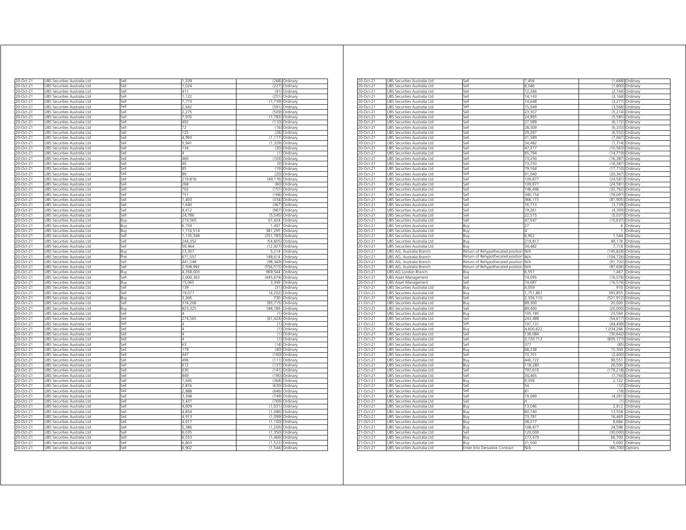| 20-Oct-21              | UBS Securities Australia Ltd                                 | Sell         | 1,209               |                      | (268) Ordinary                     |
|------------------------|--------------------------------------------------------------|--------------|---------------------|----------------------|------------------------------------|
| 0-Oct-21               | JBS Securities Australia Ltd                                 | sell         | 1,024               | (227                 | Ordinary                           |
| 20-Oct-21              | JBS Securities Australia Ltd                                 | iell         | 411                 | (91)                 | Ordinary                           |
| 0-Oct-21               | JBS Securities Australia Ltd                                 | iell         | 1 1 2 2             | (251)                | Ordinary                           |
| 20-Oct-21              | JBS Securities Australia Ltd                                 | sell         | 7,773               | (1,739)              | Ordinary                           |
| 20-Oct-21              | JBS Securities Australia Ltd                                 | sell         | 2,642               | (591)                | Ordinary                           |
| 20-Oct-21              | JBS Securities Australia Ltd                                 | sell         | 2,275               | (509                 | Ordinary                           |
| 20-Oct-21              | JBS Securities Australia Ltd                                 | sell         | 7,970               | (1, 783)             | Ordinary                           |
| 20-Oct-21              | JBS Securities Australia Ltd                                 | iell         | 492                 | (110)                | Ordinary                           |
| 20-Oct-21              | JBS Securities Australia Ltd                                 | iell         | 72                  | (16)                 | Ordinary                           |
| $20$ -Oct-21           | UBS Securities Australia Ltd                                 | sell         | 125                 | (28)                 | Ordinary                           |
| 20-Oct-21              | UBS Securities Australia Ltd                                 | Sell         | 4.993               |                      | $(1, 117)$ Ordinary                |
| 20-Oct-21              | UBS Securities Australia Ltd                                 | Sell         | 5,941               | (1, 329)             | Ordinary                           |
| 20-Oct-21              | UBS Securities Australia Ltd                                 | Sell         | 134                 |                      | (30) Ordinary                      |
| 20-Oct-21              | UBS Securities Australia Ltd                                 | Sell         | 4                   |                      | (1) Ordinary                       |
| 20-Oct-21              | UBS Securities Australia Ltd                                 | Sell         | 460                 |                      | (103) Ordinary                     |
| 20-Oct-21              | UBS Securities Australia Ltd                                 | Sell         | 40                  | (9)                  | Ordinary                           |
| 20-Oct-21              | JBS Securities Australia Ltd                                 | Sell         | 85                  | (19)                 | Ordinary                           |
| 20-Oct-21              | JBS Securities Australia Ltd                                 | sell         | RΑ                  | (20)                 | Ordinary                           |
| 20-Oct-21              | JBS Securities Australia Ltd                                 | sell         | 219,816             | (49, 176)            | Ordinary                           |
| 20-Oct-21              | UBS Securities Australia Ltd                                 | Sell         | 268                 | (60)                 | Ordinary                           |
| 20-Oct-21              | UBS Securities Australia Ltd                                 | Sell         | 702                 | (157)                | Ordinary                           |
| 20-Oct-21              | JBS Securities Australia Ltd                                 | Sell         | 751                 | (168)                | Ordinary                           |
| 20-Oct-21              | UBS Securities Australia Ltd                                 | Sell         | 1,493               |                      | (334) Ordinary                     |
| 20-Oct-21              | UBS Securities Australia Ltd                                 | Sell         | 1,640               | (367)                | Ordinary                           |
| 20-Oct-21              | UBS Securities Australia Ltd                                 | Sell         | 4,412               |                      | (987) Ordinary                     |
| 20-Oct-21              | JBS Securities Australia Ltd                                 | sell         | 24,786              | (5, 545)             | Ordinary                           |
| 20-Oct-21              | JBS Securities Australia Ltd                                 | Buy          | 274,565             | 61,424               | Ordinary                           |
| 20-Oct-21              | JBS Securities Australia Ltd                                 | Buy          | 6,759               | 1,497                | Ordinary                           |
| 20-Oct-21              | JBS Securities Australia Ltd                                 | Buy          | 1,716,514           | 381,295              | Ordinary                           |
| 20-Oct-21              | JBS Securities Australia Ltd                                 | iell         | 1,135,349           | (251, 785)           | Ordinary                           |
| 20-Oct-21              | JBS Securities Australia Ltd                                 | sell         | 244,352             | (54, 605)            | Ordinary                           |
| 20-Oct-21              | UBS Securities Australia Ltd                                 | Sell         | 59,464              | (12, 927)            | Ordinary                           |
| 20-Oct-21              | UBS Securities Australia Ltd                                 | Buy          | 23,307              | 5,214                | Ordinary                           |
| 20-Oct-21              | UBS Securities Australia Ltd                                 | Βuγ          | 671,557             | 148,614              | Ordinary                           |
| 20-Oct-21              | UBS Securities Australia Ltd                                 | Sell         | 441,548             | (98, 349)            | Ordinary                           |
| 20-Oct-21              | UBS Securities Australia Ltd                                 | Sell         | 2,508,992           | (556, 515)           | Ordinary                           |
| 20-Oct-21              | UBS Securities Australia Ltd                                 | Buy          | 4,358,003           | 969,544              | Ordinary                           |
| 20-Oct-21              | UBS Securities Australia Ltd                                 | Sell         | 2,000,363           | (445,674) Ordinary   |                                    |
| 20-Oct-21              | UBS Securities Australia Ltd                                 | Buy          | 15,065              | 3,349                | Ordinary                           |
| 20-Oct-21              | JBS Securities Australia Ltd                                 | Sell         | 139                 | (31)                 | Ordinary                           |
| 20-Oct-21              | JBS Securities Australia Ltd                                 | Sell         | 19,077              | (4,202)              | Ordinary                           |
| 20-Oct-21              | <b>JBS Securities Australia Ltd</b>                          | Buv          | 3.266               | 730                  | Ordinary                           |
| 20-Oct-21              | JBS Securities Australia Ltd                                 | Sell         | 374,206             | (83, 715)            | Ordinary                           |
| 20-Oct-21              | JBS Securities Australia Ltd                                 | Buy          | 823,325             | 184,189              | Ordinary                           |
| 20-Oct-21              | UBS Securities Australia Ltd                                 | Sell         |                     | (1)                  | Ordinary                           |
| 20-Oct-21              | UBS Securities Australia Ltd                                 | Sell         | 274,565             | (61, 424)            | Ordinary                           |
| 20-Oct-21              | UBS Securities Australia Ltd                                 | Sell         | Λ<br>Δ              | (1)                  | Ordinan                            |
| 20-Oct-21              | UBS Securities Australia Ltd                                 | Sell         |                     | (1)                  | Ordinary                           |
| 20-Oct-21              | UBS Securities Australia Ltd                                 | Sell         | 4<br>$\overline{A}$ | (1)                  | Ordinary                           |
| 20-Oct-21              | UBS Securities Australia Ltd                                 | sell         |                     | (1)                  | Ordinary                           |
| 20-Oct-21              | JBS Securities Australia Ltd                                 | iell         | 63                  | (14)                 | Ordinary                           |
| 20-Oct-21              | JBS Securities Australia Ltd                                 | iell         | 179                 | (40)                 | Ordinary                           |
| 20-Oct-21              | JBS Securities Australia Ltd                                 | sell         | 447                 | (100)                | Ordinary                           |
| 20-Oct-21<br>20-Oct-21 | JBS Securities Australia Ltd<br>JBS Securities Australia Ltd | sell<br>iell | 496<br>612          | (111)<br>(137)       | Ordinary                           |
|                        |                                                              |              |                     |                      | Ordinary                           |
| 20-Oct-21              | JBS Securities Australia Ltd                                 | sell         | 630                 | (141)                | Ordinary                           |
| 20-Oct-21              | UBS Securities Australia Ltd                                 | Sell         | 849                 | (190)                | Ordinary                           |
| 20-Oct-21              | UBS Securities Australia Ltd                                 | Sell         | 1,645               | (368)                | Ordinary                           |
| 20-Oct-21              | UBS Securities Australia Ltd                                 | Sell<br>Sell | 2,816               |                      | (630) Ordinary                     |
| 20-Oct-21              | UBS Securities Australia Ltd                                 | Sell         | 2,888<br>3,348      | (749)                | (646) Ordinary                     |
| 20-Oct-21              | UBS Securities Australia Ltd                                 |              |                     |                      | Ordinary                           |
| 20-Oct-21<br>20-Oct-21 | UBS Securities Australia Ltd<br>UBS Securities Australia Ltd | Sell<br>Sell | 3,437<br>4,609      |                      | (769) Ordinary<br>(1,031) Ordinary |
|                        |                                                              |              |                     |                      |                                    |
| 20-Oct-21              | UBS Securities Australia Ltd                                 | Sell         | 4.854<br>4,913      | (1,086)<br>(1,099)   | Ordinary                           |
| 20-Oct-21              | UBS Securities Australia Ltd                                 | Sell         | 4,917               |                      | Ordinary                           |
| 20-Oct-21              | JBS Securities Australia Ltd                                 | Sell<br>sell | 5.386               | (1, 100)             | Ordinary                           |
| 20-Oct-21              | JBS Securities Australia Ltd                                 |              | 6.035               | (1, 205)             | Ordinary                           |
| 20-Oct-21              | JBS Securities Australia Ltd                                 | sell         | 6,553               | (1, 350)<br>(1, 466) | Ordinary                           |
| 20-Oct-21              | JBS Securities Australia Ltd                                 | Sell         |                     |                      | Ordinary                           |
| 20-Oct-21              | UBS Securities Australia Ltd                                 | Sell         | 6,803               |                      | (1,522) Ordinary                   |
| 20-Oct-21              | UBS Securities Australia Ltd                                 | Sell         | 6,902               |                      | $(1,544)$ Ordinary                 |

| 20-Oct-21              | UBS Securities Australia Ltd                                 | Sell                                  | 7,456                |            | (1,668) Ordinary                   |
|------------------------|--------------------------------------------------------------|---------------------------------------|----------------------|------------|------------------------------------|
| 20-Oct-21              | UBS Securities Australia Ltd                                 | Sell                                  | 8,046                |            | (1,800) Ordinary                   |
| 20-Oct-21              | UBS Securities Australia Ltd                                 | Sell                                  | 12.266               | (2.744)    | Ordinary                           |
|                        |                                                              |                                       |                      |            |                                    |
| 20-Oct-21              | UBS Securities Australia Ltd                                 | Sell                                  | 14,143               | (3, 164)   | Ordinary                           |
| 20-Oct-21              | UBS Securities Australia Ltd                                 | Sell                                  | 14.648               | (3,277)    | Ordinary                           |
| 20-Oct-21              | UBS Securities Australia Ltd                                 | Sell                                  | 15.949               | (3, 568)   | Ordinary                           |
| 20-Oct-21              | UBS Securities Australia Ltd                                 | Sell                                  | 23,307               | (5, 214)   | Ordinary                           |
| 20-Oct-21              | UBS Securities Australia Ltd                                 | Sell                                  | 24,965               | (5,585)    | Ordinan                            |
|                        |                                                              |                                       |                      |            |                                    |
| 20-Oct-21              | UBS Securities Australia Ltd                                 | sell                                  | 27,589               | (6, 172)   | Ordinary                           |
| 20-Oct-21              | UBS Securities Australia Ltd                                 | iell                                  | 28.309               | (6, 333)   | Ordinary                           |
| 20-Oct-21              | UBS Securities Australia Ltd                                 | sell                                  | 29,287               | (6, 552)   | Ordinary                           |
| $20-Oct-21$            | UBS Securities Australia Ltd                                 | Sell                                  | 31,589               | (7,067)    | Ordinary                           |
| 20-Oct-21              | UBS Securities Australia Ltd                                 | Sell                                  | 34,482               | (7, 714)   | Ordinary                           |
| 20-Oct-21              | UBS Securities Australia Ltd                                 | Sell                                  | 47,217               | (10, 563)  |                                    |
|                        |                                                              |                                       |                      |            | Ordinary                           |
| 20-Oct-21              | UBS Securities Australia Ltd                                 | Sell                                  | 65,794               | (14, 719)  | Ordinary                           |
| 20-Oct-21              | UBS Securities Australia Ltd                                 | Sell                                  | 73,250               | (16, 387)  | Ordinary                           |
| 20-Oct-21              | UBS Securities Australia Ltd                                 | Sell                                  | 73,250               | (16, 387)  | Ordinary                           |
| 20-Oct-21              | UBS Securities Australia Ltd                                 | sell                                  | 79,164               | (17, 710)  | Ordinary                           |
|                        |                                                              | Sell                                  | 91,040               |            |                                    |
| 20-Oct-21              | UBS Securities Australia Ltd                                 |                                       |                      | (20, 367)  | Ordinary                           |
| 20-Oct-21              | UBS Securities Australia Ltd                                 | Sell                                  | 109,877              | (24, 581)  | Ordinary                           |
| 20-Oct-21              | UBS Securities Australia Ltd                                 | $\overline{\phantom{a}}$ ell          | 109,877              | (24, 581)  | Ordinary                           |
| 20-Oct-21              | UBS Securities Australia Ltd                                 | $=$                                   | 146,446              | (32, 762)  | Ordinary                           |
| 20-Oct-21              | UBS Securities Australia Ltd                                 | iell»                                 | 340,154              | (76,097)   | Ordinary                           |
|                        |                                                              |                                       |                      |            |                                    |
| 20-Oct-21              | UBS Securities Australia Ltd                                 | sell                                  | 366,115              | (81, 905)  | Ordinary                           |
| 20-Oct-21              | UBS Securities Australia Ltd                                 | Sell                                  | 16,713               | (3,739)    | Ordinary                           |
| 20-Oct-21              | UBS Securities Australia Ltd                                 | Sell                                  | 19,261               | (4,309)    | Ordinary                           |
| 20-Oct-21              | UBS Securities Australia Ltd                                 | Sell                                  | 22,515               | (5,037)    | Ordinary                           |
| 20-Oct-21              | UBS Securities Australia Ltd                                 | Sell                                  | 47,547               | (10, 637)  | Ordinary                           |
|                        |                                                              |                                       |                      | 6          |                                    |
| 20-Oct-21              | UBS Securities Australia Ltd                                 | Buy                                   | 27                   |            | Ordinary                           |
| 20-Oct-21              | UBS Securities Australia Ltd                                 | Buv                                   | Δ                    | 1          | Ordinan                            |
| 20-Oct-21              | UBS Securities Australia Ltd                                 | Buy                                   | 6,902                | 1,544      | Ordinary                           |
| 20-Oct-21              | UBS Securities Australia Ltd                                 | Buy                                   | 219,817              | 49,176     | Ordinary                           |
| 20-Oct-21              | UBS Securities Australia Ltd                                 | Buy                                   | 34,482               | 7,714      | Ordinary                           |
|                        |                                                              |                                       |                      |            |                                    |
| 20-Oct-21              | UBS AG, Australia Branch                                     | Return of Rehypothecated position     | <b>N/A</b>           | (145.828)  | Ordinary                           |
| 20-Oct-21              | UBS AG, Australia Branch                                     | Return of Rehypothecated position     | <b>VA</b>            | (104, 726) | Ordinary                           |
| 20-Oct-21              | UBS AG, Australia Branch                                     | Return of Rehypothecated position     | NΛ                   | (91.702)   | Ordinary                           |
|                        |                                                              |                                       |                      |            |                                    |
| 20-Oct-21              | UBS AG. Australia Branch                                     |                                       | N/A                  | (87.606)   |                                    |
|                        |                                                              | Return of Rehypothecated position     |                      |            | Ordinary                           |
| 20-Oct-21              | UBS AG London Branch                                         | Buy                                   | 6,55                 | 1,467      | Ordinary                           |
| 20-Oct-21              | UBS Asset Management                                         | Sell                                  | 74,095               | (16, 576)  | Ordinary                           |
| 20-Oct-21              | <b>UBS Asset Management</b>                                  | Sell                                  | 74,087               |            | (16,576) Ordinary                  |
| 21-Oct-21              | UBS Securities Australia Ltd                                 | Buy                                   | 4,059                | 910        | Ordinary                           |
| 21-Oct-21              | UBS Securities Australia Ltd                                 | Buy                                   | 1,751,867            | 393,855    | Ordinary                           |
|                        |                                                              |                                       |                      |            |                                    |
| 21-Oct-21              | UBS Securities Australia Ltd                                 | Sell                                  | 2,326,110            | (521, 912) | Ordinary                           |
| 21-Oct-21              | UBS Securities Australia Ltd                                 | Buy                                   | 89,300               | 20,000     | Ordinary                           |
| 21-Oct-21              | UBS Securities Australia Ltd                                 | Sell                                  | 89,400               | (20,000)   | Ordinary                           |
| 21-Oct-21              | UBS Securities Australia Ltd                                 | Buy                                   | 105,185              | 23,564     | Ordinary                           |
| 21-Oct-21              | UBS Securities Australia Ltd                                 | iell»                                 | 243,488              | (54, 617)  | Ordinary                           |
|                        |                                                              | iell                                  |                      |            |                                    |
| 21-Oct-21              | UBS Securities Australia Ltd                                 |                                       | 197,131              | (44, 499)  | Ordinary                           |
| 21-Oct-21              | UBS Securities Australia Ltd                                 | Buy                                   | 4,600,622            | 1,034,266  | Ordinary                           |
| 21-Oct-21              | UBS Securities Australia Ltd                                 | Sell                                  | 136.084              | (30.642)   | Ordinary                           |
| 21-Oct-21              | UBS Securities Australia Ltd                                 | Sell                                  | 3,720,712            | (835, 777) | Ordinary                           |
| 21-Oct-21              | UBS Securities Australia Ltd                                 | Sell                                  | 377                  | (85)       | Ordinary                           |
| 21-Oct-21              | UBS Securities Australia Ltd                                 | Buy                                   | 68,238               |            | 15,300 Ordinary                    |
|                        |                                                              |                                       |                      |            |                                    |
| 21-Oct-21              | UBS Securities Australia Ltd                                 | Sell                                  | 10.701               | (2.400)    | Ordinary                           |
| 21-Oct-21              | UBS Securities Australia Ltd                                 | Buy                                   | 440,722              | 99,551     | Ordinary                           |
| 21-Oct-21              | UBS Securities Australia Ltd                                 | Buy                                   | 118,280              | 26,500     | Ordinary                           |
| 21-Oct-21              | UBS Securities Australia Ltd                                 | Sell                                  | 797,610              | (179, 218) | Ordinary                           |
| 21-Oct-21              | UBS Securities Australia Ltd                                 | Sell                                  |                      | (7, 744)   | Ordinary                           |
|                        |                                                              |                                       | 34,465               |            |                                    |
| 21-Oct-21              | UBS Securities Australia Ltd                                 | 3uy                                   | 9,358                | 2,122      | Ordinary                           |
| 21-Oct-21              | UBS Securities Australia Ltd                                 | sell                                  | 54                   | (12)       | Ordinary                           |
| 21-Oct-21              | UBS Securities Australia Ltd                                 | iell»                                 | R1                   | (18)       | Ordinary                           |
| 21-Oct-21              | UBS Securities Australia Ltd                                 | sell                                  | 19,089               | (4, 261)   | Ordinary                           |
| 21-Oct-21              | UBS Securities Australia Ltd                                 | Sell                                  |                      | (1)        | Ordinary                           |
|                        |                                                              |                                       |                      |            |                                    |
| 21-Oct-21              | UBS Securities Australia Ltd                                 | Buy                                   | 13.046               | 2,912      | Ordinary                           |
| $21 - Oct-21$          | UBS Securities Australia Ltd                                 | Buy                                   | 60,740               | 13,558     | Ordinary                           |
| 21-Oct-21              | UBS Securities Australia Ltd                                 | Buy                                   | 73,781               | 16,469     | Ordinary                           |
| 21-Oct-21              | UBS Securities Australia Ltd                                 | Buy                                   | 38,217               | 8,666      | Ordinary                           |
| 21-Oct-21              | UBS Securities Australia Ltd                                 | Buv                                   | 108.477              | 24.598     | Ordinary                           |
|                        |                                                              | ۱le،                                  |                      |            |                                    |
| 21-Oct-21              | UBS Securities Australia Ltd                                 |                                       | 120,000              | (30,000)   | Ordinary                           |
| 21-Oct-21              | UBS Securities Australia Ltd                                 | Buy                                   | 273,470              | 66,700     | Ordinary                           |
| 21-Oct-21<br>21-Oct-21 | UBS Securities Australia Ltd<br>UBS Securities Australia Ltd | Buy<br>Enter Into Derivative Contract | 21,500<br><b>N/A</b> |            | 5,000 Ordinary<br>(66,700) Options |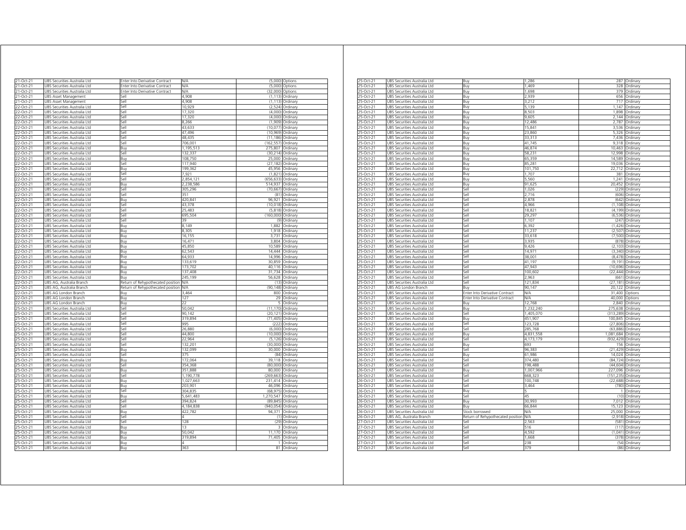| 21-Oct-21              | UBS Securities Australia Ltd                                                 | Enter Into Derivative Contract    | N/A                | (5,000)            | Options              |
|------------------------|------------------------------------------------------------------------------|-----------------------------------|--------------------|--------------------|----------------------|
| $21-Oct-21$            | <b>JBS Securities Australia Ltd</b>                                          | Enter Into Derivative Contract    | N/A                | (5.000)            | Options              |
| 21-Oct-21              | JBS Securities Australia Ltd                                                 | Enter Into Derivative Contract    | NΑ                 | (32,000)           | Options              |
| 21-Oct-21              | UBS Asset Management<br>Sell                                                 |                                   | 4.908<br>4.908     | (1, 113)           | Ordinary             |
| 21-Oct-21              | UBS Asset Management<br>Sell                                                 |                                   | 10,929             | (1.113)<br>(2,524) | Ordinary             |
| 22-Oct-21<br>2-Oct-21  | UBS Securities Australia Ltd<br>Sell<br>UBS Securities Australia Ltd<br>sell |                                   | 17,320             | (4,000)            | Ordinary<br>Ordinarv |
| 22-Oct-21              | JBS Securities Australia Ltd<br>Sell                                         |                                   | 17,320             | (4,000)            | Ordinary             |
| 2-Oct-21               | iell<br>JBS Securities Australia Ltd                                         |                                   | 8,266              | (1,909)            | Ordinary             |
| 22-Oct-21              | UBS Securities Australia Ltd<br>sell                                         |                                   | 43,633             | (10, 077)          | Ordinary             |
| 2-Oct-21               | JBS Securities Australia Ltd<br>iell                                         |                                   | 47.496             | (10.969)           | Ordinary             |
| 2-Oct-21               | JBS Securities Australia Ltd<br>lle,                                         |                                   | 48,435             | (11, 186)          | Ordinary             |
| 22-Oct-21              | JBS Securities Australia Ltd<br>sell                                         |                                   | 706,001            | (162, 557)         | Ordinary             |
| 22-Oct-21              | JBS Securities Australia Ltd<br>Buy                                          |                                   | 1,195,513          | 275,807            | Ordinary             |
| 22-Oct-21              | JBS Securities Australia Ltd<br>Sell                                         |                                   | 132,337            | (30, 214)          | Ordinary             |
| 22-Oct-21              | UBS Securities Australia Ltd<br>Buv                                          |                                   | 108,750            | 25,000             | Ordinary             |
| 22-Oct-21              | UBS Securities Australia Ltd<br>Sell                                         |                                   | 117,940            | (27, 182)          | Ordinary             |
| 22-Oct-21              | UBS Securities Australia Ltd<br>Buy                                          |                                   | 199,362            | 45,956             | Ordinary             |
| 22-Oct-21              | UBS Securities Australia Ltd<br>Sell                                         |                                   | 7,921              | (1,821)            | Ordinary             |
| 22-Oct-21              | UBS Securities Australia Ltd<br>Sell                                         |                                   | 2,854,121          | (656, 633)         | Ordinary             |
| 22-Oct-21              | UBS Securities Australia Ltd<br>Buy                                          |                                   | 2,238,586          | 514,937            | Ordinary             |
| 22-Oct-21              | JBS Securities Australia Ltd<br>Sell                                         |                                   | 305,296            | (70, 667)          | Ordinary             |
| 22-Oct-21              | UBS Securities Australia Ltd<br>Sell                                         |                                   | 351                | (81)               | Ordinary             |
| 22-Oct-21              | JBS Securities Australia Ltd<br>Buy                                          |                                   | 420,841            | 96,921             | Ordinary             |
| 22-Oct-21              | UBS Securities Australia Ltd<br>Sell                                         |                                   | 43.378             | (10.018)           | Ordinary             |
| 22-Oct-21              | JBS Securities Australia Ltd<br>Sell                                         |                                   | 25.483             | (5, 818)           | Ordinary             |
| 22-Oct-21              | JBS Securities Australia Ltd<br>Sell                                         |                                   | 695,504<br>39      | (160,000)          | Ordinary             |
| 22-Oct-21              | UBS Securities Australia Ltd<br>Sell                                         |                                   |                    | (9)                | Ordinary             |
| 22-Oct-21              | UBS Securities Australia Ltd<br>Buy                                          |                                   | 8,149              | 1,882              | Ordinary             |
| 22-Oct-21<br>22-Oct-21 | UBS Securities Australia Ltd<br>Buy                                          |                                   | 8,305              | 1,918<br>3,731     | Ordinary<br>Ordinary |
| 22-Oct-21              | UBS Securities Australia Ltd<br>Buy<br>JBS Securities Australia Ltd<br>Buy   |                                   | 16,155<br>16,471   | 3,804              | Ordinary             |
| 2-Oct-21               | JBS Securities Australia Ltd<br>Buv                                          |                                   | 45,850             | 10,589             | Ordinary             |
| 22-Oct-21              | JBS Securities Australia Ltd<br>Buy                                          |                                   | 62,543             | 14,444             | Ordinary             |
| 22-Oct-21              | JBS Securities Australia Ltd<br>Buy                                          |                                   | 64.933             | 14.996             | Ordinary             |
| 22-Oct-21              | JBS Securities Australia Ltd<br>Buy                                          |                                   | 133,619            | 30,859             | Ordinary             |
| 22-Oct-21              | <b>JBS Securities Australia Ltd</b><br>Buy                                   |                                   | 173.702            | 40.116             | Ordinary             |
| 22-Oct-21              | JBS Securities Australia Ltd<br>Buy                                          |                                   | 137,408            | 31,734             | Ordinary             |
| 22-Oct-21              | UBS Securities Australia Ltd<br>Buy                                          |                                   | 245,199            | 56,628             | Ordinary             |
| 22-Oct-21              | JBS AG, Australia Branch                                                     | Return of Rehypothecated position | N/A                | (13)               | Ordinary             |
| 22-Oct-21              | UBS AG, Australia Branch                                                     | Return of Rehypothecated position | <b>N/A</b>         | (90, 148)          | Ordinary             |
| 22-Oct-21              | UBS AG London Branch<br>Buy                                                  |                                   | 3,464              | 800                | Ordinary             |
| 22-Oct-21              | UBS AG London Branch<br>Buy                                                  |                                   | 127                | 29                 | Ordinary             |
| 22-Oct-21              | UBS AG London Branch<br>Buy                                                  |                                   | 22                 | 5                  | Ordinary             |
| 25-Oct-21              | JBS Securities Australia Ltd<br>Sell                                         |                                   | 50.042             | (11170)            | Ordinary             |
| 25-Oct-21              | JBS Securities Australia Ltd<br>Sell                                         |                                   | 90,142             | (20, 121)          | Ordinary             |
| 25-Oct-21              | <b>JBS Securities Australia Ltd</b><br>Sell                                  |                                   | 319.894            | (71.405)           | Ordinan              |
| 25-Oct-21              | JBS Securities Australia Ltd<br>Sell                                         |                                   | 995                | (222)              | Ordinary             |
| 25-Oct-21              | UBS Securities Australia Ltd<br>Sell                                         |                                   | 26.880             | (6.000)            | Ordinan              |
| 25-Oct-21              | Sell<br>JBS Securities Australia Ltd                                         |                                   | 44.800             | (10,000)           | Ordinary             |
| 25-Oct-21              | JBS Securities Australia Ltd<br>Sell                                         |                                   | 22,964             | (5, 126)           | Ordinary             |
| 25-Oct-21              | UBS Securities Australia Ltd<br>Sell                                         |                                   | 132.201            | (30,000)           | Ordinary             |
| 25-Oct-21              | UBS Securities Australia Ltd<br>Buy                                          |                                   | 132,099            | 30,000             | Ordinary             |
| 25-Oct-21              | UBS Securities Australia Ltd<br>Sell                                         |                                   | 375                | (84)               | Ordinary             |
| 25-Oct-21<br>25-Oct-21 | JBS Securities Australia Ltd<br>Buy                                          |                                   | 172,064            | 39,118<br>(80,000) | Ordinary             |
| 25-Oct-21              | JBS Securities Australia Ltd<br>iell<br>JBS Securities Australia Ltd<br>Buv  |                                   | 354,368<br>351,888 | 80,000             | Ordinary<br>Ordinary |
| 25-Oct-21              | JBS Securities Australia Ltd<br>sell                                         |                                   | 1,190,778          | (269, 663)         | Ordinary             |
| 25-Oct-21              | JBS Securities Australia Ltd<br>Buy                                          |                                   | 1,027,663          | 231,414            | Ordinary             |
| 25-Oct-21              | JBS Securities Australia Ltd<br>Buy                                          |                                   | 203,901            | 46,096             | Ordinary             |
| 25-Oct-21              | iell<br>JBS Securities Australia Ltd                                         |                                   | 304,835            | (68, 975)          | Ordinary             |
| 25-Oct-21              | JBS Securities Australia Ltd<br>Buy                                          |                                   | 5,641,483          | 1,270,547          | Ordinary             |
| 25-Oct-21              | UBS Securities Australia Ltd<br>Sell                                         |                                   | 394,824            | (89, 845)          | Ordinary             |
| 25-Oct-21              | UBS Securities Australia Ltd<br>Sell                                         |                                   | 4,184,838          | (940, 054)         | Ordinary             |
| 25-Oct-21              | UBS Securities Australia Ltd<br>Buy                                          |                                   | 422,782            | 94,371             | Ordinary             |
| 25-Oct-21              | UBS Securities Australia Ltd<br>Sell                                         |                                   | Δ                  |                    | (1) Ordinary         |
| 25-Oct-21              | UBS Securities Australia Ltd<br>Sell                                         |                                   | 128                | (29)               | Ordinary             |
| 25-Oct-21              | UBS Securities Australia Ltd<br>Buy                                          |                                   | 13                 | 3                  | Ordinary             |
|                        | JBS Securities Australia Ltd<br>Buy                                          |                                   | 50.042             | 11,170             | Ordinary             |
| 25-Oct-21              |                                                                              |                                   |                    |                    |                      |
| 25-Oct-21              | UBS Securities Australia Ltd<br>Buv                                          |                                   | 319.894            | 71.405             | Ordinary             |
| 25-Oct-21<br>25-Oct-21 | JBS Securities Australia Ltd<br>Buy<br>UBS Securities Australia Ltd          |                                   | Δ<br>363           | 1<br>81            | Ordinary<br>Ordinary |

| 25-Oct-21       | UBS Securities Australia Ltd | Buy                               | 1,286      | 287        | Ordinary       |
|-----------------|------------------------------|-----------------------------------|------------|------------|----------------|
| 25-Oct-21       | UBS Securities Australia Ltd | Buy                               | 1.469      | 328        | Ordinary       |
| 25-Oct-21       | UBS Securities Australia Ltd | Buy                               | 1,698      | 379        | Ordinary       |
| 25-Oct-21       | UBS Securities Australia Ltd | Buy                               | 2,939      | 656        | Ordinary       |
| 25-Oct-21       | UBS Securities Australia Ltd | Buy                               | 3,212      | 717        | Ordinary       |
| 25-Oct-21       | UBS Securities Australia Ltd | Buy                               | 5,139      | 1.147      | Ordinary       |
| 25-Oct-21       | UBS Securities Australia Ltd | Buy                               | 8,503      | 1,898      | Ordinary       |
| 25-Oct-21       | UBS Securities Australia Ltd | Buy                               | 9,605      | 2,144      | Ordinary       |
| 25-Oct-21       | UBS Securities Australia Ltd | Buy                               | 12.486     | 2,787      | Ordinary       |
| $25 - Oct - 21$ | UBS Securities Australia Ltd | Buy                               | 15,841     | 3,536      | Ordinary       |
| 25-Oct-21       | UBS Securities Australia Ltd | Buy                               | 23,860     | 5,326      | Ordinary       |
| 25-Oct-21       | UBS Securities Australia Ltd | Buy                               | 33,313     | 7,436      | Ordinary       |
| 25-Oct-21       | UBS Securities Australia Ltd | 3uy                               | 41.745     | 9.318      | Ordinary       |
| 25-Oct-21       | UBS Securities Australia Ltd | Buy                               | 46,874     | 10,463     | Ordinary       |
| 25-Oct-21       | UBS Securities Australia Ltd | Buy                               | 58,231     | 12,998     | Ordinary       |
| 25-Oct-21       | UBS Securities Australia Ltd | Buy                               | 65,359     | 14,589     | Ordinary       |
| 25-Oct-21       | UBS Securities Australia Ltd | Buy                               | 85,281     | 19,036     | Ordinary       |
| 25-Oct-21       | UBS Securities Australia Ltd | Buy                               | 101,750    | 22,712     | Ordinary       |
| 25-Oct-21       | UBS Securities Australia Ltd | Buv                               | 1,707      | 381        | Ordinary       |
|                 |                              |                                   |            |            |                |
| 25-Oct-21       | UBS Securities Australia Ltd | Buy                               | 5,560      | 1.241      | Ordinary       |
| 25-Oct-21       | UBS Securities Australia Ltd | Buy                               | 91,625     | 20,452     | Ordinary       |
| 25-Oct-21       | UBS Securities Australia Ltd | Sell                              | 1,026      | (229)      | Ordinary       |
| 25-Oct-21       | UBS Securities Australia Ltd | Sell                              | 2,716      | (606)      | Ordinary       |
| 25-Oct-21       | UBS Securities Australia Ltd | Sell                              | 2,878      | (642)      | Ordinary       |
| 25-Oct-21       | UBS Securities Australia Ltd | iell                              | 4,966      | (1, 108)   | Ordinary       |
| 25-Oct-21       | UBS Securities Australia Ltd | sell                              | 18,821     | (4, 199)   | Ordinary       |
| 25-Oct-21       | UBS Securities Australia Ltd | Sell                              | 29,297     | (6, 536)   | Ordinary       |
| 25-Oct-21       | UBS Securities Australia Ltd | Sell                              | 1,107      | (247)      | Ordinary       |
| 25-Oct-21       | UBS Securities Australia Ltd | Sell                              | 6,392      | (1,426)    | Ordinary       |
| 25-Oct-21       | UBS Securities Australia Ltd | Sell                              | 11,237     | (2, 507)   | Ordinary       |
| 25-Oct-21       | UBS Securities Australia Ltd | Sell                              | 33,618     | (7,500)    | Ordinary       |
| 25-Oct-21       | UBS Securities Australia Ltd | Sell                              | 3,935      | (878)      | Ordinary       |
| 25-Oct-21       | UBS Securities Australia Ltd | ۱le،                              | 9,426      | (2, 103)   | Ordinary       |
| 25-Oct-21       | UBS Securities Australia Ltd | Sell                              | 14,971     | (3, 340)   | Ordinary       |
| 25-Oct-21       | UBS Securities Australia Ltd | Sell                              | 38,001     | (8, 478)   | Ordinary       |
| 25-Oct-21       | UBS Securities Australia Ltd | Sell                              | 41,197     | (9, 191)   | Ordinary       |
| 25-Oct-21       | UBS Securities Australia Ltd | $=$                               | 47,943     | (10, 696)  | Ordinary       |
| 25-Oct-21       | UBS Securities Australia Ltd | iell                              | 100.602    | (22.444)   | Ordinary       |
| 25-Oct-21       | UBS Securities Australia Ltd | sell                              | 2,963      | (661)      | Ordinary       |
| 25-Oct-21       | UBS Securities Australia Ltd | sell                              | 121,834    | (27, 181)  |                |
|                 |                              |                                   |            |            | Ordinary       |
| 25-Oct-21       | UBS AG London Branch         | Buv                               | 90,147     | 20,122     | Ordinary       |
| 25-Oct-21       | UBS Securities Australia Ltd | Enter Into Derivative Contract    | NΛ         |            | 31,400 Options |
| 25-Oct-21       | UBS Securities Australia Ltd | Enter Into Derivative Contract    | <b>N/A</b> | 40,000     | Options        |
| 26-Oct-21       | UBS Securities Australia Ltd | Buy                               | 12,768     | 2,840      | Ordinary       |
| 26-Oct-21       | UBS Securities Australia Ltd | Buy                               | 1,232,240  | 275,638    | Ordinary       |
| 26-Oct-21       | UBS Securities Australia Ltd | Sell                              | 1,405,070  | (313, 289) | Ordinary       |
| 26-Oct-21       | UBS Securities Australia Ltd | Buy                               | 451,907    | 100,845    | Ordinary       |
| 26-Oct-21       | UBS Securities Australia Ltd | Sell                              | 123,728    | (27, 806)  | Ordinary       |
| 26-Oct-21       | UBS Securities Australia Ltd | Sell                              | 285,768    | (63, 886)  | Ordinary       |
| 26-Oct-21       | UBS Securities Australia Ltd | 3uy                               | 4,831,558  | 1,081,684  | Ordinary       |
| 26-Oct-21       | UBS Securities Australia Ltd | sell                              | 4,173,179  | (932, 429) | Ordinary       |
| 26-Oct-21       | UBS Securities Australia Ltd | Buy                               | 693        | 156        | Ordinary       |
| 26-Oct-21       | UBS Securities Australia Ltd | Sell                              | 96,383     | (21, 429)  | Ordinary       |
| 26-Oct-21       | UBS Securities Australia Ltd | Buy                               | 61,986     | 14,024     | Ordinary       |
| 26-Oct-21       | UBS Securities Australia Ltd | Sell                              | 374,480    | (84, 724)  | Ordinary       |
| 26-Oct-21       | UBS Securities Australia Ltd | Sell                              | 198,488    | (44, 604)  | Ordinary       |
| 26-Oct-21       | UBS Securities Australia Ltd | Buy                               | 1,007,966  | 227,096    | Ordinary       |
| 26-Oct-21       | UBS Securities Australia Ltd | sell                              | 668,323    | (151, 235) | Ordinary       |
| 26-Oct-21       | UBS Securities Australia Ltd | Sell                              | 100,748    | (22, 688)  | Ordinary       |
| 26-Oct-21       | UBS Securities Australia Ltd | Sell                              | 3,464      | (780)      | Ordinary       |
| 26-Oct-21       | UBS Securities Australia Ltd | Buy                               |            |            | Drdinary       |
| 26-Oct-21       | UBS Securities Australia Ltd | sell                              | 45         | (10)       | Ordinary       |
| 26-Oct-21       | UBS Securities Australia Ltd | 3uy                               | 30.993     | 7.012      | Ordinary       |
| 26-Oct-21       | UBS Securities Australia Ltd | Buy                               | 66.844     | 15.123     | Ordinary       |
|                 |                              |                                   | VA         |            |                |
| 26-Oct-21       | UBS Securities Australia Ltd | Stock borrowed                    |            | 25,000     | Ordinary       |
| 26-Oct-21       | UBS AG, Australia Branch     | Return of Rehypothecated position | <b>N/A</b> | (2,918)    | Ordinary       |
| 27-Oct-21       | UBS Securities Australia Ltd | Sell                              | 2,563      |            | (581) Ordinary |
| 27-Oct-21       | UBS Securities Australia Ltd | Sell                              | 516        | (117)      | Ordinary       |
| 27-Oct-21       | UBS Securities Australia Ltd | Sell                              | 4,592      | (1,041)    | Ordinary       |
| 27-Oct-21       | UBS Securities Australia Ltd | Sell                              | 1,668      | (378)      | Ordinary       |
| 27-Oct-21       | UBS Securities Australia Ltd | sell                              | 238        | (54)       | Ordinary       |
| 27-Oct-21       | UBS Securities Australia Ltd | ا∣م:ّ                             | 379        | (86)       | Ordinary       |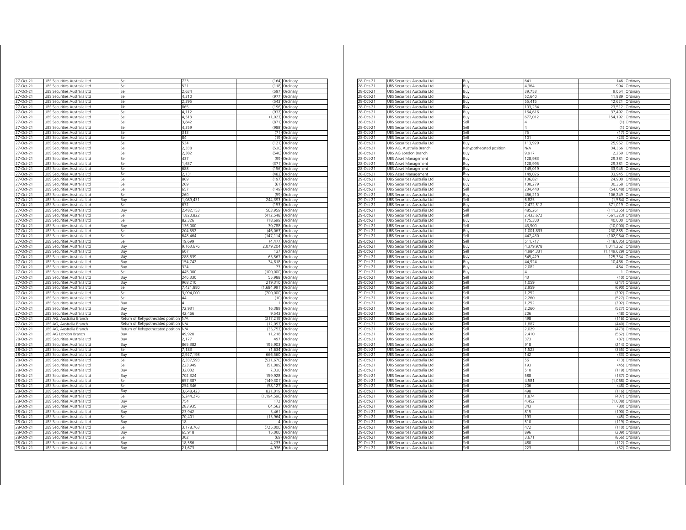| 27-Oct-21              | UBS Securities Australia Ltd                                 | sell                              | 723            | (164)                | Ordinary             |
|------------------------|--------------------------------------------------------------|-----------------------------------|----------------|----------------------|----------------------|
| 7-Oct-21               | UBS Securities Australia Ltd                                 | iell                              | 521            | (118)                | Ordinary             |
| 27-Oct-21              | JBS Securities Australia Ltd                                 | lle,                              | 2,634          | (597                 | Ordinary             |
| 27-Oct-21              | JBS Securities Australia Ltd                                 | ile?                              | 4.310          | (977)                | Ordinary             |
| 27-Oct-21              | JBS Securities Australia Ltd                                 | <b>Sell</b>                       | 2,395          | (543)                | Ordinary             |
| 27-Oct-21              | UBS Securities Australia Ltd                                 | <b>Sell</b>                       | 865            | (196)                | Ordinary             |
| 27-Oct-21              | UBS Securities Australia Ltd                                 | Sell                              | 4,112          | (932)                | Ordinary             |
| 27-Oct-21              | UBS Securities Australia Ltd                                 | Sell                              | 4,513          | (1,023)              | Ordinary             |
| 27-Oct-21              | UBS Securities Australia Ltd                                 | Sell                              | 3,842          | (871)                | Ordinary             |
| 27-Oct-21              | UBS Securities Australia Ltd                                 | Sell                              | 4,359          | (988)                | Ordinary             |
| 27-Oct-21              | UBS Securities Australia Ltd                                 | Sell                              | 313            | (71)                 | Ordinary             |
| 27-Oct-21              | UBS Securities Australia Ltd                                 | Sell                              | 84             |                      | (19) Ordinary        |
| 27-Oct-21              | UBS Securities Australia Ltd                                 | Sell                              | 534            |                      | (121) Ordinary       |
| 27-Oct-21<br>27-Oct-21 | UBS Securities Australia Ltd                                 | Sell<br>Sell                      | 2,338<br>2.382 | (530)<br>(540)       | Ordinary             |
| 27-Oct-21              | UBS Securities Australia Ltd<br>UBS Securities Australia Ltd | Sell                              | 437            | (99)                 | Ordinary<br>Ordinary |
| 27-Oct-21              | UBS Securities Australia Ltd                                 | Sell                              | 1,637          | (371)                | Ordinary             |
| 27-Oct-21              | UBS Securities Australia Ltd                                 | Sell                              | 688            | (156)                | Ordinary             |
| 27-Oct-21              |                                                              | Sell                              | 2,131          | (483)                |                      |
| 27-Oct-21              | UBS Securities Australia Ltd                                 | Sell                              | 869            | (197)                | Ordinary             |
|                        | UBS Securities Australia Ltd                                 | Sell                              | 269            | (61)                 | Ordinary             |
| 27-Oct-21<br>27-Oct-21 | UBS Securities Australia Ltd<br>UBS Securities Australia Ltd | Sell                              | 657            | (149)                | Ordinary<br>Ordinary |
| 27-Oct-21              | UBS Securities Australia Ltd                                 | Sell                              | 260            | (59)                 | Ordinary             |
| 27-Oct-21              | UBS Securities Australia Ltd                                 | Buy                               | 1,089,431      | 244,393              | Ordinary             |
| 27-Oct-21              | UBS Securities Australia Ltd                                 | Sell                              | 672            | (153)                | Ordinary             |
| 27-Oct-21              | UBS Securities Australia Ltd                                 | Buy                               | 2,482,153      | 563,959              | Ordinary             |
| 27-Oct-21              | UBS Securities Australia Ltd                                 | sell                              | 1,820,822      | (412, 548)           | Ordinary             |
| 7-Oct-21               | UBS Securities Australia Ltd                                 | sell                              | 82,326         | (18, 699)            | Ordinary             |
| 27-Oct-21              | UBS Securities Australia Ltd                                 | Buv                               | 136,000        | 30,788               | Ordinary             |
| 27-Oct-21              | JBS Securities Australia Ltd                                 | Sell                              | 204,552        | (46, 063)            | Ordinary             |
| 27-Oct-21              | JBS Securities Australia Ltd                                 | Sell                              | 648.464        | (147, 114)           | Ordinary             |
| 27-Oct-21              | UBS Securities Australia Ltd                                 | Sell                              | 19,699         | (4, 477)             | Ordinary             |
| 27-Oct-21              | UBS Securities Australia Ltd                                 | Buy                               | 9,163,676      | 2,079,204            | Ordinary             |
| 27-Oct-21              | UBS Securities Australia Ltd                                 | Buy                               | 607            | 137                  | Ordinary             |
| 27-Oct-21              | UBS Securities Australia Ltd                                 | Buy                               | 288,639        | 65,567               | Ordinary             |
| 27-Oct-21              | UBS Securities Australia Ltd                                 | Buy                               | 154,742        | 34,818               | Ordinary             |
| 27-Oct-21              | UBS Securities Australia Ltd                                 | Buy                               | 324            | 73                   | Ordinary             |
| 27-Oct-21              | UBS Securities Australia Ltd                                 | Sell                              | 445,000        | (100,000) Ordinary   |                      |
| 27-Oct-21              | UBS Securities Australia Ltd                                 | Buy                               | 246,330        | 55,988               | Ordinary             |
| 27-Oct-21              | UBS Securities Australia Ltd                                 | Buy                               | 968,210        | 219,310              | Ordinary             |
| 27-Oct-21              | UBS Securities Australia Ltd                                 | Sell                              | 7,421,880      | (1,684,991) Ordinary |                      |
| 27-Oct-21              | UBS Securities Australia Ltd                                 | Sell                              | 3,094,000      | (700,000)            | Ordinary             |
| 27-Oct-21              | UBS Securities Australia Ltd                                 | Sell                              | 44             | (10)                 | Ordinary             |
| 27-Oct-21              | JBS Securities Australia Ltd                                 | Buv                               |                |                      | Ordinan              |
| 27-Oct-21              | JBS Securities Australia Ltd                                 | Buv                               | 72,931         | 16,389               | Ordinary             |
| 27-Oct-21              | UBS Securities Australia Ltd                                 | Buy                               | 42,466         | 9,543                | Ordinary             |
| 27-Oct-21              | UBS AG, Australia Branch                                     | Return of Rehypothecated position | N/A            | (317, 219)           | Ordinary             |
| 27-Oct-21              | UBS AG, Australia Branch                                     | Return of Rehypothecated position | N/A            | (12, 093)            | Ordinary             |
| 27-Oct-21              | UBS AG, Australia Branch                                     | Return of Rehypothecated position | <b>N/A</b>     | (35, 753)            | Ordinary             |
| 27-Oct-21              | UBS AG London Branch                                         | Buy                               | 49,920         | 11,218               | Ordinary             |
| 28-Oct-21              | UBS Securities Australia Ltd                                 | Buy                               | 2,177          | 497                  | Ordinary             |
| 28-Oct-21              | UBS Securities Australia Ltd                                 | Buy                               | 865,382        | 195,903              | Ordinary             |
| 28-Oct-21              | UBS Securities Australia Ltd                                 | sell                              | 7,183          | (1,634)              | Ordinary             |
| 28-Oct-21              | UBS Securities Australia Ltd                                 | Βuγ                               | 2.927.198      | 666.560              | Ordinary             |
| 8-Oct-21               | JBS Securities Australia Ltd                                 | ile?                              | 2.337.593      | (531, 670)           | Ordinary             |
| 28-Oct-21              | JBS Securities Australia Ltd                                 | sell                              | 223,949        | (51,089)             | Ordinary             |
| 28-Oct-21              | JBS Securities Australia Ltd                                 | Ruv                               | 32.032         | 7.330                | Ordinary             |
| 28-Oct-21              | JBS Securities Australia Ltd                                 | Buy                               | 702,324        | 159,928              | Ordinary             |
| 28-Oct-21              | UBS Securities Australia Ltd                                 | Sell                              | 657,387        | (149, 301)           | Ordinary             |
| 28-Oct-21              | UBS Securities Australia Ltd                                 | Sell                              | 254,346        | (58, 127)            | Ordinary             |
| 28-Oct-21              | UBS Securities Australia Ltd                                 | Buy                               | 3,648,423      | 831,019              | Ordinary             |
| 28-Oct-21              | UBS Securities Australia Ltd                                 | Sell                              | 5,244,276      | (1, 194, 596)        | Ordinary             |
| $28$ -Oct-21           | UBS Securities Australia Ltd                                 | Buy                               | 754            | 172                  | Ordinary             |
| 28-Oct-21              | UBS Securities Australia Ltd                                 | Buy                               | 283,935        | 64,563               | Ordinary             |
| 28-Oct-21              | UBS Securities Australia Ltd                                 | Buy                               | 23,942         | 5,461                | Ordinary             |
| 28-Oct-21              | UBS Securities Australia Ltd                                 | Sell                              | 70,401         | (15, 964)            | Ordinary             |
| 28-Oct-21              | UBS Securities Australia Ltd                                 | Buy                               | 18             | $\overline{4}$       | Ordinary             |
| 28-Oct-21              | UBS Securities Australia Ltd                                 | Sell                              | 3,178,763      | (725,000)            | Ordinan              |
| 28-Oct-21              | UBS Securities Australia Ltd                                 | Buy                               | 65,918         | 15,000               | Ordinary             |
| 28-Oct-21              | JBS Securities Australia Ltd                                 | Sell                              | 302            | (69)                 | Ordinary             |
| 28-Oct-21              | UBS Securities Australia Ltd                                 | Buy                               | 18,586         | 4,233                | Ordinary             |
| 28-Oct-21              | UBS Securities Australia Ltd                                 | Buy                               | 21,673         | 4,936                | Ordinary             |
|                        |                                                              |                                   |                |                      |                      |

| 28-Oct-21      | UBS Securities Australia Ltd | Buy                     | 641       |                  | 146 Ordinary         |
|----------------|------------------------------|-------------------------|-----------|------------------|----------------------|
| 28-Oct-21      | UBS Securities Australia Ltd | Buy                     | 4.364     | QQ               | Ordinary             |
| 28-Oct-21      | UBS Securities Australia Ltd | Buy                     | 39,753    |                  | 9,054 Ordinary       |
| 28-Oct-21      | UBS Securities Australia Ltd | Buy                     | 52,640    | 11,989           | Ordinary             |
| 28-Oct-21      | UBS Securities Australia Ltd | Buy                     | 55.415    | 12,621           | Ordinary             |
| 28-Oct-21      | UBS Securities Australia Ltd | Buy                     | 103,234   | 23,512           | Ordinary             |
| 28-Oct-21      | UBS Securities Australia Ltd | Buy                     | 164,616   | 37,492           | Ordinary             |
| 28-Oct-21      | UBS Securities Australia Ltd | Buy                     | 677,012   | 154,192          | Ordinary             |
| 28-Oct-21      | UBS Securities Australia Ltd | Sell                    |           | (1)              | Ordinary             |
| 28-Oct-21      | UBS Securities Australia Ltd | Sell                    | Λ         | (1)              | Ordinary             |
| 28-Oct-21      | UBS Securities Australia Ltd | Sell                    | 75        |                  | (17) Ordinary        |
| 28-Oct-21      | JBS Securities Australia Ltd | sell                    | 101       | (23)             | Ordinary             |
| 28-Oct-21      | UBS Securities Australia Ltd | 3uy                     | 113,929   | 25,952           | Ordinary             |
| 28-Oct-21      | UBS AG, Australia Branch     | Rehypothecated position | N/A       | 34.366           | Ordinary             |
| 28-Oct-21      | UBS AG London Branch         | 3uy                     | 9.917     | 2,259            | Ordinary             |
| 28-Oct-21      | UBS Asset Management         | Buy                     | 128,983   | 29,381           | Ordinary             |
| 28-Oct-21      | <b>UBS Asset Management</b>  | Buy                     | 128,995   |                  | 29,381 Ordinary      |
| 28-Oct-21      | UBS Asset Management         | Buy                     | 149,019   | 33,945           | Ordinary             |
| 28-Oct-21      | UBS Asset Management         | Buy                     | 149,026   | 33,945           | Ordinary             |
| 29-Oct-21      | UBS Securities Australia Ltd | Buy                     | 106.821   | 24.900           | Ordinary             |
| 29-Oct-21      | JBS Securities Australia Ltd | 3uy                     | 130,279   | 30,368           | Ordinary             |
| 29-Oct-21      | UBS Securities Australia Ltd | Sell                    | 234,440   | (54, 648)        | Ordinary             |
| 29-Oct-21      | UBS Securities Australia Ltd | Buy                     | 466,210   | 106,249          | Ordinary             |
| 29-Oct-21      | UBS Securities Australia Ltd | Sell                    | 6,825     | (1, 564)         | Ordinary             |
| 29-Oct-21      | UBS Securities Australia Ltd | Buy                     | 2,472,512 | 571,019 Ordinary |                      |
| 29-Oct-21      | UBS Securities Australia Ltd | Sell                    | 485.261   | (111.255)        | Ordinary             |
| 29-Oct-21      | UBS Securities Australia Ltd | Sell                    | 2,433,672 | (561, 323)       | Ordinary             |
| 29-Oct-21      | UBS Securities Australia Ltd | Buy                     | 175,300   | 40,000           | Ordinary             |
| 29-Oct-21      | UBS Securities Australia Ltd | Sell                    | 43.900    | (10,000)         | Ordinary             |
| 29-Oct-21      | UBS Securities Australia Ltd | Buy                     | 1,001,833 | 230,885 Ordinary |                      |
| 29-Oct-21      | UBS Securities Australia Ltd | Sell                    | 447,430   | (102, 964)       | Ordinary             |
| 29-Oct-21      | UBS Securities Australia Ltd | Sell                    | 511 717   | (118.035)        | Ordinary             |
| 29-Oct-21      | UBS Securities Australia Ltd | Buy                     | 4,379,978 | 1,011,262        | Ordinary             |
| 29-Oct-21      | UBS Securities Australia Ltd | Sell                    | 4.984.331 | (1, 149, 629)    | Ordinary             |
| $29 - 0r + 21$ | UBS Securities Australia Ltd | Buv                     | 545 429   | 125 334          | Ordinan              |
| 29-Oct-21      | UBS Securities Australia Ltd | 3uy                     | 44,924    | 10,466           | Ordinary             |
| 29-Oct-21      | UBS Securities Australia Ltd | Buy                     | 2,082     | 484              | Ordinary             |
| 29-Oct-21      | UBS Securities Australia Ltd | Buy                     | Δ         | 1                | Ordinary             |
| 29-Oct-21      | JBS Securities Australia Ltd | Sell                    | 43        | (10)             |                      |
| 29-Oct-21      | UBS Securities Australia Ltd | sell                    | 1.059     | (247)            | Ordinary<br>Ordinary |
| 29-Oct-21      | UBS Securities Australia Ltd | Sell                    | 2.959     | (690)            | Ordinary             |
|                |                              | Sell                    | 1,252     | (292)            |                      |
| 29-Oct-21      | UBS Securities Australia Ltd | اام؟                    | 2260      |                  | Ordinary             |
| 29-Oct-21      | UBS Securities Australia Ltd |                         |           | (527)            | Ordinary             |
| 29-Oct-21      | UBS Securities Australia Ltd | Sell                    | 1,252     |                  | (292) Ordinary       |
| 29-Oct-21      | UBS Securities Australia Ltd | Sell                    | 2,260     |                  | (527) Ordinary       |
| 29-Oct-21      | UBS Securities Australia Ltd | Sell                    | 206       |                  | (48) Ordinary        |
| 29-Oct-21      | UBS Securities Australia Ltd | Sell                    | 498       |                  | (116) Ordinary       |
| 29-Oct-21      | JBS Securities Australia Ltd | Sell                    | 1,88      | (440)            | Ordinary             |
| 29-Oct-21      | UBS Securities Australia Ltd | Sell                    | 2.029     | (473)            | Ordinary             |
| 29-Oct-21      | UBS Securities Australia Ltd | Sell                    | 2.410     | (562)            | Ordinary             |
| 29-Oct-21      | UBS Securities Australia Ltd | Sell                    | 373       | (87)             | Ordinary             |
| 29-Oct-21      | UBS Securities Australia Ltd | Sell                    | 918       |                  | (214) Ordinary       |
| 29-Oct-21      | UBS Securities Australia Ltd | sell                    | 1.523     | (355)            | Ordinary             |
| 29-Oct-21      | UBS Securities Australia Ltd | Sell                    | 142       | (33)             | Ordinary             |
| 29-Oct-21      | UBS Securities Australia Ltd | Sell                    | 56        | (13)             | Ordinary             |
| 29-Oct-21      | UBS Securities Australia Ltd | Sell                    | 193       | (45)             | Ordinary             |
| 29-Oct-21      | UBS Securities Australia Ltd | <b>Sell</b>             | 510       |                  | (119) Ordinary       |
| 29-Oct-21      | UBS Securities Australia Ltd | Sell                    | 588       |                  | (137) Ordinary       |
| 29-Oct-21      | UBS Securities Australia Ltd | Sell                    | 4.581     |                  | (1,068) Ordinary     |
| 29-Oct-21      | UBS Securities Australia Ltd | Sell                    | 206       | (48)             | Ordinary             |
| 29-Oct-21      | UBS Securities Australia Ltd | Sell                    | 498       | (116)            | Ordinary             |
| 29-Oct-21      | UBS Securities Australia Ltd | Sell                    | 1.874     | (437)            | Ordinary             |
| 29-Oct-21      | JBS Securities Australia Ltd | Sell                    | 4.452     | (1.038)          | Ordinary             |
| 29-Oct-21      | UBS Securities Australia Ltd | Sell                    | 343       | (80)             | Ordinan              |
| 29-Oct-21      | UBS Securities Australia Ltd | Sell                    | 815       | (190)            | Ordinary             |
| 29-Oct-21      | JBS Securities Australia Ltd | sell                    | 193       | (45)             | Ordinary             |
| 9-0ct-21       | UBS Securities Australia Ltd | sell                    | 510       | (119)            | Ordinary             |
| 29-Oct-21      | UBS Securities Australia Ltd | Sell                    | 472       | (110)            | Ordinary             |
| 29-Oct-21      | UBS Securities Australia Ltd | Sell                    | 896       | (209)            | Ordinary             |
| 29-Oct-21      | UBS Securities Australia Ltd | اام؟                    | 3.671     | (856)            | Ordinary             |
| 29-Oct-21      | UBS Securities Australia Ltd | Sell                    | 480       |                  | $(112)$ Ordinary     |
| 29-Oct-21      | UBS Securities Australia Ltd | Sell                    | 223       |                  | (52) Ordinary        |
|                |                              |                         |           |                  |                      |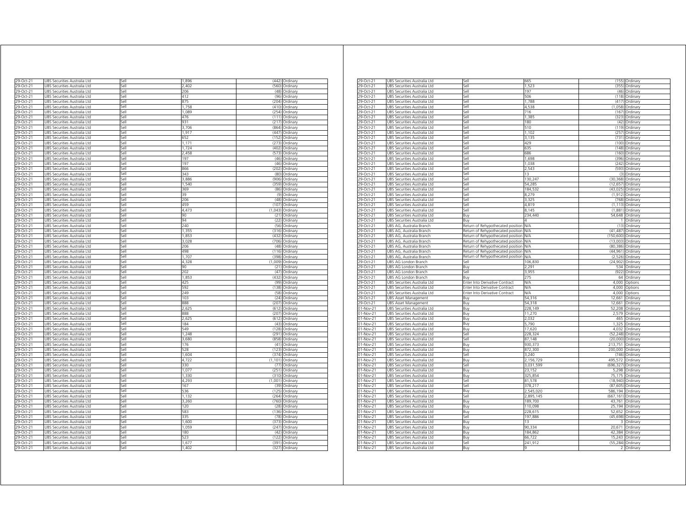| 29-Oct-21              | UBS Securities Australia Ltd                                           | sell         | 1,896          | (442)          | Ordinary                   |
|------------------------|------------------------------------------------------------------------|--------------|----------------|----------------|----------------------------|
| 29-Oct-21              | JBS Securities Australia Ltd                                           | iell         | 2 402          | (560)          | Ordinary                   |
| 29-Oct-21              | UBS Securities Australia Ltd                                           | Sell         | 206            | (48)           | Ordinary                   |
| 29-Oct-21              | UBS Securities Australia Ltd                                           | Sell         | 412            |                | (96) Ordinary              |
| 29-Oct-21              | UBS Securities Australia Ltd                                           | Sell         | 875            |                | (204) Ordinary             |
| 29-Oct-21              | UBS Securities Australia Ltd                                           | Sell         | 1,758          |                | (410) Ordinary             |
| 29-Oct-21              | UBS Securities Australia Ltd                                           | Sell         | 1,089          |                | (254) Ordinary             |
| 29-Oct-21              | JBS Securities Australia Ltd                                           | Sell         | 476            |                | (111) Ordinary             |
| 29-Oct-21<br>29-Oct-21 | JBS Securities Australia Ltd<br>JBS Securities Australia Ltd           | sell<br>Sell | 931<br>3.706   | (217)          | Ordinary                   |
| 29-Oct-21              | JBS Securities Australia Ltd                                           | sell         | 1,917          | (447)          | (864) Ordinary<br>Ordinary |
| 29-Oct-21              | JBS Securities Australia Ltd                                           | Sell         | 652            | (152)          | Ordinary                   |
| 29-Oct-21              | <b>JBS Securities Australia Ltd</b>                                    | Sell         | 1.171          | (273)          | Ordinary                   |
| 29-Oct-21              | JBS Securities Australia Ltd                                           | sell         | 1,724          | (402)          | Ordinary                   |
| 29-Oct-21              | JBS Securities Australia Ltd                                           | sell         | 2,458          | (573)          | Ordinary                   |
| 29-Oct-21              | JBS Securities Australia Ltd                                           | Sell         | 197            | (46)           | Ordinary                   |
| 29-Oct-21              | UBS Securities Australia Ltd                                           | Sell         | 197            | (46)           | Ordinary                   |
| 29-Oct-21              | UBS Securities Australia Ltd                                           | Sell         | 866            |                | (202) Ordinary             |
| 29-Oct-21              | UBS Securities Australia Ltd                                           | Sell         | 343            |                | (80) Ordinary              |
| 29-Oct-21              | JBS Securities Australia Ltd                                           | sell         | 3,886          | (906)          | Ordinary                   |
| 29-Oct-21              | JBS Securities Australia Ltd                                           | sell         | 1,540          | (359)          | Ordinary                   |
| 9-Oct-21               | JBS Securities Australia Ltd                                           | sell         | 369            | (86)           | Ordinary                   |
| 29-Oct-21              | JBS Securities Australia Ltd                                           | sell         | 39             | (9)            | Ordinary                   |
| 29-Oct-21              | JBS Securities Australia Ltd                                           | iell         | 206            | (48)           | Ordinary                   |
| 29-Oct-21              | JBS Securities Australia Ltd                                           | sell         | 459            | (107)          | Ordinary                   |
| 29-Oct-21              | JBS Securities Australia Ltd                                           | sell         | 4,473          | (1,043)        | Ordinary                   |
| 29-Oct-21              | JBS Securities Australia Ltd                                           | sell         | 90             | (21)           | Ordinary                   |
| 29-Oct-21              | JBS Securities Australia Ltd                                           | sell         | 94             | (22)           | Ordinary                   |
| 29-Oct-21              | JBS Securities Australia Ltd                                           | sell<br>iell | 240            | (56)           | Ordinary                   |
| 29-Oct-21<br>29-Oct-21 | JBS Securities Australia Ltd<br>UBS Securities Australia Ltd           | Sell         | 1,355<br>1,853 | (316)<br>(432) | Ordinary<br>Ordinary       |
| 29-Oct-21              | UBS Securities Australia Ltd                                           | Sell         | 3,028          |                | (706) Ordinary             |
| 29-Oct-21              | UBS Securities Australia Ltd                                           | Sell         | 206            |                | (48) Ordinary              |
| 29-Oct-21              | UBS Securities Australia Ltd                                           | Sell         | 498            |                | (116) Ordinary             |
| 29-Oct-21              | JBS Securities Australia Ltd                                           | Sell         | 1,707          |                | (398) Ordinary             |
| 29-Oct-21              | UBS Securities Australia Ltd                                           | Sell         | 4,328          |                | (1,009) Ordinary           |
| 29-Oct-21              | UBS Securities Australia Ltd                                           | Sell         | 90             |                | (21) Ordinary              |
| 29-Oct-21              | JBS Securities Australia Ltd                                           | Sell         | 202            | (47)           | Ordinary                   |
| 29-Oct-21              | JBS Securities Australia Ltd                                           | Sell         | 1,853          | (432)          | Ordinary                   |
| 29-Oct-21              | JBS Securities Australia Ltd                                           | Sell         | 425            | (99)           | Ordinary                   |
| 29-Oct-21              | JBS Securities Australia Ltd                                           | Sell         | 592            | (138)          | Ordinary                   |
| 29-Oct-21              | <b>JBS Securities Australia Ltd</b>                                    | sell         | 249            | (58)           | Ordinan                    |
| 29-Oct-21              | JBS Securities Australia Ltd                                           | sell         | 103            | (24)           | Ordinary                   |
| 29-Oct-21              | JBS Securities Australia Ltd                                           | Sell         | 888            | (207)          | Ordinary                   |
| 29-Oct-21              | JBS Securities Australia Ltd                                           | Sell         | 2,625          | (612)          | Ordinary                   |
| 29-Oct-21              | UBS Securities Australia Ltd                                           | Sell         | 888            | (207)          | Ordinary                   |
| 29-Oct-21              | UBS Securities Australia Ltd                                           | Sell<br>Sell | 2,625          |                | (612) Ordinary             |
| 29-Oct-21<br>29-Oct-21 | Securities Australia Ltd<br><b>JRS</b><br>UBS Securities Australia Ltd | Sell         | 184<br>549     | (43)<br>(128)  | Ordinan<br>Ordinary        |
| 29-Oct-21              | UBS Securities Australia Ltd                                           | sell         | 1,248          |                | (291) Ordinary             |
| 29-Oct-21              | JBS Securities Australia Ltd                                           | sell         | 3,680          | (858)          | Ordinary                   |
| 29-Oct-21              | JBS Securities Australia Ltd                                           | iell         | 176            | (41)           | Ordinary                   |
| 9-Oct-21               | JBS Securities Australia Ltd                                           | ۱۹i          | 528            | (123)          | Ordinary                   |
| 29-Oct-21              | JBS Securities Australia Ltd                                           | iell         | 1,604          | (374)          | Ordinary                   |
| 29-Oct-21              | JBS Securities Australia Ltd                                           | sell         | 4,722          | (1, 101)       | Ordinary                   |
| 29-Oct-21              | JBS Securities Australia Ltd                                           | sell         | 330            | (77)           | Ordinary                   |
| 29-Oct-21              | JBS Securities Australia Ltd                                           | iell         | 1,077          | (251)          | Ordinary                   |
| 29-Oct-21              | JBS Securities Australia Ltd                                           | sell         | 1,330          | (310)          | Ordinary                   |
| 29-Oct-21              | UBS Securities Australia Ltd                                           | iell         | 4,293          | (1,001)        | Ordinary                   |
| 29-Oct-21              | UBS Securities Australia Ltd                                           | Sell         | 167            | (39)           | Ordinary                   |
| 29-Oct-21              | UBS Securities Australia Ltd                                           | sell         | 536            |                | (125) Ordinary             |
| 29-Oct-21              | UBS Securities Australia Ltd                                           | iell         | 1,132          | (264)          | Ordinary                   |
| $29$ -Oct-21           | UBS Securities Australia Ltd                                           | Sell         | 3,260          |                | (760) Ordinary             |
| 29-Oct-21              | UBS Securities Australia Ltd                                           | Sell         | 120            |                | (28) Ordinary              |
| 29-Oct-21              | UBS Securities Australia Ltd                                           | Sell         | 583            |                | (136) Ordinary             |
| 29-Oct-21              | UBS Securities Australia Ltd                                           | Sell<br>iell | 335            | (78)<br>(373)  | Ordinary                   |
| 29-Oct-21<br>29-Oct-21 | UBS Securities Australia Ltd<br>JBS Securities Australia Ltd           | sell         | 1,600<br>1,059 | (247)          | Ordinary<br>Ordinary       |
| 29-Oct-21              | JBS Securities Australia Ltd                                           | Sell         | 180            | (42)           | Ordinary                   |
| 29-Oct-21              | <b>JBS Securities Australia Ltd</b>                                    | sell         | 523            | (122)          | Ordinary                   |
| 29-Oct-21              | JBS Securities Australia Ltd                                           | iell         | 1,677          | (391)          | Ordinary                   |
| 29-Oct-21              | UBS Securities Australia Ltd                                           | iell         | 1,402          | (327)          | Ordinary                   |
|                        |                                                                        |              |                |                |                            |

| 29-Oct-21              | UBS Securities Australia Ltd                                 | Sell                              | 665        |                  | (155) Ordinary                |
|------------------------|--------------------------------------------------------------|-----------------------------------|------------|------------------|-------------------------------|
| 29-Oct-21              | UBS Securities Australia Ltd                                 | Sell                              | 1,523      | (355)            | Ordinary                      |
| 29-Oct-21              | UBS Securities Australia Ltd                                 | Sell                              | 197        | (46)             | Ordinary                      |
|                        |                                                              |                                   |            |                  |                               |
| 29-Oct-21              | UBS Securities Australia Ltd                                 | Sell                              | 506        | (118)            | Ordinary                      |
| 29-Oct-21              | UBS Securities Australia Ltd                                 | Sell                              | 1,788      | (417)            | Ordinary                      |
| 29-Oct-21              | UBS Securities Australia Ltd                                 | Sell                              | 4,538      | (1.058)          | Ordinary                      |
| 29-Oct-21              | UBS Securities Australia Ltd                                 | Sell                              | 716        | (167)            | Ordinary                      |
| 29-Oct-21              | UBS Securities Australia Ltd                                 | Sell                              | 1,385      | (323)            | Ordinary                      |
|                        |                                                              | Sell                              |            |                  |                               |
| 29-Oct-21              | UBS Securities Australia Ltd                                 |                                   | 180        | (42)             | Ordinary                      |
| 29-Oct-21              | UBS Securities Australia Ltd                                 | Sell                              | 510        | (119)            | Ordinary                      |
| 29-Oct-21              | UBS Securities Australia Ltd                                 | Sell                              | 1,102      | (257)            | Ordinary                      |
| 29-Oct-21              | UBS Securities Australia Ltd                                 | sell                              | 3,135      | (731)            | Ordinary                      |
| 29-Oct-21              | UBS Securities Australia Ltd                                 | iell                              | 429        | (100)            | Ordinary                      |
| 29-Oct-21              | UBS Securities Australia Ltd                                 | Sell                              | 635        | (148)            | Ordinary                      |
|                        |                                                              |                                   |            |                  |                               |
| 29-Oct-21              | UBS Securities Australia Ltd                                 | Sell                              | 686        | (160)            | Ordinary                      |
| 29-Oct-21              | UBS Securities Australia Ltd                                 | <b>Sell</b>                       | 1,698      | (396)            | Ordinary                      |
| 29-Oct-21              | UBS Securities Australia Ltd                                 | Sell                              | 1,038      | (242)            | Ordinary                      |
| 29-Oct-21              | UBS Securities Australia Ltd                                 | Sell                              | 2.543      | (593)            | Ordinary                      |
| 29-Oct-21              | UBS Securities Australia Ltd                                 | Sell                              | 13         | (3)              | Ordinary                      |
| 29-Oct-21              | UBS Securities Australia Ltd                                 | Sell                              |            | (30, 368)        |                               |
|                        |                                                              |                                   | 130,247    |                  | Ordinary                      |
| 29-Oct-21              | UBS Securities Australia Ltd                                 | Sell                              | 54,285     |                  | (12,657) Ordinary             |
| 29-Oct-21              | UBS Securities Australia Ltd                                 | Sell                              | 184,532    | (43,025) Ordinan |                               |
| 29-Oct-21              | UBS Securities Australia Ltd                                 | Sell                              | 8,279      |                  | (1,912) Ordinary              |
| 29-Oct-21              | UBS Securities Australia Ltd                                 | sell                              | 3,325      | (768)            | Ordinary                      |
| 29-Oct-21              | UBS Securities Australia Ltd                                 | sell                              | 4,819      | (1, 113)         | Ordinary                      |
|                        |                                                              |                                   |            |                  |                               |
| 29-Oct-21              | UBS Securities Australia Ltd                                 | Sell                              | 8.145      | (1,881)          | Ordinary                      |
| 29-Oct-21              | UBS Securities Australia Ltd                                 | Buy                               | 234,440    | 54,648           | Ordinary                      |
| 29-Oct-21              | UBS Securities Australia Ltd                                 | Buy                               |            | 1.               | Ordinary                      |
| 29-Oct-21              | UBS AG, Australia Branch                                     | Return of Rehypothecated position | N/A        | (13)             | Ordinary                      |
| 29-Oct-21              | UBS AG, Australia Branch                                     | Return of Rehypothecated position | N/A        | (41, 487)        | Ordinary                      |
|                        |                                                              |                                   |            |                  |                               |
| 29-Oct-21              | UBS AG. Australia Branch                                     | Return of Rehypothecated position | N/A        | (150.600)        | Ordinan                       |
| 29-Oct-21              | UBS AG, Australia Branch                                     | Return of Rehypothecated position | N/A        | (13,003)         | Ordinary                      |
| 29-Oct-21              | UBS AG, Australia Branch                                     | Return of Rehypothecated position | <b>N/A</b> | (80, 386)        | Ordinary                      |
| 29-Oct-21              | UBS AG, Australia Branch                                     | Return of Rehypothecated position | NΛ         |                  | (44,961) Ordinary             |
| 29-Oct-21              | UBS AG, Australia Branch                                     | Return of Rehypothecated position | <b>N/A</b> | (2,526)          | Ordinary                      |
| 29-Oct-21              |                                                              | sell                              | 106,830    | (24, 902)        |                               |
|                        | UBS AG London Branch                                         |                                   |            |                  | Ordinary                      |
| 9-Oct-21               | UBS AG London Branch                                         | 3uy                               | 2,291      | 534              | Ordinary                      |
| 29-Oct-21              | UBS AG London Branch                                         | Sell                              | 3.955      | (922)            | Ordinary                      |
| 29-Oct-21              | UBS AG London Branch                                         | 3uy                               | 275        | 64               | Ordinary                      |
| 29-Oct-21              | UBS Securities Australia Ltd                                 | Enter Into Derivative Contract    | N/A        |                  | 4,000 Options                 |
| 29-Oct-21              | UBS Securities Australia Ltd                                 | Enter Into Derivative Contract    | <b>N/A</b> |                  | 4,000 Options                 |
|                        |                                                              |                                   |            |                  |                               |
| 29-Oct-21              | UBS Securities Australia Ltd                                 | Enter Into Derivative Contract    | <b>N/A</b> | 4,000            | Options                       |
| 29-Oct-21              | UBS Asset Management                                         | Buv                               | 54.316     | 12.661           | Ordinan                       |
| 29-Oct-21              | UBS Asset Management                                         | Buy                               | 54,318     | 12,661           | Ordinary                      |
| 01-Nov-21              | UBS Securities Australia Ltd                                 | Buy                               | 228,149    | 52,208           | Ordinary                      |
| 01-Nov-21              | UBS Securities Australia Ltd                                 | Buy                               | 11,270     |                  | 2,579 Ordinary                |
|                        |                                                              |                                   |            |                  |                               |
| 01-Nov-21              | UBS Securities Australia Ltd                                 | 3uy                               | 2,032      | 465              | Ordinary                      |
| 01-Nov-21              | UBS Securities Australia Ltd                                 | 3uy                               | 5,790      | 1,325            | Ordinary                      |
| 01-Nov-21              | UBS Securities Australia Ltd                                 | Buy                               | 17,620     | 4,032            | Ordinary                      |
| 01-Nov-21              | UBS Securities Australia Ltd                                 | Sell                              | 228,324    | (52, 248)        | Ordinary                      |
| $01-Nov-21$            | UBS Securities Australia Ltd                                 | Sell                              | 87,148     | (20,000)         | Ordinary                      |
|                        |                                                              |                                   |            |                  |                               |
| 01-Nov-21              | UBS Securities Australia Ltd                                 | Buy                               | 930,373    | 213,751          | Ordinary                      |
| 01-Nov-21              | UBS Securities Australia Ltd                                 | Buy                               | 872,300    | 200,000          | Ordinary                      |
| 01-Nov-21              | UBS Securities Australia Ltd                                 | Sell                              | 3.240      | (746)            | Ordinary                      |
| 01-Nov-21              | UBS Securities Australia Ltd                                 | Buv                               | 2,156,729  | 495.572          | Ordinan                       |
| 01-Nov-21              | UBS Securities Australia Ltd                                 | Sell                              | 3,031,599  | (696, 327)       | Ordinary                      |
| 01-Nov-21              | UBS Securities Australia Ltd                                 |                                   |            | 5,298            |                               |
|                        |                                                              | Buy                               | 23,152     |                  | Ordinary                      |
| 01-Nov-21              | UBS Securities Australia Ltd                                 | Buy                               | 325,854    | 75,175           | Ordinary                      |
| 01-Nov-21              | UBS Securities Australia Ltd                                 | ا∣م:ّ                             | 81,578     | (18.940)         | Ordinary                      |
| 01-Nov-21              | UBS Securities Australia Ltd                                 | iell                              | 378,217    | (87, 605)        | Ordinary                      |
| 01-Nov-21              | UBS Securities Australia Ltd                                 | 3uy                               | 2,545,020  | 586,194          | Ordinary                      |
| 01-Nov-21              | UBS Securities Australia Ltd                                 | Sell                              | 2,895,145  | (667, 161)       | Ordinary                      |
|                        |                                                              |                                   |            |                  |                               |
| 01-Nov-21              | UBS Securities Australia Ltd                                 | Buy                               | 189,700    | 43,761           | Ordinary                      |
| 01-Nov-21              | UBS Securities Australia Ltd                                 | Buy                               | 110,098    | 25,194           | Ordinary                      |
| 01-Nov-21              | UBS Securities Australia Ltd                                 | Buy                               | 228,615    | 52,652           | Ordinary                      |
| 01-Nov-21              | UBS Securities Australia Ltd                                 | Sell                              | 197,886    | (45, 698)        | Ordinary                      |
| 01-Nov-21              | UBS Securities Australia Ltd                                 | Buv                               | 13         | $\mathbf{R}$     | Ordinary                      |
|                        |                                                              |                                   |            |                  |                               |
| 01-Nov-21              | UBS Securities Australia Ltd                                 | Buy                               | 90,334     | 20,671           | Ordinary                      |
| 01-Nov-21              |                                                              |                                   |            | 42,384           | Ordinary                      |
|                        | UBS Securities Australia Ltd                                 | Buy                               | 184,862    |                  |                               |
| 01-Nov-21              | UBS Securities Australia Ltd                                 | Buy                               | 66,722     | 15,243           | Ordinary                      |
|                        |                                                              | Sell                              |            |                  |                               |
| 01-Nov-21<br>01-Nov-21 | UBS Securities Australia Ltd<br>UBS Securities Australia Ltd | Buy                               | 241,912    | 2                | (55,284) Ordinary<br>Ordinary |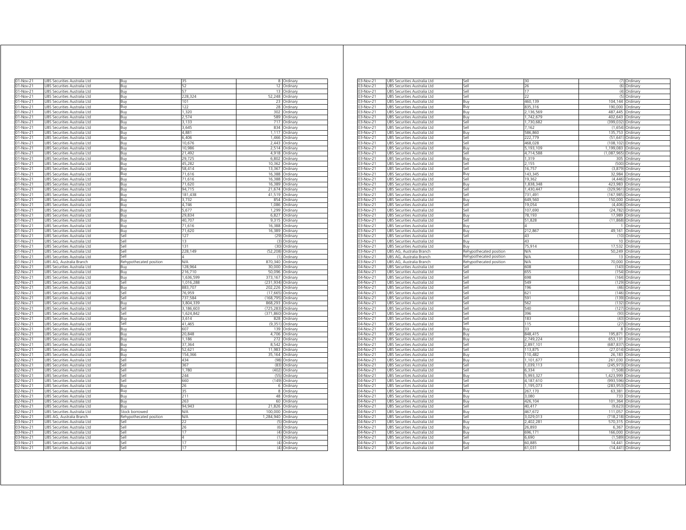| 01-Nov-21                           | JBS Securities Australia Ltd                                 | Buy                     | 35                     |                       | 8 Ordinary           |
|-------------------------------------|--------------------------------------------------------------|-------------------------|------------------------|-----------------------|----------------------|
| 01-Nov-21                           | <b>JBS Securities Australia Ltd</b>                          | Buv                     | 52                     | 12                    | Ordinary             |
| 01-Nov-21                           | JBS Securities Australia Ltd                                 | Buy                     | 57                     | 13                    | Ordinary             |
| 01-Nov-21                           | JBS Securities Australia Ltd                                 | Buy                     | 228,324                | 52,248                | Ordinary             |
| 01-Nov-21                           | UBS Securities Australia Ltd                                 | Buy                     | 101                    | 23                    | Ordinary             |
| 01-Nov-21                           | UBS Securities Australia Ltd                                 | Buy                     | 122                    | 28                    | Ordinary             |
| 01-Nov-21                           | UBS Securities Australia Ltd                                 | Buy                     | 1,320                  | 302                   | Ordinary             |
| 01-Nov-21                           | UBS Securities Australia Ltd                                 | Buy                     | 2,574                  | 589                   | Ordinary             |
| 01-Nov-21                           | UBS Securities Australia Ltd                                 | Buy                     | 3,133                  | 717                   | Ordinary             |
| 01-Nov-21                           | UBS Securities Australia Ltd                                 | Buy                     | 3,645                  | 834                   | Ordinary             |
| 01-Nov-21                           | UBS Securities Australia Ltd                                 | Buy                     | 4,881                  | 1,117                 | Ordinary             |
| 01-Nov-21                           | UBS Securities Australia Ltd                                 | Buy                     | 6,406                  | 1,466                 | Ordinary             |
| 01-Nov-21                           | JBS Securities Australia Ltd                                 | Buy                     | 10,676                 | 2,443                 | Ordinary             |
| 01-Nov-21                           | JBS Securities Australia Ltd                                 | Buy                     | 10,986                 | 2,514                 | Ordinary             |
| 01-Nov-21                           | JBS Securities Australia Ltd                                 | Buv                     | 21,492                 | 4.918                 | Ordinary             |
| 01-Nov-21                           | JBS Securities Australia Ltd                                 | Buy                     | 29,725                 | 6,802                 | Ordinary             |
| 01-Nov-21                           | JBS Securities Australia Ltd                                 | Buy                     | 45,282                 | 10,362                | Ordinary             |
| 01-Nov-21                           | JBS Securities Australia Ltd                                 | Buy                     | 58.414                 | 13.367                | Ordinary             |
| 01-Nov-21                           | JBS Securities Australia Ltd                                 | Buy                     | 71,616                 | 16,388                | Ordinary             |
| 01-Nov-21                           | JBS Securities Australia Ltd                                 | Buy                     | 71,616                 | 16,388                | Ordinary             |
| 01-Nov-21                           | UBS Securities Australia Ltd                                 | Buy                     | 71,620                 | 16,389                | Ordinary             |
| 01-Nov-21                           | JBS Securities Australia Ltd                                 | Buy                     | 94,715                 | 21,674                | Ordinary             |
| $01 - Nov - 21$                     | JBS Securities Australia Ltd                                 | Buy                     | 181,438                | 41,519                | Ordinary             |
| 01-Nov-21                           | UBS Securities Australia Ltd                                 | Buy                     | 3,732                  | 854                   | Ordinary             |
| 01-Nov-21                           | UBS Securities Australia Ltd                                 | Buy                     | 4,746                  | 1,086                 | Ordinary             |
| 01-Nov-21                           | UBS Securities Australia Ltd                                 | Buy                     | 5,677                  | 1,299                 | Ordinary             |
| 01-Nov-21                           | UBS Securities Australia Ltd                                 | Buy                     | 29,834                 | 6,827                 | Ordinary             |
| 01-Nov-21                           | UBS Securities Australia Ltd                                 | Buy                     | 40,707                 | 9,315                 | Ordinary             |
| 01-Nov-21                           | UBS Securities Australia Ltd                                 | Buy                     | 71,616                 | 16,388                | Ordinary             |
| 01-Nov-21                           | JBS Securities Australia Ltd                                 | Buy                     | 71,620                 | 16,389                | Ordinary             |
| 01-Nov-21                           | JBS Securities Australia Ltd                                 | Sell                    | 127                    | (29)                  | Ordinary             |
| 01-Nov-21                           | JBS Securities Australia Ltd                                 | Sell                    | 13                     | (3)                   | Ordinary             |
| 01-Nov-21                           | JBS Securities Australia Ltd                                 | Sell                    | 131                    | (30)                  | Ordinary             |
| 01-Nov-21                           | <b>JBS Securities Australia Ltd</b>                          | Sell<br>Sell            | 228.149                | (52.208)              | Ordinary             |
| 01-Nov-21                           | <b>JBS Securities Australia Ltd</b>                          |                         | N/A                    | (1)<br>870,340        | Ordinan              |
| 01-Nov-21                           | JBS AG, Australia Branch                                     | Rehypothecated position |                        |                       | Ordinary             |
| 02-Nov-21<br>02-Nov-21              | JBS Securities Australia Ltd                                 | Buy                     | 128,964<br>216,710     | 30,000<br>50.096      | Ordinary<br>Ordinan  |
|                                     | JBS Securities Australia Ltd                                 | Buy                     |                        |                       |                      |
| 02-Nov-21                           | JBS Securities Australia Ltd                                 | Buy                     | 1,636,599              | 373,167               | Ordinan              |
| 02-Nov-21                           | JBS Securities Australia Ltd                                 | Sell                    | 1,016,288              | (231,934)             | Ordinary             |
| 02-Nov-21                           | UBS Securities Australia Ltd                                 | Buy                     | 883,707                | 202,226               | Ordinary             |
| 02-Nov-21                           | UBS Securities Australia Ltd                                 | Sell                    | 76,959<br>737,584      | (17, 665)             | Ordinary             |
| 02-Nov-21                           | UBS Securities Australia Ltd                                 | Sell                    |                        | (168, 795)            | Ordinary             |
| 02-Nov-21<br>02-Nov-21              | UBS Securities Australia Ltd<br>JBS Securities Australia Ltd | Buy<br>sell             | 3,804,339<br>3,186,603 | 868,293<br>(725,283)  | Ordinary<br>Ordinarv |
| 02-Nov-21                           |                                                              | iell                    |                        | (371,860)             |                      |
|                                     | JBS Securities Australia Ltd                                 |                         | 1,624,842<br>3.614     | 828                   | Ordinary             |
| 02-Nov-21<br>2-Nov-21               | JBS Securities Australia Ltd<br>JBS Securities Australia Ltd | 3uy<br>sell             | 41,465                 | (9, 351)              | Ordinary<br>Ordinary |
| 02-Nov-21                           |                                                              |                         | 607                    | 139                   |                      |
| 02-Nov-21                           | JBS Securities Australia Ltd<br>JBS Securities Australia Ltd | Buy<br>Βuγ              | 20.848                 | 4.706                 | Ordinary<br>Ordinary |
| 02-Nov-21                           | JBS Securities Australia Ltd                                 | Buv                     | 1,186                  | 272                   | Ordinary             |
| 02-Nov-21                           | JBS Securities Australia Ltd                                 | Buy                     | 37,364                 | 8,542                 | Ordinary             |
| 02-Nov-21                           | JBS Securities Australia Ltd                                 | Buy                     | 52,621                 | 11,983                | Ordinary             |
| 02-Nov-21                           | JBS Securities Australia Ltd                                 | Buy                     | 154,366                | 35,164                | Ordinary             |
| 02-Nov-21                           | JBS Securities Australia Ltd                                 | iell                    | 434                    | (98)                  | Ordinary             |
| 02-Nov-21                           | JBS Securities Australia Ltd                                 | sell                    | 367                    | (83)                  | Ordinary             |
| 02-Nov-21                           | UBS Securities Australia Ltd                                 | ile?                    | 1,780                  | (402)                 | Ordinary             |
| 02-Nov-21                           | UBS Securities Australia Ltd                                 | Sell                    | 244                    | (55)                  | Ordinary             |
| 02-Nov-21                           | UBS Securities Australia Ltd                                 | Sell                    | 660                    | (149)                 | Ordinary             |
| 02-Nov-21                           | UBS Securities Australia Ltd                                 | Buy                     | 26                     |                       | 6 Ordinary           |
| 02-Nov-21                           | UBS Securities Australia Ltd                                 | Buy                     | 35                     | 8                     | Ordinary             |
| 02-Nov-21                           | UBS Securities Australia Ltd                                 | Buy                     | 211                    | 48                    | Ordinary             |
| 02-Nov-21                           | UBS Securities Australia Ltd                                 | Buy                     | 263                    |                       | 60 Ordinary          |
| 02-Nov-21                           | UBS Securities Australia Ltd                                 | Buv                     | 94,943                 | 21,826                | Ordinary             |
|                                     | UBS Securities Australia Ltd                                 | Stock borrowed          | N/A                    | 100,000               | Ordinary             |
|                                     |                                                              | Rehypothecated position | N/A                    | 1.284.940             | Ordinary             |
|                                     |                                                              |                         |                        |                       |                      |
|                                     | UBS AG, Australia Branch                                     |                         | 22                     | (5)                   |                      |
| 03-Nov-21                           | JBS Securities Australia Ltd                                 | Sell                    |                        |                       | Ordinary             |
| 02-Nov-21<br>02-Nov-21<br>03-Nov-21 | JBS Securities Australia Ltd                                 | Sell                    | 26                     | (6)                   | Ordinary             |
| 03-Nov-21                           | JBS Securities Australia Ltd                                 | Sell<br>sell            | 17<br>Δ                | (4)<br>$\overline{1}$ | Ordinary             |
| 03-Nov-21                           | JBS Securities Australia Ltd                                 |                         | 17                     | (4)                   | Ordinary             |
| 03-Nov-21<br>03-Nov-21              | JBS Securities Australia Ltd<br>UBS Securities Australia Ltd | sell<br>iell            | 17                     | (4)                   | Ordinary<br>Ordinary |

| 03-Nov-21 | UBS Securities Australia Ltd    | Sell                    |           |             | (7) Ordinary      |
|-----------|---------------------------------|-------------------------|-----------|-------------|-------------------|
| 03-Nov-21 | UBS Securities Australia Ltd    | Sell                    | 26        |             | (6) Ordinary      |
| 03-Nov-21 | UBS Securities Australia Ltd    | sell                    | 17        | (4)         | Ordinary          |
| 03-Nov-21 | UBS Securities Australia Ltd    | sell                    | 22        | (5)         | Ordinary          |
| 03-Nov-21 | UBS Securities Australia Ltd    | Buy                     | 460,139   | 104,144     | Ordinary          |
| 03-Nov-21 | UBS Securities Australia Ltd    | Buy                     | 835,316   | 190,000     | Ordinary          |
| 03-Nov-21 | UBS Securities Australia Ltd    | Buy                     | 2,136,569 | 487,445     | Ordinary          |
| 03-Nov-21 | UBS Securities Australia Ltd    | Buy                     | 1,742,679 | 402,643     | Ordinary          |
| 03-Nov-21 | UBS Securities Australia Ltd    | Sell                    | 1,730,682 | (399,032)   | Ordinary          |
| 03-Nov-21 | UBS Securities Australia Ltd    | Sell                    | 7,162     | (1,654)     | Ordinary          |
| 03-Nov-21 | UBS Securities Australia Ltd    | Buv                     | 586.860   | 135.753     | Ordinary          |
| 03-Nov-21 | UBS Securities Australia Ltd    | Sell                    | 222,779   | (51, 641)   | Ordinary          |
| 03-Nov-21 | UBS Securities Australia Ltd    | Sell                    | 468,028   | (108, 102)  | Ordinary          |
| 03-Nov-21 | UBS Securities Australia Ltd    | Buy                     | 5,193,109 | 1,199,083   | Ordinary          |
| 03-Nov-21 | UBS Securities Australia Ltd    | sell                    | 4,714,588 | (1,087,965) | Ordinary          |
| 03-Nov-21 | UBS Securities Australia Ltd    | 3uy                     | 1,319     | 305         | Ordinary          |
| 03-Nov-21 | UBS Securities Australia Ltd    | Sell                    | 2,155     | (500)       | Ordinary          |
|           |                                 | Sell                    |           |             |                   |
| 03-Nov-21 | UBS Securities Australia Ltd    |                         | 16,757    | (3,879)     | Ordinary          |
| 03-Nov-21 | UBS Securities Australia Ltd    | Buy                     | 143,345   | 32,984      | Ordinary          |
| 03-Nov-21 | UBS Securities Australia Ltd    | Sell                    | 19,362    | (4, 446)    | Ordinary          |
| 03-Nov-21 | UBS Securities Australia Ltd    | Buy                     | 1,838,348 | 423,983     | Ordinary          |
| 03-Nov-21 | UBS Securities Australia Ltd    | Sell                    | 1.430.447 | (329.961)   | Ordinary          |
| 03-Nov-21 | UBS Securities Australia Ltd    | Sell                    | 731.491   | (167, 985)  | Ordinary          |
| 03-Nov-21 | UBS Securities Australia Ltd    | Buy                     | 549,560   | 150,000     | Ordinary          |
| 03-Nov-21 | UBS Securities Australia Ltd    | Sell                    | 19,054    | (4,406)     | Ordinary          |
| 03-Nov-21 | UBS Securities Australia Ltd    | Sell                    | 107,690   | (24, 782)   | Ordinary          |
| 03-Nov-21 | UBS Securities Australia Ltd    | 3uy                     | 78,193    | 17,989      | Ordinary          |
| 03-Nov-21 | UBS Securities Australia Ltd    | sell                    | 51,828    | (11, 868)   | Ordinary          |
| 03-Nov-21 | UBS Securities Australia Ltd    | Buy                     |           |             | Ordinary          |
| 03-Nov-21 | UBS Securities Australia Ltd    | Buy                     | 212,867   | 49,161      | Ordinary          |
|           |                                 |                         | 43        |             |                   |
| 03-Nov-21 | UBS Securities Australia Ltd    | Sell                    |           |             | (10) Ordinary     |
| 03-Nov-21 | UBS Securities Australia Ltd    | Buy                     | 43        | 10          | Ordinary          |
| 03-Nov-21 | UBS Securities Australia Ltd    | Buy                     | 75,914    | 17,532      | Ordinary          |
| 03-Nov-21 | UBS AG, Australia Branch        | Rehypothecated position | N/A       | 50,249      | Ordinary          |
| 03-Nov-21 | UBS AG, Australia Branch        | Rehypothecated position | N/A       | 13          | Ordinary          |
| 03-Nov-2  | UBS AG, Australia Branch        | Rehypothecated position | NΆ        | 70,000      | Ordinary          |
| 04-Nov-21 | UBS Securities Australia Ltd    | Sell                    | 608       | (143)       | Ordinary          |
| 04-Nov-21 | UBS Securities Australia Ltd    | Sell                    | 655       | (154)       | Ordinary          |
| 04-Nov-21 | UBS Securities Australia Ltd    | iell                    | 598       | (164)       | Ordinary          |
| 04-Nov-21 | UBS Securities Australia Ltd    | sell                    | 549       | (129)       | Ordinary          |
| 04-Nov-21 | UBS Securities Australia Ltd    | Sell                    | 196       | (46)        | Ordinary          |
| 04-Nov-21 | UBS Securities Australia Ltd    | Sell                    | 621       | (146)       | Ordinary          |
| 04-Nov-21 | UBS Securities Australia Ltd    | Sell                    | 591       |             |                   |
| 04-Nov-21 |                                 |                         |           |             |                   |
|           |                                 |                         |           | (139)       | Ordinary          |
|           | UBS Securities Australia Ltd    | Sell                    | 562       | (132)       | Ordinary          |
| 04-Nov-21 | UBS Securities Australia Ltd    | Sell                    | 540       | (127)       | Ordinary          |
| 04-Nov-21 | UBS Securities Australia Ltd    | Sell                    | 396       | (93)        | Ordinary          |
| 04-Nov-21 | UBS Securities Australia Ltd    | Sell                    | 183       | (43)        | Ordinary          |
| 04-Nov-21 | UBS Securities Australia Ltd    | Sell                    | 115       | (27)        | Ordinary          |
| 04-Nov-21 | UBS Securities Australia Ltd    | Buy                     | 33        | 8           | Ordinary          |
| 04-Nov-21 | UBS Securities Australia Ltd    | Buy                     | 848,415   | 195,871     | Ordinary          |
| 04-Nov-21 | UBS Securities Australia Ltd    | 3uy                     | 2,749,224 | 653,131     | Ordinary          |
| 04-Nov-21 | UBS Securities Australia Ltd    | sell                    | 2,897,101 | (687, 837)  | Ordinary          |
| 04-Nov-21 | UBS Securities Australia Ltd    | Sell                    | 113,875   | (27, 014)   | Ordinary          |
| 04-Nov-21 | UBS Securities Australia Ltd    | Buy                     | 110,482   | 26,183      | Ordinary          |
| 04-Nov-21 | UBS Securities Australia Ltd    | Buy                     | 1,101,677 | 261,030     | Ordinary          |
| 04-Nov-21 | UBS Securities Australia Ltd    | Sell                    | 1,039,113 | (245, 973)  | Ordinary          |
| 04-Nov-21 | UBS Securities Australia Ltd    | Sell                    | 6,334     | (1,508)     | Ordinary          |
|           |                                 |                         |           |             |                   |
| 04-Nov-21 | UBS Securities Australia Ltd    | Buy                     | 5,993,327 | 1,423,999   | Ordinary          |
| 04-Nov-21 | UBS Securities Australia Ltd    | Sell                    | 4,187,610 | (993, 596)  | Ordinary          |
| 04-Nov-21 | UBS Securities Australia Ltd    | Sell                    | 1,195,073 | (283, 953)  | Ordinary          |
| 04-Nov-21 | Securities Australia Ltd<br>UBS | Buy                     | 267,170   | 63,381      | Ordinan           |
| 04-Nov-21 | UBS Securities Australia Ltd    | Buy                     | 3,080     | 733         | Ordinary          |
| 04-Nov-21 | UBS Securities Australia Ltd    | 3uy                     | 426.104   | 101.364     | Ordinary          |
| 04-Nov-21 | UBS Securities Australia Ltd    | sell                    | 40,417    | (9,623)     | Ordinary          |
| 04-Nov-21 | UBS Securities Australia Ltd    | Buy                     | 467,672   | 111,057     | Ordinary          |
| 04-Nov-21 | UBS Securities Australia Ltd    | Sell                    | 3,029,013 | (718, 218)  | Ordinary          |
| 04-Nov-21 | UBS Securities Australia Ltd    | Buy                     | 2,402,281 | 570,315     | Ordinary          |
| 04-Nov-21 | UBS Securities Australia Ltd    | Buy                     | 26,893    | 6,367       | Ordinary          |
| 04-Nov-21 | UBS Securities Australia Ltd    | Buv                     | 696,17    | 166,000     | Ordinary          |
| 04-Nov-21 | UBS Securities Australia Ltd    | Sell                    | 6,690     | (1, 589)    | Ordinary          |
| 04-Nov-21 | UBS Securities Australia Ltd    | 3uy                     | 60,885    | 14,441      | Ordinary          |
| 04-Nov-21 | UBS Securities Australia Ltd    | Sell                    | 61,031    |             | (14,441) Ordinary |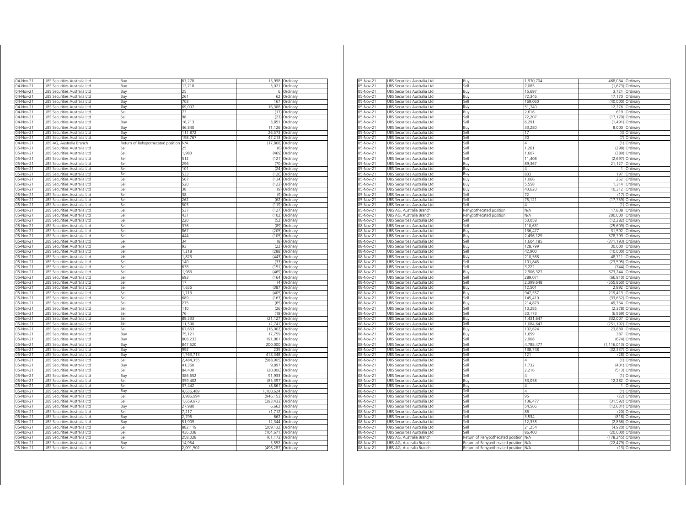| 04-Nov-21              | UBS Securities Australia Ltd                                 | Buv                               | 67,278            | 15,998                | Ordinary                     |
|------------------------|--------------------------------------------------------------|-----------------------------------|-------------------|-----------------------|------------------------------|
| 04-Nov-21              | UBS Securities Australia Ltd                                 | Buy                               | 12,718            | 3.021                 | Ordinary                     |
| 04-Nov-21              | UBS Securities Australia Ltd                                 | Buy                               | 25                | 6                     | Ordinary                     |
| 04-Nov-21              | UBS Securities Australia Ltd                                 | Buy                               | 261               | 62                    | Ordinary                     |
| 04-Nov-21              | UBS Securities Australia Ltd                                 | Buy                               | 703               | 167                   | Ordinary                     |
| 04-Nov-21              | UBS Securities Australia Ltd                                 | Buy                               | 69,007            | 16,388                | Ordinary                     |
| 04-Nov-21              | JBS Securities Australia Ltd                                 | sell                              | 73                | (17)                  | Ordinary                     |
| 04-Nov-21              | JBS Securities Australia Ltd                                 | Sell<br>Buv                       | 98                | (23)                  | Ordinary                     |
| 04-Nov-21<br>04-Nov-21 | JBS Securities Australia Ltd<br>JBS Securities Australia Ltd | Buy                               | 16,213<br>46,840  | 3,851<br>11,126       | Ordinary<br>Ordinary         |
| 04-Nov-21              | JBS Securities Australia Ltd                                 | Buy                               | 111,872           | 26,573                | Ordinary                     |
| 04-Nov-21              | JBS Securities Australia Ltd                                 | 3uv                               | 198,767           | 47,213                | Ordinary                     |
| 04-Nov-21              | JBS AG, Australia Branch                                     | Return of Rehypothecated position | N/A               | (17, 808)             | Ordinary                     |
| 05-Nov-21              | JBS Securities Australia Ltd                                 | iell                              |                   | (6)                   | Ordinary                     |
| 05-Nov-21              | JBS Securities Australia Ltd                                 | Sell                              | 1,983             | (469)                 | Ordinary                     |
| 05-Nov-21              | JBS Securities Australia Ltd                                 | sell                              | 512               | (121)                 | Ordinary                     |
| 05-Nov-21              | JBS Securities Australia Ltd                                 | Sell                              | 296               | (70)                  | Ordinary                     |
| 05-Nov-21              | UBS Securities Australia Ltd                                 | Sell                              | 101               | (24)                  | Ordinary                     |
| 05-Nov-21              | UBS Securities Australia Ltd                                 | Sell                              | 533               | (126)                 | Ordinary                     |
| 05-Nov-21              | UBS Securities Australia Ltd                                 | Sell                              | 567               | (134)                 | Ordinary                     |
| 05-Nov-21              | UBS Securities Australia Ltd                                 | Sell<br>Sell                      | 520               |                       | (123) Ordinary               |
| 05-Nov-21<br>05-Nov-21 | UBS Securities Australia Ltd<br>UBS Securities Australia Ltd | Sell                              | 38<br>38          |                       | (9) Ordinary<br>(9) Ordinary |
| 05-Nov-21              | UBS Securities Australia Ltd                                 | Sell                              | 262               | (62)                  | Ordinary                     |
| 05-Nov-21              | UBS Securities Australia Ltd                                 | Sell                              | 503               |                       | (119) Ordinary               |
| 05-Nov-21              | UBS Securities Australia Ltd                                 | Sell                              | 537               | (127)                 | Ordinary                     |
| 05-Nov-2               | UBS Securities Australia Ltd                                 | Sell                              | 431               | (102)                 | Ordinary                     |
| 05-Nov-21              | UBS Securities Australia Ltd                                 | Sell                              | 220               | (52)                  | Ordinary                     |
| 05-Nov-21              | UBS Securities Australia Ltd                                 | Sell                              | 376               | (89)                  | Ordinary                     |
| 05-Nov-21              | UBS Securities Australia Ltd                                 | Sell                              | 867               | (205)                 | Ordinary                     |
| 05-Nov-21              | JBS Securities Australia Ltd                                 | Sell                              | 444               | (105)                 | Ordinary                     |
| 05-Nov-21              | <b>JBS Securities Australia Ltd</b>                          | Sell                              | 34                | (8)                   | Ordinary                     |
| 05-Nov-21              | <b>JBS Securities Australia Ltd</b>                          | Sell                              | 93                | (22)                  | Ordinary                     |
| 05-Nov-21              | JBS Securities Australia Ltd                                 | Sell                              | 1,218             | (288)                 | Ordinary                     |
| 05-Nov-21              | UBS Securities Australia Ltd                                 | Sell                              | 1,873             | (443)                 | Ordinary                     |
| 05-Nov-21              | <b>JBS Securities Australia Ltd</b>                          | Sell                              | 140               | (33)                  | Ordinan                      |
| 05-Nov-21              | JBS Securities Australia Ltd                                 | Sell                              | 638               | (151)                 | Ordinary                     |
| 05-Nov-21              | UBS Securities Australia Ltd                                 | Sell                              | 1,983             | (469)                 | Ordinary                     |
| 05-Nov-21              | UBS Securities Australia Ltd                                 | Sell                              | 693<br>17         | (164)                 | Ordinary                     |
| 05-Nov-21              | UBS Securities Australia Ltd                                 | Sell                              |                   | (4)                   | Ordinary                     |
| 05-Nov-21              | UBS Securities Australia Ltd                                 | Sell<br>Sell                      | 1,636             | (387)<br>(405)        | Ordinary                     |
| 05-Nov-21<br>05-Nov-21 | UBS Securities Australia Ltd<br>UBS Securities Australia Ltd | sell                              | 1,713<br>689      | (163)                 | Ordinary<br>Ordinan          |
| 05-Nov-21              | JBS Securities Australia Ltd                                 | sell                              | 275               | (65)                  | Ordinary                     |
| 05-Nov-2               | JBS Securities Australia Ltd                                 | iell                              | 110               | (26)                  | Ordinary                     |
| 05-Nov-21              | JBS Securities Australia Ltd                                 | iellء                             | 76                | (18)                  | Ordinary                     |
| 05-Nov-21              | JBS Securities Australia Ltd                                 | lle,                              | 89,333            | (21.127)              | Ordinary                     |
| 05-Nov-21              | JBS Securities Australia Ltd                                 | iell                              | 11,590            | (2,741)               | Ordinarv                     |
| 05-Nov-21              | JBS Securities Australia Ltd                                 | iellء                             | 67 663            | (16.002               | Ordinary                     |
| 05-Nov-21              | JBS Securities Australia Ltd                                 | 3uv                               | 75 121            | 17,759                | Ordinary                     |
| 05-Nov-21              | JBS Securities Australia Ltd                                 | Buy                               | 808,233           | 191,961               | Ordinarv                     |
| 05-Nov-21              | JBS Securities Australia Ltd                                 | Buy                               | 847,520           | 200,000               | Ordinan                      |
| 05-Nov-21              | JBS Securities Australia Ltd                                 | Buy                               | 992               | 235                   | Ordinary                     |
| 05-Nov-21              | JBS Securities Australia Ltd                                 | Buy                               | 1,763,713         | 418,348               | Ordinary                     |
| 05-Nov-21              | UBS Securities Australia Ltd                                 | Sell                              | 2,484,355         | (588, 905)            | Ordinary                     |
| 05-Nov-21              | UBS Securities Australia Ltd                                 | Buv                               | 41,360            | 9,897                 | Ordinary                     |
| 05-Nov-21              | UBS Securities Australia Ltd                                 | Sell                              | 84,400            | (20,000)              | Ordinary                     |
| 05-Nov-21              | UBS Securities Australia Ltd                                 | Buy                               | 386,652           | 91,933                | Ordinary                     |
| 05-Nov-21<br>05-Nov-21 | UBS Securities Australia Ltd                                 | Sell<br>Sell                      | 359,402<br>37,442 | (85, 397)<br>(8, 861) | Ordinary<br>Ordinary         |
| 05-Nov-21              | UBS Securities Australia Ltd<br>UBS Securities Australia Ltd | Buy                               | 4,636,489         | 1,100,624             | Ordinary                     |
| 05-Nov-21              | UBS Securities Australia Ltd                                 | Sell                              | 3,986,994         | (946,153) Ordinary    |                              |
| 05-Nov-21              | UBS Securities Australia Ltd                                 | Sell                              | 1,659,973         | (393, 433)            | Ordinary                     |
| 05-Nov-21              | UBS Securities Australia Ltd                                 | Buy                               | 27,980            | 6,662                 | Ordinary                     |
| 05-Nov-21              | UBS Securities Australia Ltd                                 | Sell                              | 7,217             | (1, 712)              | Ordinary                     |
| 05-Nov-21              | UBS Securities Australia Ltd                                 | Buy                               | 2.796             | 662                   | Ordinary                     |
| 05-Nov-21              | UBS Securities Australia Ltd                                 | Buv                               | 51,909            | 12,344                | Ordinary                     |
| 05-Nov-21              | UBS Securities Australia Ltd                                 | Sell                              | 882,119           | (209, 132)            | Ordinary                     |
| 05-Nov-21              | <b>JBS Securities Australia Ltd</b>                          | Sell                              | 436.038           | (104.671)             | Ordinan                      |
| 05-Nov-21              | JBS Securities Australia Ltd                                 | sell                              | 258.028           | (61.173)              | Ordinary                     |
| 05-Nov-21              | JBS Securities Australia Ltd                                 | Buv                               | 14.954            | 3,552                 | Ordinary                     |
| 05-Nov-21              | UBS Securities Australia Ltd                                 | Sell                              | 2,091,502         | (496, 287)            | Ordinary                     |
|                        |                                                              |                                   |                   |                       |                              |

| 05-Nov-21 | JBS Securities Australia Ltd | Buy                               | 1,970,704  | 468,034 Ordinary |                    |
|-----------|------------------------------|-----------------------------------|------------|------------------|--------------------|
| 05-Nov-21 | UBS Securities Australia Ltd | Sell                              | 7,085      |                  | $(1,673)$ Ordinary |
| 05-Nov-21 | UBS Securities Australia Ltd | Buy                               | 15,697     |                  | 3,721 Ordinary     |
| 05-Nov-21 | UBS Securities Australia Ltd | Buy                               | 72,346     | 17,170           | Ordinary           |
| 05-Nov-21 | UBS Securities Australia Ltd | Sell                              | 169,060    | (40,000)         | Ordinary           |
| 05-Nov-21 | JBS Securities Australia Ltd | Buy                               | 51,740     | 12,276           | Ordinary           |
| 05-Nov-21 | UBS Securities Australia Ltd | Buy                               | 2,616      |                  | 619 Ordinary       |
| 05-Nov-21 |                              | Sell                              | 72,207     |                  |                    |
|           | UBS Securities Australia Ltd | Sell                              |            |                  | (17,170) Ordinary  |
| 05-Nov-21 | UBS Securities Australia Ltd |                                   | 6,291      |                  | (1,491) Ordinary   |
| 05-Nov-21 | UBS Securities Australia Ltd | Buy                               | 33,280     |                  | 8,000 Ordinary     |
| 05-Nov-21 | UBS Securities Australia Ltd | Sell                              | 17         |                  | (4) Ordinary       |
| 05-Nov-21 | UBS Securities Australia Ltd | Sell                              | 30         | (7)              | Ordinary           |
| 05-Nov-21 | JBS Securities Australia Ltd | Sell                              | Δ          | (1)              | Ordinary           |
| 05-Nov-21 | UBS Securities Australia Ltd | Sell                              | 1,261      | (298)            | Ordinary           |
| 05-Nov-21 | UBS Securities Australia Ltd | Sell                              | 1,607      | (380)            | Ordinary           |
| 05-Nov-21 | JBS Securities Australia Ltd | iell                              | 11,408     | (2,697)          | Ordinary           |
| 05-Nov-21 | JBS Securities Australia Ltd | Buy                               | 89,367     | 21,127           | Ordinary           |
| 05-Nov-21 | JBS Securities Australia Ltd | Buy                               |            | 1                | Ordinary           |
|           |                              |                                   | 833        | 197              |                    |
| 05-Nov-21 | UBS Securities Australia Ltd | Buy                               |            |                  | Ordinary           |
| 05-Nov-21 | UBS Securities Australia Ltd | Buy                               | 1,066      | 252              | Ordinary           |
| 05-Nov-21 | UBS Securities Australia Ltd | Buy                               | 5,558      |                  | 1,314 Ordinary     |
| 05-Nov-21 | UBS Securities Australia Ltd | Buy                               | 43,620     |                  | 10,312 Ordinary    |
| 05-Nov-21 | UBS Securities Australia Ltd | Sell                              | 72         |                  | (17) Ordinary      |
| 05-Nov-21 | UBS Securities Australia Ltd | Sell                              | 75,121     | (17, 759)        | Ordinary           |
| 05-Nov-21 | JBS Securities Australia Ltd | Sell                              |            | (1)              | Ordinary           |
| 05-Nov-21 | JBS AG, Australia Branch     | Rehypothecated position           | <b>N/A</b> | 17,808           | Ordinary           |
| 05-Nov-21 | UBS AG, Australia Branch     | Rehypothecated position           | <b>N/A</b> | 200,000          | Ordinary           |
| 08-Nov-21 | UBS Securities Australia Ltd | iel                               | 53,058     | (12, 282)        | Ordinary           |
| 08-Nov-21 | UBS Securities Australia Ltd | Sell                              | 110,631    | (25, 609)        | Ordinary           |
|           |                              |                                   | 136.477    |                  |                    |
| 08-Nov-21 | JBS Securities Australia Ltd | Buy                               |            | 31,592           | Ordinary           |
| 08-Nov-21 | UBS Securities Australia Ltd | Buy                               | 2,496,129  | 578,799          | Ordinary           |
| 08-Nov-21 | UBS Securities Australia Ltd | Sell                              | 1,604,185  | (371, 193)       | Ordinary           |
| 08-Nov-21 | UBS Securities Australia Ltd | Buy                               | 128,799    |                  | 30,000 Ordinary    |
| 08-Nov-21 | UBS Securities Australia Ltd | Sell                              | 42,900     | (10,000)         | Ordinary           |
| 08-Nov-21 | UBS Securities Australia Ltd | Buy                               | 210.568    | 48.711           | Ordinary           |
| 08-Nov-21 | UBS Securities Australia Ltd | Sell                              | 101,845    | (23, 595)        | Ordinary           |
| 08-Nov-21 | JBS Securities Australia Ltd | Sell                              | 3.222      | (744)            | Ordinary           |
| 08-Nov-21 | UBS Securities Australia Ltd | Buy                               | 2,906,327  | 673.244          | Ordinary           |
| 08-Nov-21 | UBS Securities Australia Ltd | Sell                              | 289,071    | (66, 910)        | Ordinary           |
| 08-Nov-21 | JBS Securities Australia Ltd | sell                              | 2,399,648  | (555, 860)       |                    |
|           |                              |                                   |            |                  | Ordinary           |
| 08-Nov-21 | JBS Securities Australia Ltd | Buy                               | 12,501     | 2,892            | Ordinary           |
| 08-Nov-21 | JBS Securities Australia Ltd | Buy                               | 947,557    | 219.413          | Ordinary           |
| 08-Nov-21 | UBS Securities Australia Ltd | Sell                              | 145,410    | (33, 652)        | Ordinary           |
| 08-Nov-21 | UBS Securities Australia Ltd | Buy                               | 214,873    | 49,754           | Ordinary           |
| 08-Nov-21 | UBS Securities Australia Ltd | Sell                              | 10,285     |                  | (2,378) Ordinary   |
| 08-Nov-21 | UBS Securities Australia Ltd | Sell                              | 30,173     | (6,969)          | Ordinary           |
| 08-Nov-21 | JBS Securities Australia Ltd | Buy                               | 1.431.647  | 332.007          | Ordinary           |
| 08-Nov-21 | JBS Securities Australia Ltd | Sell                              | 1,084,647  | 251,192          | Ordinary           |
| 08-Nov-21 | JBS Securities Australia Ltd | Buy                               | 102,624    |                  | 23,830 Ordinary    |
| 08-Nov-21 | JBS Securities Australia Ltd | Buy                               | 1,659      | 387              | Ordinary           |
|           |                              |                                   |            |                  |                    |
| 08-Nov-21 | UBS Securities Australia Ltd | Sell                              | 2,908      | (674)            | Ordinary           |
| 08-Nov-21 | UBS Securities Australia Ltd | sell                              | 4,788,477  | (1, 116, 013)    | Ordinary           |
| 08-Nov-21 | UBS Securities Australia Ltd | sell                              | 138,748    | (32, 337)        | Ordinary           |
| 08-Nov-21 | JBS Securities Australia Ltd | Sell                              | 121        | (28)             | Ordinary           |
| 08-Nov-21 | UBS Securities Australia Ltd | Sell                              | 4          | (1)              | Ordinary           |
| 08-Nov-21 | UBS Securities Australia Ltd | Sell                              | 1,732      |                  | (401) Ordinary     |
| 08-Nov-21 | UBS Securities Australia Ltd | Sell                              | 2,216      |                  | (513) Ordinary     |
| 08-Nov-21 | UBS Securities Australia Ltd | Sell                              |            |                  | (1) Ordinary       |
| 08-Nov-21 | UBS Securities Australia Ltd | Buv                               | 53.058     | 12.282           | Ordinary           |
| 08-Nov-21 | JBS Securities Australia Ltd | Buy                               |            |                  | Ordinary           |
| 08-Nov-21 | UBS Securities Australia Ltd | Sell                              | Δ          | (1)              |                    |
|           |                              |                                   | 95         | (22)             | Ordinary           |
| 08-Nov-21 | UBS Securities Australia Ltd | Sell                              |            |                  | Ordinary           |
| 08-Nov-21 | UBS Securities Australia Ltd | Sell                              | 136,477    | (31, 592)        | Ordinary           |
| 08-Nov-2  | JBS Securities Australia Ltd | iell                              | 54,566     | (12, 631)        | Ordinary           |
| 08-Nov-21 | JBS Securities Australia Ltd | sell                              | 86         | (20)             | Ordinary           |
| 08-Nov-21 | JBS Securities Australia Ltd | Sell                              | 3.534      | (818)            | Ordinary           |
| 08-Nov-21 | UBS Securities Australia Ltd | Sell                              | 12,338     | (2,856)          | Ordinary           |
| 08-Nov-21 | UBS Securities Australia Ltd | Sell                              | 21,254     |                  | (4,920) Ordinary   |
| 08-Nov-21 | UBS Securities Australia Ltd | Sell                              | 86,400     |                  | (20,000) Ordinary  |
| 08-Nov-21 | UBS AG, Australia Branch     | Return of Rehypothecated position | N/A        | (178, 245)       | Ordinary           |
| 08-Nov-21 | UBS AG. Australia Branch     | Return of Rehypothecated position | N/A        |                  | (22,479) Ordinary  |
|           |                              |                                   |            |                  |                    |
| 08-Nov-21 | UBS AG, Australia Branch     | Return of Rehypothecated position | N/A        |                  | (13) Ordinary      |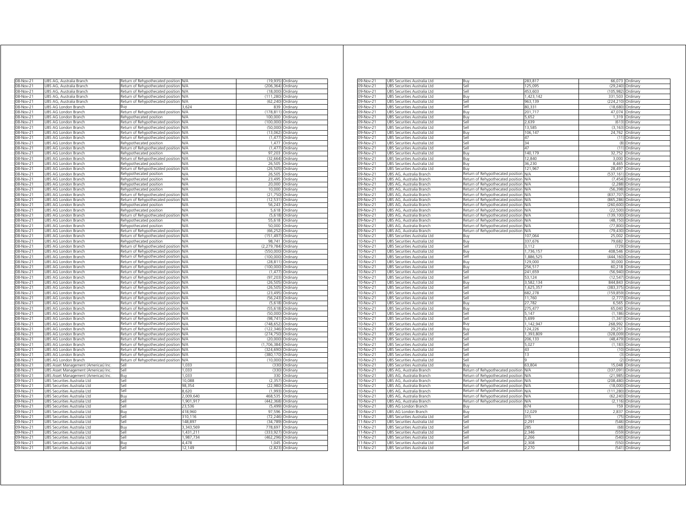| 08-Nov-21                                                                                                                                   | JBS AG, Australia Branch                                     | Return of Rehypothecated position                                      | N/A             | (19, 935)             | Ordinary             |
|---------------------------------------------------------------------------------------------------------------------------------------------|--------------------------------------------------------------|------------------------------------------------------------------------|-----------------|-----------------------|----------------------|
| 08-Nov-21                                                                                                                                   | JBS AG, Australia Branch                                     | Return of Rehypothecated position                                      | N/A             | (206, 364)            | Ordinary             |
| 08-Nov-21                                                                                                                                   | JBS AG, Australia Branch                                     | Return of Rehypothecated position                                      | N/A             | (18.000)              | Ordinary             |
| 08-Nov-21                                                                                                                                   | JBS AG, Australia Branch                                     | Return of Rehypothecated positior                                      | N/A             | (111, 280)            | Ordinary             |
| 08-Nov-21                                                                                                                                   | JBS AG, Australia Branch                                     | Return of Rehypothecated position                                      | N/A             | (62, 240)             | Ordinary             |
| 08-Nov-21                                                                                                                                   | UBS AG London Branch                                         | Buy                                                                    | 3.624           | 839                   | Ordinary             |
| 08-Nov-21                                                                                                                                   | UBS AG London Branch                                         | Return of Rehypothecated position                                      | N/A<br>N/A      | (178, 811)            | Ordinary             |
| 08-Nov-21                                                                                                                                   | UBS AG London Branch                                         | Rehypothecated position                                                |                 | 100,000               | Ordinary             |
| 08-Nov-21<br>08-Nov-21                                                                                                                      | UBS AG London Branch                                         | Return of Rehypothecated positior                                      | N/A<br>N/A      | (100,000)<br>(50.000) | Ordinary             |
| 08-Nov-21                                                                                                                                   | UBS AG London Branch<br>UBS AG London Branch                 | Return of Rehypothecated positior<br>Return of Rehypothecated position | N/A             | (13.062)              | Ordinary<br>Ordinary |
| 08-Nov-21                                                                                                                                   | UBS AG London Branch                                         | Return of Rehypothecated positior                                      | N/A             | (1, 477)              | Ordinary             |
| 08-Nov-21                                                                                                                                   | UBS AG London Branch                                         | Rehypothecated position                                                | N/A             | 1.477                 | Ordinary             |
| 08-Nov-21                                                                                                                                   | UBS AG London Branch                                         | Return of Rehypothecated position                                      | N/A             | (1, 477)              | Ordinary             |
| 08-Nov-2                                                                                                                                    | UBS AG London Branch                                         | Rehypothecated position                                                | N/A             | 97,203                | Ordinary             |
| 08-Nov-21                                                                                                                                   | UBS AG London Branch                                         | Return of Rehypothecated positior                                      | <b>N/A</b>      | (32, 664)             | Ordinary             |
| 08-Nov-21                                                                                                                                   | UBS AG London Branch                                         | Rehypothecated position                                                | N/A             | 26,505                | Ordinary             |
| 08-Nov-21                                                                                                                                   | UBS AG London Branch                                         | Return of Rehypothecated position                                      | N/A             | (26.505)              | Ordinary             |
| 08-Nov-21                                                                                                                                   | UBS AG London Branch                                         | Rehypothecated position                                                | N/A             | 26,505                | Ordinary             |
| 08-Nov-21                                                                                                                                   | JBS AG London Branch                                         | Rehypothecated position                                                | N/A             | 23.495                | Ordinary             |
| 08-Nov-21                                                                                                                                   | JBS AG London Branch                                         | Rehypothecated position                                                | N/A             | 20,000                | Ordinary             |
| 08-Nov-21                                                                                                                                   | <b>JBS AG London Branch</b>                                  | Rehypothecated position                                                | N/L             | 10.000                | Ordinary             |
| 08-Nov-21                                                                                                                                   | JBS AG London Branch                                         | Return of Rehypothecated positior                                      | N/A             | (21, 750)             | Ordinary             |
| 08-Nov-21                                                                                                                                   | JBS AG London Branch                                         | Return of Rehypothecated positior                                      | N/A             | (12, 531)             | Ordinary             |
| 08-Nov-21                                                                                                                                   | JBS AG London Branch                                         | Rehypothecated position                                                | N/A             | 56,243                | Ordinan              |
| 08-Nov-21                                                                                                                                   | <b>JBS AG London Branch</b>                                  | Rehypothecated position                                                | N/L             | 5.618                 | Ordinan              |
| 08-Nov-21                                                                                                                                   | JBS AG London Branch                                         | Return of Rehypothecated positior                                      | N/A             | (5,618)               | Ordinan              |
| 08-Nov-21                                                                                                                                   | JBS AG London Branch                                         | Rehypothecated position                                                | <b>N/A</b>      | 55,618                | Ordinary             |
| 08-Nov-21                                                                                                                                   | JBS AG London Branch                                         | Rehypothecated position                                                | N/A             | 50,000                | Ordinary             |
| 08-Nov-21                                                                                                                                   | UBS AG London Branch                                         | Return of Rehypothecated position                                      | N/A             | (66, 252)             | Ordinary             |
| 08-Nov-21                                                                                                                                   | UBS AG London Branch                                         | Return of Rehypothecated position                                      | N/A             | (151, 497)            | Ordinary             |
| 08-Nov-21                                                                                                                                   | UBS AG London Branch                                         | Rehypothecated position                                                | N/A             | 98,741                | Ordinary             |
| 08-Nov-21                                                                                                                                   | UBS AG London Branch                                         | Return of Rehypothecated position                                      | N/A             | (2, 279, 784)         | Ordinary             |
| 08-Nov-21                                                                                                                                   | UBS AG London Branch                                         | Return of Rehypothecated position                                      | N/A             | (550,000)             | Ordinary             |
| 08-Nov-                                                                                                                                     | JR <sup>o</sup><br>AG London Branch                          | Return of Rehypothecated position                                      | N/A             | (100,000)             | Ordinar              |
| 08-Nov-21                                                                                                                                   | UBS AG London Branch                                         | Return of Rehypothecated position                                      | N/A             | (28, 811)             | Ordinary             |
| 08-Nov-21                                                                                                                                   | UBS AG London Branch                                         | Return of Rehypothecated position                                      | N/A             | (100, 000)            | Ordinary             |
| 08-Nov-21                                                                                                                                   | UBS AG London Branch                                         | Return of Rehypothecated positior                                      | N/A             | (1, 477)              | Ordinan              |
| 08-Nov-21                                                                                                                                   | JBS AG London Branch                                         | Return of Rehypothecated positior                                      | N/A             | (97, 203)             | Ordinan              |
| 08-Nov-2                                                                                                                                    | JBS AG London Branch                                         | Return of Rehypothecated positior                                      | N/A             | (26, 505)             | Ordinarv             |
| 08-Nov-21                                                                                                                                   | JBS AG London Branch                                         | Return of Rehypothecated positior                                      | N/A             | (26.505)              | Ordinary             |
| 8-Nov-21                                                                                                                                    | JBS AG London Branch                                         | Return of Rehypothecated position                                      | N/A             | (23 495               | Ordinary             |
| 08-Nov-21                                                                                                                                   | JBS AG London Branch                                         | Return of Rehypothecated position                                      | N/A             | (56, 243)             | Ordinary             |
| 08-Nov-21                                                                                                                                   | JBS AG London Branch                                         | Return of Rehypothecated positior                                      | N/A             | (5,618)               | Ordinary             |
| 08-Nov-21                                                                                                                                   | <b>JBS AG London Branch</b>                                  | Return of Rehypothecated position                                      | N/A             | (55.618)              | Ordinary             |
| 08-Nov-21                                                                                                                                   | <b>JBS AG London Branch</b>                                  | Return of Rehypothecated position                                      | N/A             | (50,000               | Ordinary             |
| 08-Nov-21                                                                                                                                   | JBS AG London Branch                                         | Return of Rehypothecated positior                                      | N/A             | (98.741)              | Ordinary             |
| 08-Nov-21                                                                                                                                   | JBS AG London Branch                                         | Return of Rehypothecated positior                                      | N/A             | (748,652)             | Ordinary             |
| 08-Nov-21                                                                                                                                   | <b>JBS AG London Branch</b>                                  | Return of Rehypothecated positior                                      | N/A             | (122.346)             | Ordinary             |
| 08-Nov-21                                                                                                                                   | <b>JBS AG London Branch</b>                                  | Return of Rehypothecated position                                      | N/A             | (274.750)             | Ordinary             |
| 08-Nov-21                                                                                                                                   | JBS AG London Branch                                         | Return of Rehypothecated positior                                      | N/A             | (20,000)              | Ordinary             |
| 08-Nov-21                                                                                                                                   | JBS AG London Branch                                         | Return of Rehypothecated position                                      | N/A             | (1,706,384)           | Ordinary             |
| 08-Nov-21                                                                                                                                   | UBS AG London Branch                                         | Return of Rehypothecated position                                      | N/A             | (324, 690)            | Ordinary             |
| 08-Nov-21                                                                                                                                   | UBS AG London Branch                                         | Return of Rehypothecated position                                      | N/A             | (380, 170)            | Ordinary             |
| 08-Nov-21                                                                                                                                   | UBS AG London Branch                                         | Return of Rehypothecated position                                      | N/A             | (10,000)              | Ordinary             |
| 08-Nov-21                                                                                                                                   | UBS Asset Management (Americas) Inc                          | Sell                                                                   | 1.033           | (330)                 | Ordinary             |
| 08-Nov-21                                                                                                                                   | UBS Asset Management (Americas) Inc                          | Sell                                                                   | 1,033           | (330)                 | Ordinary             |
| 08-Nov-21                                                                                                                                   | UBS Asset Management (Americas) Inc                          | Buy                                                                    | 1,033           | 330                   | Ordinary             |
| 09-Nov-21                                                                                                                                   | UBS Securities Australia Ltd                                 | Sell                                                                   | 10,088          | (2, 357)              | Ordinary             |
| 09-Nov-21                                                                                                                                   | UBS Securities Australia Ltd                                 | Sell                                                                   | 98,354          | (22, 980)             | Ordinary             |
| 09-Nov-21                                                                                                                                   | UBS Securities Australia Ltd                                 | Sell                                                                   | 8620            | (1.993)               | Ordinan              |
|                                                                                                                                             | UBS Securities Australia Ltd                                 | Buy                                                                    | 2,009,640       | 468,535               | Ordinary             |
|                                                                                                                                             |                                                              | Sell                                                                   | 1,901,917       | (442, 368)            | Ordinary             |
|                                                                                                                                             | UBS Securities Australia Ltd                                 |                                                                        |                 |                       |                      |
|                                                                                                                                             | UBS Securities Australia Ltd                                 | Sell                                                                   | 23,536          | (5, 499)              | Ordinary             |
|                                                                                                                                             | UBS Securities Australia Ltd                                 | Rın                                                                    | 418,960         | 97 596                | Ordinary             |
|                                                                                                                                             | UBS Securities Australia Ltd                                 | Sell                                                                   | 310,116         | (72, 246)             | Ordinary             |
|                                                                                                                                             | JBS Securities Australia Ltd                                 | Sell                                                                   | 148 897         | (34, 789)             | Ordinary             |
|                                                                                                                                             | JBS Securities Australia Ltd                                 | Buv                                                                    | 3,343,569       | 778,697               | Ordinan              |
|                                                                                                                                             | <b>JBS Securities Australia Ltd</b>                          | sell                                                                   | 1.431.211       | (333.927              | Ordinan              |
|                                                                                                                                             | JBS Securities Australia Ltd                                 | iell                                                                   | 1.987.734       | (462, 296)            | Ordinan              |
| 09-Nov-21<br>09-Nov-21<br>09-Nov-21<br>09-Nov-21<br>09-Nov-21<br>09-Nov-21<br>09-Nov-21<br>09-Nov-21<br>09-Nov-21<br>09-Nov-21<br>09-Nov-21 | JBS Securities Australia Ltd<br>UBS Securities Australia Ltd | Buv<br>Sell                                                            | 4,478<br>12,149 | 1,045<br>(2,823)      | Ordinary<br>Ordinary |

| 09-Nov-21   | UBS Securities Australia Ltd | Buy                                   | 283,817    |                    | 66,073 Ordinary   |
|-------------|------------------------------|---------------------------------------|------------|--------------------|-------------------|
| 09-Nov-21   | UBS Securities Australia Ltd | Sell                                  | 125,095    | (29, 240)          | Ordinary          |
| 09-Nov-21   | UBS Securities Australia Ltd | Sell                                  | 453,603    | (105, 982)         | Ordinary          |
| 09-Nov-21   | UBS Securities Australia Ltd | Buy                                   | 1,423,142  | 331,503 Ordinary   |                   |
| 09-Nov-21   | UBS Securities Australia Ltd | Sell                                  | 963,139    | (224,210) Ordinary |                   |
| 09-Nov-21   | UBS Securities Australia Ltd | Sell                                  | 80.331     |                    | (18,680) Ordinary |
| 09-Nov-21   | UBS Securities Australia Ltd | Buy                                   | 201,717    |                    | 47,074 Ordinary   |
| 09-Nov-21   | UBS Securities Australia Ltd | Buy                                   | 5,652      | 1.319              | Ordinary          |
| 09-Nov-21   | UBS Securities Australia Ltd | Sell                                  | 2.639      | (613)              | Ordinary          |
| 09-Nov-21   | UBS Securities Australia Ltd | Sell                                  | 13,585     | (3, 163)           | Ordinary          |
| 09-Nov-21   | UBS Securities Australia Ltd | Buy                                   | 106,147    |                    | 24,762 Ordinary   |
| 09-Nov-21   | UBS Securities Australia Ltd | Sell                                  | 47         |                    | (11) Ordinary     |
| 09-Nov-21   | JBS Securities Australia Ltd | Sell                                  | 34         | (8)                | Ordinary          |
| 09-Nov-21   | JBS Securities Australia Ltd | Sell                                  | 47         | (11)               | Ordinary          |
| 09-Nov-21   | UBS Securities Australia Ltd | Buy                                   | 140,179    | 32,752             | Ordinary          |
|             |                              |                                       | 12.840     |                    |                   |
| 09-Nov-21   | UBS Securities Australia Ltd | Buy                                   |            | 3,000              | Ordinary          |
| 09-Nov-21   | UBS Securities Australia Ltd | Buy                                   | 36,230     | 8,465              | Ordinary          |
| 09-Nov-21   | UBS Securities Australia Ltd | Buv                                   | 121,967    | 28,497             | Ordinary          |
| 09-Nov-21   | UBS AG, Australia Branch     | Return of Rehypothecated position     | N/A        | (537, 161)         | Ordinary          |
| 09-Nov-21   | UBS AG, Australia Branch     | Return of Rehypothecated position     | N/A        | (7.454)            | Ordinary          |
| 09-Nov-21   | JBS AG, Australia Branch     | Return of Rehypothecated position     | N/A        | (2, 288)           | Ordinary          |
| 09-Nov-21   | UBS AG, Australia Branch     | Return of Rehypothecated position     | <b>N/A</b> | (56, 398)          | Ordinary          |
| 09-Nov-21   | UBS AG, Australia Branch     | Return of Rehypothecated position     | N/A        | (837, 707)         | Ordinary          |
| 09-Nov-21   | UBS AG, Australia Branch     | Return of Rehypothecated position     | <b>N/A</b> | (865,286) Ordinary |                   |
| 09-Nov-21   | UBS AG, Australia Branch     | Return of Rehypothecated position     | N/A        | (260, 600)         | Ordinary          |
| 09-Nov-21   | UBS AG, Australia Branch     | Return of Rehypothecated position     | N/A        | (22, 500)          | Ordinary          |
| 09-Nov-21   | UBS AG, Australia Branch     | Return of Rehypothecated position     | <b>N/A</b> | (139, 100)         | Ordinary          |
| $09-Nov-21$ | UBS AG, Australia Branch     | Return of Rehypothecated position     | ΝA         | (48, 150)          | Ordinary          |
| 09-Nov-21   | UBS AG, Australia Branch     | Return of Rehypothecated position N/A |            | (77, 800)          | Ordinary          |
| 09-Nov-21   | UBS AG, Australia Branch     | Return of Rehypothecated position N/A |            |                    | (79,430) Ordinary |
|             |                              |                                       |            |                    |                   |
| 10-Nov-21   | UBS Securities Australia Ltd | Buy                                   | 107,064    |                    | 25,002 Ordinary   |
| 10-Nov-21   | UBS Securities Australia Ltd | Buy                                   | 337,676    |                    | 79,682 Ordinary   |
| 10-Nov-21   | UBS Securities Australia Ltd | Sell                                  | 3.112      | (729)              | Ordinary          |
| 10-Nov-21   | JBS Securities Australia Ltd | 3uy                                   | 1,736,157  | 408,546            | Ordinary          |
| 10-Nov-21   | UBS Securities Australia Ltd | Sell                                  | 1,886,525  | (444, 160)         | Ordinary          |
| 10-Nov-21   | UBS Securities Australia Ltd | Buy                                   | 129,000    | 30,000             | Ordinary          |
| 10-Nov-21   | UBS Securities Australia Ltd | Buy                                   | 256,517    |                    | 60,218 Ordinary   |
| 10-Nov-21   | JBS Securities Australia Ltd | Sell                                  | 241,659    | (56, 940)          | Ordinary          |
| 10-Nov-21   | UBS Securities Australia Ltd | Sell                                  | 53 124     | (12.547)           | Ordinary          |
| 10-Nov-21   | UBS Securities Australia Ltd | Buy                                   | 3.582.134  | 844.843            | Ordinary          |
| 10-Nov-21   | UBS Securities Australia Ltd | Sell                                  | 1,625,357  | (383, 375)         | Ordinary          |
| 10-Nov-21   | UBS Securities Australia Ltd | Sell                                  | 682,278    | (159, 859)         | Ordinary          |
| 10-Nov-21   | UBS Securities Australia Ltd | Sell                                  | 11,760     |                    | (2,777) Ordinary  |
| 10-Nov-21   | UBS Securities Australia Ltd | Buy                                   | 27,782     |                    | 6,565 Ordinary    |
| 10-Nov-21   | UBS Securities Australia Ltd | Buy                                   | 275,477    |                    | 65,040 Ordinary   |
| 10-Nov-21   | UBS Securities Australia Ltd | Sell                                  | 5.147      | (1, 186)           | Ordinary          |
| 10-Nov-21   | UBS Securities Australia Ltd | Sell                                  | 5,699      | (1, 341)           |                   |
|             |                              |                                       |            |                    | Ordinary          |
| 10-Nov-21   | UBS Securities Australia Ltd | 3uy                                   | 1,142,947  | 268,992            | Ordinary          |
| 10-Nov-21   | UBS Securities Australia Ltd | Buy                                   | 124,226    | 29,251             | Ordinary          |
| 10-Nov-21   | UBS Securities Australia Ltd | Sell                                  | 1,393,809  | (328,009) Ordinary |                   |
| 10-Nov-21   | UBS Securities Australia Ltd | Sell                                  | 206,133    | (48, 479)          | Ordinary          |
| 10-Nov-21   | UBS Securities Australia Ltd | Sell                                  | 5,027      | (1, 183)           | Ordinary          |
| 10-Nov-21   | UBS Securities Australia Ltd | Sell                                  | 43         | (10)               | Ordinary          |
| $10-Nov-21$ | UBS Securities Australia Ltd | Sell                                  | 13         | (3)                | Ordinary          |
| $10-Nov-21$ | UBS Securities Australia Ltd | Sell                                  | q          |                    | (2) Ordinary      |
| 10-Nov-21   | UBS Securities Australia Ltd | Buy                                   | 63,804     |                    | 15,048 Ordinary   |
| 10-Nov-21   | UBS AG, Australia Branch     | Return of Rehypothecated position     | <b>N/A</b> | (337,091) Ordinary |                   |
| 10-Nov-21   | UBS AG, Australia Branch     | Return of Rehypothecated position     | <b>N/A</b> | (21, 985)          | Ordinary          |
| 10-Nov-21   | UBS AG, Australia Branch     | Return of Rehypothecated position     | <b>N/A</b> | (208, 480)         | Ordinary          |
| 10-Nov-21   | UBS AG, Australia Branch     | Return of Rehypothecated position     | N/A        | (18,000)           | Ordinary          |
| 10-Nov-21   | UBS AG, Australia Branch     | Return of Rehypothecated position     | N/A        | (111, 280)         | Ordinary          |
| 10-Nov-21   | UBS AG, Australia Branch     | Return of Rehypothecated position     | N/A        | (62, 240)          | Ordinary          |
| 10-Nov-21   | UBS AG, Australia Branch     | Return of Rehypothecated position     | N/A        |                    | (2,116) Ordinary  |
| 10-Nov-21   |                              |                                       | 574        | 159                |                   |
|             | UBS AG London Branch         | 3uy                                   |            |                    | Ordinary          |
| 10-Nov-21   | JBS AG London Branch         | 3uv                                   | 12,029     | 2,837              | Ordinary          |
| 11-Nov-21   | UBS Securities Australia Ltd | Sell                                  | 315        | (75)               | Ordinary          |
| 11-Nov-21   | UBS Securities Australia Ltd | Sell                                  | 2.291      | (546)              | Ordinary          |
| 11-Nov-21   | UBS Securities Australia Ltd | Sell                                  | 285        | (68)               | Ordinary          |
| 11-Nov-21   | UBS Securities Australia Ltd | Sell                                  | 2,346      | (559)              | Ordinary          |
| 11-Nov-21   | UBS Securities Australia Ltd | Sell                                  | 2,266      | (540)              | Ordinary          |
| 11-Nov-21   | UBS Securities Australia Ltd | Sell                                  | 2.308      |                    | (550) Ordinary    |
| 11-Nov-21   | UBS Securities Australia Ltd | Sell                                  | .270       |                    | (541) Ordinary    |
|             |                              |                                       |            |                    |                   |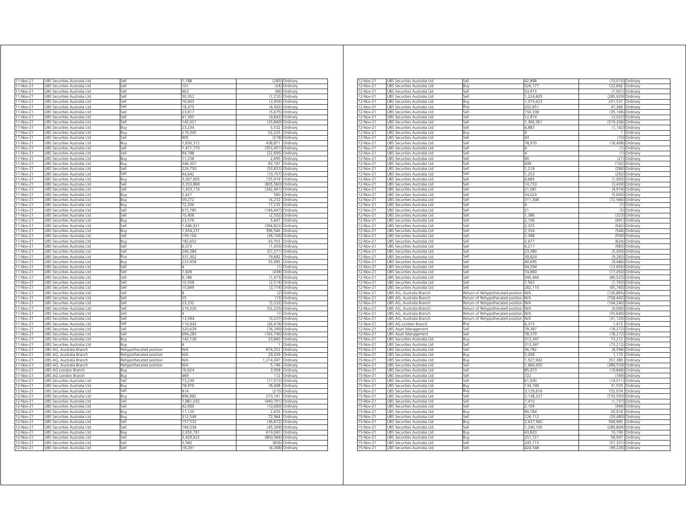| 11-Nov-21   | UBS Securities Australia Ltd           | iell                    | 1,188      |            | (283) Ordinary   |
|-------------|----------------------------------------|-------------------------|------------|------------|------------------|
| 11-Nov-21   | <b>JBS Securities Australia Ltd</b>    | sell                    | 101        | (24)       | Ordinan          |
| 11-Nov-21   | JBS Securities Australia Ltd           | sell                    | 403        | (96)       | Ordinary         |
| 11-Nov-21   | JBS Securities Australia Ltd           | Sell                    | 30.352     | (7.232)    | Ordinary         |
| 11-Nov-21   | UBS Securities Australia Ltd           | Sell                    | 16,603     | (3,956)    | Ordinary         |
| 11-Nov-21   | UBS Securities Australia Ltd           | Sell                    | 18,475     | (4, 402)   | Ordinary         |
| 11-Nov-21   | UBS Securities Australia Ltd           | Sell                    | 23,817     | (5,675)    | Ordinary         |
| 11-Nov-21   | UBS Securities Australia Ltd           | Sell                    | 41,305     |            | (9,842) Ordinary |
| 11-Nov-21   | UBS Securities Australia Ltd           | Sell                    | 142,021    | (33, 840)  | Ordinan          |
| 11-Nov-21   | UBS Securities Australia Ltd           | Buy                     | 23,234     | 5,532      | Ordinary         |
| $11-Nov-21$ | UBS Securities Australia Ltd           | Buy                     | 219,345    | 52,225     | Ordinary         |
| $11-Nov-21$ | UBS Securities Australia Ltd           | Sell                    | 905        |            | (218) Ordinary   |
| 11-Nov-21   | UBS Securities Australia Ltd           | Buy                     | 1,830,312  | 438,871    | Ordinary         |
| 11-Nov-21   | JBS Securities Australia Ltd           | sell                    | 1,471,770  | (353, 451) | Ordinary         |
| 11-Nov-21   | JBS Securities Australia Ltd           | sell                    | 94,788     | (22, 695)  | Ordinary         |
| 11-Nov-21   | JBS Securities Australia Ltd           | Buy                     | 11.238     | 2,695      | Ordinary         |
| 11-Nov-21   | JBS Securities Australia Ltd           | Buy                     | 346,307    | 83,187     | Ordinary         |
| 11-Nov-21   | JBS Securities Australia Ltd           | sell                    | 224,750    | (53, 831)  | Ordinary         |
| 11-Nov-21   | JBS Securities Australia Ltd           | sell                    | 44.642     | (10.757)   | Ordinary         |
| 11-Nov-21   | JBS Securities Australia Ltd           | Buy                     | 3,067,605  | 735,919    | Ordinary         |
| 11-Nov-21   | JBS Securities Australia Ltd           | Sell                    | 3,353,869  | (805, 560) | Ordinary         |
| 11-Nov-21   | UBS Securities Australia Ltd           | sell                    | 1.433.116  | (342.441)  | Ordinary         |
| $11-Nov-21$ | JBS Securities Australia Ltd           | Buy                     | 2,427      | 580        | Ordinary         |
| 11-Nov-21   | JBS Securities Australia Ltd           | Buy                     | 59,272     | 14,232     | Ordinary         |
| 11-Nov-21   | UBS Securities Australia Ltd           | Buy                     | 72,206     | 17,233     | Ordinary         |
| 11-Nov-21   | UBS Securities Australia Ltd           | Sell                    | 615,785    | (146, 647) | Ordinary         |
| 11-Nov-21   | UBS Securities Australia Ltd           | Sell                    | 10,408     | (2, 502)   | Ordinary         |
| 11-Nov-21   | UBS Securities Australia Ltd           | Buy                     | 23,576     | 5,647      | Ordinary         |
| 11-Nov-21   | UBS Securities Australia Ltd           | Sell                    | 1,646,92   | (394,822)  | Ordinary         |
| 11-Nov-21   | UBS Securities Australia Ltd           | Buy                     | 1,654,231  | 396,546    | Ordinary         |
| 11-Nov-21   | UBS Securities Australia Ltd           | Sell                    | 159,104    | (38, 106)  | Ordinary         |
| 11-Nov-21   | UBS Securities Australia Ltd           | Buy                     | 182,652    | 43,703     | Ordinary         |
| 11-Nov-21   | UBS Securities Australia Ltd           | Sell                    | 6.073      | (1.455)    | Ordinary         |
| 11-Nov-21   | JBS Securities Australia Ltd           | Sell                    | 240384     | (57, 271)  | Ordinary         |
| 11-Nov-21   | JBS Securities Australia Ltd           | Buy                     | 331,302    | 79,682     | Ordinary         |
| 11-Nov-21   | JBS Securities Australia Ltd           | Buy                     | 233.958    | 55.995     | Ordinary         |
| 11-Nov-21   | JBS Securities Australia Ltd           | Sell                    |            | (1)        | Ordinary         |
| 11-Nov-21   | JBS Securities Australia Ltd           | Sell                    | 1,839      | (438)      | Ordinary         |
| 11-Nov-21   | <b>JBS Securities Australia Ltd</b>    | Sell                    | 6.186      | (1.473)    | Ordinan          |
| 11-Nov-21   | JBS Securities Australia Ltd           | Sell                    | 10.558     | (2.514)    | Ordinary         |
| 11-Nov-21   | JBS Securities Australia Ltd           | Sell                    | 15.849     | (3.774)    | Ordinary         |
| 11-Nov-21   | UBS Securities Australia Ltd           | Sell                    |            | (2)        | Ordinary         |
| 11-Nov-21   | UBS Securities Australia Ltd           | Sell                    | 55         | (13)       | Ordinary         |
| 11-Nov-21   | UBS Securities Australia Ltd           | Sell                    | 23,232     | (5, 532)   | Ordinary         |
| 11-Nov-21   | UBS Securities Australia Ltd           | Sell                    | 219,320    | (52, 225)  | Ordinary         |
| 11-Nov-21   | UBS Securities Australia Ltd           | Sell                    | Λ          | (1)        | Ordinary         |
| 11-Nov-21   | JBS Securities Australia Ltd           | sell                    | 13,594     | (3,237)    | Ordinan          |
| 11-Nov-21   | <b>JRS</b><br>Securities Australia Ltd | Sell                    | 110,943    | (26, 418)  | Ordinan          |
| 11-Nov-21   | UBS Securities Australia Ltd           | Sell                    | 320,629    | (76, 349)  | Ordinary         |
| 11-Nov-21   | UBS Securities Australia Ltd           | sell                    | 694,283    | (163, 746) | Ordinary         |
| 11-Nov-21   | JBS Securities Australia Ltd           | Buv                     | 142,128    | 33,840     | Ordinarv         |
| 11-Nov-21   | JBS Securities Australia Ltd           | 3uv                     | 4          |            | Ordinary         |
| 11-Nov-21   | JBS AG, Australia Branch               | Rehypothecated position | N/A        | 874,252    | Ordinary         |
| 11-Nov-21   | JBS AG, Australia Branch               | Rehypothecated position | N/A        | 29,439     | Ordinary         |
| 11-Nov-21   | JBS AG, Australia Branch               | Rehypothecated position | N/A        | 1,214,247  | Ordinary         |
| 11-Nov-21   | JBS AG. Australia Branch               | Rehypothecated position | <b>N/A</b> | 5.146      | Ordinary         |
| 11-Nov-21   | <b>JBS AG London Branch</b>            | Buv                     | 16,624     | 3.958      | Ordinary         |
| 11-Nov-21   | JBS AG London Branch                   | Buy                     | 469        | 112        | Ordinary         |
| $12-Nov-21$ | UBS Securities Australia Ltd           | Sell                    | 73.239     | (17, 072)  | Ordinary         |
| $12-Nov-21$ | UBS Securities Australia Ltd           | Buv                     | 78,970     | 18,408     | Ordinary         |
| 12-Nov-21   | UBS Securities Australia Ltd           | iell                    | 914        | (215)      | Ordinary         |
| 12-Nov-21   | UBS Securities Australia Ltd           | Buy                     | 896,882    | 210,141    | Ordinary         |
| 12-Nov-21   | UBS Securities Australia Ltd           | Sell                    | 1,881,032  | (440, 791) | Ordinary         |
| 12-Nov-21   | UBS Securities Australia Ltd           | Sell                    | 42,600     | (10,000)   | Ordinary         |
| 12-Nov-21   | UBS Securities Australia Ltd           | Buy                     | 11,120     | 2,635      | Ordinary         |
| 12-Nov-21   | UBS Securities Australia Ltd           | Buy                     | 312,549    | 72 964     | Ordinary         |
| 12-Nov-21   | UBS Securities Australia Ltd           | Sell                    | 157,532    | (36, 872)  | Ordinary         |
| 12-Nov-21   | UBS Securities Australia Ltd           | Sell                    | 194,534    | (45, 309)  | Ordinary         |
| 12-Nov-21   | UBS Securities Australia Ltd           | Buy                     | 2,650,791  | 619,040    | Ordinary         |
| 12-Nov-21   | UBS Securities Australia Ltd           | iell                    | 3.429.622  | (800, 584) | Ordinary         |
| 12-Nov-21   | UBS Securities Australia Ltd           | Sell                    | 3,560      | (826)      | Ordinary         |
|             |                                        |                         |            |            |                  |
| 12-Nov-21   | UBS Securities Australia Ltd           | Sell                    | 18,291     | (4, 268)   | Ordinary         |

| 12-Nov-21   | JBS Securities Australia Ltd | Sel.                              | 42,898     |                    | (10,015) Ordinary  |
|-------------|------------------------------|-----------------------------------|------------|--------------------|--------------------|
| 12-Nov-21   | JBS Securities Australia Ltd | Buv                               | 526,177    | 122,692 Ordinary   |                    |
| 12-Nov-21   | UBS Securities Australia Ltd | Sell                              | 33,915     |                    | (7,931) Ordinary   |
| 12-Nov-21   | UBS Securities Australia Ltd | sell                              | 1,224,605  | (285,929) Ordinary |                    |
| 12-Nov-21   | UBS Securities Australia Ltd | Buy                               | 1,075,623  | 251,537 Ordinary   |                    |
| 12-Nov-21   | JBS Securities Australia Ltd | Buy                               | 202.651    |                    | 47,366 Ordinary    |
| 12-Nov-21   | JBS Securities Australia Ltd | Sell                              | 150,338    | (35, 106)          | Ordinary           |
|             |                              | Sell                              |            |                    |                    |
| 12-Nov-21   | UBS Securities Australia Ltd |                                   | 12,874     |                    | (3,022) Ordinary   |
| 12-Nov-21   | UBS Securities Australia Ltd | Sell                              | 1,366,361  | (319,206) Ordinary |                    |
| 12-Nov-21   | UBS Securities Australia Ltd | Sell                              | 4,883      |                    | (1,142) Ordinary   |
| 12-Nov-21   | UBS Securities Australia Ltd | Buy                               | 4          |                    | 1 Ordinary         |
| $12-Nov-21$ | UBS Securities Australia Ltd | Sell                              | 43         |                    | (10) Ordinary      |
| 12-Nov-21   | UBS Securities Australia Ltd | Sell                              | 78.970     |                    | (18,408) Ordinary  |
| 12-Nov-21   | JBS Securities Australia Ltd | Sell                              |            | (1)                | Ordinary           |
| 12-Nov-21   | JBS Securities Australia Ltd | Sell                              | Δ          | (1)                | Ordinary           |
| 12-Nov-21   | UBS Securities Australia Ltd | Sell                              | 90         |                    | (21) Ordinary      |
| 12-Nov-21   | JBS Securities Australia Ltd | iell                              | 438        | (102)              | Ordinary           |
|             |                              |                                   |            |                    |                    |
| 12-Nov-21   | JBS Securities Australia Ltd | Sell                              | 1,218      | (284)              | Ordinary           |
| 12-Nov-21   | JBS Securities Australia Ltd | Sell                              | 1,253      | (292)              | Ordinary           |
| 12-Nov-21   | UBS Securities Australia Ltd | Sell                              | 4,689      | (1,093)            | Ordinary           |
| 12-Nov-21   | UBS Securities Australia Ltd | Sell                              | 14,753     |                    | (3,439) Ordinary   |
| 12-Nov-21   | UBS Securities Australia Ltd | Sell                              | 21,081     |                    | (4,914) Ordinary   |
| 12-Nov-21   | UBS Securities Australia Ltd | Sell                              | 24,024     |                    | (5,600) Ordinary   |
| 12-Nov-21   | UBS Securities Australia Ltd | Sell                              | 311,308    |                    | (72,566) Ordinary  |
|             |                              |                                   |            |                    |                    |
| 12-Nov-21   | UBS Securities Australia Ltd | Sell                              |            |                    | (1) Ordinary       |
| 12-Nov-21   | JBS Securities Australia Ltd | Sell                              | 21         |                    | (5) Ordinary       |
| 12-Nov-21   | JBS Securities Australia Ltd | Sell                              | 1,386      |                    | (323) Ordinary     |
| 12-Nov-21   | UBS Securities Australia Ltd | Sell                              | 2,106      |                    | (491) Ordinary     |
| 12-Nov-21   | UBS Securities Australia Ltd | sell                              | 2,325      | (542)              | Ordinary           |
| 12-Nov-21   | UBS Securities Australia Ltd | ell)                              | 2,334      |                    | (544) Ordinary     |
| 12-Nov-21   | JBS Securities Australia Ltd | Sell                              | 2.398      | (559)              | Ordinary           |
| 12-Nov-21   |                              |                                   |            |                    |                    |
|             | JBS Securities Australia Ltd | Sell                              | 2,677      | (624)              | Ordinary           |
| 12-Nov-21   | UBS Securities Australia Ltd | Sell                              | 4,217      |                    | (983) Ordinary     |
| 12-Nov-21   | UBS Securities Australia Ltd | Sell                              | 23,380     |                    | (5,450) Ordinary   |
| 12-Nov-21   | UBS Securities Australia Ltd | Sell                              | 39,824     |                    | (9.283) Ordinary   |
| 12-Nov-21   | UBS Securities Australia Ltd | Sell                              | 40,695     |                    | (9,486) Ordinary   |
| 12-Nov-21   | UBS Securities Australia Ltd | Sell                              | 54,294     | (12, 656)          | Ordinary           |
| 12-Nov-21   | UBS Securities Australia Ltd | Sell                              | 74.860     |                    | (17,450) Ordinary  |
| 12-Nov-21   | JBS Securities Australia Ltd | Sell                              | 345,444    | (80, 523)          | Ordinary           |
| 12-Nov-21   | JBS Securities Australia Ltd | Sell                              | 7,563      | (1,763)            |                    |
|             |                              |                                   |            |                    | Ordinary           |
| 12-Nov-21   | UBS Securities Australia Ltd | Sell                              | 282,110    |                    | (65,760) Ordinary  |
| 12-Nov-21   | JBS AG, Australia Branch     | Return of Rehypothecated position | <b>N/A</b> | (126, 865)         | Ordinary           |
| 12-Nov-21   | JBS AG, Australia Branch     | Return of Rehypothecated position | <b>N/A</b> | (758, 442)         | Ordinary           |
| 12-Nov-21   | JBS AG, Australia Branch     | Return of Rehypothecated position | N/Α        | (104, 240)         | Ordinary           |
| 12-Nov-21   | JBS AG, Australia Branch     | Return of Rehypothecated position | <b>N/A</b> |                    | (9,000) Ordinary   |
| $12-Nov-21$ | UBS AG, Australia Branch     | Return of Rehypothecated position | <b>N/A</b> |                    | (55,640) Ordinary  |
| 12-Nov-21   | UBS AG, Australia Branch     | Return of Rehypothecated position | <b>N/A</b> |                    | (31,120) Ordinary  |
|             | UBS AG London Branch         | Buv                               | 6,315      |                    | 1,472 Ordinary     |
| 12-Nov-21   |                              |                                   |            |                    |                    |
| 12-Nov-21   | UBS Asset Management         | Sell                              | 78,387     |                    | (18,272) Ordinary  |
| 12-Nov-21   | UBS Asset Management         | Sell                              | 78,379     |                    | (18,272) Ordinary  |
| 15-Nov-21   | JBS Securities Australia Ltd | Buy                               | 313,347    |                    | 73,212 Ordinary    |
| 15-Nov-21   | JBS Securities Australia Ltd | Sell                              | 313,347    |                    | (73,212) Ordinary  |
| 15-Nov-21   | UBS Securities Australia Ltd | Sell                              | 36,782     |                    | (8,594) Ordinary   |
| 15-Nov-21   | UBS Securities Australia Ltd | Buy                               | 5,008      |                    | 1,170 Ordinary     |
| 15-Nov-21   | UBS Securities Australia Ltd | Buy                               | 1,527,942  | 357,380            | Ordinary           |
| $15-Nov-21$ | JBS Securities Australia Ltd | Sell                              | 1.666.650  | (389, 559)         | Ordinary           |
|             |                              |                                   |            |                    |                    |
| 15-Nov-21   | JBS Securities Australia Ltd | Sell                              | 85,973     | (19, 846)          | Ordinary           |
| 15-Nov-21   | UBS Securities Australia Ltd | Sell                              | 722        |                    | (169) Ordinary     |
| 15-Nov-21   | UBS Securities Australia Ltd | Sell                              | 61,930     |                    | (14,511) Ordinary  |
| 15-Nov-21   | UBS Securities Australia Ltd | Buy                               | 134.740    | 31.555             | Ordinary           |
| 15-Nov-21   | UBS Securities Australia Ltd | Buy                               | 3,129,616  | 732,074 Ordinary   |                    |
| 15-Nov-21   | UBS Securities Australia Ltd | Sell                              | 3,138,237  | (733,593) Ordinary |                    |
| 15-Nov-21   | UBS Securities Australia Ltd | Sell                              | 7.410      |                    | $(1,737)$ Ordinary |
| $15-Nov-21$ | JBS Securities Australia Ltd | Sell                              | 2,109      | (494)              | Ordinary           |
|             |                              |                                   |            |                    |                    |
| 15-Nov-21   | JBS Securities Australia Ltd | Buy                               | 90,784     | 20,918             | Ordinary           |
| 15-Nov-21   | UBS Securities Australia Ltd | Sell                              | 126,112    |                    | (29,480) Ordinary  |
| 15-Nov-21   | JBS Securities Australia Ltd | 3uy                               | 2,437,560  | 568.965            | Ordinary           |
| 15-Nov-21   | JBS Securities Australia Ltd | Sell                              | 1,240,100  | (289, 804)         | Ordinary           |
| 15-Nov-21   | JBS Securities Australia Ltd | Buy                               | 43,820     | 10,199             | Ordinary           |
| 15-Nov-21   | JBS Securities Australia Ltd | Buy                               | 251,721    | 58,947             | Ordinary           |
| 15-Nov-21   | UBS Securities Australia Ltd | Sell                              | 245,113    |                    | (57,331) Ordinary  |
|             |                              |                                   |            |                    |                    |
| 15-Nov-21   | UBS Securities Australia Ltd | Sell                              | 424,548    |                    | (99,226) Ordinary  |
|             |                              |                                   |            |                    |                    |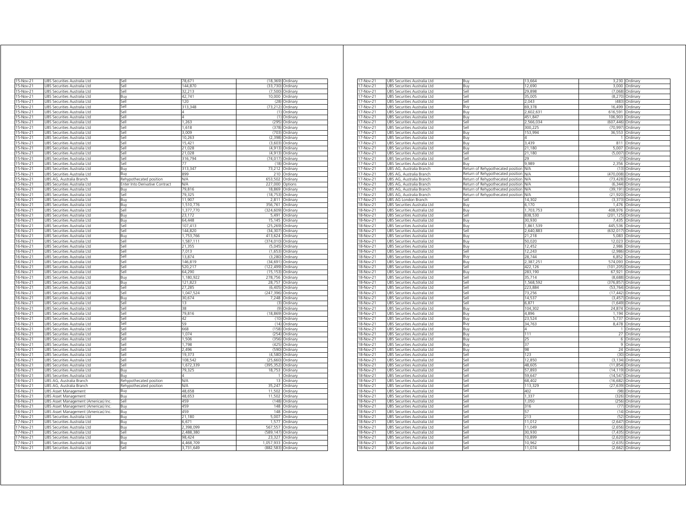| 15-Nov-21 | UBS Securities Australia Ltd        | iell                           | 78,671     |                    | (18,369) Ordinary  |
|-----------|-------------------------------------|--------------------------------|------------|--------------------|--------------------|
| 15-Nov-21 | UBS Securities Australia Ltd        | <b>Sell</b>                    | 144,870    | (33, 730)          | Ordinary           |
| 15-Nov-21 | UBS Securities Australia Ltd        | Sell                           | 32,213     |                    | (7,500) Ordinary   |
| 15-Nov-21 | UBS Securities Australia Ltd        | Buy                            | 42.741     |                    | 10,000 Ordinary    |
| 15-Nov-21 | UBS Securities Australia Ltd        | iell                           | 120        | (28)               | Ordinary           |
| 15-Nov-21 | UBS Securities Australia Ltd        | iell                           | 313,348    | (73.212)           | Ordinary           |
| 15-Nov-21 | UBS Securities Australia Ltd        | lle,                           |            | (1)                | Ordinary           |
| 15-Nov-21 | UBS Securities Australia Ltd        | sell                           | Δ          | (1)                | Ordinary           |
| 15-Nov-21 | UBS Securities Australia Ltd        | iell                           | 1.263      | (295               | Ordinary           |
| 15-Nov-21 | UBS Securities Australia Ltd        | lle,                           | 1618       | (378               | Ordinary           |
| 15-Nov-21 | UBS Securities Australia Ltd        | sell                           | 3.009      | (703)              | Ordinary           |
| 15-Nov-21 | JBS Securities Australia Ltd        | ile?                           | 10.263     | (2, 398)           | Ordinary           |
| 15-Nov-21 | UBS Securities Australia Ltd        | ile?                           | 15,421     | (3,603)            | Ordinary           |
| 15-Nov-21 | UBS Securities Australia Ltd        | iell                           | 21.028     | (4, 913)           | Ordinary           |
| 15-Nov-21 | UBS Securities Australia Ltd        | Sell                           | 21,028     |                    | $(4,913)$ Ordinary |
| 15-Nov-21 | UBS Securities Australia Ltd        | Sell                           | 316,794    |                    | (74,017) Ordinary  |
| 15-Nov-21 | UBS Securities Australia Ltd        | Sell                           | 77         |                    | (18) Ordinary      |
| 15-Nov-21 | UBS Securities Australia Ltd        | Buy                            | 313,347    |                    | 73,212 Ordinary    |
|           | UBS Securities Australia Ltd        | Buv                            | 899        |                    | 210 Ordinary       |
| 15-Nov-21 |                                     |                                | <b>N/A</b> | 653,502            |                    |
| 15-Nov-21 | UBS AG, Australia Branch            | Rehypothecated position        |            |                    | Ordinary           |
| 15-Nov-21 | UBS Securities Australia Ltd        | Enter Into Derivative Contract | N/A        | 227.000            | Options            |
| 16-Nov-21 | <b>JBS Securities Australia Ltd</b> | 3ı iv                          | 79.816     | 18.869             | Ordinan            |
| 16-Nov-21 | UBS Securities Australia Ltd        | Sell                           | 79,325     | (18, 753)          | Ordinary           |
| 16-Nov-21 | UBS Securities Australia Ltd        | Buv                            | 11.907     | 2.811              | Ordinary           |
| 16-Nov-21 | UBS Securities Australia Ltd        | Buy                            | 1,510,776  | 356,761            | Ordinary           |
| 16-Nov-21 | UBS Securities Australia Ltd        | Sell                           | 1,377,770  | (324, 609)         | Ordinary           |
| 16-Nov-21 | UBS Securities Australia Ltd        | Buy                            | 23,172     |                    | 5,491 Ordinary     |
| 16-Nov-21 | UBS Securities Australia Ltd        | Buy                            | 64,448     |                    | 15,145 Ordinary    |
| 16-Nov-21 | UBS Securities Australia Ltd        | Sell                           | 107,413    |                    | (25,269) Ordinary  |
| 16-Nov-21 | UBS Securities Australia Ltd        | iell                           | 144,820    | (34, 307)          | Ordinary           |
| 16-Nov-21 | UBS Securities Australia Ltd        | Buy                            | 1,753,766  | 413,624            | Ordinary           |
| 16-Nov-21 | UBS Securities Australia Ltd        | lle,                           | 1,587,111  | (374, 010)         | Ordinary           |
| 16-Nov-21 | UBS Securities Australia Ltd        | Sell                           | 21,355     | (5,045)            | Ordinary           |
| 16-Nov-21 | UBS Securities Australia Ltd        | Sell                           | 7.013      | (1,653)            | Ordinary           |
| 16-Nov-21 | UBS Securities Australia Ltd        | Sell                           | 13,874     | (3, 280)           | Ordinary           |
| 16-Nov-21 | UBS Securities Australia Ltd        | Sell                           | 146.819    | (34, 691)          | Ordinary           |
| 16-Nov-21 | UBS Securities Australia Ltd        | <b>Sell</b>                    | 520,217    | (122, 499)         | Ordinary           |
| 16-Nov-21 | UBS Securities Australia Ltd        | Sell                           | 64,290     | (15, 153)          | Ordinary           |
| 16-Nov-21 | UBS Securities Australia Ltd        | Buy                            | 1,180,922  | 278,756 Ordinary   |                    |
| 16-Nov-21 | UBS Securities Australia Ltd        | Buy                            | 121,823    |                    | 28,757 Ordinary    |
| 16-Nov-21 | UBS Securities Australia Ltd        | Sell                           | 27,285     |                    | (6,405) Ordinary   |
| 16-Nov-21 | UBS Securities Australia Ltd        | Sell                           | 1,047,524  | (247,396) Ordinary |                    |
| 16-Nov-21 | UBS Securities Australia Ltd        | Buy                            | 30.674     |                    | 7,248 Ordinary     |
|           |                                     |                                | 13         |                    |                    |
| 16-Nov-21 | UBS Securities Australia Ltd        | Sell                           |            |                    | (3) Ordinary       |
| 16-Nov-21 | UBS Securities Australia Ltd        | Sell                           | 38         |                    | (9) Ordinary       |
| 16-Nov-21 | UBS Securities Australia Ltd        | Sell                           | 79.816     | (18.869)           | Ordinary           |
| 16-Nov-21 | UBS Securities Australia Ltd        | Sell                           | 42         | (10)               | Ordinary           |
| 16-Nov-21 | UBS Securities Australia Ltd        | Sell                           | 59         |                    | (14) Ordinary      |
| 16-Nov-21 | UBS Securities Australia Ltd        | Sell                           | 668        | (158)              | Ordinary           |
| 16-Nov-21 | UBS Securities Australia Ltd        | Sell                           | 1,074      | (254)              | Ordinary           |
| 16-Nov-21 | UBS Securities Australia Ltd        | Sell                           | 1506       | (356)              | Ordinary           |
| 16-Nov-21 | UBS Securities Australia Ltd        | Sell                           | 1,798      | (425)              | Ordinary           |
| 16-Nov-21 | UBS Securities Australia Ltd        | Sell                           | 2.496      |                    | (590) Ordinary     |
| 16-Nov-21 | UBS Securities Australia Ltd        | iell                           | 19,373     | (4,580)            | Ordinary           |
| 16-Nov-21 | UBS Securities Australia Ltd        | iell                           | 108,542    | (25, 660)          | Ordinary           |
| 16-Nov-21 | UBS Securities Australia Ltd        | sell                           | 1,672,339  | (395, 352)         | Ordinary           |
| 16-Nov-21 | JBS Securities Australia Ltd        | Buv                            | 79,325     | 18,753             | Ordinary           |
| 16-Nov-21 | UBS Securities Australia Ltd        | Rın                            |            | 1                  | Ordinary           |
| 16-Nov-21 | JBS AG, Australia Branch            | Rehypothecated position        | <b>N/A</b> | 13                 | Ordinary           |
| 16-Nov-21 | UBS AG, Australia Branch            | Rehypothecated position        | N/A        | 35,247             | Ordinary           |
| 16-Nov-21 | UBS Asset Management                | Buv                            | 48,658     | 11,502             | Ordinary           |
| 16-Nov-21 | UBS Asset Management                | Buy                            | 48,653     | 11,502             | Ordinary           |
| 16-Nov-21 | UBS Asset Management (Americas) Inc | Sell                           | 459        | (148)              | Ordinary           |
| 16-Nov-21 | UBS Asset Management (Americas) Inc | Buy                            | 459        |                    | 148 Ordinary       |
| 16-Nov-21 | UBS Asset Management (Americas) Inc | Buy                            | 459        |                    | 148 Ordinary       |
| 17-Nov-21 | UBS Securities Australia Ltd        | Buv                            | 21,180     | 5,007              | Ordinary           |
| 17-Nov-21 | UBS Securities Australia Ltd        | Buy                            | 6,671      | 1,577              | Ordinary           |
| 17-Nov-21 | UBS Securities Australia Ltd        | Buy                            | 2,398,099  | 567.557            | Ordinary           |
| 17-Nov-21 | UBS Securities Australia Ltd        | Sell                           | 2,488,380  | (589, 147)         | Ordinary           |
| 17-Nov-21 | UBS Securities Australia Ltd        | Buv                            | 98.424     |                    | 23.327 Ordinary    |
|           |                                     |                                |            |                    |                    |
| 17-Nov-21 | UBS Securities Australia Ltd        | Buy                            | 4,468,709  | 1,057,933 Ordinary |                    |
| 17-Nov-21 | UBS Securities Australia Ltd        | Sell                           | 3,731,649  | (882,583) Ordinary |                    |

| 17-Nov-21              | UBS Securities Australia Ltd                                 | Buy                               | 13,664           |                    | 3,230 Ordinary                       |
|------------------------|--------------------------------------------------------------|-----------------------------------|------------------|--------------------|--------------------------------------|
| 17-Nov-21              | JBS Securities Australia Ltd                                 | Buy                               | 12.690           | 3,000              | Ordinary                             |
| 17-Nov-21              | UBS Securities Australia Ltd                                 | Sell                              | 29.898           | (7,068)            | Ordinary                             |
|                        |                                                              |                                   |                  |                    |                                      |
| 17-Nov-21              | UBS Securities Australia Ltd                                 | Sell                              | 35,005           | (8, 270)           | Ordinary                             |
| 17-Nov-21              | UBS Securities Australia Ltd                                 | Sell                              | 2,043            | (483)              | Ordinary                             |
|                        |                                                              |                                   |                  |                    |                                      |
| 17-Nov-21              | JBS Securities Australia Ltd                                 | Buy                               | 69.378           | 16.499             | Ordinary                             |
| 17-Nov-21              | JBS Securities Australia Ltd                                 | Buy                               | 2.602.631        | 616.591            | Ordinary                             |
| 17-Nov-21              | JBS Securities Australia Ltd                                 | Buy                               | 451,847          | 106,903            | Ordinary                             |
|                        |                                                              |                                   |                  |                    |                                      |
| 17-Nov-21              | JBS Securities Australia Ltd                                 | Sell                              | 2,566,034        | (607, 446)         | Ordinary                             |
| 17-Nov-21              | JBS Securities Australia Ltd                                 | Sell                              | 300,225          | (70, 997)          | Ordinary                             |
|                        |                                                              |                                   |                  |                    |                                      |
| 17-Nov-21              | UBS Securities Australia Ltd                                 | Buy                               | 153,994          | 36,553             | Ordinary                             |
| 17-Nov-21              | UBS Securities Australia Ltd                                 | Buy                               | Δ                |                    | 1 Ordinary                           |
| $17-Nov-21$            | UBS Securities Australia Ltd                                 | Buy                               | 3.439            | 811                | Ordinary                             |
|                        |                                                              |                                   |                  |                    |                                      |
| 17-Nov-21              | UBS Securities Australia Ltd                                 | Buy                               | 21,180           | 5,007              | Ordinary                             |
| 17-Nov-21              | JBS Securities Australia Ltd                                 | Sell                              | 21,180           | (5,007)            | Ordinary                             |
|                        |                                                              |                                   | 29               | (7)                |                                      |
| 17-Nov-21              | UBS Securities Australia Ltd                                 | Sell                              |                  |                    | Ordinary                             |
| 17-Nov-21              | UBS Securities Australia Ltd                                 | Buy                               | 9.989            |                    | 2,356 Ordinary                       |
| 17-Nov-21              | UBS AG, Australia Branch                                     | Return of Rehypothecated position | N/A              | (13)               | Ordinary                             |
|                        |                                                              |                                   |                  |                    |                                      |
| 17-Nov-21              | JBS AG, Australia Branch                                     | Return of Rehypothecated position | N/A              | (470,008)          | Ordinary                             |
| 17-Nov-21              | JBS AG, Australia Branch                                     | Return of Rehypothecated position | <b>N/A</b>       | (73, 428)          | Ordinary                             |
|                        |                                                              |                                   |                  |                    |                                      |
| 17-Nov-21              | UBS AG, Australia Branch                                     | Return of Rehypothecated position | N/A              | (6, 344)           | Ordinary                             |
| 17-Nov-21              | UBS AG, Australia Branch                                     | Return of Rehypothecated position | N/A              | (39, 191)          | Ordinary                             |
| 17-Nov-21              | JBS AG, Australia Branch                                     | Return of Rehypothecated position | N/A              | (21, 920)          | Ordinary                             |
|                        |                                                              |                                   |                  |                    |                                      |
| $17-Nov-21$            | UBS AG London Branch                                         | Sell                              | 14,302           | (3,373)            | Ordinary                             |
| 18-Nov-21              | UBS Securities Australia Ltd                                 | Buy                               | 6,170            | 1,476              | Ordinary                             |
|                        |                                                              |                                   |                  |                    |                                      |
| 18-Nov-21              | UBS Securities Australia Ltd                                 | Buy                               | 1.703.753        | 408.976            | Ordinary                             |
| 18-Nov-21              | UBS Securities Australia Ltd                                 | Sell                              | 838.530          | (201.125)          | Ordinary                             |
| 18-Nov-21              | JBS Securities Australia Ltd                                 |                                   | 30,930           | 7,435              |                                      |
|                        |                                                              | Buy                               |                  |                    | Ordinary                             |
| 18-Nov-21              | UBS Securities Australia Ltd                                 | Buy                               | 1,861,539        | 445,536            | Ordinary                             |
| 18-Nov-21              | UBS Securities Australia Ltd                                 | Sell                              | 2,640,883        | (632,017) Ordinary |                                      |
|                        |                                                              |                                   |                  |                    |                                      |
| 18-Nov-21              | JBS Securities Australia Ltd                                 | Buy                               | 21,218           | 5,083              | Ordinary                             |
| 18-Nov-21              | JBS Securities Australia Ltd                                 | Buy                               | 50,020           | 12,023             | Ordinary                             |
|                        |                                                              |                                   |                  |                    |                                      |
| 18-Nov-21              | UBS Securities Australia Ltd                                 | Buy                               | 12.452           | 2,986              | Ordinary                             |
| 18-Nov-21              | JBS Securities Australia Ltd                                 | Sell                              | 12.243           | (2,986)            | Ordinary                             |
|                        |                                                              |                                   | 28,744           |                    |                                      |
| 18-Nov-21              | UBS Securities Australia Ltd                                 | Buy                               |                  | 6,852              | Ordinary                             |
| 18-Nov-21              | UBS Securities Australia Ltd                                 | Buy                               | 2,387,251        | 574,093            | Ordinary                             |
| 18-Nov-21              | UBS Securities Australia Ltd                                 | Sell                              | 422,126          | (101,205) Ordinary |                                      |
|                        |                                                              |                                   |                  |                    |                                      |
| 18-Nov-21              | UBS Securities Australia Ltd                                 | Buy                               | 283,190          | 67,921             | Ordinary                             |
| 18-Nov-21              | UBS Securities Australia Ltd                                 | Sell                              | 35,714           |                    | (8,688) Ordinary                     |
| 18-Nov-21              | UBS Securities Australia Ltd                                 | Sell                              | 1.568.592        | (376, 857)         | Ordinary                             |
|                        |                                                              |                                   |                  |                    |                                      |
| 18-Nov-21              | JBS Securities Australia Ltd                                 | Sell                              | 223.884          | (53, 764)          | Ordinary                             |
| 18-Nov-21              | UBS Securities Australia Ltd                                 | Sell                              | 73,256           | (17, 442)          | Ordinary                             |
|                        |                                                              |                                   |                  |                    |                                      |
| 18-Nov-21              | UBS Securities Australia Ltd                                 | Sell                              | 14,537           |                    | (3,457) Ordinary                     |
| 18-Nov-21              | JBS Securities Australia Ltd                                 | Sell                              | 6.871            | (1,649)            | Ordinary                             |
|                        |                                                              |                                   | 104,302          | 24,874             |                                      |
| 18-Nov-21              | JBS Securities Australia Ltd                                 | Buy                               |                  |                    | Ordinary                             |
| 18-Nov-21              | UBS Securities Australia Ltd                                 | Buy                               | 4,896            | 1,194              | Ordinary                             |
| 18-Nov-21              | UBS Securities Australia Ltd                                 | Buy                               | 23.524           | 5,737              | Ordinary                             |
|                        |                                                              |                                   |                  |                    |                                      |
| 18-Nov-21              | UBS Securities Australia Ltd                                 | Buy                               | 34,763           |                    | 8,478 Ordinary                       |
| 18-Nov-21              | UBS Securities Australia Ltd                                 | Buy                               | Δ                | $\mathbf{1}$       | Ordinary                             |
|                        |                                                              |                                   |                  |                    |                                      |
| 18-Nov-21              | UBS Securities Australia Ltd                                 | Buy                               | 111              |                    | 27 Ordinary                          |
| 18-Nov-21              | UBS Securities Australia Ltd                                 | Buy                               | 25               |                    | 6 Ordinary                           |
| 18-Nov-21              | UBS Securities Australia Ltd                                 | Buy                               | 37               | 9                  | Ordinary                             |
|                        |                                                              |                                   |                  |                    |                                      |
| 18-Nov-21              | JBS Securities Australia Ltd                                 | Buy                               | 98               | 24                 | Ordinary                             |
| 18-Nov-21              | UBS Securities Australia Ltd                                 | Sell                              | 123              | (30)               | Ordinary                             |
|                        |                                                              |                                   |                  |                    |                                      |
| 18-Nov-21              | UBS Securities Australia Ltd                                 | Sell                              | 12,850           | (3, 134)           | Ordinary                             |
| 18-Nov-21              | JBS Securities Australia Ltd                                 | Sell                              | 48,605           | (11, 854)          | Ordinary                             |
| 18-Nov-21              | JBS Securities Australia Ltd                                 | Sell                              | 57.893           | (14.119)           | Ordinary                             |
|                        |                                                              |                                   |                  |                    |                                      |
| 18-Nov-21              | JBS Securities Australia Ltd                                 | Sell                              | 59.647           | (14.547)           | Ordinary                             |
| $18-Nov-21$            | JBS Securities Australia Ltd                                 | Sell                              | 68,402           | (16, 682)          | Ordinary                             |
|                        |                                                              |                                   |                  |                    |                                      |
| 18-Nov-21              | UBS Securities Australia Ltd                                 | Sell                              | 113,329          | (27, 639)          | Ordinary                             |
| 18-Nov-21              | UBS Securities Australia Ltd                                 | Sell                              | 402              |                    | (98) Ordinary                        |
| 18-Nov-21              | UBS Securities Australia Ltd                                 | Sell                              | 1,337            | (326)              | Ordinary                             |
|                        |                                                              |                                   |                  |                    |                                      |
| 18-Nov-21              | UBS Securities Australia Ltd                                 | Sell                              | 1,050            |                    | (256) Ordinary                       |
| 18-Nov-21              | UBS Securities Australia Ltd                                 | Sell                              | 316              | (77)               | Ordinary                             |
|                        |                                                              |                                   |                  |                    |                                      |
| 18-Nov-21              | UBS Securities Australia Ltd                                 | Sell                              | 57               |                    | (14) Ordinary                        |
| 18-Nov-21              | JBS Securities Australia Ltd                                 | Sell                              | 213              | (52)               | Ordinary                             |
|                        |                                                              |                                   |                  |                    |                                      |
| 18-Nov-21              | UBS Securities Australia Ltd                                 | Sell                              | 11,012           | (2,647)            | Ordinary                             |
| 18-Nov-21              | UBS Securities Australia Ltd                                 | Sell                              | 11,049           | (2,656)            | Ordinary                             |
| 18-Nov-21              |                                                              | Sell                              | 30,930           | (7, 435)           |                                      |
|                        | JBS Securities Australia Ltd                                 |                                   |                  |                    | Ordinary                             |
| 18-Nov-21              | JBS Securities Australia Ltd                                 | Sell                              | 10,899           | (2,620)            | Ordinary                             |
|                        |                                                              |                                   |                  |                    |                                      |
|                        |                                                              |                                   |                  |                    |                                      |
| 18-Nov-21<br>18-Nov-21 | UBS Securities Australia Ltd<br>UBS Securities Australia Ltd | Sell<br>Sell                      | 10.962<br>11,074 |                    | (2,635) Ordinary<br>(2,662) Ordinary |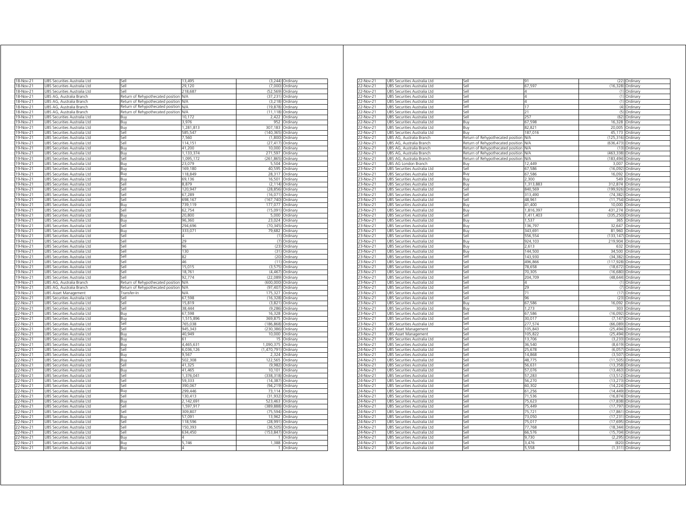| 18-Nov-21                           | UBS Securities Australia Ltd                                 | Sell                              | 13,495     |             | $(3,244)$ Ordinary |
|-------------------------------------|--------------------------------------------------------------|-----------------------------------|------------|-------------|--------------------|
| 18-Nov-21                           | UBS Securities Australia Ltd                                 | Sell                              | 29,120     | (7000)      | Ordinary           |
| 18-Nov-21                           | UBS Securities Australia Ltd                                 | Sell                              | 218,687    | (52, 569)   | Ordinary           |
| 18-Nov-21                           | UBS AG, Australia Branch                                     | Return of Rehypothecated position | N/A        | (37, 231)   | Ordinary           |
| 18-Nov-21                           | UBS AG, Australia Branch                                     | Return of Rehypothecated position | N/A        | (3, 218)    | Ordinary           |
| 18-Nov-21                           | JBS AG, Australia Branch                                     | Return of Rehypothecated position | <b>N/A</b> | (19, 878)   | Ordinary           |
| 18-Nov-21                           | JBS AG, Australia Branch                                     | Return of Rehypothecated position | N/A        | (11, 118)   | Ordinary           |
| 19-Nov-21                           | JBS Securities Australia Ltd                                 | <b>B</b> u                        | 10.172     | 2.422       | Ordinary           |
| 19-Nov-21                           | JBS Securities Australia Ltd                                 | Buy                               | 3.976      | 952         | Ordinan            |
| 19-Nov-21                           | JBS Securities Australia Ltd                                 | Buy                               | 1,281,813  | 307,183     | Ordinary           |
| 19-Nov-21                           | JBS Securities Australia Ltd                                 | Sell                              | 585.547    | (140.365)   | Ordinary           |
| 19-Nov-21                           | JBS Securities Australia Ltd                                 | Sell                              | 7,560      | (1,800)     | Ordinary           |
| 19-Nov-21                           | JBS Securities Australia Ltd                                 | Sell                              | 114,151    | (27, 417)   | Ordinary           |
| 19-Nov-21                           | UBS Securities Australia Ltd                                 | Buy                               | 41,200     | 10,000      | Ordinary           |
| 19-Nov-21                           | UBS Securities Australia Ltd                                 | Buy                               | 1,133,374  | 271,597     | Ordinary           |
| 19-Nov-21                           | UBS Securities Australia Ltd                                 | Sell                              | 1,095,172  | (261, 865)  | Ordinary           |
| 19-Nov-21                           | UBS Securities Australia Ltd                                 | Buy                               | 23,079     | 5,504       | Ordinary           |
| 19-Nov-21                           | JBS Securities Australia Ltd                                 | Buy                               | 169,180    | 40,595      | Ordinary           |
| 19-Nov-21                           | JBS Securities Australia Ltd                                 | Βuγ                               | 118,849    | 28,317      | Ordinary           |
| 9-Nov-21                            | JBS Securities Australia Ltd                                 | Buv                               | 69,136     | 16,501      | Ordinary           |
| 9-Nov-21                            | JBS Securities Australia Ltd                                 | lle,                              | 8,879      | (2, 114)    | Ordinary           |
| 19-Nov-21                           | JBS Securities Australia Ltd                                 | iell                              | 120,947    | (28, 856)   | Ordinary           |
| 9-Nov-21                            | JBS Securities Australia Ltd                                 | iell                              | 67,289     | (16, 071)   | Ordinary           |
|                                     |                                                              |                                   |            |             |                    |
| 9-Nov-21                            | JBS Securities Australia Ltd                                 | sell                              | 698,167    | (167, 740)  | Ordinary           |
| 19-Nov-21                           | JBS Securities Australia Ltd                                 | Buy                               | 739,119    | 177,077     | Ordinary           |
| 19-Nov-21                           | JBS Securities Australia Ltd                                 | Sell                              | 62,754     | (15,091)    | Ordinary           |
| 19-Nov-21                           | JBS Securities Australia Ltd                                 | Buy                               | 20,800     | 5,000       | Ordinary           |
| 19-Nov-21                           | JBS Securities Australia Ltd                                 | Buy                               | 96,360     | 23,024      | Ordinary           |
| 19-Nov-21                           | JBS Securities Australia Ltd                                 | Sell                              | 294,696    | (70, 345)   | Ordinary           |
| 19-Nov-21                           | UBS Securities Australia Ltd                                 | Buy                               | 333,071    | 79,682      | Ordinary           |
| 19-Nov-21                           | UBS Securities Australia Ltd                                 | Sell                              | 4          |             | (1) Ordinary       |
| 19-Nov-21                           | UBS Securities Australia Ltd                                 | Sell                              | 29         |             | (7) Ordinary       |
| 19-Nov-21                           | UBS Securities Australia Ltd                                 | Sell                              | 96         |             | (23) Ordinary      |
| 19-Nov-21                           | UBS Securities Australia Ltd                                 | Sell                              | 130        | (31)        | Ordinary           |
| 19-Nov-21                           | JBS Securities Australia Ltd                                 | Sell                              | 82         | (20)        | Ordinary           |
| 19-Nov-21                           | UBS Securities Australia Ltd                                 | Sell                              | 46         | (11)        | Ordinary           |
| 19-Nov-21                           | UBS Securities Australia Ltd                                 | Sell                              | 15.015     | (3.575)     | Ordinary           |
| 19-Nov-21                           | JBS Securities Australia Ltd                                 | Sell                              | 18,761     | (4, 467)    | Ordinary           |
| 19-Nov-21                           | JBS Securities Australia Ltd                                 | Sell                              | 92,774     | (22, 089)   | Ordinary           |
| 19-Nov-21                           | JBS AG. Australia Branch                                     | Return of Rehypothecated position | <b>N/A</b> | (600.000)   | Ordinary           |
| 19-Nov-21                           | JBS AG, Australia Branch                                     |                                   | <b>N/A</b> | (97, 407)   | Ordinary           |
|                                     |                                                              | Return of Rehypothecated position | <b>N/A</b> | 175,327     |                    |
| 19-Nov-21                           | <b>JBS Asset Management</b>                                  | Transfer-In                       | 67.598     |             | Ordinary           |
| 22-Nov-21                           | JBS Securities Australia Ltd                                 | Sell                              |            | (16, 328)   | Ordinary           |
| 22-Nov-21                           | UBS Securities Australia Ltd                                 | Sell                              | 15,819     | (3,821)     | Ordinary           |
| 22-Nov-21                           | UBS Securities Australia Ltd                                 | Sell                              | 38,444     | (9, 286)    | Ordinary           |
| 22-Nov-21                           | UBS Securities Australia Ltd                                 | Buy                               | 67.598     | 16,328      | Ordinary           |
| 22-Nov-21                           | JBS Securities Australia Ltd                                 | Buv                               | 1,515,896  | 369,875     | Ordinary           |
| 2-Nov-21                            | JBS Securities Australia Ltd                                 | Sell                              | 765.038    | (186,868)   | Ordinan            |
| 22-Nov-21                           | UBS Securities Australia Ltd                                 | Sell                              | 945,343    | (230, 386)  | Ordinary           |
| 2-Nov-21                            | JBS Securities Australia Ltd                                 | Buv                               | 40,949     | 10,000      | Ordinary           |
| 2-Nov-21                            | JBS Securities Australia Ltd                                 | Buy                               | 61         | 15          | Ordinarv           |
| 2-Nov-21                            | JBS Securities Australia Ltd                                 | Buv                               | 4,465,631  | 1,090,375   | Ordinary           |
| 2-Nov-21                            | JBS Securities Australia Ltd                                 | sell                              | 6,036,126  | (1,470,791) | Ordinary           |
| 22-Nov-21                           | JBS Securities Australia Ltd                                 | Buv                               | 9567       | 2,324       | Ordinary           |
| 22-Nov-21                           | JBS Securities Australia Ltd                                 | Ruv                               | 502.308    | 122.565     | Ordinary           |
| 22-Nov-21                           | JBS Securities Australia Ltd                                 | <b>Sell</b>                       | 41,325     | (9,982)     | Ordinary           |
| 22-Nov-21                           | JBS Securities Australia Ltd                                 | Buy                               | 41,465     | 10,101      | Ordinary           |
| 22-Nov-21                           | UBS Securities Australia Ltd                                 | -ell                              | 1,376,041  | (338, 318)  | Ordinary           |
| 22-Nov-21                           | UBS Securities Australia Ltd                                 | Sell                              | 59,333     | (14, 387)   |                    |
|                                     |                                                              | Sell                              |            |             | Ordinary           |
| 22-Nov-21                           | UBS Securities Australia Ltd                                 |                                   | 390,067    | (94, 219)   | Ordinary           |
| 22-Nov-21                           | UBS Securities Australia Ltd                                 | Buv                               | 299,446    | 73,114      | Ordinary           |
| 22-Nov-21                           | UBS Securities Australia Ltd                                 | Sell                              | 130,413    | (31, 932)   | Ordinary           |
| 22-Nov-21                           | UBS Securities Australia Ltd                                 | Buy                               | 2,142,691  | 523,463     | Ordinary           |
| 22-Nov-21                           | UBS Securities Australia Ltd                                 | Sell                              | 1,597,917  | (389, 888)  | Ordinary           |
| 22-Nov-21                           | UBS Securities Australia Ltd                                 | Sell                              | 309,807    | (75, 594)   | Ordinary           |
| 22-Nov-21                           | UBS Securities Australia Ltd                                 | Buy                               | 57,091     | 13,962      | Ordinary           |
| 22-Nov-21                           | UBS Securities Australia Ltd                                 | Sell                              | 118,596    | (28, 991)   | Ordinary           |
| 22-Nov-21                           | JBS Securities Australia Ltd                                 | Sell                              | 150,393    | (36, 505)   | Ordinary           |
|                                     | JBS Securities Australia Ltd                                 | Sell                              | 634,450    | (153, 847)  | Ordinary           |
|                                     |                                                              |                                   |            |             |                    |
|                                     | JBS Securities Australia Ltd                                 | Rın                               |            | 1           | Ordinan            |
| 22-Nov-21<br>22-Nov-21<br>22-Nov-21 |                                                              |                                   | 5.746      | 1,388       | Ordinary           |
| 22-Nov-21                           | JBS Securities Australia Ltd<br>UBS Securities Australia Ltd | Buy<br>Buv                        |            | 1           | Ordinary           |

| 22-Nov-21 | UBS Securities Australia Ltd    | Sell                                  | 91         |                    | (22) Ordinary     |
|-----------|---------------------------------|---------------------------------------|------------|--------------------|-------------------|
| 22-Nov-21 | UBS Securities Australia Ltd    | Sell                                  | 67,597     |                    | (16,328) Ordinary |
| 22-Nov-21 | UBS Securities Australia Ltd    | Sell                                  | 4          |                    | (1) Ordinary      |
| 22-Nov-21 | UBS Securities Australia Ltd    | Sell                                  | 4          |                    | (1) Ordinary      |
| 22-Nov-21 | JBS Securities Australia Ltd    | Sell                                  | 4          |                    | (1) Ordinary      |
|           |                                 | Sell                                  | 17         |                    |                   |
| 22-Nov-21 | JBS Securities Australia Ltd    |                                       |            |                    | (4) Ordinary      |
| 22-Nov-21 | UBS Securities Australia Ltd    | Sell                                  | 21         | (5)                | Ordinary          |
| 22-Nov-21 | UBS Securities Australia Ltd    | Sell                                  | 257        |                    | (62) Ordinary     |
| 22-Nov-21 | JBS Securities Australia Ltd    | Buy                                   | 67,598     | 16.328             | Ordinary          |
| 22-Nov-21 | JBS Securities Australia Ltd    | Buy                                   | 82,821     | 20,005             | Ordinary          |
| 2-Nov-21  | JBS Securities Australia Ltd    | Buy                                   | 187.016    | 45.173             | Ordinary          |
| 22-Nov-21 | JBS AG. Australia Branch        | Return of Rehypothecated position     | N/A        | (125.316)          | Ordinary          |
| 22-Nov-21 | JBS AG, Australia Branch        | Return of Rehypothecated position     | VA         | (636, 473)         | Ordinary          |
| 22-Nov-21 | UBS AG, Australia Branch        | Return of Rehypothecated position     | <b>N/A</b> |                    | (13) Ordinary     |
| 22-Nov-21 | UBS AG, Australia Branch        | Return of Rehypothecated position N/A |            | (463,338) Ordinary |                   |
| 22-Nov-21 | UBS AG, Australia Branch        | Return of Rehypothecated position N/A |            | (183,494) Ordinary |                   |
| 22-Nov-21 | UBS AG London Branch            | Buy                                   | 12,449     |                    | 3,007 Ordinary    |
| 23-Nov-21 |                                 | Sell                                  |            | (16.092)           |                   |
|           | UBS Securities Australia Ltd    |                                       | 67,586     |                    | Ordinary          |
| 23-Nov-21 | JBS Securities Australia Ltd    | Buy                                   | 67,586     | 16,092             | Ordinary          |
| 23-Nov-21 | UBS Securities Australia Ltd    | Buy                                   | 2,300      |                    | 549 Ordinary      |
| 23-Nov-21 | UBS Securities Australia Ltd    | Buy                                   | 1,313,883  | 312,874 Ordinary   |                   |
| 23-Nov-21 | JBS Securities Australia Ltd    | Sell                                  | 840,569    | 199,926)           | Ordinary          |
| 23-Nov-21 | UBS Securities Australia Ltd    | Sell                                  | 313,490    |                    | (74,382) Ordinary |
| 23-Nov-21 | JBS Securities Australia Ltd    | sell                                  | 48,961     |                    | (11,754) Ordinary |
| 23-Nov-21 | JBS Securities Australia Ltd    | Buy                                   | 41,400     |                    | 10,000 Ordinary   |
| 23-Nov-21 | JBS Securities Australia Ltd    | Buy                                   | 1,816,397  | 431,274            | Ordinary          |
| 23-Nov-21 | UBS Securities Australia Ltd    | Sell                                  | 1,411,403  | (335,250) Ordinary |                   |
| 23-Nov-21 | UBS Securities Australia Ltd    | Buy                                   | 1,537      |                    | 365 Ordinary      |
| 23-Nov-21 | UBS Securities Australia Ltd    | Buy                                   | 136,797    |                    | 32,647 Ordinary   |
|           |                                 |                                       |            |                    |                   |
| 23-Nov-21 | UBS Securities Australia Ltd    | Buy                                   | 343,691    |                    | 81,960 Ordinary   |
| 23-Nov-21 | UBS Securities Australia Ltd    | Sell                                  | 556,554    | (133,147) Ordinary |                   |
| 23-Nov-21 | JBS Securities Australia Ltd    | Buy                                   | 924,103    | 219.904            | Ordinary          |
| 23-Nov-21 | JBS Securities Australia Ltd    | Buy                                   | 2,613      | 632                | Ordinary          |
| 23-Nov-21 | UBS Securities Australia Ltd    | Buy                                   | 144,500    |                    | 34,500 Ordinary   |
| 23-Nov-21 | Securities Australia Ltd<br>JBS | Sell                                  | 143,930    | (34, 382)          | Ordinan           |
| 23-Nov-21 | UBS Securities Australia Ltd    | Sell                                  | 496,866    | (117,928) Ordinary |                   |
| 3-Nov-21  | JBS Securities Australia Ltd    | iell                                  | 78,658     | (18, 672)          | Ordinary          |
| 23-Nov-21 | JBS Securities Australia Ltd    | Sell                                  | 70,305     | (16, 680)          | Ordinary          |
| 23-Nov-21 | JBS Securities Australia Ltd    | Sell                                  | 204,709    | (48.644)           | Ordinary          |
| 23-Nov-21 | JBS Securities Australia Ltd    | Sell                                  | 4          | (1)                | Ordinary          |
|           |                                 | Sell                                  | 29         |                    |                   |
| 23-Nov-21 | UBS Securities Australia Ltd    |                                       |            |                    | (7) Ordinary      |
| 23-Nov-21 | UBS Securities Australia Ltd    | Sell                                  | 71         |                    | (17) Ordinary     |
| 23-Nov-21 | UBS Securities Australia Ltd    | Sell                                  | 96         |                    | (23) Ordinary     |
| 23-Nov-21 | UBS Securities Australia Ltd    | Buy                                   | 67,586     |                    | 16,092 Ordinary   |
| 23-Nov-21 | JBS Securities Australia Ltd    | Buy                                   | 1,273      |                    | 303 Ordinary      |
| 23-Nov-21 | JBS Securities Australia Ltd    | Sell                                  | 67,586     | (16,092)           | Ordinary          |
| 23-Nov-21 | UBS Securities Australia Ltd    | Sell                                  | 30,017     |                    | (7,147) Ordinary  |
| 23-Nov-21 | UBS Securities Australia Ltd    | Sell                                  | 277,574    | (66, 089)          | Ordinary          |
| 23-Nov-21 | UBS Asset Management            | Sell                                  | 105,843    |                    | (25,494) Ordinary |
| 23-Nov-21 | <b>JBS Asset Management</b>     | $=$                                   | 105,822    | (25, 494)          | Ordinary          |
| 4-Nov-21  | UBS Securities Australia Ltd    | sell                                  | 13,706     | (3, 233)           | Ordinary          |
| 24-Nov-21 | JBS Securities Australia Ltd    | Sell                                  | 36,540     | (8,619)            | Ordinary          |
| 24-Nov-21 |                                 | Sell                                  |            |                    |                   |
|           | JBS Securities Australia Ltd    |                                       | 25,678     | (6,057)            | Ordinary          |
| 24-Nov-21 | UBS Securities Australia Ltd    | Sell                                  | 14,868     | (3.507)            | Ordinary          |
| 24-Nov-21 | UBS Securities Australia Ltd    | Sell                                  | 48,775     |                    | (11,505) Ordinary |
| 24-Nov-21 | UBS Securities Australia Ltd    | Sell                                  | 56,631     |                    | (13,358) Ordinary |
| 24-Nov-21 | UBS Securities Australia Ltd    | Sell                                  | 57,076     |                    | (13,463) Ordinary |
| 24-Nov-21 | UBS Securities Australia Ltd    | Sell                                  | 57,283     | (13.512)           | Ordinary          |
| 24-Nov-21 | JBS Securities Australia Ltd    | Sell                                  | 56,270     | (13, 273)          | Ordinary          |
| 24-Nov-21 | UBS Securities Australia Ltd    | Sell                                  | 60,302     | (14, 224)          | Ordinary          |
| 24-Nov-21 | UBS Securities Australia Ltd    | Sell                                  | 61,256     |                    | (14,449) Ordinary |
| 24-Nov-21 | UBS Securities Australia Ltd    | Sell                                  | 71,536     | (16, 874)          | Ordinary          |
| 24-Nov-21 | JBS Securities Australia Ltd    | $=$                                   | 75,623     | (17, 838)          | Ordinary          |
|           | JBS Securities Australia Ltd    | ell)                                  | 75.449     | (17, 797)          |                   |
| 4-Nov-21  |                                 |                                       |            |                    | Ordinary          |
| 24-Nov-21 | JBS Securities Australia Ltd    | Sell                                  | 75.721     | (17.861)           | Ordinary          |
| 24-Nov-21 | JBS Securities Australia Ltd    | Sell                                  | 73,050     | (17, 231)          | Ordinary          |
| 24-Nov-21 | UBS Securities Australia Ltd    | Sell                                  | 75,017     | (17, 695)          | Ordinary          |
| 24-Nov-21 | UBS Securities Australia Ltd    | Sell                                  | 77,768     |                    | (18,344) Ordinary |
| 24-Nov-21 | UBS Securities Australia Ltd    | Sell                                  | 66,576     |                    | (15,704) Ordinary |
| 24-Nov-21 | UBS Securities Australia Ltd    | Sell                                  | 9,730      | (2, 295)           | Ordinary          |
| 24-Nov-21 | UBS Securities Australia Ltd    | Sell                                  | 3.476      |                    | (820) Ordinary    |
| 24-Nov-21 | UBS Securities Australia Ltd    | Sell                                  | 5,558      |                    | (1,311) Ordinary  |
|           |                                 |                                       |            |                    |                   |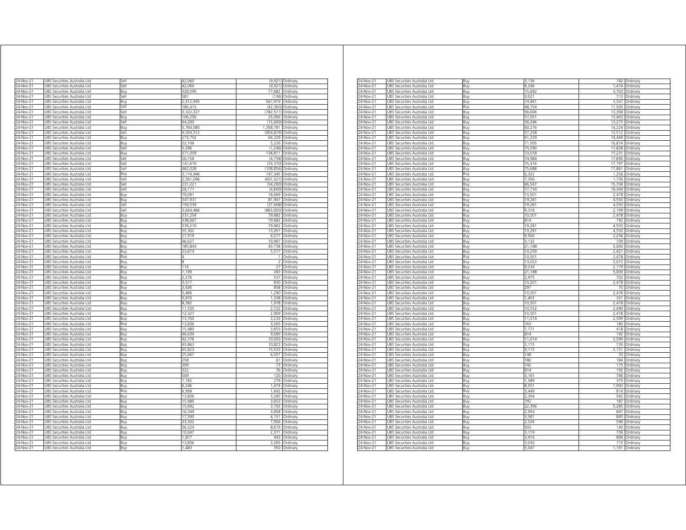| 24-Nov-21<br>JBS Securities Australia Ltd<br>24-Nov-21<br><b>JBS Securities Australia Ltd</b><br>24-Nov-21<br>JBS Securities Australia Ltd<br><b>JBS Securities Australia Ltd</b><br>24-Nov-21<br>24-Nov-21<br>JBS Securities Australia Ltd<br>24-Nov-21<br>UBS Securities Australia Ltd<br>24-Nov-21<br>JBS Securities Australia Ltd<br>24-Nov-21<br>UBS Securities Australia Ltd<br>24-Nov-21<br>JBS Securities Australia Ltd<br>24-Nov-21<br>UBS Securities Australia Ltd<br>24-Nov-21<br>UBS Securities Australia Ltd<br>24-Nov-21<br>UBS Securities Australia Ltd<br>24-Nov-21<br>JBS Securities Australia Ltd<br>24-Nov-21<br>JBS Securities Australia Ltd<br>24-Nov-21<br>JBS Securities Australia Ltd<br>24-Nov-21<br>JBS Securities Australia Ltd<br>24-Nov-21<br>JBS Securities Australia Ltd<br>24-Nov-21<br>JBS Securities Australia Ltd<br>24-Nov-21<br><b>JBS Securities Australia Ltd</b><br>24-Nov-21<br>JBS Securities Australia Ltd<br>$24$ -Nov-21<br>JBS Securities Australia Ltd<br>24-Nov-21<br>JBS Securities Australia Ltd<br>24-Nov-21<br>JBS Securities Australia Ltd<br>24-Nov-21<br>JBS Securities Australia Ltd<br>24-Nov-21<br>JBS Securities Australia Ltd<br>24-Nov-21<br>JBS Securities Australia Ltd<br>24-Nov-21<br>UBS Securities Australia Ltd<br>24-Nov-21<br>JBS Securities Australia Ltd<br>24-Nov-21<br>JBS Securities Australia Ltd<br>24-Nov-21<br>JBS Securities Australia Ltd<br>24-Nov-21<br>JBS Securities Australia Ltd<br>24-Nov-21<br>JBS Securities Australia Ltd<br>24-Nov-21<br>JBS Securities Australia Ltd<br>24-Nov-21<br>JBS Securities Australia Ltd<br>24-Nov-21<br>JBS Securities Australia Ltd<br>24-Nov-21<br>JBS Securities Australia Ltd<br>24-Nov-21<br>JBS Securities Australia Ltd<br>24-Nov-21<br><b>JBS Securities Australia Ltd</b><br>24-Nov-21<br>JBS Securities Australia Ltd<br>24-Nov-21<br>JBS Securities Australia Ltd<br>24-Nov-21<br>JBS Securities Australia Ltd<br>24-Nov-21<br>JBS Securities Australia Ltd<br>24-Nov-21<br>UBS Securities Australia Ltd | Sell<br>Sell<br><b>Buv</b><br>sell<br>Buy<br>Sell<br>Sell<br>Buy<br>Sell<br>Buy<br>Sell<br>Buy<br>Buy<br>iell<br>Buv<br>sell<br>Sell<br>Sell<br>Buy<br>Sell<br>Sell<br>Sell<br>Buy<br>Buy<br>Sell<br>Sell<br>Buy<br>Buy<br>Buy<br>Buy<br>Buy<br>Buv<br>Buy<br>Buy<br>Buy<br>Buy<br>Buy | 42,060<br>42.060<br>328.595<br>581<br>2,412,945<br>180,415<br>3,322,327<br>106,250<br>64,200<br>5,764,085<br>4,054,512<br>273,752<br>22,106<br>5,296<br>571,059<br>20,158<br>141,619<br>462.028<br>3.174.946<br>2,561,096<br>231,221<br>28,171<br>79,091<br>347,931<br>159,539<br>3,664,486<br>337,254<br>338,067<br>339,270<br>55,302<br>27.919<br>46,627<br>185,843<br>23.674 | (9.921)<br>77.682<br>(136)<br>567.979<br>(42, 360)<br>(782, 571)<br>(15,000)<br>1,358,781<br>(954, 879)<br>64,329<br>5,226<br>(1, 246)<br>134 811<br>(4, 758)<br>(33, 370)<br>(108.856)<br>747.345<br>(601, 521)<br>(54, 290)<br>(6,600)<br>18,669<br>81,947<br>(37, 668)<br>(865,000)<br>79,682<br>79,682<br>79,682<br>13,057<br>6577<br>10 967<br>43,738<br>5.577<br>1<br>$\mathfrak{p}$ | (9,921) Ordinary<br>Ordinan<br>Ordinary<br>Ordinary<br>Ordinary<br>Ordinary<br>Ordinary<br>25,000 Ordinary<br>Ordinary<br>Ordinary<br>Ordinary<br>Ordinary<br>Ordinary<br>Ordinary<br>Ordinary<br>Ordinary<br>Ordinary<br>Ordinary<br>Ordinary<br>Ordinary<br>Ordinary<br>Ordinary<br>Ordinary<br>Ordinary<br>Ordinary<br>Ordinary<br>Ordinary<br>Ordinary<br>Ordinary<br>Ordinary<br>Ordinary<br>Ordinary<br>Ordinary<br>Ordinary<br>Ordinan |
|--------------------------------------------------------------------------------------------------------------------------------------------------------------------------------------------------------------------------------------------------------------------------------------------------------------------------------------------------------------------------------------------------------------------------------------------------------------------------------------------------------------------------------------------------------------------------------------------------------------------------------------------------------------------------------------------------------------------------------------------------------------------------------------------------------------------------------------------------------------------------------------------------------------------------------------------------------------------------------------------------------------------------------------------------------------------------------------------------------------------------------------------------------------------------------------------------------------------------------------------------------------------------------------------------------------------------------------------------------------------------------------------------------------------------------------------------------------------------------------------------------------------------------------------------------------------------------------------------------------------------------------------------------------------------------------------------------------------------------------------------------------------------------------------------------------------------------------------------------------------------------------------------------------------------------------------------------------------------------------------------------------------------------------------|----------------------------------------------------------------------------------------------------------------------------------------------------------------------------------------------------------------------------------------------------------------------------------------|---------------------------------------------------------------------------------------------------------------------------------------------------------------------------------------------------------------------------------------------------------------------------------------------------------------------------------------------------------------------------------|--------------------------------------------------------------------------------------------------------------------------------------------------------------------------------------------------------------------------------------------------------------------------------------------------------------------------------------------------------------------------------------------|-----------------------------------------------------------------------------------------------------------------------------------------------------------------------------------------------------------------------------------------------------------------------------------------------------------------------------------------------------------------------------------------------------------------------------------------------|
|                                                                                                                                                                                                                                                                                                                                                                                                                                                                                                                                                                                                                                                                                                                                                                                                                                                                                                                                                                                                                                                                                                                                                                                                                                                                                                                                                                                                                                                                                                                                                                                                                                                                                                                                                                                                                                                                                                                                                                                                                                            |                                                                                                                                                                                                                                                                                        |                                                                                                                                                                                                                                                                                                                                                                                 |                                                                                                                                                                                                                                                                                                                                                                                            |                                                                                                                                                                                                                                                                                                                                                                                                                                               |
|                                                                                                                                                                                                                                                                                                                                                                                                                                                                                                                                                                                                                                                                                                                                                                                                                                                                                                                                                                                                                                                                                                                                                                                                                                                                                                                                                                                                                                                                                                                                                                                                                                                                                                                                                                                                                                                                                                                                                                                                                                            |                                                                                                                                                                                                                                                                                        |                                                                                                                                                                                                                                                                                                                                                                                 |                                                                                                                                                                                                                                                                                                                                                                                            |                                                                                                                                                                                                                                                                                                                                                                                                                                               |
|                                                                                                                                                                                                                                                                                                                                                                                                                                                                                                                                                                                                                                                                                                                                                                                                                                                                                                                                                                                                                                                                                                                                                                                                                                                                                                                                                                                                                                                                                                                                                                                                                                                                                                                                                                                                                                                                                                                                                                                                                                            |                                                                                                                                                                                                                                                                                        |                                                                                                                                                                                                                                                                                                                                                                                 |                                                                                                                                                                                                                                                                                                                                                                                            |                                                                                                                                                                                                                                                                                                                                                                                                                                               |
|                                                                                                                                                                                                                                                                                                                                                                                                                                                                                                                                                                                                                                                                                                                                                                                                                                                                                                                                                                                                                                                                                                                                                                                                                                                                                                                                                                                                                                                                                                                                                                                                                                                                                                                                                                                                                                                                                                                                                                                                                                            |                                                                                                                                                                                                                                                                                        |                                                                                                                                                                                                                                                                                                                                                                                 |                                                                                                                                                                                                                                                                                                                                                                                            |                                                                                                                                                                                                                                                                                                                                                                                                                                               |
|                                                                                                                                                                                                                                                                                                                                                                                                                                                                                                                                                                                                                                                                                                                                                                                                                                                                                                                                                                                                                                                                                                                                                                                                                                                                                                                                                                                                                                                                                                                                                                                                                                                                                                                                                                                                                                                                                                                                                                                                                                            |                                                                                                                                                                                                                                                                                        |                                                                                                                                                                                                                                                                                                                                                                                 |                                                                                                                                                                                                                                                                                                                                                                                            |                                                                                                                                                                                                                                                                                                                                                                                                                                               |
|                                                                                                                                                                                                                                                                                                                                                                                                                                                                                                                                                                                                                                                                                                                                                                                                                                                                                                                                                                                                                                                                                                                                                                                                                                                                                                                                                                                                                                                                                                                                                                                                                                                                                                                                                                                                                                                                                                                                                                                                                                            |                                                                                                                                                                                                                                                                                        |                                                                                                                                                                                                                                                                                                                                                                                 |                                                                                                                                                                                                                                                                                                                                                                                            |                                                                                                                                                                                                                                                                                                                                                                                                                                               |
|                                                                                                                                                                                                                                                                                                                                                                                                                                                                                                                                                                                                                                                                                                                                                                                                                                                                                                                                                                                                                                                                                                                                                                                                                                                                                                                                                                                                                                                                                                                                                                                                                                                                                                                                                                                                                                                                                                                                                                                                                                            |                                                                                                                                                                                                                                                                                        |                                                                                                                                                                                                                                                                                                                                                                                 |                                                                                                                                                                                                                                                                                                                                                                                            |                                                                                                                                                                                                                                                                                                                                                                                                                                               |
|                                                                                                                                                                                                                                                                                                                                                                                                                                                                                                                                                                                                                                                                                                                                                                                                                                                                                                                                                                                                                                                                                                                                                                                                                                                                                                                                                                                                                                                                                                                                                                                                                                                                                                                                                                                                                                                                                                                                                                                                                                            |                                                                                                                                                                                                                                                                                        |                                                                                                                                                                                                                                                                                                                                                                                 |                                                                                                                                                                                                                                                                                                                                                                                            |                                                                                                                                                                                                                                                                                                                                                                                                                                               |
|                                                                                                                                                                                                                                                                                                                                                                                                                                                                                                                                                                                                                                                                                                                                                                                                                                                                                                                                                                                                                                                                                                                                                                                                                                                                                                                                                                                                                                                                                                                                                                                                                                                                                                                                                                                                                                                                                                                                                                                                                                            |                                                                                                                                                                                                                                                                                        |                                                                                                                                                                                                                                                                                                                                                                                 |                                                                                                                                                                                                                                                                                                                                                                                            |                                                                                                                                                                                                                                                                                                                                                                                                                                               |
|                                                                                                                                                                                                                                                                                                                                                                                                                                                                                                                                                                                                                                                                                                                                                                                                                                                                                                                                                                                                                                                                                                                                                                                                                                                                                                                                                                                                                                                                                                                                                                                                                                                                                                                                                                                                                                                                                                                                                                                                                                            |                                                                                                                                                                                                                                                                                        |                                                                                                                                                                                                                                                                                                                                                                                 |                                                                                                                                                                                                                                                                                                                                                                                            |                                                                                                                                                                                                                                                                                                                                                                                                                                               |
|                                                                                                                                                                                                                                                                                                                                                                                                                                                                                                                                                                                                                                                                                                                                                                                                                                                                                                                                                                                                                                                                                                                                                                                                                                                                                                                                                                                                                                                                                                                                                                                                                                                                                                                                                                                                                                                                                                                                                                                                                                            |                                                                                                                                                                                                                                                                                        |                                                                                                                                                                                                                                                                                                                                                                                 |                                                                                                                                                                                                                                                                                                                                                                                            |                                                                                                                                                                                                                                                                                                                                                                                                                                               |
|                                                                                                                                                                                                                                                                                                                                                                                                                                                                                                                                                                                                                                                                                                                                                                                                                                                                                                                                                                                                                                                                                                                                                                                                                                                                                                                                                                                                                                                                                                                                                                                                                                                                                                                                                                                                                                                                                                                                                                                                                                            |                                                                                                                                                                                                                                                                                        |                                                                                                                                                                                                                                                                                                                                                                                 |                                                                                                                                                                                                                                                                                                                                                                                            |                                                                                                                                                                                                                                                                                                                                                                                                                                               |
|                                                                                                                                                                                                                                                                                                                                                                                                                                                                                                                                                                                                                                                                                                                                                                                                                                                                                                                                                                                                                                                                                                                                                                                                                                                                                                                                                                                                                                                                                                                                                                                                                                                                                                                                                                                                                                                                                                                                                                                                                                            |                                                                                                                                                                                                                                                                                        |                                                                                                                                                                                                                                                                                                                                                                                 |                                                                                                                                                                                                                                                                                                                                                                                            |                                                                                                                                                                                                                                                                                                                                                                                                                                               |
|                                                                                                                                                                                                                                                                                                                                                                                                                                                                                                                                                                                                                                                                                                                                                                                                                                                                                                                                                                                                                                                                                                                                                                                                                                                                                                                                                                                                                                                                                                                                                                                                                                                                                                                                                                                                                                                                                                                                                                                                                                            |                                                                                                                                                                                                                                                                                        |                                                                                                                                                                                                                                                                                                                                                                                 |                                                                                                                                                                                                                                                                                                                                                                                            |                                                                                                                                                                                                                                                                                                                                                                                                                                               |
|                                                                                                                                                                                                                                                                                                                                                                                                                                                                                                                                                                                                                                                                                                                                                                                                                                                                                                                                                                                                                                                                                                                                                                                                                                                                                                                                                                                                                                                                                                                                                                                                                                                                                                                                                                                                                                                                                                                                                                                                                                            |                                                                                                                                                                                                                                                                                        |                                                                                                                                                                                                                                                                                                                                                                                 |                                                                                                                                                                                                                                                                                                                                                                                            |                                                                                                                                                                                                                                                                                                                                                                                                                                               |
|                                                                                                                                                                                                                                                                                                                                                                                                                                                                                                                                                                                                                                                                                                                                                                                                                                                                                                                                                                                                                                                                                                                                                                                                                                                                                                                                                                                                                                                                                                                                                                                                                                                                                                                                                                                                                                                                                                                                                                                                                                            |                                                                                                                                                                                                                                                                                        |                                                                                                                                                                                                                                                                                                                                                                                 |                                                                                                                                                                                                                                                                                                                                                                                            |                                                                                                                                                                                                                                                                                                                                                                                                                                               |
|                                                                                                                                                                                                                                                                                                                                                                                                                                                                                                                                                                                                                                                                                                                                                                                                                                                                                                                                                                                                                                                                                                                                                                                                                                                                                                                                                                                                                                                                                                                                                                                                                                                                                                                                                                                                                                                                                                                                                                                                                                            |                                                                                                                                                                                                                                                                                        |                                                                                                                                                                                                                                                                                                                                                                                 |                                                                                                                                                                                                                                                                                                                                                                                            |                                                                                                                                                                                                                                                                                                                                                                                                                                               |
|                                                                                                                                                                                                                                                                                                                                                                                                                                                                                                                                                                                                                                                                                                                                                                                                                                                                                                                                                                                                                                                                                                                                                                                                                                                                                                                                                                                                                                                                                                                                                                                                                                                                                                                                                                                                                                                                                                                                                                                                                                            |                                                                                                                                                                                                                                                                                        |                                                                                                                                                                                                                                                                                                                                                                                 |                                                                                                                                                                                                                                                                                                                                                                                            |                                                                                                                                                                                                                                                                                                                                                                                                                                               |
|                                                                                                                                                                                                                                                                                                                                                                                                                                                                                                                                                                                                                                                                                                                                                                                                                                                                                                                                                                                                                                                                                                                                                                                                                                                                                                                                                                                                                                                                                                                                                                                                                                                                                                                                                                                                                                                                                                                                                                                                                                            |                                                                                                                                                                                                                                                                                        |                                                                                                                                                                                                                                                                                                                                                                                 |                                                                                                                                                                                                                                                                                                                                                                                            |                                                                                                                                                                                                                                                                                                                                                                                                                                               |
|                                                                                                                                                                                                                                                                                                                                                                                                                                                                                                                                                                                                                                                                                                                                                                                                                                                                                                                                                                                                                                                                                                                                                                                                                                                                                                                                                                                                                                                                                                                                                                                                                                                                                                                                                                                                                                                                                                                                                                                                                                            |                                                                                                                                                                                                                                                                                        |                                                                                                                                                                                                                                                                                                                                                                                 |                                                                                                                                                                                                                                                                                                                                                                                            |                                                                                                                                                                                                                                                                                                                                                                                                                                               |
|                                                                                                                                                                                                                                                                                                                                                                                                                                                                                                                                                                                                                                                                                                                                                                                                                                                                                                                                                                                                                                                                                                                                                                                                                                                                                                                                                                                                                                                                                                                                                                                                                                                                                                                                                                                                                                                                                                                                                                                                                                            |                                                                                                                                                                                                                                                                                        |                                                                                                                                                                                                                                                                                                                                                                                 |                                                                                                                                                                                                                                                                                                                                                                                            |                                                                                                                                                                                                                                                                                                                                                                                                                                               |
|                                                                                                                                                                                                                                                                                                                                                                                                                                                                                                                                                                                                                                                                                                                                                                                                                                                                                                                                                                                                                                                                                                                                                                                                                                                                                                                                                                                                                                                                                                                                                                                                                                                                                                                                                                                                                                                                                                                                                                                                                                            |                                                                                                                                                                                                                                                                                        |                                                                                                                                                                                                                                                                                                                                                                                 |                                                                                                                                                                                                                                                                                                                                                                                            |                                                                                                                                                                                                                                                                                                                                                                                                                                               |
|                                                                                                                                                                                                                                                                                                                                                                                                                                                                                                                                                                                                                                                                                                                                                                                                                                                                                                                                                                                                                                                                                                                                                                                                                                                                                                                                                                                                                                                                                                                                                                                                                                                                                                                                                                                                                                                                                                                                                                                                                                            |                                                                                                                                                                                                                                                                                        |                                                                                                                                                                                                                                                                                                                                                                                 |                                                                                                                                                                                                                                                                                                                                                                                            |                                                                                                                                                                                                                                                                                                                                                                                                                                               |
|                                                                                                                                                                                                                                                                                                                                                                                                                                                                                                                                                                                                                                                                                                                                                                                                                                                                                                                                                                                                                                                                                                                                                                                                                                                                                                                                                                                                                                                                                                                                                                                                                                                                                                                                                                                                                                                                                                                                                                                                                                            |                                                                                                                                                                                                                                                                                        |                                                                                                                                                                                                                                                                                                                                                                                 |                                                                                                                                                                                                                                                                                                                                                                                            |                                                                                                                                                                                                                                                                                                                                                                                                                                               |
|                                                                                                                                                                                                                                                                                                                                                                                                                                                                                                                                                                                                                                                                                                                                                                                                                                                                                                                                                                                                                                                                                                                                                                                                                                                                                                                                                                                                                                                                                                                                                                                                                                                                                                                                                                                                                                                                                                                                                                                                                                            |                                                                                                                                                                                                                                                                                        |                                                                                                                                                                                                                                                                                                                                                                                 |                                                                                                                                                                                                                                                                                                                                                                                            |                                                                                                                                                                                                                                                                                                                                                                                                                                               |
|                                                                                                                                                                                                                                                                                                                                                                                                                                                                                                                                                                                                                                                                                                                                                                                                                                                                                                                                                                                                                                                                                                                                                                                                                                                                                                                                                                                                                                                                                                                                                                                                                                                                                                                                                                                                                                                                                                                                                                                                                                            |                                                                                                                                                                                                                                                                                        |                                                                                                                                                                                                                                                                                                                                                                                 |                                                                                                                                                                                                                                                                                                                                                                                            |                                                                                                                                                                                                                                                                                                                                                                                                                                               |
|                                                                                                                                                                                                                                                                                                                                                                                                                                                                                                                                                                                                                                                                                                                                                                                                                                                                                                                                                                                                                                                                                                                                                                                                                                                                                                                                                                                                                                                                                                                                                                                                                                                                                                                                                                                                                                                                                                                                                                                                                                            |                                                                                                                                                                                                                                                                                        |                                                                                                                                                                                                                                                                                                                                                                                 |                                                                                                                                                                                                                                                                                                                                                                                            |                                                                                                                                                                                                                                                                                                                                                                                                                                               |
|                                                                                                                                                                                                                                                                                                                                                                                                                                                                                                                                                                                                                                                                                                                                                                                                                                                                                                                                                                                                                                                                                                                                                                                                                                                                                                                                                                                                                                                                                                                                                                                                                                                                                                                                                                                                                                                                                                                                                                                                                                            |                                                                                                                                                                                                                                                                                        |                                                                                                                                                                                                                                                                                                                                                                                 |                                                                                                                                                                                                                                                                                                                                                                                            |                                                                                                                                                                                                                                                                                                                                                                                                                                               |
|                                                                                                                                                                                                                                                                                                                                                                                                                                                                                                                                                                                                                                                                                                                                                                                                                                                                                                                                                                                                                                                                                                                                                                                                                                                                                                                                                                                                                                                                                                                                                                                                                                                                                                                                                                                                                                                                                                                                                                                                                                            |                                                                                                                                                                                                                                                                                        |                                                                                                                                                                                                                                                                                                                                                                                 |                                                                                                                                                                                                                                                                                                                                                                                            |                                                                                                                                                                                                                                                                                                                                                                                                                                               |
|                                                                                                                                                                                                                                                                                                                                                                                                                                                                                                                                                                                                                                                                                                                                                                                                                                                                                                                                                                                                                                                                                                                                                                                                                                                                                                                                                                                                                                                                                                                                                                                                                                                                                                                                                                                                                                                                                                                                                                                                                                            |                                                                                                                                                                                                                                                                                        |                                                                                                                                                                                                                                                                                                                                                                                 |                                                                                                                                                                                                                                                                                                                                                                                            |                                                                                                                                                                                                                                                                                                                                                                                                                                               |
|                                                                                                                                                                                                                                                                                                                                                                                                                                                                                                                                                                                                                                                                                                                                                                                                                                                                                                                                                                                                                                                                                                                                                                                                                                                                                                                                                                                                                                                                                                                                                                                                                                                                                                                                                                                                                                                                                                                                                                                                                                            |                                                                                                                                                                                                                                                                                        |                                                                                                                                                                                                                                                                                                                                                                                 |                                                                                                                                                                                                                                                                                                                                                                                            |                                                                                                                                                                                                                                                                                                                                                                                                                                               |
|                                                                                                                                                                                                                                                                                                                                                                                                                                                                                                                                                                                                                                                                                                                                                                                                                                                                                                                                                                                                                                                                                                                                                                                                                                                                                                                                                                                                                                                                                                                                                                                                                                                                                                                                                                                                                                                                                                                                                                                                                                            |                                                                                                                                                                                                                                                                                        |                                                                                                                                                                                                                                                                                                                                                                                 |                                                                                                                                                                                                                                                                                                                                                                                            |                                                                                                                                                                                                                                                                                                                                                                                                                                               |
|                                                                                                                                                                                                                                                                                                                                                                                                                                                                                                                                                                                                                                                                                                                                                                                                                                                                                                                                                                                                                                                                                                                                                                                                                                                                                                                                                                                                                                                                                                                                                                                                                                                                                                                                                                                                                                                                                                                                                                                                                                            |                                                                                                                                                                                                                                                                                        |                                                                                                                                                                                                                                                                                                                                                                                 |                                                                                                                                                                                                                                                                                                                                                                                            |                                                                                                                                                                                                                                                                                                                                                                                                                                               |
|                                                                                                                                                                                                                                                                                                                                                                                                                                                                                                                                                                                                                                                                                                                                                                                                                                                                                                                                                                                                                                                                                                                                                                                                                                                                                                                                                                                                                                                                                                                                                                                                                                                                                                                                                                                                                                                                                                                                                                                                                                            |                                                                                                                                                                                                                                                                                        |                                                                                                                                                                                                                                                                                                                                                                                 |                                                                                                                                                                                                                                                                                                                                                                                            |                                                                                                                                                                                                                                                                                                                                                                                                                                               |
|                                                                                                                                                                                                                                                                                                                                                                                                                                                                                                                                                                                                                                                                                                                                                                                                                                                                                                                                                                                                                                                                                                                                                                                                                                                                                                                                                                                                                                                                                                                                                                                                                                                                                                                                                                                                                                                                                                                                                                                                                                            |                                                                                                                                                                                                                                                                                        |                                                                                                                                                                                                                                                                                                                                                                                 |                                                                                                                                                                                                                                                                                                                                                                                            |                                                                                                                                                                                                                                                                                                                                                                                                                                               |
|                                                                                                                                                                                                                                                                                                                                                                                                                                                                                                                                                                                                                                                                                                                                                                                                                                                                                                                                                                                                                                                                                                                                                                                                                                                                                                                                                                                                                                                                                                                                                                                                                                                                                                                                                                                                                                                                                                                                                                                                                                            |                                                                                                                                                                                                                                                                                        |                                                                                                                                                                                                                                                                                                                                                                                 |                                                                                                                                                                                                                                                                                                                                                                                            |                                                                                                                                                                                                                                                                                                                                                                                                                                               |
|                                                                                                                                                                                                                                                                                                                                                                                                                                                                                                                                                                                                                                                                                                                                                                                                                                                                                                                                                                                                                                                                                                                                                                                                                                                                                                                                                                                                                                                                                                                                                                                                                                                                                                                                                                                                                                                                                                                                                                                                                                            |                                                                                                                                                                                                                                                                                        |                                                                                                                                                                                                                                                                                                                                                                                 | 27                                                                                                                                                                                                                                                                                                                                                                                         | Ordinary                                                                                                                                                                                                                                                                                                                                                                                                                                      |
|                                                                                                                                                                                                                                                                                                                                                                                                                                                                                                                                                                                                                                                                                                                                                                                                                                                                                                                                                                                                                                                                                                                                                                                                                                                                                                                                                                                                                                                                                                                                                                                                                                                                                                                                                                                                                                                                                                                                                                                                                                            |                                                                                                                                                                                                                                                                                        | 114                                                                                                                                                                                                                                                                                                                                                                             |                                                                                                                                                                                                                                                                                                                                                                                            | Ordinary                                                                                                                                                                                                                                                                                                                                                                                                                                      |
|                                                                                                                                                                                                                                                                                                                                                                                                                                                                                                                                                                                                                                                                                                                                                                                                                                                                                                                                                                                                                                                                                                                                                                                                                                                                                                                                                                                                                                                                                                                                                                                                                                                                                                                                                                                                                                                                                                                                                                                                                                            | Buy                                                                                                                                                                                                                                                                                    | 1.199                                                                                                                                                                                                                                                                                                                                                                           | 283                                                                                                                                                                                                                                                                                                                                                                                        | Ordinan                                                                                                                                                                                                                                                                                                                                                                                                                                       |
|                                                                                                                                                                                                                                                                                                                                                                                                                                                                                                                                                                                                                                                                                                                                                                                                                                                                                                                                                                                                                                                                                                                                                                                                                                                                                                                                                                                                                                                                                                                                                                                                                                                                                                                                                                                                                                                                                                                                                                                                                                            | Buy                                                                                                                                                                                                                                                                                    | 2.276                                                                                                                                                                                                                                                                                                                                                                           | 537                                                                                                                                                                                                                                                                                                                                                                                        | Ordinary                                                                                                                                                                                                                                                                                                                                                                                                                                      |
|                                                                                                                                                                                                                                                                                                                                                                                                                                                                                                                                                                                                                                                                                                                                                                                                                                                                                                                                                                                                                                                                                                                                                                                                                                                                                                                                                                                                                                                                                                                                                                                                                                                                                                                                                                                                                                                                                                                                                                                                                                            | Buy                                                                                                                                                                                                                                                                                    | 3,517                                                                                                                                                                                                                                                                                                                                                                           | 830                                                                                                                                                                                                                                                                                                                                                                                        | Ordinary                                                                                                                                                                                                                                                                                                                                                                                                                                      |
|                                                                                                                                                                                                                                                                                                                                                                                                                                                                                                                                                                                                                                                                                                                                                                                                                                                                                                                                                                                                                                                                                                                                                                                                                                                                                                                                                                                                                                                                                                                                                                                                                                                                                                                                                                                                                                                                                                                                                                                                                                            | Buy                                                                                                                                                                                                                                                                                    | 3,636                                                                                                                                                                                                                                                                                                                                                                           | 858                                                                                                                                                                                                                                                                                                                                                                                        | Ordinary                                                                                                                                                                                                                                                                                                                                                                                                                                      |
|                                                                                                                                                                                                                                                                                                                                                                                                                                                                                                                                                                                                                                                                                                                                                                                                                                                                                                                                                                                                                                                                                                                                                                                                                                                                                                                                                                                                                                                                                                                                                                                                                                                                                                                                                                                                                                                                                                                                                                                                                                            | Buy                                                                                                                                                                                                                                                                                    | 5,466                                                                                                                                                                                                                                                                                                                                                                           | 1.290                                                                                                                                                                                                                                                                                                                                                                                      | Ordinary                                                                                                                                                                                                                                                                                                                                                                                                                                      |
|                                                                                                                                                                                                                                                                                                                                                                                                                                                                                                                                                                                                                                                                                                                                                                                                                                                                                                                                                                                                                                                                                                                                                                                                                                                                                                                                                                                                                                                                                                                                                                                                                                                                                                                                                                                                                                                                                                                                                                                                                                            | Buy                                                                                                                                                                                                                                                                                    | 5,670                                                                                                                                                                                                                                                                                                                                                                           | 1,338                                                                                                                                                                                                                                                                                                                                                                                      | Ordinary                                                                                                                                                                                                                                                                                                                                                                                                                                      |
| 24-Nov-21<br>JBS Securities Australia Ltd                                                                                                                                                                                                                                                                                                                                                                                                                                                                                                                                                                                                                                                                                                                                                                                                                                                                                                                                                                                                                                                                                                                                                                                                                                                                                                                                                                                                                                                                                                                                                                                                                                                                                                                                                                                                                                                                                                                                                                                                  | Buy                                                                                                                                                                                                                                                                                    | 8,382                                                                                                                                                                                                                                                                                                                                                                           | 1978                                                                                                                                                                                                                                                                                                                                                                                       | Ordinary                                                                                                                                                                                                                                                                                                                                                                                                                                      |
| 24-Nov-21<br>JBS Securities Australia Ltd                                                                                                                                                                                                                                                                                                                                                                                                                                                                                                                                                                                                                                                                                                                                                                                                                                                                                                                                                                                                                                                                                                                                                                                                                                                                                                                                                                                                                                                                                                                                                                                                                                                                                                                                                                                                                                                                                                                                                                                                  | Buy                                                                                                                                                                                                                                                                                    | 11,535                                                                                                                                                                                                                                                                                                                                                                          | 2,722                                                                                                                                                                                                                                                                                                                                                                                      | Ordinan                                                                                                                                                                                                                                                                                                                                                                                                                                       |
| 24-Nov-21<br>JBS Securities Australia Ltd                                                                                                                                                                                                                                                                                                                                                                                                                                                                                                                                                                                                                                                                                                                                                                                                                                                                                                                                                                                                                                                                                                                                                                                                                                                                                                                                                                                                                                                                                                                                                                                                                                                                                                                                                                                                                                                                                                                                                                                                  | Buy                                                                                                                                                                                                                                                                                    | 12,327                                                                                                                                                                                                                                                                                                                                                                          | 2,909                                                                                                                                                                                                                                                                                                                                                                                      | Ordinary                                                                                                                                                                                                                                                                                                                                                                                                                                      |
| 24-Nov-21<br>JBS Securities Australia Ltd                                                                                                                                                                                                                                                                                                                                                                                                                                                                                                                                                                                                                                                                                                                                                                                                                                                                                                                                                                                                                                                                                                                                                                                                                                                                                                                                                                                                                                                                                                                                                                                                                                                                                                                                                                                                                                                                                                                                                                                                  | Buv                                                                                                                                                                                                                                                                                    | 13,700                                                                                                                                                                                                                                                                                                                                                                          | 3,233                                                                                                                                                                                                                                                                                                                                                                                      | Ordinary                                                                                                                                                                                                                                                                                                                                                                                                                                      |
| 4-Nov-21<br>JBS Securities Australia Ltd                                                                                                                                                                                                                                                                                                                                                                                                                                                                                                                                                                                                                                                                                                                                                                                                                                                                                                                                                                                                                                                                                                                                                                                                                                                                                                                                                                                                                                                                                                                                                                                                                                                                                                                                                                                                                                                                                                                                                                                                   | Buy                                                                                                                                                                                                                                                                                    | 13,836                                                                                                                                                                                                                                                                                                                                                                          | 3,265                                                                                                                                                                                                                                                                                                                                                                                      | Ordinary                                                                                                                                                                                                                                                                                                                                                                                                                                      |
| 24-Nov-21<br>JBS Securities Australia Ltd                                                                                                                                                                                                                                                                                                                                                                                                                                                                                                                                                                                                                                                                                                                                                                                                                                                                                                                                                                                                                                                                                                                                                                                                                                                                                                                                                                                                                                                                                                                                                                                                                                                                                                                                                                                                                                                                                                                                                                                                  | Buy                                                                                                                                                                                                                                                                                    | 15,480                                                                                                                                                                                                                                                                                                                                                                          | 3,653                                                                                                                                                                                                                                                                                                                                                                                      | Ordinarv                                                                                                                                                                                                                                                                                                                                                                                                                                      |
| 24-Nov-21<br><b>JBS Securities Australia Ltd</b>                                                                                                                                                                                                                                                                                                                                                                                                                                                                                                                                                                                                                                                                                                                                                                                                                                                                                                                                                                                                                                                                                                                                                                                                                                                                                                                                                                                                                                                                                                                                                                                                                                                                                                                                                                                                                                                                                                                                                                                           | Buv                                                                                                                                                                                                                                                                                    | 40.639                                                                                                                                                                                                                                                                                                                                                                          | 9.590                                                                                                                                                                                                                                                                                                                                                                                      | Ordinary                                                                                                                                                                                                                                                                                                                                                                                                                                      |
| 24-Nov-21<br>JBS Securities Australia Ltd                                                                                                                                                                                                                                                                                                                                                                                                                                                                                                                                                                                                                                                                                                                                                                                                                                                                                                                                                                                                                                                                                                                                                                                                                                                                                                                                                                                                                                                                                                                                                                                                                                                                                                                                                                                                                                                                                                                                                                                                  | Buv                                                                                                                                                                                                                                                                                    | 42,376                                                                                                                                                                                                                                                                                                                                                                          | 10,000                                                                                                                                                                                                                                                                                                                                                                                     | Ordinary                                                                                                                                                                                                                                                                                                                                                                                                                                      |
| 24-Nov-21<br>JBS Securities Australia Ltd                                                                                                                                                                                                                                                                                                                                                                                                                                                                                                                                                                                                                                                                                                                                                                                                                                                                                                                                                                                                                                                                                                                                                                                                                                                                                                                                                                                                                                                                                                                                                                                                                                                                                                                                                                                                                                                                                                                                                                                                  | Buv                                                                                                                                                                                                                                                                                    | 45,863                                                                                                                                                                                                                                                                                                                                                                          | 10,823                                                                                                                                                                                                                                                                                                                                                                                     | Ordinary                                                                                                                                                                                                                                                                                                                                                                                                                                      |
| 24-Nov-21<br>JBS Securities Australia Ltd                                                                                                                                                                                                                                                                                                                                                                                                                                                                                                                                                                                                                                                                                                                                                                                                                                                                                                                                                                                                                                                                                                                                                                                                                                                                                                                                                                                                                                                                                                                                                                                                                                                                                                                                                                                                                                                                                                                                                                                                  | Buy                                                                                                                                                                                                                                                                                    | 65,823                                                                                                                                                                                                                                                                                                                                                                          | 15,533                                                                                                                                                                                                                                                                                                                                                                                     | Ordinary                                                                                                                                                                                                                                                                                                                                                                                                                                      |
| 24-Nov-21<br>JBS Securities Australia Ltd                                                                                                                                                                                                                                                                                                                                                                                                                                                                                                                                                                                                                                                                                                                                                                                                                                                                                                                                                                                                                                                                                                                                                                                                                                                                                                                                                                                                                                                                                                                                                                                                                                                                                                                                                                                                                                                                                                                                                                                                  | Buy                                                                                                                                                                                                                                                                                    | 25.667                                                                                                                                                                                                                                                                                                                                                                          | 6,057                                                                                                                                                                                                                                                                                                                                                                                      | Ordinary                                                                                                                                                                                                                                                                                                                                                                                                                                      |
| 24-Nov-21<br>JBS Securities Australia Ltd                                                                                                                                                                                                                                                                                                                                                                                                                                                                                                                                                                                                                                                                                                                                                                                                                                                                                                                                                                                                                                                                                                                                                                                                                                                                                                                                                                                                                                                                                                                                                                                                                                                                                                                                                                                                                                                                                                                                                                                                  | Buy                                                                                                                                                                                                                                                                                    | 258                                                                                                                                                                                                                                                                                                                                                                             | 61                                                                                                                                                                                                                                                                                                                                                                                         | Ordinary                                                                                                                                                                                                                                                                                                                                                                                                                                      |
| 24-Nov-21<br>JBS Securities Australia Ltd                                                                                                                                                                                                                                                                                                                                                                                                                                                                                                                                                                                                                                                                                                                                                                                                                                                                                                                                                                                                                                                                                                                                                                                                                                                                                                                                                                                                                                                                                                                                                                                                                                                                                                                                                                                                                                                                                                                                                                                                  | Buy                                                                                                                                                                                                                                                                                    | 309                                                                                                                                                                                                                                                                                                                                                                             | 73                                                                                                                                                                                                                                                                                                                                                                                         | Ordinary                                                                                                                                                                                                                                                                                                                                                                                                                                      |
| 24-Nov-21<br>JBS Securities Australia Ltd                                                                                                                                                                                                                                                                                                                                                                                                                                                                                                                                                                                                                                                                                                                                                                                                                                                                                                                                                                                                                                                                                                                                                                                                                                                                                                                                                                                                                                                                                                                                                                                                                                                                                                                                                                                                                                                                                                                                                                                                  | Buy                                                                                                                                                                                                                                                                                    | 322                                                                                                                                                                                                                                                                                                                                                                             | 76                                                                                                                                                                                                                                                                                                                                                                                         | Ordinary                                                                                                                                                                                                                                                                                                                                                                                                                                      |
| 24-Nov-21<br>JBS Securities Australia Ltd                                                                                                                                                                                                                                                                                                                                                                                                                                                                                                                                                                                                                                                                                                                                                                                                                                                                                                                                                                                                                                                                                                                                                                                                                                                                                                                                                                                                                                                                                                                                                                                                                                                                                                                                                                                                                                                                                                                                                                                                  | Buy                                                                                                                                                                                                                                                                                    | 509                                                                                                                                                                                                                                                                                                                                                                             | 120                                                                                                                                                                                                                                                                                                                                                                                        | Ordinary                                                                                                                                                                                                                                                                                                                                                                                                                                      |
| 24-Nov-21<br>UBS Securities Australia Ltd                                                                                                                                                                                                                                                                                                                                                                                                                                                                                                                                                                                                                                                                                                                                                                                                                                                                                                                                                                                                                                                                                                                                                                                                                                                                                                                                                                                                                                                                                                                                                                                                                                                                                                                                                                                                                                                                                                                                                                                                  | Buy                                                                                                                                                                                                                                                                                    | 1,182                                                                                                                                                                                                                                                                                                                                                                           | 279                                                                                                                                                                                                                                                                                                                                                                                        | Ordinary                                                                                                                                                                                                                                                                                                                                                                                                                                      |
| 24-Nov-21<br>UBS Securities Australia Ltd                                                                                                                                                                                                                                                                                                                                                                                                                                                                                                                                                                                                                                                                                                                                                                                                                                                                                                                                                                                                                                                                                                                                                                                                                                                                                                                                                                                                                                                                                                                                                                                                                                                                                                                                                                                                                                                                                                                                                                                                  | Buy                                                                                                                                                                                                                                                                                    | 6,246                                                                                                                                                                                                                                                                                                                                                                           | 1.474                                                                                                                                                                                                                                                                                                                                                                                      | Ordinary                                                                                                                                                                                                                                                                                                                                                                                                                                      |
| 24-Nov-21<br>UBS Securities Australia Ltd                                                                                                                                                                                                                                                                                                                                                                                                                                                                                                                                                                                                                                                                                                                                                                                                                                                                                                                                                                                                                                                                                                                                                                                                                                                                                                                                                                                                                                                                                                                                                                                                                                                                                                                                                                                                                                                                                                                                                                                                  | Buy                                                                                                                                                                                                                                                                                    | 6,958                                                                                                                                                                                                                                                                                                                                                                           | 1,642                                                                                                                                                                                                                                                                                                                                                                                      | Ordinary                                                                                                                                                                                                                                                                                                                                                                                                                                      |
| 24-Nov-21<br>UBS Securities Australia Ltd                                                                                                                                                                                                                                                                                                                                                                                                                                                                                                                                                                                                                                                                                                                                                                                                                                                                                                                                                                                                                                                                                                                                                                                                                                                                                                                                                                                                                                                                                                                                                                                                                                                                                                                                                                                                                                                                                                                                                                                                  | Buy                                                                                                                                                                                                                                                                                    | 13,836                                                                                                                                                                                                                                                                                                                                                                          | 3.265                                                                                                                                                                                                                                                                                                                                                                                      | Ordinary                                                                                                                                                                                                                                                                                                                                                                                                                                      |
| 24-Nov-21<br>UBS Securities Australia Ltd                                                                                                                                                                                                                                                                                                                                                                                                                                                                                                                                                                                                                                                                                                                                                                                                                                                                                                                                                                                                                                                                                                                                                                                                                                                                                                                                                                                                                                                                                                                                                                                                                                                                                                                                                                                                                                                                                                                                                                                                  | Buy                                                                                                                                                                                                                                                                                    | 15,480                                                                                                                                                                                                                                                                                                                                                                          |                                                                                                                                                                                                                                                                                                                                                                                            | 3,653 Ordinary                                                                                                                                                                                                                                                                                                                                                                                                                                |
| 24-Nov-21<br>UBS Securities Australia Ltd                                                                                                                                                                                                                                                                                                                                                                                                                                                                                                                                                                                                                                                                                                                                                                                                                                                                                                                                                                                                                                                                                                                                                                                                                                                                                                                                                                                                                                                                                                                                                                                                                                                                                                                                                                                                                                                                                                                                                                                                  | Buv                                                                                                                                                                                                                                                                                    | 15,692                                                                                                                                                                                                                                                                                                                                                                          | 3,703                                                                                                                                                                                                                                                                                                                                                                                      | Ordinary                                                                                                                                                                                                                                                                                                                                                                                                                                      |
| 24-Nov-21                                                                                                                                                                                                                                                                                                                                                                                                                                                                                                                                                                                                                                                                                                                                                                                                                                                                                                                                                                                                                                                                                                                                                                                                                                                                                                                                                                                                                                                                                                                                                                                                                                                                                                                                                                                                                                                                                                                                                                                                                                  |                                                                                                                                                                                                                                                                                        | 16,349                                                                                                                                                                                                                                                                                                                                                                          | 3,858                                                                                                                                                                                                                                                                                                                                                                                      | Ordinary                                                                                                                                                                                                                                                                                                                                                                                                                                      |
| UBS Securities Australia Ltd                                                                                                                                                                                                                                                                                                                                                                                                                                                                                                                                                                                                                                                                                                                                                                                                                                                                                                                                                                                                                                                                                                                                                                                                                                                                                                                                                                                                                                                                                                                                                                                                                                                                                                                                                                                                                                                                                                                                                                                                               | Buy                                                                                                                                                                                                                                                                                    |                                                                                                                                                                                                                                                                                                                                                                                 |                                                                                                                                                                                                                                                                                                                                                                                            |                                                                                                                                                                                                                                                                                                                                                                                                                                               |
| UBS Securities Australia Ltd<br>24-Nov-21                                                                                                                                                                                                                                                                                                                                                                                                                                                                                                                                                                                                                                                                                                                                                                                                                                                                                                                                                                                                                                                                                                                                                                                                                                                                                                                                                                                                                                                                                                                                                                                                                                                                                                                                                                                                                                                                                                                                                                                                  | Buy                                                                                                                                                                                                                                                                                    | 17,590                                                                                                                                                                                                                                                                                                                                                                          | 4.151                                                                                                                                                                                                                                                                                                                                                                                      | Ordinary                                                                                                                                                                                                                                                                                                                                                                                                                                      |
| 24-Nov-21<br>JBS Securities Australia Ltd                                                                                                                                                                                                                                                                                                                                                                                                                                                                                                                                                                                                                                                                                                                                                                                                                                                                                                                                                                                                                                                                                                                                                                                                                                                                                                                                                                                                                                                                                                                                                                                                                                                                                                                                                                                                                                                                                                                                                                                                  | Buv                                                                                                                                                                                                                                                                                    | 33,502                                                                                                                                                                                                                                                                                                                                                                          | 7906                                                                                                                                                                                                                                                                                                                                                                                       | Ordinary                                                                                                                                                                                                                                                                                                                                                                                                                                      |
| 24-Nov-21<br>JBS Securities Australia Ltd                                                                                                                                                                                                                                                                                                                                                                                                                                                                                                                                                                                                                                                                                                                                                                                                                                                                                                                                                                                                                                                                                                                                                                                                                                                                                                                                                                                                                                                                                                                                                                                                                                                                                                                                                                                                                                                                                                                                                                                                  | Buy                                                                                                                                                                                                                                                                                    | 36,524                                                                                                                                                                                                                                                                                                                                                                          | 8,619                                                                                                                                                                                                                                                                                                                                                                                      | Ordinary                                                                                                                                                                                                                                                                                                                                                                                                                                      |
| 24-Nov-21<br>JBS Securities Australia Ltd                                                                                                                                                                                                                                                                                                                                                                                                                                                                                                                                                                                                                                                                                                                                                                                                                                                                                                                                                                                                                                                                                                                                                                                                                                                                                                                                                                                                                                                                                                                                                                                                                                                                                                                                                                                                                                                                                                                                                                                                  | Buy                                                                                                                                                                                                                                                                                    | 10,047                                                                                                                                                                                                                                                                                                                                                                          | 2 3 7 1                                                                                                                                                                                                                                                                                                                                                                                    | Ordinary                                                                                                                                                                                                                                                                                                                                                                                                                                      |
| 24-Nov-21<br>JBS Securities Australia Ltd                                                                                                                                                                                                                                                                                                                                                                                                                                                                                                                                                                                                                                                                                                                                                                                                                                                                                                                                                                                                                                                                                                                                                                                                                                                                                                                                                                                                                                                                                                                                                                                                                                                                                                                                                                                                                                                                                                                                                                                                  |                                                                                                                                                                                                                                                                                        | 1.877                                                                                                                                                                                                                                                                                                                                                                           | 443                                                                                                                                                                                                                                                                                                                                                                                        | Ordinan                                                                                                                                                                                                                                                                                                                                                                                                                                       |
| 24-Nov-21<br>JBS Securities Australia Ltd                                                                                                                                                                                                                                                                                                                                                                                                                                                                                                                                                                                                                                                                                                                                                                                                                                                                                                                                                                                                                                                                                                                                                                                                                                                                                                                                                                                                                                                                                                                                                                                                                                                                                                                                                                                                                                                                                                                                                                                                  | Buy                                                                                                                                                                                                                                                                                    |                                                                                                                                                                                                                                                                                                                                                                                 |                                                                                                                                                                                                                                                                                                                                                                                            |                                                                                                                                                                                                                                                                                                                                                                                                                                               |
| 24-Nov-21<br>UBS Securities Australia Ltd                                                                                                                                                                                                                                                                                                                                                                                                                                                                                                                                                                                                                                                                                                                                                                                                                                                                                                                                                                                                                                                                                                                                                                                                                                                                                                                                                                                                                                                                                                                                                                                                                                                                                                                                                                                                                                                                                                                                                                                                  | Buy<br>Buy                                                                                                                                                                                                                                                                             | 13,836<br>1,483                                                                                                                                                                                                                                                                                                                                                                 | 3,265<br>350                                                                                                                                                                                                                                                                                                                                                                               | Ordinary<br>Ordinary                                                                                                                                                                                                                                                                                                                                                                                                                          |

| 24-Nov-21              | UBS Securities Australia Ltd           | Buy        | 3,136  |                | 740 Ordinary             |
|------------------------|----------------------------------------|------------|--------|----------------|--------------------------|
| 24-Nov-21              | UBS Securities Australia Ltd           | Buy        | 6,246  |                | 1,474 Ordinary           |
| 24-Nov-21              | UBS Securities Australia Ltd           | Buy        | 15,692 | 3,703          | Ordinary                 |
| 24-Nov-21              | JBS Securities Australia Ltd           | Buy        | 3,021  | 713            | Ordinary                 |
| 24-Nov-21              | JBS Securities Australia Ltd           | Buy        | 14,861 | 3,507          | Ordinary                 |
| 24-Nov-21              | UBS Securities Australia Ltd           | Buy        | 48,754 | 11,505         | Ordinary                 |
| 24-Nov-21              | UBS Securities Australia Ltd           | Buy        | 56,606 | 13,358         | Ordinary                 |
| 24-Nov-21              | UBS Securities Australia Ltd           | Buy        | 57,051 | 13,463         | Ordinary                 |
| 24-Nov-2'              | UBS Securities Australia Ltd           | Buy        | 56,246 | 13 2 7 3       | Ordinary                 |
| 24-Nov-21              | UBS Securities Australia Ltd           | Buy        | 60,276 | 14.224         | Ordinary                 |
| 24-Nov-21              | UBS Securities Australia Ltd           | Buy        | 57,258 | 13,512         | Ordinary                 |
| 24-Nov-21              | JBS Securities Australia Ltd           | Buy        | 61,229 | 14.449         | Ordinary                 |
| 24-Nov-21              | UBS Securities Australia Ltd           | Buy        | 71,505 | 16,874         | Ordinary                 |
| 24-Nov-21              | UBS Securities Australia Ltd           | Buy        | 75,590 | 17,838         | Ordinary                 |
| 24-Nov-21              | JBS Securities Australia Ltd           | Buy        | 73,018 | 17,231         | Ordinary                 |
| 4-Nov-21               | JBS Securities Australia Ltd           | Buy        | 74,984 | 17,695         | Ordinary                 |
| 24-Nov-21              | JBS Securities Australia Ltd           | Buy        | 75.416 | 17.797         | Ordinary                 |
| 24-Nov-21              | UBS Securities Australia Ltd           | Buy        | 75,688 | 17,861         | Ordinary                 |
| 24-Nov-21              | UBS Securities Australia Ltd           | Buy        | 5,322  | 1,256          | Ordinary                 |
| 24-Nov-21              | UBS Securities Australia Ltd           |            | 7,356  | 1,736          | Ordinary                 |
| 24-Nov-21              | UBS Securities Australia Ltd           | Buy        | 66,547 | 15.704         |                          |
|                        |                                        | Buy        |        |                | Ordinary                 |
| 24-Nov-21              | JBS Securities Australia Ltd           | Buy        | 77,734 | 18,344         | Ordinary                 |
| 24-Nov-21              | UBS Securities Australia Ltd           | Buy        | 10,501 | 2,478          | Ordinary                 |
| 24-Nov-21              | JBS Securities Australia Ltd           | Buy        | 19,281 | 4.550          | Ordinary                 |
| 24-Nov-21              | JBS Securities Australia Ltd           | Buy        | 19,281 | 4,550          | Ordinary                 |
| 24-Nov-21              | UBS Securities Australia Ltd           | Buy        | 9,318  | 2,199          | Ordinary                 |
| 24-Nov-21              | UBS Securities Australia Ltd           | Buy        | 10,501 | 2,478          | Ordinary                 |
| 4-Nov-21               | UBS Securities Australia Ltd           | Buy        | 814    | 192            | Ordinary                 |
| 24-Nov-21              | JBS Securities Australia Ltd           | Buy        | 19.281 | 4,550          | Ordinary                 |
| 24-Nov-21              | UBS Securities Australia Ltd           | Buy        | 19,281 | 4,550          | Ordinary                 |
| 24-Nov-21              | UBS Securities Australia Ltd           | Buy        | 9,560  | 2,256          | Ordinary                 |
| 24-Nov-21              | UBS Securities Australia Ltd           | Buy        | 3,132  | 739            | Ordinary                 |
| 24-Nov-21              | UBS Securities Australia Ltd           | Buy        | 21,188 |                | 5,000 Ordinary           |
| 24-Nov-21              | UBS Securities Australia Ltd           | Buy        | 10,259 | 2,421          | Ordinary                 |
| 24-Nov-21              | <b>JBS</b><br>Securities Australia Ltd | Buy        | 10.501 | 2.478          | Ordinan                  |
| 24-Nov-21              | UBS Securities Australia Ltd           | Buv        | 13,022 | 3.073          | Ordinary                 |
| $24-Nov-21$            | JBS Securities Australia Ltd           | Buy        | 9,234  | 2,179          | Ordinary                 |
| 24-Nov-21              | UBS Securities Australia Ltd           | Buy        | 21,188 | 5,000          | Ordinary                 |
| 24-Nov-21              | UBS Securities Australia Ltd           | Buy        | 2,975  | 702            | Ordinary                 |
| $4$ -Nov-21            | UBS Securities Australia Ltd           | Buy        | 10,501 | 2.478          | Ordinary                 |
| 24-Nov-21              | JBS Securities Australia Ltd           | Buv        | 297    | 70             | Ordinary                 |
| 24-Nov-21              | <b>JBS Securities Australia Ltd</b>    | Buy        | 10,501 | 2,478          | Ordinary                 |
| 24-Nov-21              | UBS Securities Australia Ltd           | Buy        | 1.403  | 331            | Ordinary                 |
|                        |                                        |            | 10,501 | 2.478          |                          |
| 24-Nov-21              | UBS Securities Australia Ltd           | Buy        |        |                | Ordinary                 |
| 24-Nov-21              | UBS Securities Australia Ltd           | Buy        | 10,552 | 2,490<br>2.478 | Ordinary                 |
| 24-Nov-21              | UBS Securities Australia Ltd           | Buy        | 10,501 |                | Ordinary                 |
| 24-Nov-21              | JBS Securities Australia Ltd           | Buy        | 11,014 | 2.599          | Ordinary                 |
| 24-Nov-21              | JBS Securities Australia Ltd           | Buv        | 763    | 180            | Ordinary                 |
| $24 - Nov - 21$        | JBS Securities Australia Ltd           | Buy        | 1,77'  | 418            | Ordinary                 |
| 24-Nov-21              | UBS Securities Australia Ltd           | Buy        | 814    | 192            | Ordinary                 |
| 24-Nov-21              | UBS Securities Australia Ltd           | Buy        | 11,014 |                | 2,599 Ordinary           |
| 24-Nov-21              | UBS Securities Australia Ltd           | Buy        | 3,115  | 735            | Ordinary                 |
| 24-Nov-21              | JBS Securities Australia Ltd           | Buy        | 9,115  | 2,151          | Ordinary                 |
| 24-Nov-21              | JBS Securities Australia Ltd           | Buy        | 148    | 35             | Ordinary                 |
| 24-Nov-21              | UBS Securities Australia Ltd           | Buy        | 780    | 184            | Ordinary                 |
| 24-Nov-21              | UBS Securities Australia Ltd           | Buy        | 742    | 175            | Ordinary                 |
| 24-Nov-21              | UBS Securities Australia Ltd           | Buy        | 814    | 192            | Ordinary                 |
| 24-Nov-21              | UBS Securities Australia Ltd           | Buy        | 3,16'  | 746            | Ordinary                 |
| 24-Nov-21              | UBS Securities Australia Ltd           | Buv        | 1.589  | 375            | Ordinary                 |
| 24-Nov-21              | JBS Securities Australia Ltd           | Buy        | 8,05   | 1,900          | Ordinary                 |
| 24-Nov-21              | UBS Securities Australia Ltd           | Buy        | 3,449  | 814            | Ordinary                 |
| 24-Nov-21              | UBS Securities Australia Ltd           | Buy        | 2.394  | 565            | Ordinary                 |
| 24-Nov-21              | UBS Securities Australia Ltd           | Buy        | 792    | 187            | Ordinary                 |
| 24-Nov-21              | JBS Securities Australia Ltd           | Buy        | 22,396 | 5,285          | Ordinary                 |
| 4-Nov-21               | JBS Securities Australia Ltd           | Buy        | 2,954  | 697            | Ordinary                 |
| 24-Nov-21              | JBS Securities Australia Ltd           | Buy        | 3.581  | 845            | Ordinary                 |
| 24-Nov-21              | UBS Securities Australia Ltd           | Buy        | 2,526  | 596            | Ordinary                 |
| 24-Nov-21              | UBS Securities Australia Ltd           | Buy        | 593    | 140            | Ordinary                 |
| 24-Nov-21              | UBS Securities Australia Ltd           | Buy        | 3,119  | 736            | Ordinary                 |
|                        | UBS Securities Australia Ltd           |            | 3.416  | 806            |                          |
| 24-Nov-21<br>24-Nov-21 | UBS Securities Australia Ltd           | Buy<br>Buv | 3.030  |                | Ordinary<br>715 Ordinary |
|                        |                                        |            |        |                |                          |
| 24-Nov-21              | UBS Securities Australia Ltd           | Buy        | 5.047  | 1,191          | Ordinary                 |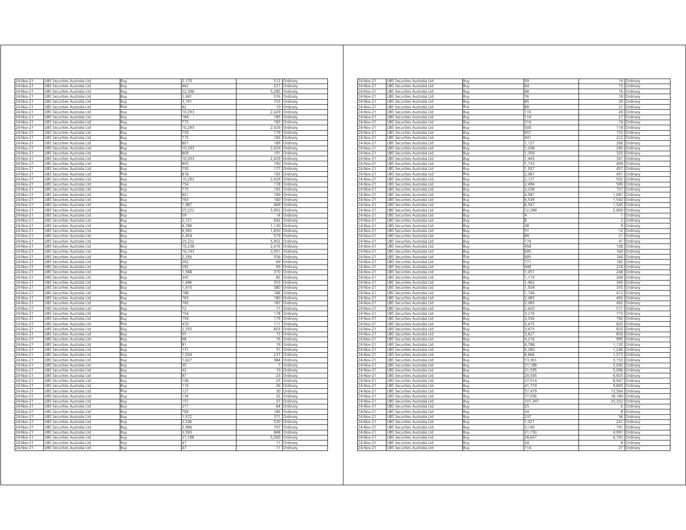| 24-Nov-21<br>UBS Securities Australia Ltd<br>Buy<br>2,170<br>512 Ordinary<br>24-Nov-21<br><b>JBS Securities Australia Ltd</b><br>Buv<br>962<br>227<br>Ordinary<br>$24-Nov-21$<br>UBS Securities Australia Ltd<br>22,396<br>5.285<br>Buy<br>Ordinary<br>2.441<br>24-Nov-21<br>UBS Securities Australia Ltd<br>576<br>Buy<br>Ordinary<br>3,191<br>753<br>24-Nov-21<br>UBS Securities Australia Ltd<br>Ordinary<br>Buy<br>24-Nov-21<br>UBS Securities Australia Ltd<br>42<br>10 <sup>1</sup><br>Ordinary<br>Buy<br>24-Nov-21<br>10,293<br>2,429<br>UBS Securities Australia Ltd<br>Buy<br>Ordinary<br>24-Nov-21<br>UBS Securities Australia Ltd<br>Buy<br>784<br>185 Ordinary<br>24-Nov-21<br>JBS Securities Australia Ltd<br>Buy<br>775<br>183<br>Ordinan<br>10,293<br>2,429<br>24-Nov-21<br>UBS Securities Australia Ltd<br>Buy<br>Ordinary<br>759<br>24-Nov-21<br>UBS Securities Australia Ltd<br>Buy<br>179<br>Ordinary<br>24-Nov-21<br>UBS Securities Australia Ltd<br>Buy<br>775<br>183<br>Ordinary<br>4-Nov-21<br>UBS Securities Australia Ltd<br>801<br>189<br>Buy<br>Ordinary<br>10,293<br>2.429<br>4-Nov-21<br>UBS Securities Australia Ltd<br>Ordinary<br>Buv<br>4-Nov-21<br>UBS Securities Australia Ltd<br>809<br>191<br>Ordinary<br>Buv<br>2,429<br>24-Nov-21<br>JBS Securities Australia Ltd<br>Buy<br>10,293<br>Ordinary<br>24-Nov-21<br>UBS Securities Australia Ltd<br>Buv<br>805<br>190<br>Ordinary<br>$24 - Nov-21$<br>UBS Securities Australia Ltd<br>750<br>177<br>Ordinary<br>Buy<br>818<br>193<br>24-Nov-21<br>UBS Securities Australia Ltd<br>Ordinary<br>Buy<br>24-Nov-21<br>10,293<br>2,429<br>UBS Securities Australia Ltd<br>Ordinary<br>Buy<br>754<br>24-Nov-21<br>UBS Securities Australia Ltd<br>178<br>Ordinary<br>Buy<br>775<br>183<br>24-Nov-21<br>UBS Securities Australia Ltd<br>Buy<br>Ordinary<br>801<br>24-Nov-21<br>UBS Securities Australia Ltd<br>189<br>Ordinary<br>Buy<br>24-Nov-21<br>763<br>180<br>Ordinary<br>UBS Securities Australia Ltd<br>Buy<br>1,987<br>469<br>24-Nov-21<br>UBS Securities Australia Ltd<br>Buy<br>Ordinary<br>5,952<br>24-Nov-21<br>UBS Securities Australia Ltd<br>Buy<br>25,222<br>Ordinary<br>24-Nov-21<br>UBS Securities Australia Ltd<br>Buy<br>59<br>14 Ordinary<br>24-Nov-21<br>UBS Securities Australia Ltd<br>Buy<br>2,721<br>642<br>Ordinary<br>24-Nov-21<br>UBS Securities Australia Ltd<br>4,788<br>1,130<br>Buy<br>Ordinary<br>6.992<br>24-Nov-21<br>UBS Securities Australia Ltd<br>Buy<br>1650<br>Ordinary<br>2.454<br>579<br>24-Nov-21<br>UBS Securities Australia Ltd<br>Buy<br>Ordinary<br>24-Nov-21<br>UBS Securities Australia Ltd<br>Buy<br>25,222<br>5,952<br>Ordinary<br>24-Nov-21<br>JBS Securities Australia Ltd<br>Buy<br>10.238<br>2.416<br>Ordinan<br>$24-Nov-21$<br>16,743<br>3.951<br>JBS Securities Australia Ltd<br>Buy<br>Ordinary<br>Buy<br>2,356<br>556<br>24-Nov-21<br>UBS Securities Australia Ltd<br>Ordinan<br>24-Nov-21<br>UBS Securities Australia Ltd<br>Buv<br>292<br>69<br>Ordinan<br>$24-Nov-21$<br>292<br>69<br>JBS Securities Australia Ltd<br>Buy<br>Ordinary<br>24-Nov-21<br>UBS Securities Australia Ltd<br>1,568<br>370<br>Buy<br>Ordinary<br>347<br>24-Nov-21<br>UBS Securities Australia Ltd<br>82<br>Buy<br>Ordinary<br>24-Nov-21<br>1496<br>353<br>UBS Securities Australia Ltd<br>Buy<br>Ordinary<br>380<br>24-Nov-21<br>UBS Securities Australia Ltd<br>Buy<br>1,610<br>Ordinary<br>24-Nov-21<br>UBS Securities Australia Ltd<br>Buy<br>788<br>186<br>Ordinary<br>4-Nov-21<br>UBS Securities Australia Ltd<br>763<br>180<br>Buy<br>Ordinan<br>4-Nov-21<br>792<br>187<br>UBS Securities Australia Ltd<br>Buy<br>Ordinary<br>4-Nov-21<br>UBS Securities Australia Ltd<br>72<br>17<br>Ordinary<br>Buv<br>754<br>178<br>4-Nov-21<br>JBS Securities Australia Ltd<br>Ordinary<br>Buv<br>24-Nov-21<br>JBS Securities Australia Ltd<br>Buy<br>759<br>179<br>Ordinary<br>24-Nov-21<br>JBS Securities Australia Ltd<br>Buy<br>470<br>111<br>Ordinary<br>603<br>4-Nov-21<br>JBS Securities Australia Ltd<br>2,555<br>Ordinary<br>Buv<br>24-Nov-21<br>JBS Securities Australia Ltd<br>Buy<br>55<br>13<br>Ordinary<br>24-Nov-21<br>JBS Securities Australia Ltd<br>Buv<br>68<br>16<br>Ordinary<br>24-Nov-21<br>JBS Securities Australia Ltd<br>81<br>19<br>Ordinary<br>Buy<br>131<br>31<br>24-Nov-21<br>UBS Securities Australia Ltd<br>Ordinary<br>Buy<br>24-Nov-21<br>1.004<br>237<br>UBS Securities Australia Ltd<br>Ordinary<br>Buy<br>24-Nov-21<br>UBS Securities Australia Ltd<br>1,627<br>384<br>Buy<br>Ordinary<br>24-Nov-21<br>UBS Securities Australia Ltd<br>Buy<br>30<br>7<br>Ordinary<br>10 Ordinary<br>24-Nov-21<br>UBS Securities Australia Ltd<br>Buy<br>42<br>24-Nov-21<br>UBS Securities Australia Ltd<br>97<br>23<br>Ordinary<br>Buv<br>24-Nov-21<br>UBS Securities Australia Ltd<br>106<br>25<br>Buy<br>Ordinary<br>UBS Securities Australia Ltd<br>110<br>26 Ordinary<br>24-Nov-21<br>Buy<br>127<br>24-Nov-21<br>UBS Securities Australia Ltd<br>Buv<br>30<br>Ordinary<br>24-Nov-21<br>UBS Securities Australia Ltd<br>136<br>32<br>Buy<br>Ordinary<br>UBS Securities Australia Ltd<br>157<br>37 Ordinary<br>24-Nov-21<br>Buy<br>271<br>24-Nov-21<br>UBS Securities Australia Ltd<br>Buy<br>64<br>Ordinary<br>784<br>185<br>24-Nov-21<br>UBS Securities Australia Ltd<br>Buy<br>Ordinary<br>1,572<br>24-Nov-21<br>JBS Securities Australia Ltd<br>Buy<br>371<br>Ordinary<br>24-Nov-21<br>JBS Securities Australia Ltd<br>2.246<br>530<br>Buy<br>Ordinary<br>JBS Securities Australia Ltd<br>2.996<br>707<br>24-Nov-21<br>Ordinary<br>Buy<br>$24$ -Nov-21<br>UBS Securities Australia Ltd<br>3,593<br>848<br>Buy<br>Ordinary<br>21,188<br>24-Nov-21<br>UBS Securities Australia Ltd<br>5,000<br>Buy<br>Ordinary<br>47<br>24-Nov-21<br>UBS Securities Australia Ltd<br>11<br>Ordinary<br>Buy<br>47<br>24-Nov-21<br>11 |                              |     |  |          |
|-----------------------------------------------------------------------------------------------------------------------------------------------------------------------------------------------------------------------------------------------------------------------------------------------------------------------------------------------------------------------------------------------------------------------------------------------------------------------------------------------------------------------------------------------------------------------------------------------------------------------------------------------------------------------------------------------------------------------------------------------------------------------------------------------------------------------------------------------------------------------------------------------------------------------------------------------------------------------------------------------------------------------------------------------------------------------------------------------------------------------------------------------------------------------------------------------------------------------------------------------------------------------------------------------------------------------------------------------------------------------------------------------------------------------------------------------------------------------------------------------------------------------------------------------------------------------------------------------------------------------------------------------------------------------------------------------------------------------------------------------------------------------------------------------------------------------------------------------------------------------------------------------------------------------------------------------------------------------------------------------------------------------------------------------------------------------------------------------------------------------------------------------------------------------------------------------------------------------------------------------------------------------------------------------------------------------------------------------------------------------------------------------------------------------------------------------------------------------------------------------------------------------------------------------------------------------------------------------------------------------------------------------------------------------------------------------------------------------------------------------------------------------------------------------------------------------------------------------------------------------------------------------------------------------------------------------------------------------------------------------------------------------------------------------------------------------------------------------------------------------------------------------------------------------------------------------------------------------------------------------------------------------------------------------------------------------------------------------------------------------------------------------------------------------------------------------------------------------------------------------------------------------------------------------------------------------------------------------------------------------------------------------------------------------------------------------------------------------------------------------------------------------------------------------------------------------------------------------------------------------------------------------------------------------------------------------------------------------------------------------------------------------------------------------------------------------------------------------------------------------------------------------------------------------------------------------------------------------------------------------------------------------------------------------------------------------------------------------------------------------------------------------------------------------------------------------------------------------------------------------------------------------------------------------------------------------------------------------------------------------------------------------------------------------------------------------------------------------------------------------------------------------------------------------------------------------------------------------------------------------------------------------------------------------------------------------------------------------------------------------------------------------------------------------------------------------------------------------------------------------------------------------------------------------------------------------------------------------------------------------------------------------------------------------------------------------------------------------------------------------------------------------------------------------------------------------------------------------------------------------------------------------------------------------------------------------------------------------------------------------------------------------------------------------------------------------------------------------------------------------------------------------------------------------------------------------------------------------------------|------------------------------|-----|--|----------|
|                                                                                                                                                                                                                                                                                                                                                                                                                                                                                                                                                                                                                                                                                                                                                                                                                                                                                                                                                                                                                                                                                                                                                                                                                                                                                                                                                                                                                                                                                                                                                                                                                                                                                                                                                                                                                                                                                                                                                                                                                                                                                                                                                                                                                                                                                                                                                                                                                                                                                                                                                                                                                                                                                                                                                                                                                                                                                                                                                                                                                                                                                                                                                                                                                                                                                                                                                                                                                                                                                                                                                                                                                                                                                                                                                                                                                                                                                                                                                                                                                                                                                                                                                                                                                                                                                                                                                                                                                                                                                                                                                                                                                                                                                                                                                                                                                                                                                                                                                                                                                                                                                                                                                                                                                                                                                                                                                                                                                                                                                                                                                                                                                                                                                                                                                                                                                                                           |                              |     |  |          |
|                                                                                                                                                                                                                                                                                                                                                                                                                                                                                                                                                                                                                                                                                                                                                                                                                                                                                                                                                                                                                                                                                                                                                                                                                                                                                                                                                                                                                                                                                                                                                                                                                                                                                                                                                                                                                                                                                                                                                                                                                                                                                                                                                                                                                                                                                                                                                                                                                                                                                                                                                                                                                                                                                                                                                                                                                                                                                                                                                                                                                                                                                                                                                                                                                                                                                                                                                                                                                                                                                                                                                                                                                                                                                                                                                                                                                                                                                                                                                                                                                                                                                                                                                                                                                                                                                                                                                                                                                                                                                                                                                                                                                                                                                                                                                                                                                                                                                                                                                                                                                                                                                                                                                                                                                                                                                                                                                                                                                                                                                                                                                                                                                                                                                                                                                                                                                                                           |                              |     |  |          |
|                                                                                                                                                                                                                                                                                                                                                                                                                                                                                                                                                                                                                                                                                                                                                                                                                                                                                                                                                                                                                                                                                                                                                                                                                                                                                                                                                                                                                                                                                                                                                                                                                                                                                                                                                                                                                                                                                                                                                                                                                                                                                                                                                                                                                                                                                                                                                                                                                                                                                                                                                                                                                                                                                                                                                                                                                                                                                                                                                                                                                                                                                                                                                                                                                                                                                                                                                                                                                                                                                                                                                                                                                                                                                                                                                                                                                                                                                                                                                                                                                                                                                                                                                                                                                                                                                                                                                                                                                                                                                                                                                                                                                                                                                                                                                                                                                                                                                                                                                                                                                                                                                                                                                                                                                                                                                                                                                                                                                                                                                                                                                                                                                                                                                                                                                                                                                                                           |                              |     |  |          |
|                                                                                                                                                                                                                                                                                                                                                                                                                                                                                                                                                                                                                                                                                                                                                                                                                                                                                                                                                                                                                                                                                                                                                                                                                                                                                                                                                                                                                                                                                                                                                                                                                                                                                                                                                                                                                                                                                                                                                                                                                                                                                                                                                                                                                                                                                                                                                                                                                                                                                                                                                                                                                                                                                                                                                                                                                                                                                                                                                                                                                                                                                                                                                                                                                                                                                                                                                                                                                                                                                                                                                                                                                                                                                                                                                                                                                                                                                                                                                                                                                                                                                                                                                                                                                                                                                                                                                                                                                                                                                                                                                                                                                                                                                                                                                                                                                                                                                                                                                                                                                                                                                                                                                                                                                                                                                                                                                                                                                                                                                                                                                                                                                                                                                                                                                                                                                                                           |                              |     |  |          |
|                                                                                                                                                                                                                                                                                                                                                                                                                                                                                                                                                                                                                                                                                                                                                                                                                                                                                                                                                                                                                                                                                                                                                                                                                                                                                                                                                                                                                                                                                                                                                                                                                                                                                                                                                                                                                                                                                                                                                                                                                                                                                                                                                                                                                                                                                                                                                                                                                                                                                                                                                                                                                                                                                                                                                                                                                                                                                                                                                                                                                                                                                                                                                                                                                                                                                                                                                                                                                                                                                                                                                                                                                                                                                                                                                                                                                                                                                                                                                                                                                                                                                                                                                                                                                                                                                                                                                                                                                                                                                                                                                                                                                                                                                                                                                                                                                                                                                                                                                                                                                                                                                                                                                                                                                                                                                                                                                                                                                                                                                                                                                                                                                                                                                                                                                                                                                                                           |                              |     |  |          |
|                                                                                                                                                                                                                                                                                                                                                                                                                                                                                                                                                                                                                                                                                                                                                                                                                                                                                                                                                                                                                                                                                                                                                                                                                                                                                                                                                                                                                                                                                                                                                                                                                                                                                                                                                                                                                                                                                                                                                                                                                                                                                                                                                                                                                                                                                                                                                                                                                                                                                                                                                                                                                                                                                                                                                                                                                                                                                                                                                                                                                                                                                                                                                                                                                                                                                                                                                                                                                                                                                                                                                                                                                                                                                                                                                                                                                                                                                                                                                                                                                                                                                                                                                                                                                                                                                                                                                                                                                                                                                                                                                                                                                                                                                                                                                                                                                                                                                                                                                                                                                                                                                                                                                                                                                                                                                                                                                                                                                                                                                                                                                                                                                                                                                                                                                                                                                                                           |                              |     |  |          |
|                                                                                                                                                                                                                                                                                                                                                                                                                                                                                                                                                                                                                                                                                                                                                                                                                                                                                                                                                                                                                                                                                                                                                                                                                                                                                                                                                                                                                                                                                                                                                                                                                                                                                                                                                                                                                                                                                                                                                                                                                                                                                                                                                                                                                                                                                                                                                                                                                                                                                                                                                                                                                                                                                                                                                                                                                                                                                                                                                                                                                                                                                                                                                                                                                                                                                                                                                                                                                                                                                                                                                                                                                                                                                                                                                                                                                                                                                                                                                                                                                                                                                                                                                                                                                                                                                                                                                                                                                                                                                                                                                                                                                                                                                                                                                                                                                                                                                                                                                                                                                                                                                                                                                                                                                                                                                                                                                                                                                                                                                                                                                                                                                                                                                                                                                                                                                                                           |                              |     |  |          |
|                                                                                                                                                                                                                                                                                                                                                                                                                                                                                                                                                                                                                                                                                                                                                                                                                                                                                                                                                                                                                                                                                                                                                                                                                                                                                                                                                                                                                                                                                                                                                                                                                                                                                                                                                                                                                                                                                                                                                                                                                                                                                                                                                                                                                                                                                                                                                                                                                                                                                                                                                                                                                                                                                                                                                                                                                                                                                                                                                                                                                                                                                                                                                                                                                                                                                                                                                                                                                                                                                                                                                                                                                                                                                                                                                                                                                                                                                                                                                                                                                                                                                                                                                                                                                                                                                                                                                                                                                                                                                                                                                                                                                                                                                                                                                                                                                                                                                                                                                                                                                                                                                                                                                                                                                                                                                                                                                                                                                                                                                                                                                                                                                                                                                                                                                                                                                                                           |                              |     |  |          |
|                                                                                                                                                                                                                                                                                                                                                                                                                                                                                                                                                                                                                                                                                                                                                                                                                                                                                                                                                                                                                                                                                                                                                                                                                                                                                                                                                                                                                                                                                                                                                                                                                                                                                                                                                                                                                                                                                                                                                                                                                                                                                                                                                                                                                                                                                                                                                                                                                                                                                                                                                                                                                                                                                                                                                                                                                                                                                                                                                                                                                                                                                                                                                                                                                                                                                                                                                                                                                                                                                                                                                                                                                                                                                                                                                                                                                                                                                                                                                                                                                                                                                                                                                                                                                                                                                                                                                                                                                                                                                                                                                                                                                                                                                                                                                                                                                                                                                                                                                                                                                                                                                                                                                                                                                                                                                                                                                                                                                                                                                                                                                                                                                                                                                                                                                                                                                                                           |                              |     |  |          |
|                                                                                                                                                                                                                                                                                                                                                                                                                                                                                                                                                                                                                                                                                                                                                                                                                                                                                                                                                                                                                                                                                                                                                                                                                                                                                                                                                                                                                                                                                                                                                                                                                                                                                                                                                                                                                                                                                                                                                                                                                                                                                                                                                                                                                                                                                                                                                                                                                                                                                                                                                                                                                                                                                                                                                                                                                                                                                                                                                                                                                                                                                                                                                                                                                                                                                                                                                                                                                                                                                                                                                                                                                                                                                                                                                                                                                                                                                                                                                                                                                                                                                                                                                                                                                                                                                                                                                                                                                                                                                                                                                                                                                                                                                                                                                                                                                                                                                                                                                                                                                                                                                                                                                                                                                                                                                                                                                                                                                                                                                                                                                                                                                                                                                                                                                                                                                                                           |                              |     |  |          |
|                                                                                                                                                                                                                                                                                                                                                                                                                                                                                                                                                                                                                                                                                                                                                                                                                                                                                                                                                                                                                                                                                                                                                                                                                                                                                                                                                                                                                                                                                                                                                                                                                                                                                                                                                                                                                                                                                                                                                                                                                                                                                                                                                                                                                                                                                                                                                                                                                                                                                                                                                                                                                                                                                                                                                                                                                                                                                                                                                                                                                                                                                                                                                                                                                                                                                                                                                                                                                                                                                                                                                                                                                                                                                                                                                                                                                                                                                                                                                                                                                                                                                                                                                                                                                                                                                                                                                                                                                                                                                                                                                                                                                                                                                                                                                                                                                                                                                                                                                                                                                                                                                                                                                                                                                                                                                                                                                                                                                                                                                                                                                                                                                                                                                                                                                                                                                                                           |                              |     |  |          |
|                                                                                                                                                                                                                                                                                                                                                                                                                                                                                                                                                                                                                                                                                                                                                                                                                                                                                                                                                                                                                                                                                                                                                                                                                                                                                                                                                                                                                                                                                                                                                                                                                                                                                                                                                                                                                                                                                                                                                                                                                                                                                                                                                                                                                                                                                                                                                                                                                                                                                                                                                                                                                                                                                                                                                                                                                                                                                                                                                                                                                                                                                                                                                                                                                                                                                                                                                                                                                                                                                                                                                                                                                                                                                                                                                                                                                                                                                                                                                                                                                                                                                                                                                                                                                                                                                                                                                                                                                                                                                                                                                                                                                                                                                                                                                                                                                                                                                                                                                                                                                                                                                                                                                                                                                                                                                                                                                                                                                                                                                                                                                                                                                                                                                                                                                                                                                                                           |                              |     |  |          |
|                                                                                                                                                                                                                                                                                                                                                                                                                                                                                                                                                                                                                                                                                                                                                                                                                                                                                                                                                                                                                                                                                                                                                                                                                                                                                                                                                                                                                                                                                                                                                                                                                                                                                                                                                                                                                                                                                                                                                                                                                                                                                                                                                                                                                                                                                                                                                                                                                                                                                                                                                                                                                                                                                                                                                                                                                                                                                                                                                                                                                                                                                                                                                                                                                                                                                                                                                                                                                                                                                                                                                                                                                                                                                                                                                                                                                                                                                                                                                                                                                                                                                                                                                                                                                                                                                                                                                                                                                                                                                                                                                                                                                                                                                                                                                                                                                                                                                                                                                                                                                                                                                                                                                                                                                                                                                                                                                                                                                                                                                                                                                                                                                                                                                                                                                                                                                                                           |                              |     |  |          |
|                                                                                                                                                                                                                                                                                                                                                                                                                                                                                                                                                                                                                                                                                                                                                                                                                                                                                                                                                                                                                                                                                                                                                                                                                                                                                                                                                                                                                                                                                                                                                                                                                                                                                                                                                                                                                                                                                                                                                                                                                                                                                                                                                                                                                                                                                                                                                                                                                                                                                                                                                                                                                                                                                                                                                                                                                                                                                                                                                                                                                                                                                                                                                                                                                                                                                                                                                                                                                                                                                                                                                                                                                                                                                                                                                                                                                                                                                                                                                                                                                                                                                                                                                                                                                                                                                                                                                                                                                                                                                                                                                                                                                                                                                                                                                                                                                                                                                                                                                                                                                                                                                                                                                                                                                                                                                                                                                                                                                                                                                                                                                                                                                                                                                                                                                                                                                                                           |                              |     |  |          |
|                                                                                                                                                                                                                                                                                                                                                                                                                                                                                                                                                                                                                                                                                                                                                                                                                                                                                                                                                                                                                                                                                                                                                                                                                                                                                                                                                                                                                                                                                                                                                                                                                                                                                                                                                                                                                                                                                                                                                                                                                                                                                                                                                                                                                                                                                                                                                                                                                                                                                                                                                                                                                                                                                                                                                                                                                                                                                                                                                                                                                                                                                                                                                                                                                                                                                                                                                                                                                                                                                                                                                                                                                                                                                                                                                                                                                                                                                                                                                                                                                                                                                                                                                                                                                                                                                                                                                                                                                                                                                                                                                                                                                                                                                                                                                                                                                                                                                                                                                                                                                                                                                                                                                                                                                                                                                                                                                                                                                                                                                                                                                                                                                                                                                                                                                                                                                                                           |                              |     |  |          |
|                                                                                                                                                                                                                                                                                                                                                                                                                                                                                                                                                                                                                                                                                                                                                                                                                                                                                                                                                                                                                                                                                                                                                                                                                                                                                                                                                                                                                                                                                                                                                                                                                                                                                                                                                                                                                                                                                                                                                                                                                                                                                                                                                                                                                                                                                                                                                                                                                                                                                                                                                                                                                                                                                                                                                                                                                                                                                                                                                                                                                                                                                                                                                                                                                                                                                                                                                                                                                                                                                                                                                                                                                                                                                                                                                                                                                                                                                                                                                                                                                                                                                                                                                                                                                                                                                                                                                                                                                                                                                                                                                                                                                                                                                                                                                                                                                                                                                                                                                                                                                                                                                                                                                                                                                                                                                                                                                                                                                                                                                                                                                                                                                                                                                                                                                                                                                                                           |                              |     |  |          |
|                                                                                                                                                                                                                                                                                                                                                                                                                                                                                                                                                                                                                                                                                                                                                                                                                                                                                                                                                                                                                                                                                                                                                                                                                                                                                                                                                                                                                                                                                                                                                                                                                                                                                                                                                                                                                                                                                                                                                                                                                                                                                                                                                                                                                                                                                                                                                                                                                                                                                                                                                                                                                                                                                                                                                                                                                                                                                                                                                                                                                                                                                                                                                                                                                                                                                                                                                                                                                                                                                                                                                                                                                                                                                                                                                                                                                                                                                                                                                                                                                                                                                                                                                                                                                                                                                                                                                                                                                                                                                                                                                                                                                                                                                                                                                                                                                                                                                                                                                                                                                                                                                                                                                                                                                                                                                                                                                                                                                                                                                                                                                                                                                                                                                                                                                                                                                                                           |                              |     |  |          |
|                                                                                                                                                                                                                                                                                                                                                                                                                                                                                                                                                                                                                                                                                                                                                                                                                                                                                                                                                                                                                                                                                                                                                                                                                                                                                                                                                                                                                                                                                                                                                                                                                                                                                                                                                                                                                                                                                                                                                                                                                                                                                                                                                                                                                                                                                                                                                                                                                                                                                                                                                                                                                                                                                                                                                                                                                                                                                                                                                                                                                                                                                                                                                                                                                                                                                                                                                                                                                                                                                                                                                                                                                                                                                                                                                                                                                                                                                                                                                                                                                                                                                                                                                                                                                                                                                                                                                                                                                                                                                                                                                                                                                                                                                                                                                                                                                                                                                                                                                                                                                                                                                                                                                                                                                                                                                                                                                                                                                                                                                                                                                                                                                                                                                                                                                                                                                                                           |                              |     |  |          |
|                                                                                                                                                                                                                                                                                                                                                                                                                                                                                                                                                                                                                                                                                                                                                                                                                                                                                                                                                                                                                                                                                                                                                                                                                                                                                                                                                                                                                                                                                                                                                                                                                                                                                                                                                                                                                                                                                                                                                                                                                                                                                                                                                                                                                                                                                                                                                                                                                                                                                                                                                                                                                                                                                                                                                                                                                                                                                                                                                                                                                                                                                                                                                                                                                                                                                                                                                                                                                                                                                                                                                                                                                                                                                                                                                                                                                                                                                                                                                                                                                                                                                                                                                                                                                                                                                                                                                                                                                                                                                                                                                                                                                                                                                                                                                                                                                                                                                                                                                                                                                                                                                                                                                                                                                                                                                                                                                                                                                                                                                                                                                                                                                                                                                                                                                                                                                                                           |                              |     |  |          |
|                                                                                                                                                                                                                                                                                                                                                                                                                                                                                                                                                                                                                                                                                                                                                                                                                                                                                                                                                                                                                                                                                                                                                                                                                                                                                                                                                                                                                                                                                                                                                                                                                                                                                                                                                                                                                                                                                                                                                                                                                                                                                                                                                                                                                                                                                                                                                                                                                                                                                                                                                                                                                                                                                                                                                                                                                                                                                                                                                                                                                                                                                                                                                                                                                                                                                                                                                                                                                                                                                                                                                                                                                                                                                                                                                                                                                                                                                                                                                                                                                                                                                                                                                                                                                                                                                                                                                                                                                                                                                                                                                                                                                                                                                                                                                                                                                                                                                                                                                                                                                                                                                                                                                                                                                                                                                                                                                                                                                                                                                                                                                                                                                                                                                                                                                                                                                                                           |                              |     |  |          |
|                                                                                                                                                                                                                                                                                                                                                                                                                                                                                                                                                                                                                                                                                                                                                                                                                                                                                                                                                                                                                                                                                                                                                                                                                                                                                                                                                                                                                                                                                                                                                                                                                                                                                                                                                                                                                                                                                                                                                                                                                                                                                                                                                                                                                                                                                                                                                                                                                                                                                                                                                                                                                                                                                                                                                                                                                                                                                                                                                                                                                                                                                                                                                                                                                                                                                                                                                                                                                                                                                                                                                                                                                                                                                                                                                                                                                                                                                                                                                                                                                                                                                                                                                                                                                                                                                                                                                                                                                                                                                                                                                                                                                                                                                                                                                                                                                                                                                                                                                                                                                                                                                                                                                                                                                                                                                                                                                                                                                                                                                                                                                                                                                                                                                                                                                                                                                                                           |                              |     |  |          |
|                                                                                                                                                                                                                                                                                                                                                                                                                                                                                                                                                                                                                                                                                                                                                                                                                                                                                                                                                                                                                                                                                                                                                                                                                                                                                                                                                                                                                                                                                                                                                                                                                                                                                                                                                                                                                                                                                                                                                                                                                                                                                                                                                                                                                                                                                                                                                                                                                                                                                                                                                                                                                                                                                                                                                                                                                                                                                                                                                                                                                                                                                                                                                                                                                                                                                                                                                                                                                                                                                                                                                                                                                                                                                                                                                                                                                                                                                                                                                                                                                                                                                                                                                                                                                                                                                                                                                                                                                                                                                                                                                                                                                                                                                                                                                                                                                                                                                                                                                                                                                                                                                                                                                                                                                                                                                                                                                                                                                                                                                                                                                                                                                                                                                                                                                                                                                                                           |                              |     |  |          |
|                                                                                                                                                                                                                                                                                                                                                                                                                                                                                                                                                                                                                                                                                                                                                                                                                                                                                                                                                                                                                                                                                                                                                                                                                                                                                                                                                                                                                                                                                                                                                                                                                                                                                                                                                                                                                                                                                                                                                                                                                                                                                                                                                                                                                                                                                                                                                                                                                                                                                                                                                                                                                                                                                                                                                                                                                                                                                                                                                                                                                                                                                                                                                                                                                                                                                                                                                                                                                                                                                                                                                                                                                                                                                                                                                                                                                                                                                                                                                                                                                                                                                                                                                                                                                                                                                                                                                                                                                                                                                                                                                                                                                                                                                                                                                                                                                                                                                                                                                                                                                                                                                                                                                                                                                                                                                                                                                                                                                                                                                                                                                                                                                                                                                                                                                                                                                                                           |                              |     |  |          |
|                                                                                                                                                                                                                                                                                                                                                                                                                                                                                                                                                                                                                                                                                                                                                                                                                                                                                                                                                                                                                                                                                                                                                                                                                                                                                                                                                                                                                                                                                                                                                                                                                                                                                                                                                                                                                                                                                                                                                                                                                                                                                                                                                                                                                                                                                                                                                                                                                                                                                                                                                                                                                                                                                                                                                                                                                                                                                                                                                                                                                                                                                                                                                                                                                                                                                                                                                                                                                                                                                                                                                                                                                                                                                                                                                                                                                                                                                                                                                                                                                                                                                                                                                                                                                                                                                                                                                                                                                                                                                                                                                                                                                                                                                                                                                                                                                                                                                                                                                                                                                                                                                                                                                                                                                                                                                                                                                                                                                                                                                                                                                                                                                                                                                                                                                                                                                                                           |                              |     |  |          |
|                                                                                                                                                                                                                                                                                                                                                                                                                                                                                                                                                                                                                                                                                                                                                                                                                                                                                                                                                                                                                                                                                                                                                                                                                                                                                                                                                                                                                                                                                                                                                                                                                                                                                                                                                                                                                                                                                                                                                                                                                                                                                                                                                                                                                                                                                                                                                                                                                                                                                                                                                                                                                                                                                                                                                                                                                                                                                                                                                                                                                                                                                                                                                                                                                                                                                                                                                                                                                                                                                                                                                                                                                                                                                                                                                                                                                                                                                                                                                                                                                                                                                                                                                                                                                                                                                                                                                                                                                                                                                                                                                                                                                                                                                                                                                                                                                                                                                                                                                                                                                                                                                                                                                                                                                                                                                                                                                                                                                                                                                                                                                                                                                                                                                                                                                                                                                                                           |                              |     |  |          |
|                                                                                                                                                                                                                                                                                                                                                                                                                                                                                                                                                                                                                                                                                                                                                                                                                                                                                                                                                                                                                                                                                                                                                                                                                                                                                                                                                                                                                                                                                                                                                                                                                                                                                                                                                                                                                                                                                                                                                                                                                                                                                                                                                                                                                                                                                                                                                                                                                                                                                                                                                                                                                                                                                                                                                                                                                                                                                                                                                                                                                                                                                                                                                                                                                                                                                                                                                                                                                                                                                                                                                                                                                                                                                                                                                                                                                                                                                                                                                                                                                                                                                                                                                                                                                                                                                                                                                                                                                                                                                                                                                                                                                                                                                                                                                                                                                                                                                                                                                                                                                                                                                                                                                                                                                                                                                                                                                                                                                                                                                                                                                                                                                                                                                                                                                                                                                                                           |                              |     |  |          |
|                                                                                                                                                                                                                                                                                                                                                                                                                                                                                                                                                                                                                                                                                                                                                                                                                                                                                                                                                                                                                                                                                                                                                                                                                                                                                                                                                                                                                                                                                                                                                                                                                                                                                                                                                                                                                                                                                                                                                                                                                                                                                                                                                                                                                                                                                                                                                                                                                                                                                                                                                                                                                                                                                                                                                                                                                                                                                                                                                                                                                                                                                                                                                                                                                                                                                                                                                                                                                                                                                                                                                                                                                                                                                                                                                                                                                                                                                                                                                                                                                                                                                                                                                                                                                                                                                                                                                                                                                                                                                                                                                                                                                                                                                                                                                                                                                                                                                                                                                                                                                                                                                                                                                                                                                                                                                                                                                                                                                                                                                                                                                                                                                                                                                                                                                                                                                                                           |                              |     |  |          |
|                                                                                                                                                                                                                                                                                                                                                                                                                                                                                                                                                                                                                                                                                                                                                                                                                                                                                                                                                                                                                                                                                                                                                                                                                                                                                                                                                                                                                                                                                                                                                                                                                                                                                                                                                                                                                                                                                                                                                                                                                                                                                                                                                                                                                                                                                                                                                                                                                                                                                                                                                                                                                                                                                                                                                                                                                                                                                                                                                                                                                                                                                                                                                                                                                                                                                                                                                                                                                                                                                                                                                                                                                                                                                                                                                                                                                                                                                                                                                                                                                                                                                                                                                                                                                                                                                                                                                                                                                                                                                                                                                                                                                                                                                                                                                                                                                                                                                                                                                                                                                                                                                                                                                                                                                                                                                                                                                                                                                                                                                                                                                                                                                                                                                                                                                                                                                                                           |                              |     |  |          |
|                                                                                                                                                                                                                                                                                                                                                                                                                                                                                                                                                                                                                                                                                                                                                                                                                                                                                                                                                                                                                                                                                                                                                                                                                                                                                                                                                                                                                                                                                                                                                                                                                                                                                                                                                                                                                                                                                                                                                                                                                                                                                                                                                                                                                                                                                                                                                                                                                                                                                                                                                                                                                                                                                                                                                                                                                                                                                                                                                                                                                                                                                                                                                                                                                                                                                                                                                                                                                                                                                                                                                                                                                                                                                                                                                                                                                                                                                                                                                                                                                                                                                                                                                                                                                                                                                                                                                                                                                                                                                                                                                                                                                                                                                                                                                                                                                                                                                                                                                                                                                                                                                                                                                                                                                                                                                                                                                                                                                                                                                                                                                                                                                                                                                                                                                                                                                                                           |                              |     |  |          |
|                                                                                                                                                                                                                                                                                                                                                                                                                                                                                                                                                                                                                                                                                                                                                                                                                                                                                                                                                                                                                                                                                                                                                                                                                                                                                                                                                                                                                                                                                                                                                                                                                                                                                                                                                                                                                                                                                                                                                                                                                                                                                                                                                                                                                                                                                                                                                                                                                                                                                                                                                                                                                                                                                                                                                                                                                                                                                                                                                                                                                                                                                                                                                                                                                                                                                                                                                                                                                                                                                                                                                                                                                                                                                                                                                                                                                                                                                                                                                                                                                                                                                                                                                                                                                                                                                                                                                                                                                                                                                                                                                                                                                                                                                                                                                                                                                                                                                                                                                                                                                                                                                                                                                                                                                                                                                                                                                                                                                                                                                                                                                                                                                                                                                                                                                                                                                                                           |                              |     |  |          |
|                                                                                                                                                                                                                                                                                                                                                                                                                                                                                                                                                                                                                                                                                                                                                                                                                                                                                                                                                                                                                                                                                                                                                                                                                                                                                                                                                                                                                                                                                                                                                                                                                                                                                                                                                                                                                                                                                                                                                                                                                                                                                                                                                                                                                                                                                                                                                                                                                                                                                                                                                                                                                                                                                                                                                                                                                                                                                                                                                                                                                                                                                                                                                                                                                                                                                                                                                                                                                                                                                                                                                                                                                                                                                                                                                                                                                                                                                                                                                                                                                                                                                                                                                                                                                                                                                                                                                                                                                                                                                                                                                                                                                                                                                                                                                                                                                                                                                                                                                                                                                                                                                                                                                                                                                                                                                                                                                                                                                                                                                                                                                                                                                                                                                                                                                                                                                                                           |                              |     |  |          |
|                                                                                                                                                                                                                                                                                                                                                                                                                                                                                                                                                                                                                                                                                                                                                                                                                                                                                                                                                                                                                                                                                                                                                                                                                                                                                                                                                                                                                                                                                                                                                                                                                                                                                                                                                                                                                                                                                                                                                                                                                                                                                                                                                                                                                                                                                                                                                                                                                                                                                                                                                                                                                                                                                                                                                                                                                                                                                                                                                                                                                                                                                                                                                                                                                                                                                                                                                                                                                                                                                                                                                                                                                                                                                                                                                                                                                                                                                                                                                                                                                                                                                                                                                                                                                                                                                                                                                                                                                                                                                                                                                                                                                                                                                                                                                                                                                                                                                                                                                                                                                                                                                                                                                                                                                                                                                                                                                                                                                                                                                                                                                                                                                                                                                                                                                                                                                                                           |                              |     |  |          |
|                                                                                                                                                                                                                                                                                                                                                                                                                                                                                                                                                                                                                                                                                                                                                                                                                                                                                                                                                                                                                                                                                                                                                                                                                                                                                                                                                                                                                                                                                                                                                                                                                                                                                                                                                                                                                                                                                                                                                                                                                                                                                                                                                                                                                                                                                                                                                                                                                                                                                                                                                                                                                                                                                                                                                                                                                                                                                                                                                                                                                                                                                                                                                                                                                                                                                                                                                                                                                                                                                                                                                                                                                                                                                                                                                                                                                                                                                                                                                                                                                                                                                                                                                                                                                                                                                                                                                                                                                                                                                                                                                                                                                                                                                                                                                                                                                                                                                                                                                                                                                                                                                                                                                                                                                                                                                                                                                                                                                                                                                                                                                                                                                                                                                                                                                                                                                                                           |                              |     |  |          |
|                                                                                                                                                                                                                                                                                                                                                                                                                                                                                                                                                                                                                                                                                                                                                                                                                                                                                                                                                                                                                                                                                                                                                                                                                                                                                                                                                                                                                                                                                                                                                                                                                                                                                                                                                                                                                                                                                                                                                                                                                                                                                                                                                                                                                                                                                                                                                                                                                                                                                                                                                                                                                                                                                                                                                                                                                                                                                                                                                                                                                                                                                                                                                                                                                                                                                                                                                                                                                                                                                                                                                                                                                                                                                                                                                                                                                                                                                                                                                                                                                                                                                                                                                                                                                                                                                                                                                                                                                                                                                                                                                                                                                                                                                                                                                                                                                                                                                                                                                                                                                                                                                                                                                                                                                                                                                                                                                                                                                                                                                                                                                                                                                                                                                                                                                                                                                                                           |                              |     |  |          |
|                                                                                                                                                                                                                                                                                                                                                                                                                                                                                                                                                                                                                                                                                                                                                                                                                                                                                                                                                                                                                                                                                                                                                                                                                                                                                                                                                                                                                                                                                                                                                                                                                                                                                                                                                                                                                                                                                                                                                                                                                                                                                                                                                                                                                                                                                                                                                                                                                                                                                                                                                                                                                                                                                                                                                                                                                                                                                                                                                                                                                                                                                                                                                                                                                                                                                                                                                                                                                                                                                                                                                                                                                                                                                                                                                                                                                                                                                                                                                                                                                                                                                                                                                                                                                                                                                                                                                                                                                                                                                                                                                                                                                                                                                                                                                                                                                                                                                                                                                                                                                                                                                                                                                                                                                                                                                                                                                                                                                                                                                                                                                                                                                                                                                                                                                                                                                                                           |                              |     |  |          |
|                                                                                                                                                                                                                                                                                                                                                                                                                                                                                                                                                                                                                                                                                                                                                                                                                                                                                                                                                                                                                                                                                                                                                                                                                                                                                                                                                                                                                                                                                                                                                                                                                                                                                                                                                                                                                                                                                                                                                                                                                                                                                                                                                                                                                                                                                                                                                                                                                                                                                                                                                                                                                                                                                                                                                                                                                                                                                                                                                                                                                                                                                                                                                                                                                                                                                                                                                                                                                                                                                                                                                                                                                                                                                                                                                                                                                                                                                                                                                                                                                                                                                                                                                                                                                                                                                                                                                                                                                                                                                                                                                                                                                                                                                                                                                                                                                                                                                                                                                                                                                                                                                                                                                                                                                                                                                                                                                                                                                                                                                                                                                                                                                                                                                                                                                                                                                                                           |                              |     |  |          |
|                                                                                                                                                                                                                                                                                                                                                                                                                                                                                                                                                                                                                                                                                                                                                                                                                                                                                                                                                                                                                                                                                                                                                                                                                                                                                                                                                                                                                                                                                                                                                                                                                                                                                                                                                                                                                                                                                                                                                                                                                                                                                                                                                                                                                                                                                                                                                                                                                                                                                                                                                                                                                                                                                                                                                                                                                                                                                                                                                                                                                                                                                                                                                                                                                                                                                                                                                                                                                                                                                                                                                                                                                                                                                                                                                                                                                                                                                                                                                                                                                                                                                                                                                                                                                                                                                                                                                                                                                                                                                                                                                                                                                                                                                                                                                                                                                                                                                                                                                                                                                                                                                                                                                                                                                                                                                                                                                                                                                                                                                                                                                                                                                                                                                                                                                                                                                                                           |                              |     |  |          |
|                                                                                                                                                                                                                                                                                                                                                                                                                                                                                                                                                                                                                                                                                                                                                                                                                                                                                                                                                                                                                                                                                                                                                                                                                                                                                                                                                                                                                                                                                                                                                                                                                                                                                                                                                                                                                                                                                                                                                                                                                                                                                                                                                                                                                                                                                                                                                                                                                                                                                                                                                                                                                                                                                                                                                                                                                                                                                                                                                                                                                                                                                                                                                                                                                                                                                                                                                                                                                                                                                                                                                                                                                                                                                                                                                                                                                                                                                                                                                                                                                                                                                                                                                                                                                                                                                                                                                                                                                                                                                                                                                                                                                                                                                                                                                                                                                                                                                                                                                                                                                                                                                                                                                                                                                                                                                                                                                                                                                                                                                                                                                                                                                                                                                                                                                                                                                                                           |                              |     |  |          |
|                                                                                                                                                                                                                                                                                                                                                                                                                                                                                                                                                                                                                                                                                                                                                                                                                                                                                                                                                                                                                                                                                                                                                                                                                                                                                                                                                                                                                                                                                                                                                                                                                                                                                                                                                                                                                                                                                                                                                                                                                                                                                                                                                                                                                                                                                                                                                                                                                                                                                                                                                                                                                                                                                                                                                                                                                                                                                                                                                                                                                                                                                                                                                                                                                                                                                                                                                                                                                                                                                                                                                                                                                                                                                                                                                                                                                                                                                                                                                                                                                                                                                                                                                                                                                                                                                                                                                                                                                                                                                                                                                                                                                                                                                                                                                                                                                                                                                                                                                                                                                                                                                                                                                                                                                                                                                                                                                                                                                                                                                                                                                                                                                                                                                                                                                                                                                                                           |                              |     |  |          |
|                                                                                                                                                                                                                                                                                                                                                                                                                                                                                                                                                                                                                                                                                                                                                                                                                                                                                                                                                                                                                                                                                                                                                                                                                                                                                                                                                                                                                                                                                                                                                                                                                                                                                                                                                                                                                                                                                                                                                                                                                                                                                                                                                                                                                                                                                                                                                                                                                                                                                                                                                                                                                                                                                                                                                                                                                                                                                                                                                                                                                                                                                                                                                                                                                                                                                                                                                                                                                                                                                                                                                                                                                                                                                                                                                                                                                                                                                                                                                                                                                                                                                                                                                                                                                                                                                                                                                                                                                                                                                                                                                                                                                                                                                                                                                                                                                                                                                                                                                                                                                                                                                                                                                                                                                                                                                                                                                                                                                                                                                                                                                                                                                                                                                                                                                                                                                                                           |                              |     |  |          |
|                                                                                                                                                                                                                                                                                                                                                                                                                                                                                                                                                                                                                                                                                                                                                                                                                                                                                                                                                                                                                                                                                                                                                                                                                                                                                                                                                                                                                                                                                                                                                                                                                                                                                                                                                                                                                                                                                                                                                                                                                                                                                                                                                                                                                                                                                                                                                                                                                                                                                                                                                                                                                                                                                                                                                                                                                                                                                                                                                                                                                                                                                                                                                                                                                                                                                                                                                                                                                                                                                                                                                                                                                                                                                                                                                                                                                                                                                                                                                                                                                                                                                                                                                                                                                                                                                                                                                                                                                                                                                                                                                                                                                                                                                                                                                                                                                                                                                                                                                                                                                                                                                                                                                                                                                                                                                                                                                                                                                                                                                                                                                                                                                                                                                                                                                                                                                                                           |                              |     |  |          |
|                                                                                                                                                                                                                                                                                                                                                                                                                                                                                                                                                                                                                                                                                                                                                                                                                                                                                                                                                                                                                                                                                                                                                                                                                                                                                                                                                                                                                                                                                                                                                                                                                                                                                                                                                                                                                                                                                                                                                                                                                                                                                                                                                                                                                                                                                                                                                                                                                                                                                                                                                                                                                                                                                                                                                                                                                                                                                                                                                                                                                                                                                                                                                                                                                                                                                                                                                                                                                                                                                                                                                                                                                                                                                                                                                                                                                                                                                                                                                                                                                                                                                                                                                                                                                                                                                                                                                                                                                                                                                                                                                                                                                                                                                                                                                                                                                                                                                                                                                                                                                                                                                                                                                                                                                                                                                                                                                                                                                                                                                                                                                                                                                                                                                                                                                                                                                                                           |                              |     |  |          |
|                                                                                                                                                                                                                                                                                                                                                                                                                                                                                                                                                                                                                                                                                                                                                                                                                                                                                                                                                                                                                                                                                                                                                                                                                                                                                                                                                                                                                                                                                                                                                                                                                                                                                                                                                                                                                                                                                                                                                                                                                                                                                                                                                                                                                                                                                                                                                                                                                                                                                                                                                                                                                                                                                                                                                                                                                                                                                                                                                                                                                                                                                                                                                                                                                                                                                                                                                                                                                                                                                                                                                                                                                                                                                                                                                                                                                                                                                                                                                                                                                                                                                                                                                                                                                                                                                                                                                                                                                                                                                                                                                                                                                                                                                                                                                                                                                                                                                                                                                                                                                                                                                                                                                                                                                                                                                                                                                                                                                                                                                                                                                                                                                                                                                                                                                                                                                                                           |                              |     |  |          |
|                                                                                                                                                                                                                                                                                                                                                                                                                                                                                                                                                                                                                                                                                                                                                                                                                                                                                                                                                                                                                                                                                                                                                                                                                                                                                                                                                                                                                                                                                                                                                                                                                                                                                                                                                                                                                                                                                                                                                                                                                                                                                                                                                                                                                                                                                                                                                                                                                                                                                                                                                                                                                                                                                                                                                                                                                                                                                                                                                                                                                                                                                                                                                                                                                                                                                                                                                                                                                                                                                                                                                                                                                                                                                                                                                                                                                                                                                                                                                                                                                                                                                                                                                                                                                                                                                                                                                                                                                                                                                                                                                                                                                                                                                                                                                                                                                                                                                                                                                                                                                                                                                                                                                                                                                                                                                                                                                                                                                                                                                                                                                                                                                                                                                                                                                                                                                                                           |                              |     |  |          |
|                                                                                                                                                                                                                                                                                                                                                                                                                                                                                                                                                                                                                                                                                                                                                                                                                                                                                                                                                                                                                                                                                                                                                                                                                                                                                                                                                                                                                                                                                                                                                                                                                                                                                                                                                                                                                                                                                                                                                                                                                                                                                                                                                                                                                                                                                                                                                                                                                                                                                                                                                                                                                                                                                                                                                                                                                                                                                                                                                                                                                                                                                                                                                                                                                                                                                                                                                                                                                                                                                                                                                                                                                                                                                                                                                                                                                                                                                                                                                                                                                                                                                                                                                                                                                                                                                                                                                                                                                                                                                                                                                                                                                                                                                                                                                                                                                                                                                                                                                                                                                                                                                                                                                                                                                                                                                                                                                                                                                                                                                                                                                                                                                                                                                                                                                                                                                                                           |                              |     |  |          |
|                                                                                                                                                                                                                                                                                                                                                                                                                                                                                                                                                                                                                                                                                                                                                                                                                                                                                                                                                                                                                                                                                                                                                                                                                                                                                                                                                                                                                                                                                                                                                                                                                                                                                                                                                                                                                                                                                                                                                                                                                                                                                                                                                                                                                                                                                                                                                                                                                                                                                                                                                                                                                                                                                                                                                                                                                                                                                                                                                                                                                                                                                                                                                                                                                                                                                                                                                                                                                                                                                                                                                                                                                                                                                                                                                                                                                                                                                                                                                                                                                                                                                                                                                                                                                                                                                                                                                                                                                                                                                                                                                                                                                                                                                                                                                                                                                                                                                                                                                                                                                                                                                                                                                                                                                                                                                                                                                                                                                                                                                                                                                                                                                                                                                                                                                                                                                                                           |                              |     |  |          |
|                                                                                                                                                                                                                                                                                                                                                                                                                                                                                                                                                                                                                                                                                                                                                                                                                                                                                                                                                                                                                                                                                                                                                                                                                                                                                                                                                                                                                                                                                                                                                                                                                                                                                                                                                                                                                                                                                                                                                                                                                                                                                                                                                                                                                                                                                                                                                                                                                                                                                                                                                                                                                                                                                                                                                                                                                                                                                                                                                                                                                                                                                                                                                                                                                                                                                                                                                                                                                                                                                                                                                                                                                                                                                                                                                                                                                                                                                                                                                                                                                                                                                                                                                                                                                                                                                                                                                                                                                                                                                                                                                                                                                                                                                                                                                                                                                                                                                                                                                                                                                                                                                                                                                                                                                                                                                                                                                                                                                                                                                                                                                                                                                                                                                                                                                                                                                                                           |                              |     |  |          |
|                                                                                                                                                                                                                                                                                                                                                                                                                                                                                                                                                                                                                                                                                                                                                                                                                                                                                                                                                                                                                                                                                                                                                                                                                                                                                                                                                                                                                                                                                                                                                                                                                                                                                                                                                                                                                                                                                                                                                                                                                                                                                                                                                                                                                                                                                                                                                                                                                                                                                                                                                                                                                                                                                                                                                                                                                                                                                                                                                                                                                                                                                                                                                                                                                                                                                                                                                                                                                                                                                                                                                                                                                                                                                                                                                                                                                                                                                                                                                                                                                                                                                                                                                                                                                                                                                                                                                                                                                                                                                                                                                                                                                                                                                                                                                                                                                                                                                                                                                                                                                                                                                                                                                                                                                                                                                                                                                                                                                                                                                                                                                                                                                                                                                                                                                                                                                                                           |                              |     |  |          |
|                                                                                                                                                                                                                                                                                                                                                                                                                                                                                                                                                                                                                                                                                                                                                                                                                                                                                                                                                                                                                                                                                                                                                                                                                                                                                                                                                                                                                                                                                                                                                                                                                                                                                                                                                                                                                                                                                                                                                                                                                                                                                                                                                                                                                                                                                                                                                                                                                                                                                                                                                                                                                                                                                                                                                                                                                                                                                                                                                                                                                                                                                                                                                                                                                                                                                                                                                                                                                                                                                                                                                                                                                                                                                                                                                                                                                                                                                                                                                                                                                                                                                                                                                                                                                                                                                                                                                                                                                                                                                                                                                                                                                                                                                                                                                                                                                                                                                                                                                                                                                                                                                                                                                                                                                                                                                                                                                                                                                                                                                                                                                                                                                                                                                                                                                                                                                                                           |                              |     |  |          |
|                                                                                                                                                                                                                                                                                                                                                                                                                                                                                                                                                                                                                                                                                                                                                                                                                                                                                                                                                                                                                                                                                                                                                                                                                                                                                                                                                                                                                                                                                                                                                                                                                                                                                                                                                                                                                                                                                                                                                                                                                                                                                                                                                                                                                                                                                                                                                                                                                                                                                                                                                                                                                                                                                                                                                                                                                                                                                                                                                                                                                                                                                                                                                                                                                                                                                                                                                                                                                                                                                                                                                                                                                                                                                                                                                                                                                                                                                                                                                                                                                                                                                                                                                                                                                                                                                                                                                                                                                                                                                                                                                                                                                                                                                                                                                                                                                                                                                                                                                                                                                                                                                                                                                                                                                                                                                                                                                                                                                                                                                                                                                                                                                                                                                                                                                                                                                                                           |                              |     |  |          |
|                                                                                                                                                                                                                                                                                                                                                                                                                                                                                                                                                                                                                                                                                                                                                                                                                                                                                                                                                                                                                                                                                                                                                                                                                                                                                                                                                                                                                                                                                                                                                                                                                                                                                                                                                                                                                                                                                                                                                                                                                                                                                                                                                                                                                                                                                                                                                                                                                                                                                                                                                                                                                                                                                                                                                                                                                                                                                                                                                                                                                                                                                                                                                                                                                                                                                                                                                                                                                                                                                                                                                                                                                                                                                                                                                                                                                                                                                                                                                                                                                                                                                                                                                                                                                                                                                                                                                                                                                                                                                                                                                                                                                                                                                                                                                                                                                                                                                                                                                                                                                                                                                                                                                                                                                                                                                                                                                                                                                                                                                                                                                                                                                                                                                                                                                                                                                                                           |                              |     |  |          |
|                                                                                                                                                                                                                                                                                                                                                                                                                                                                                                                                                                                                                                                                                                                                                                                                                                                                                                                                                                                                                                                                                                                                                                                                                                                                                                                                                                                                                                                                                                                                                                                                                                                                                                                                                                                                                                                                                                                                                                                                                                                                                                                                                                                                                                                                                                                                                                                                                                                                                                                                                                                                                                                                                                                                                                                                                                                                                                                                                                                                                                                                                                                                                                                                                                                                                                                                                                                                                                                                                                                                                                                                                                                                                                                                                                                                                                                                                                                                                                                                                                                                                                                                                                                                                                                                                                                                                                                                                                                                                                                                                                                                                                                                                                                                                                                                                                                                                                                                                                                                                                                                                                                                                                                                                                                                                                                                                                                                                                                                                                                                                                                                                                                                                                                                                                                                                                                           |                              |     |  |          |
|                                                                                                                                                                                                                                                                                                                                                                                                                                                                                                                                                                                                                                                                                                                                                                                                                                                                                                                                                                                                                                                                                                                                                                                                                                                                                                                                                                                                                                                                                                                                                                                                                                                                                                                                                                                                                                                                                                                                                                                                                                                                                                                                                                                                                                                                                                                                                                                                                                                                                                                                                                                                                                                                                                                                                                                                                                                                                                                                                                                                                                                                                                                                                                                                                                                                                                                                                                                                                                                                                                                                                                                                                                                                                                                                                                                                                                                                                                                                                                                                                                                                                                                                                                                                                                                                                                                                                                                                                                                                                                                                                                                                                                                                                                                                                                                                                                                                                                                                                                                                                                                                                                                                                                                                                                                                                                                                                                                                                                                                                                                                                                                                                                                                                                                                                                                                                                                           |                              |     |  |          |
|                                                                                                                                                                                                                                                                                                                                                                                                                                                                                                                                                                                                                                                                                                                                                                                                                                                                                                                                                                                                                                                                                                                                                                                                                                                                                                                                                                                                                                                                                                                                                                                                                                                                                                                                                                                                                                                                                                                                                                                                                                                                                                                                                                                                                                                                                                                                                                                                                                                                                                                                                                                                                                                                                                                                                                                                                                                                                                                                                                                                                                                                                                                                                                                                                                                                                                                                                                                                                                                                                                                                                                                                                                                                                                                                                                                                                                                                                                                                                                                                                                                                                                                                                                                                                                                                                                                                                                                                                                                                                                                                                                                                                                                                                                                                                                                                                                                                                                                                                                                                                                                                                                                                                                                                                                                                                                                                                                                                                                                                                                                                                                                                                                                                                                                                                                                                                                                           |                              |     |  |          |
|                                                                                                                                                                                                                                                                                                                                                                                                                                                                                                                                                                                                                                                                                                                                                                                                                                                                                                                                                                                                                                                                                                                                                                                                                                                                                                                                                                                                                                                                                                                                                                                                                                                                                                                                                                                                                                                                                                                                                                                                                                                                                                                                                                                                                                                                                                                                                                                                                                                                                                                                                                                                                                                                                                                                                                                                                                                                                                                                                                                                                                                                                                                                                                                                                                                                                                                                                                                                                                                                                                                                                                                                                                                                                                                                                                                                                                                                                                                                                                                                                                                                                                                                                                                                                                                                                                                                                                                                                                                                                                                                                                                                                                                                                                                                                                                                                                                                                                                                                                                                                                                                                                                                                                                                                                                                                                                                                                                                                                                                                                                                                                                                                                                                                                                                                                                                                                                           |                              |     |  |          |
|                                                                                                                                                                                                                                                                                                                                                                                                                                                                                                                                                                                                                                                                                                                                                                                                                                                                                                                                                                                                                                                                                                                                                                                                                                                                                                                                                                                                                                                                                                                                                                                                                                                                                                                                                                                                                                                                                                                                                                                                                                                                                                                                                                                                                                                                                                                                                                                                                                                                                                                                                                                                                                                                                                                                                                                                                                                                                                                                                                                                                                                                                                                                                                                                                                                                                                                                                                                                                                                                                                                                                                                                                                                                                                                                                                                                                                                                                                                                                                                                                                                                                                                                                                                                                                                                                                                                                                                                                                                                                                                                                                                                                                                                                                                                                                                                                                                                                                                                                                                                                                                                                                                                                                                                                                                                                                                                                                                                                                                                                                                                                                                                                                                                                                                                                                                                                                                           |                              |     |  |          |
|                                                                                                                                                                                                                                                                                                                                                                                                                                                                                                                                                                                                                                                                                                                                                                                                                                                                                                                                                                                                                                                                                                                                                                                                                                                                                                                                                                                                                                                                                                                                                                                                                                                                                                                                                                                                                                                                                                                                                                                                                                                                                                                                                                                                                                                                                                                                                                                                                                                                                                                                                                                                                                                                                                                                                                                                                                                                                                                                                                                                                                                                                                                                                                                                                                                                                                                                                                                                                                                                                                                                                                                                                                                                                                                                                                                                                                                                                                                                                                                                                                                                                                                                                                                                                                                                                                                                                                                                                                                                                                                                                                                                                                                                                                                                                                                                                                                                                                                                                                                                                                                                                                                                                                                                                                                                                                                                                                                                                                                                                                                                                                                                                                                                                                                                                                                                                                                           |                              |     |  |          |
|                                                                                                                                                                                                                                                                                                                                                                                                                                                                                                                                                                                                                                                                                                                                                                                                                                                                                                                                                                                                                                                                                                                                                                                                                                                                                                                                                                                                                                                                                                                                                                                                                                                                                                                                                                                                                                                                                                                                                                                                                                                                                                                                                                                                                                                                                                                                                                                                                                                                                                                                                                                                                                                                                                                                                                                                                                                                                                                                                                                                                                                                                                                                                                                                                                                                                                                                                                                                                                                                                                                                                                                                                                                                                                                                                                                                                                                                                                                                                                                                                                                                                                                                                                                                                                                                                                                                                                                                                                                                                                                                                                                                                                                                                                                                                                                                                                                                                                                                                                                                                                                                                                                                                                                                                                                                                                                                                                                                                                                                                                                                                                                                                                                                                                                                                                                                                                                           |                              |     |  |          |
|                                                                                                                                                                                                                                                                                                                                                                                                                                                                                                                                                                                                                                                                                                                                                                                                                                                                                                                                                                                                                                                                                                                                                                                                                                                                                                                                                                                                                                                                                                                                                                                                                                                                                                                                                                                                                                                                                                                                                                                                                                                                                                                                                                                                                                                                                                                                                                                                                                                                                                                                                                                                                                                                                                                                                                                                                                                                                                                                                                                                                                                                                                                                                                                                                                                                                                                                                                                                                                                                                                                                                                                                                                                                                                                                                                                                                                                                                                                                                                                                                                                                                                                                                                                                                                                                                                                                                                                                                                                                                                                                                                                                                                                                                                                                                                                                                                                                                                                                                                                                                                                                                                                                                                                                                                                                                                                                                                                                                                                                                                                                                                                                                                                                                                                                                                                                                                                           |                              |     |  |          |
|                                                                                                                                                                                                                                                                                                                                                                                                                                                                                                                                                                                                                                                                                                                                                                                                                                                                                                                                                                                                                                                                                                                                                                                                                                                                                                                                                                                                                                                                                                                                                                                                                                                                                                                                                                                                                                                                                                                                                                                                                                                                                                                                                                                                                                                                                                                                                                                                                                                                                                                                                                                                                                                                                                                                                                                                                                                                                                                                                                                                                                                                                                                                                                                                                                                                                                                                                                                                                                                                                                                                                                                                                                                                                                                                                                                                                                                                                                                                                                                                                                                                                                                                                                                                                                                                                                                                                                                                                                                                                                                                                                                                                                                                                                                                                                                                                                                                                                                                                                                                                                                                                                                                                                                                                                                                                                                                                                                                                                                                                                                                                                                                                                                                                                                                                                                                                                                           |                              |     |  |          |
|                                                                                                                                                                                                                                                                                                                                                                                                                                                                                                                                                                                                                                                                                                                                                                                                                                                                                                                                                                                                                                                                                                                                                                                                                                                                                                                                                                                                                                                                                                                                                                                                                                                                                                                                                                                                                                                                                                                                                                                                                                                                                                                                                                                                                                                                                                                                                                                                                                                                                                                                                                                                                                                                                                                                                                                                                                                                                                                                                                                                                                                                                                                                                                                                                                                                                                                                                                                                                                                                                                                                                                                                                                                                                                                                                                                                                                                                                                                                                                                                                                                                                                                                                                                                                                                                                                                                                                                                                                                                                                                                                                                                                                                                                                                                                                                                                                                                                                                                                                                                                                                                                                                                                                                                                                                                                                                                                                                                                                                                                                                                                                                                                                                                                                                                                                                                                                                           |                              |     |  |          |
|                                                                                                                                                                                                                                                                                                                                                                                                                                                                                                                                                                                                                                                                                                                                                                                                                                                                                                                                                                                                                                                                                                                                                                                                                                                                                                                                                                                                                                                                                                                                                                                                                                                                                                                                                                                                                                                                                                                                                                                                                                                                                                                                                                                                                                                                                                                                                                                                                                                                                                                                                                                                                                                                                                                                                                                                                                                                                                                                                                                                                                                                                                                                                                                                                                                                                                                                                                                                                                                                                                                                                                                                                                                                                                                                                                                                                                                                                                                                                                                                                                                                                                                                                                                                                                                                                                                                                                                                                                                                                                                                                                                                                                                                                                                                                                                                                                                                                                                                                                                                                                                                                                                                                                                                                                                                                                                                                                                                                                                                                                                                                                                                                                                                                                                                                                                                                                                           |                              |     |  |          |
|                                                                                                                                                                                                                                                                                                                                                                                                                                                                                                                                                                                                                                                                                                                                                                                                                                                                                                                                                                                                                                                                                                                                                                                                                                                                                                                                                                                                                                                                                                                                                                                                                                                                                                                                                                                                                                                                                                                                                                                                                                                                                                                                                                                                                                                                                                                                                                                                                                                                                                                                                                                                                                                                                                                                                                                                                                                                                                                                                                                                                                                                                                                                                                                                                                                                                                                                                                                                                                                                                                                                                                                                                                                                                                                                                                                                                                                                                                                                                                                                                                                                                                                                                                                                                                                                                                                                                                                                                                                                                                                                                                                                                                                                                                                                                                                                                                                                                                                                                                                                                                                                                                                                                                                                                                                                                                                                                                                                                                                                                                                                                                                                                                                                                                                                                                                                                                                           |                              |     |  |          |
|                                                                                                                                                                                                                                                                                                                                                                                                                                                                                                                                                                                                                                                                                                                                                                                                                                                                                                                                                                                                                                                                                                                                                                                                                                                                                                                                                                                                                                                                                                                                                                                                                                                                                                                                                                                                                                                                                                                                                                                                                                                                                                                                                                                                                                                                                                                                                                                                                                                                                                                                                                                                                                                                                                                                                                                                                                                                                                                                                                                                                                                                                                                                                                                                                                                                                                                                                                                                                                                                                                                                                                                                                                                                                                                                                                                                                                                                                                                                                                                                                                                                                                                                                                                                                                                                                                                                                                                                                                                                                                                                                                                                                                                                                                                                                                                                                                                                                                                                                                                                                                                                                                                                                                                                                                                                                                                                                                                                                                                                                                                                                                                                                                                                                                                                                                                                                                                           |                              |     |  |          |
|                                                                                                                                                                                                                                                                                                                                                                                                                                                                                                                                                                                                                                                                                                                                                                                                                                                                                                                                                                                                                                                                                                                                                                                                                                                                                                                                                                                                                                                                                                                                                                                                                                                                                                                                                                                                                                                                                                                                                                                                                                                                                                                                                                                                                                                                                                                                                                                                                                                                                                                                                                                                                                                                                                                                                                                                                                                                                                                                                                                                                                                                                                                                                                                                                                                                                                                                                                                                                                                                                                                                                                                                                                                                                                                                                                                                                                                                                                                                                                                                                                                                                                                                                                                                                                                                                                                                                                                                                                                                                                                                                                                                                                                                                                                                                                                                                                                                                                                                                                                                                                                                                                                                                                                                                                                                                                                                                                                                                                                                                                                                                                                                                                                                                                                                                                                                                                                           |                              |     |  |          |
|                                                                                                                                                                                                                                                                                                                                                                                                                                                                                                                                                                                                                                                                                                                                                                                                                                                                                                                                                                                                                                                                                                                                                                                                                                                                                                                                                                                                                                                                                                                                                                                                                                                                                                                                                                                                                                                                                                                                                                                                                                                                                                                                                                                                                                                                                                                                                                                                                                                                                                                                                                                                                                                                                                                                                                                                                                                                                                                                                                                                                                                                                                                                                                                                                                                                                                                                                                                                                                                                                                                                                                                                                                                                                                                                                                                                                                                                                                                                                                                                                                                                                                                                                                                                                                                                                                                                                                                                                                                                                                                                                                                                                                                                                                                                                                                                                                                                                                                                                                                                                                                                                                                                                                                                                                                                                                                                                                                                                                                                                                                                                                                                                                                                                                                                                                                                                                                           |                              |     |  |          |
|                                                                                                                                                                                                                                                                                                                                                                                                                                                                                                                                                                                                                                                                                                                                                                                                                                                                                                                                                                                                                                                                                                                                                                                                                                                                                                                                                                                                                                                                                                                                                                                                                                                                                                                                                                                                                                                                                                                                                                                                                                                                                                                                                                                                                                                                                                                                                                                                                                                                                                                                                                                                                                                                                                                                                                                                                                                                                                                                                                                                                                                                                                                                                                                                                                                                                                                                                                                                                                                                                                                                                                                                                                                                                                                                                                                                                                                                                                                                                                                                                                                                                                                                                                                                                                                                                                                                                                                                                                                                                                                                                                                                                                                                                                                                                                                                                                                                                                                                                                                                                                                                                                                                                                                                                                                                                                                                                                                                                                                                                                                                                                                                                                                                                                                                                                                                                                                           |                              |     |  |          |
|                                                                                                                                                                                                                                                                                                                                                                                                                                                                                                                                                                                                                                                                                                                                                                                                                                                                                                                                                                                                                                                                                                                                                                                                                                                                                                                                                                                                                                                                                                                                                                                                                                                                                                                                                                                                                                                                                                                                                                                                                                                                                                                                                                                                                                                                                                                                                                                                                                                                                                                                                                                                                                                                                                                                                                                                                                                                                                                                                                                                                                                                                                                                                                                                                                                                                                                                                                                                                                                                                                                                                                                                                                                                                                                                                                                                                                                                                                                                                                                                                                                                                                                                                                                                                                                                                                                                                                                                                                                                                                                                                                                                                                                                                                                                                                                                                                                                                                                                                                                                                                                                                                                                                                                                                                                                                                                                                                                                                                                                                                                                                                                                                                                                                                                                                                                                                                                           |                              |     |  |          |
|                                                                                                                                                                                                                                                                                                                                                                                                                                                                                                                                                                                                                                                                                                                                                                                                                                                                                                                                                                                                                                                                                                                                                                                                                                                                                                                                                                                                                                                                                                                                                                                                                                                                                                                                                                                                                                                                                                                                                                                                                                                                                                                                                                                                                                                                                                                                                                                                                                                                                                                                                                                                                                                                                                                                                                                                                                                                                                                                                                                                                                                                                                                                                                                                                                                                                                                                                                                                                                                                                                                                                                                                                                                                                                                                                                                                                                                                                                                                                                                                                                                                                                                                                                                                                                                                                                                                                                                                                                                                                                                                                                                                                                                                                                                                                                                                                                                                                                                                                                                                                                                                                                                                                                                                                                                                                                                                                                                                                                                                                                                                                                                                                                                                                                                                                                                                                                                           | UBS Securities Australia Ltd | Buy |  | Ordinary |

| 24-Nov-21<br>UBS Securities Australia Ltd<br>24-Nov-21<br>UBS Securities Australia Ltd<br>24-Nov-21<br>UBS Securities Australia Ltd<br>24-Nov-21<br>UBS Securities Australia Ltd<br>24-Nov-21<br>UBS Securities Australia Ltd<br>24-Nov-21<br>UBS Securities Australia Ltd<br>24-Nov-21<br>UBS Securities Australia Ltd<br>24-Nov-21 |                              | Buy<br>3uy<br>Buy | 64<br>68<br>76 | 16     | 15 Ordinary<br>Ordinary      |
|--------------------------------------------------------------------------------------------------------------------------------------------------------------------------------------------------------------------------------------------------------------------------------------------------------------------------------------|------------------------------|-------------------|----------------|--------|------------------------------|
|                                                                                                                                                                                                                                                                                                                                      |                              |                   |                |        |                              |
|                                                                                                                                                                                                                                                                                                                                      |                              |                   |                |        |                              |
|                                                                                                                                                                                                                                                                                                                                      |                              |                   |                |        | 18 Ordinary                  |
|                                                                                                                                                                                                                                                                                                                                      |                              | Buy               | 85             |        | 20 Ordinary                  |
|                                                                                                                                                                                                                                                                                                                                      |                              | Buy               | 89             |        | 21 Ordinary                  |
|                                                                                                                                                                                                                                                                                                                                      |                              | Buy               | 110            |        | 26 Ordinary                  |
|                                                                                                                                                                                                                                                                                                                                      |                              | Buy               | 114            |        | 27 Ordinary                  |
|                                                                                                                                                                                                                                                                                                                                      | UBS Securities Australia Ltd | Buy               | 314            |        | 74 Ordinary                  |
| 24-Nov-21<br>UBS Securities Australia Ltd                                                                                                                                                                                                                                                                                            |                              | Buy               | 500            |        | 118 Ordinary                 |
| 24-Nov-21<br>UBS Securities Australia Ltd                                                                                                                                                                                                                                                                                            |                              | Buy               | 657            |        | 155 Ordinary                 |
| 24-Nov-21<br>UBS Securities Australia Ltd                                                                                                                                                                                                                                                                                            |                              | Buy               | 941            | 222    | Ordinary                     |
| 24-Nov-21<br>UBS Securities Australia Ltd                                                                                                                                                                                                                                                                                            |                              | Buy               | 1,127          | 266    | Ordinary                     |
| 24-Nov-21<br>UBS Securities Australia Ltd                                                                                                                                                                                                                                                                                            |                              | Buy               | 1,208          | 285    | Ordinary                     |
| 24-Nov-21<br>UBS Securities Australia Ltd                                                                                                                                                                                                                                                                                            |                              | 3uy               | 1,356          | 320    | Ordinary                     |
| 24-Nov-21<br>UBS Securities Australia Ltd                                                                                                                                                                                                                                                                                            |                              | Buy               | 1,445          | 341    | Ordinary                     |
| 24-Nov-21<br>UBS Securities Australia Ltd                                                                                                                                                                                                                                                                                            |                              | Buy               | 1.733          | 409    | Ordinary                     |
| 24-Nov-21<br>UBS Securities Australia Ltd                                                                                                                                                                                                                                                                                            |                              | Buy               | 1.937          | 457    | Ordinary                     |
| 24-Nov-21<br>UBS Securities Australia Ltd                                                                                                                                                                                                                                                                                            |                              | Buy               | 2,081          | 491    | Ordinary                     |
| 24-Nov-21<br>UBS Securities Australia Ltd                                                                                                                                                                                                                                                                                            |                              | Buy               | 2,127          |        | 502 Ordinary                 |
| 24-Nov-21<br>UBS Securities Australia Ltd                                                                                                                                                                                                                                                                                            |                              | Buy               | 2.496          | 589    | Ordinary                     |
| 24-Nov-21<br>UBS Securities Australia Ltd                                                                                                                                                                                                                                                                                            |                              | Buy               | 3,208          | 757    | Ordinary                     |
| 24-Nov-21<br>UBS Securities Australia Ltd                                                                                                                                                                                                                                                                                            |                              | Buv               | 4,581          |        | 1,081 Ordinary               |
| 24-Nov-21<br>UBS Securities Australia Ltd                                                                                                                                                                                                                                                                                            |                              | Buy               | 6,539          | 1,543  | Ordinary                     |
| 24-Nov-21<br>UBS Securities Australia Ltd                                                                                                                                                                                                                                                                                            |                              | Buy               | 6.547          | 1,545  | Ordinary                     |
| 24-Nov-21<br>UBS Securities Australia Ltd                                                                                                                                                                                                                                                                                            |                              | Buy               | 12,289         |        | 2,900 Ordinary               |
| 24-Nov-21<br>UBS Securities Australia Ltd                                                                                                                                                                                                                                                                                            |                              | Buy               | Δ              |        | Ordinary                     |
| 24-Nov-21<br>UBS Securities Australia Ltd                                                                                                                                                                                                                                                                                            |                              | 3uv               |                | 2      | Ordinary                     |
| 24-Nov-21<br>UBS Securities Australia Ltd                                                                                                                                                                                                                                                                                            |                              | Buy               | 38             |        | 9 Ordinary                   |
| 24-Nov-21<br>UBS Securities Australia Ltd                                                                                                                                                                                                                                                                                            |                              | Buy               | 51             |        | 12 Ordinary                  |
| 24-Nov-21<br>UBS Securities Australia Ltd                                                                                                                                                                                                                                                                                            |                              | Buy               | 89             |        | 21 Ordinary                  |
| 24-Nov-21<br>UBS Securities Australia Ltd                                                                                                                                                                                                                                                                                            |                              | Buy               | 174            |        | 41 Ordinary                  |
| 24-Nov-21<br>UBS Securities Australia Ltd                                                                                                                                                                                                                                                                                            |                              | Buy               | 458            |        | 108 Ordinary                 |
| 24-Nov-21<br>UBS Securities Australia Ltd                                                                                                                                                                                                                                                                                            |                              | Buy               | 695            |        | 164 Ordinary                 |
| 24-Nov-21<br>UBS Securities Australia Ltd                                                                                                                                                                                                                                                                                            |                              | Buy               | 695            | 164    | Ordinary                     |
| 24-Nov-21<br>UBS Securities Australia Ltd                                                                                                                                                                                                                                                                                            |                              | Buy               | 771            |        | 182 Ordinary                 |
| 24-Nov-21<br>UBS Securities Australia Ltd                                                                                                                                                                                                                                                                                            |                              | 3uy               | 949            | 224    | Ordinary                     |
| 24-Nov-21<br>UBS Securities Australia Ltd                                                                                                                                                                                                                                                                                            |                              | Buy               | 1,051          | 248    | Ordinary                     |
| 24-Nov-21<br>UBS Securities Australia Ltd                                                                                                                                                                                                                                                                                            |                              | Buy               | 1,119          |        | 264 Ordinary                 |
| $24$ -Nov-21<br>UBS Securities Australia Ltd                                                                                                                                                                                                                                                                                         |                              | 3uy               | 1.462          | 345    | Ordinary                     |
| 24-Nov-21<br>JBS Securities Australia Ltd                                                                                                                                                                                                                                                                                            |                              | Buy               | ,504           | 355    | Ordinary                     |
| 24-Nov-21<br>UBS Securities Australia Ltd                                                                                                                                                                                                                                                                                            |                              | Buy               | 1,746          | 412    | Ordinary                     |
| 24-Nov-21<br>UBS Securities Australia Ltd                                                                                                                                                                                                                                                                                            |                              | Buy               | 2.085          | 492    | Ordinary                     |
| 24-Nov-21<br>UBS Securities Australia Ltd                                                                                                                                                                                                                                                                                            |                              | Buy               | 2,085          |        | 492 Ordinary                 |
| 24-Nov-21<br>UBS Securities Australia Ltd                                                                                                                                                                                                                                                                                            |                              | Buy               | 2,420          |        | 571 Ordinary                 |
| 24-Nov-21<br>UBS Securities Australia Ltd                                                                                                                                                                                                                                                                                            |                              | Buv               | 3,276          |        | 773 Ordinary                 |
| UBS Securities Australia Ltd                                                                                                                                                                                                                                                                                                         |                              |                   | 3,356          |        |                              |
| 24-Nov-21                                                                                                                                                                                                                                                                                                                            |                              | Buy<br><b>Bus</b> | 3.475          |        | 792 Ordinary                 |
| 24-Nov-21<br>UBS Securities Australia Ltd<br>24-Nov-21<br>UBS Securities Australia Ltd                                                                                                                                                                                                                                               |                              |                   | 3,475          | 820    | 820 Ordinary                 |
|                                                                                                                                                                                                                                                                                                                                      |                              | Зuу               |                |        | Ordinary                     |
| 24-Nov-21<br>UBS Securities Australia Ltd<br>24-Nov-21                                                                                                                                                                                                                                                                               |                              | Buy<br>Buy        | 3,627<br>4,216 |        | 856 Ordinary<br>995 Ordinary |
| UBS Securities Australia Ltd                                                                                                                                                                                                                                                                                                         |                              |                   |                |        |                              |
| 24-Nov-21<br>UBS Securities Australia Ltd                                                                                                                                                                                                                                                                                            |                              | 3uy               | 4,788          | 1.130  | Ordinary                     |
| 24-Nov-21<br>UBS Securities Australia Ltd                                                                                                                                                                                                                                                                                            |                              | Buy               | 5,280          | 1,246  | Ordinary                     |
| 24-Nov-21<br>UBS Securities Australia Ltd                                                                                                                                                                                                                                                                                            |                              | Buy               | 6,666          | 1,573  | Ordinary                     |
| 24-Nov-21<br>UBS Securities Australia Ltd                                                                                                                                                                                                                                                                                            |                              | Buy               | 13,361         | 3,153  | Ordinary                     |
| 24-Nov-21<br>UBS Securities Australia Ltd                                                                                                                                                                                                                                                                                            |                              | Buy               | 21,188         |        | 5,000 Ordinary               |
| 24-Nov-21<br>UBS Securities Australia Ltd                                                                                                                                                                                                                                                                                            |                              | Buy               | 21,595         | 5,096  | Ordinary                     |
| 24-Nov-21<br>UBS Securities Australia Ltd                                                                                                                                                                                                                                                                                            |                              | Buy               | 29,345         | 6.925  | Ordinary                     |
| 24-Nov-21<br>UBS Securities Australia Ltd                                                                                                                                                                                                                                                                                            |                              | Buy               | 37,914         |        | 8,947 Ordinary               |
| 24-Nov-21<br>UBS Securities Australia Ltd                                                                                                                                                                                                                                                                                            |                              | Зuу               | 41,719         | 9,845  | Ordinary                     |
| 24-Nov-21<br>UBS Securities Australia Ltd                                                                                                                                                                                                                                                                                            |                              | Buy               | 57,479         |        | 13,564 Ordinary              |
| 24-Nov-21<br>UBS Securities Australia Ltd                                                                                                                                                                                                                                                                                            |                              | Buy               | 77,056         | 18,184 | Ordinary                     |
| 24-Nov-21<br>UBS Securities Australia Ltd                                                                                                                                                                                                                                                                                            |                              | Buy               | 107,347        |        | 25,332 Ordinary              |
| 24-Nov-21<br>UBS Securities Australia Ltd                                                                                                                                                                                                                                                                                            |                              | 3uy               |                | 6      | Ordinary                     |
| 24-Nov-21<br>UBS Securities Australia Ltd                                                                                                                                                                                                                                                                                            |                              | Buy               | 34             | 8      | Ordinary                     |
| 24-Nov-21<br>UBS Securities Australia Ltd                                                                                                                                                                                                                                                                                            |                              | Buy               | 237            | 56     | Ordinary                     |
| 24-Nov-21<br>UBS Securities Australia Ltd                                                                                                                                                                                                                                                                                            |                              | Buy               | 1.021          | 241    | Ordinary                     |
| 24-Nov-21<br>UBS Securities Australia Ltd                                                                                                                                                                                                                                                                                            |                              | Buy               | 3,140          |        | 741 Ordinary                 |
| 24-Nov-21<br>UBS Securities Australia Ltd                                                                                                                                                                                                                                                                                            |                              | Buy               | 21,150         | 4,991  | Ordinary                     |
| 24-Nov-21<br>UBS Securities Australia Ltd                                                                                                                                                                                                                                                                                            |                              | Buy               | 28,667         | 6,765  | Ordinary                     |
| 24-Nov-21<br>UBS Securities Australia Ltd                                                                                                                                                                                                                                                                                            |                              | Buv               | 34             |        | 8 Ordinary                   |
| 24-Nov-21<br>UBS Securities Australia Ltd                                                                                                                                                                                                                                                                                            |                              | Buy               | 114            | 27     | Ordinary                     |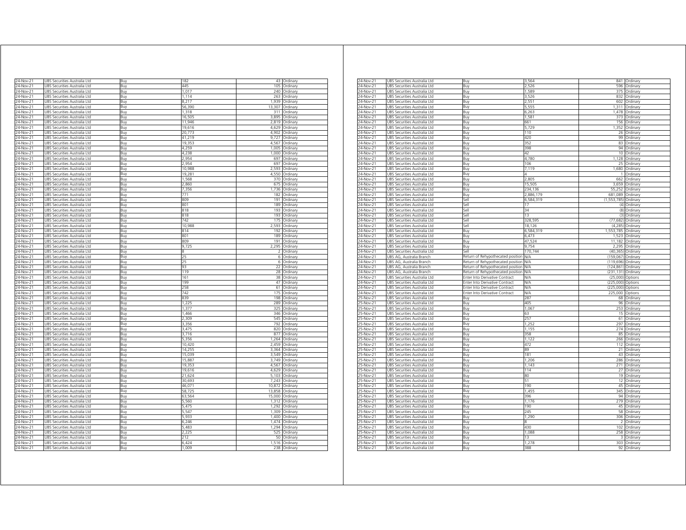|                        |                                                              |            |                  | 43             |                      |
|------------------------|--------------------------------------------------------------|------------|------------------|----------------|----------------------|
| 24-Nov-21              | UBS Securities Australia Ltd                                 | Buy        | 182<br>445       | 105            | Ordinary             |
| 24-Nov-21              | JBS Securities Australia Ltd                                 | Buy        | 1,017            | 240            | Ordinary             |
| 24-Nov-21              | UBS Securities Australia Ltd                                 | Buy        |                  |                | Ordinary             |
| 24-Nov-21              | UBS Securities Australia Ltd                                 | Buy        | 1,114            | 263            | Ordinary             |
| 24-Nov-21              | UBS Securities Australia Ltd                                 | Buv        | 8,217            | 1,939          | Ordinary             |
| 24-Nov-21              | UBS Securities Australia Ltd                                 | Buy        | 56,390           | 13,307<br>311  | Ordinary             |
| 24-Nov-21              | UBS Securities Australia Ltd                                 | Buy        | 1,318<br>16,505  | 3895           | Ordinary             |
| 24-Nov-21              | JBS Securities Australia Ltd                                 | Buy        |                  |                | Ordinary             |
| 24-Nov-21<br>24-Nov-21 | JBS Securities Australia Ltd<br>JBS Securities Australia Ltd | Buy<br>Buv | 11,946<br>19,616 | 2,819<br>4.629 | Ordinary<br>Ordinary |
| 24-Nov-21              | JBS Securities Australia Ltd                                 | Buy        | 20,773           | 4 9 0 2        | Ordinary             |
| 24-Nov-21              | JBS Securities Australia Ltd                                 | Buy        | 41,219           | 9,727          | Ordinan              |
| 24-Nov-21              | JBS Securities Australia Ltd                                 | Buy        | 19.353           | 4.567          | Ordinary             |
| 24-Nov-21              | JBS Securities Australia Ltd                                 | Buy        | 4,259            | 1,005          | Ordinary             |
| 24-Nov-21              | <b>JBS Securities Australia Ltd</b>                          |            | 4.238            | 1,000          | Ordinary             |
| 24-Nov-21              | UBS Securities Australia Ltd                                 | Buy<br>Buy | 2.954            | 697            | Ordinary             |
| 24-Nov-21              | UBS Securities Australia Ltd                                 | Buy        | 2,954            | 697            | Ordinary             |
| 24-Nov-21              | UBS Securities Australia Ltd                                 | Buy        | 10,988           | 2,593          | Ordinary             |
| 24-Nov-21              | UBS Securities Australia Ltd                                 |            | 19,281           | 4,550          | Ordinary             |
| 24-Nov-21              | JBS Securities Australia Ltd                                 | Buy        | 1,568            | 370            |                      |
|                        |                                                              | Buy<br>Buv | 2,860            |                | Ordinary             |
| 24-Nov-21<br>24-Nov-21 | JBS Securities Australia Ltd<br>JBS Securities Australia Ltd | Buy        | 7,356            | 675<br>,736    | Ordinary<br>Ordinary |
| 24-Nov-21              | JBS Securities Australia Ltd                                 | Βuγ        | 771              | 182            | Ordinary             |
| 24-Nov-21              | JBS Securities Australia Ltd                                 | Buv        | 809              | 191            | Ordinary             |
| 24-Nov-21              | JBS Securities Australia Ltd                                 | Buy        | 801              | 189            | Ordinary             |
| 24-Nov-21              | <b>JBS Securities Australia Ltd</b>                          | Ruv        | 818              | 193            | Ordinary             |
| 24-Nov-21              | JBS Securities Australia Ltd                                 | Buy        | 818              | 193            | Ordinary             |
| 24-Nov-21              | JBS Securities Australia Ltd                                 |            | 742              | 175            | Ordinary             |
| 24-Nov-21              | JBS Securities Australia Ltd                                 | Buy        | 10,988           | 2,593          | Ordinary             |
| 24-Nov-21              | JBS Securities Australia Ltd                                 | Buy<br>Buy | 814              | 192            | Ordinary             |
| 24-Nov-21              | UBS Securities Australia Ltd                                 | Buy        | 801              | 189            | Ordinary             |
| 24-Nov-21              | UBS Securities Australia Ltd                                 | Buy        | 809              | 191            | Ordinary             |
| 24-Nov-21              | UBS Securities Australia Ltd                                 | Buy        | 9,725            | 2,295          | Ordinary             |
| 24-Nov-21              | UBS Securities Australia Ltd                                 | Buy        | 8                | $\mathcal{P}$  | Ordinary             |
| 24-Nov-21              | JBS Securities Australia Ltd                                 | Buv        | 25               | 6              | Ordinary             |
| 24-Nov-21              | UBS Securities Australia Ltd                                 | Buy        | 25               | 6              | Ordinary             |
| 24-Nov-21              | UBS Securities Australia Ltd                                 | Buy        | 93               | 22             | Ordinary             |
| 24-Nov-21              | JBS Securities Australia Ltd                                 | Buy        | 119              | 28             | Ordinary             |
| 24-Nov-21              | JBS Securities Australia Ltd                                 | Buy        | 161              | 38             | Ordinary             |
| 24-Nov-21              | <b>JBS Securities Australia Ltd</b>                          | Ruv        | 199              | 47             | Ordinary             |
| $24-Nov-21$            | JBS Securities Australia Ltd                                 | Buy        | 258              | 61             | Ordinary             |
| 24-Nov-21              | JBS Securities Australia Ltd                                 | Buy        | 742              | 175            | Ordinary             |
| 24-Nov-21              | JBS Securities Australia Ltd                                 | Buy        | 830              | 198            | Ordinary             |
| 24-Nov-21              | UBS Securities Australia Ltd                                 | Buy        | 1,225            | 289            | Ordinary             |
| 24-Nov-21              | UBS Securities Australia Ltd                                 | Buy        | 1.377            | 325            | Ordinary             |
| 24-Nov-21              | UBS Securities Australia Ltd                                 | Buy        | 1,466            | 346            | Ordinary             |
| 24-Nov-21              | JBS Securities Australia Ltd                                 | Buy        | 2,309            | 545            | Ordinarv             |
| 24-Nov-21              | JBS Securities Australia Ltd                                 | Buv        | 3,356            | 792            | Ordinary             |
| 24-Nov-21              | UBS Securities Australia Ltd                                 | Buy        | 3,475            | 820            | Ordinary             |
| 24-Nov-21              | JBS Securities Australia Ltd                                 | Buy        | 3,716            | 877            | Ordinary             |
| 24-Nov-21              | JBS Securities Australia Ltd                                 | Buv        | 5356             | 1.264          | Ordinary             |
| 24-Nov-21              | JBS Securities Australia Ltd                                 | Buy        | 10,420           | 2,459          | Ordinary             |
| 24-Nov-21              | JBS Securities Australia Ltd                                 | Buv        | 14,255           | 3,364          | Ordinary             |
| 24-Nov-21              | JBS Securities Australia Ltd                                 | Buy        | 15.039           | 3.549          | Ordinary             |
| 24-Nov-21              | JBS Securities Australia Ltd                                 | Buy        | 15,887           | 3,749          | Ordinary             |
| $24$ -Nov-21           | JBS Securities Australia Ltd                                 | Buy        | 19,353           | 4.567          | Ordinary             |
| 24-Nov-21              | JBS Securities Australia Ltd                                 | Buy        | 19,616           | 4,629          | Ordinary             |
| 24-Nov-21              | UBS Securities Australia Ltd                                 | Buy        | 21,624           | 5,103          | Ordinary             |
| 24-Nov-21              | UBS Securities Australia Ltd                                 | Buy        | 30,693           | 7,243          | Ordinary             |
| 24-Nov-21              | UBS Securities Australia Ltd                                 | Buy        | 46,071           | 10,872         | Ordinary             |
| 24-Nov-21              | UBS Securities Australia Ltd                                 | Buy        | 58,725           | 13,858         | Ordinary             |
| 24-Nov-21              | UBS Securities Australia Ltd                                 | Buy        | 63,564           | 15,000         | Ordinary             |
| 24-Nov-21              | UBS Securities Australia Ltd                                 | Buy        | 5,560            | 1,312          | Ordinary             |
| 24-Nov-21              | UBS Securities Australia Ltd                                 | Buy        | 5,475            | 1,292          | Ordinary             |
| 24-Nov-21              | JBS Securities Australia Ltd                                 | Buv        | 5.547            | 1,309          | Ordinary             |
| 24-Nov-21              | JBS Securities Australia Ltd                                 | Buy        | 5,933            | 1,400          | Ordinary             |
| 24-Nov-21              | JBS Securities Australia Ltd                                 | Buv        | 6.246            | 1.474          | Ordinary             |
| 24-Nov-21              | JBS Securities Australia Ltd                                 | Buy        | 5.483            | 1.294          | Ordinary             |
| 24-Nov-21              | JBS Securities Australia Ltd                                 | Buy        | 2.225            | 525            | Ordinary             |
| $24$ -Nov-21           | UBS Securities Australia Ltd                                 | Buy        | 212              | 50             | Ordinary             |
| 24-Nov-21              | UBS Securities Australia Ltd                                 | Buy        | 6.424            | 1,516          | Ordinary             |
| 24-Nov-21              | UBS Securities Australia Ltd                                 | Buy        | 1,009            | 238            | Ordinary             |
|                        |                                                              |            |                  |                |                      |

| 24-Nov-21    | JBS Securities Australia Ltd    | Buy                               | 3,564      | 841                  | Ordinary    |
|--------------|---------------------------------|-----------------------------------|------------|----------------------|-------------|
| 24-Nov-21    | UBS Securities Australia Ltd    | Buy                               | 2,526      | 596                  | Ordinary    |
| $24-Nov-21$  | UBS Securities Australia Ltd    | Buy                               | 1,589      | 375                  | Ordinary    |
| 24-Nov-21    | UBS Securities Australia Ltd    | Buy                               | 3,526      | 832                  | Ordinary    |
| 24-Nov-21    | UBS Securities Australia Ltd    | Buy                               | 2,551      | 602                  | Ordinary    |
| 24-Nov-21    | UBS Securities Australia Ltd    | Buy                               | 5,555      | 1311                 | Ordinary    |
|              |                                 |                                   | 6,263      |                      |             |
| 24-Nov-21    | UBS Securities Australia Ltd    | Buy                               |            | 1,478                | Ordinary    |
| 24-Nov-21    | JBS Securities Australia Ltd    | Buy                               | 1,581      | 373                  | Ordinary    |
| 24-Nov-21    | JBS Securities Australia Ltd    | Buy                               | 661        | 156                  | Ordinary    |
| 24-Nov-21    | UBS Securities Australia Ltd    | Buy                               | 5,729      | 1.352                | Ordinary    |
| 24-Nov-21    | UBS Securities Australia Ltd    | Buy                               | 110        | 26                   | Ordinary    |
| 24-Nov-21    | UBS Securities Australia Ltd    | Buy                               | 420        | 99                   | Ordinary    |
| $24$ -Nov-21 | JBS Securities Australia Ltd    | 3uy                               | 352        | 83                   | Ordinary    |
| 24-Nov-21    | JBS Securities Australia Ltd    | Buy                               | 398        | 94                   | Ordinary    |
| 24-Nov-21    | JBS Securities Australia Ltd    | Buy                               | 42         | 10                   | Ordinary    |
| 24-Nov-21    | UBS Securities Australia Ltd    | Buy                               | 4,780      | 1,128                | Ordinary    |
| 24-Nov-21    | UBS Securities Australia Ltd    | Buy                               | 106        | 25                   | Ordinary    |
|              |                                 |                                   |            |                      |             |
| 24-Nov-21    | UBS Securities Australia Ltd    | Buy                               | 7,119      | 1,680                | Ordinary    |
| 24-Nov-21    | UBS Securities Australia Ltd    | Buy                               |            | 1                    | Ordinary    |
| 24-Nov-21    | UBS Securities Australia Ltd    | Buy                               | 2.805      | 662                  | Ordinary    |
| 24-Nov-21    | UBS Securities Australia Ltd    | Buy                               | 15,505     | 3,659                | Ordinary    |
| 24-Nov-21    | UBS Securities Australia Ltd    | Buy                               | 234,136    | 55,252               | Ordinary    |
| 24-Nov-21    | UBS Securities Australia Ltd    | Buy                               | 2,886,179  | 681,089              | Ordinary    |
| 24-Nov-21    | UBS Securities Australia Ltd    | Sell                              | 6,584,319  | (1,553,785) Ordinary |             |
| 24-Nov-21    | UBS Securities Australia Ltd    | sell                              |            | (4)                  | Ordinary    |
| 24-Nov-21    | JBS Securities Australia Ltd    | sell                              | 34         | (8)                  | Ordinary    |
| 24-Nov-21    | UBS Securities Australia Ltd    | Sell                              | 13         | (3)                  | Ordinary    |
|              |                                 |                                   |            |                      |             |
| $24-Nov-21$  | UBS Securities Australia Ltd    | Sell                              | 328,595    | (77, 682)            | Ordinary    |
| 24-Nov-21    | UBS Securities Australia Ltd    | Sell                              | 18,126     | (4, 285)             | Ordinary    |
| 24-Nov-21    | UBS Securities Australia Ltd    | Buy                               | 6,584,319  | 1,553,785            | Ordinary    |
| 24-Nov-21    | UBS Securities Australia Ltd    | Buy                               | 6.473      | 1.523                | Ordinary    |
| 24-Nov-21    | UBS Securities Australia Ltd    | Buy                               | 47,524     | 11,182               | Ordinary    |
| 24-Nov-21    | JBS Securities Australia Ltd    | Buy                               | 9,754      | 2.295                | Ordinary    |
| 24-Nov-21    | UBS Securities Australia Ltd    | Sell                              | 170,744    | (40, 365)            | Ordinary    |
| 24-Nov-21    | UBS AG, Australia Branch        | Return of Rehypothecated position | N/A        | (159, 067)           | Ordinary    |
|              |                                 |                                   | N/A        | (119, 696)           |             |
| 24-Nov-21    | UBS AG, Australia Branch        | Return of Rehypothecated position |            |                      | Ordinary    |
| 24-Nov-21    | UBS AG, Australia Branch        | Return of Rehypothecated position | N/A        | (124, 861)           | Ordinary    |
| 4-Nov-21     | JBS AG, Australia Branch        | Return of Rehypothecated position | <b>VA</b>  | (231.131)            | Ordinary    |
| 24-Nov-21    | JBS Securities Australia Ltd    | nter Into Derivative Contract     | <b>VA</b>  | (25,000)             | Options     |
| 24-Nov-21    | JBS Securities Australia Ltd    | Inter Into Derivative Contract    | VA         | (225,000)            | Options     |
| 24-Nov-21    | UBS Securities Australia Ltd    | Enter Into Derivative Contract    | <b>N/A</b> | (225,000)            | Options     |
| 24-Nov-21    | UBS Securities Australia Ltd    | Enter Into Derivative Contract    | NΛ         | 225,000              | Options     |
| 25-Nov-21    | UBS Securities Australia Ltd    | Buy                               | 287        | 68                   | Ordinary    |
| 25-Nov-21    | UBS Securities Australia Ltd    | Buy                               | 405        | 96                   | Ordinary    |
|              |                                 |                                   |            | 253                  |             |
| 25-Nov-21    | UBS Securities Australia Ltd    | Buy                               | 1,067      |                      | Ordinary    |
| 25-Nov-21    | UBS Securities Australia Ltd    | Buy                               | 63         | 15                   | Ordinary    |
| 25-Nov-21    | UBS Securities Australia Ltd    | Buy                               | 257        | 61                   | Ordinary    |
| 25-Nov-21    | UBS Securities Australia Ltd    | Buy                               | 1,252      | 297                  | Ordinan     |
| 25-Nov-21    | UBS Securities Australia Ltd    | Buy                               | 1,155      | 274                  | Ordinary    |
| 25-Nov-21    | UBS Securities Australia Ltd    | Buy                               | 358        | 85                   | Ordinary    |
| 25-Nov-21    | JBS Securities Australia Ltd    | Buy                               | 1,122      | 266                  | Ordinary    |
| 25-Nov-21    | UBS Securities Australia Ltd    | Buy                               | 472        | 112                  | Ordinary    |
| 25-Nov-21    | UBS Securities Australia Ltd    | Buy                               | 89         | 21                   | Ordinary    |
|              |                                 |                                   | 181        | 43                   | Ordinary    |
| 25-Nov-21    | UBS Securities Australia Ltd    | Buy                               |            |                      |             |
| 25-Nov-21    | UBS Securities Australia Ltd    | Buy                               | 1,206      | 286                  | Ordinary    |
| 25-Nov-21    | UBS Securities Australia Ltd    | Buy                               | 1.143      | 271                  | Ordinary    |
| 25-Nov-21    | UBS Securities Australia Ltd    | Buy                               | 114        | 27                   | Ordinary    |
| $25-Nov-21$  | JBS Securities Australia Ltd    | Buy                               | 80         | 19                   | Ordinary    |
| 25-Nov-21    | UBS Securities Australia Ltd    | Buy                               | 51         | 12                   | Ordinary    |
| 25-Nov-21    | UBS Securities Australia Ltd    | Buy                               | 190        | 45                   | Ordinary    |
| 25-Nov-21    | Securities Australia Ltd<br>JBS | Buy                               | 1,455      | 345                  | Ordinary    |
| 25-Nov-21    | JBS Securities Australia Ltd    | Buy                               | 396        | 94                   | Ordinary    |
| 25-Nov-21    | JBS Securities Australia Ltd    | Buy                               | 1 1 7 6    | 279                  | Ordinary    |
|              |                                 |                                   |            |                      |             |
| 25-Nov-21    | JBS Securities Australia Ltd    | Buy                               | 190        | 45                   | Ordinary    |
| 25-Nov-21    | JBS Securities Australia Ltd    | Buy                               | 245        | 58                   | Ordinary    |
| 25-Nov-21    | UBS Securities Australia Ltd    | Buy                               | 1,290      | 306                  | Ordinary    |
| 25-Nov-21    | UBS Securities Australia Ltd    | Buy                               | 8          | 2                    | Ordinary    |
| 25-Nov-21    | UBS Securities Australia Ltd    | Buy                               | 430        | 102                  | Ordinary    |
| 25-Nov-21    | UBS Securities Australia Ltd    | Buy                               | 1,088      | 258                  | Ordinary    |
| 25-Nov-21    | UBS Securities Australia Ltd    | Buy                               | 13         | 3                    | Ordinary    |
|              |                                 |                                   |            |                      |             |
| 25-Nov-21    | UBS Securities Australia Ltd    | Buy                               | 1,278      | 303                  | Ordinary    |
| 25-Nov-21    | UBS Securities Australia Ltd    | Buy                               | 388        |                      | 92 Ordinary |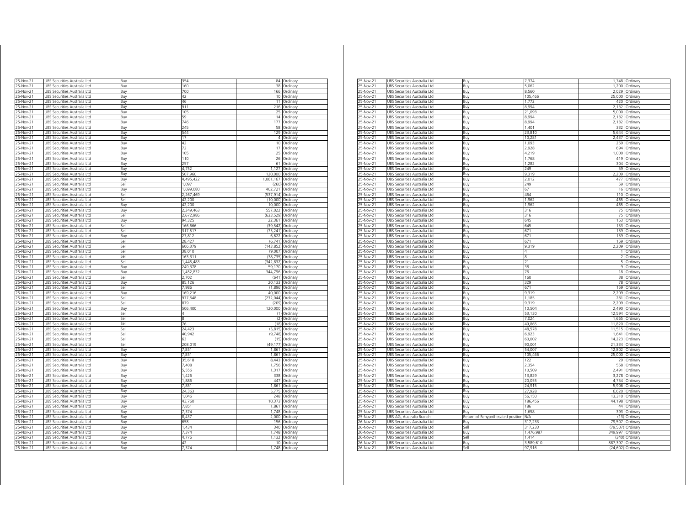| 25-Nov-21                  | UBS Securities Australia Ltd                                                | Buy          | 354               | 84               | Ordinary                     |
|----------------------------|-----------------------------------------------------------------------------|--------------|-------------------|------------------|------------------------------|
| 5-Nov-21                   | UBS Securities Australia Ltd                                                | Buv          | 160               | 38               | Ordinary                     |
| 25-Nov-21<br>25-Nov-21     | UBS Securities Australia Ltd<br>JBS Securities Australia Ltd                | Buy<br>Ruv   | 700<br>42         | 166<br>10        | Ordinary<br>Ordinary         |
| 25-Nov-21                  | JBS Securities Australia Ltd                                                | Buy          | 46                | 11               | Ordinary                     |
| 25-Nov-21                  | UBS Securities Australia Ltd                                                | Buy          | 911               | 216              | Ordinary                     |
| 25-Nov-21                  | UBS Securities Australia Ltd                                                | Buy          | 105               | 25               | Ordinary                     |
| 25-Nov-21                  | UBS Securities Australia Ltd                                                | Buy          | 59                | 14               | Ordinary                     |
| 25-Nov-21                  | UBS Securities Australia Ltd                                                | Buy          | 746               | 177              | Ordinary                     |
| 25-Nov-21                  | UBS Securities Australia Ltd                                                | Buy          | 245               | 58               | Ordinary                     |
| 25-Nov-21                  | UBS Securities Australia Ltd                                                | Buy          | 544               | 129              | Ordinary                     |
| 25-Nov-21                  | UBS Securities Australia Ltd                                                | Buy          | 17                |                  | 4 Ordinary                   |
| 25-Nov-21                  | UBS Securities Australia Ltd                                                | Buy          | 42                |                  | 10 Ordinary                  |
| $25$ -Nov-21               | UBS Securities Australia Ltd                                                | Buy          | 72                |                  | 17 Ordinary                  |
| 25-Nov-21                  | UBS Securities Australia Ltd                                                | Buy          | 105               | 25               | Ordinary                     |
| 25-Nov-21                  | UBS Securities Australia Ltd                                                | Buy          | 110<br>257        | 26               | Ordinary                     |
| 25-Nov-21                  | JBS Securities Australia Ltd<br>JBS Securities Australia Ltd                | Ruv          | 4,752             | 61<br>1,127      | Ordinary                     |
| $25-Nov-21$<br>$25-Nov-21$ | UBS Securities Australia Ltd                                                | Buy          | 507,960           | 120,000          | Ordinary                     |
| 25-Nov-21                  | UBS Securities Australia Ltd                                                | Buy<br>Buy   | 4,495,422         | 1,061,167        | Ordinary<br>Ordinary         |
| 25-Nov-21                  | UBS Securities Australia Ltd                                                | Sell         | 1,097             | (260)            | Ordinary                     |
| 25-Nov-21                  | UBS Securities Australia Ltd                                                | Buy          | 1,699,080         | 402,721 Ordinary |                              |
| 25-Nov-21                  | UBS Securities Australia Ltd                                                | Sell         | 2,267,469         | (537, 914)       | Ordinary                     |
| 25-Nov-21                  | UBS Securities Australia Ltd                                                | Sell         | 42,200            |                  | (10,000) Ordinary            |
| 25-Nov-21                  | UBS Securities Australia Ltd                                                | Buy          | 42,200            | 10,000           | Ordinary                     |
| 25-Nov-21                  | UBS Securities Australia Ltd                                                | Buy          | 2,349,463         | 557,022          | Ordinary                     |
| $25-Nov-21$                | UBS Securities Australia Ltd                                                | sell         | 2,672,986         | (633.529)        | Ordinary                     |
| 25-Nov-21                  | JBS Securities Australia Ltd                                                | Buv          | 94,325            | 22,361           | Ordinary                     |
| 25-Nov-21                  | JBS Securities Australia Ltd                                                | Sell         | 166,666           | (39, 542)        | Ordinary                     |
| 25-Nov-21                  | JBS Securities Australia Ltd                                                | Sell         | 317,517           | (75, 241)        | Ordinary                     |
| 25-Nov-21                  | UBS Securities Australia Ltd                                                | Buy          | 27,812            | 6,622            | Ordinary                     |
| 25-Nov-21                  | UBS Securities Australia Ltd                                                | Sell         | 28,427            | (6,741)          | Ordinary                     |
| 25-Nov-21                  | UBS Securities Australia Ltd                                                | Sell         | 606,379           | (143, 852)       | Ordinary                     |
| 25-Nov-21<br>25-Nov-21     | UBS Securities Australia Ltd<br>UBS Securities Australia Ltd                | Sell<br>Sell | 38.010<br>163,311 | (38, 735)        | (9,007) Ordinary<br>Ordinary |
| 25-Nov-21                  | UBS Securities Australia Ltd                                                | Sell         | 1,445,483         | (342.832)        | Ordinary                     |
| 25-Nov-21                  | UBS Securities Australia Ltd                                                | Buy          | 249,378           |                  | 59,170 Ordinary              |
| 25-Nov-21                  | UBS Securities Australia Ltd                                                | Buy          | 1,452,832         | 344,796          | Ordinary                     |
| 25-Nov-21                  | UBS Securities Australia Ltd                                                | Sell         | 2,702             |                  | (641) Ordinary               |
| 25-Nov-21                  | UBS Securities Australia Ltd                                                | Buy          | 85,126            | 20.133           | Ordinary                     |
| 25-Nov-21                  | UBS Securities Australia Ltd                                                | Sell         | 7986              | (1,896)          | Ordinary                     |
| 25-Nov-21                  | UBS Securities Australia Ltd                                                | Buv          | 169.216           | 40.000           | Ordinary                     |
| 25-Nov-21                  | JBS Securities Australia Ltd                                                | Sell         | 977,648           | (232.044)        | Ordinary                     |
| 25-Nov-21                  | UBS Securities Australia Ltd                                                | Sell         | 879               | (209)            | Ordinary                     |
| 25-Nov-21                  | UBS Securities Australia Ltd                                                | Buy          | 506,400           | 120,000          | Ordinary                     |
| 25-Nov-21                  | UBS Securities Australia Ltd                                                | Sell         | 4                 | (1)              | Ordinary                     |
| 25-Nov-21                  | UBS Securities Australia Ltd                                                | Sell<br>Sell | 8<br>76           | (2)              | Ordinary                     |
| 25-Nov-<br>25-Nov-21       | Securities Australia Ltd<br>JR <sup>o</sup><br>UBS Securities Australia Ltd | Sell         | 24.423            | (18)<br>(5, 815) | Ordinary<br>Ordinary         |
| 25-Nov-21                  | UBS Securities Australia Ltd                                                | Sell         | 40.942            | (9,748)          | Ordinary                     |
| 25-Nov-21                  | UBS Securities Australia Ltd                                                | iell         | 63                | (15)             | Ordinan                      |
| 25-Nov-21                  | UBS Securities Australia Ltd                                                | iell         | 208.019           | (49.177)         | Ordinary                     |
| 5-Nov-21                   | UBS Securities Australia Ltd                                                | Buv          | 7851              | 1861             | Ordinary                     |
| 25-Nov-21                  | JBS Securities Australia Ltd                                                | Buv          | 7,851             | 1,861            | Ordinary                     |
| 25-Nov-21                  | JBS Securities Australia Ltd                                                | Buv          | 35.618            | 8.443            | Ordinary                     |
| 25-Nov-21                  | JBS Securities Australia Ltd                                                | Buy          | 7.408             | 1,756            | Ordinary                     |
| 25-Nov-21                  | UBS Securities Australia Ltd                                                | Buy          | 5,556             | 1,317            | Ordinary                     |
| $25-Nov-21$                | UBS Securities Australia Ltd                                                | Buy          | 1.426             | 338              | Ordinary                     |
| 25-Nov-21                  | UBS Securities Australia Ltd                                                | Buy          | 1,886             | 447              | Ordinary                     |
| 25-Nov-21                  | UBS Securities Australia Ltd                                                | Buy          | 7,851             | 1,861            | Ordinary                     |
| 25-Nov-21                  | UBS Securities Australia Ltd                                                | Buy          | 24,363            | 5,775            | Ordinary                     |
| 25-Nov-21                  | UBS Securities Australia Ltd                                                | Buy          | 1.046             |                  | 248 Ordinary                 |
| 25-Nov-21                  | UBS Securities Australia Ltd                                                | Buy          | 43,760            |                  | 10,373 Ordinary              |
| 25-Nov-21                  | UBS Securities Australia Ltd                                                | Buy          | 7,851             | 1,861            | Ordinary                     |
| 25-Nov-21                  | UBS Securities Australia Ltd                                                | Buy          | 7.374             | 1.748            | Ordinary                     |
| 25-Nov-21<br>25-Nov-21     | UBS Securities Australia Ltd<br>JBS Securities Australia Ltd                | Buy<br>Buy   | 8,437<br>658      | 2,000<br>156     | Ordinary<br>Ordinary         |
| 25-Nov-21                  | JBS Securities Australia Ltd                                                | Buy          | 1.434             | 340              | Ordinary                     |
| 25-Nov-21                  | JBS Securities Australia Ltd                                                | Buy          | 7.374             | 1,748            | Ordinary                     |
| $25$ -Nov-21               | UBS Securities Australia Ltd                                                | Buy          | 4,776             | 1,132            | Ordinary                     |
| 25-Nov-21                  | UBS Securities Australia Ltd                                                | Buy          | 42                | 10               | Ordinary                     |
| 25-Nov-21                  | UBS Securities Australia Ltd                                                | Buy          | 7,374             |                  | 1,748 Ordinary               |
|                            |                                                                             |              |                   |                  |                              |

| 25-Nov-21              | UBS Securities Australia Ltd | Buy                               | 7,374     | 1,748         | Ordinary |
|------------------------|------------------------------|-----------------------------------|-----------|---------------|----------|
| 25-Nov-21              | UBS Securities Australia Ltd | Buy                               | .062      | 1,200         | Ordinary |
| 25-Nov-21              | UBS Securities Australia Ltd | Buy                               | 8,560     | 2,029         | Ordinary |
| 25-Nov-21              | UBS Securities Australia Ltd | Buy                               | 105,466   | 25,000        | Ordinary |
| 25-Nov-21              | UBS Securities Australia Ltd | Buy                               | 1,772     | 420           | Ordinary |
| 25-Nov-21              | UBS Securities Australia Ltd | Buy                               | 8.994     | 2,132         | Ordinary |
| 25-Nov-21              | UBS Securities Australia Ltd | Buy                               | 21,093    | 5,000         | Ordinary |
| $25$ -Nov-21           | UBS Securities Australia Ltd | Buy                               | 8,994     | 2,132         | Ordinary |
| 5-Nov-21               | UBS Securities Australia Ltd | Buv                               | 8.994     | 2,132         | Ordinan  |
| 5-Nov-21               | UBS Securities Australia Ltd | Buy                               | 1,401     | 332           | Ordinary |
| 25-Nov-21              | UBS Securities Australia Ltd | Buy                               | 23,810    | 5,644         | Ordinary |
| 25-Nov-21              | UBS Securities Australia Ltd | Buy                               | 10,281    | 2,437         | Ordinary |
| 5-Nov-21               | UBS Securities Australia Ltd | Buy                               | 1.093     | 259           | Ordinary |
| 5-Nov-21               | UBS Securities Australia Ltd | Buy                               | 2,928     | 694           | Ordinary |
| $25-Nov-21$            | UBS Securities Australia Ltd | Buy                               | 4,219     | 1,000         | Ordinary |
|                        |                              |                                   |           | 419           |          |
| $25 - Nov - 21$        | UBS Securities Australia Ltd | Buy                               | 1,768     |               | Ordinary |
| 25-Nov-21              | UBS Securities Australia Ltd | Buy                               | 1,282     | 304           | Ordinary |
| 25-Nov-21              | UBS Securities Australia Ltd | Buy                               | 249       | 59            | Ordinary |
| 25-Nov-21              | UBS Securities Australia Ltd | Buy                               | 9.319     | 2,209         | Ordinary |
| 25-Nov-21              | UBS Securities Australia Ltd | Buy                               | 2.012     | 477           | Ordinary |
| 25-Nov-21              | UBS Securities Australia Ltd | Buy                               | 249       | 59            | Ordinary |
| 25-Nov-21              | UBS Securities Australia Ltd | Buy                               | 67        | 16            | Ordinary |
| 25-Nov-21              | UBS Securities Australia Ltd | Buy                               | 464       | 110           | Ordinary |
| 25-Nov-21              | UBS Securities Australia Ltd | Buy                               | 1,962     | 465           | Ordinary |
| 25-Nov-21              | UBS Securities Australia Ltd | Buy                               | 1,962     | 465           | Ordinary |
| 25-Nov-21              | UBS Securities Australia Ltd | Buy                               | 316       | 75            | Ordinary |
| 25-Nov-21              | UBS Securities Australia Ltd | Buy                               | 316       | 75            | Ordinary |
| 25-Nov-21              | UBS Securities Australia Ltd | Buy                               | 645       | 153           | Ordinary |
| 25-Nov-21              | UBS Securities Australia Ltd | Buy                               | 645       | 153           | Ordinary |
| 25-Nov-21              | UBS Securities Australia Ltd | Buy                               | 671       | 159           | Ordinary |
|                        | UBS Securities Australia Ltd |                                   | 671       | 159           | Ordinary |
| 25-Nov-21<br>25-Nov-21 |                              | Buy                               | 671       |               |          |
|                        | UBS Securities Australia Ltd | Buy                               |           | 159           | Ordinary |
| 25-Nov-21              | UBS Securities Australia Ltd | Buy                               | 9.319     | 2,209         | Ordinary |
| 5-Nov-21               | UBS Securities Australia Ltd | Buy                               |           |               | Ordinary |
| 25-Nov-21              | UBS Securities Australia Ltd | Buy                               | я         | $\mathcal{P}$ | Ordinary |
| 25-Nov-21              | UBS Securities Australia Ltd | Buy                               | 21        | 5             | Ordinary |
| 25-Nov-21              | UBS Securities Australia Ltd | Buy                               | 38        | 9             | Ordinary |
| 5-Nov-21               | UBS Securities Australia Ltd | Buy                               | 76        | 18            | Ordinary |
| 5-Nov-21               | UBS Securities Australia Ltd | Buy                               | 160       | 38            | Ordinary |
| 25-Nov-21              | UBS Securities Australia Ltd | Buy                               | 329       | 78            | Ordinary |
| 25-Nov-21              | UBS Securities Australia Ltd | Buy                               | 671       | 159           | Ordinary |
| 25-Nov-21              | UBS Securities Australia Ltd | Buy                               | 9,319     | 2,209         | Ordinary |
| 25-Nov-21              | UBS Securities Australia Ltd | Buy                               | 1,185     | 281           | Ordinary |
| 25-Nov-21              | UBS Securities Australia Ltd | Buy                               | 9,319     | 2,209         | Ordinary |
| 25-Nov-21              | UBS Securities Australia Ltd | Buy                               | 10,504    | 2,490         | Ordinary |
| 25-Nov-21              | UBS Securities Australia Ltd | Buy                               | 53,130    | 12,594        | Ordinary |
| 25-Nov-21              | UBS Securities Australia Ltd | Buy                               | 7,024     | 1,665         | Ordinary |
|                        |                              | Buy                               | 49,865    |               |          |
| 25-Nov-21              | UBS Securities Australia Ltd |                                   | 48,578    | 11,820        | Ordinary |
| 25-Nov-21              | UBS Securities Australia Ltd | Buy                               |           | 11,515        | Ordinary |
| 25-Nov-21              | UBS Securities Australia Ltd | Buy                               | 6,923     | 1,641         | Ordinary |
| 25-Nov-21              | UBS Securities Australia Ltd | Buy                               | 60,002    | 14,223        | Ordinary |
| $25$ -Nov-21           | UBS Securities Australia Ltd | Buy                               | 90,001    | 21,334        | Ordinary |
| 25-Nov-21              | UBS Securities Australia Ltd | Buy                               | 54,007    | 12,802        | Ordinary |
| 25-Nov-21              | UBS Securities Australia Ltd | Buy                               | 105,466   | 25,000        | Ordinary |
| 25-Nov-21              | UBS Securities Australia Ltd | Buy                               | 122       | 29            | Ordinary |
| 25-Nov-21              | UBS Securities Australia Ltd | Buy                               | 2,354     | 558           | Ordinary |
| 25-Nov-21              | UBS Securities Australia Ltd | Buy                               | 10,509    | 2.491         | Ordinary |
| 25-Nov-21              | UBS Securities Australia Ltd | Buy                               | 13,829    | 3,278         | Ordinary |
| $25$ -Nov-21           | UBS Securities Australia Ltd | Buy                               | 20,055    | 4,754         | Ordinary |
| 25-Nov-21              | UBS Securities Australia Ltd | Buy                               | 24,915    | 5,906         | Ordinary |
| 25-Nov-21              | UBS Securities Australia Ltd | Buy                               | 27,928    | 6,620         | Ordinary |
| 25-Nov-21              | UBS Securities Australia Ltd | Buy                               | 56,150    | 13,310        | Ordinary |
| 25-Nov-21              | UBS Securities Australia Ltd | Buy                               | 186,456   | 44,198        | Ordinary |
| 5-Nov-21               | UBS Securities Australia Ltd | Buy                               | 186       | 44            | Ordinary |
| 25-Nov-21              | UBS Securities Australia Ltd | Buv                               | 1,658     | 393           |          |
|                        |                              |                                   |           | (13)          | Ordinary |
| $25-Nov-21$            | UBS AG, Australia Branch     | Return of Rehypothecated position | NΆ        |               | Ordinary |
| 26-Nov-21              | UBS Securities Australia Ltd | Buy                               | 317,233   | 79.507        | Ordinary |
| 26-Nov-21              | UBS Securities Australia Ltd | Sell                              | 317,233   | (79,507)      | Ordinary |
| 26-Nov-21              | UBS Securities Australia Ltd | Buy                               | 1,476,987 | 349,997       | Ordinary |
| 26-Nov-21              | UBS Securities Australia Ltd | Sell                              | 1.414     | (340)         | Ordinary |
| 26-Nov-21              | UBS Securities Australia Ltd | Buv                               | 3.589.610 | 887.397       | Ordinary |
| 26-Nov-21              | UBS Securities Australia Ltd | Sell                              | 97,916    | (24, 602)     | Ordinary |
|                        |                              |                                   |           |               |          |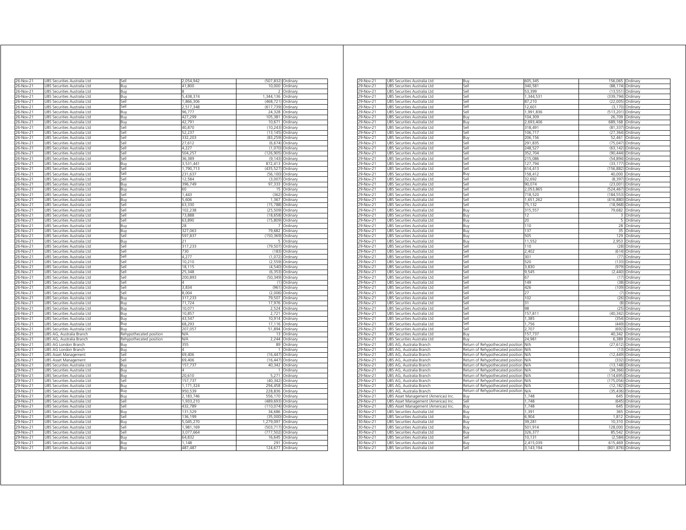| 26-Nov-21              | JBS Securities Australia Ltd                                 | Sell                    | 2,054,942         | (507, 832)             | Ordinary             |
|------------------------|--------------------------------------------------------------|-------------------------|-------------------|------------------------|----------------------|
| 26-Nov-21              | JBS Securities Australia Ltd                                 | 3ı ıv                   | 41.800            | 10.000                 | Ordinary             |
| 26-Nov-21              | <b>JBS Securities Australia Ltd</b>                          | Buy                     |                   | $\mathcal{P}$          | Ordinary             |
| 26-Nov-21              | JBS Securities Australia Ltd                                 | Βuγ                     | 5,438,374         | 1,344,136              | Ordinary             |
| 26-Nov-21              | JBS Securities Australia Ltd                                 | iell                    | 1,866,306         | (468, 721)             | Ordinary             |
| 26-Nov-21              | UBS Securities Australia Ltd                                 | Sell                    | 2,517,348         | (617, 739)             | Ordinary             |
| 26-Nov-21              | UBS Securities Australia Ltd                                 | Buy                     | 96,777            | 24,328                 | Ordinary             |
| 26-Nov-21              | UBS Securities Australia Ltd                                 | Buy                     | 427,299           | 105,381                | Ordinary             |
| 26-Nov-21              | UBS Securities Australia Ltd                                 | Buy                     | 42,791            | 10,671                 | Ordinary             |
| 26-Nov-21              | UBS Securities Australia Ltd                                 | Sell                    | 40,870            | (10, 243)              | Ordinary             |
| 26-Nov-21              | UBS Securities Australia Ltd                                 | Sell<br>Sell            | 52,237<br>332,203 | (13, 145)<br>(83, 259) | Ordinary             |
| 26-Nov-21<br>26-Nov-21 | UBS Securities Australia Ltd<br>UBS Securities Australia Ltd | Sell                    | 27,612            | (6, 674)               | Ordinary<br>Ordinary |
| 26-Nov-21              | JBS Securities Australia Ltd                                 | Sell                    | 4,227             | (1,070)                | Ordinary             |
| 26-Nov-21              | UBS Securities Australia Ltd                                 | Sell                    | 504,257           | (126, 905)             | Ordinan              |
| 26-Nov-21              | JBS Securities Australia Ltd                                 | Sell                    | 36.389            | (9, 143)               | Ordinary             |
| 26-Nov-21              | JBS Securities Australia Ltd                                 | Buv                     | 3,531,441         | 872,413                | Ordinary             |
| 26-Nov-21              | UBS Securities Australia Ltd                                 | Sell                    | 1,790,713         | (435, 527)             | Ordinary             |
| 26-Nov-21              | UBS Securities Australia Ltd                                 | Sell                    | 231,637           | (56, 100)              | Ordinary             |
| 26-Nov-21              | UBS Securities Australia Ltd                                 | Sell                    | 12,584            | (3,007)                | Ordinary             |
| 26-Nov-21              | UBS Securities Australia Ltd                                 | Buy                     | 396,749           | 97,333                 | Ordinary             |
| 26-Nov-21              | JBS Securities Australia Ltd                                 | Buy                     | 60                |                        | Ordinan              |
| 26-Nov-21              | UBS Securities Australia Ltd                                 | Sell                    | 1,443             | (362)                  | Ordinary             |
| 26-Nov-21              | UBS Securities Australia Ltd                                 | Buy                     | 5,606             | 1,367                  | Ordinary             |
| 26-Nov-21              | JBS Securities Australia Ltd                                 | iell                    | 63,330            | (15, 788)              | Ordinary             |
| 26-Nov-21              | JBS Securities Australia Ltd                                 | iell                    | 102,238           | (25, 509)              | Ordinary             |
| 26-Nov-21              | JBS Securities Australia Ltd                                 | sell                    | 73,888            | (18, 658)              | Ordinary             |
| 26-Nov-21              | JBS Securities Australia Ltd                                 | Sell                    | 63,890            | (15, 809)              | Ordinary             |
| 26-Nov-21              | JBS Securities Australia Ltd                                 | Buv                     | 28                |                        | Ordinary             |
| 26-Nov-21              | JBS Securities Australia Ltd                                 | Buy                     | 327,063           | 79,682                 | Ordinary             |
| 26-Nov-21              | JBS Securities Australia Ltd                                 | Sell                    | 597,837<br>21     | (150, 369)<br>5        | Ordinary             |
| 26-Nov-21              | JBS Securities Australia Ltd                                 | Buy                     |                   |                        | Ordinary             |
| 26-Nov-21              | UBS Securities Australia Ltd                                 | Sell                    | 317,233<br>730    | (79, 507)<br>(183)     | Ordinary             |
| 26-Nov-21<br>26-Nov-21 | UBS Securities Australia Ltd<br>UBS Securities Australia Ltd | Sell<br>Sell            | 4,277             | (1,072)                | Ordinary<br>Ordinary |
| 26-Nov-21              | UBS Securities Australia Ltd                                 | Sell                    | 10,210            | (2,559)                | Ordinary             |
| 26-Nov-21              | UBS Securities Australia Ltd                                 | Sell                    | 18,115            |                        | (4,540) Ordinary     |
| 26-Nov-21              | UBS Securities Australia Ltd                                 | Sell                    | 25,348            | (6, 353)               | Ordinary             |
| 26-Nov-21              | UBS Securities Australia Ltd                                 | Sell                    | 200,893           | (50, 349)              | Ordinary             |
| 26-Nov-21              | JBS Securities Australia Ltd                                 | Sell                    |                   | (1)                    | Ordinary             |
| 26-Nov-21              | JBS Securities Australia Ltd                                 | Sell                    | 3,834             | (961)                  | Ordinary             |
| 26-Nov-21              | JBS Securities Australia Ltd                                 | Sell                    | 8,004             | (2,006)                | Ordinary             |
| 26-Nov-21              | <b>JBS Securities Australia Ltd</b>                          | <b>Buv</b>              | 317.233           | 79.507                 | Ordinan              |
| 26-Nov-21              | JBS Securities Australia Ltd                                 | Buy                     | 71,724            | 17,976                 | Ordinary             |
| 26-Nov-21              | JBS Securities Australia Ltd                                 | Buy                     | 10,071            | 2,524                  | Ordinary             |
| 26-Nov-21              | JBS Securities Australia Ltd                                 | Buy                     | 10,857            | 2,721                  | Ordinary             |
| 26-Nov-21              | UBS Securities Australia Ltd                                 | Buy                     | 43,547            | 10,914                 | Ordinary             |
| 26-Nov-21              | UBS Securities Australia Ltd                                 | Buv                     | 68,293            | 17,116                 | Ordinan              |
| 26-Nov-21              | JBS Securities Australia Ltd                                 | Buv                     | 207,057           | 51,894                 | Ordinary             |
| 26-Nov-21              | UBS AG, Australia Branch                                     | Rehypothecated position | N/A               | 13                     | Ordinary             |
| 26-Nov-21              | UBS AG, Australia Branch                                     | Rehypothecated position | N/A               | 2.244                  | Ordinary             |
| 26-Nov-21              | JBS AG London Branch                                         | Buv                     | 355<br>4          | 89                     | Ordinarv             |
| 26-Nov-21<br>6-Nov-21  | JBS AG London Branch<br><b>JBS Asset Management</b>          | Βuγ<br>sell             | 69,406            | (16.447)               | Ordinary<br>Ordinary |
| 26-Nov-21              | <b>JBS Asset Management</b>                                  | sell                    | 69,406            | (16, 447)              | Ordinary             |
| 29-Nov-21              | JBS Securities Australia Ltd                                 | Buv                     | 157.737           | 40.342                 | Ordinary             |
| 29-Nov-21              | JBS Securities Australia Ltd                                 | Buy                     |                   | 1                      | Ordinary             |
| 29-Nov-21              | JBS Securities Australia Ltd                                 | Buy                     | 20,610            | 5,271                  | Ordinary             |
| 29-Nov-21              | JBS Securities Australia Ltd                                 | sell                    | 157,737           | (40, 342)              | Ordinary             |
| 29-Nov-21              | UBS Securities Australia Ltd                                 | Buy                     | 1,171,324         | 294,458                | Ordinary             |
| 29-Nov-21              | UBS Securities Australia Ltd                                 | Buy                     | 950,539           | 228,836                | Ordinary             |
| 29-Nov-21              | UBS Securities Australia Ltd                                 | Buy                     | 2,183,746         | 556,170                | Ordinary             |
| 29-Nov-21              | UBS Securities Australia Ltd                                 | Sell                    | 1,933,210         | (489, 693)             | Ordinary             |
| 29-Nov-21              | UBS Securities Australia Ltd                                 | Sell                    | 432,789           | (110, 074)             | Ordinary             |
| 29-Nov-21              | UBS Securities Australia Ltd                                 | Buv                     | 131,529           | 34,686                 | Ordinary             |
| 29-Nov-21              | UBS Securities Australia Ltd                                 | Sell                    | 136,199           | (35,000)               | Ordinary             |
| 29-Nov-21              | UBS Securities Australia Ltd                                 | Buy                     | 5,045,270         | 1,279,097              | Ordinary             |
| 29-Nov-21              | JBS Securities Australia Ltd                                 | Sell                    | 1981 169          | (503, 717)             | Ordinary             |
| 29-Nov-21              | JBS Securities Australia Ltd                                 | Sell                    | 3,077,664         | (777,502)              | Ordinary             |
| 29-Nov-21              | <b>JBS Securities Australia Ltd</b>                          | Buv                     | 64.832            | 16.645                 | Ordinan              |
|                        |                                                              |                         |                   |                        |                      |
| 29-Nov-21<br>29-Nov-21 | JBS Securities Australia Ltd<br>UBS Securities Australia Ltd | Buy<br>Buv              | 1,148<br>487,487  | 291<br>124,677         | Ordinary<br>Ordinary |

| 29-Nov-21       | UBS Securities Australia Ltd         | Buy                               | 605,345    | 156,065 Ordinary   |                   |
|-----------------|--------------------------------------|-----------------------------------|------------|--------------------|-------------------|
| 29-Nov-21       | UBS Securities Australia Ltd         | Sell                              | 340,581    | (88, 174)          | Ordinary          |
| 29-Nov-21       | UBS Securities Australia Ltd         | Sell                              | 53,399     | (13,551)           | Ordinary          |
| 29-Nov-21       | UBS Securities Australia Ltd         | Sell                              | 1,344,53   | (339, 794)         | Ordinary          |
| 29-Nov-21       | UBS Securities Australia Ltd         | Sell                              | 87.210     | (22,005)           | Ordinary          |
| 29-Nov-21       | UBS Securities Australia Ltd         | Sell                              | 12.601     | (3.170)            | Ordinary          |
| 29-Nov-21       | UBS Securities Australia Ltd         | le?                               | 1,991,836  | (513, 201)         | Ordinary          |
| 29-Nov-21       | UBS Securities Australia Ltd         | Buy                               | 104 309    | 26,709             | Ordinary          |
| 29-Nov-21       | UBS Securities Australia Ltd         | Buv                               | 2,693,406  | 689,168            | Ordinary          |
| 29-Nov-21       | UBS Securities Australia Ltd         | Sell                              | 318.491    | (81, 337)          | Ordinary          |
| 29-Nov-21       | UBS Securities Australia Ltd         | Sell                              | 106,717    | (27, 364)          | Ordinary          |
| 29-Nov-21       | UBS Securities Australia Ltd         | 3uy                               | 206 156    | 52.461             | Ordinary          |
| 29-Nov-21       | UBS Securities Australia Ltd         | Sell                              | 291,835    | (75, 047)          | Ordinary          |
| 29-Nov-21       |                                      | Sell                              |            | (63, 142)          |                   |
|                 | UBS Securities Australia Ltd         |                                   | 248,527    |                    | Ordinary          |
| 29-Nov-21       | UBS Securities Australia Ltd         | Sell                              | 352.704    | (90.444)           | Ordinary          |
| 29-Nov-21       | UBS Securities Australia Ltd         | Sell                              | 215,086    | (54, 894)          | Ordinary          |
| 29-Nov-21       | UBS Securities Australia Ltd         | Sell                              | 127,794    | (33, 177)          | Ordinary          |
| 29-Nov-21       | UBS Securities Australia Ltd         | Sell                              | 614.413    | (156, 882)         | Ordinary          |
| 29-Nov-21       | UBS Securities Australia Ltd         | Buv                               | 158.412    | 40.000             | Ordinary          |
| 29-Nov-21       | JBS Securities Australia Ltd         | Sell                              | 32,692     | (8, 397)           | Ordinary          |
| 29-Nov-21       | UBS Securities Australia Ltd         | Sell                              | 90,074     | (23,001)           | Ordinary          |
| 29-Nov-21       | UBS Securities Australia Ltd         | Sell                              | 2,053,865  | (524, 467)         | Ordinary          |
| 29-Nov-21       | UBS Securities Australia Ltd         | Sell                              | 718,520    | (184, 553)         | Ordinary          |
| 29-Nov-21       | UBS Securities Australia Ltd         | Sell                              | 1,651,262  | (416, 880)         | Ordinary          |
| 29-Nov-21       | UBS Securities Australia Ltd         | Sell                              | 75.132     | (18,968)           | Ordinary          |
| 29-Nov-21       | UBS Securities Australia Ltd         | Buy                               | 315,557    | 79,682             | Ordinary          |
|                 |                                      |                                   |            |                    |                   |
| 29-Nov-21       | UBS Securities Australia Ltd         | Buy                               | 12         | 3                  | Ordinary          |
| 29-Nov-21       | UBS Securities Australia Ltd         | Buy                               | 20         | 5                  | Ordinary          |
| 29-Nov-21       | UBS Securities Australia Ltd         | Buy                               | 110        |                    | 28 Ordinary       |
| 29-Nov-21       | UBS Securities Australia Ltd         | Buy                               | 137        | 35                 | Ordinary          |
| 29-Nov-21       | UBS Securities Australia Ltd         | 3uy                               | 505        | 129                | Ordinary          |
| 29-Nov-21       | UBS Securities Australia Ltd         | Buv                               | 11.552     | 2.953              | Ordinary          |
| 29-Nov-21       | UBS Securities Australia Ltd         | Sell                              | 110        | (28)               | Ordinary          |
| 29-Nov-21       | UBS Securities Australia Ltd         | Sell                              | 2.402      | (614)              | Ordinary          |
| 29-Nov-21       | UBS Securities Australia Ltd         | Sell                              | 301        | (77)               | Ordinary          |
| 29-Nov-21       | UBS Securities Australia Ltd         | Sell                              | 520        | (133)              | Ordinary          |
| 29-Nov-21       | UBS Securities Australia Ltd         | Sell                              | 3,830      | (979)              | Ordinary          |
| 29-Nov-21       | UBS Securities Australia Ltd         | ا∣م:ّ                             | 9.545      | (2.440)            | Ordinary          |
| 29-Nov-21       | JBS Securities Australia Ltd         | Sell                              | 6.         | (17)               | Ordinary          |
| 29-Nov-21       |                                      | Sell                              | 149        |                    |                   |
|                 | UBS Securities Australia Ltd         |                                   |            | (38)               | Ordinary          |
| 29-Nov-21       | UBS Securities Australia Ltd         | Sell                              | 426        | (109)              | Ordinary          |
| 29-Nov-21       | UBS Securities Australia Ltd         | Sell                              | 27         | (7)                | Ordinary          |
| 29-Nov-21       | UBS Securities Australia Ltd         | Sell                              | 102        | (26)               | Ordinary          |
| 29-Nov-21       | UBS Securities Australia Ltd         | Sell                              | 31         | (8)                | Ordinary          |
| 29-Nov-21       | UBS Securities Australia Ltd         | Sell                              | 98         | (25)               | Ordinary          |
| 29-Nov-21       | JBS Securities Australia Ltd         | Sell                              | 157,81     | (40, 342)          | Ordinary          |
| 29-Nov-21       | UBS Securities Australia Ltd         | Sell                              | 1,385      | (354)              | Ordinary          |
| 29-Nov-21       | UBS Securities Australia Ltd         | Sell                              | 1,756      |                    | (449) Ordinary    |
| 29-Nov-21       | UBS Securities Australia Ltd         | Sell                              | 2,707      | (692)              | Ordinary          |
| 29-Nov-21       | UBS Securities Australia Ltd         | Buy                               | 157,737    | 40,342             | Ordinary          |
| 29-Nov-21       | UBS Securities Australia Ltd         | 3uy                               | 24.981     | 6,389              | Ordinary          |
|                 |                                      |                                   |            |                    |                   |
| 29-Nov-21       | UBS AG, Australia Branch             | Return of Rehypothecated position | N/A        | (27, 612)          | Ordinary          |
| 29-Nov-21       | UBS AG, Australia Branch             | Return of Rehypothecated position | NΆ         | (13)               | Ordinary          |
| 29-Nov-21       | UBS AG, Australia Branch             | Return of Rehypothecated position | N/A        | (12, 449)          | Ordinary          |
| 29-Nov-21       | UBS AG, Australia Branch             | Return of Rehypothecated position | N/A        | (332)              | Ordinary          |
| 29-Nov-21       | UBS AG, Australia Branch             | Return of Rehypothecated position | <b>N/A</b> | (13, 148)          | Ordinary          |
| 29-Nov-21       | UBS AG, Australia Branch             | Return of Rehypothecated position | N/A        | (34, 366)          | Ordinary          |
| 29-Nov-21       | UBS AG. Australia Branch             | Return of Rehypothecated position | N/A        | (114.695)          | Ordinary          |
| 29-Nov-21       | UBS AG, Australia Branch             | Return of Rehypothecated position | VA         | (175,056)          | Ordinary          |
| 29-Nov-21       | UBS AG, Australia Branch             | Return of Rehypothecated position | N/A        | (12, 182)          | Ordinary          |
| 29-Nov-21       | UBS AG, Australia Branch             | Return of Rehypothecated position | N/A        |                    | (35,436) Ordinary |
| 29-Nov-21       | UBS Asset Management (Americas) Inc  | Buy                               | 1,748      | 645                | Ordinary          |
| 29-Nov-21       | UBS Asset Management (Americas) Inc  | Sell                              | 1,748      | (645)              | Ordinary          |
| $29 - Nov - 21$ | UBS Asset Management (Americas) Inc. | 3uy                               | 1.748      | 645                | Ordinary          |
|                 |                                      |                                   | 1391       | 365                |                   |
| 30-Nov-21       | JBS Securities Australia Ltd         | Buy                               |            |                    | Ordinary          |
| 30-Nov-21       | UBS Securities Australia Ltd         | Buy                               | 6.904      | 1,812              | Ordinary          |
| 30-Nov-21       | UBS Securities Australia Ltd         | Buy                               | 39,281     | 10,310             | Ordinary          |
| 30-Nov-21       | UBS Securities Australia Ltd         | Buy                               | 501,914    | 128,000            | Ordinary          |
| 30-Nov-21       | UBS Securities Australia Ltd         | Buy                               | 326,377    | 85,542             | Ordinary          |
| 30-Nov-21       | UBS Securities Australia Ltd         | Sell                              | 10 131     | (2, 584)           | Ordinary          |
| 30-Nov-21       | UBS Securities Australia Ltd         | Buv                               | 2.415.039  | 615.469 Ordinary   |                   |
| 30-Nov-21       | UBS Securities Australia Ltd         | Sell                              | 3,143,194  | (801,876) Ordinary |                   |
|                 |                                      |                                   |            |                    |                   |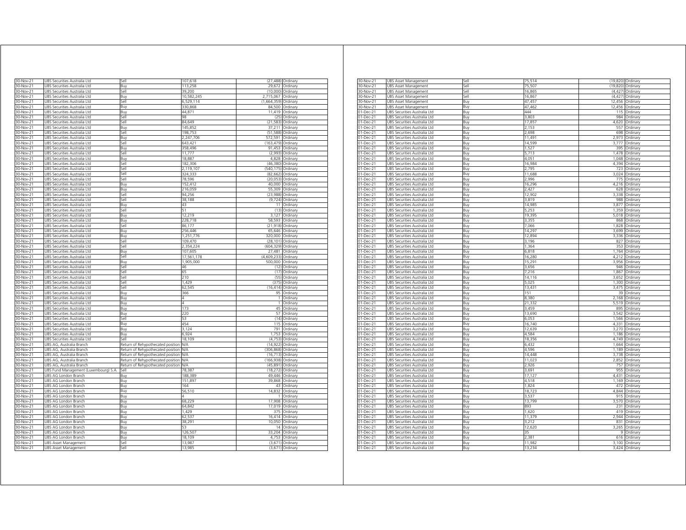| 30-Nov-21               | UBS Securities Australia Ltd          | Sell                              | 107,618    | (27, 488)   | Ordinary         |
|-------------------------|---------------------------------------|-----------------------------------|------------|-------------|------------------|
| 30-Nov-21               | JBS Securities Australia Ltd          | Buv                               | 113.258    | 29.672      | Ordinary         |
| 30-Nov-21               | JBS Securities Australia Ltd          | Sell                              | 39.200     | (10,000)    | Ordinary         |
| 30-Nov-21               | JBS Securities Australia Ltd          | Buy                               | 10,582,245 | 2,715,067   | Ordinary         |
| 30-Nov-21               | UBS Securities Australia Ltd          | Sell                              | 6,529,114  | (1,664,359) | Ordinary         |
| 30-Nov-21               | UBS Securities Australia Ltd          | Buy                               | 330,868    | 84,500      | Ordinary         |
| 30-Nov-21               | UBS Securities Australia Ltd          | Buy                               | 44,871     | 11,419      | Ordinary         |
| 30-Nov-21               | UBS Securities Australia Ltd          | Sell                              | 98         | (25)        | Ordinary         |
| 30-Nov-21               | JBS Securities Australia Ltd          | Sell                              | 84,649     | (21, 583)   | Ordinan          |
| 30-Nov-21               | UBS Securities Australia Ltd          | Buy                               | 145,852    | 37,211      | Ordinary         |
| 30-Nov-21               | UBS Securities Australia Ltd          | Sell                              | 198,753    | (51, 588)   | Ordinary         |
| 30-Nov-21               | UBS Securities Australia Ltd          | Buv                               | 2,247,706  | 572,591     | Ordinary         |
| 30-Nov-21               | JBS Securities Australia Ltd          | iell                              | 643,421    | (163, 479)  | Ordinary         |
| 30-Nov-21               | JBS Securities Australia Ltd          | Buv                               | 358,496    | 91,453      | Ordinary         |
| 30-Nov-21               | JBS Securities Australia Ltd          | sell                              | 11,777     | (2,993)     | Ordinary         |
| 30-Nov-21               | JBS Securities Australia Ltd          | Buv                               | 18,887     | 4,828       | Ordinary         |
| 30-Nov-21               | <b>JBS Securities Australia Ltd</b>   | Sell                              | 182.306    | (46.380)    | Ordinary         |
| 30-Nov-21               | <b>JBS Securities Australia Ltd</b>   | <b>Sell</b>                       | 2,119,107  | (540, 175)  | Ordinary         |
| 30-Nov-21               | JBS Securities Australia Ltd          | Sell                              | 324,333    | (82, 662)   | Ordinary         |
| 30-Nov-21               | JBS Securities Australia Ltd          | Sell                              | 78,596     | (20, 053)   | Ordinary         |
| 30-Nov-21               | JBS Securities Australia Ltd          | Buy                               | 152,412    | 40,000      | Ordinary         |
| 30-Nov-21               | <u>UBS Securities Australia Ltd</u>   | Buy                               | 216,059    | 55,309      | Ordinary         |
| 30-Nov-21               | JBS Securities Australia Ltd          | Sell                              | 94,256     | (23,988)    | Ordinary         |
| 30-Nov-21               | JBS Securities Australia Ltd          | Sell                              | 38,188     | (9, 724)    | Ordinary         |
| 30-Nov-21               | UBS Securities Australia Ltd          | Buy                               | 43         | 11          | Ordinary         |
| 30-Nov-21               | UBS Securities Australia Ltd          | Sell                              | 51         |             | (13) Ordinary    |
| 30-Nov-21               | UBS Securities Australia Ltd          | Buy                               | 12,219     | 3,127       | Ordinary         |
| 30-Nov-21               | UBS Securities Australia Ltd          | Buv                               | 228,718    | 58,593      | Ordinary         |
| 30-Nov-21               |                                       |                                   | 86,177     |             |                  |
| 30-Nov-21               | UBS Securities Australia Ltd          | Sell                              | 256.446    | (21, 918)   | Ordinary         |
|                         | JBS Securities Australia Ltd          | Buy                               |            | 65,646      | Ordinary         |
| 30-Nov-21               | JBS Securities Australia Ltd          | Buy                               | 1 251 776  | 320,000     | Ordinary         |
| 30-Nov-21               | JBS Securities Australia Ltd          | Sell                              | 109,470    | (28, 101)   | Ordinary         |
| 30-Nov-21               | <b>JBS Securities Australia Ltd</b>   | Sell                              | 2.354.224  | (604.329)   | Ordinan          |
| 30-Nov-21               | JBS Securities Australia Ltd          | Buy                               | 107,605    | 27,481      | Ordinary         |
| $\overline{30}$ -Nov-21 | JBS Securities Australia Ltd          | Sell                              | 17,561,178 | (4.609.233) | Ordinan          |
| 30-Nov-21               | <b>JBS Securities Australia Ltd</b>   | Buv                               | 1.905.000  | 500.000     | Ordinan          |
| 30-Nov-21               | JBS Securities Australia Ltd          | Sell                              | 46         | (12)        | Ordinary         |
| 30-Nov-21               | JBS Securities Australia Ltd          | Sell                              | 65         | (17)        | Ordinary         |
| 30-Nov-21               | UBS Securities Australia Ltd          | Sell                              | 210        | (55)        | Ordinary         |
| 30-Nov-21               | UBS Securities Australia Ltd          | Sell                              | 1.429      | (375)       | Ordinary         |
| 30-Nov-21               | UBS Securities Australia Ltd          | Sell                              | 62,545     | (16, 414)   | Ordinary         |
| 30-Nov-21               | UBS Securities Australia Ltd          | Buy                               | 366        | 95          | Ordinary         |
| 30-Nov-21               | JBS Securities Australia Ltd          | Buy                               | 4          | 1           | Ordinan          |
| 30-Nov-21               | JBS Securities Australia Ltd          | Βuγ                               | Δ          | 1           | Ordinary         |
| 30-Nov-21               | JBS Securities Australia Ltd          | Buv                               | 173        | 45          | Ordinary         |
| 30-Nov-21               | JBS Securities Australia Ltd          | Buy                               | 220        | 57          | Ordinary         |
| 30-Nov-21               | JBS Securities Australia Ltd          | sell                              | 53         | (14)        | Ordinary         |
| 30-Nov-21               | JBS Securities Australia Ltd          | Buv                               | 454        | 115         | Ordinary         |
| 30-Nov-21               | JBS Securities Australia Ltd          | Buv                               | 3 1 2 4    | 791         | Ordinary         |
| 30-Nov-21               | JBS Securities Australia Ltd          | Buv                               | 6,924      | 1,753       | Ordinary         |
| 30-Nov-21               | JBS Securities Australia Ltd          | اامک                              | 18.109     | (4.753)     | Ordinary         |
| 30-Nov-21               | JBS AG, Australia Branch              | Return of Rehypothecated position | ΝA         | 14,922      | Ordinary         |
| 30-Nov-21               | JBS AG, Australia Branch              |                                   | ΝA         | (306, 868)  | Ordinary         |
|                         |                                       | Return of Rehypothecated position | N/A        | (16, 713)   |                  |
| 30-Nov-21               | UBS AG, Australia Branch              | Return of Rehypothecated position |            |             | Ordinary         |
| 30-Nov-21               | UBS AG, Australia Branch              | Return of Rehypothecated position | N/A        | (166, 938)  | Ordinary         |
| 30-Nov-21               | UBS AG, Australia Branch              | Return of Rehypothecated position | <b>N/A</b> | (45, 891)   | Ordinary         |
| 30-Nov-21               | UBS Fund Management (Luxembourg) S.A. | Sell                              | 78,387     | (18, 272)   | Ordinary         |
| 30-Nov-21               | UBS AG London Branch                  | Buv                               | 188,389    | 49,446      | Ordinary         |
| 30-Nov-21               | UBS AG London Branch                  | Buy                               | 151,897    | 39,868      | Ordinary         |
| 30-Nov-21               | UBS AG London Branch                  | Buy                               | 164        | 43          | Ordinary         |
| 30-Nov-21               | JBS AG London Branch                  | Buv                               | 56,510     | 14832       | Ordinary         |
| 30-Nov-21               | UBS AG London Branch                  | Buy                               | 4          | 1           | Ordinary         |
| 30-Nov-21               | UBS AG London Branch                  | Buy                               | 68,229     | 17,908      | Ordinary         |
| 30-Nov-21               | UBS AG London Branch                  | Buv                               | 64,842     | 17.019      | Ordinary         |
| 30-Nov-21               | JBS AG London Branch                  | Buy                               | 1.429      | 375         | Ordinary         |
| 30-Nov-21               | UBS AG London Branch                  | Buy                               | 62,537     | 16,414      | Ordinary         |
| 30-Nov-21               | JBS AG London Branch                  | Buy                               | 38,291     | 10.050      | Ordinary         |
| 30-Nov-21               | JBS AG London Branch                  | Buy                               | 53         | 14          | Ordinary         |
| 30-Nov-21               | <b>JBS AG London Branch</b>           | Buy                               | 126,507    | 33,204      | Ordinary         |
| 30-Nov-21               | UBS AG London Branch                  | Buy                               | 18,109     | 4,753       | Ordinary         |
| 30-Nov-21               | UBS Asset Management                  | Sell                              | 13,987     | (3,671)     | Ordinary         |
| 30-Nov-21               | UBS Asset Management                  | Sell                              | 13,985     |             | (3,671) Ordinary |
|                         |                                       |                                   |            |             |                  |

| 30-Nov-21     | JBS Asset Management         | SΑ   | 75,514 |          | (19,820) Ordinary |
|---------------|------------------------------|------|--------|----------|-------------------|
| 30-Nov-21     | UBS Asset Management         | la   | 75,507 |          | (19,820) Ordinary |
| 30-Nov-21     | <b>UBS Asset Management</b>  | Sell | 16,865 |          | (4,427) Ordinary  |
| 30-Nov-21     | UBS Asset Management         | sell | 16,867 | (4, 427) | Ordinary          |
| 30-Nov-21     | UBS Asset Management         | Buy  | 47,457 | 12,456   | Ordinary          |
| 30-Nov-21     | UBS Asset Management         | Buy  | 47.462 | 12.456   | Ordinary          |
| 01-Dec-21     | UBS Securities Australia Ltd | Buy  | 444    | 115      | Ordinary          |
|               |                              | Buy  | 3,803  | 984      | Ordinary          |
| 01-Dec-21     | UBS Securities Australia Ltd |      |        |          |                   |
| 01-Dec-21     | UBS Securities Australia Ltd | Buy  | 17,857 |          | 4,620 Ordinary    |
| 01-Dec-21     | UBS Securities Australia Ltd | Buy  | 2,153  | 557      | Ordinary          |
| 01-Dec-21     | UBS Securities Australia Ltd | Buy  | 2,698  | 698      | Ordinary          |
| 01-Dec-21     | UBS Securities Australia Ltd | Buy  | 11,491 | 2.973    | Ordinary          |
| 01-Dec-21     | JBS Securities Australia Ltd | Buy  | 14,599 | 3.777    | Ordinary          |
| 01-Dec-21     | UBS Securities Australia Ltd | Buy  | 1.527  | 395      | Ordinary          |
| 01-Dec-21     | UBS Securities Australia Ltd | Buy  | 5,713  | 1,478    | Ordinary          |
| 01-Dec-21     | UBS Securities Australia Ltd | Buy  | 4,051  | 1,048    | Ordinary          |
| 01-Dec-21     | UBS Securities Australia Ltd | Buy  | 16.984 | 4,394    | Ordinary          |
| 01-Dec-21     | UBS Securities Australia Ltd | Buy  | 2.795  | 723      | Ordinary          |
| 01-Dec-21     | UBS Securities Australia Ltd | Buy  | 11,688 | 3,024    | Ordinary          |
| 01-Dec-21     | UBS Securities Australia Ltd |      | 2,996  | 775      | Ordinary          |
|               |                              | Buy  |        |          |                   |
| 01-Dec-21     | UBS Securities Australia Ltd | Buy  | 16,296 | 4,216    | Ordinary          |
| 01-Dec-21     | UBS Securities Australia Ltd | Buy  | 2.427  | 628      | Ordinary          |
| 01-Dec-21     | UBS Securities Australia Ltd | Buy  | 12,902 | 3,338    | Ordinary          |
| 01-Dec-21     | UBS Securities Australia Ltd | Buy  | 3,819  | 988      | Ordinary          |
| 01-Dec-21     | JBS Securities Australia Ltd | Buy  | 14.985 | 3,877    | Ordinary          |
| 01-Dec-21     | JBS Securities Australia Ltd | Buy  | 5.253  | 1.359    | Ordinary          |
| 01-Dec-21     | UBS Securities Australia Ltd | Buy  | 19,395 | 5,018    | Ordinary          |
| 01-Dec-21     | UBS Securities Australia Ltd | Buy  | 3,355  | 868      | Ordinary          |
| 01-Dec-21     | UBS Securities Australia Ltd | Buy  | 7,066  | 1,828    | Ordinary          |
| 01-Dec-21     | UBS Securities Australia Ltd | Buy  | 14.297 | 3.699    | Ordinary          |
| 01-Dec-21     | UBS Securities Australia Ltd |      | 12,894 | 3,336    | Ordinary          |
|               |                              | Buy  |        |          |                   |
| 01-Dec-21     | UBS Securities Australia Ltd | Buy  | 3,196  | 827      | Ordinary          |
| 01-Dec-21     | UBS Securities Australia Ltd | Buy  | 1,364  | 353      | Ordinary          |
| 01-Dec-21     | UBS Securities Australia Ltd | Buy  | 6,818  | 1.764    | Ordinary          |
| 01-Dec-21     | UBS Securities Australia Ltd | Buy  | 16,280 | 4.212    | Ordinary          |
| 01-Dec-21     | UBS Securities Australia Ltd | Buy  | 15,291 | 3,956    | Ordinary          |
| 01-Dec-21     | JBS Securities Australia Ltd | Buy  | 3,656  | 946      | Ordinary          |
| 01-Dec-21     | UBS Securities Australia Ltd | Buy  | 7,216  | 1.867    | Ordinary          |
| 01-Dec-21     | UBS Securities Australia Ltd | Buy  | 14,116 | 3,652    | Ordinary          |
| 01-Dec-21     | UBS Securities Australia Ltd | Buy  | 5,025  | 1,300    | Ordinary          |
| 01-Dec-21     | JBS Securities Australia Ltd | Buy  | 13,431 | 3.475    | Ordinary          |
| 01-Dec-21     | UBS Securities Australia Ltd | Buy  | 151    | 39       | Ordinary          |
|               |                              |      | 8,380  | 2,168    |                   |
| 01-Dec-21     | UBS Securities Australia Ltd | Buy  |        |          | Ordinary          |
| 01-Dec-21     | UBS Securities Australia Ltd | Buy  | 21,332 | 5,519    | Ordinary          |
| 01-Dec-21     | UBS Securities Australia Ltd | Buy  | 3,459  | 895      | Ordinary          |
| 01-Dec-21     | UBS Securities Australia Ltd | Buy  | 13,690 | 3.542    | Ordinary          |
| 01-Dec-21     | UBS Securities Australia Ltd | Buv  | 6.053  | 1.566    | Ordinary          |
| 01-Dec-21     | JBS Securities Australia Ltd | Buy  | 16,740 | 4.331    | Ordinary          |
| 01-Dec-21     | JBS Securities Australia Ltd | Buy  | 12,639 | 3,270    | Ordinary          |
| 01-Dec-21     | JBS Securities Australia Ltd | Buy  | 4.584  | 1,186    | Ordinary          |
| 01-Dec-21     | UBS Securities Australia Ltd | Buy  | 18,356 | 4,749    | Ordinary          |
| 01-Dec-21     | UBS Securities Australia Ltd | Buy  | 6,432  | 1,664    | Ordinary          |
| 01-Dec-21     | UBS Securities Australia Ltd | Buy  | 4,596  | 1,189    | Ordinary          |
|               |                              |      |        |          |                   |
| 01-Dec-21     | UBS Securities Australia Ltd | Buy  | 14.448 | 3,738    | Ordinary          |
| 01-Dec-21     | UBS Securities Australia Ltd | Buy  | 11,023 | 2,852    | Ordinary          |
| 01-Dec-21     | UBS Securities Australia Ltd | Buy  | 2,926  | 757      | Ordinary          |
| 01-Dec-21     | UBS Securities Australia Ltd | Buy  | 3,691  | 955      | Ordinary          |
| 01-Dec-21     | UBS Securities Australia Ltd | Buy  | 17,127 | 4.431    | Ordinary          |
| 01-Dec-21     | UBS Securities Australia Ltd | Buv  | 4.518  | 1.169    | Ordinan           |
| $01 - Dec-21$ | JBS Securities Australia Ltd | Buy  | 1,824  | 472      | Ordinary          |
| 01-Dec-21     | JBS Securities Australia Ltd | Buy  | 18,723 | 4,844    | Ordinary          |
| 01-Dec-21     | UBS Securities Australia Ltd | Buy  | 3.537  | 915      | Ordinary          |
| 01-Dec-21     | UBS Securities Australia Ltd | Buy  | 13,799 | 3,570    | Ordinary          |
|               |                              |      |        |          |                   |
| 01-Dec-21     | UBS Securities Australia Ltd | Buy  | 893    | 231      | Ordinary          |
| 01-Dec-21     | UBS Securities Australia Ltd | Buy  | 1,620  | 419      | Ordinary          |
| 01-Dec-21     | UBS Securities Australia Ltd | Buy  | 11.379 | 2.944    | Ordinary          |
| 01-Dec-21     | UBS Securities Australia Ltd | Buy  | 3,212  | 831      | Ordinary          |
| 01-Dec-21     | UBS Securities Australia Ltd | Buy  | 12,620 | 3,265    | Ordinary          |
| 01-Dec-21     | UBS Securities Australia Ltd | Buy  | 35     | 9        | Ordinary          |
| $01$ -Dec-21  | UBS Securities Australia Ltd | Buy  | 2.381  | 616      | Ordinary          |
| 01-Dec-21     | UBS Securities Australia Ltd | Buv  | 11.982 |          | 3.100 Ordinary    |
| 01-Dec-21     | UBS Securities Australia Ltd | Buy  | 13,234 |          | 3,424 Ordinary    |
|               |                              |      |        |          |                   |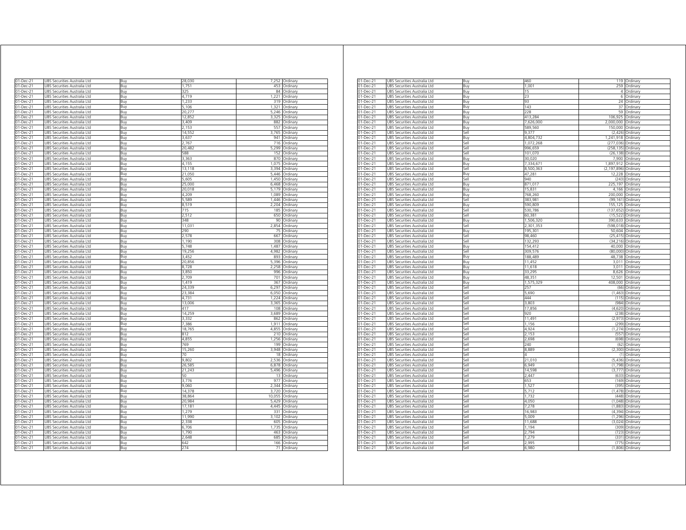| 01-Dec-21              | UBS Securities Australia Ltd                                 |            | 28,030          | 7,252          | Ordinary             |
|------------------------|--------------------------------------------------------------|------------|-----------------|----------------|----------------------|
|                        |                                                              | Buy        | 1.751           | 453            |                      |
| $01$ -Dec-21           | UBS Securities Australia Ltd                                 | Buy        |                 | 84             | Ordinary             |
| $01 - Dec-21$          | UBS Securities Australia Ltd                                 | Buy        | 325             |                | Ordinary             |
| 01-Dec-21              | UBS Securities Australia Ltd                                 | Buy        | 4,719           | 1,221          | Ordinary             |
| 01-Dec-21              | UBS Securities Australia Ltd                                 | Buy        | 1,233           | 319            | Ordinary             |
| 01-Dec-21              | UBS Securities Australia Ltd                                 | Buy        | 5,106<br>20.277 | 1,321<br>5.246 | Ordinary             |
| 01-Dec-21              | UBS Securities Australia Ltd                                 | Buy        | 12,852          | 3.325          | Ordinary             |
| 01-Dec-21              | UBS Securities Australia Ltd                                 | Buy        |                 |                | Ordinary             |
| 01-Dec-21<br>01-Dec-21 | JBS Securities Australia Ltd<br>UBS Securities Australia Ltd | Buy<br>Buy | 3,409<br>2,153  | 882<br>557     | Ordinary<br>Ordinary |
| 01-Dec-21              | UBS Securities Australia Ltd                                 | Buy        | 14,552          | 3,765          | Ordinary             |
| 01-Dec-21              | UBS Securities Australia Ltd                                 | Buy        | 3,637           | 941            | Ordinary             |
| 01-Dec-21              | UBS Securities Australia Ltd                                 | Buy        | 2.767           | 716            | Ordinary             |
| 01-Dec-21              | UBS Securities Australia Ltd                                 | Buy        | 20.482          | 5.299          | Ordinary             |
| 01-Dec-21              | UBS Securities Australia Ltd                                 | Buy        | 588             | 152            |                      |
| 01-Dec-21              | UBS Securities Australia Ltd                                 | Buy        | 3,363           | 870            | Ordinary<br>Ordinary |
| 01-Dec-21              |                                                              |            | 4,155           | 1,075          |                      |
| 01-Dec-21              | UBS Securities Australia Ltd<br>UBS Securities Australia Ltd | Buy<br>Buy | 13,118          | 3,394          | Ordinary<br>Ordinary |
| 01-Dec-21              | UBS Securities Australia Ltd                                 |            | 21,050          | 5,446          | Ordinary             |
| 01-Dec-21              | UBS Securities Australia Ltd                                 | Buy        | 5,605           | 1,450          |                      |
| 01-Dec-21              | JBS Securities Australia Ltd                                 | Buy<br>Buv | 25,000          | 6.468          | Ordinary<br>Ordinary |
| 01-Dec-21              | JBS Securities Australia Ltd                                 | Buy        | 20,018          | 5,179          | Ordinary             |
| 01-Dec-21              | UBS Securities Australia Ltd                                 | Buy        | 4,209           | 1,089          | Ordinary             |
| 01-Dec-21              | JBS Securities Australia Ltd                                 | Buy        | 5,589           | 1.446          | Ordinary             |
| 01-Dec-21              | JBS Securities Australia Ltd                                 | Buy        | 8,519           | 2,204          | Ordinary             |
| 01-Dec-21              | JBS Securities Australia Ltd                                 | Buv        | 715             | 185            | Ordinary             |
| 01-Dec-21              | JBS Securities Australia Ltd                                 | Buy        | 2,512           | 650            | Ordinary             |
| 01-Dec-21              | UBS Securities Australia Ltd                                 | Buy        | 348             | 90             | Ordinary             |
| $01$ -Dec-21           | UBS Securities Australia Ltd                                 | Buy        | 11,031          | 2,854          | Ordinary             |
| $01 - Dec-21$          | UBS Securities Australia Ltd                                 | Buy        | 290             | 75             | Ordinary             |
| 01-Dec-21              | UBS Securities Australia Ltd                                 | Buy        | 2,578           | 667            | Ordinary             |
| 01-Dec-21              | UBS Securities Australia Ltd                                 | Buy        | 1,190           | 308            | Ordinary             |
| 01-Dec-21              | UBS Securities Australia Ltd                                 | Buy        | 5,748           | 1,487          | Ordinary             |
| 01-Dec-21              | UBS Securities Australia Ltd                                 | Buy        | 19,256          | 4,982          | Ordinary             |
| 01-Dec-21              | UBS Securities Australia Ltd                                 | Buy        | 3.452           | 893            | Ordinary             |
| 01-Dec-21              | UBS Securities Australia Ltd                                 | Buy        | 20,856          | 5,396          | Ordinary             |
| 01-Dec-21              | UBS Securities Australia Ltd                                 | Buy        | 8,728           | 2.258          | Ordinary             |
| 01-Dec-21              | UBS Securities Australia Ltd                                 | Buy        | 3,850           | 996            | Ordinary             |
| 01-Dec-21              | JBS Securities Australia Ltd                                 | Buy        | 2,709           | 701            | Ordinary             |
| 01-Dec-21              | <b>JBS Securities Australia Ltd</b>                          | Buv        | 1.419           | 367            | Ordinary             |
| 01-Dec-21              | JBS Securities Australia Ltd                                 | Buy        | 24.339          | 6.297          | Ordinary             |
| 01-Dec-21              | JBS Securities Australia Ltd                                 | Buy        | 23,384          | 6,050          | Ordinary             |
| 01-Dec-21              | UBS Securities Australia Ltd                                 | Buy        | 4,731           | 1 2 2 4        | Ordinary             |
| 01-Dec-21              | UBS Securities Australia Ltd                                 | Buy        | 13,006          | 3,365          | Ordinary             |
| 01-Dec-21              | UBS Securities Australia Ltd                                 | Buy        | 417             | 108            | Ordinary             |
| 01-Dec-21              | UBS Securities Australia Ltd                                 | Buy        | 14,259          | 3,689          | Ordinary             |
| 01-Dec-21              | UBS Securities Australia Ltd                                 | Buy        | 3,332           | 862            | Ordinarv             |
| 01-Dec-21              | JBS Securities Australia Ltd                                 | Buv        | 7.386           | 1.911          | Ordinary             |
| 01-Dec-21              | UBS Securities Australia Ltd                                 | Buy        | 18,765          | 4,855          | Ordinarv             |
| 01-Dec-21              | JBS Securities Australia Ltd                                 | Buy        | 812             | 210            | Ordinary             |
| 01-Dec-21              | JBS Securities Australia Ltd                                 | Buv        | 4,855           | 1.256          | Ordinary             |
| 01-Dec-21              | JBS Securities Australia Ltd                                 | Buy        | 769             | 199            | Ordinary             |
| 01-Dec-21              | JBS Securities Australia Ltd                                 | Buy        | 15,260          | 3,948          | Ordinary             |
| 01-Dec-21              | JBS Securities Australia Ltd                                 | Buy        | 70              | 18             | Ordinary             |
| 01-Dec-21              | JBS Securities Australia Ltd                                 | Buy        | 9,802           | 2,536          | Ordinary             |
| $01$ -Dec-21           | UBS Securities Australia Ltd                                 | Buy        | 26,585          | 6,878          | Ordinary             |
| 01-Dec-21              | UBS Securities Australia Ltd                                 | Buy        | 21,243          | 5,496          | Ordinary             |
| 01-Dec-21              | UBS Securities Australia Ltd                                 | Buy        | 50              | 13             | Ordinary             |
| 01-Dec-21              | UBS Securities Australia Ltd                                 | Buy        | 3,776           | 977            | Ordinary             |
| 01-Dec-21              | UBS Securities Australia Ltd                                 | Buy        | 9,060           | 2,344          | Ordinary             |
| 01-Dec-21              | UBS Securities Australia Ltd                                 | Buy        | 14,378          | 3,720          | Ordinary             |
| 01-Dec-21              | UBS Securities Australia Ltd                                 | Buy        | 38,864          | 10,055         | Ordinary             |
| 01-Dec-21              | UBS Securities Australia Ltd                                 | Buy        | 20,984          | 5,429          | Ordinary             |
| 01-Dec-21              | UBS Securities Australia Ltd                                 | Buy        | 17,181          | 4,445          | Ordinary             |
| 01-Dec-21              | UBS Securities Australia Ltd                                 | Buy        | 1 2 7 9         | 331            | Ordinary             |
| 01-Dec-21              | UBS Securities Australia Ltd                                 | Buy        | 11,990          | 3,102          | Ordinary             |
| 01-Dec-21              | UBS Securities Australia Ltd                                 | Buv        | 2.338           | 605            | Ordinary             |
| 01-Dec-21              | UBS Securities Australia Ltd                                 | Buy        | 6,706           | 1.735          | Ordinary             |
| 01-Dec-21              | JBS Securities Australia Ltd                                 | Buy        | 1,790           | 463            | Ordinary             |
| 01-Dec-21              | UBS Securities Australia Ltd                                 | Buy        | 2.648           | 685            | Ordinary             |
| 01-Dec-21              | UBS Securities Australia Ltd                                 | Buy        | 642             | 166            | Ordinary             |
| 01-Dec-21              | UBS Securities Australia Ltd                                 | Buy        | 274             |                | 71 Ordinary          |
|                        |                                                              |            |                 |                |                      |

| 01-Dec-21<br>UBS Securities Australia Ltd<br>Buy<br>1.001<br>259<br>01-Dec-21<br>UBS Securities Australia Ltd<br>Buy<br>15<br>4<br>01-Dec-21<br>UBS Securities Australia Ltd<br>23<br>6<br>Buy<br>01-Dec-21<br>UBS Securities Australia Ltd<br>Buy<br>93<br>24<br>01-Dec-21<br>UBS Securities Australia Ltd<br>143<br>37<br>Buy<br>228<br>59<br>01-Dec-21<br>UBS Securities Australia Ltd<br>Buy<br>01-Dec-21<br>UBS Securities Australia Ltd<br>Buy<br>413,284<br>106,925<br>2,000,000<br>01-Dec-21<br>UBS Securities Australia Ltd<br>Buy<br>7,626,000<br>589,560<br>150,000<br>01-Dec-21<br>UBS Securities Australia Ltd<br>Buy<br>9,377<br>(2, 426)<br>01-Dec-21<br>UBS Securities Australia Ltd<br>Sell<br>01-Dec-21<br>1,241,918<br>UBS Securities Australia Ltd<br>Buy<br>4,804,732<br>01-Dec-21<br>UBS Securities Australia Ltd<br>1.072.268<br>(277.036)<br>jell<br>01-Dec-21<br>UBS Securities Australia Ltd<br>(258, 135)<br>۱le،<br>996,659<br>$01 - Dec-21$<br>UBS Securities Australia Ltd<br>Sell<br>101,070<br>(26, 138)<br>01-Dec-21<br>UBS Securities Australia Ltd<br>7,900 Ordinary<br>Buy<br>30,020<br>01-Dec-21<br>UBS Securities Australia Ltd<br>7,334,671<br>1,897,912<br>Buy<br>01-Dec-21<br>UBS Securities Australia Ltd<br>Sell<br>8,500,363<br>(2, 197, 896)<br>UBS Securities Australia Ltd<br>47,281<br>12,228<br>01-Dec-21<br>Buy<br>01-Dec-21<br>UBS Securities Australia Ltd<br>Sell<br>940<br>(243) Ordinary<br>01-Dec-21<br>UBS Securities Australia Ltd<br>871,017<br>225,197<br>Buy<br>01-Dec-21<br>UBS Securities Australia Ltd<br>15,831<br>4,166<br>Buy<br>UBS Securities Australia Ltd<br>200,000 Ordinary<br>01-Dec-21<br>768,260<br>Buv<br>01-Dec-21<br>UBS Securities Australia Ltd<br>383,981<br>(99,161) Ordinary<br>Sell<br>01-Dec-21<br>UBS Securities Australia Ltd<br>3uy<br>590,809<br>155,125<br>01-Dec-21<br>UBS Securities Australia Ltd<br>530,786<br>(137, 652)<br>Sell<br>01-Dec-21<br>UBS Securities Australia Ltd<br>Sell<br>60,381<br>(15, 522)<br>1,506,320<br>01-Dec-21<br>UBS Securities Australia Ltd<br>Buy<br>390,633<br>01-Dec-21<br>UBS Securities Australia Ltd<br>Sell<br>2,301,353<br>(598, 018)<br>01-Dec-21<br>UBS Securities Australia Ltd<br>Buy<br>195,301<br>50,604<br>01-Dec-21<br>UBS Securities Australia Ltd<br>Sell<br>98.460<br>(25, 415)<br>132,293<br>(34, 216)<br>01-Dec-21<br>UBS Securities Australia Ltd<br>Sell<br>01-Dec-21<br>UBS Securities Australia Ltd<br>154,412<br>40,000<br>Buy<br>01-Dec-21<br>UBS Securities Australia Ltd<br>309,576<br>(80,000)<br>Sell<br>48,738<br>01-Dec-21<br>UBS Securities Australia Ltd<br>Buy<br>188,489<br>01-Dec-21<br>UBS Securities Australia Ltd<br>11,452<br>3,011<br>Buy<br>$01 - Dec-21$<br>UBS Securities Australia Ltd<br>Buy<br>11,618<br>3,011<br>01-Dec-21<br>UBS Securities Australia Ltd<br>33.295<br>8.626<br>3uy<br>01-Dec-21<br>48,351<br>12,501<br>UBS Securities Australia Ltd<br>Buy<br>$01 - Dec-21$<br>UBS Securities Australia Ltd<br>1,575,329<br>408,000<br>Buy<br>01-Dec-21<br>UBS Securities Australia Ltd<br>Sell<br>257<br>(66)<br>5.690<br>(1,463) Ordinary<br>01-Dec-21<br>UBS Securities Australia Ltd<br>Sell<br>01-Dec-21<br>UBS Securities Australia Ltd<br>Sell<br>444<br>(115)<br>UBS Securities Australia Ltd<br>3,803<br>(984)<br>01-Dec-21<br>Sell<br>01-Dec-21<br>UBS Securities Australia Ltd<br>Sell<br>17,856<br>(4,620)<br>01-Dec-21<br>UBS Securities Australia Ltd<br>920<br>(238)<br>Sell<br>UBS Securities Australia Ltd<br>11,491<br>(2, 973)<br>01-Dec-21<br>Sell<br>Sell<br>1,156<br>(299)<br>01-Dec-21<br>UBS Securities Australia Ltd<br>4,924<br>(1,274) Ordinary<br>01-Dec-21<br>UBS Securities Australia Ltd<br>Sell<br>01-Dec-21<br>UBS Securities Australia Ltd<br>sell<br>2,153<br>(557) | 01-Dec-21 | UBS Securities Australia Ltd | Buy         | 460   |          | 119 Ordinary                       |
|---------------------------------------------------------------------------------------------------------------------------------------------------------------------------------------------------------------------------------------------------------------------------------------------------------------------------------------------------------------------------------------------------------------------------------------------------------------------------------------------------------------------------------------------------------------------------------------------------------------------------------------------------------------------------------------------------------------------------------------------------------------------------------------------------------------------------------------------------------------------------------------------------------------------------------------------------------------------------------------------------------------------------------------------------------------------------------------------------------------------------------------------------------------------------------------------------------------------------------------------------------------------------------------------------------------------------------------------------------------------------------------------------------------------------------------------------------------------------------------------------------------------------------------------------------------------------------------------------------------------------------------------------------------------------------------------------------------------------------------------------------------------------------------------------------------------------------------------------------------------------------------------------------------------------------------------------------------------------------------------------------------------------------------------------------------------------------------------------------------------------------------------------------------------------------------------------------------------------------------------------------------------------------------------------------------------------------------------------------------------------------------------------------------------------------------------------------------------------------------------------------------------------------------------------------------------------------------------------------------------------------------------------------------------------------------------------------------------------------------------------------------------------------------------------------------------------------------------------------------------------------------------------------------------------------------------------------------------------------------------------------------------------------------------------------------------------------------------------------------------------------------------------------------------------------------------------------------------------------------------------------------------------------------------------------------------------------------------------------------------------------------------------------------------------------------------------------------------------------------------------------------------------------------------------------------------------------------------------------------------------------------------------------------------------------------------------------------------------------------------------------------------------------------|-----------|------------------------------|-------------|-------|----------|------------------------------------|
|                                                                                                                                                                                                                                                                                                                                                                                                                                                                                                                                                                                                                                                                                                                                                                                                                                                                                                                                                                                                                                                                                                                                                                                                                                                                                                                                                                                                                                                                                                                                                                                                                                                                                                                                                                                                                                                                                                                                                                                                                                                                                                                                                                                                                                                                                                                                                                                                                                                                                                                                                                                                                                                                                                                                                                                                                                                                                                                                                                                                                                                                                                                                                                                                                                                                                                                                                                                                                                                                                                                                                                                                                                                                                                                                                                                       |           |                              |             |       |          | Ordinary                           |
|                                                                                                                                                                                                                                                                                                                                                                                                                                                                                                                                                                                                                                                                                                                                                                                                                                                                                                                                                                                                                                                                                                                                                                                                                                                                                                                                                                                                                                                                                                                                                                                                                                                                                                                                                                                                                                                                                                                                                                                                                                                                                                                                                                                                                                                                                                                                                                                                                                                                                                                                                                                                                                                                                                                                                                                                                                                                                                                                                                                                                                                                                                                                                                                                                                                                                                                                                                                                                                                                                                                                                                                                                                                                                                                                                                                       |           |                              |             |       |          | Ordinary                           |
|                                                                                                                                                                                                                                                                                                                                                                                                                                                                                                                                                                                                                                                                                                                                                                                                                                                                                                                                                                                                                                                                                                                                                                                                                                                                                                                                                                                                                                                                                                                                                                                                                                                                                                                                                                                                                                                                                                                                                                                                                                                                                                                                                                                                                                                                                                                                                                                                                                                                                                                                                                                                                                                                                                                                                                                                                                                                                                                                                                                                                                                                                                                                                                                                                                                                                                                                                                                                                                                                                                                                                                                                                                                                                                                                                                                       |           |                              |             |       |          | Ordinary                           |
|                                                                                                                                                                                                                                                                                                                                                                                                                                                                                                                                                                                                                                                                                                                                                                                                                                                                                                                                                                                                                                                                                                                                                                                                                                                                                                                                                                                                                                                                                                                                                                                                                                                                                                                                                                                                                                                                                                                                                                                                                                                                                                                                                                                                                                                                                                                                                                                                                                                                                                                                                                                                                                                                                                                                                                                                                                                                                                                                                                                                                                                                                                                                                                                                                                                                                                                                                                                                                                                                                                                                                                                                                                                                                                                                                                                       |           |                              |             |       |          | Ordinary                           |
|                                                                                                                                                                                                                                                                                                                                                                                                                                                                                                                                                                                                                                                                                                                                                                                                                                                                                                                                                                                                                                                                                                                                                                                                                                                                                                                                                                                                                                                                                                                                                                                                                                                                                                                                                                                                                                                                                                                                                                                                                                                                                                                                                                                                                                                                                                                                                                                                                                                                                                                                                                                                                                                                                                                                                                                                                                                                                                                                                                                                                                                                                                                                                                                                                                                                                                                                                                                                                                                                                                                                                                                                                                                                                                                                                                                       |           |                              |             |       |          | Ordinary                           |
|                                                                                                                                                                                                                                                                                                                                                                                                                                                                                                                                                                                                                                                                                                                                                                                                                                                                                                                                                                                                                                                                                                                                                                                                                                                                                                                                                                                                                                                                                                                                                                                                                                                                                                                                                                                                                                                                                                                                                                                                                                                                                                                                                                                                                                                                                                                                                                                                                                                                                                                                                                                                                                                                                                                                                                                                                                                                                                                                                                                                                                                                                                                                                                                                                                                                                                                                                                                                                                                                                                                                                                                                                                                                                                                                                                                       |           |                              |             |       |          | Ordinary                           |
|                                                                                                                                                                                                                                                                                                                                                                                                                                                                                                                                                                                                                                                                                                                                                                                                                                                                                                                                                                                                                                                                                                                                                                                                                                                                                                                                                                                                                                                                                                                                                                                                                                                                                                                                                                                                                                                                                                                                                                                                                                                                                                                                                                                                                                                                                                                                                                                                                                                                                                                                                                                                                                                                                                                                                                                                                                                                                                                                                                                                                                                                                                                                                                                                                                                                                                                                                                                                                                                                                                                                                                                                                                                                                                                                                                                       |           |                              |             |       |          | Ordinary                           |
|                                                                                                                                                                                                                                                                                                                                                                                                                                                                                                                                                                                                                                                                                                                                                                                                                                                                                                                                                                                                                                                                                                                                                                                                                                                                                                                                                                                                                                                                                                                                                                                                                                                                                                                                                                                                                                                                                                                                                                                                                                                                                                                                                                                                                                                                                                                                                                                                                                                                                                                                                                                                                                                                                                                                                                                                                                                                                                                                                                                                                                                                                                                                                                                                                                                                                                                                                                                                                                                                                                                                                                                                                                                                                                                                                                                       |           |                              |             |       |          | Ordinary                           |
|                                                                                                                                                                                                                                                                                                                                                                                                                                                                                                                                                                                                                                                                                                                                                                                                                                                                                                                                                                                                                                                                                                                                                                                                                                                                                                                                                                                                                                                                                                                                                                                                                                                                                                                                                                                                                                                                                                                                                                                                                                                                                                                                                                                                                                                                                                                                                                                                                                                                                                                                                                                                                                                                                                                                                                                                                                                                                                                                                                                                                                                                                                                                                                                                                                                                                                                                                                                                                                                                                                                                                                                                                                                                                                                                                                                       |           |                              |             |       |          | Ordinary                           |
|                                                                                                                                                                                                                                                                                                                                                                                                                                                                                                                                                                                                                                                                                                                                                                                                                                                                                                                                                                                                                                                                                                                                                                                                                                                                                                                                                                                                                                                                                                                                                                                                                                                                                                                                                                                                                                                                                                                                                                                                                                                                                                                                                                                                                                                                                                                                                                                                                                                                                                                                                                                                                                                                                                                                                                                                                                                                                                                                                                                                                                                                                                                                                                                                                                                                                                                                                                                                                                                                                                                                                                                                                                                                                                                                                                                       |           |                              |             |       |          | Ordinary                           |
|                                                                                                                                                                                                                                                                                                                                                                                                                                                                                                                                                                                                                                                                                                                                                                                                                                                                                                                                                                                                                                                                                                                                                                                                                                                                                                                                                                                                                                                                                                                                                                                                                                                                                                                                                                                                                                                                                                                                                                                                                                                                                                                                                                                                                                                                                                                                                                                                                                                                                                                                                                                                                                                                                                                                                                                                                                                                                                                                                                                                                                                                                                                                                                                                                                                                                                                                                                                                                                                                                                                                                                                                                                                                                                                                                                                       |           |                              |             |       |          | Ordinary                           |
|                                                                                                                                                                                                                                                                                                                                                                                                                                                                                                                                                                                                                                                                                                                                                                                                                                                                                                                                                                                                                                                                                                                                                                                                                                                                                                                                                                                                                                                                                                                                                                                                                                                                                                                                                                                                                                                                                                                                                                                                                                                                                                                                                                                                                                                                                                                                                                                                                                                                                                                                                                                                                                                                                                                                                                                                                                                                                                                                                                                                                                                                                                                                                                                                                                                                                                                                                                                                                                                                                                                                                                                                                                                                                                                                                                                       |           |                              |             |       |          | Ordinary                           |
|                                                                                                                                                                                                                                                                                                                                                                                                                                                                                                                                                                                                                                                                                                                                                                                                                                                                                                                                                                                                                                                                                                                                                                                                                                                                                                                                                                                                                                                                                                                                                                                                                                                                                                                                                                                                                                                                                                                                                                                                                                                                                                                                                                                                                                                                                                                                                                                                                                                                                                                                                                                                                                                                                                                                                                                                                                                                                                                                                                                                                                                                                                                                                                                                                                                                                                                                                                                                                                                                                                                                                                                                                                                                                                                                                                                       |           |                              |             |       |          | Ordinary                           |
|                                                                                                                                                                                                                                                                                                                                                                                                                                                                                                                                                                                                                                                                                                                                                                                                                                                                                                                                                                                                                                                                                                                                                                                                                                                                                                                                                                                                                                                                                                                                                                                                                                                                                                                                                                                                                                                                                                                                                                                                                                                                                                                                                                                                                                                                                                                                                                                                                                                                                                                                                                                                                                                                                                                                                                                                                                                                                                                                                                                                                                                                                                                                                                                                                                                                                                                                                                                                                                                                                                                                                                                                                                                                                                                                                                                       |           |                              |             |       |          | Ordinary                           |
|                                                                                                                                                                                                                                                                                                                                                                                                                                                                                                                                                                                                                                                                                                                                                                                                                                                                                                                                                                                                                                                                                                                                                                                                                                                                                                                                                                                                                                                                                                                                                                                                                                                                                                                                                                                                                                                                                                                                                                                                                                                                                                                                                                                                                                                                                                                                                                                                                                                                                                                                                                                                                                                                                                                                                                                                                                                                                                                                                                                                                                                                                                                                                                                                                                                                                                                                                                                                                                                                                                                                                                                                                                                                                                                                                                                       |           |                              |             |       |          |                                    |
|                                                                                                                                                                                                                                                                                                                                                                                                                                                                                                                                                                                                                                                                                                                                                                                                                                                                                                                                                                                                                                                                                                                                                                                                                                                                                                                                                                                                                                                                                                                                                                                                                                                                                                                                                                                                                                                                                                                                                                                                                                                                                                                                                                                                                                                                                                                                                                                                                                                                                                                                                                                                                                                                                                                                                                                                                                                                                                                                                                                                                                                                                                                                                                                                                                                                                                                                                                                                                                                                                                                                                                                                                                                                                                                                                                                       |           |                              |             |       |          | Ordinary                           |
|                                                                                                                                                                                                                                                                                                                                                                                                                                                                                                                                                                                                                                                                                                                                                                                                                                                                                                                                                                                                                                                                                                                                                                                                                                                                                                                                                                                                                                                                                                                                                                                                                                                                                                                                                                                                                                                                                                                                                                                                                                                                                                                                                                                                                                                                                                                                                                                                                                                                                                                                                                                                                                                                                                                                                                                                                                                                                                                                                                                                                                                                                                                                                                                                                                                                                                                                                                                                                                                                                                                                                                                                                                                                                                                                                                                       |           |                              |             |       |          | Ordinary                           |
|                                                                                                                                                                                                                                                                                                                                                                                                                                                                                                                                                                                                                                                                                                                                                                                                                                                                                                                                                                                                                                                                                                                                                                                                                                                                                                                                                                                                                                                                                                                                                                                                                                                                                                                                                                                                                                                                                                                                                                                                                                                                                                                                                                                                                                                                                                                                                                                                                                                                                                                                                                                                                                                                                                                                                                                                                                                                                                                                                                                                                                                                                                                                                                                                                                                                                                                                                                                                                                                                                                                                                                                                                                                                                                                                                                                       |           |                              |             |       |          | Ordinary                           |
|                                                                                                                                                                                                                                                                                                                                                                                                                                                                                                                                                                                                                                                                                                                                                                                                                                                                                                                                                                                                                                                                                                                                                                                                                                                                                                                                                                                                                                                                                                                                                                                                                                                                                                                                                                                                                                                                                                                                                                                                                                                                                                                                                                                                                                                                                                                                                                                                                                                                                                                                                                                                                                                                                                                                                                                                                                                                                                                                                                                                                                                                                                                                                                                                                                                                                                                                                                                                                                                                                                                                                                                                                                                                                                                                                                                       |           |                              |             |       |          |                                    |
|                                                                                                                                                                                                                                                                                                                                                                                                                                                                                                                                                                                                                                                                                                                                                                                                                                                                                                                                                                                                                                                                                                                                                                                                                                                                                                                                                                                                                                                                                                                                                                                                                                                                                                                                                                                                                                                                                                                                                                                                                                                                                                                                                                                                                                                                                                                                                                                                                                                                                                                                                                                                                                                                                                                                                                                                                                                                                                                                                                                                                                                                                                                                                                                                                                                                                                                                                                                                                                                                                                                                                                                                                                                                                                                                                                                       |           |                              |             |       |          |                                    |
|                                                                                                                                                                                                                                                                                                                                                                                                                                                                                                                                                                                                                                                                                                                                                                                                                                                                                                                                                                                                                                                                                                                                                                                                                                                                                                                                                                                                                                                                                                                                                                                                                                                                                                                                                                                                                                                                                                                                                                                                                                                                                                                                                                                                                                                                                                                                                                                                                                                                                                                                                                                                                                                                                                                                                                                                                                                                                                                                                                                                                                                                                                                                                                                                                                                                                                                                                                                                                                                                                                                                                                                                                                                                                                                                                                                       |           |                              |             |       |          | Ordinary                           |
|                                                                                                                                                                                                                                                                                                                                                                                                                                                                                                                                                                                                                                                                                                                                                                                                                                                                                                                                                                                                                                                                                                                                                                                                                                                                                                                                                                                                                                                                                                                                                                                                                                                                                                                                                                                                                                                                                                                                                                                                                                                                                                                                                                                                                                                                                                                                                                                                                                                                                                                                                                                                                                                                                                                                                                                                                                                                                                                                                                                                                                                                                                                                                                                                                                                                                                                                                                                                                                                                                                                                                                                                                                                                                                                                                                                       |           |                              |             |       |          | Ordinary                           |
|                                                                                                                                                                                                                                                                                                                                                                                                                                                                                                                                                                                                                                                                                                                                                                                                                                                                                                                                                                                                                                                                                                                                                                                                                                                                                                                                                                                                                                                                                                                                                                                                                                                                                                                                                                                                                                                                                                                                                                                                                                                                                                                                                                                                                                                                                                                                                                                                                                                                                                                                                                                                                                                                                                                                                                                                                                                                                                                                                                                                                                                                                                                                                                                                                                                                                                                                                                                                                                                                                                                                                                                                                                                                                                                                                                                       |           |                              |             |       |          |                                    |
|                                                                                                                                                                                                                                                                                                                                                                                                                                                                                                                                                                                                                                                                                                                                                                                                                                                                                                                                                                                                                                                                                                                                                                                                                                                                                                                                                                                                                                                                                                                                                                                                                                                                                                                                                                                                                                                                                                                                                                                                                                                                                                                                                                                                                                                                                                                                                                                                                                                                                                                                                                                                                                                                                                                                                                                                                                                                                                                                                                                                                                                                                                                                                                                                                                                                                                                                                                                                                                                                                                                                                                                                                                                                                                                                                                                       |           |                              |             |       |          |                                    |
|                                                                                                                                                                                                                                                                                                                                                                                                                                                                                                                                                                                                                                                                                                                                                                                                                                                                                                                                                                                                                                                                                                                                                                                                                                                                                                                                                                                                                                                                                                                                                                                                                                                                                                                                                                                                                                                                                                                                                                                                                                                                                                                                                                                                                                                                                                                                                                                                                                                                                                                                                                                                                                                                                                                                                                                                                                                                                                                                                                                                                                                                                                                                                                                                                                                                                                                                                                                                                                                                                                                                                                                                                                                                                                                                                                                       |           |                              |             |       |          | Ordinary                           |
|                                                                                                                                                                                                                                                                                                                                                                                                                                                                                                                                                                                                                                                                                                                                                                                                                                                                                                                                                                                                                                                                                                                                                                                                                                                                                                                                                                                                                                                                                                                                                                                                                                                                                                                                                                                                                                                                                                                                                                                                                                                                                                                                                                                                                                                                                                                                                                                                                                                                                                                                                                                                                                                                                                                                                                                                                                                                                                                                                                                                                                                                                                                                                                                                                                                                                                                                                                                                                                                                                                                                                                                                                                                                                                                                                                                       |           |                              |             |       |          | Ordinary                           |
|                                                                                                                                                                                                                                                                                                                                                                                                                                                                                                                                                                                                                                                                                                                                                                                                                                                                                                                                                                                                                                                                                                                                                                                                                                                                                                                                                                                                                                                                                                                                                                                                                                                                                                                                                                                                                                                                                                                                                                                                                                                                                                                                                                                                                                                                                                                                                                                                                                                                                                                                                                                                                                                                                                                                                                                                                                                                                                                                                                                                                                                                                                                                                                                                                                                                                                                                                                                                                                                                                                                                                                                                                                                                                                                                                                                       |           |                              |             |       |          | Ordinary                           |
|                                                                                                                                                                                                                                                                                                                                                                                                                                                                                                                                                                                                                                                                                                                                                                                                                                                                                                                                                                                                                                                                                                                                                                                                                                                                                                                                                                                                                                                                                                                                                                                                                                                                                                                                                                                                                                                                                                                                                                                                                                                                                                                                                                                                                                                                                                                                                                                                                                                                                                                                                                                                                                                                                                                                                                                                                                                                                                                                                                                                                                                                                                                                                                                                                                                                                                                                                                                                                                                                                                                                                                                                                                                                                                                                                                                       |           |                              |             |       |          | Ordinary                           |
|                                                                                                                                                                                                                                                                                                                                                                                                                                                                                                                                                                                                                                                                                                                                                                                                                                                                                                                                                                                                                                                                                                                                                                                                                                                                                                                                                                                                                                                                                                                                                                                                                                                                                                                                                                                                                                                                                                                                                                                                                                                                                                                                                                                                                                                                                                                                                                                                                                                                                                                                                                                                                                                                                                                                                                                                                                                                                                                                                                                                                                                                                                                                                                                                                                                                                                                                                                                                                                                                                                                                                                                                                                                                                                                                                                                       |           |                              |             |       |          | Ordinary                           |
|                                                                                                                                                                                                                                                                                                                                                                                                                                                                                                                                                                                                                                                                                                                                                                                                                                                                                                                                                                                                                                                                                                                                                                                                                                                                                                                                                                                                                                                                                                                                                                                                                                                                                                                                                                                                                                                                                                                                                                                                                                                                                                                                                                                                                                                                                                                                                                                                                                                                                                                                                                                                                                                                                                                                                                                                                                                                                                                                                                                                                                                                                                                                                                                                                                                                                                                                                                                                                                                                                                                                                                                                                                                                                                                                                                                       |           |                              |             |       |          | Ordinary                           |
|                                                                                                                                                                                                                                                                                                                                                                                                                                                                                                                                                                                                                                                                                                                                                                                                                                                                                                                                                                                                                                                                                                                                                                                                                                                                                                                                                                                                                                                                                                                                                                                                                                                                                                                                                                                                                                                                                                                                                                                                                                                                                                                                                                                                                                                                                                                                                                                                                                                                                                                                                                                                                                                                                                                                                                                                                                                                                                                                                                                                                                                                                                                                                                                                                                                                                                                                                                                                                                                                                                                                                                                                                                                                                                                                                                                       |           |                              |             |       |          | Ordinary                           |
|                                                                                                                                                                                                                                                                                                                                                                                                                                                                                                                                                                                                                                                                                                                                                                                                                                                                                                                                                                                                                                                                                                                                                                                                                                                                                                                                                                                                                                                                                                                                                                                                                                                                                                                                                                                                                                                                                                                                                                                                                                                                                                                                                                                                                                                                                                                                                                                                                                                                                                                                                                                                                                                                                                                                                                                                                                                                                                                                                                                                                                                                                                                                                                                                                                                                                                                                                                                                                                                                                                                                                                                                                                                                                                                                                                                       |           |                              |             |       |          | Ordinary                           |
|                                                                                                                                                                                                                                                                                                                                                                                                                                                                                                                                                                                                                                                                                                                                                                                                                                                                                                                                                                                                                                                                                                                                                                                                                                                                                                                                                                                                                                                                                                                                                                                                                                                                                                                                                                                                                                                                                                                                                                                                                                                                                                                                                                                                                                                                                                                                                                                                                                                                                                                                                                                                                                                                                                                                                                                                                                                                                                                                                                                                                                                                                                                                                                                                                                                                                                                                                                                                                                                                                                                                                                                                                                                                                                                                                                                       |           |                              |             |       |          | Ordinary                           |
|                                                                                                                                                                                                                                                                                                                                                                                                                                                                                                                                                                                                                                                                                                                                                                                                                                                                                                                                                                                                                                                                                                                                                                                                                                                                                                                                                                                                                                                                                                                                                                                                                                                                                                                                                                                                                                                                                                                                                                                                                                                                                                                                                                                                                                                                                                                                                                                                                                                                                                                                                                                                                                                                                                                                                                                                                                                                                                                                                                                                                                                                                                                                                                                                                                                                                                                                                                                                                                                                                                                                                                                                                                                                                                                                                                                       |           |                              |             |       |          | Ordinary                           |
|                                                                                                                                                                                                                                                                                                                                                                                                                                                                                                                                                                                                                                                                                                                                                                                                                                                                                                                                                                                                                                                                                                                                                                                                                                                                                                                                                                                                                                                                                                                                                                                                                                                                                                                                                                                                                                                                                                                                                                                                                                                                                                                                                                                                                                                                                                                                                                                                                                                                                                                                                                                                                                                                                                                                                                                                                                                                                                                                                                                                                                                                                                                                                                                                                                                                                                                                                                                                                                                                                                                                                                                                                                                                                                                                                                                       |           |                              |             |       |          | Ordinary                           |
|                                                                                                                                                                                                                                                                                                                                                                                                                                                                                                                                                                                                                                                                                                                                                                                                                                                                                                                                                                                                                                                                                                                                                                                                                                                                                                                                                                                                                                                                                                                                                                                                                                                                                                                                                                                                                                                                                                                                                                                                                                                                                                                                                                                                                                                                                                                                                                                                                                                                                                                                                                                                                                                                                                                                                                                                                                                                                                                                                                                                                                                                                                                                                                                                                                                                                                                                                                                                                                                                                                                                                                                                                                                                                                                                                                                       |           |                              |             |       |          | Ordinary                           |
|                                                                                                                                                                                                                                                                                                                                                                                                                                                                                                                                                                                                                                                                                                                                                                                                                                                                                                                                                                                                                                                                                                                                                                                                                                                                                                                                                                                                                                                                                                                                                                                                                                                                                                                                                                                                                                                                                                                                                                                                                                                                                                                                                                                                                                                                                                                                                                                                                                                                                                                                                                                                                                                                                                                                                                                                                                                                                                                                                                                                                                                                                                                                                                                                                                                                                                                                                                                                                                                                                                                                                                                                                                                                                                                                                                                       |           |                              |             |       |          | Ordinary                           |
|                                                                                                                                                                                                                                                                                                                                                                                                                                                                                                                                                                                                                                                                                                                                                                                                                                                                                                                                                                                                                                                                                                                                                                                                                                                                                                                                                                                                                                                                                                                                                                                                                                                                                                                                                                                                                                                                                                                                                                                                                                                                                                                                                                                                                                                                                                                                                                                                                                                                                                                                                                                                                                                                                                                                                                                                                                                                                                                                                                                                                                                                                                                                                                                                                                                                                                                                                                                                                                                                                                                                                                                                                                                                                                                                                                                       |           |                              |             |       |          | Ordinary                           |
|                                                                                                                                                                                                                                                                                                                                                                                                                                                                                                                                                                                                                                                                                                                                                                                                                                                                                                                                                                                                                                                                                                                                                                                                                                                                                                                                                                                                                                                                                                                                                                                                                                                                                                                                                                                                                                                                                                                                                                                                                                                                                                                                                                                                                                                                                                                                                                                                                                                                                                                                                                                                                                                                                                                                                                                                                                                                                                                                                                                                                                                                                                                                                                                                                                                                                                                                                                                                                                                                                                                                                                                                                                                                                                                                                                                       |           |                              |             |       |          | Ordinary                           |
|                                                                                                                                                                                                                                                                                                                                                                                                                                                                                                                                                                                                                                                                                                                                                                                                                                                                                                                                                                                                                                                                                                                                                                                                                                                                                                                                                                                                                                                                                                                                                                                                                                                                                                                                                                                                                                                                                                                                                                                                                                                                                                                                                                                                                                                                                                                                                                                                                                                                                                                                                                                                                                                                                                                                                                                                                                                                                                                                                                                                                                                                                                                                                                                                                                                                                                                                                                                                                                                                                                                                                                                                                                                                                                                                                                                       |           |                              |             |       |          | Ordinary                           |
|                                                                                                                                                                                                                                                                                                                                                                                                                                                                                                                                                                                                                                                                                                                                                                                                                                                                                                                                                                                                                                                                                                                                                                                                                                                                                                                                                                                                                                                                                                                                                                                                                                                                                                                                                                                                                                                                                                                                                                                                                                                                                                                                                                                                                                                                                                                                                                                                                                                                                                                                                                                                                                                                                                                                                                                                                                                                                                                                                                                                                                                                                                                                                                                                                                                                                                                                                                                                                                                                                                                                                                                                                                                                                                                                                                                       |           |                              |             |       |          |                                    |
|                                                                                                                                                                                                                                                                                                                                                                                                                                                                                                                                                                                                                                                                                                                                                                                                                                                                                                                                                                                                                                                                                                                                                                                                                                                                                                                                                                                                                                                                                                                                                                                                                                                                                                                                                                                                                                                                                                                                                                                                                                                                                                                                                                                                                                                                                                                                                                                                                                                                                                                                                                                                                                                                                                                                                                                                                                                                                                                                                                                                                                                                                                                                                                                                                                                                                                                                                                                                                                                                                                                                                                                                                                                                                                                                                                                       |           |                              |             |       |          | Ordinary                           |
|                                                                                                                                                                                                                                                                                                                                                                                                                                                                                                                                                                                                                                                                                                                                                                                                                                                                                                                                                                                                                                                                                                                                                                                                                                                                                                                                                                                                                                                                                                                                                                                                                                                                                                                                                                                                                                                                                                                                                                                                                                                                                                                                                                                                                                                                                                                                                                                                                                                                                                                                                                                                                                                                                                                                                                                                                                                                                                                                                                                                                                                                                                                                                                                                                                                                                                                                                                                                                                                                                                                                                                                                                                                                                                                                                                                       |           |                              |             |       |          |                                    |
|                                                                                                                                                                                                                                                                                                                                                                                                                                                                                                                                                                                                                                                                                                                                                                                                                                                                                                                                                                                                                                                                                                                                                                                                                                                                                                                                                                                                                                                                                                                                                                                                                                                                                                                                                                                                                                                                                                                                                                                                                                                                                                                                                                                                                                                                                                                                                                                                                                                                                                                                                                                                                                                                                                                                                                                                                                                                                                                                                                                                                                                                                                                                                                                                                                                                                                                                                                                                                                                                                                                                                                                                                                                                                                                                                                                       |           |                              |             |       |          | Ordinary                           |
|                                                                                                                                                                                                                                                                                                                                                                                                                                                                                                                                                                                                                                                                                                                                                                                                                                                                                                                                                                                                                                                                                                                                                                                                                                                                                                                                                                                                                                                                                                                                                                                                                                                                                                                                                                                                                                                                                                                                                                                                                                                                                                                                                                                                                                                                                                                                                                                                                                                                                                                                                                                                                                                                                                                                                                                                                                                                                                                                                                                                                                                                                                                                                                                                                                                                                                                                                                                                                                                                                                                                                                                                                                                                                                                                                                                       |           |                              |             |       |          | Ordinary                           |
|                                                                                                                                                                                                                                                                                                                                                                                                                                                                                                                                                                                                                                                                                                                                                                                                                                                                                                                                                                                                                                                                                                                                                                                                                                                                                                                                                                                                                                                                                                                                                                                                                                                                                                                                                                                                                                                                                                                                                                                                                                                                                                                                                                                                                                                                                                                                                                                                                                                                                                                                                                                                                                                                                                                                                                                                                                                                                                                                                                                                                                                                                                                                                                                                                                                                                                                                                                                                                                                                                                                                                                                                                                                                                                                                                                                       |           |                              |             |       |          | Ordinary                           |
|                                                                                                                                                                                                                                                                                                                                                                                                                                                                                                                                                                                                                                                                                                                                                                                                                                                                                                                                                                                                                                                                                                                                                                                                                                                                                                                                                                                                                                                                                                                                                                                                                                                                                                                                                                                                                                                                                                                                                                                                                                                                                                                                                                                                                                                                                                                                                                                                                                                                                                                                                                                                                                                                                                                                                                                                                                                                                                                                                                                                                                                                                                                                                                                                                                                                                                                                                                                                                                                                                                                                                                                                                                                                                                                                                                                       |           |                              |             |       |          | Ordinary                           |
|                                                                                                                                                                                                                                                                                                                                                                                                                                                                                                                                                                                                                                                                                                                                                                                                                                                                                                                                                                                                                                                                                                                                                                                                                                                                                                                                                                                                                                                                                                                                                                                                                                                                                                                                                                                                                                                                                                                                                                                                                                                                                                                                                                                                                                                                                                                                                                                                                                                                                                                                                                                                                                                                                                                                                                                                                                                                                                                                                                                                                                                                                                                                                                                                                                                                                                                                                                                                                                                                                                                                                                                                                                                                                                                                                                                       |           |                              |             |       |          | Ordinary                           |
|                                                                                                                                                                                                                                                                                                                                                                                                                                                                                                                                                                                                                                                                                                                                                                                                                                                                                                                                                                                                                                                                                                                                                                                                                                                                                                                                                                                                                                                                                                                                                                                                                                                                                                                                                                                                                                                                                                                                                                                                                                                                                                                                                                                                                                                                                                                                                                                                                                                                                                                                                                                                                                                                                                                                                                                                                                                                                                                                                                                                                                                                                                                                                                                                                                                                                                                                                                                                                                                                                                                                                                                                                                                                                                                                                                                       |           |                              |             |       |          | Ordinan                            |
|                                                                                                                                                                                                                                                                                                                                                                                                                                                                                                                                                                                                                                                                                                                                                                                                                                                                                                                                                                                                                                                                                                                                                                                                                                                                                                                                                                                                                                                                                                                                                                                                                                                                                                                                                                                                                                                                                                                                                                                                                                                                                                                                                                                                                                                                                                                                                                                                                                                                                                                                                                                                                                                                                                                                                                                                                                                                                                                                                                                                                                                                                                                                                                                                                                                                                                                                                                                                                                                                                                                                                                                                                                                                                                                                                                                       |           |                              |             |       |          |                                    |
|                                                                                                                                                                                                                                                                                                                                                                                                                                                                                                                                                                                                                                                                                                                                                                                                                                                                                                                                                                                                                                                                                                                                                                                                                                                                                                                                                                                                                                                                                                                                                                                                                                                                                                                                                                                                                                                                                                                                                                                                                                                                                                                                                                                                                                                                                                                                                                                                                                                                                                                                                                                                                                                                                                                                                                                                                                                                                                                                                                                                                                                                                                                                                                                                                                                                                                                                                                                                                                                                                                                                                                                                                                                                                                                                                                                       |           |                              |             |       |          | Ordinary                           |
|                                                                                                                                                                                                                                                                                                                                                                                                                                                                                                                                                                                                                                                                                                                                                                                                                                                                                                                                                                                                                                                                                                                                                                                                                                                                                                                                                                                                                                                                                                                                                                                                                                                                                                                                                                                                                                                                                                                                                                                                                                                                                                                                                                                                                                                                                                                                                                                                                                                                                                                                                                                                                                                                                                                                                                                                                                                                                                                                                                                                                                                                                                                                                                                                                                                                                                                                                                                                                                                                                                                                                                                                                                                                                                                                                                                       | 01-Dec-21 | UBS Securities Australia Ltd | sell        | 2,698 | (698)    | Ordinary                           |
| 01-Dec-21<br>UBS Securities Australia Ltd<br>Sell<br>240<br>(62)                                                                                                                                                                                                                                                                                                                                                                                                                                                                                                                                                                                                                                                                                                                                                                                                                                                                                                                                                                                                                                                                                                                                                                                                                                                                                                                                                                                                                                                                                                                                                                                                                                                                                                                                                                                                                                                                                                                                                                                                                                                                                                                                                                                                                                                                                                                                                                                                                                                                                                                                                                                                                                                                                                                                                                                                                                                                                                                                                                                                                                                                                                                                                                                                                                                                                                                                                                                                                                                                                                                                                                                                                                                                                                                      |           |                              |             |       |          | Ordinary                           |
| 8,889<br>(2,300)<br>01-Dec-21<br>UBS Securities Australia Ltd<br>Sell                                                                                                                                                                                                                                                                                                                                                                                                                                                                                                                                                                                                                                                                                                                                                                                                                                                                                                                                                                                                                                                                                                                                                                                                                                                                                                                                                                                                                                                                                                                                                                                                                                                                                                                                                                                                                                                                                                                                                                                                                                                                                                                                                                                                                                                                                                                                                                                                                                                                                                                                                                                                                                                                                                                                                                                                                                                                                                                                                                                                                                                                                                                                                                                                                                                                                                                                                                                                                                                                                                                                                                                                                                                                                                                 |           |                              |             |       |          | Ordinary                           |
| 01-Dec-21<br>UBS Securities Australia Ltd<br>Sell<br>4<br>(1)                                                                                                                                                                                                                                                                                                                                                                                                                                                                                                                                                                                                                                                                                                                                                                                                                                                                                                                                                                                                                                                                                                                                                                                                                                                                                                                                                                                                                                                                                                                                                                                                                                                                                                                                                                                                                                                                                                                                                                                                                                                                                                                                                                                                                                                                                                                                                                                                                                                                                                                                                                                                                                                                                                                                                                                                                                                                                                                                                                                                                                                                                                                                                                                                                                                                                                                                                                                                                                                                                                                                                                                                                                                                                                                         |           |                              |             |       |          | Ordinary                           |
| 01-Dec-21<br>UBS Securities Australia Ltd<br>Sell<br>21,010<br>(5,436)                                                                                                                                                                                                                                                                                                                                                                                                                                                                                                                                                                                                                                                                                                                                                                                                                                                                                                                                                                                                                                                                                                                                                                                                                                                                                                                                                                                                                                                                                                                                                                                                                                                                                                                                                                                                                                                                                                                                                                                                                                                                                                                                                                                                                                                                                                                                                                                                                                                                                                                                                                                                                                                                                                                                                                                                                                                                                                                                                                                                                                                                                                                                                                                                                                                                                                                                                                                                                                                                                                                                                                                                                                                                                                                |           |                              |             |       |          | Ordinary                           |
| 01-Dec-21<br>UBS Securities Australia Ltd<br>Sell<br>6.949<br>(1.798)                                                                                                                                                                                                                                                                                                                                                                                                                                                                                                                                                                                                                                                                                                                                                                                                                                                                                                                                                                                                                                                                                                                                                                                                                                                                                                                                                                                                                                                                                                                                                                                                                                                                                                                                                                                                                                                                                                                                                                                                                                                                                                                                                                                                                                                                                                                                                                                                                                                                                                                                                                                                                                                                                                                                                                                                                                                                                                                                                                                                                                                                                                                                                                                                                                                                                                                                                                                                                                                                                                                                                                                                                                                                                                                 |           |                              |             |       |          | Ordinary                           |
| 14,598<br>01-Dec-21<br>UBS Securities Australia Ltd<br>Sell<br>(3,777)                                                                                                                                                                                                                                                                                                                                                                                                                                                                                                                                                                                                                                                                                                                                                                                                                                                                                                                                                                                                                                                                                                                                                                                                                                                                                                                                                                                                                                                                                                                                                                                                                                                                                                                                                                                                                                                                                                                                                                                                                                                                                                                                                                                                                                                                                                                                                                                                                                                                                                                                                                                                                                                                                                                                                                                                                                                                                                                                                                                                                                                                                                                                                                                                                                                                                                                                                                                                                                                                                                                                                                                                                                                                                                                |           |                              |             |       |          | Ordinary                           |
| 01-Dec-21<br>UBS Securities Australia Ltd<br>Sell<br>2,447<br>(633)                                                                                                                                                                                                                                                                                                                                                                                                                                                                                                                                                                                                                                                                                                                                                                                                                                                                                                                                                                                                                                                                                                                                                                                                                                                                                                                                                                                                                                                                                                                                                                                                                                                                                                                                                                                                                                                                                                                                                                                                                                                                                                                                                                                                                                                                                                                                                                                                                                                                                                                                                                                                                                                                                                                                                                                                                                                                                                                                                                                                                                                                                                                                                                                                                                                                                                                                                                                                                                                                                                                                                                                                                                                                                                                   |           |                              |             |       |          | Ordinary                           |
| 01-Dec-21<br>UBS Securities Australia Ltd<br>653<br>Sell<br>(169)                                                                                                                                                                                                                                                                                                                                                                                                                                                                                                                                                                                                                                                                                                                                                                                                                                                                                                                                                                                                                                                                                                                                                                                                                                                                                                                                                                                                                                                                                                                                                                                                                                                                                                                                                                                                                                                                                                                                                                                                                                                                                                                                                                                                                                                                                                                                                                                                                                                                                                                                                                                                                                                                                                                                                                                                                                                                                                                                                                                                                                                                                                                                                                                                                                                                                                                                                                                                                                                                                                                                                                                                                                                                                                                     |           |                              |             |       |          | Ordinary                           |
| 1,527<br>01-Dec-21<br>UBS Securities Australia Ltd<br>(395)<br>Sell                                                                                                                                                                                                                                                                                                                                                                                                                                                                                                                                                                                                                                                                                                                                                                                                                                                                                                                                                                                                                                                                                                                                                                                                                                                                                                                                                                                                                                                                                                                                                                                                                                                                                                                                                                                                                                                                                                                                                                                                                                                                                                                                                                                                                                                                                                                                                                                                                                                                                                                                                                                                                                                                                                                                                                                                                                                                                                                                                                                                                                                                                                                                                                                                                                                                                                                                                                                                                                                                                                                                                                                                                                                                                                                   |           |                              |             |       |          | Ordinary                           |
| Sell<br>01-Dec-21<br>UBS Securities Australia Ltd<br>5,712<br>(1, 478)                                                                                                                                                                                                                                                                                                                                                                                                                                                                                                                                                                                                                                                                                                                                                                                                                                                                                                                                                                                                                                                                                                                                                                                                                                                                                                                                                                                                                                                                                                                                                                                                                                                                                                                                                                                                                                                                                                                                                                                                                                                                                                                                                                                                                                                                                                                                                                                                                                                                                                                                                                                                                                                                                                                                                                                                                                                                                                                                                                                                                                                                                                                                                                                                                                                                                                                                                                                                                                                                                                                                                                                                                                                                                                                |           |                              |             |       |          | Ordinary                           |
| 01-Dec-21<br>UBS Securities Australia Ltd<br>Sell<br>1,732<br>(448)                                                                                                                                                                                                                                                                                                                                                                                                                                                                                                                                                                                                                                                                                                                                                                                                                                                                                                                                                                                                                                                                                                                                                                                                                                                                                                                                                                                                                                                                                                                                                                                                                                                                                                                                                                                                                                                                                                                                                                                                                                                                                                                                                                                                                                                                                                                                                                                                                                                                                                                                                                                                                                                                                                                                                                                                                                                                                                                                                                                                                                                                                                                                                                                                                                                                                                                                                                                                                                                                                                                                                                                                                                                                                                                   |           |                              |             |       |          | Ordinary                           |
| 01-Dec-21<br>UBS Securities Australia Ltd<br>sell<br>4.050<br>(1.048)                                                                                                                                                                                                                                                                                                                                                                                                                                                                                                                                                                                                                                                                                                                                                                                                                                                                                                                                                                                                                                                                                                                                                                                                                                                                                                                                                                                                                                                                                                                                                                                                                                                                                                                                                                                                                                                                                                                                                                                                                                                                                                                                                                                                                                                                                                                                                                                                                                                                                                                                                                                                                                                                                                                                                                                                                                                                                                                                                                                                                                                                                                                                                                                                                                                                                                                                                                                                                                                                                                                                                                                                                                                                                                                 |           |                              |             |       |          | Ordinary                           |
| 01-Dec-21<br>7.278<br>UBS Securities Australia Ltd<br>sell<br>(1.883)                                                                                                                                                                                                                                                                                                                                                                                                                                                                                                                                                                                                                                                                                                                                                                                                                                                                                                                                                                                                                                                                                                                                                                                                                                                                                                                                                                                                                                                                                                                                                                                                                                                                                                                                                                                                                                                                                                                                                                                                                                                                                                                                                                                                                                                                                                                                                                                                                                                                                                                                                                                                                                                                                                                                                                                                                                                                                                                                                                                                                                                                                                                                                                                                                                                                                                                                                                                                                                                                                                                                                                                                                                                                                                                 |           |                              |             |       |          | Ordinary                           |
| Sell                                                                                                                                                                                                                                                                                                                                                                                                                                                                                                                                                                                                                                                                                                                                                                                                                                                                                                                                                                                                                                                                                                                                                                                                                                                                                                                                                                                                                                                                                                                                                                                                                                                                                                                                                                                                                                                                                                                                                                                                                                                                                                                                                                                                                                                                                                                                                                                                                                                                                                                                                                                                                                                                                                                                                                                                                                                                                                                                                                                                                                                                                                                                                                                                                                                                                                                                                                                                                                                                                                                                                                                                                                                                                                                                                                                  |           |                              |             |       |          |                                    |
| $01 - Dec-21$<br>UBS Securities Australia Ltd<br>16,983<br>(4, 394)                                                                                                                                                                                                                                                                                                                                                                                                                                                                                                                                                                                                                                                                                                                                                                                                                                                                                                                                                                                                                                                                                                                                                                                                                                                                                                                                                                                                                                                                                                                                                                                                                                                                                                                                                                                                                                                                                                                                                                                                                                                                                                                                                                                                                                                                                                                                                                                                                                                                                                                                                                                                                                                                                                                                                                                                                                                                                                                                                                                                                                                                                                                                                                                                                                                                                                                                                                                                                                                                                                                                                                                                                                                                                                                   |           |                              |             |       |          | Ordinary                           |
|                                                                                                                                                                                                                                                                                                                                                                                                                                                                                                                                                                                                                                                                                                                                                                                                                                                                                                                                                                                                                                                                                                                                                                                                                                                                                                                                                                                                                                                                                                                                                                                                                                                                                                                                                                                                                                                                                                                                                                                                                                                                                                                                                                                                                                                                                                                                                                                                                                                                                                                                                                                                                                                                                                                                                                                                                                                                                                                                                                                                                                                                                                                                                                                                                                                                                                                                                                                                                                                                                                                                                                                                                                                                                                                                                                                       | 01-Dec-21 | UBS Securities Australia Ltd | <b>Sell</b> | 5,009 | (1, 296) | Ordinary                           |
|                                                                                                                                                                                                                                                                                                                                                                                                                                                                                                                                                                                                                                                                                                                                                                                                                                                                                                                                                                                                                                                                                                                                                                                                                                                                                                                                                                                                                                                                                                                                                                                                                                                                                                                                                                                                                                                                                                                                                                                                                                                                                                                                                                                                                                                                                                                                                                                                                                                                                                                                                                                                                                                                                                                                                                                                                                                                                                                                                                                                                                                                                                                                                                                                                                                                                                                                                                                                                                                                                                                                                                                                                                                                                                                                                                                       |           |                              |             |       |          | Ordinary                           |
| (3,024)<br>01-Dec-21<br>UBS Securities Australia Ltd<br>Sell<br>11,688                                                                                                                                                                                                                                                                                                                                                                                                                                                                                                                                                                                                                                                                                                                                                                                                                                                                                                                                                                                                                                                                                                                                                                                                                                                                                                                                                                                                                                                                                                                                                                                                                                                                                                                                                                                                                                                                                                                                                                                                                                                                                                                                                                                                                                                                                                                                                                                                                                                                                                                                                                                                                                                                                                                                                                                                                                                                                                                                                                                                                                                                                                                                                                                                                                                                                                                                                                                                                                                                                                                                                                                                                                                                                                                |           |                              |             |       |          | Ordinary                           |
| 01-Dec-21<br>UBS Securities Australia Ltd<br>Sell<br>1,194<br>(309)                                                                                                                                                                                                                                                                                                                                                                                                                                                                                                                                                                                                                                                                                                                                                                                                                                                                                                                                                                                                                                                                                                                                                                                                                                                                                                                                                                                                                                                                                                                                                                                                                                                                                                                                                                                                                                                                                                                                                                                                                                                                                                                                                                                                                                                                                                                                                                                                                                                                                                                                                                                                                                                                                                                                                                                                                                                                                                                                                                                                                                                                                                                                                                                                                                                                                                                                                                                                                                                                                                                                                                                                                                                                                                                   |           |                              |             |       |          | Ordinary                           |
| UBS Securities Australia Ltd<br>2,794<br>(723)<br>01-Dec-21<br>Sell                                                                                                                                                                                                                                                                                                                                                                                                                                                                                                                                                                                                                                                                                                                                                                                                                                                                                                                                                                                                                                                                                                                                                                                                                                                                                                                                                                                                                                                                                                                                                                                                                                                                                                                                                                                                                                                                                                                                                                                                                                                                                                                                                                                                                                                                                                                                                                                                                                                                                                                                                                                                                                                                                                                                                                                                                                                                                                                                                                                                                                                                                                                                                                                                                                                                                                                                                                                                                                                                                                                                                                                                                                                                                                                   |           |                              |             |       |          |                                    |
| 01-Dec-21<br>UBS Securities Australia Ltd<br>Sell<br>1,279<br>(331) Ordinary                                                                                                                                                                                                                                                                                                                                                                                                                                                                                                                                                                                                                                                                                                                                                                                                                                                                                                                                                                                                                                                                                                                                                                                                                                                                                                                                                                                                                                                                                                                                                                                                                                                                                                                                                                                                                                                                                                                                                                                                                                                                                                                                                                                                                                                                                                                                                                                                                                                                                                                                                                                                                                                                                                                                                                                                                                                                                                                                                                                                                                                                                                                                                                                                                                                                                                                                                                                                                                                                                                                                                                                                                                                                                                          |           |                              |             |       |          |                                    |
| 01-Dec-21<br>UBS Securities Australia Ltd<br>2.995<br>Sell<br>01-Dec-21<br><b>UBS Securities Australia Ltd</b><br>6,980<br>Sell                                                                                                                                                                                                                                                                                                                                                                                                                                                                                                                                                                                                                                                                                                                                                                                                                                                                                                                                                                                                                                                                                                                                                                                                                                                                                                                                                                                                                                                                                                                                                                                                                                                                                                                                                                                                                                                                                                                                                                                                                                                                                                                                                                                                                                                                                                                                                                                                                                                                                                                                                                                                                                                                                                                                                                                                                                                                                                                                                                                                                                                                                                                                                                                                                                                                                                                                                                                                                                                                                                                                                                                                                                                       |           |                              |             |       |          | (775) Ordinary<br>(1,806) Ordinary |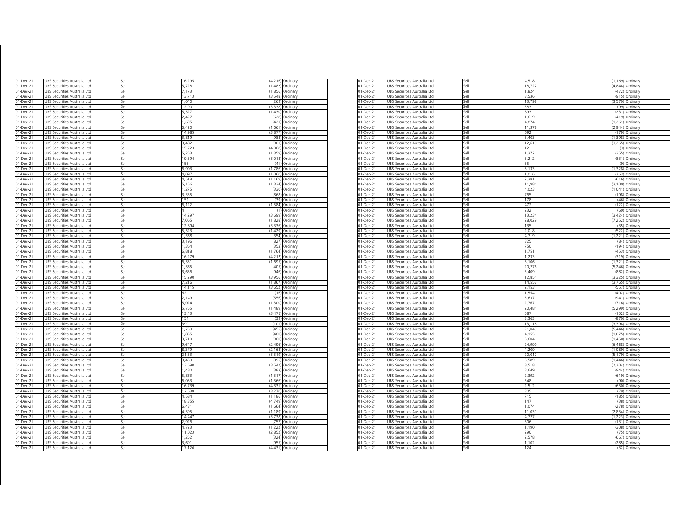| 01-Dec-21              | UBS Securities Australia Ltd                                 | sell         | 16,295          |                      | (4,216) Ordinary             |
|------------------------|--------------------------------------------------------------|--------------|-----------------|----------------------|------------------------------|
| 01-Dec-21              | JBS Securities Australia Ltd                                 | sell         | 5.728           | (1.482)              | Ordinary                     |
| 01-Dec-21              | JBS Securities Australia Ltd                                 | iell         | 7,173           | (1,856)              | Ordinary                     |
| 01-Dec-21              | UBS Securities Australia Ltd                                 | sell         | 13,713          | (3, 548)             | Ordinary                     |
| 01-Dec-21              | UBS Securities Australia Ltd                                 | Sell         | 1.040           | (269)                | Ordinary                     |
| 01-Dec-21              | UBS Securities Australia Ltd                                 | Sell         | 12,901          | (3,338)              | Ordinary                     |
| 01-Dec-21<br>01-Dec-21 | UBS Securities Australia Ltd<br>UBS Securities Australia Ltd | Sell<br>Sell | 5,527<br>2,427  | (628)                | (1,430) Ordinary<br>Ordinary |
| 01-Dec-21              | UBS Securities Australia Ltd                                 | Sell         | 1,635           | (423)                | Ordinary                     |
| 01-Dec-21              | UBS Securities Australia Ltd                                 | Sell         | 6420            |                      | (1,661) Ordinary             |
| 01-Dec-21              | UBS Securities Australia Ltd                                 | Sell         | 14,985          | (3, 877)             | Ordinary                     |
| 01-Dec-21              | UBS Securities Australia Ltd                                 | Sell         | 3,819           |                      | (988) Ordinary               |
| 01-Dec-21              | UBS Securities Australia Ltd                                 | Sell         | 3.482           | (901)                | Ordinary                     |
| 01-Dec-21              | UBS Securities Australia Ltd                                 | Sell         | 15,723          | (4,068)              | Ordinary                     |
| 01-Dec-21              | UBS Securities Australia Ltd                                 | Sell         | 5,253           | (1, 359)             | Ordinary                     |
| 01-Dec-21              | UBS Securities Australia Ltd                                 | sell         | 19,394          | (5.018)              | Ordinary                     |
| 01-Dec-21              | UBS Securities Australia Ltd                                 | Sell         | 158             | (41)                 | Ordinary                     |
| 01-Dec-21              | UBS Securities Australia Ltd                                 | Sell         | 6,903           | (1,786)              | Ordinary                     |
| 01-Dec-21              | UBS Securities Australia Ltd                                 | Sell         | 4,097           | (1,060)              | Ordinary                     |
| 01-Dec-21              | UBS Securities Australia Ltd                                 | Sell         | 4,518           | (1, 169)             | Ordinary                     |
| 01-Dec-21              | UBS Securities Australia Ltd                                 | Sell         | 5,156           |                      | (1,334) Ordinary             |
| 01-Dec-21<br>01-Dec-21 | UBS Securities Australia Ltd<br>UBS Securities Australia Ltd | Sell<br>Sell | 1,275<br>3,355  | (330                 | Ordinan<br>(868) Ordinary    |
| 01-Dec-21              | UBS Securities Australia Ltd                                 | Sell         | 151             | (39)                 | Ordinary                     |
| 01-Dec-21              | UBS Securities Australia Ltd                                 | sell         | 6,122           | (1, 584)             | Ordinary                     |
| 01-Dec-21              | UBS Securities Australia Ltd                                 | sell         | Δ               | (1)                  | Ordinary                     |
| 01-Dec-21              | UBS Securities Australia Ltd                                 | sell         | 14,297          | (3,699)              | Ordinary                     |
| 01-Dec-21              | UBS Securities Australia Ltd                                 | sell         | 7,065           | (1,828)              | Ordinary                     |
| 01-Dec-21              | JBS Securities Australia Ltd                                 | sell         | 12.894          | (3.336)              | Ordinary                     |
| 01-Dec-21              | JBS Securities Australia Ltd                                 | Sell         | 5,523           | (1, 429)             | Ordinary                     |
| $01 - Dec-21$          | UBS Securities Australia Ltd                                 | Sell         | 1,368           | (354)                | Ordinary                     |
| 01-Dec-21              | UBS Securities Australia Ltd                                 | Sell         | 3,196           | (827)                | Ordinary                     |
| $01 - Dec-21$          | UBS Securities Australia Ltd                                 | Sell         | 1,364           | (353)                | Ordinary                     |
| 01-Dec-21              | UBS Securities Australia Ltd                                 | Sell         | 6,818           |                      | (1,764) Ordinary             |
| 01-Dec-21              | UBS Securities Australia Ltd                                 | Sell         | 16,279          | (4, 212)             | Ordinary                     |
| 01-Dec-21              | UBS Securities Australia Ltd                                 | Sell         | 6,551           | (1.695)              | Ordinary                     |
| 01-Dec-21              | UBS Securities Australia Ltd                                 | Sell         | 1,565           |                      | (405) Ordinary               |
| 01-Dec-21              | UBS Securities Australia Ltd                                 | Sell         | 3,656           | (946)                | Ordinary                     |
| 01-Dec-21              | UBS Securities Australia Ltd                                 | Sell         | 15,290          | (3,956)              | Ordinary                     |
| 01-Dec-21              | UBS Securities Australia Ltd                                 | Sell         | 7.216<br>14,115 | (1.867)              | Ordinary                     |
| 01-Dec-21<br>01-Dec-21 | UBS Securities Australia Ltd<br>UBS Securities Australia Ltd | Sell<br>Sell | 62              | (3,652)<br>(16)      | Ordinary<br>Ordinary         |
| 01-Dec-21              | JBS Securities Australia Ltd                                 | sell         | 2.149           | (556)                | Ordinary                     |
| 01-Dec-21              | JBS Securities Australia Ltd                                 | Sell         | 5.024           | (1,300)              | Ordinary                     |
| 01-Dec-21              | UBS Securities Australia Ltd                                 | Sell         | 5,755           | (1,489)              | Ordinary                     |
| 01-Dec-21              | UBS Securities Australia Ltd                                 | Sell         | 13,431          | (3, 475)             | Ordinary                     |
| 01-Dec-21              | UBS Securities Australia Ltd                                 | Sell         | 151             | (39)                 | Ordinary                     |
| 01-Dec-21              | UBS Securities Australia Ltd                                 | Sell         | 390             | (101)                | Ordinary                     |
| 01-Dec-21              | UBS Securities Australia Ltd                                 | Sell         | 1,759           | (455)                | Ordinary                     |
| 01-Dec-21              | UBS Securities Australia Ltd                                 | Sell         | 1,855           | (480)                | Ordinary                     |
| 01-Dec-21              | UBS Securities Australia Ltd                                 | Sell         | 3,710           | (960)                | Ordinan                      |
| 01-Dec-21              | UBS Securities Australia Ltd                                 | sell         | 9,647           | (2, 496)             | Ordinary                     |
| 01-Dec-21              | UBS Securities Australia Ltd                                 | iell         | 8,379           | (2, 168)             | Ordinary                     |
| 01-Dec-21              | JBS Securities Australia Ltd                                 | sell         | 21.331          | (5.519)              | Ordinary                     |
| 01-Dec-21              | JBS Securities Australia Ltd                                 | sell         | 3,459           | (895                 | Ordinary                     |
| 01-Dec-21              | JBS Securities Australia Ltd                                 | sell         | 13.690          | (3.542)              | Ordinary                     |
| 01-Dec-21<br>01-Dec-21 | JBS Securities Australia Ltd                                 | iell         | 1.480<br>5,863  | (383)                | Ordinary                     |
| 01-Dec-21              | JBS Securities Australia Ltd                                 | sell<br>Sell | 6.053           | (1, 517)<br>(1, 566) | Ordinary                     |
| $01 - Dec-21$          | UBS Securities Australia Ltd<br>UBS Securities Australia Ltd | Sell         | 16,739          | (4, 331)             | Ordinary<br>Ordinary         |
| 01-Dec-21              | UBS Securities Australia Ltd                                 | Sell         | 12,638          | (3,270)              | Ordinary                     |
| 01-Dec-21              | UBS Securities Australia Ltd                                 | Sell         | 4,584           | (1, 186)             | Ordinary                     |
| $01$ -Dec-21           | UBS Securities Australia Ltd                                 | Sell         | 18,355          | (4, 749)             | Ordinary                     |
| 01-Dec-21              | UBS Securities Australia Ltd                                 | Sell         | 6.431           |                      | (1,664) Ordinary             |
| 01-Dec-21              | UBS Securities Australia Ltd                                 | Sell         | 4,595           | (1, 189)             | Ordinary                     |
| 01-Dec-21              | UBS Securities Australia Ltd                                 | Sell         | 14,447          | (3,738)              | Ordinary                     |
| 01-Dec-21              | UBS Securities Australia Ltd                                 | Sell         | 2.926           | (757)                | Ordinary                     |
| 01-Dec-21              | UBS Securities Australia Ltd                                 | Sell         | 4,723           | (1222)               | Ordinary                     |
| 01-Dec-21              | UBS Securities Australia Ltd                                 | Sell         | 11,023          | (2,852)              | Ordinary                     |
| 01-Dec-21              | <b>JBS Securities Australia Ltd</b>                          | sell         | 1.252           | (324)                | Ordinary                     |
| 01-Dec-21              | UBS Securities Australia Ltd                                 | iell         | 3,691           | (955)                | Ordinary                     |
| 01-Dec-21              | UBS Securities Australia Ltd                                 | Sell         | 17,126          | (4, 431)             | Ordinary                     |

| 01-Dec-21       | UBS Securities Australia Ltd | Sell | 4,518  |          | (1,169) Ordinary |
|-----------------|------------------------------|------|--------|----------|------------------|
| 01-Dec-21       | UBS Securities Australia Ltd | Sell | 18,722 |          | (4,844) Ordinary |
| 01-Dec-21       | UBS Securities Australia Ltd | Sell | 1.824  | (472)    | Ordinary         |
|                 |                              |      |        |          |                  |
| 01-Dec-21       | UBS Securities Australia Ltd | Sell | 3,536  | (915)    | Ordinary         |
| 01-Dec-21       | UBS Securities Australia Ltd | Sell | 13,798 | (3.570)  | Ordinary         |
| 01-Dec-21       | UBS Securities Australia Ltd | Sell | 383    | (99)     | Ordinary         |
| 01-Dec-21       | UBS Securities Australia Ltd | Sell | 893    | (231)    | Ordinary         |
| 01-Dec-21       | UBS Securities Australia Ltd | Sell | 1,619  | (419)    | Ordinary         |
|                 |                              | sell | 4.874  | (1.261)  |                  |
| 01-Dec-21       | JBS Securities Australia Ltd |      |        |          | Ordinary         |
| 01-Dec-21       | JBS Securities Australia Ltd | iell | 11,378 | (2,944)  | Ordinan          |
| 01-Dec-21       | JBS Securities Australia Ltd | $=$  | 692    | (179)    | Ordinary         |
| 01-Dec-21       | UBS Securities Australia Ltd | sell | 5.403  | (1.398)  | Ordinary         |
| 01-Dec-21       | UBS Securities Australia Ltd | sell | 12,619 | (3, 265) | Ordinary         |
| 01-Dec-21       | UBS Securities Australia Ltd | Sell | 12     | (3)      | Ordinary         |
|                 |                              |      |        |          |                  |
| 01-Dec-21       | UBS Securities Australia Ltd | Sell | 1,372  | (355)    | Ordinary         |
| 01-Dec-21       | UBS Securities Australia Ltd | Sell | 3.212  | (831)    | Ordinary         |
| 01-Dec-21       | UBS Securities Australia Ltd | Sell | 35     | (9)      | Ordinary         |
| 01-Dec-21       | UBS Securities Australia Ltd | Sell | 5,133  | (1, 328) | Ordinary         |
| 01-Dec-21       | UBS Securities Australia Ltd | Sell | 1,016  | (263)    | Ordinary         |
|                 |                              |      |        |          |                  |
| 01-Dec-21       | UBS Securities Australia Ltd | Sell | 2,381  | (616)    | Ordinary         |
| 01-Dec-21       | UBS Securities Australia Ltd | Sell | 11,981 | (3, 100) | Ordinary         |
| 01-Dec-21       | JBS Securities Australia Ltd | Sell | 4,023  | (1,041)  | Ordinary         |
| 01-Dec-21       | UBS Securities Australia Ltd | sell | 765    | (198)    | Ordinary         |
| 01-Dec-21       | JBS Securities Australia Ltd | sell | 178    | (46)     | Ordinary         |
| 01-Dec-21       | UBS Securities Australia Ltd | sell | 472    | (122)    | Ordinary         |
|                 |                              |      |        |          |                  |
| 01-Dec-21       | UBS Securities Australia Ltd | Sell | 232    | (60)     | Ordinary         |
| $01 - Dec-21$   | UBS Securities Australia Ltd | Sell | 13,234 | (3, 424) | Ordinary         |
| 01-Dec-21       | UBS Securities Australia Ltd | Sell | 28,029 | (7, 252) | Ordinary         |
| 01-Dec-21       | UBS Securities Australia Ltd | Sell | 135    | (35)     | Ordinary         |
| 01-Dec-21       | UBS Securities Australia Ltd | Sell | 2,018  | (522)    | Ordinary         |
|                 |                              | Sell |        | (1.221)  |                  |
| 01-Dec-21       | UBS Securities Australia Ltd |      | 4,719  |          | Ordinary         |
| 01-Dec-21       | UBS Securities Australia Ltd | Sell | 325    | (84)     | Ordinary         |
| 01-Dec-21       | UBS Securities Australia Ltd | Sell | 750    | (194)    | Ordinary         |
| 01-Dec-21       | UBS Securities Australia Ltd | Sell | 1,751  | (453)    | Ordinary         |
| 01-Dec-21       | JBS Securities Australia Ltd | Sell | 1 233  | (319)    | Ordinary         |
| 01-Dec-21       | JBS Securities Australia Ltd | iell | 5,106  | (1, 321) | Ordinary         |
|                 |                              |      |        |          |                  |
| 01-Dec-21       | JBS Securities Australia Ltd | $=$  | 20,276 | (5, 246) | Ordinary         |
| 01-Dec-21       | UBS Securities Australia Ltd | sell | 3.409  | (882)    | Ordinary         |
| 01-Dec-21       | UBS Securities Australia Ltd | sell | 12,85  | (3, 325) | Ordinary         |
| 01-Dec-21       | UBS Securities Australia Ltd | Sell | 14,552 | (3,765)  | Ordinary         |
| 01-Dec-21       | UBS Securities Australia Ltd | Sell | 2,153  | (557)    | Ordinary         |
| 01-Dec-21       | UBS Securities Australia Ltd | Sell | 1.554  | (402)    | Ordinary         |
|                 |                              |      |        |          |                  |
| 01-Dec-21       | UBS Securities Australia Ltd | Sell | 3,637  | (941)    | Ordinary         |
| 01-Dec-21       | UBS Securities Australia Ltd | Sell | 2,767  | (716)    | Ordinary         |
| 01-Dec-21       | UBS Securities Australia Ltd | Sell | 20.481 | (5.299)  | Ordinary         |
| 01-Dec-21       | UBS Securities Australia Ltd | Sell | 587    | (152)    | Ordinary         |
| 01-Dec-21       | UBS Securities Australia Ltd | Sell | 3,363  | (870)    | Ordinary         |
|                 |                              |      |        |          |                  |
| 01-Dec-21       | JBS Securities Australia Ltd | Sell | 13,118 | (3, 394) | Ordinary         |
| $01 - Dec - 21$ | UBS Securities Australia Ltd | sell | 21,049 | (5, 446) | Ordinary         |
| 01-Dec-21       | JBS Securities Australia Ltd | sell | 4,155  | (1,075)  | Ordinary         |
| 01-Dec-21       | JBS Securities Australia Ltd | sell | 5,604  | (1.450)  | Ordinary         |
| 01-Dec-21       | UBS Securities Australia Ltd | Sell | 24,999 | (6, 468) | Ordinary         |
|                 |                              |      | 4,209  |          |                  |
| $01 - Dec-21$   | UBS Securities Australia Ltd | Sell |        | (1,089)  | Ordinary         |
| 01-Dec-21       | UBS Securities Australia Ltd | Sell | 20,017 | (5, 179) | Ordinary         |
| $01$ -Dec-21    | UBS Securities Australia Ltd | Sell | 5.589  | (1.446)  | Ordinary         |
| 01-Dec-21       | UBS Securities Australia Ltd | Sell | 8,518  | (2, 204) | Ordinary         |
| 01-Dec-21       | UBS Securities Australia Ltd | Sell | 3,649  | (944)    | Ordinary         |
| 01-Dec-21       | UBS Securities Australia Ltd | Sell | 2,392  | (619)    | Ordinary         |
|                 |                              |      |        |          |                  |
| 01-Dec-21       | UBS Securities Australia Ltd | Sell | 348    | (90)     | Ordinary         |
| 01-Dec-21       | UBS Securities Australia Ltd | Sell | 2,512  | (650)    | Ordinary         |
| 01-Dec-21       | JBS Securities Australia Ltd | Sell | 805    | (79)     | Ordinary         |
| 01-Dec-21       | JBS Securities Australia Ltd | iell | 715    | (185     | Ordinary         |
| 01-Dec-21       | JBS Securities Australia Ltd | $=$  | 147    | (38)     | Ordinary         |
|                 |                              | sell | 1.074  | (278)    |                  |
| 01-Dec-21       | UBS Securities Australia Ltd |      |        |          | Ordinary         |
| 01-Dec-21       | UBS Securities Australia Ltd | sell | 11,03  | (2,854)  | Ordinary         |
| 01-Dec-21       | UBS Securities Australia Ltd | Sell | 4,727  | (1,223)  | Ordinary         |
| 01-Dec-21       | UBS Securities Australia Ltd | Sell | 506    | (131)    | Ordinary         |
| 01-Dec-21       | UBS Securities Australia Ltd | Sell | 1.190  | (308)    | Ordinary         |
|                 |                              |      |        |          |                  |
| 01-Dec-21       | UBS Securities Australia Ltd | Sell | 290    | (75)     | Ordinary         |
| 01-Dec-21       | UBS Securities Australia Ltd | Sell | 2,578  | (667)    | Ordinary         |
| 01-Dec-21       | UBS Securities Australia Ltd | Sell | 1,102  | (285)    | Ordinary         |
| 01-Dec-21       | UBS Securities Australia Ltd | Sell | 124    |          | (32) Ordinary    |
|                 |                              |      |        |          |                  |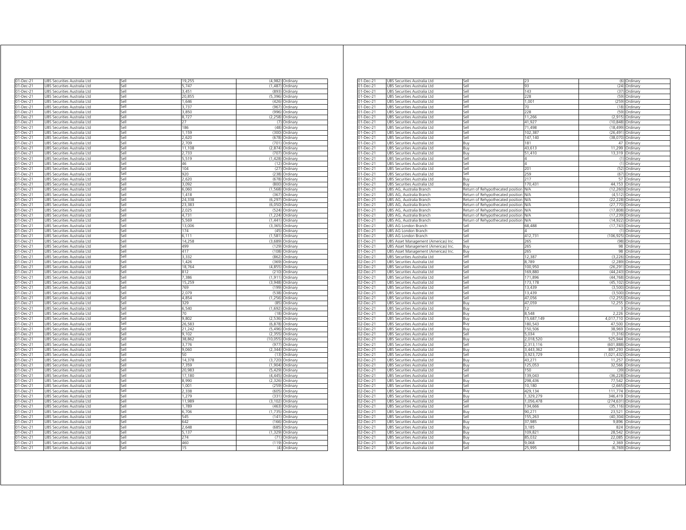| 01-Dec-21                                        |                                                              |              |                 |                  |                                    |
|--------------------------------------------------|--------------------------------------------------------------|--------------|-----------------|------------------|------------------------------------|
|                                                  | UBS Securities Australia Ltd                                 | sell         | 19,255          |                  | (4,982) Ordinary                   |
| 01-Dec-21                                        | JBS Securities Australia Ltd                                 | lle,         | 5.747           | (1.487)          | Ordinary                           |
| 01-Dec-21                                        | JBS Securities Australia Ltd                                 | iell         | 3451            | (893             | Ordinary                           |
| 01-Dec-21                                        | JBS Securities Australia Ltd                                 | sell<br>iell | 20.855<br>1.646 | (5.396)          | Ordinary                           |
| 01-Dec-21<br>01-Dec-21                           | JBS Securities Australia Ltd                                 | sell         | 3,737           | (426)<br>(967)   | Ordinary                           |
| 01-Dec-21                                        | UBS Securities Australia Ltd<br>UBS Securities Australia Ltd | Sell         | 3850            | (996)            | Ordinary<br>Ordinary               |
| 01-Dec-21                                        | UBS Securities Australia Ltd                                 | Sell         | 8,727           | (2, 258)         | Ordinary                           |
| 01-Dec-21                                        | UBS Securities Australia Ltd                                 | Sell         | 27              |                  | (7) Ordinary                       |
| $01 - Dec-21$                                    | UBS Securities Australia Ltd                                 | Sell         | 186             | (48)             | Ordinary                           |
| 01-Dec-21                                        | UBS Securities Australia Ltd                                 | Sell         | 1,159           |                  | (300) Ordinary                     |
| 01-Dec-21                                        | UBS Securities Australia Ltd                                 | Sell         | 2,620           |                  | (678) Ordinary                     |
| 01-Dec-21                                        | UBS Securities Australia Ltd                                 | Sell         | 2,709           | (701)            | Ordinary                           |
| 01-Dec-21                                        | UBS Securities Australia Ltd                                 | Sell         | 11.108          | (2.874)          | Ordinary                           |
| 01-Dec-21                                        | UBS Securities Australia Ltd                                 | Sell         | 2.733           | (707)            | Ordinary                           |
| 01-Dec-21                                        | UBS Securities Australia Ltd                                 | Sell         | 5,519           | (1, 428)         | Ordinary                           |
| 01-Dec-21                                        | UBS Securities Australia Ltd                                 | sell         | 46              | (12)             | Ordinary                           |
| 01-Dec-21                                        | UBS Securities Australia Ltd                                 | sell         | 104             | (27)             | Ordinary                           |
| 01-Dec-21                                        | UBS Securities Australia Ltd                                 | Sell         | 920             | (238)            | Ordinary                           |
| 01-Dec-21                                        | UBS Securities Australia Ltd                                 | Sell         | 2,620           | (678)            | Ordinary                           |
| 01-Dec-21                                        | UBS Securities Australia Ltd                                 | Sell<br>Sell | 3,092           |                  | (800) Ordinary                     |
| 01-Dec-21<br>01-Dec-21                           | UBS Securities Australia Ltd<br>UBS Securities Australia Ltd | Sell         | 6,060<br>1,418  | (367)            | (1,568) Ordinary<br>Ordinary       |
| 01-Dec-21                                        | UBS Securities Australia Ltd                                 | Sell         | 24,338          |                  | (6,297) Ordinary                   |
| 01-Dec-21                                        | UBS Securities Australia Ltd                                 | Sell         | 23,383          |                  | (6,050) Ordinary                   |
| 01-Dec-21                                        | UBS Securities Australia Ltd                                 | iell         | 2,025           | (524)            | Ordinary                           |
| 01-Dec-21                                        | UBS Securities Australia Ltd                                 | iell         | 4,731           | (1,224)          | Ordinary                           |
| 01-Dec-21                                        | UBS Securities Australia Ltd                                 | sell         | 5,569           | (1, 441)         | Ordinary                           |
| 01-Dec-21                                        | JBS Securities Australia Ltd                                 | sell         | 13,006          | (3, 365)         | Ordinary                           |
| $01 - Dec-21$                                    | JBS Securities Australia Ltd                                 | iell         | 174             | (45)             | Ordinary                           |
| 01-Dec-21                                        | UBS Securities Australia Ltd                                 | Sell         | 6,111           | (1, 581)         | Ordinary                           |
| $01$ -Dec-21                                     | UBS Securities Australia Ltd                                 | Sell         | 14,258          | (3,689)          | Ordinary                           |
| $01 - Dec-21$                                    | UBS Securities Australia Ltd                                 | Sell         | 499             | (129)            | Ordinary                           |
| 01-Dec-21                                        | UBS Securities Australia Ltd                                 | Sell         | 417             |                  | (108) Ordinary                     |
| 01-Dec-21                                        | UBS Securities Australia Ltd                                 | Sell         | 3,332           | (862)            | Ordinary                           |
| 01-Dec-21                                        | UBS Securities Australia Ltd                                 | Sell         | 1,426           | (369)            | Ordinary                           |
| 01-Dec-21                                        | UBS Securities Australia Ltd                                 | Sell         | 18,764          |                  | (4,855) Ordinary                   |
| 01-Dec-21                                        | UBS Securities Australia Ltd                                 | Sell         | 812             | (210)            | Ordinary                           |
| 01-Dec-21                                        | UBS Securities Australia Ltd                                 | Sell         | 7,386           | (1, 911)         | Ordinary                           |
| 01-Dec-21                                        | UBS Securities Australia Ltd                                 | Sell         | 15,259          | (3948)           | Ordinary                           |
| 01-Dec-21                                        | UBS Securities Australia Ltd                                 | Sell         | 769             | (199)            | Ordinary                           |
| 01-Dec-21<br>01-Dec-21                           | UBS Securities Australia Ltd<br>JBS Securities Australia Ltd | Sell<br>Sell | 2.079<br>4,854  | (538)<br>(1.256) | Ordinan<br>Ordinary                |
| 01-Dec-21                                        | JBS Securities Australia Ltd                                 | Sell         | 329             | (85)             | Ordinary                           |
| 01-Dec-21                                        | UBS Securities Australia Ltd                                 | Sell         | 6,540           | (1,692)          | Ordinary                           |
| 01-Dec-21                                        | UBS Securities Australia Ltd                                 | Sell         | 70              | (18)             | Ordinary                           |
| 01-Dec-21                                        | UBS Securities Australia Ltd                                 | Sell         | 9.802           |                  | (2,536) Ordinary                   |
| 01-Dec-21                                        | Securities Australia Ltd<br>LIBS                             | Sell         | 26.58           | (6, 878)         | Ordinan                            |
| 01-Dec-21                                        | UBS Securities Australia Ltd                                 | Sell         | 21,242          | (5.496)          | Ordinary                           |
| 01-Dec-21                                        | UBS Securities Australia Ltd                                 | Sell         | 9,102           | (2,355)          | Ordinan                            |
| 01-Dec-21                                        | UBS Securities Australia Ltd                                 | sell         | 38,862          | (10, 055)        | Ordinary                           |
| 01-Dec-21                                        | UBS Securities Australia Ltd                                 | iell         | 3.776           | (977             | Ordinary                           |
| 01-Dec-21                                        | JBS Securities Australia Ltd                                 | sell         | 9.060           | (2, 344)         | Ordinary                           |
| 01-Dec-21                                        | JBS Securities Australia Ltd                                 | sell         | 50              | (13)             | Ordinary                           |
| 01-Dec-21                                        | JBS Securities Australia Ltd                                 | sell         | 14.378          | (3,720)          | Ordinary                           |
| 01-Dec-21                                        | JBS Securities Australia Ltd                                 | iell         | 7,359           | (1,904)          | Ordinary                           |
| $01 - Dec-21$                                    | UBS Securities Australia Ltd                                 | Sell         | 20,983          | (5, 429)         | Ordinary                           |
| 01-Dec-21                                        | UBS Securities Australia Ltd                                 | Sell         | 17,180          | (4, 445)         | Ordinary                           |
| 01-Dec-21                                        | UBS Securities Australia Ltd                                 | Sell         | 8,990           | (2, 326)         | Ordinary                           |
| 01-Dec-21                                        | UBS Securities Australia Ltd                                 | Sell         | 1,001           |                  | (259) Ordinary                     |
| 01-Dec-21                                        | UBS Securities Australia Ltd                                 | Sell         | 2,338           | (605)            | Ordinary                           |
| 01-Dec-21<br>01-Dec-21                           | UBS Securities Australia Ltd                                 | Sell<br>Sell | 1,279<br>11,989 |                  | (331) Ordinary<br>(3,102) Ordinary |
| 01-Dec-21                                        | UBS Securities Australia Ltd<br>UBS Securities Australia Ltd | Sell         | 1,789           | (463)            | Ordinary                           |
| 01-Dec-21                                        | UBS Securities Australia Ltd                                 | Sell         | 6,706           | (1.735)          | Ordinary                           |
| 01-Dec-21                                        | UBS Securities Australia Ltd                                 | Sell         | 545             | (141)            | Ordinary                           |
|                                                  | UBS Securities Australia Ltd                                 | Sell         | 642             | (166)            | Ordinary                           |
|                                                  |                                                              |              |                 |                  |                                    |
|                                                  |                                                              | iell         |                 |                  |                                    |
|                                                  | UBS Securities Australia Ltd                                 |              | 2.648           | (685)<br>(1.329) | Ordinary                           |
| 01-Dec-21<br>01-Dec-21<br>01-Dec-21<br>01-Dec-21 | JBS Securities Australia Ltd                                 | sell<br>Sell | 5,137<br>274    | (71)             | Ordinary                           |
| 01-Dec-21                                        | UBS Securities Australia Ltd<br>UBS Securities Australia Ltd | Sell         | 460             |                  | Ordinary<br>(119) Ordinary         |

| 93<br>01-Dec-21<br>UBS Securities Australia Ltd<br>Sell<br>(24) Ordinary<br>143<br>01-Dec-21<br>UBS Securities Australia Ltd<br>Sell<br>(37) Ordinary<br>01-Dec-21<br>UBS Securities Australia Ltd<br>Sell<br>228<br>(59) Ordinary<br>UBS Securities Australia Ltd<br>$1,00^{\circ}$<br>01-Dec-21<br>Sell<br>(259) Ordinary<br>01-Dec-21<br>UBS Securities Australia Ltd<br>Sell<br>70<br>(18) Ordinary<br>228<br>(59)<br>01-Dec-21<br>JBS Securities Australia Ltd<br>Sell<br>Ordinary<br>Sell<br>01-Dec-21<br>UBS Securities Australia Ltd<br>11,266<br>(2,915) Ordinary<br>Sell<br>41,927<br>01-Dec-21<br>UBS Securities Australia Ltd<br>(10,848) Ordinary<br>71.498<br>01-Dec-21<br>UBS Securities Australia Ltd<br>Sell<br>(18,499) Ordinary<br>01-Dec-21<br>JBS Securities Australia Ltd<br>102,387<br>(26, 491)<br>iell<br>Ordinary<br>147,140<br>(38,070)<br>01-Dec-21<br>JBS Securities Australia Ltd<br>Sell<br>Ordinary<br>01-Dec-21<br>JBS Securities Australia Ltd<br>Buy<br>181<br>47<br>Ordinary<br>43,613<br>11,299<br>01-Dec-21<br>UBS Securities Australia Ltd<br>Ordinary<br>Buy<br>51,410<br>01-Dec-21<br>UBS Securities Australia Ltd<br>13,319 Ordinary<br>Buy<br>01-Dec-21<br>UBS Securities Australia Ltd<br>Sell<br>4<br>(1) Ordinary<br>$01 - Dec-21$<br>UBS Securities Australia Ltd<br>(1) Ordinary<br>Sell<br>Δ<br>20 <sup>1</sup><br>01-Dec-21<br>UBS Securities Australia Ltd<br>Sell<br>(52) Ordinary<br>01-Dec-21<br>JBS Securities Australia Ltd<br>259<br>(67) Ordinary<br>Sell<br>217<br>JBS Securities Australia Ltd<br>57 Ordinary<br>01-Dec-21<br>Buy<br>44,153 Ordinary<br>UBS Securities Australia Ltd<br>170.431<br>01-Dec-21<br>Buy<br>Return of Rehypothecated position N/A<br>01-Dec-21<br>JBS AG, Australia Branch<br>(12,260) Ordinary<br>01-Dec-21<br>UBS AG, Australia Branch<br>Return of Rehypothecated position N/A<br>(4,512) Ordinary<br>01-Dec-21<br>JBS AG, Australia Branch<br>Return of Rehypothecated position<br>(22,228) Ordinary<br>N/A<br>01-Dec-21<br>JBS AG, Australia Branch<br>Return of Rehypothecated position<br><b>N/A</b><br>(27,770) Ordinary<br>(17,808) Ordinary<br>01-Dec-21<br>JBS AG, Australia Branch<br>Return of Rehypothecated position<br>N/Α<br>01-Dec-21<br>UBS AG, Australia Branch<br>Return of Rehypothecated position N/A<br>(17,239) Ordinary<br>01-Dec-21<br>UBS AG, Australia Branch<br>Return of Rehypothecated position N/A<br>(14,922) Ordinary<br>01-Dec-21<br>UBS AG London Branch<br>68,488<br>(17,743) Ordinary<br>Sell<br>01-Dec-21<br>UBS AG London Branch<br>Sell<br>(1) Ordinary<br>$01 - Dec-21$<br>UBS AG London Branch<br>Sell<br>412,731<br>(106,925) Ordinary<br>265<br>01-Dec-21<br>JBS Asset Management (Americas) Inc<br>Sell<br>(98)<br>Ordinary<br>01-Dec-21<br>Buy<br>265<br>98<br>UBS Asset Management (Americas) Inc<br>Ordinary<br>98 Ordinary<br>01-Dec-21<br>UBS Asset Management (Americas) Inc<br>Buy<br>265<br>$D2$ -Dec-21<br>JBS Securities Australia Ltd<br>Sell<br>12.38<br>(3.226)<br>Ordinary<br>02-Dec-21<br>JBS Securities Australia Ltd<br>$=$<br>8,789<br>(2, 289)<br>Ordinary<br>JBS Securities Australia Ltd<br>(26, 291)<br>02-Dec-21<br>sell<br>100,950<br>Ordinary<br>02-Dec-21<br>JBS Securities Australia Ltd<br>Sell<br>169.880<br>(44.243)<br>Ordinary<br>171,896<br>(44, 768)<br>02-Dec-21<br>UBS Securities Australia Ltd<br>Sell<br>Ordinary<br>(45,102) Ordinary<br>$\overline{O2}$ -Dec-21<br>UBS Securities Australia Ltd<br>173,178<br>Sell<br>$02$ -Dec-21<br>UBS Securities Australia Ltd<br>Sell<br>13,439<br>(3,500) Ordinary<br>$02$ -Dec-21<br>UBS Securities Australia Ltd<br>13.439<br>(3,500) Ordinary<br>Sell<br>(12,255) Ordinary<br>02-Dec-21<br>UBS Securities Australia Ltd<br>Sell<br>47,056<br>02-Dec-21<br>JBS Securities Australia Ltd<br>47,059<br>12,255 Ordinary<br>Buy<br>JBS Securities Australia Ltd<br>12<br>3 Ordinary<br>02-Dec-21<br>Buy<br>8.548<br>2,226 Ordinary<br>02-Dec-21<br>UBS Securities Australia Ltd<br>Buy<br>02-Dec-21<br>JBS Securities Australia Ltd<br>15,687,149<br>4,017,710 Ordinary<br>3uy<br>180,543<br>47,500 Ordinary<br>02-Dec-21<br>JBS Securities Australia Ltd<br>Buy<br>150,506<br>38,969 Ordinary<br>02-Dec-21<br>JBS Securities Australia Ltd<br>3uy<br>02-Dec-21<br>JBS Securities Australia Ltd<br>Sell<br>5,034<br>$(1,316)$ Ordinary<br>2,018,520<br>525,944<br>Ordinary<br>$\overline{02}$ -Dec-21<br>JBS Securities Australia Ltd<br>Buy<br>02-Dec-21<br>UBS Securities Australia Ltd<br>Sell<br>2,313,116<br>(601,888) Ordinary<br>02-Dec-21<br>UBS Securities Australia Ltd<br>Buy<br>3,443,362<br>897,293 Ordinary<br>02-Dec-21<br>UBS Securities Australia Ltd<br>Sell<br>3,923,729<br>(1,021,432) Ordinary<br>UBS Securities Australia Ltd<br>02-Dec-21<br>Buy<br>43,271<br>11,257 Ordinary<br>$\overline{O2}$ -Dec-21<br>UBS Securities Australia Ltd<br>Buv<br>125.053<br>32,566 Ordinary<br>150<br>02-Dec-21<br>UBS Securities Australia Ltd<br>Sell<br>(39)<br>Ordinary<br>02-Dec-21<br>UBS Securities Australia Ltd<br>139,043<br>(36, 228)<br>Sell<br>Ordinary<br>02-Dec-21<br>UBS Securities Australia Ltd<br>Buy<br>298,436<br>77,542 Ordinary<br>02-Dec-21<br>JBS Securities Australia Ltd<br>10.180<br>ا∣م;<br>(2,665)<br>Ordinary<br>111,774<br>02-Dec-21<br>JBS Securities Australia Ltd<br>Зuу<br>429 134<br>Ordinary<br>346,419<br>02-Dec-21<br>JBS Securities Australia Ltd<br>1,329,279<br>Ordinary<br>Buy<br>02-Dec-21<br>UBS Securities Australia Ltd<br>Sell<br>1,056,478<br>(274, 631)<br>Ordinary<br>134,666<br>$\overline{O2}$ -Dec-21<br>UBS Securities Australia Ltd<br>Sell<br>(35, 116)<br>Ordinary<br>$\overline{O2}$ -Dec-21<br>UBS Securities Australia Ltd<br>90,271<br>23,521 Ordinary<br>Buy<br>02-Dec-21<br>UBS Securities Australia Ltd<br>Sell<br>155,263<br>(40,304) Ordinary<br>$02$ -Dec-21<br>UBS Securities Australia Ltd<br>37,985<br>9,896 Ordinary<br>Buy<br>824 Ordinary<br>02-Dec-21<br>UBS Securities Australia Ltd<br>Buy<br>3,185<br>02-Dec-21<br>JBS Securities Australia Ltd<br>109,82<br>28,542<br>Buy<br>Ordinary<br>JBS Securities Australia Ltd<br>85,032<br>22,085 Ordinary<br>02-Dec-21<br>Buy<br>02-Dec-21<br>UBS Securities Australia Ltd<br>9,068<br>2,369 Ordinary<br>Buy<br>(6,769) Ordinary | 01-Dec-21 | JBS Securities Australia Ltd | Sell | 23     | (6) Ordinary |
|--------------------------------------------------------------------------------------------------------------------------------------------------------------------------------------------------------------------------------------------------------------------------------------------------------------------------------------------------------------------------------------------------------------------------------------------------------------------------------------------------------------------------------------------------------------------------------------------------------------------------------------------------------------------------------------------------------------------------------------------------------------------------------------------------------------------------------------------------------------------------------------------------------------------------------------------------------------------------------------------------------------------------------------------------------------------------------------------------------------------------------------------------------------------------------------------------------------------------------------------------------------------------------------------------------------------------------------------------------------------------------------------------------------------------------------------------------------------------------------------------------------------------------------------------------------------------------------------------------------------------------------------------------------------------------------------------------------------------------------------------------------------------------------------------------------------------------------------------------------------------------------------------------------------------------------------------------------------------------------------------------------------------------------------------------------------------------------------------------------------------------------------------------------------------------------------------------------------------------------------------------------------------------------------------------------------------------------------------------------------------------------------------------------------------------------------------------------------------------------------------------------------------------------------------------------------------------------------------------------------------------------------------------------------------------------------------------------------------------------------------------------------------------------------------------------------------------------------------------------------------------------------------------------------------------------------------------------------------------------------------------------------------------------------------------------------------------------------------------------------------------------------------------------------------------------------------------------------------------------------------------------------------------------------------------------------------------------------------------------------------------------------------------------------------------------------------------------------------------------------------------------------------------------------------------------------------------------------------------------------------------------------------------------------------------------------------------------------------------------------------------------------------------------------------------------------------------------------------------------------------------------------------------------------------------------------------------------------------------------------------------------------------------------------------------------------------------------------------------------------------------------------------------------------------------------------------------------------------------------------------------------------------------------------------------------------------------------------------------------------------------------------------------------------------------------------------------------------------------------------------------------------------------------------------------------------------------------------------------------------------------------------------------------------------------------------------------------------------------------------------------------------------------------------------------------------------------------------------------------------------------------------------------------------------------------------------------------------------------------------------------------------------------------------------------------------------------------------------------------------------------------------------------------------------------------------------------------------------------------------------------------------------------------------------------------------------------------------------------------------------------------------------------------------------------------------------------------------------------------------------------------------------------------------------------------------------------------------------------------------------------------------------------------------------------------------------------------------------------------------------------------------------------------------------------------------------------------------------------------------------------------------------------------------------------------------------------------------------------------------------------------------------------------------------------------------------------------------------------------------------------------------------------------------------------------------------------------------------------------------------------------------------------------|-----------|------------------------------|------|--------|--------------|
|                                                                                                                                                                                                                                                                                                                                                                                                                                                                                                                                                                                                                                                                                                                                                                                                                                                                                                                                                                                                                                                                                                                                                                                                                                                                                                                                                                                                                                                                                                                                                                                                                                                                                                                                                                                                                                                                                                                                                                                                                                                                                                                                                                                                                                                                                                                                                                                                                                                                                                                                                                                                                                                                                                                                                                                                                                                                                                                                                                                                                                                                                                                                                                                                                                                                                                                                                                                                                                                                                                                                                                                                                                                                                                                                                                                                                                                                                                                                                                                                                                                                                                                                                                                                                                                                                                                                                                                                                                                                                                                                                                                                                                                                                                                                                                                                                                                                                                                                                                                                                                                                                                                                                                                                                                                                                                                                                                                                                                                                                                                                                                                                                                                                                                                                                                                                                                                                                                                                                                                                                                                                                                                                                                                                                                                                                      |           |                              |      |        |              |
|                                                                                                                                                                                                                                                                                                                                                                                                                                                                                                                                                                                                                                                                                                                                                                                                                                                                                                                                                                                                                                                                                                                                                                                                                                                                                                                                                                                                                                                                                                                                                                                                                                                                                                                                                                                                                                                                                                                                                                                                                                                                                                                                                                                                                                                                                                                                                                                                                                                                                                                                                                                                                                                                                                                                                                                                                                                                                                                                                                                                                                                                                                                                                                                                                                                                                                                                                                                                                                                                                                                                                                                                                                                                                                                                                                                                                                                                                                                                                                                                                                                                                                                                                                                                                                                                                                                                                                                                                                                                                                                                                                                                                                                                                                                                                                                                                                                                                                                                                                                                                                                                                                                                                                                                                                                                                                                                                                                                                                                                                                                                                                                                                                                                                                                                                                                                                                                                                                                                                                                                                                                                                                                                                                                                                                                                                      |           |                              |      |        |              |
|                                                                                                                                                                                                                                                                                                                                                                                                                                                                                                                                                                                                                                                                                                                                                                                                                                                                                                                                                                                                                                                                                                                                                                                                                                                                                                                                                                                                                                                                                                                                                                                                                                                                                                                                                                                                                                                                                                                                                                                                                                                                                                                                                                                                                                                                                                                                                                                                                                                                                                                                                                                                                                                                                                                                                                                                                                                                                                                                                                                                                                                                                                                                                                                                                                                                                                                                                                                                                                                                                                                                                                                                                                                                                                                                                                                                                                                                                                                                                                                                                                                                                                                                                                                                                                                                                                                                                                                                                                                                                                                                                                                                                                                                                                                                                                                                                                                                                                                                                                                                                                                                                                                                                                                                                                                                                                                                                                                                                                                                                                                                                                                                                                                                                                                                                                                                                                                                                                                                                                                                                                                                                                                                                                                                                                                                                      |           |                              |      |        |              |
|                                                                                                                                                                                                                                                                                                                                                                                                                                                                                                                                                                                                                                                                                                                                                                                                                                                                                                                                                                                                                                                                                                                                                                                                                                                                                                                                                                                                                                                                                                                                                                                                                                                                                                                                                                                                                                                                                                                                                                                                                                                                                                                                                                                                                                                                                                                                                                                                                                                                                                                                                                                                                                                                                                                                                                                                                                                                                                                                                                                                                                                                                                                                                                                                                                                                                                                                                                                                                                                                                                                                                                                                                                                                                                                                                                                                                                                                                                                                                                                                                                                                                                                                                                                                                                                                                                                                                                                                                                                                                                                                                                                                                                                                                                                                                                                                                                                                                                                                                                                                                                                                                                                                                                                                                                                                                                                                                                                                                                                                                                                                                                                                                                                                                                                                                                                                                                                                                                                                                                                                                                                                                                                                                                                                                                                                                      |           |                              |      |        |              |
|                                                                                                                                                                                                                                                                                                                                                                                                                                                                                                                                                                                                                                                                                                                                                                                                                                                                                                                                                                                                                                                                                                                                                                                                                                                                                                                                                                                                                                                                                                                                                                                                                                                                                                                                                                                                                                                                                                                                                                                                                                                                                                                                                                                                                                                                                                                                                                                                                                                                                                                                                                                                                                                                                                                                                                                                                                                                                                                                                                                                                                                                                                                                                                                                                                                                                                                                                                                                                                                                                                                                                                                                                                                                                                                                                                                                                                                                                                                                                                                                                                                                                                                                                                                                                                                                                                                                                                                                                                                                                                                                                                                                                                                                                                                                                                                                                                                                                                                                                                                                                                                                                                                                                                                                                                                                                                                                                                                                                                                                                                                                                                                                                                                                                                                                                                                                                                                                                                                                                                                                                                                                                                                                                                                                                                                                                      |           |                              |      |        |              |
|                                                                                                                                                                                                                                                                                                                                                                                                                                                                                                                                                                                                                                                                                                                                                                                                                                                                                                                                                                                                                                                                                                                                                                                                                                                                                                                                                                                                                                                                                                                                                                                                                                                                                                                                                                                                                                                                                                                                                                                                                                                                                                                                                                                                                                                                                                                                                                                                                                                                                                                                                                                                                                                                                                                                                                                                                                                                                                                                                                                                                                                                                                                                                                                                                                                                                                                                                                                                                                                                                                                                                                                                                                                                                                                                                                                                                                                                                                                                                                                                                                                                                                                                                                                                                                                                                                                                                                                                                                                                                                                                                                                                                                                                                                                                                                                                                                                                                                                                                                                                                                                                                                                                                                                                                                                                                                                                                                                                                                                                                                                                                                                                                                                                                                                                                                                                                                                                                                                                                                                                                                                                                                                                                                                                                                                                                      |           |                              |      |        |              |
|                                                                                                                                                                                                                                                                                                                                                                                                                                                                                                                                                                                                                                                                                                                                                                                                                                                                                                                                                                                                                                                                                                                                                                                                                                                                                                                                                                                                                                                                                                                                                                                                                                                                                                                                                                                                                                                                                                                                                                                                                                                                                                                                                                                                                                                                                                                                                                                                                                                                                                                                                                                                                                                                                                                                                                                                                                                                                                                                                                                                                                                                                                                                                                                                                                                                                                                                                                                                                                                                                                                                                                                                                                                                                                                                                                                                                                                                                                                                                                                                                                                                                                                                                                                                                                                                                                                                                                                                                                                                                                                                                                                                                                                                                                                                                                                                                                                                                                                                                                                                                                                                                                                                                                                                                                                                                                                                                                                                                                                                                                                                                                                                                                                                                                                                                                                                                                                                                                                                                                                                                                                                                                                                                                                                                                                                                      |           |                              |      |        |              |
|                                                                                                                                                                                                                                                                                                                                                                                                                                                                                                                                                                                                                                                                                                                                                                                                                                                                                                                                                                                                                                                                                                                                                                                                                                                                                                                                                                                                                                                                                                                                                                                                                                                                                                                                                                                                                                                                                                                                                                                                                                                                                                                                                                                                                                                                                                                                                                                                                                                                                                                                                                                                                                                                                                                                                                                                                                                                                                                                                                                                                                                                                                                                                                                                                                                                                                                                                                                                                                                                                                                                                                                                                                                                                                                                                                                                                                                                                                                                                                                                                                                                                                                                                                                                                                                                                                                                                                                                                                                                                                                                                                                                                                                                                                                                                                                                                                                                                                                                                                                                                                                                                                                                                                                                                                                                                                                                                                                                                                                                                                                                                                                                                                                                                                                                                                                                                                                                                                                                                                                                                                                                                                                                                                                                                                                                                      |           |                              |      |        |              |
|                                                                                                                                                                                                                                                                                                                                                                                                                                                                                                                                                                                                                                                                                                                                                                                                                                                                                                                                                                                                                                                                                                                                                                                                                                                                                                                                                                                                                                                                                                                                                                                                                                                                                                                                                                                                                                                                                                                                                                                                                                                                                                                                                                                                                                                                                                                                                                                                                                                                                                                                                                                                                                                                                                                                                                                                                                                                                                                                                                                                                                                                                                                                                                                                                                                                                                                                                                                                                                                                                                                                                                                                                                                                                                                                                                                                                                                                                                                                                                                                                                                                                                                                                                                                                                                                                                                                                                                                                                                                                                                                                                                                                                                                                                                                                                                                                                                                                                                                                                                                                                                                                                                                                                                                                                                                                                                                                                                                                                                                                                                                                                                                                                                                                                                                                                                                                                                                                                                                                                                                                                                                                                                                                                                                                                                                                      |           |                              |      |        |              |
|                                                                                                                                                                                                                                                                                                                                                                                                                                                                                                                                                                                                                                                                                                                                                                                                                                                                                                                                                                                                                                                                                                                                                                                                                                                                                                                                                                                                                                                                                                                                                                                                                                                                                                                                                                                                                                                                                                                                                                                                                                                                                                                                                                                                                                                                                                                                                                                                                                                                                                                                                                                                                                                                                                                                                                                                                                                                                                                                                                                                                                                                                                                                                                                                                                                                                                                                                                                                                                                                                                                                                                                                                                                                                                                                                                                                                                                                                                                                                                                                                                                                                                                                                                                                                                                                                                                                                                                                                                                                                                                                                                                                                                                                                                                                                                                                                                                                                                                                                                                                                                                                                                                                                                                                                                                                                                                                                                                                                                                                                                                                                                                                                                                                                                                                                                                                                                                                                                                                                                                                                                                                                                                                                                                                                                                                                      |           |                              |      |        |              |
|                                                                                                                                                                                                                                                                                                                                                                                                                                                                                                                                                                                                                                                                                                                                                                                                                                                                                                                                                                                                                                                                                                                                                                                                                                                                                                                                                                                                                                                                                                                                                                                                                                                                                                                                                                                                                                                                                                                                                                                                                                                                                                                                                                                                                                                                                                                                                                                                                                                                                                                                                                                                                                                                                                                                                                                                                                                                                                                                                                                                                                                                                                                                                                                                                                                                                                                                                                                                                                                                                                                                                                                                                                                                                                                                                                                                                                                                                                                                                                                                                                                                                                                                                                                                                                                                                                                                                                                                                                                                                                                                                                                                                                                                                                                                                                                                                                                                                                                                                                                                                                                                                                                                                                                                                                                                                                                                                                                                                                                                                                                                                                                                                                                                                                                                                                                                                                                                                                                                                                                                                                                                                                                                                                                                                                                                                      |           |                              |      |        |              |
|                                                                                                                                                                                                                                                                                                                                                                                                                                                                                                                                                                                                                                                                                                                                                                                                                                                                                                                                                                                                                                                                                                                                                                                                                                                                                                                                                                                                                                                                                                                                                                                                                                                                                                                                                                                                                                                                                                                                                                                                                                                                                                                                                                                                                                                                                                                                                                                                                                                                                                                                                                                                                                                                                                                                                                                                                                                                                                                                                                                                                                                                                                                                                                                                                                                                                                                                                                                                                                                                                                                                                                                                                                                                                                                                                                                                                                                                                                                                                                                                                                                                                                                                                                                                                                                                                                                                                                                                                                                                                                                                                                                                                                                                                                                                                                                                                                                                                                                                                                                                                                                                                                                                                                                                                                                                                                                                                                                                                                                                                                                                                                                                                                                                                                                                                                                                                                                                                                                                                                                                                                                                                                                                                                                                                                                                                      |           |                              |      |        |              |
|                                                                                                                                                                                                                                                                                                                                                                                                                                                                                                                                                                                                                                                                                                                                                                                                                                                                                                                                                                                                                                                                                                                                                                                                                                                                                                                                                                                                                                                                                                                                                                                                                                                                                                                                                                                                                                                                                                                                                                                                                                                                                                                                                                                                                                                                                                                                                                                                                                                                                                                                                                                                                                                                                                                                                                                                                                                                                                                                                                                                                                                                                                                                                                                                                                                                                                                                                                                                                                                                                                                                                                                                                                                                                                                                                                                                                                                                                                                                                                                                                                                                                                                                                                                                                                                                                                                                                                                                                                                                                                                                                                                                                                                                                                                                                                                                                                                                                                                                                                                                                                                                                                                                                                                                                                                                                                                                                                                                                                                                                                                                                                                                                                                                                                                                                                                                                                                                                                                                                                                                                                                                                                                                                                                                                                                                                      |           |                              |      |        |              |
|                                                                                                                                                                                                                                                                                                                                                                                                                                                                                                                                                                                                                                                                                                                                                                                                                                                                                                                                                                                                                                                                                                                                                                                                                                                                                                                                                                                                                                                                                                                                                                                                                                                                                                                                                                                                                                                                                                                                                                                                                                                                                                                                                                                                                                                                                                                                                                                                                                                                                                                                                                                                                                                                                                                                                                                                                                                                                                                                                                                                                                                                                                                                                                                                                                                                                                                                                                                                                                                                                                                                                                                                                                                                                                                                                                                                                                                                                                                                                                                                                                                                                                                                                                                                                                                                                                                                                                                                                                                                                                                                                                                                                                                                                                                                                                                                                                                                                                                                                                                                                                                                                                                                                                                                                                                                                                                                                                                                                                                                                                                                                                                                                                                                                                                                                                                                                                                                                                                                                                                                                                                                                                                                                                                                                                                                                      |           |                              |      |        |              |
|                                                                                                                                                                                                                                                                                                                                                                                                                                                                                                                                                                                                                                                                                                                                                                                                                                                                                                                                                                                                                                                                                                                                                                                                                                                                                                                                                                                                                                                                                                                                                                                                                                                                                                                                                                                                                                                                                                                                                                                                                                                                                                                                                                                                                                                                                                                                                                                                                                                                                                                                                                                                                                                                                                                                                                                                                                                                                                                                                                                                                                                                                                                                                                                                                                                                                                                                                                                                                                                                                                                                                                                                                                                                                                                                                                                                                                                                                                                                                                                                                                                                                                                                                                                                                                                                                                                                                                                                                                                                                                                                                                                                                                                                                                                                                                                                                                                                                                                                                                                                                                                                                                                                                                                                                                                                                                                                                                                                                                                                                                                                                                                                                                                                                                                                                                                                                                                                                                                                                                                                                                                                                                                                                                                                                                                                                      |           |                              |      |        |              |
|                                                                                                                                                                                                                                                                                                                                                                                                                                                                                                                                                                                                                                                                                                                                                                                                                                                                                                                                                                                                                                                                                                                                                                                                                                                                                                                                                                                                                                                                                                                                                                                                                                                                                                                                                                                                                                                                                                                                                                                                                                                                                                                                                                                                                                                                                                                                                                                                                                                                                                                                                                                                                                                                                                                                                                                                                                                                                                                                                                                                                                                                                                                                                                                                                                                                                                                                                                                                                                                                                                                                                                                                                                                                                                                                                                                                                                                                                                                                                                                                                                                                                                                                                                                                                                                                                                                                                                                                                                                                                                                                                                                                                                                                                                                                                                                                                                                                                                                                                                                                                                                                                                                                                                                                                                                                                                                                                                                                                                                                                                                                                                                                                                                                                                                                                                                                                                                                                                                                                                                                                                                                                                                                                                                                                                                                                      |           |                              |      |        |              |
|                                                                                                                                                                                                                                                                                                                                                                                                                                                                                                                                                                                                                                                                                                                                                                                                                                                                                                                                                                                                                                                                                                                                                                                                                                                                                                                                                                                                                                                                                                                                                                                                                                                                                                                                                                                                                                                                                                                                                                                                                                                                                                                                                                                                                                                                                                                                                                                                                                                                                                                                                                                                                                                                                                                                                                                                                                                                                                                                                                                                                                                                                                                                                                                                                                                                                                                                                                                                                                                                                                                                                                                                                                                                                                                                                                                                                                                                                                                                                                                                                                                                                                                                                                                                                                                                                                                                                                                                                                                                                                                                                                                                                                                                                                                                                                                                                                                                                                                                                                                                                                                                                                                                                                                                                                                                                                                                                                                                                                                                                                                                                                                                                                                                                                                                                                                                                                                                                                                                                                                                                                                                                                                                                                                                                                                                                      |           |                              |      |        |              |
|                                                                                                                                                                                                                                                                                                                                                                                                                                                                                                                                                                                                                                                                                                                                                                                                                                                                                                                                                                                                                                                                                                                                                                                                                                                                                                                                                                                                                                                                                                                                                                                                                                                                                                                                                                                                                                                                                                                                                                                                                                                                                                                                                                                                                                                                                                                                                                                                                                                                                                                                                                                                                                                                                                                                                                                                                                                                                                                                                                                                                                                                                                                                                                                                                                                                                                                                                                                                                                                                                                                                                                                                                                                                                                                                                                                                                                                                                                                                                                                                                                                                                                                                                                                                                                                                                                                                                                                                                                                                                                                                                                                                                                                                                                                                                                                                                                                                                                                                                                                                                                                                                                                                                                                                                                                                                                                                                                                                                                                                                                                                                                                                                                                                                                                                                                                                                                                                                                                                                                                                                                                                                                                                                                                                                                                                                      |           |                              |      |        |              |
|                                                                                                                                                                                                                                                                                                                                                                                                                                                                                                                                                                                                                                                                                                                                                                                                                                                                                                                                                                                                                                                                                                                                                                                                                                                                                                                                                                                                                                                                                                                                                                                                                                                                                                                                                                                                                                                                                                                                                                                                                                                                                                                                                                                                                                                                                                                                                                                                                                                                                                                                                                                                                                                                                                                                                                                                                                                                                                                                                                                                                                                                                                                                                                                                                                                                                                                                                                                                                                                                                                                                                                                                                                                                                                                                                                                                                                                                                                                                                                                                                                                                                                                                                                                                                                                                                                                                                                                                                                                                                                                                                                                                                                                                                                                                                                                                                                                                                                                                                                                                                                                                                                                                                                                                                                                                                                                                                                                                                                                                                                                                                                                                                                                                                                                                                                                                                                                                                                                                                                                                                                                                                                                                                                                                                                                                                      |           |                              |      |        |              |
|                                                                                                                                                                                                                                                                                                                                                                                                                                                                                                                                                                                                                                                                                                                                                                                                                                                                                                                                                                                                                                                                                                                                                                                                                                                                                                                                                                                                                                                                                                                                                                                                                                                                                                                                                                                                                                                                                                                                                                                                                                                                                                                                                                                                                                                                                                                                                                                                                                                                                                                                                                                                                                                                                                                                                                                                                                                                                                                                                                                                                                                                                                                                                                                                                                                                                                                                                                                                                                                                                                                                                                                                                                                                                                                                                                                                                                                                                                                                                                                                                                                                                                                                                                                                                                                                                                                                                                                                                                                                                                                                                                                                                                                                                                                                                                                                                                                                                                                                                                                                                                                                                                                                                                                                                                                                                                                                                                                                                                                                                                                                                                                                                                                                                                                                                                                                                                                                                                                                                                                                                                                                                                                                                                                                                                                                                      |           |                              |      |        |              |
|                                                                                                                                                                                                                                                                                                                                                                                                                                                                                                                                                                                                                                                                                                                                                                                                                                                                                                                                                                                                                                                                                                                                                                                                                                                                                                                                                                                                                                                                                                                                                                                                                                                                                                                                                                                                                                                                                                                                                                                                                                                                                                                                                                                                                                                                                                                                                                                                                                                                                                                                                                                                                                                                                                                                                                                                                                                                                                                                                                                                                                                                                                                                                                                                                                                                                                                                                                                                                                                                                                                                                                                                                                                                                                                                                                                                                                                                                                                                                                                                                                                                                                                                                                                                                                                                                                                                                                                                                                                                                                                                                                                                                                                                                                                                                                                                                                                                                                                                                                                                                                                                                                                                                                                                                                                                                                                                                                                                                                                                                                                                                                                                                                                                                                                                                                                                                                                                                                                                                                                                                                                                                                                                                                                                                                                                                      |           |                              |      |        |              |
|                                                                                                                                                                                                                                                                                                                                                                                                                                                                                                                                                                                                                                                                                                                                                                                                                                                                                                                                                                                                                                                                                                                                                                                                                                                                                                                                                                                                                                                                                                                                                                                                                                                                                                                                                                                                                                                                                                                                                                                                                                                                                                                                                                                                                                                                                                                                                                                                                                                                                                                                                                                                                                                                                                                                                                                                                                                                                                                                                                                                                                                                                                                                                                                                                                                                                                                                                                                                                                                                                                                                                                                                                                                                                                                                                                                                                                                                                                                                                                                                                                                                                                                                                                                                                                                                                                                                                                                                                                                                                                                                                                                                                                                                                                                                                                                                                                                                                                                                                                                                                                                                                                                                                                                                                                                                                                                                                                                                                                                                                                                                                                                                                                                                                                                                                                                                                                                                                                                                                                                                                                                                                                                                                                                                                                                                                      |           |                              |      |        |              |
|                                                                                                                                                                                                                                                                                                                                                                                                                                                                                                                                                                                                                                                                                                                                                                                                                                                                                                                                                                                                                                                                                                                                                                                                                                                                                                                                                                                                                                                                                                                                                                                                                                                                                                                                                                                                                                                                                                                                                                                                                                                                                                                                                                                                                                                                                                                                                                                                                                                                                                                                                                                                                                                                                                                                                                                                                                                                                                                                                                                                                                                                                                                                                                                                                                                                                                                                                                                                                                                                                                                                                                                                                                                                                                                                                                                                                                                                                                                                                                                                                                                                                                                                                                                                                                                                                                                                                                                                                                                                                                                                                                                                                                                                                                                                                                                                                                                                                                                                                                                                                                                                                                                                                                                                                                                                                                                                                                                                                                                                                                                                                                                                                                                                                                                                                                                                                                                                                                                                                                                                                                                                                                                                                                                                                                                                                      |           |                              |      |        |              |
|                                                                                                                                                                                                                                                                                                                                                                                                                                                                                                                                                                                                                                                                                                                                                                                                                                                                                                                                                                                                                                                                                                                                                                                                                                                                                                                                                                                                                                                                                                                                                                                                                                                                                                                                                                                                                                                                                                                                                                                                                                                                                                                                                                                                                                                                                                                                                                                                                                                                                                                                                                                                                                                                                                                                                                                                                                                                                                                                                                                                                                                                                                                                                                                                                                                                                                                                                                                                                                                                                                                                                                                                                                                                                                                                                                                                                                                                                                                                                                                                                                                                                                                                                                                                                                                                                                                                                                                                                                                                                                                                                                                                                                                                                                                                                                                                                                                                                                                                                                                                                                                                                                                                                                                                                                                                                                                                                                                                                                                                                                                                                                                                                                                                                                                                                                                                                                                                                                                                                                                                                                                                                                                                                                                                                                                                                      |           |                              |      |        |              |
|                                                                                                                                                                                                                                                                                                                                                                                                                                                                                                                                                                                                                                                                                                                                                                                                                                                                                                                                                                                                                                                                                                                                                                                                                                                                                                                                                                                                                                                                                                                                                                                                                                                                                                                                                                                                                                                                                                                                                                                                                                                                                                                                                                                                                                                                                                                                                                                                                                                                                                                                                                                                                                                                                                                                                                                                                                                                                                                                                                                                                                                                                                                                                                                                                                                                                                                                                                                                                                                                                                                                                                                                                                                                                                                                                                                                                                                                                                                                                                                                                                                                                                                                                                                                                                                                                                                                                                                                                                                                                                                                                                                                                                                                                                                                                                                                                                                                                                                                                                                                                                                                                                                                                                                                                                                                                                                                                                                                                                                                                                                                                                                                                                                                                                                                                                                                                                                                                                                                                                                                                                                                                                                                                                                                                                                                                      |           |                              |      |        |              |
|                                                                                                                                                                                                                                                                                                                                                                                                                                                                                                                                                                                                                                                                                                                                                                                                                                                                                                                                                                                                                                                                                                                                                                                                                                                                                                                                                                                                                                                                                                                                                                                                                                                                                                                                                                                                                                                                                                                                                                                                                                                                                                                                                                                                                                                                                                                                                                                                                                                                                                                                                                                                                                                                                                                                                                                                                                                                                                                                                                                                                                                                                                                                                                                                                                                                                                                                                                                                                                                                                                                                                                                                                                                                                                                                                                                                                                                                                                                                                                                                                                                                                                                                                                                                                                                                                                                                                                                                                                                                                                                                                                                                                                                                                                                                                                                                                                                                                                                                                                                                                                                                                                                                                                                                                                                                                                                                                                                                                                                                                                                                                                                                                                                                                                                                                                                                                                                                                                                                                                                                                                                                                                                                                                                                                                                                                      |           |                              |      |        |              |
|                                                                                                                                                                                                                                                                                                                                                                                                                                                                                                                                                                                                                                                                                                                                                                                                                                                                                                                                                                                                                                                                                                                                                                                                                                                                                                                                                                                                                                                                                                                                                                                                                                                                                                                                                                                                                                                                                                                                                                                                                                                                                                                                                                                                                                                                                                                                                                                                                                                                                                                                                                                                                                                                                                                                                                                                                                                                                                                                                                                                                                                                                                                                                                                                                                                                                                                                                                                                                                                                                                                                                                                                                                                                                                                                                                                                                                                                                                                                                                                                                                                                                                                                                                                                                                                                                                                                                                                                                                                                                                                                                                                                                                                                                                                                                                                                                                                                                                                                                                                                                                                                                                                                                                                                                                                                                                                                                                                                                                                                                                                                                                                                                                                                                                                                                                                                                                                                                                                                                                                                                                                                                                                                                                                                                                                                                      |           |                              |      |        |              |
|                                                                                                                                                                                                                                                                                                                                                                                                                                                                                                                                                                                                                                                                                                                                                                                                                                                                                                                                                                                                                                                                                                                                                                                                                                                                                                                                                                                                                                                                                                                                                                                                                                                                                                                                                                                                                                                                                                                                                                                                                                                                                                                                                                                                                                                                                                                                                                                                                                                                                                                                                                                                                                                                                                                                                                                                                                                                                                                                                                                                                                                                                                                                                                                                                                                                                                                                                                                                                                                                                                                                                                                                                                                                                                                                                                                                                                                                                                                                                                                                                                                                                                                                                                                                                                                                                                                                                                                                                                                                                                                                                                                                                                                                                                                                                                                                                                                                                                                                                                                                                                                                                                                                                                                                                                                                                                                                                                                                                                                                                                                                                                                                                                                                                                                                                                                                                                                                                                                                                                                                                                                                                                                                                                                                                                                                                      |           |                              |      |        |              |
|                                                                                                                                                                                                                                                                                                                                                                                                                                                                                                                                                                                                                                                                                                                                                                                                                                                                                                                                                                                                                                                                                                                                                                                                                                                                                                                                                                                                                                                                                                                                                                                                                                                                                                                                                                                                                                                                                                                                                                                                                                                                                                                                                                                                                                                                                                                                                                                                                                                                                                                                                                                                                                                                                                                                                                                                                                                                                                                                                                                                                                                                                                                                                                                                                                                                                                                                                                                                                                                                                                                                                                                                                                                                                                                                                                                                                                                                                                                                                                                                                                                                                                                                                                                                                                                                                                                                                                                                                                                                                                                                                                                                                                                                                                                                                                                                                                                                                                                                                                                                                                                                                                                                                                                                                                                                                                                                                                                                                                                                                                                                                                                                                                                                                                                                                                                                                                                                                                                                                                                                                                                                                                                                                                                                                                                                                      |           |                              |      |        |              |
|                                                                                                                                                                                                                                                                                                                                                                                                                                                                                                                                                                                                                                                                                                                                                                                                                                                                                                                                                                                                                                                                                                                                                                                                                                                                                                                                                                                                                                                                                                                                                                                                                                                                                                                                                                                                                                                                                                                                                                                                                                                                                                                                                                                                                                                                                                                                                                                                                                                                                                                                                                                                                                                                                                                                                                                                                                                                                                                                                                                                                                                                                                                                                                                                                                                                                                                                                                                                                                                                                                                                                                                                                                                                                                                                                                                                                                                                                                                                                                                                                                                                                                                                                                                                                                                                                                                                                                                                                                                                                                                                                                                                                                                                                                                                                                                                                                                                                                                                                                                                                                                                                                                                                                                                                                                                                                                                                                                                                                                                                                                                                                                                                                                                                                                                                                                                                                                                                                                                                                                                                                                                                                                                                                                                                                                                                      |           |                              |      |        |              |
|                                                                                                                                                                                                                                                                                                                                                                                                                                                                                                                                                                                                                                                                                                                                                                                                                                                                                                                                                                                                                                                                                                                                                                                                                                                                                                                                                                                                                                                                                                                                                                                                                                                                                                                                                                                                                                                                                                                                                                                                                                                                                                                                                                                                                                                                                                                                                                                                                                                                                                                                                                                                                                                                                                                                                                                                                                                                                                                                                                                                                                                                                                                                                                                                                                                                                                                                                                                                                                                                                                                                                                                                                                                                                                                                                                                                                                                                                                                                                                                                                                                                                                                                                                                                                                                                                                                                                                                                                                                                                                                                                                                                                                                                                                                                                                                                                                                                                                                                                                                                                                                                                                                                                                                                                                                                                                                                                                                                                                                                                                                                                                                                                                                                                                                                                                                                                                                                                                                                                                                                                                                                                                                                                                                                                                                                                      |           |                              |      |        |              |
|                                                                                                                                                                                                                                                                                                                                                                                                                                                                                                                                                                                                                                                                                                                                                                                                                                                                                                                                                                                                                                                                                                                                                                                                                                                                                                                                                                                                                                                                                                                                                                                                                                                                                                                                                                                                                                                                                                                                                                                                                                                                                                                                                                                                                                                                                                                                                                                                                                                                                                                                                                                                                                                                                                                                                                                                                                                                                                                                                                                                                                                                                                                                                                                                                                                                                                                                                                                                                                                                                                                                                                                                                                                                                                                                                                                                                                                                                                                                                                                                                                                                                                                                                                                                                                                                                                                                                                                                                                                                                                                                                                                                                                                                                                                                                                                                                                                                                                                                                                                                                                                                                                                                                                                                                                                                                                                                                                                                                                                                                                                                                                                                                                                                                                                                                                                                                                                                                                                                                                                                                                                                                                                                                                                                                                                                                      |           |                              |      |        |              |
|                                                                                                                                                                                                                                                                                                                                                                                                                                                                                                                                                                                                                                                                                                                                                                                                                                                                                                                                                                                                                                                                                                                                                                                                                                                                                                                                                                                                                                                                                                                                                                                                                                                                                                                                                                                                                                                                                                                                                                                                                                                                                                                                                                                                                                                                                                                                                                                                                                                                                                                                                                                                                                                                                                                                                                                                                                                                                                                                                                                                                                                                                                                                                                                                                                                                                                                                                                                                                                                                                                                                                                                                                                                                                                                                                                                                                                                                                                                                                                                                                                                                                                                                                                                                                                                                                                                                                                                                                                                                                                                                                                                                                                                                                                                                                                                                                                                                                                                                                                                                                                                                                                                                                                                                                                                                                                                                                                                                                                                                                                                                                                                                                                                                                                                                                                                                                                                                                                                                                                                                                                                                                                                                                                                                                                                                                      |           |                              |      |        |              |
|                                                                                                                                                                                                                                                                                                                                                                                                                                                                                                                                                                                                                                                                                                                                                                                                                                                                                                                                                                                                                                                                                                                                                                                                                                                                                                                                                                                                                                                                                                                                                                                                                                                                                                                                                                                                                                                                                                                                                                                                                                                                                                                                                                                                                                                                                                                                                                                                                                                                                                                                                                                                                                                                                                                                                                                                                                                                                                                                                                                                                                                                                                                                                                                                                                                                                                                                                                                                                                                                                                                                                                                                                                                                                                                                                                                                                                                                                                                                                                                                                                                                                                                                                                                                                                                                                                                                                                                                                                                                                                                                                                                                                                                                                                                                                                                                                                                                                                                                                                                                                                                                                                                                                                                                                                                                                                                                                                                                                                                                                                                                                                                                                                                                                                                                                                                                                                                                                                                                                                                                                                                                                                                                                                                                                                                                                      |           |                              |      |        |              |
|                                                                                                                                                                                                                                                                                                                                                                                                                                                                                                                                                                                                                                                                                                                                                                                                                                                                                                                                                                                                                                                                                                                                                                                                                                                                                                                                                                                                                                                                                                                                                                                                                                                                                                                                                                                                                                                                                                                                                                                                                                                                                                                                                                                                                                                                                                                                                                                                                                                                                                                                                                                                                                                                                                                                                                                                                                                                                                                                                                                                                                                                                                                                                                                                                                                                                                                                                                                                                                                                                                                                                                                                                                                                                                                                                                                                                                                                                                                                                                                                                                                                                                                                                                                                                                                                                                                                                                                                                                                                                                                                                                                                                                                                                                                                                                                                                                                                                                                                                                                                                                                                                                                                                                                                                                                                                                                                                                                                                                                                                                                                                                                                                                                                                                                                                                                                                                                                                                                                                                                                                                                                                                                                                                                                                                                                                      |           |                              |      |        |              |
|                                                                                                                                                                                                                                                                                                                                                                                                                                                                                                                                                                                                                                                                                                                                                                                                                                                                                                                                                                                                                                                                                                                                                                                                                                                                                                                                                                                                                                                                                                                                                                                                                                                                                                                                                                                                                                                                                                                                                                                                                                                                                                                                                                                                                                                                                                                                                                                                                                                                                                                                                                                                                                                                                                                                                                                                                                                                                                                                                                                                                                                                                                                                                                                                                                                                                                                                                                                                                                                                                                                                                                                                                                                                                                                                                                                                                                                                                                                                                                                                                                                                                                                                                                                                                                                                                                                                                                                                                                                                                                                                                                                                                                                                                                                                                                                                                                                                                                                                                                                                                                                                                                                                                                                                                                                                                                                                                                                                                                                                                                                                                                                                                                                                                                                                                                                                                                                                                                                                                                                                                                                                                                                                                                                                                                                                                      |           |                              |      |        |              |
|                                                                                                                                                                                                                                                                                                                                                                                                                                                                                                                                                                                                                                                                                                                                                                                                                                                                                                                                                                                                                                                                                                                                                                                                                                                                                                                                                                                                                                                                                                                                                                                                                                                                                                                                                                                                                                                                                                                                                                                                                                                                                                                                                                                                                                                                                                                                                                                                                                                                                                                                                                                                                                                                                                                                                                                                                                                                                                                                                                                                                                                                                                                                                                                                                                                                                                                                                                                                                                                                                                                                                                                                                                                                                                                                                                                                                                                                                                                                                                                                                                                                                                                                                                                                                                                                                                                                                                                                                                                                                                                                                                                                                                                                                                                                                                                                                                                                                                                                                                                                                                                                                                                                                                                                                                                                                                                                                                                                                                                                                                                                                                                                                                                                                                                                                                                                                                                                                                                                                                                                                                                                                                                                                                                                                                                                                      |           |                              |      |        |              |
|                                                                                                                                                                                                                                                                                                                                                                                                                                                                                                                                                                                                                                                                                                                                                                                                                                                                                                                                                                                                                                                                                                                                                                                                                                                                                                                                                                                                                                                                                                                                                                                                                                                                                                                                                                                                                                                                                                                                                                                                                                                                                                                                                                                                                                                                                                                                                                                                                                                                                                                                                                                                                                                                                                                                                                                                                                                                                                                                                                                                                                                                                                                                                                                                                                                                                                                                                                                                                                                                                                                                                                                                                                                                                                                                                                                                                                                                                                                                                                                                                                                                                                                                                                                                                                                                                                                                                                                                                                                                                                                                                                                                                                                                                                                                                                                                                                                                                                                                                                                                                                                                                                                                                                                                                                                                                                                                                                                                                                                                                                                                                                                                                                                                                                                                                                                                                                                                                                                                                                                                                                                                                                                                                                                                                                                                                      |           |                              |      |        |              |
|                                                                                                                                                                                                                                                                                                                                                                                                                                                                                                                                                                                                                                                                                                                                                                                                                                                                                                                                                                                                                                                                                                                                                                                                                                                                                                                                                                                                                                                                                                                                                                                                                                                                                                                                                                                                                                                                                                                                                                                                                                                                                                                                                                                                                                                                                                                                                                                                                                                                                                                                                                                                                                                                                                                                                                                                                                                                                                                                                                                                                                                                                                                                                                                                                                                                                                                                                                                                                                                                                                                                                                                                                                                                                                                                                                                                                                                                                                                                                                                                                                                                                                                                                                                                                                                                                                                                                                                                                                                                                                                                                                                                                                                                                                                                                                                                                                                                                                                                                                                                                                                                                                                                                                                                                                                                                                                                                                                                                                                                                                                                                                                                                                                                                                                                                                                                                                                                                                                                                                                                                                                                                                                                                                                                                                                                                      |           |                              |      |        |              |
|                                                                                                                                                                                                                                                                                                                                                                                                                                                                                                                                                                                                                                                                                                                                                                                                                                                                                                                                                                                                                                                                                                                                                                                                                                                                                                                                                                                                                                                                                                                                                                                                                                                                                                                                                                                                                                                                                                                                                                                                                                                                                                                                                                                                                                                                                                                                                                                                                                                                                                                                                                                                                                                                                                                                                                                                                                                                                                                                                                                                                                                                                                                                                                                                                                                                                                                                                                                                                                                                                                                                                                                                                                                                                                                                                                                                                                                                                                                                                                                                                                                                                                                                                                                                                                                                                                                                                                                                                                                                                                                                                                                                                                                                                                                                                                                                                                                                                                                                                                                                                                                                                                                                                                                                                                                                                                                                                                                                                                                                                                                                                                                                                                                                                                                                                                                                                                                                                                                                                                                                                                                                                                                                                                                                                                                                                      |           |                              |      |        |              |
|                                                                                                                                                                                                                                                                                                                                                                                                                                                                                                                                                                                                                                                                                                                                                                                                                                                                                                                                                                                                                                                                                                                                                                                                                                                                                                                                                                                                                                                                                                                                                                                                                                                                                                                                                                                                                                                                                                                                                                                                                                                                                                                                                                                                                                                                                                                                                                                                                                                                                                                                                                                                                                                                                                                                                                                                                                                                                                                                                                                                                                                                                                                                                                                                                                                                                                                                                                                                                                                                                                                                                                                                                                                                                                                                                                                                                                                                                                                                                                                                                                                                                                                                                                                                                                                                                                                                                                                                                                                                                                                                                                                                                                                                                                                                                                                                                                                                                                                                                                                                                                                                                                                                                                                                                                                                                                                                                                                                                                                                                                                                                                                                                                                                                                                                                                                                                                                                                                                                                                                                                                                                                                                                                                                                                                                                                      |           |                              |      |        |              |
|                                                                                                                                                                                                                                                                                                                                                                                                                                                                                                                                                                                                                                                                                                                                                                                                                                                                                                                                                                                                                                                                                                                                                                                                                                                                                                                                                                                                                                                                                                                                                                                                                                                                                                                                                                                                                                                                                                                                                                                                                                                                                                                                                                                                                                                                                                                                                                                                                                                                                                                                                                                                                                                                                                                                                                                                                                                                                                                                                                                                                                                                                                                                                                                                                                                                                                                                                                                                                                                                                                                                                                                                                                                                                                                                                                                                                                                                                                                                                                                                                                                                                                                                                                                                                                                                                                                                                                                                                                                                                                                                                                                                                                                                                                                                                                                                                                                                                                                                                                                                                                                                                                                                                                                                                                                                                                                                                                                                                                                                                                                                                                                                                                                                                                                                                                                                                                                                                                                                                                                                                                                                                                                                                                                                                                                                                      |           |                              |      |        |              |
|                                                                                                                                                                                                                                                                                                                                                                                                                                                                                                                                                                                                                                                                                                                                                                                                                                                                                                                                                                                                                                                                                                                                                                                                                                                                                                                                                                                                                                                                                                                                                                                                                                                                                                                                                                                                                                                                                                                                                                                                                                                                                                                                                                                                                                                                                                                                                                                                                                                                                                                                                                                                                                                                                                                                                                                                                                                                                                                                                                                                                                                                                                                                                                                                                                                                                                                                                                                                                                                                                                                                                                                                                                                                                                                                                                                                                                                                                                                                                                                                                                                                                                                                                                                                                                                                                                                                                                                                                                                                                                                                                                                                                                                                                                                                                                                                                                                                                                                                                                                                                                                                                                                                                                                                                                                                                                                                                                                                                                                                                                                                                                                                                                                                                                                                                                                                                                                                                                                                                                                                                                                                                                                                                                                                                                                                                      |           |                              |      |        |              |
|                                                                                                                                                                                                                                                                                                                                                                                                                                                                                                                                                                                                                                                                                                                                                                                                                                                                                                                                                                                                                                                                                                                                                                                                                                                                                                                                                                                                                                                                                                                                                                                                                                                                                                                                                                                                                                                                                                                                                                                                                                                                                                                                                                                                                                                                                                                                                                                                                                                                                                                                                                                                                                                                                                                                                                                                                                                                                                                                                                                                                                                                                                                                                                                                                                                                                                                                                                                                                                                                                                                                                                                                                                                                                                                                                                                                                                                                                                                                                                                                                                                                                                                                                                                                                                                                                                                                                                                                                                                                                                                                                                                                                                                                                                                                                                                                                                                                                                                                                                                                                                                                                                                                                                                                                                                                                                                                                                                                                                                                                                                                                                                                                                                                                                                                                                                                                                                                                                                                                                                                                                                                                                                                                                                                                                                                                      |           |                              |      |        |              |
|                                                                                                                                                                                                                                                                                                                                                                                                                                                                                                                                                                                                                                                                                                                                                                                                                                                                                                                                                                                                                                                                                                                                                                                                                                                                                                                                                                                                                                                                                                                                                                                                                                                                                                                                                                                                                                                                                                                                                                                                                                                                                                                                                                                                                                                                                                                                                                                                                                                                                                                                                                                                                                                                                                                                                                                                                                                                                                                                                                                                                                                                                                                                                                                                                                                                                                                                                                                                                                                                                                                                                                                                                                                                                                                                                                                                                                                                                                                                                                                                                                                                                                                                                                                                                                                                                                                                                                                                                                                                                                                                                                                                                                                                                                                                                                                                                                                                                                                                                                                                                                                                                                                                                                                                                                                                                                                                                                                                                                                                                                                                                                                                                                                                                                                                                                                                                                                                                                                                                                                                                                                                                                                                                                                                                                                                                      |           |                              |      |        |              |
|                                                                                                                                                                                                                                                                                                                                                                                                                                                                                                                                                                                                                                                                                                                                                                                                                                                                                                                                                                                                                                                                                                                                                                                                                                                                                                                                                                                                                                                                                                                                                                                                                                                                                                                                                                                                                                                                                                                                                                                                                                                                                                                                                                                                                                                                                                                                                                                                                                                                                                                                                                                                                                                                                                                                                                                                                                                                                                                                                                                                                                                                                                                                                                                                                                                                                                                                                                                                                                                                                                                                                                                                                                                                                                                                                                                                                                                                                                                                                                                                                                                                                                                                                                                                                                                                                                                                                                                                                                                                                                                                                                                                                                                                                                                                                                                                                                                                                                                                                                                                                                                                                                                                                                                                                                                                                                                                                                                                                                                                                                                                                                                                                                                                                                                                                                                                                                                                                                                                                                                                                                                                                                                                                                                                                                                                                      |           |                              |      |        |              |
|                                                                                                                                                                                                                                                                                                                                                                                                                                                                                                                                                                                                                                                                                                                                                                                                                                                                                                                                                                                                                                                                                                                                                                                                                                                                                                                                                                                                                                                                                                                                                                                                                                                                                                                                                                                                                                                                                                                                                                                                                                                                                                                                                                                                                                                                                                                                                                                                                                                                                                                                                                                                                                                                                                                                                                                                                                                                                                                                                                                                                                                                                                                                                                                                                                                                                                                                                                                                                                                                                                                                                                                                                                                                                                                                                                                                                                                                                                                                                                                                                                                                                                                                                                                                                                                                                                                                                                                                                                                                                                                                                                                                                                                                                                                                                                                                                                                                                                                                                                                                                                                                                                                                                                                                                                                                                                                                                                                                                                                                                                                                                                                                                                                                                                                                                                                                                                                                                                                                                                                                                                                                                                                                                                                                                                                                                      |           |                              |      |        |              |
|                                                                                                                                                                                                                                                                                                                                                                                                                                                                                                                                                                                                                                                                                                                                                                                                                                                                                                                                                                                                                                                                                                                                                                                                                                                                                                                                                                                                                                                                                                                                                                                                                                                                                                                                                                                                                                                                                                                                                                                                                                                                                                                                                                                                                                                                                                                                                                                                                                                                                                                                                                                                                                                                                                                                                                                                                                                                                                                                                                                                                                                                                                                                                                                                                                                                                                                                                                                                                                                                                                                                                                                                                                                                                                                                                                                                                                                                                                                                                                                                                                                                                                                                                                                                                                                                                                                                                                                                                                                                                                                                                                                                                                                                                                                                                                                                                                                                                                                                                                                                                                                                                                                                                                                                                                                                                                                                                                                                                                                                                                                                                                                                                                                                                                                                                                                                                                                                                                                                                                                                                                                                                                                                                                                                                                                                                      |           |                              |      |        |              |
|                                                                                                                                                                                                                                                                                                                                                                                                                                                                                                                                                                                                                                                                                                                                                                                                                                                                                                                                                                                                                                                                                                                                                                                                                                                                                                                                                                                                                                                                                                                                                                                                                                                                                                                                                                                                                                                                                                                                                                                                                                                                                                                                                                                                                                                                                                                                                                                                                                                                                                                                                                                                                                                                                                                                                                                                                                                                                                                                                                                                                                                                                                                                                                                                                                                                                                                                                                                                                                                                                                                                                                                                                                                                                                                                                                                                                                                                                                                                                                                                                                                                                                                                                                                                                                                                                                                                                                                                                                                                                                                                                                                                                                                                                                                                                                                                                                                                                                                                                                                                                                                                                                                                                                                                                                                                                                                                                                                                                                                                                                                                                                                                                                                                                                                                                                                                                                                                                                                                                                                                                                                                                                                                                                                                                                                                                      |           |                              |      |        |              |
|                                                                                                                                                                                                                                                                                                                                                                                                                                                                                                                                                                                                                                                                                                                                                                                                                                                                                                                                                                                                                                                                                                                                                                                                                                                                                                                                                                                                                                                                                                                                                                                                                                                                                                                                                                                                                                                                                                                                                                                                                                                                                                                                                                                                                                                                                                                                                                                                                                                                                                                                                                                                                                                                                                                                                                                                                                                                                                                                                                                                                                                                                                                                                                                                                                                                                                                                                                                                                                                                                                                                                                                                                                                                                                                                                                                                                                                                                                                                                                                                                                                                                                                                                                                                                                                                                                                                                                                                                                                                                                                                                                                                                                                                                                                                                                                                                                                                                                                                                                                                                                                                                                                                                                                                                                                                                                                                                                                                                                                                                                                                                                                                                                                                                                                                                                                                                                                                                                                                                                                                                                                                                                                                                                                                                                                                                      |           |                              |      |        |              |
|                                                                                                                                                                                                                                                                                                                                                                                                                                                                                                                                                                                                                                                                                                                                                                                                                                                                                                                                                                                                                                                                                                                                                                                                                                                                                                                                                                                                                                                                                                                                                                                                                                                                                                                                                                                                                                                                                                                                                                                                                                                                                                                                                                                                                                                                                                                                                                                                                                                                                                                                                                                                                                                                                                                                                                                                                                                                                                                                                                                                                                                                                                                                                                                                                                                                                                                                                                                                                                                                                                                                                                                                                                                                                                                                                                                                                                                                                                                                                                                                                                                                                                                                                                                                                                                                                                                                                                                                                                                                                                                                                                                                                                                                                                                                                                                                                                                                                                                                                                                                                                                                                                                                                                                                                                                                                                                                                                                                                                                                                                                                                                                                                                                                                                                                                                                                                                                                                                                                                                                                                                                                                                                                                                                                                                                                                      |           |                              |      |        |              |
|                                                                                                                                                                                                                                                                                                                                                                                                                                                                                                                                                                                                                                                                                                                                                                                                                                                                                                                                                                                                                                                                                                                                                                                                                                                                                                                                                                                                                                                                                                                                                                                                                                                                                                                                                                                                                                                                                                                                                                                                                                                                                                                                                                                                                                                                                                                                                                                                                                                                                                                                                                                                                                                                                                                                                                                                                                                                                                                                                                                                                                                                                                                                                                                                                                                                                                                                                                                                                                                                                                                                                                                                                                                                                                                                                                                                                                                                                                                                                                                                                                                                                                                                                                                                                                                                                                                                                                                                                                                                                                                                                                                                                                                                                                                                                                                                                                                                                                                                                                                                                                                                                                                                                                                                                                                                                                                                                                                                                                                                                                                                                                                                                                                                                                                                                                                                                                                                                                                                                                                                                                                                                                                                                                                                                                                                                      |           |                              |      |        |              |
|                                                                                                                                                                                                                                                                                                                                                                                                                                                                                                                                                                                                                                                                                                                                                                                                                                                                                                                                                                                                                                                                                                                                                                                                                                                                                                                                                                                                                                                                                                                                                                                                                                                                                                                                                                                                                                                                                                                                                                                                                                                                                                                                                                                                                                                                                                                                                                                                                                                                                                                                                                                                                                                                                                                                                                                                                                                                                                                                                                                                                                                                                                                                                                                                                                                                                                                                                                                                                                                                                                                                                                                                                                                                                                                                                                                                                                                                                                                                                                                                                                                                                                                                                                                                                                                                                                                                                                                                                                                                                                                                                                                                                                                                                                                                                                                                                                                                                                                                                                                                                                                                                                                                                                                                                                                                                                                                                                                                                                                                                                                                                                                                                                                                                                                                                                                                                                                                                                                                                                                                                                                                                                                                                                                                                                                                                      |           |                              |      |        |              |
|                                                                                                                                                                                                                                                                                                                                                                                                                                                                                                                                                                                                                                                                                                                                                                                                                                                                                                                                                                                                                                                                                                                                                                                                                                                                                                                                                                                                                                                                                                                                                                                                                                                                                                                                                                                                                                                                                                                                                                                                                                                                                                                                                                                                                                                                                                                                                                                                                                                                                                                                                                                                                                                                                                                                                                                                                                                                                                                                                                                                                                                                                                                                                                                                                                                                                                                                                                                                                                                                                                                                                                                                                                                                                                                                                                                                                                                                                                                                                                                                                                                                                                                                                                                                                                                                                                                                                                                                                                                                                                                                                                                                                                                                                                                                                                                                                                                                                                                                                                                                                                                                                                                                                                                                                                                                                                                                                                                                                                                                                                                                                                                                                                                                                                                                                                                                                                                                                                                                                                                                                                                                                                                                                                                                                                                                                      |           |                              |      |        |              |
|                                                                                                                                                                                                                                                                                                                                                                                                                                                                                                                                                                                                                                                                                                                                                                                                                                                                                                                                                                                                                                                                                                                                                                                                                                                                                                                                                                                                                                                                                                                                                                                                                                                                                                                                                                                                                                                                                                                                                                                                                                                                                                                                                                                                                                                                                                                                                                                                                                                                                                                                                                                                                                                                                                                                                                                                                                                                                                                                                                                                                                                                                                                                                                                                                                                                                                                                                                                                                                                                                                                                                                                                                                                                                                                                                                                                                                                                                                                                                                                                                                                                                                                                                                                                                                                                                                                                                                                                                                                                                                                                                                                                                                                                                                                                                                                                                                                                                                                                                                                                                                                                                                                                                                                                                                                                                                                                                                                                                                                                                                                                                                                                                                                                                                                                                                                                                                                                                                                                                                                                                                                                                                                                                                                                                                                                                      |           |                              |      |        |              |
|                                                                                                                                                                                                                                                                                                                                                                                                                                                                                                                                                                                                                                                                                                                                                                                                                                                                                                                                                                                                                                                                                                                                                                                                                                                                                                                                                                                                                                                                                                                                                                                                                                                                                                                                                                                                                                                                                                                                                                                                                                                                                                                                                                                                                                                                                                                                                                                                                                                                                                                                                                                                                                                                                                                                                                                                                                                                                                                                                                                                                                                                                                                                                                                                                                                                                                                                                                                                                                                                                                                                                                                                                                                                                                                                                                                                                                                                                                                                                                                                                                                                                                                                                                                                                                                                                                                                                                                                                                                                                                                                                                                                                                                                                                                                                                                                                                                                                                                                                                                                                                                                                                                                                                                                                                                                                                                                                                                                                                                                                                                                                                                                                                                                                                                                                                                                                                                                                                                                                                                                                                                                                                                                                                                                                                                                                      |           |                              |      |        |              |
|                                                                                                                                                                                                                                                                                                                                                                                                                                                                                                                                                                                                                                                                                                                                                                                                                                                                                                                                                                                                                                                                                                                                                                                                                                                                                                                                                                                                                                                                                                                                                                                                                                                                                                                                                                                                                                                                                                                                                                                                                                                                                                                                                                                                                                                                                                                                                                                                                                                                                                                                                                                                                                                                                                                                                                                                                                                                                                                                                                                                                                                                                                                                                                                                                                                                                                                                                                                                                                                                                                                                                                                                                                                                                                                                                                                                                                                                                                                                                                                                                                                                                                                                                                                                                                                                                                                                                                                                                                                                                                                                                                                                                                                                                                                                                                                                                                                                                                                                                                                                                                                                                                                                                                                                                                                                                                                                                                                                                                                                                                                                                                                                                                                                                                                                                                                                                                                                                                                                                                                                                                                                                                                                                                                                                                                                                      |           |                              |      |        |              |
|                                                                                                                                                                                                                                                                                                                                                                                                                                                                                                                                                                                                                                                                                                                                                                                                                                                                                                                                                                                                                                                                                                                                                                                                                                                                                                                                                                                                                                                                                                                                                                                                                                                                                                                                                                                                                                                                                                                                                                                                                                                                                                                                                                                                                                                                                                                                                                                                                                                                                                                                                                                                                                                                                                                                                                                                                                                                                                                                                                                                                                                                                                                                                                                                                                                                                                                                                                                                                                                                                                                                                                                                                                                                                                                                                                                                                                                                                                                                                                                                                                                                                                                                                                                                                                                                                                                                                                                                                                                                                                                                                                                                                                                                                                                                                                                                                                                                                                                                                                                                                                                                                                                                                                                                                                                                                                                                                                                                                                                                                                                                                                                                                                                                                                                                                                                                                                                                                                                                                                                                                                                                                                                                                                                                                                                                                      |           |                              |      |        |              |
|                                                                                                                                                                                                                                                                                                                                                                                                                                                                                                                                                                                                                                                                                                                                                                                                                                                                                                                                                                                                                                                                                                                                                                                                                                                                                                                                                                                                                                                                                                                                                                                                                                                                                                                                                                                                                                                                                                                                                                                                                                                                                                                                                                                                                                                                                                                                                                                                                                                                                                                                                                                                                                                                                                                                                                                                                                                                                                                                                                                                                                                                                                                                                                                                                                                                                                                                                                                                                                                                                                                                                                                                                                                                                                                                                                                                                                                                                                                                                                                                                                                                                                                                                                                                                                                                                                                                                                                                                                                                                                                                                                                                                                                                                                                                                                                                                                                                                                                                                                                                                                                                                                                                                                                                                                                                                                                                                                                                                                                                                                                                                                                                                                                                                                                                                                                                                                                                                                                                                                                                                                                                                                                                                                                                                                                                                      |           |                              |      |        |              |
|                                                                                                                                                                                                                                                                                                                                                                                                                                                                                                                                                                                                                                                                                                                                                                                                                                                                                                                                                                                                                                                                                                                                                                                                                                                                                                                                                                                                                                                                                                                                                                                                                                                                                                                                                                                                                                                                                                                                                                                                                                                                                                                                                                                                                                                                                                                                                                                                                                                                                                                                                                                                                                                                                                                                                                                                                                                                                                                                                                                                                                                                                                                                                                                                                                                                                                                                                                                                                                                                                                                                                                                                                                                                                                                                                                                                                                                                                                                                                                                                                                                                                                                                                                                                                                                                                                                                                                                                                                                                                                                                                                                                                                                                                                                                                                                                                                                                                                                                                                                                                                                                                                                                                                                                                                                                                                                                                                                                                                                                                                                                                                                                                                                                                                                                                                                                                                                                                                                                                                                                                                                                                                                                                                                                                                                                                      |           |                              |      |        |              |
|                                                                                                                                                                                                                                                                                                                                                                                                                                                                                                                                                                                                                                                                                                                                                                                                                                                                                                                                                                                                                                                                                                                                                                                                                                                                                                                                                                                                                                                                                                                                                                                                                                                                                                                                                                                                                                                                                                                                                                                                                                                                                                                                                                                                                                                                                                                                                                                                                                                                                                                                                                                                                                                                                                                                                                                                                                                                                                                                                                                                                                                                                                                                                                                                                                                                                                                                                                                                                                                                                                                                                                                                                                                                                                                                                                                                                                                                                                                                                                                                                                                                                                                                                                                                                                                                                                                                                                                                                                                                                                                                                                                                                                                                                                                                                                                                                                                                                                                                                                                                                                                                                                                                                                                                                                                                                                                                                                                                                                                                                                                                                                                                                                                                                                                                                                                                                                                                                                                                                                                                                                                                                                                                                                                                                                                                                      |           |                              |      |        |              |
|                                                                                                                                                                                                                                                                                                                                                                                                                                                                                                                                                                                                                                                                                                                                                                                                                                                                                                                                                                                                                                                                                                                                                                                                                                                                                                                                                                                                                                                                                                                                                                                                                                                                                                                                                                                                                                                                                                                                                                                                                                                                                                                                                                                                                                                                                                                                                                                                                                                                                                                                                                                                                                                                                                                                                                                                                                                                                                                                                                                                                                                                                                                                                                                                                                                                                                                                                                                                                                                                                                                                                                                                                                                                                                                                                                                                                                                                                                                                                                                                                                                                                                                                                                                                                                                                                                                                                                                                                                                                                                                                                                                                                                                                                                                                                                                                                                                                                                                                                                                                                                                                                                                                                                                                                                                                                                                                                                                                                                                                                                                                                                                                                                                                                                                                                                                                                                                                                                                                                                                                                                                                                                                                                                                                                                                                                      |           |                              |      |        |              |
|                                                                                                                                                                                                                                                                                                                                                                                                                                                                                                                                                                                                                                                                                                                                                                                                                                                                                                                                                                                                                                                                                                                                                                                                                                                                                                                                                                                                                                                                                                                                                                                                                                                                                                                                                                                                                                                                                                                                                                                                                                                                                                                                                                                                                                                                                                                                                                                                                                                                                                                                                                                                                                                                                                                                                                                                                                                                                                                                                                                                                                                                                                                                                                                                                                                                                                                                                                                                                                                                                                                                                                                                                                                                                                                                                                                                                                                                                                                                                                                                                                                                                                                                                                                                                                                                                                                                                                                                                                                                                                                                                                                                                                                                                                                                                                                                                                                                                                                                                                                                                                                                                                                                                                                                                                                                                                                                                                                                                                                                                                                                                                                                                                                                                                                                                                                                                                                                                                                                                                                                                                                                                                                                                                                                                                                                                      |           |                              |      |        |              |
|                                                                                                                                                                                                                                                                                                                                                                                                                                                                                                                                                                                                                                                                                                                                                                                                                                                                                                                                                                                                                                                                                                                                                                                                                                                                                                                                                                                                                                                                                                                                                                                                                                                                                                                                                                                                                                                                                                                                                                                                                                                                                                                                                                                                                                                                                                                                                                                                                                                                                                                                                                                                                                                                                                                                                                                                                                                                                                                                                                                                                                                                                                                                                                                                                                                                                                                                                                                                                                                                                                                                                                                                                                                                                                                                                                                                                                                                                                                                                                                                                                                                                                                                                                                                                                                                                                                                                                                                                                                                                                                                                                                                                                                                                                                                                                                                                                                                                                                                                                                                                                                                                                                                                                                                                                                                                                                                                                                                                                                                                                                                                                                                                                                                                                                                                                                                                                                                                                                                                                                                                                                                                                                                                                                                                                                                                      |           |                              |      |        |              |
|                                                                                                                                                                                                                                                                                                                                                                                                                                                                                                                                                                                                                                                                                                                                                                                                                                                                                                                                                                                                                                                                                                                                                                                                                                                                                                                                                                                                                                                                                                                                                                                                                                                                                                                                                                                                                                                                                                                                                                                                                                                                                                                                                                                                                                                                                                                                                                                                                                                                                                                                                                                                                                                                                                                                                                                                                                                                                                                                                                                                                                                                                                                                                                                                                                                                                                                                                                                                                                                                                                                                                                                                                                                                                                                                                                                                                                                                                                                                                                                                                                                                                                                                                                                                                                                                                                                                                                                                                                                                                                                                                                                                                                                                                                                                                                                                                                                                                                                                                                                                                                                                                                                                                                                                                                                                                                                                                                                                                                                                                                                                                                                                                                                                                                                                                                                                                                                                                                                                                                                                                                                                                                                                                                                                                                                                                      |           |                              |      |        |              |
|                                                                                                                                                                                                                                                                                                                                                                                                                                                                                                                                                                                                                                                                                                                                                                                                                                                                                                                                                                                                                                                                                                                                                                                                                                                                                                                                                                                                                                                                                                                                                                                                                                                                                                                                                                                                                                                                                                                                                                                                                                                                                                                                                                                                                                                                                                                                                                                                                                                                                                                                                                                                                                                                                                                                                                                                                                                                                                                                                                                                                                                                                                                                                                                                                                                                                                                                                                                                                                                                                                                                                                                                                                                                                                                                                                                                                                                                                                                                                                                                                                                                                                                                                                                                                                                                                                                                                                                                                                                                                                                                                                                                                                                                                                                                                                                                                                                                                                                                                                                                                                                                                                                                                                                                                                                                                                                                                                                                                                                                                                                                                                                                                                                                                                                                                                                                                                                                                                                                                                                                                                                                                                                                                                                                                                                                                      |           |                              |      |        |              |
|                                                                                                                                                                                                                                                                                                                                                                                                                                                                                                                                                                                                                                                                                                                                                                                                                                                                                                                                                                                                                                                                                                                                                                                                                                                                                                                                                                                                                                                                                                                                                                                                                                                                                                                                                                                                                                                                                                                                                                                                                                                                                                                                                                                                                                                                                                                                                                                                                                                                                                                                                                                                                                                                                                                                                                                                                                                                                                                                                                                                                                                                                                                                                                                                                                                                                                                                                                                                                                                                                                                                                                                                                                                                                                                                                                                                                                                                                                                                                                                                                                                                                                                                                                                                                                                                                                                                                                                                                                                                                                                                                                                                                                                                                                                                                                                                                                                                                                                                                                                                                                                                                                                                                                                                                                                                                                                                                                                                                                                                                                                                                                                                                                                                                                                                                                                                                                                                                                                                                                                                                                                                                                                                                                                                                                                                                      |           |                              |      |        |              |
|                                                                                                                                                                                                                                                                                                                                                                                                                                                                                                                                                                                                                                                                                                                                                                                                                                                                                                                                                                                                                                                                                                                                                                                                                                                                                                                                                                                                                                                                                                                                                                                                                                                                                                                                                                                                                                                                                                                                                                                                                                                                                                                                                                                                                                                                                                                                                                                                                                                                                                                                                                                                                                                                                                                                                                                                                                                                                                                                                                                                                                                                                                                                                                                                                                                                                                                                                                                                                                                                                                                                                                                                                                                                                                                                                                                                                                                                                                                                                                                                                                                                                                                                                                                                                                                                                                                                                                                                                                                                                                                                                                                                                                                                                                                                                                                                                                                                                                                                                                                                                                                                                                                                                                                                                                                                                                                                                                                                                                                                                                                                                                                                                                                                                                                                                                                                                                                                                                                                                                                                                                                                                                                                                                                                                                                                                      |           |                              |      |        |              |
|                                                                                                                                                                                                                                                                                                                                                                                                                                                                                                                                                                                                                                                                                                                                                                                                                                                                                                                                                                                                                                                                                                                                                                                                                                                                                                                                                                                                                                                                                                                                                                                                                                                                                                                                                                                                                                                                                                                                                                                                                                                                                                                                                                                                                                                                                                                                                                                                                                                                                                                                                                                                                                                                                                                                                                                                                                                                                                                                                                                                                                                                                                                                                                                                                                                                                                                                                                                                                                                                                                                                                                                                                                                                                                                                                                                                                                                                                                                                                                                                                                                                                                                                                                                                                                                                                                                                                                                                                                                                                                                                                                                                                                                                                                                                                                                                                                                                                                                                                                                                                                                                                                                                                                                                                                                                                                                                                                                                                                                                                                                                                                                                                                                                                                                                                                                                                                                                                                                                                                                                                                                                                                                                                                                                                                                                                      |           |                              |      |        |              |
|                                                                                                                                                                                                                                                                                                                                                                                                                                                                                                                                                                                                                                                                                                                                                                                                                                                                                                                                                                                                                                                                                                                                                                                                                                                                                                                                                                                                                                                                                                                                                                                                                                                                                                                                                                                                                                                                                                                                                                                                                                                                                                                                                                                                                                                                                                                                                                                                                                                                                                                                                                                                                                                                                                                                                                                                                                                                                                                                                                                                                                                                                                                                                                                                                                                                                                                                                                                                                                                                                                                                                                                                                                                                                                                                                                                                                                                                                                                                                                                                                                                                                                                                                                                                                                                                                                                                                                                                                                                                                                                                                                                                                                                                                                                                                                                                                                                                                                                                                                                                                                                                                                                                                                                                                                                                                                                                                                                                                                                                                                                                                                                                                                                                                                                                                                                                                                                                                                                                                                                                                                                                                                                                                                                                                                                                                      |           |                              |      |        |              |
|                                                                                                                                                                                                                                                                                                                                                                                                                                                                                                                                                                                                                                                                                                                                                                                                                                                                                                                                                                                                                                                                                                                                                                                                                                                                                                                                                                                                                                                                                                                                                                                                                                                                                                                                                                                                                                                                                                                                                                                                                                                                                                                                                                                                                                                                                                                                                                                                                                                                                                                                                                                                                                                                                                                                                                                                                                                                                                                                                                                                                                                                                                                                                                                                                                                                                                                                                                                                                                                                                                                                                                                                                                                                                                                                                                                                                                                                                                                                                                                                                                                                                                                                                                                                                                                                                                                                                                                                                                                                                                                                                                                                                                                                                                                                                                                                                                                                                                                                                                                                                                                                                                                                                                                                                                                                                                                                                                                                                                                                                                                                                                                                                                                                                                                                                                                                                                                                                                                                                                                                                                                                                                                                                                                                                                                                                      |           |                              |      |        |              |
|                                                                                                                                                                                                                                                                                                                                                                                                                                                                                                                                                                                                                                                                                                                                                                                                                                                                                                                                                                                                                                                                                                                                                                                                                                                                                                                                                                                                                                                                                                                                                                                                                                                                                                                                                                                                                                                                                                                                                                                                                                                                                                                                                                                                                                                                                                                                                                                                                                                                                                                                                                                                                                                                                                                                                                                                                                                                                                                                                                                                                                                                                                                                                                                                                                                                                                                                                                                                                                                                                                                                                                                                                                                                                                                                                                                                                                                                                                                                                                                                                                                                                                                                                                                                                                                                                                                                                                                                                                                                                                                                                                                                                                                                                                                                                                                                                                                                                                                                                                                                                                                                                                                                                                                                                                                                                                                                                                                                                                                                                                                                                                                                                                                                                                                                                                                                                                                                                                                                                                                                                                                                                                                                                                                                                                                                                      |           |                              |      |        |              |
|                                                                                                                                                                                                                                                                                                                                                                                                                                                                                                                                                                                                                                                                                                                                                                                                                                                                                                                                                                                                                                                                                                                                                                                                                                                                                                                                                                                                                                                                                                                                                                                                                                                                                                                                                                                                                                                                                                                                                                                                                                                                                                                                                                                                                                                                                                                                                                                                                                                                                                                                                                                                                                                                                                                                                                                                                                                                                                                                                                                                                                                                                                                                                                                                                                                                                                                                                                                                                                                                                                                                                                                                                                                                                                                                                                                                                                                                                                                                                                                                                                                                                                                                                                                                                                                                                                                                                                                                                                                                                                                                                                                                                                                                                                                                                                                                                                                                                                                                                                                                                                                                                                                                                                                                                                                                                                                                                                                                                                                                                                                                                                                                                                                                                                                                                                                                                                                                                                                                                                                                                                                                                                                                                                                                                                                                                      |           |                              |      |        |              |
|                                                                                                                                                                                                                                                                                                                                                                                                                                                                                                                                                                                                                                                                                                                                                                                                                                                                                                                                                                                                                                                                                                                                                                                                                                                                                                                                                                                                                                                                                                                                                                                                                                                                                                                                                                                                                                                                                                                                                                                                                                                                                                                                                                                                                                                                                                                                                                                                                                                                                                                                                                                                                                                                                                                                                                                                                                                                                                                                                                                                                                                                                                                                                                                                                                                                                                                                                                                                                                                                                                                                                                                                                                                                                                                                                                                                                                                                                                                                                                                                                                                                                                                                                                                                                                                                                                                                                                                                                                                                                                                                                                                                                                                                                                                                                                                                                                                                                                                                                                                                                                                                                                                                                                                                                                                                                                                                                                                                                                                                                                                                                                                                                                                                                                                                                                                                                                                                                                                                                                                                                                                                                                                                                                                                                                                                                      |           |                              |      |        |              |
|                                                                                                                                                                                                                                                                                                                                                                                                                                                                                                                                                                                                                                                                                                                                                                                                                                                                                                                                                                                                                                                                                                                                                                                                                                                                                                                                                                                                                                                                                                                                                                                                                                                                                                                                                                                                                                                                                                                                                                                                                                                                                                                                                                                                                                                                                                                                                                                                                                                                                                                                                                                                                                                                                                                                                                                                                                                                                                                                                                                                                                                                                                                                                                                                                                                                                                                                                                                                                                                                                                                                                                                                                                                                                                                                                                                                                                                                                                                                                                                                                                                                                                                                                                                                                                                                                                                                                                                                                                                                                                                                                                                                                                                                                                                                                                                                                                                                                                                                                                                                                                                                                                                                                                                                                                                                                                                                                                                                                                                                                                                                                                                                                                                                                                                                                                                                                                                                                                                                                                                                                                                                                                                                                                                                                                                                                      |           |                              |      |        |              |
|                                                                                                                                                                                                                                                                                                                                                                                                                                                                                                                                                                                                                                                                                                                                                                                                                                                                                                                                                                                                                                                                                                                                                                                                                                                                                                                                                                                                                                                                                                                                                                                                                                                                                                                                                                                                                                                                                                                                                                                                                                                                                                                                                                                                                                                                                                                                                                                                                                                                                                                                                                                                                                                                                                                                                                                                                                                                                                                                                                                                                                                                                                                                                                                                                                                                                                                                                                                                                                                                                                                                                                                                                                                                                                                                                                                                                                                                                                                                                                                                                                                                                                                                                                                                                                                                                                                                                                                                                                                                                                                                                                                                                                                                                                                                                                                                                                                                                                                                                                                                                                                                                                                                                                                                                                                                                                                                                                                                                                                                                                                                                                                                                                                                                                                                                                                                                                                                                                                                                                                                                                                                                                                                                                                                                                                                                      |           |                              |      |        |              |
|                                                                                                                                                                                                                                                                                                                                                                                                                                                                                                                                                                                                                                                                                                                                                                                                                                                                                                                                                                                                                                                                                                                                                                                                                                                                                                                                                                                                                                                                                                                                                                                                                                                                                                                                                                                                                                                                                                                                                                                                                                                                                                                                                                                                                                                                                                                                                                                                                                                                                                                                                                                                                                                                                                                                                                                                                                                                                                                                                                                                                                                                                                                                                                                                                                                                                                                                                                                                                                                                                                                                                                                                                                                                                                                                                                                                                                                                                                                                                                                                                                                                                                                                                                                                                                                                                                                                                                                                                                                                                                                                                                                                                                                                                                                                                                                                                                                                                                                                                                                                                                                                                                                                                                                                                                                                                                                                                                                                                                                                                                                                                                                                                                                                                                                                                                                                                                                                                                                                                                                                                                                                                                                                                                                                                                                                                      |           |                              |      |        |              |
|                                                                                                                                                                                                                                                                                                                                                                                                                                                                                                                                                                                                                                                                                                                                                                                                                                                                                                                                                                                                                                                                                                                                                                                                                                                                                                                                                                                                                                                                                                                                                                                                                                                                                                                                                                                                                                                                                                                                                                                                                                                                                                                                                                                                                                                                                                                                                                                                                                                                                                                                                                                                                                                                                                                                                                                                                                                                                                                                                                                                                                                                                                                                                                                                                                                                                                                                                                                                                                                                                                                                                                                                                                                                                                                                                                                                                                                                                                                                                                                                                                                                                                                                                                                                                                                                                                                                                                                                                                                                                                                                                                                                                                                                                                                                                                                                                                                                                                                                                                                                                                                                                                                                                                                                                                                                                                                                                                                                                                                                                                                                                                                                                                                                                                                                                                                                                                                                                                                                                                                                                                                                                                                                                                                                                                                                                      |           |                              |      |        |              |
|                                                                                                                                                                                                                                                                                                                                                                                                                                                                                                                                                                                                                                                                                                                                                                                                                                                                                                                                                                                                                                                                                                                                                                                                                                                                                                                                                                                                                                                                                                                                                                                                                                                                                                                                                                                                                                                                                                                                                                                                                                                                                                                                                                                                                                                                                                                                                                                                                                                                                                                                                                                                                                                                                                                                                                                                                                                                                                                                                                                                                                                                                                                                                                                                                                                                                                                                                                                                                                                                                                                                                                                                                                                                                                                                                                                                                                                                                                                                                                                                                                                                                                                                                                                                                                                                                                                                                                                                                                                                                                                                                                                                                                                                                                                                                                                                                                                                                                                                                                                                                                                                                                                                                                                                                                                                                                                                                                                                                                                                                                                                                                                                                                                                                                                                                                                                                                                                                                                                                                                                                                                                                                                                                                                                                                                                                      |           |                              |      |        |              |
|                                                                                                                                                                                                                                                                                                                                                                                                                                                                                                                                                                                                                                                                                                                                                                                                                                                                                                                                                                                                                                                                                                                                                                                                                                                                                                                                                                                                                                                                                                                                                                                                                                                                                                                                                                                                                                                                                                                                                                                                                                                                                                                                                                                                                                                                                                                                                                                                                                                                                                                                                                                                                                                                                                                                                                                                                                                                                                                                                                                                                                                                                                                                                                                                                                                                                                                                                                                                                                                                                                                                                                                                                                                                                                                                                                                                                                                                                                                                                                                                                                                                                                                                                                                                                                                                                                                                                                                                                                                                                                                                                                                                                                                                                                                                                                                                                                                                                                                                                                                                                                                                                                                                                                                                                                                                                                                                                                                                                                                                                                                                                                                                                                                                                                                                                                                                                                                                                                                                                                                                                                                                                                                                                                                                                                                                                      |           |                              |      |        |              |
|                                                                                                                                                                                                                                                                                                                                                                                                                                                                                                                                                                                                                                                                                                                                                                                                                                                                                                                                                                                                                                                                                                                                                                                                                                                                                                                                                                                                                                                                                                                                                                                                                                                                                                                                                                                                                                                                                                                                                                                                                                                                                                                                                                                                                                                                                                                                                                                                                                                                                                                                                                                                                                                                                                                                                                                                                                                                                                                                                                                                                                                                                                                                                                                                                                                                                                                                                                                                                                                                                                                                                                                                                                                                                                                                                                                                                                                                                                                                                                                                                                                                                                                                                                                                                                                                                                                                                                                                                                                                                                                                                                                                                                                                                                                                                                                                                                                                                                                                                                                                                                                                                                                                                                                                                                                                                                                                                                                                                                                                                                                                                                                                                                                                                                                                                                                                                                                                                                                                                                                                                                                                                                                                                                                                                                                                                      |           |                              |      |        |              |
|                                                                                                                                                                                                                                                                                                                                                                                                                                                                                                                                                                                                                                                                                                                                                                                                                                                                                                                                                                                                                                                                                                                                                                                                                                                                                                                                                                                                                                                                                                                                                                                                                                                                                                                                                                                                                                                                                                                                                                                                                                                                                                                                                                                                                                                                                                                                                                                                                                                                                                                                                                                                                                                                                                                                                                                                                                                                                                                                                                                                                                                                                                                                                                                                                                                                                                                                                                                                                                                                                                                                                                                                                                                                                                                                                                                                                                                                                                                                                                                                                                                                                                                                                                                                                                                                                                                                                                                                                                                                                                                                                                                                                                                                                                                                                                                                                                                                                                                                                                                                                                                                                                                                                                                                                                                                                                                                                                                                                                                                                                                                                                                                                                                                                                                                                                                                                                                                                                                                                                                                                                                                                                                                                                                                                                                                                      |           |                              |      |        |              |
|                                                                                                                                                                                                                                                                                                                                                                                                                                                                                                                                                                                                                                                                                                                                                                                                                                                                                                                                                                                                                                                                                                                                                                                                                                                                                                                                                                                                                                                                                                                                                                                                                                                                                                                                                                                                                                                                                                                                                                                                                                                                                                                                                                                                                                                                                                                                                                                                                                                                                                                                                                                                                                                                                                                                                                                                                                                                                                                                                                                                                                                                                                                                                                                                                                                                                                                                                                                                                                                                                                                                                                                                                                                                                                                                                                                                                                                                                                                                                                                                                                                                                                                                                                                                                                                                                                                                                                                                                                                                                                                                                                                                                                                                                                                                                                                                                                                                                                                                                                                                                                                                                                                                                                                                                                                                                                                                                                                                                                                                                                                                                                                                                                                                                                                                                                                                                                                                                                                                                                                                                                                                                                                                                                                                                                                                                      |           |                              |      |        |              |
|                                                                                                                                                                                                                                                                                                                                                                                                                                                                                                                                                                                                                                                                                                                                                                                                                                                                                                                                                                                                                                                                                                                                                                                                                                                                                                                                                                                                                                                                                                                                                                                                                                                                                                                                                                                                                                                                                                                                                                                                                                                                                                                                                                                                                                                                                                                                                                                                                                                                                                                                                                                                                                                                                                                                                                                                                                                                                                                                                                                                                                                                                                                                                                                                                                                                                                                                                                                                                                                                                                                                                                                                                                                                                                                                                                                                                                                                                                                                                                                                                                                                                                                                                                                                                                                                                                                                                                                                                                                                                                                                                                                                                                                                                                                                                                                                                                                                                                                                                                                                                                                                                                                                                                                                                                                                                                                                                                                                                                                                                                                                                                                                                                                                                                                                                                                                                                                                                                                                                                                                                                                                                                                                                                                                                                                                                      | 02-Dec-2  | UBS Securities Australia Ltd | sell | 25,995 |              |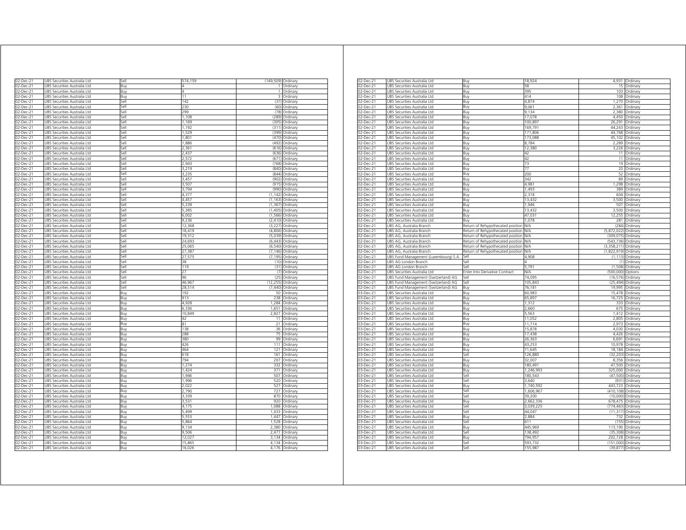| 02-Dec-21              | UBS Securities Australia Ltd                                 | sell         | 574,159          | (149,509) Ordinary |                                  |
|------------------------|--------------------------------------------------------------|--------------|------------------|--------------------|----------------------------------|
| 02-Dec-21              | UBS Securities Australia Ltd                                 | Buy          |                  | $\mathbf{1}$       | Ordinary                         |
| 02-Dec-21              | JBS Securities Australia Ltd                                 | Buy          |                  | 1                  | Ordinary                         |
| 02-Dec-21              | JBS Securities Australia Ltd                                 | Buy          | $\overline{11}$  | 3                  | Ordinary                         |
| 02-Dec-21              | UBS Securities Australia Ltd                                 | Sell         | 142              | (37)               | Ordinary                         |
| 02-Dec-21              | UBS Securities Australia Ltd                                 | Sell         | 230              | (60)               | Ordinary                         |
| 02-Dec-21              | UBS Securities Australia Ltd                                 | Sell         | 299              | (78)               | Ordinary                         |
| 02-Dec-21              | UBS Securities Australia Ltd                                 | Sell         | 1,108            | (289)              | Ordinary                         |
| 02-Dec-21              | UBS Securities Australia Ltd                                 | Sell         | 1,169            | (305)              | Ordinary                         |
| 02-Dec-21              | UBS Securities Australia Ltd                                 | Sell         | 1,192            |                    | (311) Ordinary                   |
| 02-Dec-21              | UBS Securities Australia Ltd                                 | Sell         | 1,529            | (399)              | Ordinary                         |
| 02-Dec-21              | UBS Securities Australia Ltd                                 | Sell         | 1,801            | (470)              | Ordinary                         |
| 02-Dec-21              | UBS Securities Australia Ltd                                 | Sell         | 1,886            | (492)              | Ordinary                         |
| 02-Dec-21              | JBS Securities Australia Ltd                                 | Sell         | 2.361            | (616)              | Ordinan                          |
| 02-Dec-21              | JBS Securities Australia Ltd                                 | Sell         | 2,437            | (636<br>(671)      | Ordinary                         |
| 02-Dec-21              | UBS Securities Australia Ltd                                 | Sell         | 2,572<br>2,943   |                    | Ordinary                         |
| 02-Dec-21              | UBS Securities Australia Ltd                                 | Sell         |                  | (768)              | Ordinary                         |
| 02-Dec-21<br>02-Dec-21 | UBS Securities Australia Ltd<br>UBS Securities Australia Ltd | Sell<br>iell | 3,219<br>3 2 3 5 | (844)              | (840) Ordinary                   |
| 02-Dec-21              | JBS Securities Australia Ltd                                 | iellء        | 3.457            | (902)              | Ordinary<br>Ordinary             |
| 02-Dec-21              | JBS Securities Australia Ltd                                 | sell         | 3,507            | (915               | Ordinary                         |
| 02-Dec-21              | JBS Securities Australia Ltd                                 | iellء        | 3.794            | 1990               | Ordinary                         |
| 02-Dec-21              | JBS Securities Australia Ltd                                 | sell         | 4,377            | (1, 142)           | Ordinary                         |
| 02-Dec-21              | JBS Securities Australia Ltd                                 | sell         | 4.457            | (1.163)            | Ordinary                         |
| 02-Dec-21              | JBS Securities Australia Ltd                                 | sell         | 5,239            | (1, 367)           | Ordinary                         |
| 02-Dec-21              | UBS Securities Australia Ltd                                 | Sell         | 5,385            | (1,405)            | Ordinary                         |
| 02-Dec-21              | UBS Securities Australia Ltd                                 | Sell         | 6,002            |                    | (1,566) Ordinary                 |
| 02-Dec-21              | UBS Securities Australia Ltd                                 | Sell         | 9,236            |                    | $(2,410)$ Ordinary               |
| 02-Dec-21              | UBS Securities Australia Ltd                                 | Sell         | 12,368           | (3,227)            | Ordinary                         |
| 02-Dec-21              | UBS Securities Australia Ltd                                 | Sell         | 18.419           |                    | (4,806) Ordinary                 |
| 02-Dec-21              | UBS Securities Australia Ltd                                 | Sell         | 19,312           | (5,039)            | Ordinary                         |
| 02-Dec-21              | UBS Securities Australia Ltd                                 | Sell         | 24.693           | (6.443)            | Ordinary                         |
| 02-Dec-21              | UBS Securities Australia Ltd                                 | sell         | 25,065           | (6, 540)           | Ordinary                         |
| 02-Dec-21              | UBS Securities Australia Ltd                                 | Sell         | 27,387           | (7, 146)           | Ordinary                         |
| 02-Dec-21              | UBS Securities Australia Ltd                                 | Sell         | 27,575           | (7, 195)           | Ordinary                         |
| 02-Dec-21              | UBS Securities Australia Ltd                                 | Sell         | 38               |                    | (10) Ordinary                    |
| 02-Dec-21              | UBS Securities Australia Ltd                                 | Sell         | 119              |                    | (31) Ordinary                    |
| 02-Dec-21              | UBS Securities Australia Ltd                                 | Sell         | 27               |                    | (7) Ordinary                     |
| 02-Dec-21              | UBS Securities Australia Ltd                                 | sell         | 96               | (25)               | Ordinary                         |
| 02-Dec-21              | UBS Securities Australia Ltd                                 | iell         | 46,967           | (12, 255)          | Ordinary                         |
| 02-Dec-21              | JBS Securities Australia Ltd                                 | sell         | 28,514           | (7, 440)           | Ordinary                         |
| 02-Dec-21              | JBS Securities Australia Ltd                                 | Buy          | 192              | 50                 | Ordinary                         |
| 02-Dec-21              | JBS Securities Australia Ltd                                 | Buy          | 913              | 238                | Ordinary                         |
| 02-Dec-21              | UBS Securities Australia Ltd                                 | Buy          | 4,928            | 1,284              | Ordinary                         |
| $02$ -Dec-21           | UBS Securities Australia Ltd                                 | Buy          | 6,336            | 1,651              | Ordinary                         |
| 02-Dec-21              | UBS Securities Australia Ltd                                 | Buy          | 10,849<br>42     |                    | 2,827 Ordinary                   |
| 02-Dec-21<br>02-Dec-21 | UBS Securities Australia Ltd<br>UBS Securities Australia Ltd | Buy<br>Buy   | 81               |                    | 11 Ordinary<br>21 Ordinary       |
| 02-Dec-21              | UBS Securities Australia Ltd                                 | Buy          | 138              |                    | 36 Ordinary                      |
| 02-Dec-21              | UBS Securities Australia Ltd                                 | Buy          | 288              | 75                 | Ordinary                         |
| 02-Dec-21              | UBS Securities Australia Ltd                                 | Buy          | 380              | 99                 | Ordinary                         |
| 02-Dec-21              | UBS Securities Australia Ltd                                 | Buy          | 426              | 111                | Ordinary                         |
| 02-Dec-21              | JBS Securities Australia Ltd                                 | Buy          | 464              | 121                | Ordinary                         |
| 02-Dec-21              | UBS Securities Australia Ltd                                 | Buy          | 618              | 161                | Ordinary                         |
| 02-Dec-21              | UBS Securities Australia Ltd                                 | Buy          | 794              | 207                | Ordinary                         |
| 02-Dec-21              | UBS Securities Australia Ltd                                 | Buy          | 1,274            | 332                | Ordinary                         |
| 02-Dec-21              | UBS Securities Australia Ltd                                 | Buy          | 1,424            | 371                | Ordinary                         |
| 02-Dec-21              | UBS Securities Australia Ltd                                 | Buy          | 1,946            | 507                | Ordinary                         |
| 02-Dec-21              | JBS Securities Australia Ltd                                 | Buy          | 1,996            | 520                | Ordinary                         |
| 02-Dec-21              | JBS Securities Australia Ltd                                 | Buy          | 2,022            | 527                | Ordinary                         |
| 02-Dec-21              | JBS Securities Australia Ltd                                 | Buy          | 790              | 727                | Ordinary                         |
| 02-Dec-21              | JBS Securities Australia Ltd                                 | Buy          | 3,339            | 870                | Ordinary                         |
| 02-Dec-21              | JBS Securities Australia Ltd                                 | Buy          | 3,531            | 920                | Ordinary                         |
| 02-Dec-21              | UBS Securities Australia Ltd                                 | Buy          | 4,175            | 1,088              | Ordinary                         |
| $02$ -Dec-21           | UBS Securities Australia Ltd                                 | Buy          | 5.499            | 1,433              | Ordinary                         |
| 02-Dec-21              | UBS Securities Australia Ltd                                 | Buy          | 5,553            | 1,447              | Ordinary                         |
| 02-Dec-21              | UBS Securities Australia Ltd                                 | Buv          | 5,864            |                    | 1,528 Ordinary                   |
| 02-Dec-21              | UBS Securities Australia Ltd                                 | Buy          | 9,134            | 2,380              | Ordinary                         |
| 02-Dec-21              | UBS Securities Australia Ltd                                 | Buv          | 9,506            | 2.477              | Ordinary                         |
|                        |                                                              |              |                  |                    |                                  |
| 02-Dec-21              | UBS Securities Australia Ltd                                 | Buy          | 12,027           | 3,134              | Ordinary                         |
| 02-Dec-21<br>02-Dec-21 | UBS Securities Australia Ltd<br>UBS Securities Australia Ltd | Buy<br>Buy   | 15,865<br>16,026 |                    | 4,134 Ordinary<br>4,176 Ordinary |

| 02-Dec-21    | JBS Securities Australia Ltd         | Buy                                   | 18.924     |                      | 4,931 Ordinary    |
|--------------|--------------------------------------|---------------------------------------|------------|----------------------|-------------------|
| 02-Dec-21    | UBS Securities Australia Ltd         | Buy                                   | 58         | 15                   | Ordinary          |
| 02-Dec-21    | UBS Securities Australia Ltd         | Buy                                   | 395        | 103                  | Ordinary          |
| 02-Dec-21    | UBS Securities Australia Ltd         | Buy                                   | 414        | 108                  | Ordinary          |
| 02-Dec-21    | UBS Securities Australia Ltd         | Buy                                   | 4,874      |                      | 1,270 Ordinary    |
| 02-Dec-21    | UBS Securities Australia Ltd         | Buy                                   | 9,061      |                      | 2,361 Ordinary    |
| 02-Dec-21    | UBS Securities Australia Ltd         | Buy                                   | 9,134      |                      | 2,380 Ordinary    |
| 02-Dec-21    | UBS Securities Australia Ltd         | Buy                                   | 17,078     | 4,450                | Ordinary          |
| 02-Dec-21    | UBS Securities Australia Ltd         | Buy                                   | 100.897    | 26.291               | Ordinan           |
| 02-Dec-21    | UBS Securities Australia Ltd         | Buv                                   | 169.791    | 44.243               | Ordinan           |
| 02-Dec-21    | JBS Securities Australia Ltd         | 3uy                                   | 171,806    | 44,768               | Ordinary          |
| 02-Dec-21    | UBS Securities Australia Ltd         | Buy                                   | 173,088    | 45,102               | Ordinary          |
| 02-Dec-21    | UBS Securities Australia Ltd         | Buy                                   | 8,784      |                      | 2,289 Ordinary    |
|              |                                      |                                       |            |                      |                   |
| 02-Dec-21    | JBS Securities Australia Ltd         | 3uy                                   | 12,380     | 226                  | Ordinary          |
| 02-Dec-21    | JBS Securities Australia Ltd         | Buy                                   | 42         | 11                   | Ordinary          |
| 02-Dec-21    | UBS Securities Australia Ltd         | Buy                                   | 42         | 11                   | Ordinary          |
| $02$ -Dec-21 | UBS Securities Australia Ltd         | Buy                                   | 73         | 19                   | Ordinary          |
| 02-Dec-21    | UBS Securities Australia Ltd         | Buy                                   | 77         |                      | 20 Ordinary       |
| 02-Dec-21    | UBS Securities Australia Ltd         | Buy                                   | 200        |                      | 52 Ordinary       |
| 02-Dec-21    | UBS Securities Australia Ltd         | Buy                                   | 342        |                      | 89 Ordinary       |
| 02-Dec-21    | UBS Securities Australia Ltd         | Buy                                   | 4,981      |                      | 1,298 Ordinary    |
| 02-Dec-21    | JBS Securities Australia Ltd         | Buy                                   | 1,493      | 389                  | Ordinary          |
| 02-Dec-21    | UBS Securities Australia Ltd         | Buy                                   | 2,318      |                      | 604 Ordinary      |
| 02-Dec-21    | UBS Securities Australia Ltd         | Buy                                   | 13,432     | 3,500                | Ordinary          |
|              |                                      |                                       | 1,946      |                      |                   |
| 02-Dec-21    | UBS Securities Australia Ltd         | Buy                                   |            |                      | 507 Ordinary      |
| 02-Dec-21    | UBS Securities Australia Ltd         | Buy                                   | 13,432     | 3,500                | Ordinary          |
| 02-Dec-21    | UBS Securities Australia Ltd         | 3uv                                   | 47,031     | 12,255               | Ordinary          |
| 02-Dec-21    | UBS Securities Australia Ltd         | Buy                                   | 1.078      | 281                  | Ordinary          |
| 02-Dec-21    | UBS AG, Australia Branch             | Return of Rehypothecated position     | <b>N/A</b> | (284)                | Ordinary          |
| 02-Dec-21    | UBS AG, Australia Branch             | Return of Rehypothecated position N/A |            | (5,872,022)          | Ordinary          |
| 02-Dec-21    | UBS AG, Australia Branch             | Return of Rehypothecated position N/A |            | (309,075) Ordinary   |                   |
| 02-Dec-21    | UBS AG, Australia Branch             | Return of Rehypothecated position     | <b>N/A</b> | (543,736) Ordinary   |                   |
| 02-Dec-21    | UBS AG, Australia Branch             | Return of Rehypothecated position     | N/A        | (3,358,211)          | Ordinary          |
| 02-Dec-21    | UBS AG, Australia Branch             | Return of Rehypothecated position     | N/A        | (1,822,919) Ordinary |                   |
| $02$ -Dec-21 |                                      | Sell                                  | 4.908      | (1.113)              |                   |
|              | UBS Fund Management (Luxembourg) S.A | Sell                                  |            | (1)                  | Ordinary          |
| 02-Dec-21    | UBS AG London Branch                 |                                       |            |                      | Ordinary          |
| 02-Dec-21    | UBS AG London Branch                 | Sell                                  | 5,791      | (1.508)              | Ordinary          |
| 02-Dec-21    | UBS Securities Australia Ltd         | Enter Into Derivative Contract        | N/A        | (500,000) Options    |                   |
| 02-Dec-21    | UBS Fund Management (Switzerland) AG | Sell                                  | 74,095     | (16.576)             | Ordinary          |
| 02-Dec-21    | JBS Fund Management (Switzerland) AG | Sell                                  | 105,843    | (25, 494)            | Ordinary          |
| 02-Dec-21    | UBS Fund Management (Switzerland) AG | Buy                                   | 76,181     | 19,995               | Ordinary          |
| $03$ -Dec-21 | UBS Securities Australia Ltd         | Buy                                   | 60,983     | 15,478               | Ordinary          |
| 03-Dec-21    | UBS Securities Australia Ltd         | Buy                                   | 65,897     |                      | 16,725 Ordinary   |
| 03-Dec-21    | UBS Securities Australia Ltd         | Buy                                   | 1,312      |                      | 333 Ordinary      |
| 03-Dec-21    | UBS Securities Australia Ltd         | Buy                                   | 2,660      | 675                  | Ordinary          |
| 03-Dec-21    | UBS Securities Australia Ltd         | Buv                                   | 5.563      |                      | 1,412 Ordinary    |
|              | JBS Securities Australia Ltd         |                                       | 11,052     | 2,805                |                   |
| 03-Dec-21    |                                      | 3uy                                   |            |                      | Ordinary          |
| 03-Dec-21    | UBS Securities Australia Ltd         | Buy                                   | 11,714     |                      | 2,973 Ordinary    |
| 03-Dec-21    | UBS Securities Australia Ltd         | Buy                                   | 15,878     |                      | 4,030 Ordinary    |
| 03-Dec-21    | UBS Securities Australia Ltd         | Buy                                   | 17,438     |                      | 4,426 Ordinary    |
| 03-Dec-21    | UBS Securities Australia Ltd         | Buy                                   | 26,363     |                      | 6,691 Ordinary    |
| 03-Dec-21    | UBS Securities Australia Ltd         | 3uv                                   | 43,253     | 10,978               | Ordinary          |
| 03-Dec-21    | UBS Securities Australia Ltd         | Buy                                   | 71.645     |                      | 18,184 Ordinary   |
| 03-Dec-21    | UBS Securities Australia Ltd         | Sell                                  | 126,880    | (32, 203)            | Ordinary          |
| 03-Dec-21    | UBS Securities Australia Ltd         | Buy                                   | 32,007     |                      | 8,356 Ordinary    |
| 03-Dec-21    | UBS Securities Australia Ltd         | Buy                                   | 180,491    |                      | 47,500 Ordinary   |
| 03-Dec-21    | UBS Securities Australia Ltd         | Buy                                   | 1,246,993  | 325,000 Ordinary     |                   |
| 03-Dec-21    | UBS Securities Australia Ltd         | Sell                                  | 180,543    | (47, 500)            | Ordinary          |
|              |                                      |                                       |            |                      |                   |
| 03-Dec-21    | UBS Securities Australia Ltd         | Sell                                  | 3.640      | (931)                | Ordinary          |
| 03-Dec-21    | UBS Securities Australia Ltd         | Buy                                   | 1.740.592  | 443.723              | Ordinary          |
| 03-Dec-21    | UBS Securities Australia Ltd         | Sell                                  | 1,606,967  | (410, 108)           | Ordinary          |
| 03-Dec-21    | UBS Securities Australia Ltd         | Sell                                  | 39,200     | (10.000)             | Ordinary          |
| 03-Dec-21    | UBS Securities Australia Ltd         | Buy                                   | 2,662,336  | 678,475 Ordinary     |                   |
| 03-Dec-21    | UBS Securities Australia Ltd         | Sell                                  | 3,039,225  | (774,463)            | Ordinary          |
| 03-Dec-21    | JBS Securities Australia Ltd         | Sell                                  | 44,047     | (11, 317)            | Ordinary          |
| 03-Dec-21    | UBS Securities Australia Ltd         | Buy                                   | .884       | 732                  | Ordinary          |
| $03$ -Dec-21 | UBS Securities Australia Ltd         | Sell                                  | 611        | (155)                | Ordinary          |
|              |                                      |                                       |            | 113,190 Ordinary     |                   |
| 03-Dec-21    | UBS Securities Australia Ltd         | Buy                                   | 445,969    |                      |                   |
| 03-Dec-21    | UBS Securities Australia Ltd         | Sell                                  | 138,492    | (35, 308)            | Ordinan           |
| 03-Dec-21    | UBS Securities Australia Ltd         | Buy                                   | 794.957    | 202,728 Ordinary     |                   |
| 03-Dec-21    | UBS Securities Australia Ltd         | Sell                                  | 593.732    | (151,000) Ordinary   |                   |
| 03-Dec-21    | UBS Securities Australia Ltd         | Sell                                  | 155,987    |                      | (39,877) Ordinary |
|              |                                      |                                       |            |                      |                   |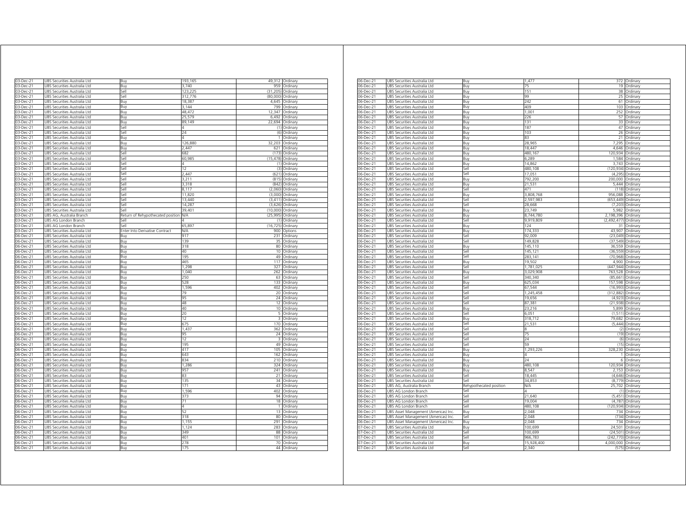| 03-Dec-21    | UBS Securities Australia Ltd | Buy                               | 193,165    |                 | 49,312 Ordinary         |
|--------------|------------------------------|-----------------------------------|------------|-----------------|-------------------------|
| 03-Dec-21    | UBS Securities Australia Ltd | Buy                               | 3,740      | 959             | Ordinary                |
| 03-Dec-21    | UBS Securities Australia Ltd | Sell                              | 123,225    | (31, 205)       | Ordinary                |
| 03-Dec-21    | UBS Securities Australia Ltd | Sell                              | 312,776    | (80,000)        | Ordinary                |
| 03-Dec-21    | UBS Securities Australia Ltd | Buy                               | 18,387     | 4,645           | Ordinary                |
| 03-Dec-21    | UBS Securities Australia Ltd | Buy                               | 3,144      | 799             | Ordinary                |
| 03-Dec-21    | UBS Securities Australia Ltd | Buy                               | 48,472     | 12,347          | Ordinary                |
| 03-Dec-21    | JBS Securities Australia Ltd | Buy                               | 25,579     | 6.492           | Ordinary                |
| 03-Dec-21    | JBS Securities Australia Ltd | Buy                               | 89.149     | 22.694          | Ordinary                |
| 03-Dec-21    | UBS Securities Australia Ltd | Sell                              | 4          | (1)             | Ordinary                |
| 03-Dec-21    | JBS Securities Australia Ltd | Sell                              | 24         | (6)             | Ordinary                |
| 03-Dec-21    | JBS Securities Australia Ltd | Buy                               | Δ          | 1               | Ordinary                |
| 03-Dec-21    | UBS Securities Australia Ltd | Buy                               | 126,880    | 32,203          | Ordinary                |
| 03-Dec-21    | UBS Securities Australia Ltd | Buy                               | 2,447      | 621             | Ordinary                |
| 03-Dec-21    | UBS Securities Australia Ltd | Sell                              | 682        | (173)           | Ordinary                |
| 03-Dec-21    | UBS Securities Australia Ltd | Sell                              | 60,985     |                 | (15,478) Ordinary       |
| 03-Dec-2     | JBS Securities Australia Ltd | sell                              | 4          | (1)             | Ordinary                |
| 03-Dec-21    | JBS Securities Australia Ltd | iell                              | 12         | (3)             | Ordinary                |
| 03-Dec-21    | JBS Securities Australia Ltd | iell                              | 2.447      | (621)           | Ordinary                |
| 03-Dec-21    | JBS Securities Australia Ltd | sell                              | 3,211      | (815)           | Ordinary                |
| 03-Dec-21    | JBS Securities Australia Ltd | Sell                              | 3,318      | (842)           | Ordinary                |
| 03-Dec-21    | JBS Securities Australia Ltd | sell                              | 8.117      | (2.060)         | Ordinary                |
| 03-Dec-21    | JBS Securities Australia Ltd | sell                              | 11,820     | (3,000)         | Ordinary                |
| 03-Dec-21    | UBS Securities Australia Ltd | Sell                              | 13,440     |                 | (3,411) Ordinary        |
| 03-Dec-21    |                              | Sell                              |            |                 |                         |
|              | JBS Securities Australia Ltd |                                   | 14,287     | (3,626)         | Ordinary                |
| 03-Dec-21    | UBS Securities Australia Ltd | Sell                              | 39,401     | (10,000)        | Ordinary                |
| 03-Dec-21    | UBS AG, Australia Branch     | Return of Rehypothecated position | ΝA.        | (25,995)        | Ordinary                |
| 03-Dec-21    | UBS AG London Branch         | Sell                              | Δ          | (1)             | Ordinary                |
| 03-Dec-21    | UBS AG London Branch         | Sell                              | 65,897     | (16, 725)       | Ordinary                |
| 03-Dec-21    | UBS Securities Australia Ltd | Enter Into Derivative Contract    | <b>N/A</b> |                 | 900 Options             |
| 06-Dec-21    | UBS Securities Australia Ltd | Buv                               | 917        | 231             | Ordinary                |
| 06-Dec-21    | UBS Securities Australia Ltd | Buy                               | 139        | 35              | Ordinary                |
| 06-Dec-21    | UBS Securities Australia Ltd | Buy                               | 318        | 80              | Ordinary                |
| 06-Dec-21    | JBS Securities Australia Ltd | Buy                               | 40         | 10 <sup>1</sup> | Ordinary                |
| 06-Dec-21    | JBS Securities Australia Ltd | Buy                               | 195        | 49              | Ordinary                |
| 06-Dec-21    | UBS Securities Australia Ltd | Buy                               | 465        | 117             | Ordinary                |
| 06-Dec-21    | JBS Securities Australia Ltd | Buy                               | 1.298      | 327             | Ordinary                |
| 06-Dec-21    | UBS Securities Australia Ltd | Buy                               | 1,040      | 262             | Ordinary                |
| 06-Dec-21    | JBS Securities Australia Ltd | Buy                               | 250        | 63              | Ordinary                |
| 06-Dec-21    | JBS Securities Australia Ltd | Buy                               | 528        | 133             | Ordinary                |
| 06-Dec-21    | UBS Securities Australia Ltd | Buy                               | 1,596      | 402             | Ordinary                |
| 06-Dec-21    | UBS Securities Australia Ltd | Buy                               | 79         | 20              | Ordinary                |
| 06-Dec-21    | UBS Securities Australia Ltd | Buy                               | 95         | 24              | Ordinary                |
| 06-Dec-21    | UBS Securities Australia Ltd | Buy                               | 48         | 12              | Ordinary                |
| 06-Dec-21    | UBS Securities Australia Ltd |                                   | 40         | 10              |                         |
| 06-Dec-21    | JBS Securities Australia Ltd | Buy                               | 20         | 5               | Ordinary                |
|              |                              | Buy                               |            |                 | Ordinary                |
| 16-Dec-21    | JBS Securities Australia Ltd | 3uy                               | 12         | 3               | Ordinary                |
| 06-Dec-21    | JBS Securities Australia Ltd | Buy                               | 675        | 170             | Ordinary                |
| 06-Dec-21    | JBS Securities Australia Ltd | Buy                               | 1,437      | 362             | Ordinary                |
| 06-Dec-21    | JBS Securities Australia Ltd | Buv                               | 95         | 24              | Ordinary                |
| 06-Dec-21    | JBS Securities Australia Ltd | Buv                               | 12         | 3               | Ordinary                |
| 06-Dec-21    | JBS Securities Australia Ltd | Buy                               | 195        | 49              | Ordinary                |
| 06-Dec-21    | JBS Securities Australia Ltd | Buy                               | 417        | 105             | Ordinary                |
| 06-Dec-21    | JBS Securities Australia Ltd | Buy                               | 643        | 162             | Ordinary                |
| 06-Dec-21    | UBS Securities Australia Ltd | Buy                               | 834        | 210             | Ordinary                |
| 06-Dec-21    | UBS Securities Australia Ltd | Buy                               | 1,286      | 324             | Ordinary                |
| 06-Dec-21    | UBS Securities Australia Ltd | Buy                               | 957        | 241             | Ordinary                |
| 06-Dec-21    | UBS Securities Australia Ltd | Buy                               | 83         | 21              | Ordinary                |
| 06-Dec-21    | UBS Securities Australia Ltd | Buv                               | 135        | 34              | Ordinary                |
| 06-Dec-21    | UBS Securities Australia Ltd | Buy                               | 171        | 43              | Ordinary                |
| $06$ -Dec-21 | UBS Securities Australia Ltd | Buy                               | 1.596      | 402             | Ordinary                |
| 06-Dec-21    | UBS Securities Australia Ltd | Buy                               | 373        |                 | 94 Ordinary             |
| 06-Dec-21    | UBS Securities Australia Ltd | Buy                               | 71         |                 | 18 Ordinary             |
| 06-Dec-21    | UBS Securities Australia Ltd | Buy                               | 4          | $\overline{1}$  | Ordinary                |
| 06-Dec-21    | UBS Securities Australia Ltd | Buy                               | 52         | 13              | Ordinary                |
| 06-Dec-21    | UBS Securities Australia Ltd | Buy                               | 318        | 80              | Ordinary                |
| 06-Dec-21    | UBS Securities Australia Ltd | Buy                               | 1.155      | 291             | Ordinary                |
| 06-Dec-21    | JBS Securities Australia Ltd | Buy                               | 1,124      | 283             | Ordinary                |
| 06-Dec-21    | JBS Securities Australia Ltd |                                   | 349        | 88              |                         |
|              |                              | Buy                               | 401        |                 | Ordinary                |
| 06-Dec-21    | UBS Securities Australia Ltd | Buy                               | 278        | 101             | Ordinary                |
| $06$ -Dec-21 | UBS Securities Australia Ltd | Buy                               |            | 70              | Ordinary<br>44 Ordinary |
| 06-Dec-21    | UBS Securities Australia Ltd | Buy                               | 175        |                 |                         |

| 06-Dec-21              | UBS Securities Australia Ltd                                 | Buy                     | 1,477              |                       | 372 Ordinary         |
|------------------------|--------------------------------------------------------------|-------------------------|--------------------|-----------------------|----------------------|
| 06-Dec-21              | UBS Securities Australia Ltd                                 | Buy                     | 75                 |                       | 19 Ordinary          |
| 06-Dec-21              | UBS Securities Australia Ltd                                 | Buy                     | 151                | 38                    | Ordinary             |
| 06-Dec-21              | UBS Securities Australia Ltd                                 | Buy                     | 99                 | 25                    | Ordinary             |
| 06-Dec-21              | UBS Securities Australia Ltd                                 | Buy                     | 242                | 61                    | Ordinary             |
| 06-Dec-21              | UBS Securities Australia Ltd                                 | Buy                     | 409                | 103                   | Ordinary             |
| 06-Dec-21              | UBS Securities Australia Ltd                                 | Buy                     | 1,001              | 252                   | Ordinary             |
| 06-Dec-21              | UBS Securities Australia Ltd                                 | Buy                     | 226                | 57                    | Ordinary             |
| $06$ -Dec-21           | UBS Securities Australia Ltd                                 | Buy                     | 131                | 33                    | Ordinary             |
| 06-Dec-21              | UBS Securities Australia Ltd                                 | Buy                     | 187                | 47                    | Ordinary             |
| 06-Dec-21              | UBS Securities Australia Ltd                                 | Buy                     | 103                | 26                    | Ordinary             |
| 06-Dec-21              | JBS Securities Australia Ltd                                 | Buy                     | 83                 | 21                    | Ordinary             |
| 06-Dec-21              | UBS Securities Australia Ltd                                 | Buy                     | 28,965<br>18.447   | 7,295                 | Ordinary             |
| 06-Dec-21              | UBS Securities Australia Ltd                                 | Buy                     |                    | 4,646                 | Ordinary             |
| 06-Dec-21              | JBS Securities Australia Ltd                                 | Buy                     | 480,167            | 120,934               | Ordinary             |
| 06-Dec-21              | JBS Securities Australia Ltd                                 | Buy                     | 6,289              | 1,584                 | Ordinary             |
| 06-Dec-21              | JBS Securities Australia Ltd                                 | Buy                     | 14.862             | 3,743                 | Ordinary             |
| 06-Dec-21              | JBS Securities Australia Ltd                                 | Sell                    | 480,108            | (120, 934)            | Ordinary             |
| 06-Dec-21              | UBS Securities Australia Ltd                                 | Sell                    | 17,051             | (4, 295)              | Ordinary             |
| 06-Dec-21              | UBS Securities Australia Ltd                                 | Buy                     | 792,200            | 200,000               | Ordinary             |
| 06-Dec-21              | UBS Securities Australia Ltd                                 | Ruv                     | 21,531             | 5.444                 | Ordinary             |
| 06-Dec-21              | JBS Securities Australia Ltd                                 | Sell                    | 471                | (118)                 | Ordinary             |
| 06-Dec-21              | JBS Securities Australia Ltd                                 | Buy                     | 3,808,768          | 956,088               | Ordinary             |
| 06-Dec-21              | JBS Securities Australia Ltd                                 | Sell                    | 2,597,983          | (653, 449)<br>(7.203) | Ordinary             |
| 06-Dec-21              | JBS Securities Australia Ltd                                 | Sell                    | 28,668             |                       | Ordinary             |
| 06-Dec-21              | UBS Securities Australia Ltd                                 | Buy                     | 23,749             | 5,982                 | Ordinary             |
| 06-Dec-21              | UBS Securities Australia Ltd                                 | Buy                     | 8,744,780          | 2,198,396             | Ordinary             |
| 06-Dec-21              | UBS Securities Australia Ltd                                 | Sell                    | 9,919,809          | (2, 492, 477)         | Ordinary             |
| 06-Dec-21              | JBS Securities Australia Ltd                                 | Buy                     | 124                | 31                    | Ordinary             |
| 06-Dec-21              | UBS Securities Australia Ltd                                 | Buy                     | 174,333            | 43,907                | Ordinary             |
| 06-Dec-21              | UBS Securities Australia Ltd                                 | Sell                    | 92,009             | (23, 049)             | Ordinary             |
| 06-Dec-21              | UBS Securities Australia Ltd                                 | Sell                    | 149,828            | (37, 549)             | Ordinary             |
| 06-Dec-21              | UBS Securities Australia Ltd                                 | Buy                     | 145,110            | 36.559                | Ordinary             |
| 06-Dec-21<br>06-Dec-21 | UBS Securities Australia Ltd<br>JBS Securities Australia Ltd | Sell<br>Sell            | 145,121<br>283.141 | (36, 559)<br>(70.968) | Ordinary<br>Ordinary |
| 06-Dec-21              | JBS Securities Australia Ltd                                 | Buv                     | 19.502             | 4.900                 |                      |
| 06-Dec-21              | JBS Securities Australia Ltd                                 | Sell                    | 1,781,025          | (447, 944)            | Ordinary             |
| 06-Dec-21              | UBS Securities Australia Ltd                                 | Buy                     | 3,029,908          | 763,528               | Ordinary             |
| 06-Dec-21              | UBS Securities Australia Ltd                                 | Sell                    | 340,340            | (85, 661)             | Ordinary<br>Ordinary |
| 06-Dec-21              | JBS Securities Australia Ltd                                 | Buy                     | 625,034            | 157.598               | Ordinary             |
| 06-Dec-21              | JBS Securities Australia Ltd                                 | Sell                    | 67,544             | (16, 993)             | Ordinary             |
| 06-Dec-21              | JBS Securities Australia Ltd                                 | Sell                    | 1,245,458          | 312,882               | Ordinary             |
| 06-Dec-21              | UBS Securities Australia Ltd                                 | Sell                    | 19,656             | (4,923)               | Ordinary             |
| 06-Dec-21              | UBS Securities Australia Ltd                                 | Sell                    | 87,381             | (21, 938)             | Ordinary             |
| 06-Dec-21              | UBS Securities Australia Ltd                                 | Buy                     | 23,216             | 5,899                 | Ordinary             |
| 06-Dec-21              | JBS Securities Australia Ltd                                 | Sell                    | 6,051              | (1, 511)              | Ordinary             |
| 06-Dec-21              | JBS Securities Australia Ltd                                 | Buy                     | 318,712            | 79,682                | Ordinary             |
| 06-Dec-21              | JBS Securities Australia Ltd                                 | Sell                    | 21,531             | (5.444)               | Ordinary             |
| 06-Dec-21              | JBS Securities Australia Ltd                                 | Sell                    |                    | (2)                   | Ordinary             |
| 06-Dec-21              | UBS Securities Australia Ltd                                 | Sell                    | 75                 | (19)                  | Ordinary             |
| 06-Dec-21              | UBS Securities Australia Ltd                                 | Sell                    | 24                 |                       | (6) Ordinary         |
| 06-Dec-21              | UBS Securities Australia Ltd                                 | Sell                    | 59                 | (15)                  | Ordinary             |
| 06-Dec-21              | JBS Securities Australia Ltd                                 | Buy                     | 1,293,226          | 328,230               | Ordinary             |
| $06 - Dec-21$          | UBS Securities Australia Ltd                                 | Buy                     | 4                  | 1                     | Ordinary             |
| 06-Dec-21              | UBS Securities Australia Ltd                                 | Buy                     | 24                 | 6                     | Ordinary             |
| 06-Dec-21              | UBS Securities Australia Ltd                                 | Buy                     | 480,108            | 120,934               | Ordinary             |
| 06-Dec-21              | UBS Securities Australia Ltd                                 | Buy                     | 8,547              | 2,153                 | Ordinary             |
| 06-Dec-21              | UBS Securities Australia Ltd                                 | Sell                    | 18,445             | (4, 646)              | Ordinary             |
| 06-Dec-21              | UBS Securities Australia Ltd                                 | Sell                    | 34,853             | (8.779)               | Ordinary             |
| 06-Dec-21              | UBS AG, Australia Branch                                     | Rehypothecated position | NΆ                 | 25,702                | Ordinary             |
| 06-Dec-21              | UBS AG London Branch                                         | Sell                    |                    | (1)                   | Ordinarv             |
| 06-Dec-21              | UBS AG London Branch                                         | Sell                    | 21,640             | (5, 451)              | Ordinary             |
| 06-Dec-21              | UBS AG London Branch                                         | Sell                    | 19,004             | (4,787)               | Ordinary             |
| 06-Dec-21              | UBS AG London Branch                                         | Sell                    | 480,108            | (120, 934)            | Ordinary             |
| 06-Dec-21              | JBS Asset Management (Americas) Inc                          | Buy                     | 2,048              | 734                   | Ordinary             |
| 06-Dec-21              | JBS Asset Management (Americas) Inc.                         | Sell                    | 2.048              | (734)                 | Ordinary             |
| 06-Dec-21              | JBS Asset Management (Americas) Inc.                         | Buy                     | :048               | 734                   | Ordinary             |
| 07-Dec-21              | UBS Securities Australia Ltd                                 | Buy                     | 100,699            | 24,501                | Ordinary             |
| 07-Dec-21              | UBS Securities Australia Ltd                                 | Sell                    | 100,699            | (24, 501)             | Ordinary             |
| 07-Dec-21              | JBS Securities Australia Ltd                                 | Sell                    | 966,783            | (242, 770)            | Ordinary             |
| 07-Dec-21              | JBS Securities Australia Ltd                                 | Buv                     | 15.928.400         | 4,000,000 Ordinary    |                      |
|                        | JBS Securities Australia Ltd                                 | Sell                    | 2,340              |                       | (575) Ordinary       |
| 07-Dec-21              |                                                              |                         |                    |                       |                      |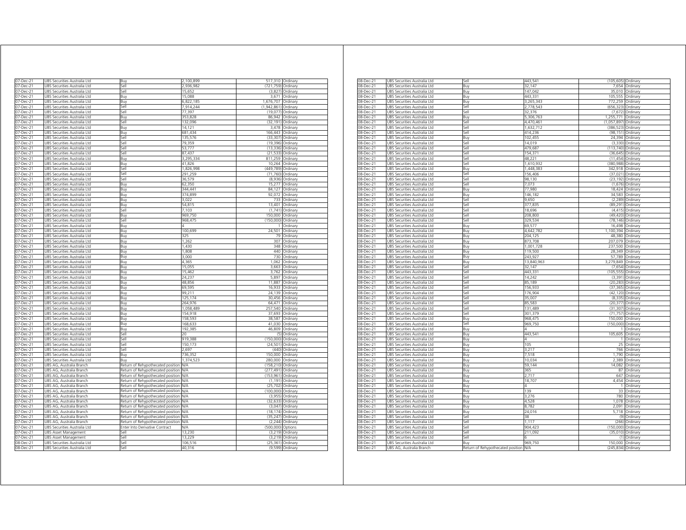| 07-Dec-21                 | UBS Securities Australia Ltd                                 | Buy                               | 2,100,899          | 517,310 Ordinary       |                      |
|---------------------------|--------------------------------------------------------------|-----------------------------------|--------------------|------------------------|----------------------|
| 07-Dec-21                 | UBS Securities Australia Ltd                                 | Sell                              | 2.936.982          | (721.759)              | Ordinary             |
| 07-Dec-21                 | UBS Securities Australia Ltd                                 | Sell                              | 15,652             | (3,827)                | Ordinary             |
| 07-Dec-21                 | UBS Securities Australia Ltd                                 | Buy                               | 15,088             | 3,671                  | Ordinary             |
| 07-Dec-21                 | UBS Securities Australia Ltd                                 | Buy                               | 6,822,185          | 1,676,707              | Ordinary             |
| 07-Dec-21                 | UBS Securities Australia Ltd                                 | Sell                              | 7,914,244          | (1,942,861)            | Ordinary             |
| 07-Dec-21                 | UBS Securities Australia Ltd                                 | Sell                              | 77,397             |                        | (19,077) Ordinary    |
| 07-Dec-21                 | UBS Securities Australia Ltd                                 | Buv                               | 353,828            | 86,942                 | Ordinary             |
| 07-Dec-21                 | UBS Securities Australia Ltd                                 | Sell                              | 132,096            | (32, 191)              | Ordinary             |
| 07-Dec-21                 | UBS Securities Australia Ltd                                 | Buy                               | 14,121             | 3,478                  | Ordinary             |
| 07-Dec-21                 | UBS Securities Australia Ltd                                 | Buy                               | 681,434            | 166,443                | Ordinary             |
| 07-Dec-21                 | UBS Securities Australia Ltd                                 | Sell                              | 135,576            | (33, 307)              | Ordinary             |
| 07-Dec-21                 | UBS Securities Australia Ltd                                 | iell<br>iellء                     | 79,359             | (19, 396)              | Ordinary             |
| 07-Dec-21<br>07-Dec-21    | UBS Securities Australia Ltd<br>JBS Securities Australia Ltd | sell                              | 53,777<br>87,437   | (13, 336)<br>(21, 533) | Ordinary<br>Ordinary |
| 07-Dec-21                 | JBS Securities Australia Ltd                                 |                                   | 3,295,334          | 811,259                | Ordinary             |
| 07-Dec-21                 | JBS Securities Australia Ltd                                 | Buy<br>Buv                        | 41.826             | 10.264                 | Ordinary             |
| 07-Dec-21                 | UBS Securities Australia Ltd                                 | Sell                              | 1,826,998          | (449, 789)             | Ordinary             |
|                           |                                                              |                                   |                    |                        |                      |
| 07-Dec-21                 | UBS Securities Australia Ltd                                 | Sell                              | 291,259            | (71, 760)              | Ordinary             |
| 07-Dec-21                 | UBS Securities Australia Ltd                                 | Sell                              | 36,579             | (8,936)                | Ordinary             |
| 07-Dec-21                 | UBS Securities Australia Ltd                                 | Buy                               | 62,350             | 15,277                 | Ordinary             |
| 07-Dec-21<br>$07$ -Dec-21 | UBS Securities Australia Ltd<br>UBS Securities Australia Ltd | Buy<br>Buy                        | 344,441<br>374,899 | 84,127<br>92,072       | Ordinary<br>Ordinary |
| 07-Dec-21                 | UBS Securities Australia Ltd                                 | Buy                               | 3,022              | 733                    | Ordinary             |
| 07-Dec-21                 | UBS Securities Australia Ltd                                 | Buy                               | 54,815             | 13,401                 | Ordinary             |
| 07-Dec-21                 | UBS Securities Australia Ltd                                 | Sell                              | 7.103              |                        | (1,741) Ordinary     |
| 07-Dec-21                 | UBS Securities Australia Ltd                                 | Buy                               | 969,750            |                        | 150,000 Ordinary     |
| 07-Dec-21                 | UBS Securities Australia Ltd                                 | Sell                              | 968,475            | (150,000) Ordinary     |                      |
| 07-Dec-21                 | UBS Securities Australia Ltd                                 | Buy                               | 4                  |                        | Ordinary             |
| 07-Dec-21                 | UBS Securities Australia Ltd                                 | Buy                               | 100,699            | 24,501                 | Ordinary             |
| 07-Dec-21                 | UBS Securities Australia Ltd                                 | Buy                               | 325                | 79                     | Ordinary             |
| 07-Dec-21                 | JBS Securities Australia Ltd                                 | Buy                               | 1,262              | 307                    | Ordinary             |
| 07-Dec-21                 | <b>JBS Securities Australia Ltd</b>                          | Buy                               | 1.430              | 348                    | Ordinary             |
| 07-Dec-21                 | JBS Securities Australia Ltd                                 | Buy                               | 1,808              | 440                    | Ordinary             |
| 07-Dec-21                 | UBS Securities Australia Ltd                                 | Buy                               | 3.000              | 730                    | Ordinary             |
| 07-Dec-21                 | UBS Securities Australia Ltd                                 | Buv                               | 4.365              | 1.062                  | Ordinary             |
| 07-Dec-21                 | JBS Securities Australia Ltd                                 | Buy                               | 15.055             | 3,663                  | Ordinary             |
| 07-Dec-21                 | UBS Securities Australia Ltd                                 | Buy                               | 15,462             | 3,762                  | Ordinary             |
| 07-Dec-21                 | UBS Securities Australia Ltd                                 | Buy                               | 24,237             | 5,897                  | Ordinarv             |
| 07-Dec-21                 | UBS Securities Australia Ltd                                 | Buy                               | 48,856             | 11,887                 | Ordinary             |
| 07-Dec-21                 | UBS Securities Australia Ltd                                 | Buy                               | 69,595             | 16,933                 | Ordinary             |
| 07-Dec-21                 | UBS Securities Australia Ltd                                 | Buy                               | 99,211             | 24,139                 | Ordinary             |
| 07-Dec-21                 | UBS Securities Australia Ltd                                 | Buy                               | 125,174            | 30,456                 | Ordinary             |
| 07-Dec-21                 | JBS Securities Australia Ltd                                 | Buy                               | 264,976            | 64,471                 | Ordinarv             |
| 07-Dec-21                 | JBS Securities Australia Ltd                                 | Buy                               | 1 058 489          | 257.540                | Ordinary             |
| 07-Dec-21                 | JBS Securities Australia Ltd                                 | Buv                               | 154 918            | 37,693                 | Ordinary             |
| 07-Dec-21                 | JBS Securities Australia Ltd                                 | Buy                               | 158,593            | 38,587                 | Ordinary             |
| 07-Dec-21                 | JBS Securities Australia Ltd                                 | Βuγ                               | 168.633            | 41.030                 | Ordinary             |
| 07-Dec-21                 | JBS Securities Australia Ltd                                 | Buv                               | 192,385            | 46.809                 | Ordinary             |
| 07-Dec-21                 | JBS Securities Australia Ltd                                 | iell                              | 20                 | (5)                    | Ordinary             |
| 07-Dec-21                 | JBS Securities Australia Ltd                                 | sell                              | 919.388            | (150.000)              | Ordinary             |
| 07-Dec-21                 | JBS Securities Australia Ltd                                 | Sell                              | 150,173            | (24, 501)              | Ordinary             |
| 07-Dec-21                 | UBS Securities Australia Ltd                                 | Sell                              | 2,697              | (440)                  | Ordinary             |
| 07-Dec-21                 | UBS Securities Australia Ltd                                 | Buy                               | 736,352            | 150,000                | Ordinary             |
| 07-Dec-21                 | UBS Securities Australia Ltd                                 | Buy                               | 1,374,523          | 280,000                | Ordinary             |
| 07-Dec-21                 | UBS AG, Australia Branch                                     | Return of Rehypothecated position | <b>N/A</b>         | (158, 210)             | Ordinary             |
| 07-Dec-21                 | UBS AG, Australia Branch                                     | Return of Rehypothecated position | ΝA                 | (277,491) Ordinary     |                      |
| 07-Dec-21                 | UBS AG, Australia Branch                                     | Return of Rehypothecated positior | <b>N/A</b>         | (153, 961)             | Ordinary             |
| 07-Dec-21                 | UBS AG, Australia Branch                                     | Return of Rehypothecated positior | <b>N/A</b>         |                        | (1,191) Ordinary     |
| 07-Dec-21                 | UBS AG, Australia Branch                                     | Return of Rehypothecated positior | N/A                | (25, 702)              | Ordinary             |
| 07-Dec-21                 | UBS AG, Australia Branch                                     | Return of Rehypothecated position | N/A                | (100,000)              | Ordinary             |
| 07-Dec-21                 | UBS AG, Australia Branch                                     | Return of Rehypothecated positior | <b>N/A</b>         | (3,955)                | Ordinary             |
| 07-Dec-21                 | UBS AG, Australia Branch                                     | Return of Rehypothecated positior | N/A                | (32, 633)              | Ordinary             |
| 07-Dec-21                 | UBS AG, Australia Branch                                     | Return of Rehypothecated positior | N/A                | (3,047)                | Ordinary             |
| 07-Dec-21                 | UBS AG, Australia Branch                                     | Return of Rehypothecated positior | <b>N/A</b>         | (18, 174)              | Ordinary             |
| 07-Dec-21                 | UBS AG, Australia Branch                                     | Return of Rehypothecated position | N/A                | (35, 247)              | Ordinary             |
| 07-Dec-21                 | UBS AG, Australia Branch                                     | Return of Rehypothecated positior | <b>N/A</b>         | (2.244)                | Ordinary             |
| 07-Dec-21                 | UBS Securities Australia Ltd                                 | Enter Into Derivative Contract    | N/A                | (500,000)              | Options              |
| 07-Dec-21                 | UBS Asset Management                                         | Sell                              | 13,230             | (3, 219)               | Ordinary             |
| 07-Dec-21                 | UBS Asset Management                                         | Sell                              | 13,229             |                        | $(3,219)$ Ordinary   |
| 08-Dec-21                 | UBS Securities Australia Ltd                                 | Sell                              | 106,516            |                        | (25,361) Ordinary    |
| 08-Dec-21                 | UBS Securities Australia Ltd                                 | Sell                              | 40,316             |                        | (9,599) Ordinary     |
|                           |                                                              |                                   |                    |                        |                      |

| 08-Dec-21 | JBS Securities Australia Ltd | sell                                  | 443.541    | (105,605) Ordinary |          |
|-----------|------------------------------|---------------------------------------|------------|--------------------|----------|
| 08-Dec-21 | UBS Securities Australia Ltd | 3uy                                   | 32.147     | 7654               | Ordinary |
| 08-Dec-21 | UBS Securities Australia Ltd | Buy                                   | 147.042    | 35.010             | Ordinary |
| 08-Dec-21 | UBS Securities Australia Ltd | Buy                                   | 443,331    | 105,555            | Ordinary |
| 08-Dec-21 | UBS Securities Australia Ltd | Buy                                   | 3,265,343  | 772,259            | Ordinary |
| 08-Dec-21 | UBS Securities Australia Ltd | Sell                                  | 2,778,543  | (656, 323)         | Ordinary |
| 08-Dec-21 | UBS Securities Australia Ltd | Sell                                  | 32,376     | (7.672)            | Ordinary |
| 08-Dec-21 | UBS Securities Australia Ltd | Buv                                   | 5,306,763  | 1,255,771          | Ordinary |
| 08-Dec-21 | UBS Securities Australia Ltd | Sell                                  | 4.470.461  | (1.057.897         | Ordinan  |
| 08-Dec-21 | UBS Securities Australia Ltd | Sell                                  | 1,632,712  | (386, 523)         | Ordinary |
| 08-Dec-21 | UBS Securities Australia Ltd | Sell                                  | 414.236    | (98, 151)          | Ordinary |
|           |                              |                                       | 102,455    | 24,394             |          |
| 08-Dec-21 | UBS Securities Australia Ltd | Buy                                   |            |                    | Ordinary |
| 08-Dec-21 | UBS Securities Australia Ltd | sell                                  | 14,019     | (3, 330)           | Ordinary |
| 08-Dec-21 | JBS Securities Australia Ltd | iell»                                 | 479.687    | (113, 740)         | Ordinary |
| 08-Dec-21 | JBS Securities Australia Ltd | sell                                  | 154.371    | (36.645)           | Ordinary |
| 08-Dec-21 | JBS Securities Australia Ltd | $\overline{\phantom{a}}$ ell          | 48,221     | (11.454)           | Ordinary |
| 08-Dec-21 | UBS Securities Australia Ltd | sell                                  | 1,610,932  | (380, 988)         | Ordinary |
| 08-Dec-21 | UBS Securities Australia Ltd | Buy                                   | 1,448,383  | 342,918            | Ordinary |
| 08-Dec-21 | UBS Securities Australia Ltd | jell                                  | 156,406    | (37, 021)          | Ordinary |
| 08-Dec-21 | UBS Securities Australia Ltd | Sell                                  | 98,130     | (23, 192)          | Ordinary |
| 08-Dec-21 | JBS Securities Australia Ltd | sell                                  | 7,073      | (1,676)            | Ordinary |
| 08-Dec-21 | UBS Securities Australia Ltd | Buy                                   | 77,980     | 18,424             | Ordinary |
| 08-Dec-21 | UBS Securities Australia Ltd | Buy                                   | 146,182    | 34,583             | Ordinary |
|           |                              |                                       | 9,650      | (2, 289)           |          |
| 08-Dec-21 | UBS Securities Australia Ltd | Sell                                  |            |                    | Ordinary |
| 08-Dec-21 | UBS Securities Australia Ltd | sell                                  | 377,835    | (89, 291)          | Ordinary |
| 08-Dec-21 | JBS Securities Australia Ltd | iell                                  | 18,696     | (4, 415)           | Ordinary |
| 08-Dec-21 | JBS Securities Australia Ltd | sell                                  | 208.800    | (49.420)           | Ordinary |
| 08-Dec-21 | UBS Securities Australia Ltd | sell                                  | 329,534    | (78, 146)          | Ordinary |
| 08-Dec-21 | UBS Securities Australia Ltd | Buy                                   | 69,577     | 16,498             | Ordinary |
| 08-Dec-21 | UBS Securities Australia Ltd | Buv                                   | 4,642,782  | 1,100,394          | Ordinary |
| 08-Dec-21 | UBS Securities Australia Ltd | Buy                                   | 204,125    | 48,380             | Ordinary |
| 08-Dec-21 | UBS Securities Australia Ltd | Buy                                   | 873,708    | 207,079            | Ordinary |
| 08-Dec-21 | JBS Securities Australia Ltd | Buy                                   | 1,001,728  | 237,500            | Ordinary |
| 08-Dec-21 | UBS Securities Australia Ltd | Buy                                   | 119,500    | 28,349             |          |
|           |                              |                                       |            |                    | Ordinary |
| 08-Dec-21 | UBS Securities Australia Ltd | Buv                                   | 243,927    | 57,789             | Ordinary |
| 08-Dec-21 | UBS Securities Australia Ltd | Buy                                   | 13,840,963 | 3,279,849          | Ordinary |
| 08-Dec-21 | UBS Securities Australia Ltd | sell                                  | 32,147     | (7,654)            | Ordinan  |
| 08-Dec-21 | JBS Securities Australia Ltd | iell»                                 | 443,331    | (105, 555)         | Ordinary |
| 08-Dec-21 | JBS Securities Australia Ltd | sell                                  | 14.242     | (3.391)            | Ordinary |
| 08-Dec-21 | JBS Securities Australia Ltd | $\overline{\phantom{a}}$ ell          | 35,189     | (20, 283)          | Ordinary |
| 08-Dec-21 | UBS Securities Australia Ltd | sell                                  | 156,933    | (37, 365)          | Ordinary |
| 08-Dec-21 | UBS Securities Australia Ltd | Sell                                  | 176,904    | (42, 120)          | Ordinary |
| 08-Dec-21 | UBS Securities Australia Ltd | sell                                  | 35,007     | (8, 335)           | Ordinary |
| 08-Dec-21 | UBS Securities Australia Ltd | Sell                                  | 85,583     | (20, 377)          | Ordinary |
| 08-Dec-21 | JBS Securities Australia Ltd | sell                                  | 131,489    | (31, 307)          | Ordinary |
| 08-Dec-21 | UBS Securities Australia Ltd | Sell                                  | 301,379    | (71, 757)          |          |
|           |                              |                                       |            |                    | Ordinary |
| 08-Dec-21 | UBS Securities Australia Ltd | Buy                                   | 968,475    | 150,000            | Ordinary |
| 08-Dec-21 | JBS Securities Australia Ltd | sell                                  | 969,750    | (150,000)          | Ordinary |
| 08-Dec-21 | UBS Securities Australia Ltd | Buy                                   |            |                    | Ordinary |
| 08-Dec-21 | JBS Securities Australia Ltd | 3uy                                   | 443,541    | 105,605            | Ordinary |
| 08-Dec-21 | JBS Securities Australia Ltd | Buy                                   |            |                    | Ordinary |
| 08-Dec-21 | UBS Securities Australia Ltd | Buy                                   | 105        | 25                 | Ordinary |
| 08-Dec-21 | UBS Securities Australia Ltd | Buy                                   | 3,217      | 766                | Ordinary |
| 08-Dec-21 | UBS Securities Australia Ltd | Buy                                   | 7,518      | 1,790              | Ordinary |
| 08-Dec-21 | UBS Securities Australia Ltd | Buy                                   | 10,034     | 2.389              | Ordinary |
| 08-Dec-21 | UBS Securities Australia Ltd | Buy                                   | 59,144     | 14,082             | Ordinary |
| 08-Dec-21 | JBS Securities Australia Ltd | Buy                                   | 365        | 87                 | Ordinary |
|           |                              |                                       | 2,717      | 647                |          |
| 08-Dec-21 | UBS Securities Australia Ltd | Buy                                   |            |                    | Ordinary |
| 08-Dec-21 | UBS Securities Australia Ltd | Buy                                   | 18,707     | 4.454              | Ordinary |
| 08-Dec-21 | JBS Securities Australia Ltd | 3uy                                   |            |                    | Drdinary |
| 08-Dec-21 | JBS Securities Australia Ltd | 3uy                                   | 139        | 33                 | Ordinary |
| 08-Dec-21 | JBS Securities Australia Ltd | 3uy                                   | 3,276      | 780                | Ordinary |
| 08-Dec-21 | JBS Securities Australia Ltd | Buy                                   | 4.528      | 1.078              | Ordinary |
| 08-Dec-21 | JBS Securities Australia Ltd | Buy                                   | 8,782      | 2,091              | Ordinary |
| 08-Dec-21 | UBS Securities Australia Ltd | Buy                                   | 24,016     | 5,718              | Ordinary |
| 08-Dec-21 | UBS Securities Australia Ltd | Sell                                  | 38         | (9)                | Ordinary |
| 08-Dec-21 | UBS Securities Australia Ltd | sell                                  | 1.117      | (266)              | Ordinary |
|           | UBS Securities Australia Ltd | Sell                                  | 904,423    | (150,000)          | Ordinary |
| 08-Dec-21 |                              |                                       |            |                    |          |
| 08-Dec-21 | JBS Securities Australia Ltd | sell                                  | 211,092    | (35, 010)          | Ordinary |
| 08-Dec-21 | JBS Securities Australia Ltd | sell                                  |            | (1)                | Ordinary |
| 08-Dec-21 | UBS Securities Australia Ltd | Buy                                   | 969,750    | 150,000            | Ordinary |
| 08-Dec-21 | UBS AG, Australia Branch     | Return of Rehypothecated position N/A |            | (245,834) Ordinary |          |
|           |                              |                                       |            |                    |          |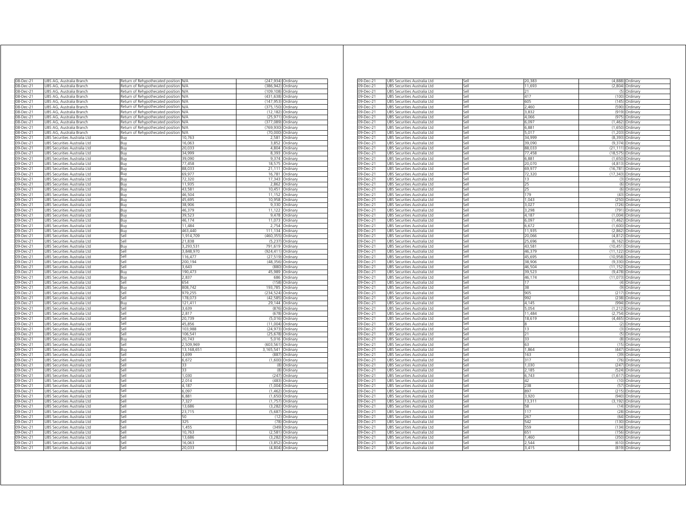| 08-Dec-21                                                     | UBS AG, Australia Branch                                     | Return of Rehypothecated position                                      | N/A              | (247, 934)         | Ordinary                             |
|---------------------------------------------------------------|--------------------------------------------------------------|------------------------------------------------------------------------|------------------|--------------------|--------------------------------------|
| 08-Dec-21                                                     | JBS AG. Australia Branch                                     | Return of Rehypothecated position                                      | N/A              | (386.942)          | Ordinary                             |
| 08-Dec-21                                                     | UBS AG, Australia Branch                                     | Return of Rehypothecated position                                      | N/A              | (109.108)          | Ordinary                             |
| $08$ -Dec-21                                                  | UBS AG, Australia Branch                                     | Return of Rehypothecated position                                      | N/A              | (431, 638)         | Ordinary                             |
| 08-Dec-21                                                     | UBS AG, Australia Branch                                     | Return of Rehypothecated position                                      | N/A              | (147, 953)         | Ordinary                             |
| 08-Dec-21                                                     | UBS AG, Australia Branch                                     | Return of Rehypothecated position                                      | N/A<br>N/A       | (375, 150)         | Ordinary                             |
| 08-Dec-21                                                     | UBS AG, Australia Branch                                     | Return of Rehypothecated position                                      |                  | (12.182)           | Ordinary                             |
| 08-Dec-21                                                     | UBS AG, Australia Branch                                     | Return of Rehypothecated position                                      | N/A              |                    | (25,971) Ordinary                    |
| 08-Dec-21                                                     | UBS AG, Australia Branch                                     | Return of Rehypothecated position                                      | N/A<br>N/A       | (377,089) Ordinary |                                      |
| 08-Dec-21<br>08-Dec-21                                        | UBS AG, Australia Branch<br>UBS AG, Australia Branch         | Return of Rehypothecated position<br>Return of Rehypothecated position | N/A              | (769,930) Ordinary | (70,000) Ordinary                    |
| 09-Dec-21                                                     | UBS Securities Australia Ltd                                 | Buy                                                                    | 10,763           | 2,581              | Ordinary                             |
| 09-Dec-21                                                     | UBS Securities Australia Ltd                                 | Buy                                                                    | 16,063           | 3,852              | Ordinary                             |
| 09-Dec-21                                                     | UBS Securities Australia Ltd                                 | Buy                                                                    | 20,033           | 4,804              | Ordinary                             |
| 09-Dec-21                                                     | UBS Securities Australia Ltd                                 | Buy                                                                    | 34,999           | 8,393              | Ordinary                             |
| 09-Dec-21                                                     | UBS Securities Australia Ltd                                 | Buy                                                                    | 39,090           | 9,374              | Ordinary                             |
| 09-Dec-21                                                     | UBS Securities Australia Ltd                                 | Buy                                                                    | 77.458           | 18 575             | Ordinary                             |
| 09-Dec-21                                                     | UBS Securities Australia Ltd                                 | Buy                                                                    | 88 033           | 21,111             | Ordinary                             |
| 09-Dec-21                                                     | UBS Securities Australia Ltd                                 | Buy                                                                    | 69.977           | 16,781             | Ordinary                             |
| 09-Dec-21                                                     | UBS Securities Australia Ltd                                 | Buy                                                                    | 72,320           | 17,343             | Ordinary                             |
| 09-Dec-21                                                     | <b>JBS Securities Australia Ltd</b>                          | Buy                                                                    | 11.935           | 2.862              | Ordinary                             |
| 09-Dec-21                                                     | <b>JBS Securities Australia Ltd</b>                          | Buy                                                                    | 43.581           | 10.451             | Ordinary                             |
| 09-Dec-21                                                     | JBS Securities Australia Ltd                                 | Buy                                                                    | 46,504           | 11,152             | Ordinary                             |
| 09-Dec-21                                                     | UBS Securities Australia Ltd                                 | Buy                                                                    | 45,695           | 10,958             | Ordinary                             |
| 09-Dec-21                                                     | UBS Securities Australia Ltd                                 | Buy                                                                    | 38.906           | 9.330              | Ordinary                             |
| 09-Dec-21                                                     | JBS Securities Australia Ltd                                 | Buy                                                                    | 46,379           | 11,122             | Ordinary                             |
| 09-Dec-21                                                     | UBS Securities Australia Ltd                                 | Buy                                                                    | 39,523           | 9,478              | Ordinary                             |
| 09-Dec-21                                                     | UBS Securities Australia Ltd                                 | Buy                                                                    | 46,174           | 11,073             | Ordinary                             |
| 09-Dec-21                                                     | UBS Securities Australia Ltd                                 | Buy                                                                    | 11,484           | 2.754              | Ordinary                             |
| 09-Dec-21                                                     | UBS Securities Australia Ltd                                 | Buy                                                                    | 463 440          | 111,134            | Ordinary                             |
| 09-Dec-21                                                     | UBS Securities Australia Ltd                                 | Sell                                                                   | 1,914,709        | (460, 355)         | Ordinary                             |
| 09-Dec-21                                                     | UBS Securities Australia Ltd                                 | Sell                                                                   | 21,838           | (5,237)            | Ordinary                             |
| 09-Dec-21                                                     | UBS Securities Australia Ltd                                 | Buy                                                                    | 3,293,531        | 791,619            | Ordinary                             |
| 09-Dec-21                                                     | UBS Securities Australia Ltd                                 | iell                                                                   | 3,848,970        | (924, 411)         | Ordinarv                             |
| 09-Dec-2'                                                     | JBS Securities Australia Ltd                                 | Sell                                                                   | 116.477          | (27, 519)          | Ordinary                             |
| 09-Dec-21                                                     | UBS Securities Australia Ltd                                 | Sell                                                                   | 200,194          | (48, 356)          | Ordinary                             |
| 09-Dec-21                                                     | UBS Securities Australia Ltd                                 | sell                                                                   | 3,643            | (880)              | Ordinarv                             |
| 09-Dec-21                                                     | UBS Securities Australia Ltd                                 | Buy                                                                    | 190,473          | 45,989             | Ordinary                             |
| 09-Dec-21                                                     | JBS Securities Australia Ltd                                 | Buv                                                                    | 2.837            | 686                | Ordinary                             |
| 09-Dec-21                                                     | JBS Securities Australia Ltd                                 | sell                                                                   | 654              | (158)              | Ordinary                             |
| 09-Dec-21                                                     | JBS Securities Australia Ltd                                 | Buv                                                                    | 808,742          | 193,785            | Ordinary                             |
| 09-Dec-21                                                     | JBS Securities Australia Ltd                                 | sell                                                                   | 979,255          | (234, 524)         | Ordinary                             |
| 09-Dec-21                                                     | JBS Securities Australia Ltd                                 | sell                                                                   | 178.073          | (42.585)           | Ordinary                             |
| 09-Dec-21                                                     | JBS Securities Australia Ltd                                 | Rın                                                                    | 121.411          | 29.144             | Ordinary                             |
| 09-Dec-21                                                     | UBS Securities Australia Ltd                                 | Sell                                                                   | 3,639            | (876)              | Ordinary                             |
| 09-Dec-21                                                     | UBS Securities Australia Ltd                                 | Sell                                                                   | 2,817            | (678)              | Ordinary                             |
| 09-Dec-21                                                     | UBS Securities Australia Ltd                                 | Sell                                                                   | 20,739           | (5,016)            | Ordinary                             |
| 09-Dec-21                                                     | UBS Securities Australia Ltd                                 | Sell                                                                   | 45,856           | (11,004)           | Ordinary                             |
| $09$ -Dec-21                                                  | UBS Securities Australia Ltd                                 | Sell                                                                   | 103,988          | (24, 973)          | Ordinary                             |
| 09-Dec-21                                                     | UBS Securities Australia Ltd                                 | Sell                                                                   | 106,541          | (25, 678)          | Ordinary                             |
| 09-Dec-21                                                     | UBS Securities Australia Ltd                                 | Buy                                                                    | 20,743           | 5,016              | Ordinary                             |
| 09-Dec-21                                                     | UBS Securities Australia Ltd                                 | Sell                                                                   | 2,509,969        | (603, 561)         | Ordinary                             |
| 09-Dec-21                                                     | UBS Securities Australia Ltd                                 | Buy                                                                    | 13,168,651       | 3,165,541 Ordinary |                                      |
| 09-Dec-21                                                     | UBS Securities Australia Ltd                                 | Sell                                                                   | 3,699            |                    | (887) Ordinary                       |
| 09-Dec-21                                                     | UBS Securities Australia Ltd                                 | Sell                                                                   | 6,672            |                    | (1,600) Ordinary                     |
| 09-Dec-21                                                     | UBS Securities Australia Ltd                                 | Sell                                                                   | 33               | (8)                | Ordinary                             |
| 09-Dec-21                                                     | UBS Securities Australia Ltd                                 | Sell                                                                   | 33               | (8)                | Ordinary                             |
| 09-Dec-21                                                     | UBS Securities Australia Ltd                                 | Sell                                                                   | 1030             | (247)              | Ordinary                             |
| 09-Dec-21                                                     | UBS Securities Australia Ltd                                 | Sell                                                                   | 2.014            | (483)              | Ordinary                             |
| 09-Dec-21                                                     | UBS Securities Australia Ltd                                 | Sell                                                                   | 4,187            | (1,004)            | Ordinary                             |
| 09-Dec-21                                                     | UBS Securities Australia Ltd                                 | Sell                                                                   | 6,097            | (1, 462)           | Ordinary                             |
| 09-Dec-21                                                     | UBS Securities Australia Ltd                                 | Sell                                                                   | 6,881            | (1,650)            | Ordinary                             |
| 09-Dec-21                                                     | UBS Securities Australia Ltd                                 | Sell                                                                   | 7,327            | (1,757)            | Ordinary                             |
| 09-Dec-21                                                     | UBS Securities Australia Ltd                                 | Sell                                                                   | 13,686           | (3, 282)           | Ordinary                             |
| 09-Dec-21                                                     | UBS Securities Australia Ltd                                 | Sell                                                                   | 23.715           | (5.687)            | Ordinan                              |
| 09-Dec-21                                                     | UBS Securities Australia Ltd                                 | Sell                                                                   | 50               | (12)               | Ordinary                             |
| 09-Dec-21                                                     | UBS Securities Australia Ltd                                 | Sell                                                                   | 325              | (78)               | Ordinary                             |
|                                                               |                                                              | Sell                                                                   | 1,455            | (349)              | Ordinary                             |
|                                                               | UBS Securities Australia Ltd                                 |                                                                        |                  |                    |                                      |
|                                                               | UBS Securities Australia Ltd                                 | Sell                                                                   | 10,763           |                    | (2,581) Ordinary                     |
|                                                               | UBS Securities Australia Ltd                                 | Sell                                                                   | 13,686           | (3, 282)           | Ordinary                             |
| 09-Dec-21<br>09-Dec-21<br>09-Dec-21<br>09-Dec-21<br>09-Dec-21 | UBS Securities Australia Ltd<br>UBS Securities Australia Ltd | Sell<br>Sell                                                           | 16,063<br>20,033 |                    | (3,852) Ordinary<br>(4,804) Ordinary |

| 09-Dec-21<br>JBS Securities Australia Ltd<br>Sell<br>11,693<br>(2,804) Ordinary<br>09-Dec-21<br>UBS Securities Australia Ltd<br>Sell<br>21<br>(5) Ordinary<br>09-Dec-21<br>UBS Securities Australia Ltd<br>Sell<br>417<br>(100)<br>Ordinary<br>605<br>09-Dec-21<br>UBS Securities Australia Ltd<br>Sell<br>(145<br>Ordinary<br>09-Dec-21<br>UBS Securities Australia Ltd<br>Sell<br>2.460<br>(590<br>Ordinary<br>Sell<br>3,832<br>(919)<br>09-Dec-21<br>JBS Securities Australia Ltd<br>Ordinary<br>Sell<br>09-Dec-21<br>4,066<br>(975)<br>UBS Securities Australia Ltd<br>Ordinary<br>Sell<br>6,097<br>09-Dec-21<br>UBS Securities Australia Ltd<br>(1,462)<br>Ordinary<br>Sell<br>6,881<br>09-Dec-21<br>UBS Securities Australia Ltd<br>(1,650)<br>Ordinary<br>09-Dec-21<br>JBS Securities Australia Ltd<br>Sell<br>5,017<br>(1, 203)<br>Ordinary<br>34.999<br>(8, 393)<br>09-Dec-21<br>JBS Securities Australia Ltd<br>Sell<br>Ordinary<br>09-Dec-21<br>JBS Securities Australia Ltd<br>Sell<br>39.090<br>(9.374)<br>Ordinary<br>09-Dec-21<br>JBS Securities Australia Ltd<br>Sell<br>88,033<br>(21, 111)<br>Ordinary<br>09-Dec-21<br>UBS Securities Australia Ltd<br>Sell<br>77,458<br>(18, 575)<br>Ordinary<br>09-Dec-21<br>UBS Securities Australia Ltd<br>Sell<br>6,881<br>(1,650) Ordinary<br>09-Dec-21<br>UBS Securities Australia Ltd<br>Sell<br>20,070<br>(4, 813)<br>Ordinary<br>69,977<br>(16, 781)<br>09-Dec-21<br>UBS Securities Australia Ltd<br>Sell<br>Ordinary<br>09-Dec-21<br>UBS Securities Australia Ltd<br>Sell<br>72,320<br>(17, 343)<br>Ordinary<br>09-Dec-21<br>UBS Securities Australia Ltd<br>Sell<br>13<br>(3)<br>Ordinary<br>25<br>09-Dec-21<br>UBS Securities Australia Ltd<br>(6)<br>Sell<br>Ordinary<br>25<br>Sell<br>09-Dec-21<br>UBS Securities Australia Ltd<br>(6)<br>Ordinary<br>179<br>(43) Ordinary<br>09-Dec-21<br>UBS Securities Australia Ltd<br>Sell<br>09-Dec-21<br>1,043<br>(250)<br>UBS Securities Australia Ltd<br>Sell<br>Ordinary<br>3,027<br>09-Dec-21<br>JBS Securities Australia Ltd<br>Sell<br>(726)<br>Ordinary<br>09-Dec-21<br>UBS Securities Australia Ltd<br>Sell<br>3,298<br>(791)<br>Ordinary<br>4,187<br>$09 - Dec - 21$<br>UBS Securities Australia Ltd<br>Sell<br>(1,004)<br>Ordinary<br>6,097<br>$09 - Dec - 21$<br>UBS Securities Australia Ltd<br>Sell<br>(1,462)<br>Ordinary<br>09-Dec-21<br>UBS Securities Australia Ltd<br>Sell<br>6,672<br>(1,600)<br>Ordinary<br>$09$ -Dec-21<br>UBS Securities Australia Ltd<br>Sell<br>11.935<br>(2,862)<br>Ordinary<br>20,066<br>09-Dec-21<br>UBS Securities Australia Ltd<br>Sell<br>(4, 812)<br>Ordinary<br>09-Dec-21<br>JBS Securities Australia Ltd<br>Sell<br>25,696<br>(6, 162)<br>Ordinary<br>09-Dec-21<br>Sell<br>43,581<br>(10, 451)<br>UBS Securities Australia Ltd<br>Ordinary<br>Sell<br>46,379<br>09-Dec-21<br>UBS Securities Australia Ltd<br>(11, 122)<br>Ordinary<br>Sell<br>09-Dec-21<br>45,695<br>10,958<br>JBS<br>Securities Australia Ltd<br>Ordinan<br>09-Dec-21<br>UBS Securities Australia Ltd<br>Sell<br>38,906<br>(9,330) Ordinary<br>09-Dec-21<br>JBS Securities Australia Ltd<br>46.504<br>(11.152)<br>Sell<br>Ordinary<br>(9, 478)<br>09-Dec-21<br>JBS Securities Australia Ltd<br>Sell<br>39,523<br>Ordinary<br>09-Dec-21<br>JBS Securities Australia Ltd<br>Sell<br>46,174<br>(11, 073)<br>Ordinary<br>$09$ -Dec-21<br>Sell<br>17<br>(4)<br>JBS Securities Australia Ltd<br>Ordinary<br>$09$ -Dec-21<br>38<br>(9)<br>UBS Securities Australia Ltd<br>Sell<br>Ordinary<br>09-Dec-21<br>UBS Securities Australia Ltd<br>Sell<br>905<br>(217) Ordinary<br>UBS Securities Australia Ltd<br>992<br>(238) Ordinary<br>09-Dec-21<br>Sell<br>4.145<br>(994)<br>09-Dec-21<br>UBS Securities Australia Ltd<br>Sell<br>Ordinary<br>09-Dec-21<br>JBS Securities Australia Ltd<br>5,054<br>(1, 212)<br>Sell<br>Ordinary<br>11,484<br>(2,754)<br>09-Dec-21<br>UBS Securities Australia Ltd<br>Sell<br>Ordinary<br>09-Dec-21<br>18,619<br>$(4,465)$ Ordinary<br>UBS Securities Australia Ltd<br>Sell<br>09-Dec-21<br>JBS Securities Australia Ltd<br>Sell<br>Ordinary<br>09-Dec-21<br>UBS Securities Australia Ltd<br>Sell<br>13<br>(3) Ordinary<br>09-Dec-21<br>21<br>(5)<br>JBS Securities Australia Ltd<br>ا∣م:ّ<br>Ordinary<br>33<br>09-Dec-21<br>JBS Securities Australia Ltd<br>Sell<br>(8)<br>Ordinary<br>09-Dec-21<br>Sell<br>63<br>UBS Securities Australia Ltd<br>(15)<br>Ordinary<br>1,864<br>09-Dec-21<br>UBS Securities Australia Ltd<br>Sell<br>(447)<br>Ordinary<br>163<br>09-Dec-21<br>UBS Securities Australia Ltd<br>Sell<br>(39)<br>Ordinary<br>09-Dec-21<br>UBS Securities Australia Ltd<br>Sell<br>317<br>(76)<br>Ordinary<br>1,030<br>09-Dec-21<br>UBS Securities Australia Ltd<br>Sell<br>(247)<br>Ordinary<br>09-Dec-21<br>UBS Securities Australia Ltd<br>Sell<br>2.185<br>(524)<br>Ordinary<br>Sell<br>6,743<br>09-Dec-21<br>JBS Securities Australia Ltd<br>,617<br>Ordinary<br>42<br>09-Dec-21<br>UBS Securities Australia Ltd<br>Sell<br>(10<br>Ordinary<br>238<br>(57)<br>09-Dec-21<br>UBS Securities Australia Ltd<br>Sell<br>Ordinary<br>09-Dec-21<br>Sell<br>897<br>(215<br>JBS Securities Australia Ltd<br>Ordinary<br>09-Dec-21<br>JBS Securities Australia Ltd<br>Sell<br>3,920<br>(940<br>Ordinary<br>13,311<br>(3, 192)<br>09-Dec-21<br>JBS Securities Australia Ltd<br>Sell<br>Ordinary<br>09-Dec-21<br>JBS Securities Australia Ltd<br>Sell<br>58<br>(14)<br>Ordinary<br>117<br>09-Dec-21<br>JBS Securities Australia Ltd<br>Sell<br>(28)<br>Ordinary<br>09-Dec-21<br>UBS Securities Australia Ltd<br>Sell<br>(64)<br>267<br>Ordinary<br>09-Dec-21<br>UBS Securities Australia Ltd<br>Sell<br>542<br>(130) Ordinary<br>09-Dec-21<br>UBS Securities Australia Ltd<br>Sell<br>559<br>(134)<br>Ordinary<br>551<br>09-Dec-21<br>UBS Securities Australia Ltd<br>Sell<br>(156)<br>Ordinary | JBS Securities Australia Ltd<br>Sell<br>1,460<br>(350)<br>Ordinary<br>2544<br>(610) Ordinary<br>UBS Securities Australia Ltd<br>Sell<br>(819) Ordinary | 09-Dec-21 | UBS Securities Australia Ltd | Sell | 20,383 | (4,888) Ordinary |
|--------------------------------------------------------------------------------------------------------------------------------------------------------------------------------------------------------------------------------------------------------------------------------------------------------------------------------------------------------------------------------------------------------------------------------------------------------------------------------------------------------------------------------------------------------------------------------------------------------------------------------------------------------------------------------------------------------------------------------------------------------------------------------------------------------------------------------------------------------------------------------------------------------------------------------------------------------------------------------------------------------------------------------------------------------------------------------------------------------------------------------------------------------------------------------------------------------------------------------------------------------------------------------------------------------------------------------------------------------------------------------------------------------------------------------------------------------------------------------------------------------------------------------------------------------------------------------------------------------------------------------------------------------------------------------------------------------------------------------------------------------------------------------------------------------------------------------------------------------------------------------------------------------------------------------------------------------------------------------------------------------------------------------------------------------------------------------------------------------------------------------------------------------------------------------------------------------------------------------------------------------------------------------------------------------------------------------------------------------------------------------------------------------------------------------------------------------------------------------------------------------------------------------------------------------------------------------------------------------------------------------------------------------------------------------------------------------------------------------------------------------------------------------------------------------------------------------------------------------------------------------------------------------------------------------------------------------------------------------------------------------------------------------------------------------------------------------------------------------------------------------------------------------------------------------------------------------------------------------------------------------------------------------------------------------------------------------------------------------------------------------------------------------------------------------------------------------------------------------------------------------------------------------------------------------------------------------------------------------------------------------------------------------------------------------------------------------------------------------------------------------------------------------------------------------------------------------------------------------------------------------------------------------------------------------------------------------------------------------------------------------------------------------------------------------------------------------------------------------------------------------------------------------------------------------------------------------------------------------------------------------------------------------------------------------------------------------------------------------------------------------------------------------------------------------------------------------------------------------------------------------------------------------------------------------------------------------------------------------------------------------------------------------------------------------------------------------------------------------------------------------------------------------------------------------------------------------------------------------------------------------------------------------------------------------------------------------------------------------------------------------------------------------------------------------------------------------------------------------------------------------------------------------------------------------------------------------------------------------------------------------------------------------------------------------------------------------------------------------------------------------------------------------------------------------------------------------------------------------------------------------------------------------------------------------------------------------------------------------------------------------------------------------------------------------------------------------------------------------------------------------------------------------------------------------------------------------------------------------|--------------------------------------------------------------------------------------------------------------------------------------------------------|-----------|------------------------------|------|--------|------------------|
|                                                                                                                                                                                                                                                                                                                                                                                                                                                                                                                                                                                                                                                                                                                                                                                                                                                                                                                                                                                                                                                                                                                                                                                                                                                                                                                                                                                                                                                                                                                                                                                                                                                                                                                                                                                                                                                                                                                                                                                                                                                                                                                                                                                                                                                                                                                                                                                                                                                                                                                                                                                                                                                                                                                                                                                                                                                                                                                                                                                                                                                                                                                                                                                                                                                                                                                                                                                                                                                                                                                                                                                                                                                                                                                                                                                                                                                                                                                                                                                                                                                                                                                                                                                                                                                                                                                                                                                                                                                                                                                                                                                                                                                                                                                                                                                                                                                                                                                                                                                                                                                                                                                                                                                                                                                                                                                                                                                                                                                                                                                                                                                                                                                                                                                                                                                                                                                        |                                                                                                                                                        |           |                              |      |        |                  |
|                                                                                                                                                                                                                                                                                                                                                                                                                                                                                                                                                                                                                                                                                                                                                                                                                                                                                                                                                                                                                                                                                                                                                                                                                                                                                                                                                                                                                                                                                                                                                                                                                                                                                                                                                                                                                                                                                                                                                                                                                                                                                                                                                                                                                                                                                                                                                                                                                                                                                                                                                                                                                                                                                                                                                                                                                                                                                                                                                                                                                                                                                                                                                                                                                                                                                                                                                                                                                                                                                                                                                                                                                                                                                                                                                                                                                                                                                                                                                                                                                                                                                                                                                                                                                                                                                                                                                                                                                                                                                                                                                                                                                                                                                                                                                                                                                                                                                                                                                                                                                                                                                                                                                                                                                                                                                                                                                                                                                                                                                                                                                                                                                                                                                                                                                                                                                                                        |                                                                                                                                                        |           |                              |      |        |                  |
|                                                                                                                                                                                                                                                                                                                                                                                                                                                                                                                                                                                                                                                                                                                                                                                                                                                                                                                                                                                                                                                                                                                                                                                                                                                                                                                                                                                                                                                                                                                                                                                                                                                                                                                                                                                                                                                                                                                                                                                                                                                                                                                                                                                                                                                                                                                                                                                                                                                                                                                                                                                                                                                                                                                                                                                                                                                                                                                                                                                                                                                                                                                                                                                                                                                                                                                                                                                                                                                                                                                                                                                                                                                                                                                                                                                                                                                                                                                                                                                                                                                                                                                                                                                                                                                                                                                                                                                                                                                                                                                                                                                                                                                                                                                                                                                                                                                                                                                                                                                                                                                                                                                                                                                                                                                                                                                                                                                                                                                                                                                                                                                                                                                                                                                                                                                                                                                        |                                                                                                                                                        |           |                              |      |        |                  |
|                                                                                                                                                                                                                                                                                                                                                                                                                                                                                                                                                                                                                                                                                                                                                                                                                                                                                                                                                                                                                                                                                                                                                                                                                                                                                                                                                                                                                                                                                                                                                                                                                                                                                                                                                                                                                                                                                                                                                                                                                                                                                                                                                                                                                                                                                                                                                                                                                                                                                                                                                                                                                                                                                                                                                                                                                                                                                                                                                                                                                                                                                                                                                                                                                                                                                                                                                                                                                                                                                                                                                                                                                                                                                                                                                                                                                                                                                                                                                                                                                                                                                                                                                                                                                                                                                                                                                                                                                                                                                                                                                                                                                                                                                                                                                                                                                                                                                                                                                                                                                                                                                                                                                                                                                                                                                                                                                                                                                                                                                                                                                                                                                                                                                                                                                                                                                                                        |                                                                                                                                                        |           |                              |      |        |                  |
|                                                                                                                                                                                                                                                                                                                                                                                                                                                                                                                                                                                                                                                                                                                                                                                                                                                                                                                                                                                                                                                                                                                                                                                                                                                                                                                                                                                                                                                                                                                                                                                                                                                                                                                                                                                                                                                                                                                                                                                                                                                                                                                                                                                                                                                                                                                                                                                                                                                                                                                                                                                                                                                                                                                                                                                                                                                                                                                                                                                                                                                                                                                                                                                                                                                                                                                                                                                                                                                                                                                                                                                                                                                                                                                                                                                                                                                                                                                                                                                                                                                                                                                                                                                                                                                                                                                                                                                                                                                                                                                                                                                                                                                                                                                                                                                                                                                                                                                                                                                                                                                                                                                                                                                                                                                                                                                                                                                                                                                                                                                                                                                                                                                                                                                                                                                                                                                        |                                                                                                                                                        |           |                              |      |        |                  |
|                                                                                                                                                                                                                                                                                                                                                                                                                                                                                                                                                                                                                                                                                                                                                                                                                                                                                                                                                                                                                                                                                                                                                                                                                                                                                                                                                                                                                                                                                                                                                                                                                                                                                                                                                                                                                                                                                                                                                                                                                                                                                                                                                                                                                                                                                                                                                                                                                                                                                                                                                                                                                                                                                                                                                                                                                                                                                                                                                                                                                                                                                                                                                                                                                                                                                                                                                                                                                                                                                                                                                                                                                                                                                                                                                                                                                                                                                                                                                                                                                                                                                                                                                                                                                                                                                                                                                                                                                                                                                                                                                                                                                                                                                                                                                                                                                                                                                                                                                                                                                                                                                                                                                                                                                                                                                                                                                                                                                                                                                                                                                                                                                                                                                                                                                                                                                                                        |                                                                                                                                                        |           |                              |      |        |                  |
|                                                                                                                                                                                                                                                                                                                                                                                                                                                                                                                                                                                                                                                                                                                                                                                                                                                                                                                                                                                                                                                                                                                                                                                                                                                                                                                                                                                                                                                                                                                                                                                                                                                                                                                                                                                                                                                                                                                                                                                                                                                                                                                                                                                                                                                                                                                                                                                                                                                                                                                                                                                                                                                                                                                                                                                                                                                                                                                                                                                                                                                                                                                                                                                                                                                                                                                                                                                                                                                                                                                                                                                                                                                                                                                                                                                                                                                                                                                                                                                                                                                                                                                                                                                                                                                                                                                                                                                                                                                                                                                                                                                                                                                                                                                                                                                                                                                                                                                                                                                                                                                                                                                                                                                                                                                                                                                                                                                                                                                                                                                                                                                                                                                                                                                                                                                                                                                        |                                                                                                                                                        |           |                              |      |        |                  |
|                                                                                                                                                                                                                                                                                                                                                                                                                                                                                                                                                                                                                                                                                                                                                                                                                                                                                                                                                                                                                                                                                                                                                                                                                                                                                                                                                                                                                                                                                                                                                                                                                                                                                                                                                                                                                                                                                                                                                                                                                                                                                                                                                                                                                                                                                                                                                                                                                                                                                                                                                                                                                                                                                                                                                                                                                                                                                                                                                                                                                                                                                                                                                                                                                                                                                                                                                                                                                                                                                                                                                                                                                                                                                                                                                                                                                                                                                                                                                                                                                                                                                                                                                                                                                                                                                                                                                                                                                                                                                                                                                                                                                                                                                                                                                                                                                                                                                                                                                                                                                                                                                                                                                                                                                                                                                                                                                                                                                                                                                                                                                                                                                                                                                                                                                                                                                                                        |                                                                                                                                                        |           |                              |      |        |                  |
|                                                                                                                                                                                                                                                                                                                                                                                                                                                                                                                                                                                                                                                                                                                                                                                                                                                                                                                                                                                                                                                                                                                                                                                                                                                                                                                                                                                                                                                                                                                                                                                                                                                                                                                                                                                                                                                                                                                                                                                                                                                                                                                                                                                                                                                                                                                                                                                                                                                                                                                                                                                                                                                                                                                                                                                                                                                                                                                                                                                                                                                                                                                                                                                                                                                                                                                                                                                                                                                                                                                                                                                                                                                                                                                                                                                                                                                                                                                                                                                                                                                                                                                                                                                                                                                                                                                                                                                                                                                                                                                                                                                                                                                                                                                                                                                                                                                                                                                                                                                                                                                                                                                                                                                                                                                                                                                                                                                                                                                                                                                                                                                                                                                                                                                                                                                                                                                        |                                                                                                                                                        |           |                              |      |        |                  |
|                                                                                                                                                                                                                                                                                                                                                                                                                                                                                                                                                                                                                                                                                                                                                                                                                                                                                                                                                                                                                                                                                                                                                                                                                                                                                                                                                                                                                                                                                                                                                                                                                                                                                                                                                                                                                                                                                                                                                                                                                                                                                                                                                                                                                                                                                                                                                                                                                                                                                                                                                                                                                                                                                                                                                                                                                                                                                                                                                                                                                                                                                                                                                                                                                                                                                                                                                                                                                                                                                                                                                                                                                                                                                                                                                                                                                                                                                                                                                                                                                                                                                                                                                                                                                                                                                                                                                                                                                                                                                                                                                                                                                                                                                                                                                                                                                                                                                                                                                                                                                                                                                                                                                                                                                                                                                                                                                                                                                                                                                                                                                                                                                                                                                                                                                                                                                                                        |                                                                                                                                                        |           |                              |      |        |                  |
|                                                                                                                                                                                                                                                                                                                                                                                                                                                                                                                                                                                                                                                                                                                                                                                                                                                                                                                                                                                                                                                                                                                                                                                                                                                                                                                                                                                                                                                                                                                                                                                                                                                                                                                                                                                                                                                                                                                                                                                                                                                                                                                                                                                                                                                                                                                                                                                                                                                                                                                                                                                                                                                                                                                                                                                                                                                                                                                                                                                                                                                                                                                                                                                                                                                                                                                                                                                                                                                                                                                                                                                                                                                                                                                                                                                                                                                                                                                                                                                                                                                                                                                                                                                                                                                                                                                                                                                                                                                                                                                                                                                                                                                                                                                                                                                                                                                                                                                                                                                                                                                                                                                                                                                                                                                                                                                                                                                                                                                                                                                                                                                                                                                                                                                                                                                                                                                        |                                                                                                                                                        |           |                              |      |        |                  |
|                                                                                                                                                                                                                                                                                                                                                                                                                                                                                                                                                                                                                                                                                                                                                                                                                                                                                                                                                                                                                                                                                                                                                                                                                                                                                                                                                                                                                                                                                                                                                                                                                                                                                                                                                                                                                                                                                                                                                                                                                                                                                                                                                                                                                                                                                                                                                                                                                                                                                                                                                                                                                                                                                                                                                                                                                                                                                                                                                                                                                                                                                                                                                                                                                                                                                                                                                                                                                                                                                                                                                                                                                                                                                                                                                                                                                                                                                                                                                                                                                                                                                                                                                                                                                                                                                                                                                                                                                                                                                                                                                                                                                                                                                                                                                                                                                                                                                                                                                                                                                                                                                                                                                                                                                                                                                                                                                                                                                                                                                                                                                                                                                                                                                                                                                                                                                                                        |                                                                                                                                                        |           |                              |      |        |                  |
|                                                                                                                                                                                                                                                                                                                                                                                                                                                                                                                                                                                                                                                                                                                                                                                                                                                                                                                                                                                                                                                                                                                                                                                                                                                                                                                                                                                                                                                                                                                                                                                                                                                                                                                                                                                                                                                                                                                                                                                                                                                                                                                                                                                                                                                                                                                                                                                                                                                                                                                                                                                                                                                                                                                                                                                                                                                                                                                                                                                                                                                                                                                                                                                                                                                                                                                                                                                                                                                                                                                                                                                                                                                                                                                                                                                                                                                                                                                                                                                                                                                                                                                                                                                                                                                                                                                                                                                                                                                                                                                                                                                                                                                                                                                                                                                                                                                                                                                                                                                                                                                                                                                                                                                                                                                                                                                                                                                                                                                                                                                                                                                                                                                                                                                                                                                                                                                        |                                                                                                                                                        |           |                              |      |        |                  |
|                                                                                                                                                                                                                                                                                                                                                                                                                                                                                                                                                                                                                                                                                                                                                                                                                                                                                                                                                                                                                                                                                                                                                                                                                                                                                                                                                                                                                                                                                                                                                                                                                                                                                                                                                                                                                                                                                                                                                                                                                                                                                                                                                                                                                                                                                                                                                                                                                                                                                                                                                                                                                                                                                                                                                                                                                                                                                                                                                                                                                                                                                                                                                                                                                                                                                                                                                                                                                                                                                                                                                                                                                                                                                                                                                                                                                                                                                                                                                                                                                                                                                                                                                                                                                                                                                                                                                                                                                                                                                                                                                                                                                                                                                                                                                                                                                                                                                                                                                                                                                                                                                                                                                                                                                                                                                                                                                                                                                                                                                                                                                                                                                                                                                                                                                                                                                                                        |                                                                                                                                                        |           |                              |      |        |                  |
|                                                                                                                                                                                                                                                                                                                                                                                                                                                                                                                                                                                                                                                                                                                                                                                                                                                                                                                                                                                                                                                                                                                                                                                                                                                                                                                                                                                                                                                                                                                                                                                                                                                                                                                                                                                                                                                                                                                                                                                                                                                                                                                                                                                                                                                                                                                                                                                                                                                                                                                                                                                                                                                                                                                                                                                                                                                                                                                                                                                                                                                                                                                                                                                                                                                                                                                                                                                                                                                                                                                                                                                                                                                                                                                                                                                                                                                                                                                                                                                                                                                                                                                                                                                                                                                                                                                                                                                                                                                                                                                                                                                                                                                                                                                                                                                                                                                                                                                                                                                                                                                                                                                                                                                                                                                                                                                                                                                                                                                                                                                                                                                                                                                                                                                                                                                                                                                        |                                                                                                                                                        |           |                              |      |        |                  |
|                                                                                                                                                                                                                                                                                                                                                                                                                                                                                                                                                                                                                                                                                                                                                                                                                                                                                                                                                                                                                                                                                                                                                                                                                                                                                                                                                                                                                                                                                                                                                                                                                                                                                                                                                                                                                                                                                                                                                                                                                                                                                                                                                                                                                                                                                                                                                                                                                                                                                                                                                                                                                                                                                                                                                                                                                                                                                                                                                                                                                                                                                                                                                                                                                                                                                                                                                                                                                                                                                                                                                                                                                                                                                                                                                                                                                                                                                                                                                                                                                                                                                                                                                                                                                                                                                                                                                                                                                                                                                                                                                                                                                                                                                                                                                                                                                                                                                                                                                                                                                                                                                                                                                                                                                                                                                                                                                                                                                                                                                                                                                                                                                                                                                                                                                                                                                                                        |                                                                                                                                                        |           |                              |      |        |                  |
|                                                                                                                                                                                                                                                                                                                                                                                                                                                                                                                                                                                                                                                                                                                                                                                                                                                                                                                                                                                                                                                                                                                                                                                                                                                                                                                                                                                                                                                                                                                                                                                                                                                                                                                                                                                                                                                                                                                                                                                                                                                                                                                                                                                                                                                                                                                                                                                                                                                                                                                                                                                                                                                                                                                                                                                                                                                                                                                                                                                                                                                                                                                                                                                                                                                                                                                                                                                                                                                                                                                                                                                                                                                                                                                                                                                                                                                                                                                                                                                                                                                                                                                                                                                                                                                                                                                                                                                                                                                                                                                                                                                                                                                                                                                                                                                                                                                                                                                                                                                                                                                                                                                                                                                                                                                                                                                                                                                                                                                                                                                                                                                                                                                                                                                                                                                                                                                        |                                                                                                                                                        |           |                              |      |        |                  |
|                                                                                                                                                                                                                                                                                                                                                                                                                                                                                                                                                                                                                                                                                                                                                                                                                                                                                                                                                                                                                                                                                                                                                                                                                                                                                                                                                                                                                                                                                                                                                                                                                                                                                                                                                                                                                                                                                                                                                                                                                                                                                                                                                                                                                                                                                                                                                                                                                                                                                                                                                                                                                                                                                                                                                                                                                                                                                                                                                                                                                                                                                                                                                                                                                                                                                                                                                                                                                                                                                                                                                                                                                                                                                                                                                                                                                                                                                                                                                                                                                                                                                                                                                                                                                                                                                                                                                                                                                                                                                                                                                                                                                                                                                                                                                                                                                                                                                                                                                                                                                                                                                                                                                                                                                                                                                                                                                                                                                                                                                                                                                                                                                                                                                                                                                                                                                                                        |                                                                                                                                                        |           |                              |      |        |                  |
|                                                                                                                                                                                                                                                                                                                                                                                                                                                                                                                                                                                                                                                                                                                                                                                                                                                                                                                                                                                                                                                                                                                                                                                                                                                                                                                                                                                                                                                                                                                                                                                                                                                                                                                                                                                                                                                                                                                                                                                                                                                                                                                                                                                                                                                                                                                                                                                                                                                                                                                                                                                                                                                                                                                                                                                                                                                                                                                                                                                                                                                                                                                                                                                                                                                                                                                                                                                                                                                                                                                                                                                                                                                                                                                                                                                                                                                                                                                                                                                                                                                                                                                                                                                                                                                                                                                                                                                                                                                                                                                                                                                                                                                                                                                                                                                                                                                                                                                                                                                                                                                                                                                                                                                                                                                                                                                                                                                                                                                                                                                                                                                                                                                                                                                                                                                                                                                        |                                                                                                                                                        |           |                              |      |        |                  |
|                                                                                                                                                                                                                                                                                                                                                                                                                                                                                                                                                                                                                                                                                                                                                                                                                                                                                                                                                                                                                                                                                                                                                                                                                                                                                                                                                                                                                                                                                                                                                                                                                                                                                                                                                                                                                                                                                                                                                                                                                                                                                                                                                                                                                                                                                                                                                                                                                                                                                                                                                                                                                                                                                                                                                                                                                                                                                                                                                                                                                                                                                                                                                                                                                                                                                                                                                                                                                                                                                                                                                                                                                                                                                                                                                                                                                                                                                                                                                                                                                                                                                                                                                                                                                                                                                                                                                                                                                                                                                                                                                                                                                                                                                                                                                                                                                                                                                                                                                                                                                                                                                                                                                                                                                                                                                                                                                                                                                                                                                                                                                                                                                                                                                                                                                                                                                                                        |                                                                                                                                                        |           |                              |      |        |                  |
|                                                                                                                                                                                                                                                                                                                                                                                                                                                                                                                                                                                                                                                                                                                                                                                                                                                                                                                                                                                                                                                                                                                                                                                                                                                                                                                                                                                                                                                                                                                                                                                                                                                                                                                                                                                                                                                                                                                                                                                                                                                                                                                                                                                                                                                                                                                                                                                                                                                                                                                                                                                                                                                                                                                                                                                                                                                                                                                                                                                                                                                                                                                                                                                                                                                                                                                                                                                                                                                                                                                                                                                                                                                                                                                                                                                                                                                                                                                                                                                                                                                                                                                                                                                                                                                                                                                                                                                                                                                                                                                                                                                                                                                                                                                                                                                                                                                                                                                                                                                                                                                                                                                                                                                                                                                                                                                                                                                                                                                                                                                                                                                                                                                                                                                                                                                                                                                        |                                                                                                                                                        |           |                              |      |        |                  |
|                                                                                                                                                                                                                                                                                                                                                                                                                                                                                                                                                                                                                                                                                                                                                                                                                                                                                                                                                                                                                                                                                                                                                                                                                                                                                                                                                                                                                                                                                                                                                                                                                                                                                                                                                                                                                                                                                                                                                                                                                                                                                                                                                                                                                                                                                                                                                                                                                                                                                                                                                                                                                                                                                                                                                                                                                                                                                                                                                                                                                                                                                                                                                                                                                                                                                                                                                                                                                                                                                                                                                                                                                                                                                                                                                                                                                                                                                                                                                                                                                                                                                                                                                                                                                                                                                                                                                                                                                                                                                                                                                                                                                                                                                                                                                                                                                                                                                                                                                                                                                                                                                                                                                                                                                                                                                                                                                                                                                                                                                                                                                                                                                                                                                                                                                                                                                                                        |                                                                                                                                                        |           |                              |      |        |                  |
|                                                                                                                                                                                                                                                                                                                                                                                                                                                                                                                                                                                                                                                                                                                                                                                                                                                                                                                                                                                                                                                                                                                                                                                                                                                                                                                                                                                                                                                                                                                                                                                                                                                                                                                                                                                                                                                                                                                                                                                                                                                                                                                                                                                                                                                                                                                                                                                                                                                                                                                                                                                                                                                                                                                                                                                                                                                                                                                                                                                                                                                                                                                                                                                                                                                                                                                                                                                                                                                                                                                                                                                                                                                                                                                                                                                                                                                                                                                                                                                                                                                                                                                                                                                                                                                                                                                                                                                                                                                                                                                                                                                                                                                                                                                                                                                                                                                                                                                                                                                                                                                                                                                                                                                                                                                                                                                                                                                                                                                                                                                                                                                                                                                                                                                                                                                                                                                        |                                                                                                                                                        |           |                              |      |        |                  |
|                                                                                                                                                                                                                                                                                                                                                                                                                                                                                                                                                                                                                                                                                                                                                                                                                                                                                                                                                                                                                                                                                                                                                                                                                                                                                                                                                                                                                                                                                                                                                                                                                                                                                                                                                                                                                                                                                                                                                                                                                                                                                                                                                                                                                                                                                                                                                                                                                                                                                                                                                                                                                                                                                                                                                                                                                                                                                                                                                                                                                                                                                                                                                                                                                                                                                                                                                                                                                                                                                                                                                                                                                                                                                                                                                                                                                                                                                                                                                                                                                                                                                                                                                                                                                                                                                                                                                                                                                                                                                                                                                                                                                                                                                                                                                                                                                                                                                                                                                                                                                                                                                                                                                                                                                                                                                                                                                                                                                                                                                                                                                                                                                                                                                                                                                                                                                                                        |                                                                                                                                                        |           |                              |      |        |                  |
|                                                                                                                                                                                                                                                                                                                                                                                                                                                                                                                                                                                                                                                                                                                                                                                                                                                                                                                                                                                                                                                                                                                                                                                                                                                                                                                                                                                                                                                                                                                                                                                                                                                                                                                                                                                                                                                                                                                                                                                                                                                                                                                                                                                                                                                                                                                                                                                                                                                                                                                                                                                                                                                                                                                                                                                                                                                                                                                                                                                                                                                                                                                                                                                                                                                                                                                                                                                                                                                                                                                                                                                                                                                                                                                                                                                                                                                                                                                                                                                                                                                                                                                                                                                                                                                                                                                                                                                                                                                                                                                                                                                                                                                                                                                                                                                                                                                                                                                                                                                                                                                                                                                                                                                                                                                                                                                                                                                                                                                                                                                                                                                                                                                                                                                                                                                                                                                        |                                                                                                                                                        |           |                              |      |        |                  |
|                                                                                                                                                                                                                                                                                                                                                                                                                                                                                                                                                                                                                                                                                                                                                                                                                                                                                                                                                                                                                                                                                                                                                                                                                                                                                                                                                                                                                                                                                                                                                                                                                                                                                                                                                                                                                                                                                                                                                                                                                                                                                                                                                                                                                                                                                                                                                                                                                                                                                                                                                                                                                                                                                                                                                                                                                                                                                                                                                                                                                                                                                                                                                                                                                                                                                                                                                                                                                                                                                                                                                                                                                                                                                                                                                                                                                                                                                                                                                                                                                                                                                                                                                                                                                                                                                                                                                                                                                                                                                                                                                                                                                                                                                                                                                                                                                                                                                                                                                                                                                                                                                                                                                                                                                                                                                                                                                                                                                                                                                                                                                                                                                                                                                                                                                                                                                                                        |                                                                                                                                                        |           |                              |      |        |                  |
|                                                                                                                                                                                                                                                                                                                                                                                                                                                                                                                                                                                                                                                                                                                                                                                                                                                                                                                                                                                                                                                                                                                                                                                                                                                                                                                                                                                                                                                                                                                                                                                                                                                                                                                                                                                                                                                                                                                                                                                                                                                                                                                                                                                                                                                                                                                                                                                                                                                                                                                                                                                                                                                                                                                                                                                                                                                                                                                                                                                                                                                                                                                                                                                                                                                                                                                                                                                                                                                                                                                                                                                                                                                                                                                                                                                                                                                                                                                                                                                                                                                                                                                                                                                                                                                                                                                                                                                                                                                                                                                                                                                                                                                                                                                                                                                                                                                                                                                                                                                                                                                                                                                                                                                                                                                                                                                                                                                                                                                                                                                                                                                                                                                                                                                                                                                                                                                        |                                                                                                                                                        |           |                              |      |        |                  |
|                                                                                                                                                                                                                                                                                                                                                                                                                                                                                                                                                                                                                                                                                                                                                                                                                                                                                                                                                                                                                                                                                                                                                                                                                                                                                                                                                                                                                                                                                                                                                                                                                                                                                                                                                                                                                                                                                                                                                                                                                                                                                                                                                                                                                                                                                                                                                                                                                                                                                                                                                                                                                                                                                                                                                                                                                                                                                                                                                                                                                                                                                                                                                                                                                                                                                                                                                                                                                                                                                                                                                                                                                                                                                                                                                                                                                                                                                                                                                                                                                                                                                                                                                                                                                                                                                                                                                                                                                                                                                                                                                                                                                                                                                                                                                                                                                                                                                                                                                                                                                                                                                                                                                                                                                                                                                                                                                                                                                                                                                                                                                                                                                                                                                                                                                                                                                                                        |                                                                                                                                                        |           |                              |      |        |                  |
|                                                                                                                                                                                                                                                                                                                                                                                                                                                                                                                                                                                                                                                                                                                                                                                                                                                                                                                                                                                                                                                                                                                                                                                                                                                                                                                                                                                                                                                                                                                                                                                                                                                                                                                                                                                                                                                                                                                                                                                                                                                                                                                                                                                                                                                                                                                                                                                                                                                                                                                                                                                                                                                                                                                                                                                                                                                                                                                                                                                                                                                                                                                                                                                                                                                                                                                                                                                                                                                                                                                                                                                                                                                                                                                                                                                                                                                                                                                                                                                                                                                                                                                                                                                                                                                                                                                                                                                                                                                                                                                                                                                                                                                                                                                                                                                                                                                                                                                                                                                                                                                                                                                                                                                                                                                                                                                                                                                                                                                                                                                                                                                                                                                                                                                                                                                                                                                        |                                                                                                                                                        |           |                              |      |        |                  |
|                                                                                                                                                                                                                                                                                                                                                                                                                                                                                                                                                                                                                                                                                                                                                                                                                                                                                                                                                                                                                                                                                                                                                                                                                                                                                                                                                                                                                                                                                                                                                                                                                                                                                                                                                                                                                                                                                                                                                                                                                                                                                                                                                                                                                                                                                                                                                                                                                                                                                                                                                                                                                                                                                                                                                                                                                                                                                                                                                                                                                                                                                                                                                                                                                                                                                                                                                                                                                                                                                                                                                                                                                                                                                                                                                                                                                                                                                                                                                                                                                                                                                                                                                                                                                                                                                                                                                                                                                                                                                                                                                                                                                                                                                                                                                                                                                                                                                                                                                                                                                                                                                                                                                                                                                                                                                                                                                                                                                                                                                                                                                                                                                                                                                                                                                                                                                                                        |                                                                                                                                                        |           |                              |      |        |                  |
|                                                                                                                                                                                                                                                                                                                                                                                                                                                                                                                                                                                                                                                                                                                                                                                                                                                                                                                                                                                                                                                                                                                                                                                                                                                                                                                                                                                                                                                                                                                                                                                                                                                                                                                                                                                                                                                                                                                                                                                                                                                                                                                                                                                                                                                                                                                                                                                                                                                                                                                                                                                                                                                                                                                                                                                                                                                                                                                                                                                                                                                                                                                                                                                                                                                                                                                                                                                                                                                                                                                                                                                                                                                                                                                                                                                                                                                                                                                                                                                                                                                                                                                                                                                                                                                                                                                                                                                                                                                                                                                                                                                                                                                                                                                                                                                                                                                                                                                                                                                                                                                                                                                                                                                                                                                                                                                                                                                                                                                                                                                                                                                                                                                                                                                                                                                                                                                        |                                                                                                                                                        |           |                              |      |        |                  |
|                                                                                                                                                                                                                                                                                                                                                                                                                                                                                                                                                                                                                                                                                                                                                                                                                                                                                                                                                                                                                                                                                                                                                                                                                                                                                                                                                                                                                                                                                                                                                                                                                                                                                                                                                                                                                                                                                                                                                                                                                                                                                                                                                                                                                                                                                                                                                                                                                                                                                                                                                                                                                                                                                                                                                                                                                                                                                                                                                                                                                                                                                                                                                                                                                                                                                                                                                                                                                                                                                                                                                                                                                                                                                                                                                                                                                                                                                                                                                                                                                                                                                                                                                                                                                                                                                                                                                                                                                                                                                                                                                                                                                                                                                                                                                                                                                                                                                                                                                                                                                                                                                                                                                                                                                                                                                                                                                                                                                                                                                                                                                                                                                                                                                                                                                                                                                                                        |                                                                                                                                                        |           |                              |      |        |                  |
|                                                                                                                                                                                                                                                                                                                                                                                                                                                                                                                                                                                                                                                                                                                                                                                                                                                                                                                                                                                                                                                                                                                                                                                                                                                                                                                                                                                                                                                                                                                                                                                                                                                                                                                                                                                                                                                                                                                                                                                                                                                                                                                                                                                                                                                                                                                                                                                                                                                                                                                                                                                                                                                                                                                                                                                                                                                                                                                                                                                                                                                                                                                                                                                                                                                                                                                                                                                                                                                                                                                                                                                                                                                                                                                                                                                                                                                                                                                                                                                                                                                                                                                                                                                                                                                                                                                                                                                                                                                                                                                                                                                                                                                                                                                                                                                                                                                                                                                                                                                                                                                                                                                                                                                                                                                                                                                                                                                                                                                                                                                                                                                                                                                                                                                                                                                                                                                        |                                                                                                                                                        |           |                              |      |        |                  |
|                                                                                                                                                                                                                                                                                                                                                                                                                                                                                                                                                                                                                                                                                                                                                                                                                                                                                                                                                                                                                                                                                                                                                                                                                                                                                                                                                                                                                                                                                                                                                                                                                                                                                                                                                                                                                                                                                                                                                                                                                                                                                                                                                                                                                                                                                                                                                                                                                                                                                                                                                                                                                                                                                                                                                                                                                                                                                                                                                                                                                                                                                                                                                                                                                                                                                                                                                                                                                                                                                                                                                                                                                                                                                                                                                                                                                                                                                                                                                                                                                                                                                                                                                                                                                                                                                                                                                                                                                                                                                                                                                                                                                                                                                                                                                                                                                                                                                                                                                                                                                                                                                                                                                                                                                                                                                                                                                                                                                                                                                                                                                                                                                                                                                                                                                                                                                                                        |                                                                                                                                                        |           |                              |      |        |                  |
|                                                                                                                                                                                                                                                                                                                                                                                                                                                                                                                                                                                                                                                                                                                                                                                                                                                                                                                                                                                                                                                                                                                                                                                                                                                                                                                                                                                                                                                                                                                                                                                                                                                                                                                                                                                                                                                                                                                                                                                                                                                                                                                                                                                                                                                                                                                                                                                                                                                                                                                                                                                                                                                                                                                                                                                                                                                                                                                                                                                                                                                                                                                                                                                                                                                                                                                                                                                                                                                                                                                                                                                                                                                                                                                                                                                                                                                                                                                                                                                                                                                                                                                                                                                                                                                                                                                                                                                                                                                                                                                                                                                                                                                                                                                                                                                                                                                                                                                                                                                                                                                                                                                                                                                                                                                                                                                                                                                                                                                                                                                                                                                                                                                                                                                                                                                                                                                        |                                                                                                                                                        |           |                              |      |        |                  |
|                                                                                                                                                                                                                                                                                                                                                                                                                                                                                                                                                                                                                                                                                                                                                                                                                                                                                                                                                                                                                                                                                                                                                                                                                                                                                                                                                                                                                                                                                                                                                                                                                                                                                                                                                                                                                                                                                                                                                                                                                                                                                                                                                                                                                                                                                                                                                                                                                                                                                                                                                                                                                                                                                                                                                                                                                                                                                                                                                                                                                                                                                                                                                                                                                                                                                                                                                                                                                                                                                                                                                                                                                                                                                                                                                                                                                                                                                                                                                                                                                                                                                                                                                                                                                                                                                                                                                                                                                                                                                                                                                                                                                                                                                                                                                                                                                                                                                                                                                                                                                                                                                                                                                                                                                                                                                                                                                                                                                                                                                                                                                                                                                                                                                                                                                                                                                                                        |                                                                                                                                                        |           |                              |      |        |                  |
|                                                                                                                                                                                                                                                                                                                                                                                                                                                                                                                                                                                                                                                                                                                                                                                                                                                                                                                                                                                                                                                                                                                                                                                                                                                                                                                                                                                                                                                                                                                                                                                                                                                                                                                                                                                                                                                                                                                                                                                                                                                                                                                                                                                                                                                                                                                                                                                                                                                                                                                                                                                                                                                                                                                                                                                                                                                                                                                                                                                                                                                                                                                                                                                                                                                                                                                                                                                                                                                                                                                                                                                                                                                                                                                                                                                                                                                                                                                                                                                                                                                                                                                                                                                                                                                                                                                                                                                                                                                                                                                                                                                                                                                                                                                                                                                                                                                                                                                                                                                                                                                                                                                                                                                                                                                                                                                                                                                                                                                                                                                                                                                                                                                                                                                                                                                                                                                        |                                                                                                                                                        |           |                              |      |        |                  |
|                                                                                                                                                                                                                                                                                                                                                                                                                                                                                                                                                                                                                                                                                                                                                                                                                                                                                                                                                                                                                                                                                                                                                                                                                                                                                                                                                                                                                                                                                                                                                                                                                                                                                                                                                                                                                                                                                                                                                                                                                                                                                                                                                                                                                                                                                                                                                                                                                                                                                                                                                                                                                                                                                                                                                                                                                                                                                                                                                                                                                                                                                                                                                                                                                                                                                                                                                                                                                                                                                                                                                                                                                                                                                                                                                                                                                                                                                                                                                                                                                                                                                                                                                                                                                                                                                                                                                                                                                                                                                                                                                                                                                                                                                                                                                                                                                                                                                                                                                                                                                                                                                                                                                                                                                                                                                                                                                                                                                                                                                                                                                                                                                                                                                                                                                                                                                                                        |                                                                                                                                                        |           |                              |      |        |                  |
|                                                                                                                                                                                                                                                                                                                                                                                                                                                                                                                                                                                                                                                                                                                                                                                                                                                                                                                                                                                                                                                                                                                                                                                                                                                                                                                                                                                                                                                                                                                                                                                                                                                                                                                                                                                                                                                                                                                                                                                                                                                                                                                                                                                                                                                                                                                                                                                                                                                                                                                                                                                                                                                                                                                                                                                                                                                                                                                                                                                                                                                                                                                                                                                                                                                                                                                                                                                                                                                                                                                                                                                                                                                                                                                                                                                                                                                                                                                                                                                                                                                                                                                                                                                                                                                                                                                                                                                                                                                                                                                                                                                                                                                                                                                                                                                                                                                                                                                                                                                                                                                                                                                                                                                                                                                                                                                                                                                                                                                                                                                                                                                                                                                                                                                                                                                                                                                        |                                                                                                                                                        |           |                              |      |        |                  |
|                                                                                                                                                                                                                                                                                                                                                                                                                                                                                                                                                                                                                                                                                                                                                                                                                                                                                                                                                                                                                                                                                                                                                                                                                                                                                                                                                                                                                                                                                                                                                                                                                                                                                                                                                                                                                                                                                                                                                                                                                                                                                                                                                                                                                                                                                                                                                                                                                                                                                                                                                                                                                                                                                                                                                                                                                                                                                                                                                                                                                                                                                                                                                                                                                                                                                                                                                                                                                                                                                                                                                                                                                                                                                                                                                                                                                                                                                                                                                                                                                                                                                                                                                                                                                                                                                                                                                                                                                                                                                                                                                                                                                                                                                                                                                                                                                                                                                                                                                                                                                                                                                                                                                                                                                                                                                                                                                                                                                                                                                                                                                                                                                                                                                                                                                                                                                                                        |                                                                                                                                                        |           |                              |      |        |                  |
|                                                                                                                                                                                                                                                                                                                                                                                                                                                                                                                                                                                                                                                                                                                                                                                                                                                                                                                                                                                                                                                                                                                                                                                                                                                                                                                                                                                                                                                                                                                                                                                                                                                                                                                                                                                                                                                                                                                                                                                                                                                                                                                                                                                                                                                                                                                                                                                                                                                                                                                                                                                                                                                                                                                                                                                                                                                                                                                                                                                                                                                                                                                                                                                                                                                                                                                                                                                                                                                                                                                                                                                                                                                                                                                                                                                                                                                                                                                                                                                                                                                                                                                                                                                                                                                                                                                                                                                                                                                                                                                                                                                                                                                                                                                                                                                                                                                                                                                                                                                                                                                                                                                                                                                                                                                                                                                                                                                                                                                                                                                                                                                                                                                                                                                                                                                                                                                        |                                                                                                                                                        |           |                              |      |        |                  |
|                                                                                                                                                                                                                                                                                                                                                                                                                                                                                                                                                                                                                                                                                                                                                                                                                                                                                                                                                                                                                                                                                                                                                                                                                                                                                                                                                                                                                                                                                                                                                                                                                                                                                                                                                                                                                                                                                                                                                                                                                                                                                                                                                                                                                                                                                                                                                                                                                                                                                                                                                                                                                                                                                                                                                                                                                                                                                                                                                                                                                                                                                                                                                                                                                                                                                                                                                                                                                                                                                                                                                                                                                                                                                                                                                                                                                                                                                                                                                                                                                                                                                                                                                                                                                                                                                                                                                                                                                                                                                                                                                                                                                                                                                                                                                                                                                                                                                                                                                                                                                                                                                                                                                                                                                                                                                                                                                                                                                                                                                                                                                                                                                                                                                                                                                                                                                                                        |                                                                                                                                                        |           |                              |      |        |                  |
|                                                                                                                                                                                                                                                                                                                                                                                                                                                                                                                                                                                                                                                                                                                                                                                                                                                                                                                                                                                                                                                                                                                                                                                                                                                                                                                                                                                                                                                                                                                                                                                                                                                                                                                                                                                                                                                                                                                                                                                                                                                                                                                                                                                                                                                                                                                                                                                                                                                                                                                                                                                                                                                                                                                                                                                                                                                                                                                                                                                                                                                                                                                                                                                                                                                                                                                                                                                                                                                                                                                                                                                                                                                                                                                                                                                                                                                                                                                                                                                                                                                                                                                                                                                                                                                                                                                                                                                                                                                                                                                                                                                                                                                                                                                                                                                                                                                                                                                                                                                                                                                                                                                                                                                                                                                                                                                                                                                                                                                                                                                                                                                                                                                                                                                                                                                                                                                        |                                                                                                                                                        |           |                              |      |        |                  |
|                                                                                                                                                                                                                                                                                                                                                                                                                                                                                                                                                                                                                                                                                                                                                                                                                                                                                                                                                                                                                                                                                                                                                                                                                                                                                                                                                                                                                                                                                                                                                                                                                                                                                                                                                                                                                                                                                                                                                                                                                                                                                                                                                                                                                                                                                                                                                                                                                                                                                                                                                                                                                                                                                                                                                                                                                                                                                                                                                                                                                                                                                                                                                                                                                                                                                                                                                                                                                                                                                                                                                                                                                                                                                                                                                                                                                                                                                                                                                                                                                                                                                                                                                                                                                                                                                                                                                                                                                                                                                                                                                                                                                                                                                                                                                                                                                                                                                                                                                                                                                                                                                                                                                                                                                                                                                                                                                                                                                                                                                                                                                                                                                                                                                                                                                                                                                                                        |                                                                                                                                                        |           |                              |      |        |                  |
|                                                                                                                                                                                                                                                                                                                                                                                                                                                                                                                                                                                                                                                                                                                                                                                                                                                                                                                                                                                                                                                                                                                                                                                                                                                                                                                                                                                                                                                                                                                                                                                                                                                                                                                                                                                                                                                                                                                                                                                                                                                                                                                                                                                                                                                                                                                                                                                                                                                                                                                                                                                                                                                                                                                                                                                                                                                                                                                                                                                                                                                                                                                                                                                                                                                                                                                                                                                                                                                                                                                                                                                                                                                                                                                                                                                                                                                                                                                                                                                                                                                                                                                                                                                                                                                                                                                                                                                                                                                                                                                                                                                                                                                                                                                                                                                                                                                                                                                                                                                                                                                                                                                                                                                                                                                                                                                                                                                                                                                                                                                                                                                                                                                                                                                                                                                                                                                        |                                                                                                                                                        |           |                              |      |        |                  |
|                                                                                                                                                                                                                                                                                                                                                                                                                                                                                                                                                                                                                                                                                                                                                                                                                                                                                                                                                                                                                                                                                                                                                                                                                                                                                                                                                                                                                                                                                                                                                                                                                                                                                                                                                                                                                                                                                                                                                                                                                                                                                                                                                                                                                                                                                                                                                                                                                                                                                                                                                                                                                                                                                                                                                                                                                                                                                                                                                                                                                                                                                                                                                                                                                                                                                                                                                                                                                                                                                                                                                                                                                                                                                                                                                                                                                                                                                                                                                                                                                                                                                                                                                                                                                                                                                                                                                                                                                                                                                                                                                                                                                                                                                                                                                                                                                                                                                                                                                                                                                                                                                                                                                                                                                                                                                                                                                                                                                                                                                                                                                                                                                                                                                                                                                                                                                                                        |                                                                                                                                                        |           |                              |      |        |                  |
|                                                                                                                                                                                                                                                                                                                                                                                                                                                                                                                                                                                                                                                                                                                                                                                                                                                                                                                                                                                                                                                                                                                                                                                                                                                                                                                                                                                                                                                                                                                                                                                                                                                                                                                                                                                                                                                                                                                                                                                                                                                                                                                                                                                                                                                                                                                                                                                                                                                                                                                                                                                                                                                                                                                                                                                                                                                                                                                                                                                                                                                                                                                                                                                                                                                                                                                                                                                                                                                                                                                                                                                                                                                                                                                                                                                                                                                                                                                                                                                                                                                                                                                                                                                                                                                                                                                                                                                                                                                                                                                                                                                                                                                                                                                                                                                                                                                                                                                                                                                                                                                                                                                                                                                                                                                                                                                                                                                                                                                                                                                                                                                                                                                                                                                                                                                                                                                        |                                                                                                                                                        |           |                              |      |        |                  |
|                                                                                                                                                                                                                                                                                                                                                                                                                                                                                                                                                                                                                                                                                                                                                                                                                                                                                                                                                                                                                                                                                                                                                                                                                                                                                                                                                                                                                                                                                                                                                                                                                                                                                                                                                                                                                                                                                                                                                                                                                                                                                                                                                                                                                                                                                                                                                                                                                                                                                                                                                                                                                                                                                                                                                                                                                                                                                                                                                                                                                                                                                                                                                                                                                                                                                                                                                                                                                                                                                                                                                                                                                                                                                                                                                                                                                                                                                                                                                                                                                                                                                                                                                                                                                                                                                                                                                                                                                                                                                                                                                                                                                                                                                                                                                                                                                                                                                                                                                                                                                                                                                                                                                                                                                                                                                                                                                                                                                                                                                                                                                                                                                                                                                                                                                                                                                                                        |                                                                                                                                                        |           |                              |      |        |                  |
|                                                                                                                                                                                                                                                                                                                                                                                                                                                                                                                                                                                                                                                                                                                                                                                                                                                                                                                                                                                                                                                                                                                                                                                                                                                                                                                                                                                                                                                                                                                                                                                                                                                                                                                                                                                                                                                                                                                                                                                                                                                                                                                                                                                                                                                                                                                                                                                                                                                                                                                                                                                                                                                                                                                                                                                                                                                                                                                                                                                                                                                                                                                                                                                                                                                                                                                                                                                                                                                                                                                                                                                                                                                                                                                                                                                                                                                                                                                                                                                                                                                                                                                                                                                                                                                                                                                                                                                                                                                                                                                                                                                                                                                                                                                                                                                                                                                                                                                                                                                                                                                                                                                                                                                                                                                                                                                                                                                                                                                                                                                                                                                                                                                                                                                                                                                                                                                        |                                                                                                                                                        |           |                              |      |        |                  |
|                                                                                                                                                                                                                                                                                                                                                                                                                                                                                                                                                                                                                                                                                                                                                                                                                                                                                                                                                                                                                                                                                                                                                                                                                                                                                                                                                                                                                                                                                                                                                                                                                                                                                                                                                                                                                                                                                                                                                                                                                                                                                                                                                                                                                                                                                                                                                                                                                                                                                                                                                                                                                                                                                                                                                                                                                                                                                                                                                                                                                                                                                                                                                                                                                                                                                                                                                                                                                                                                                                                                                                                                                                                                                                                                                                                                                                                                                                                                                                                                                                                                                                                                                                                                                                                                                                                                                                                                                                                                                                                                                                                                                                                                                                                                                                                                                                                                                                                                                                                                                                                                                                                                                                                                                                                                                                                                                                                                                                                                                                                                                                                                                                                                                                                                                                                                                                                        |                                                                                                                                                        |           |                              |      |        |                  |
|                                                                                                                                                                                                                                                                                                                                                                                                                                                                                                                                                                                                                                                                                                                                                                                                                                                                                                                                                                                                                                                                                                                                                                                                                                                                                                                                                                                                                                                                                                                                                                                                                                                                                                                                                                                                                                                                                                                                                                                                                                                                                                                                                                                                                                                                                                                                                                                                                                                                                                                                                                                                                                                                                                                                                                                                                                                                                                                                                                                                                                                                                                                                                                                                                                                                                                                                                                                                                                                                                                                                                                                                                                                                                                                                                                                                                                                                                                                                                                                                                                                                                                                                                                                                                                                                                                                                                                                                                                                                                                                                                                                                                                                                                                                                                                                                                                                                                                                                                                                                                                                                                                                                                                                                                                                                                                                                                                                                                                                                                                                                                                                                                                                                                                                                                                                                                                                        |                                                                                                                                                        |           |                              |      |        |                  |
|                                                                                                                                                                                                                                                                                                                                                                                                                                                                                                                                                                                                                                                                                                                                                                                                                                                                                                                                                                                                                                                                                                                                                                                                                                                                                                                                                                                                                                                                                                                                                                                                                                                                                                                                                                                                                                                                                                                                                                                                                                                                                                                                                                                                                                                                                                                                                                                                                                                                                                                                                                                                                                                                                                                                                                                                                                                                                                                                                                                                                                                                                                                                                                                                                                                                                                                                                                                                                                                                                                                                                                                                                                                                                                                                                                                                                                                                                                                                                                                                                                                                                                                                                                                                                                                                                                                                                                                                                                                                                                                                                                                                                                                                                                                                                                                                                                                                                                                                                                                                                                                                                                                                                                                                                                                                                                                                                                                                                                                                                                                                                                                                                                                                                                                                                                                                                                                        |                                                                                                                                                        |           |                              |      |        |                  |
|                                                                                                                                                                                                                                                                                                                                                                                                                                                                                                                                                                                                                                                                                                                                                                                                                                                                                                                                                                                                                                                                                                                                                                                                                                                                                                                                                                                                                                                                                                                                                                                                                                                                                                                                                                                                                                                                                                                                                                                                                                                                                                                                                                                                                                                                                                                                                                                                                                                                                                                                                                                                                                                                                                                                                                                                                                                                                                                                                                                                                                                                                                                                                                                                                                                                                                                                                                                                                                                                                                                                                                                                                                                                                                                                                                                                                                                                                                                                                                                                                                                                                                                                                                                                                                                                                                                                                                                                                                                                                                                                                                                                                                                                                                                                                                                                                                                                                                                                                                                                                                                                                                                                                                                                                                                                                                                                                                                                                                                                                                                                                                                                                                                                                                                                                                                                                                                        |                                                                                                                                                        |           |                              |      |        |                  |
|                                                                                                                                                                                                                                                                                                                                                                                                                                                                                                                                                                                                                                                                                                                                                                                                                                                                                                                                                                                                                                                                                                                                                                                                                                                                                                                                                                                                                                                                                                                                                                                                                                                                                                                                                                                                                                                                                                                                                                                                                                                                                                                                                                                                                                                                                                                                                                                                                                                                                                                                                                                                                                                                                                                                                                                                                                                                                                                                                                                                                                                                                                                                                                                                                                                                                                                                                                                                                                                                                                                                                                                                                                                                                                                                                                                                                                                                                                                                                                                                                                                                                                                                                                                                                                                                                                                                                                                                                                                                                                                                                                                                                                                                                                                                                                                                                                                                                                                                                                                                                                                                                                                                                                                                                                                                                                                                                                                                                                                                                                                                                                                                                                                                                                                                                                                                                                                        |                                                                                                                                                        |           |                              |      |        |                  |
|                                                                                                                                                                                                                                                                                                                                                                                                                                                                                                                                                                                                                                                                                                                                                                                                                                                                                                                                                                                                                                                                                                                                                                                                                                                                                                                                                                                                                                                                                                                                                                                                                                                                                                                                                                                                                                                                                                                                                                                                                                                                                                                                                                                                                                                                                                                                                                                                                                                                                                                                                                                                                                                                                                                                                                                                                                                                                                                                                                                                                                                                                                                                                                                                                                                                                                                                                                                                                                                                                                                                                                                                                                                                                                                                                                                                                                                                                                                                                                                                                                                                                                                                                                                                                                                                                                                                                                                                                                                                                                                                                                                                                                                                                                                                                                                                                                                                                                                                                                                                                                                                                                                                                                                                                                                                                                                                                                                                                                                                                                                                                                                                                                                                                                                                                                                                                                                        |                                                                                                                                                        |           |                              |      |        |                  |
|                                                                                                                                                                                                                                                                                                                                                                                                                                                                                                                                                                                                                                                                                                                                                                                                                                                                                                                                                                                                                                                                                                                                                                                                                                                                                                                                                                                                                                                                                                                                                                                                                                                                                                                                                                                                                                                                                                                                                                                                                                                                                                                                                                                                                                                                                                                                                                                                                                                                                                                                                                                                                                                                                                                                                                                                                                                                                                                                                                                                                                                                                                                                                                                                                                                                                                                                                                                                                                                                                                                                                                                                                                                                                                                                                                                                                                                                                                                                                                                                                                                                                                                                                                                                                                                                                                                                                                                                                                                                                                                                                                                                                                                                                                                                                                                                                                                                                                                                                                                                                                                                                                                                                                                                                                                                                                                                                                                                                                                                                                                                                                                                                                                                                                                                                                                                                                                        |                                                                                                                                                        |           |                              |      |        |                  |
|                                                                                                                                                                                                                                                                                                                                                                                                                                                                                                                                                                                                                                                                                                                                                                                                                                                                                                                                                                                                                                                                                                                                                                                                                                                                                                                                                                                                                                                                                                                                                                                                                                                                                                                                                                                                                                                                                                                                                                                                                                                                                                                                                                                                                                                                                                                                                                                                                                                                                                                                                                                                                                                                                                                                                                                                                                                                                                                                                                                                                                                                                                                                                                                                                                                                                                                                                                                                                                                                                                                                                                                                                                                                                                                                                                                                                                                                                                                                                                                                                                                                                                                                                                                                                                                                                                                                                                                                                                                                                                                                                                                                                                                                                                                                                                                                                                                                                                                                                                                                                                                                                                                                                                                                                                                                                                                                                                                                                                                                                                                                                                                                                                                                                                                                                                                                                                                        |                                                                                                                                                        |           |                              |      |        |                  |
|                                                                                                                                                                                                                                                                                                                                                                                                                                                                                                                                                                                                                                                                                                                                                                                                                                                                                                                                                                                                                                                                                                                                                                                                                                                                                                                                                                                                                                                                                                                                                                                                                                                                                                                                                                                                                                                                                                                                                                                                                                                                                                                                                                                                                                                                                                                                                                                                                                                                                                                                                                                                                                                                                                                                                                                                                                                                                                                                                                                                                                                                                                                                                                                                                                                                                                                                                                                                                                                                                                                                                                                                                                                                                                                                                                                                                                                                                                                                                                                                                                                                                                                                                                                                                                                                                                                                                                                                                                                                                                                                                                                                                                                                                                                                                                                                                                                                                                                                                                                                                                                                                                                                                                                                                                                                                                                                                                                                                                                                                                                                                                                                                                                                                                                                                                                                                                                        |                                                                                                                                                        |           |                              |      |        |                  |
|                                                                                                                                                                                                                                                                                                                                                                                                                                                                                                                                                                                                                                                                                                                                                                                                                                                                                                                                                                                                                                                                                                                                                                                                                                                                                                                                                                                                                                                                                                                                                                                                                                                                                                                                                                                                                                                                                                                                                                                                                                                                                                                                                                                                                                                                                                                                                                                                                                                                                                                                                                                                                                                                                                                                                                                                                                                                                                                                                                                                                                                                                                                                                                                                                                                                                                                                                                                                                                                                                                                                                                                                                                                                                                                                                                                                                                                                                                                                                                                                                                                                                                                                                                                                                                                                                                                                                                                                                                                                                                                                                                                                                                                                                                                                                                                                                                                                                                                                                                                                                                                                                                                                                                                                                                                                                                                                                                                                                                                                                                                                                                                                                                                                                                                                                                                                                                                        |                                                                                                                                                        |           |                              |      |        |                  |
|                                                                                                                                                                                                                                                                                                                                                                                                                                                                                                                                                                                                                                                                                                                                                                                                                                                                                                                                                                                                                                                                                                                                                                                                                                                                                                                                                                                                                                                                                                                                                                                                                                                                                                                                                                                                                                                                                                                                                                                                                                                                                                                                                                                                                                                                                                                                                                                                                                                                                                                                                                                                                                                                                                                                                                                                                                                                                                                                                                                                                                                                                                                                                                                                                                                                                                                                                                                                                                                                                                                                                                                                                                                                                                                                                                                                                                                                                                                                                                                                                                                                                                                                                                                                                                                                                                                                                                                                                                                                                                                                                                                                                                                                                                                                                                                                                                                                                                                                                                                                                                                                                                                                                                                                                                                                                                                                                                                                                                                                                                                                                                                                                                                                                                                                                                                                                                                        |                                                                                                                                                        |           |                              |      |        |                  |
|                                                                                                                                                                                                                                                                                                                                                                                                                                                                                                                                                                                                                                                                                                                                                                                                                                                                                                                                                                                                                                                                                                                                                                                                                                                                                                                                                                                                                                                                                                                                                                                                                                                                                                                                                                                                                                                                                                                                                                                                                                                                                                                                                                                                                                                                                                                                                                                                                                                                                                                                                                                                                                                                                                                                                                                                                                                                                                                                                                                                                                                                                                                                                                                                                                                                                                                                                                                                                                                                                                                                                                                                                                                                                                                                                                                                                                                                                                                                                                                                                                                                                                                                                                                                                                                                                                                                                                                                                                                                                                                                                                                                                                                                                                                                                                                                                                                                                                                                                                                                                                                                                                                                                                                                                                                                                                                                                                                                                                                                                                                                                                                                                                                                                                                                                                                                                                                        |                                                                                                                                                        |           |                              |      |        |                  |
|                                                                                                                                                                                                                                                                                                                                                                                                                                                                                                                                                                                                                                                                                                                                                                                                                                                                                                                                                                                                                                                                                                                                                                                                                                                                                                                                                                                                                                                                                                                                                                                                                                                                                                                                                                                                                                                                                                                                                                                                                                                                                                                                                                                                                                                                                                                                                                                                                                                                                                                                                                                                                                                                                                                                                                                                                                                                                                                                                                                                                                                                                                                                                                                                                                                                                                                                                                                                                                                                                                                                                                                                                                                                                                                                                                                                                                                                                                                                                                                                                                                                                                                                                                                                                                                                                                                                                                                                                                                                                                                                                                                                                                                                                                                                                                                                                                                                                                                                                                                                                                                                                                                                                                                                                                                                                                                                                                                                                                                                                                                                                                                                                                                                                                                                                                                                                                                        |                                                                                                                                                        |           |                              |      |        |                  |
|                                                                                                                                                                                                                                                                                                                                                                                                                                                                                                                                                                                                                                                                                                                                                                                                                                                                                                                                                                                                                                                                                                                                                                                                                                                                                                                                                                                                                                                                                                                                                                                                                                                                                                                                                                                                                                                                                                                                                                                                                                                                                                                                                                                                                                                                                                                                                                                                                                                                                                                                                                                                                                                                                                                                                                                                                                                                                                                                                                                                                                                                                                                                                                                                                                                                                                                                                                                                                                                                                                                                                                                                                                                                                                                                                                                                                                                                                                                                                                                                                                                                                                                                                                                                                                                                                                                                                                                                                                                                                                                                                                                                                                                                                                                                                                                                                                                                                                                                                                                                                                                                                                                                                                                                                                                                                                                                                                                                                                                                                                                                                                                                                                                                                                                                                                                                                                                        |                                                                                                                                                        |           |                              |      |        |                  |
|                                                                                                                                                                                                                                                                                                                                                                                                                                                                                                                                                                                                                                                                                                                                                                                                                                                                                                                                                                                                                                                                                                                                                                                                                                                                                                                                                                                                                                                                                                                                                                                                                                                                                                                                                                                                                                                                                                                                                                                                                                                                                                                                                                                                                                                                                                                                                                                                                                                                                                                                                                                                                                                                                                                                                                                                                                                                                                                                                                                                                                                                                                                                                                                                                                                                                                                                                                                                                                                                                                                                                                                                                                                                                                                                                                                                                                                                                                                                                                                                                                                                                                                                                                                                                                                                                                                                                                                                                                                                                                                                                                                                                                                                                                                                                                                                                                                                                                                                                                                                                                                                                                                                                                                                                                                                                                                                                                                                                                                                                                                                                                                                                                                                                                                                                                                                                                                        |                                                                                                                                                        |           |                              |      |        |                  |
|                                                                                                                                                                                                                                                                                                                                                                                                                                                                                                                                                                                                                                                                                                                                                                                                                                                                                                                                                                                                                                                                                                                                                                                                                                                                                                                                                                                                                                                                                                                                                                                                                                                                                                                                                                                                                                                                                                                                                                                                                                                                                                                                                                                                                                                                                                                                                                                                                                                                                                                                                                                                                                                                                                                                                                                                                                                                                                                                                                                                                                                                                                                                                                                                                                                                                                                                                                                                                                                                                                                                                                                                                                                                                                                                                                                                                                                                                                                                                                                                                                                                                                                                                                                                                                                                                                                                                                                                                                                                                                                                                                                                                                                                                                                                                                                                                                                                                                                                                                                                                                                                                                                                                                                                                                                                                                                                                                                                                                                                                                                                                                                                                                                                                                                                                                                                                                                        |                                                                                                                                                        |           |                              |      |        |                  |
|                                                                                                                                                                                                                                                                                                                                                                                                                                                                                                                                                                                                                                                                                                                                                                                                                                                                                                                                                                                                                                                                                                                                                                                                                                                                                                                                                                                                                                                                                                                                                                                                                                                                                                                                                                                                                                                                                                                                                                                                                                                                                                                                                                                                                                                                                                                                                                                                                                                                                                                                                                                                                                                                                                                                                                                                                                                                                                                                                                                                                                                                                                                                                                                                                                                                                                                                                                                                                                                                                                                                                                                                                                                                                                                                                                                                                                                                                                                                                                                                                                                                                                                                                                                                                                                                                                                                                                                                                                                                                                                                                                                                                                                                                                                                                                                                                                                                                                                                                                                                                                                                                                                                                                                                                                                                                                                                                                                                                                                                                                                                                                                                                                                                                                                                                                                                                                                        |                                                                                                                                                        |           |                              |      |        |                  |
|                                                                                                                                                                                                                                                                                                                                                                                                                                                                                                                                                                                                                                                                                                                                                                                                                                                                                                                                                                                                                                                                                                                                                                                                                                                                                                                                                                                                                                                                                                                                                                                                                                                                                                                                                                                                                                                                                                                                                                                                                                                                                                                                                                                                                                                                                                                                                                                                                                                                                                                                                                                                                                                                                                                                                                                                                                                                                                                                                                                                                                                                                                                                                                                                                                                                                                                                                                                                                                                                                                                                                                                                                                                                                                                                                                                                                                                                                                                                                                                                                                                                                                                                                                                                                                                                                                                                                                                                                                                                                                                                                                                                                                                                                                                                                                                                                                                                                                                                                                                                                                                                                                                                                                                                                                                                                                                                                                                                                                                                                                                                                                                                                                                                                                                                                                                                                                                        |                                                                                                                                                        |           |                              |      |        |                  |
|                                                                                                                                                                                                                                                                                                                                                                                                                                                                                                                                                                                                                                                                                                                                                                                                                                                                                                                                                                                                                                                                                                                                                                                                                                                                                                                                                                                                                                                                                                                                                                                                                                                                                                                                                                                                                                                                                                                                                                                                                                                                                                                                                                                                                                                                                                                                                                                                                                                                                                                                                                                                                                                                                                                                                                                                                                                                                                                                                                                                                                                                                                                                                                                                                                                                                                                                                                                                                                                                                                                                                                                                                                                                                                                                                                                                                                                                                                                                                                                                                                                                                                                                                                                                                                                                                                                                                                                                                                                                                                                                                                                                                                                                                                                                                                                                                                                                                                                                                                                                                                                                                                                                                                                                                                                                                                                                                                                                                                                                                                                                                                                                                                                                                                                                                                                                                                                        |                                                                                                                                                        |           |                              |      |        |                  |
|                                                                                                                                                                                                                                                                                                                                                                                                                                                                                                                                                                                                                                                                                                                                                                                                                                                                                                                                                                                                                                                                                                                                                                                                                                                                                                                                                                                                                                                                                                                                                                                                                                                                                                                                                                                                                                                                                                                                                                                                                                                                                                                                                                                                                                                                                                                                                                                                                                                                                                                                                                                                                                                                                                                                                                                                                                                                                                                                                                                                                                                                                                                                                                                                                                                                                                                                                                                                                                                                                                                                                                                                                                                                                                                                                                                                                                                                                                                                                                                                                                                                                                                                                                                                                                                                                                                                                                                                                                                                                                                                                                                                                                                                                                                                                                                                                                                                                                                                                                                                                                                                                                                                                                                                                                                                                                                                                                                                                                                                                                                                                                                                                                                                                                                                                                                                                                                        |                                                                                                                                                        |           |                              |      |        |                  |
|                                                                                                                                                                                                                                                                                                                                                                                                                                                                                                                                                                                                                                                                                                                                                                                                                                                                                                                                                                                                                                                                                                                                                                                                                                                                                                                                                                                                                                                                                                                                                                                                                                                                                                                                                                                                                                                                                                                                                                                                                                                                                                                                                                                                                                                                                                                                                                                                                                                                                                                                                                                                                                                                                                                                                                                                                                                                                                                                                                                                                                                                                                                                                                                                                                                                                                                                                                                                                                                                                                                                                                                                                                                                                                                                                                                                                                                                                                                                                                                                                                                                                                                                                                                                                                                                                                                                                                                                                                                                                                                                                                                                                                                                                                                                                                                                                                                                                                                                                                                                                                                                                                                                                                                                                                                                                                                                                                                                                                                                                                                                                                                                                                                                                                                                                                                                                                                        |                                                                                                                                                        |           |                              |      |        |                  |
|                                                                                                                                                                                                                                                                                                                                                                                                                                                                                                                                                                                                                                                                                                                                                                                                                                                                                                                                                                                                                                                                                                                                                                                                                                                                                                                                                                                                                                                                                                                                                                                                                                                                                                                                                                                                                                                                                                                                                                                                                                                                                                                                                                                                                                                                                                                                                                                                                                                                                                                                                                                                                                                                                                                                                                                                                                                                                                                                                                                                                                                                                                                                                                                                                                                                                                                                                                                                                                                                                                                                                                                                                                                                                                                                                                                                                                                                                                                                                                                                                                                                                                                                                                                                                                                                                                                                                                                                                                                                                                                                                                                                                                                                                                                                                                                                                                                                                                                                                                                                                                                                                                                                                                                                                                                                                                                                                                                                                                                                                                                                                                                                                                                                                                                                                                                                                                                        |                                                                                                                                                        |           |                              |      |        |                  |
|                                                                                                                                                                                                                                                                                                                                                                                                                                                                                                                                                                                                                                                                                                                                                                                                                                                                                                                                                                                                                                                                                                                                                                                                                                                                                                                                                                                                                                                                                                                                                                                                                                                                                                                                                                                                                                                                                                                                                                                                                                                                                                                                                                                                                                                                                                                                                                                                                                                                                                                                                                                                                                                                                                                                                                                                                                                                                                                                                                                                                                                                                                                                                                                                                                                                                                                                                                                                                                                                                                                                                                                                                                                                                                                                                                                                                                                                                                                                                                                                                                                                                                                                                                                                                                                                                                                                                                                                                                                                                                                                                                                                                                                                                                                                                                                                                                                                                                                                                                                                                                                                                                                                                                                                                                                                                                                                                                                                                                                                                                                                                                                                                                                                                                                                                                                                                                                        |                                                                                                                                                        |           |                              |      |        |                  |
|                                                                                                                                                                                                                                                                                                                                                                                                                                                                                                                                                                                                                                                                                                                                                                                                                                                                                                                                                                                                                                                                                                                                                                                                                                                                                                                                                                                                                                                                                                                                                                                                                                                                                                                                                                                                                                                                                                                                                                                                                                                                                                                                                                                                                                                                                                                                                                                                                                                                                                                                                                                                                                                                                                                                                                                                                                                                                                                                                                                                                                                                                                                                                                                                                                                                                                                                                                                                                                                                                                                                                                                                                                                                                                                                                                                                                                                                                                                                                                                                                                                                                                                                                                                                                                                                                                                                                                                                                                                                                                                                                                                                                                                                                                                                                                                                                                                                                                                                                                                                                                                                                                                                                                                                                                                                                                                                                                                                                                                                                                                                                                                                                                                                                                                                                                                                                                                        |                                                                                                                                                        |           |                              |      |        |                  |
|                                                                                                                                                                                                                                                                                                                                                                                                                                                                                                                                                                                                                                                                                                                                                                                                                                                                                                                                                                                                                                                                                                                                                                                                                                                                                                                                                                                                                                                                                                                                                                                                                                                                                                                                                                                                                                                                                                                                                                                                                                                                                                                                                                                                                                                                                                                                                                                                                                                                                                                                                                                                                                                                                                                                                                                                                                                                                                                                                                                                                                                                                                                                                                                                                                                                                                                                                                                                                                                                                                                                                                                                                                                                                                                                                                                                                                                                                                                                                                                                                                                                                                                                                                                                                                                                                                                                                                                                                                                                                                                                                                                                                                                                                                                                                                                                                                                                                                                                                                                                                                                                                                                                                                                                                                                                                                                                                                                                                                                                                                                                                                                                                                                                                                                                                                                                                                                        |                                                                                                                                                        |           |                              |      |        |                  |
|                                                                                                                                                                                                                                                                                                                                                                                                                                                                                                                                                                                                                                                                                                                                                                                                                                                                                                                                                                                                                                                                                                                                                                                                                                                                                                                                                                                                                                                                                                                                                                                                                                                                                                                                                                                                                                                                                                                                                                                                                                                                                                                                                                                                                                                                                                                                                                                                                                                                                                                                                                                                                                                                                                                                                                                                                                                                                                                                                                                                                                                                                                                                                                                                                                                                                                                                                                                                                                                                                                                                                                                                                                                                                                                                                                                                                                                                                                                                                                                                                                                                                                                                                                                                                                                                                                                                                                                                                                                                                                                                                                                                                                                                                                                                                                                                                                                                                                                                                                                                                                                                                                                                                                                                                                                                                                                                                                                                                                                                                                                                                                                                                                                                                                                                                                                                                                                        |                                                                                                                                                        |           |                              |      |        |                  |
|                                                                                                                                                                                                                                                                                                                                                                                                                                                                                                                                                                                                                                                                                                                                                                                                                                                                                                                                                                                                                                                                                                                                                                                                                                                                                                                                                                                                                                                                                                                                                                                                                                                                                                                                                                                                                                                                                                                                                                                                                                                                                                                                                                                                                                                                                                                                                                                                                                                                                                                                                                                                                                                                                                                                                                                                                                                                                                                                                                                                                                                                                                                                                                                                                                                                                                                                                                                                                                                                                                                                                                                                                                                                                                                                                                                                                                                                                                                                                                                                                                                                                                                                                                                                                                                                                                                                                                                                                                                                                                                                                                                                                                                                                                                                                                                                                                                                                                                                                                                                                                                                                                                                                                                                                                                                                                                                                                                                                                                                                                                                                                                                                                                                                                                                                                                                                                                        |                                                                                                                                                        |           |                              |      |        |                  |
|                                                                                                                                                                                                                                                                                                                                                                                                                                                                                                                                                                                                                                                                                                                                                                                                                                                                                                                                                                                                                                                                                                                                                                                                                                                                                                                                                                                                                                                                                                                                                                                                                                                                                                                                                                                                                                                                                                                                                                                                                                                                                                                                                                                                                                                                                                                                                                                                                                                                                                                                                                                                                                                                                                                                                                                                                                                                                                                                                                                                                                                                                                                                                                                                                                                                                                                                                                                                                                                                                                                                                                                                                                                                                                                                                                                                                                                                                                                                                                                                                                                                                                                                                                                                                                                                                                                                                                                                                                                                                                                                                                                                                                                                                                                                                                                                                                                                                                                                                                                                                                                                                                                                                                                                                                                                                                                                                                                                                                                                                                                                                                                                                                                                                                                                                                                                                                                        |                                                                                                                                                        | 09-Dec-21 |                              |      |        |                  |
| 09-Dec-21                                                                                                                                                                                                                                                                                                                                                                                                                                                                                                                                                                                                                                                                                                                                                                                                                                                                                                                                                                                                                                                                                                                                                                                                                                                                                                                                                                                                                                                                                                                                                                                                                                                                                                                                                                                                                                                                                                                                                                                                                                                                                                                                                                                                                                                                                                                                                                                                                                                                                                                                                                                                                                                                                                                                                                                                                                                                                                                                                                                                                                                                                                                                                                                                                                                                                                                                                                                                                                                                                                                                                                                                                                                                                                                                                                                                                                                                                                                                                                                                                                                                                                                                                                                                                                                                                                                                                                                                                                                                                                                                                                                                                                                                                                                                                                                                                                                                                                                                                                                                                                                                                                                                                                                                                                                                                                                                                                                                                                                                                                                                                                                                                                                                                                                                                                                                                                              |                                                                                                                                                        |           |                              |      |        |                  |
|                                                                                                                                                                                                                                                                                                                                                                                                                                                                                                                                                                                                                                                                                                                                                                                                                                                                                                                                                                                                                                                                                                                                                                                                                                                                                                                                                                                                                                                                                                                                                                                                                                                                                                                                                                                                                                                                                                                                                                                                                                                                                                                                                                                                                                                                                                                                                                                                                                                                                                                                                                                                                                                                                                                                                                                                                                                                                                                                                                                                                                                                                                                                                                                                                                                                                                                                                                                                                                                                                                                                                                                                                                                                                                                                                                                                                                                                                                                                                                                                                                                                                                                                                                                                                                                                                                                                                                                                                                                                                                                                                                                                                                                                                                                                                                                                                                                                                                                                                                                                                                                                                                                                                                                                                                                                                                                                                                                                                                                                                                                                                                                                                                                                                                                                                                                                                                                        |                                                                                                                                                        | 09-Dec-21 | UBS Securities Australia Ltd | Sell | 3,415  |                  |